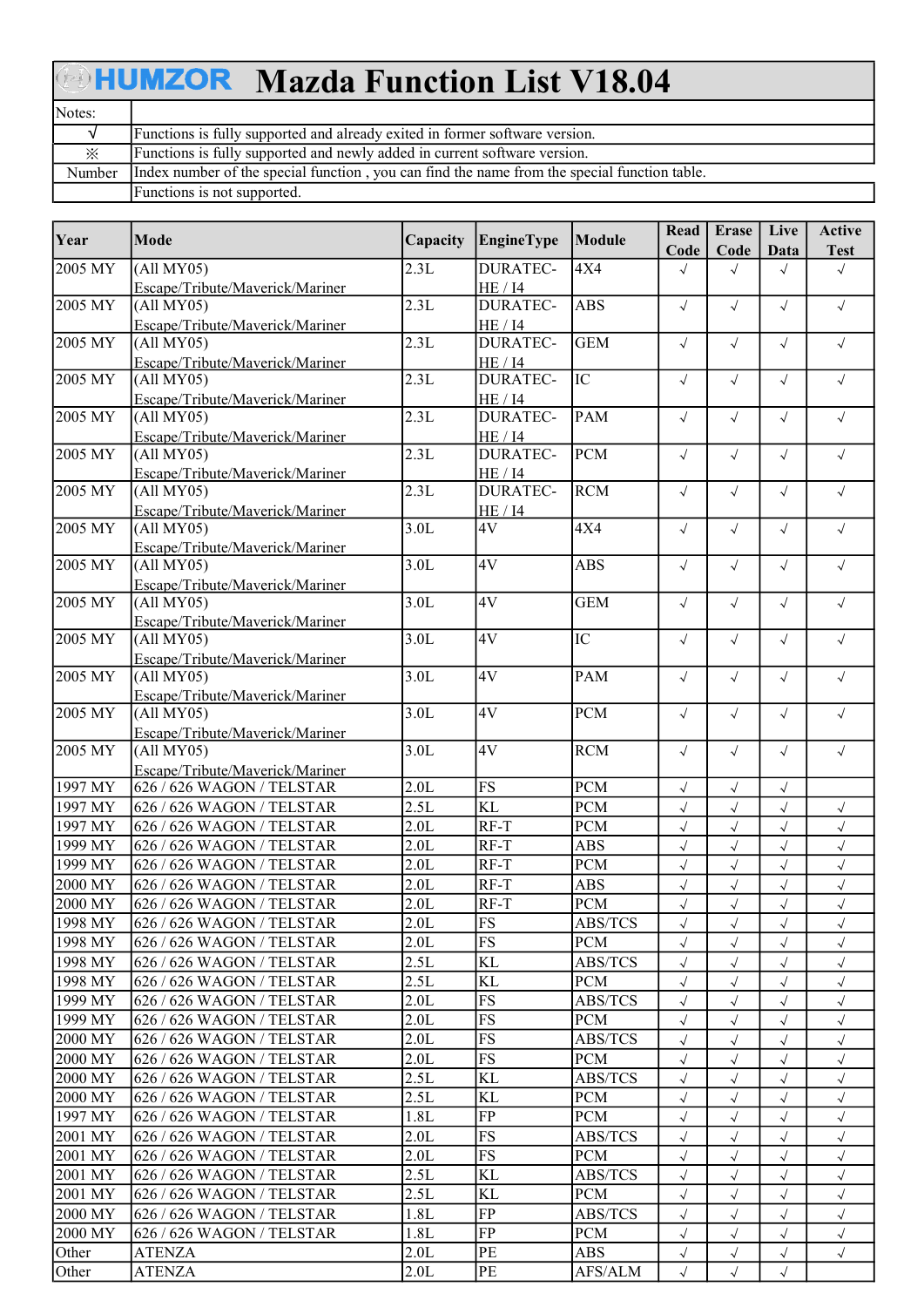|          | <b>EDHUMZOR Mazda Function List V18.04</b>                                                   |
|----------|----------------------------------------------------------------------------------------------|
| Notes:   |                                                                                              |
| V        | Functions is fully supported and already exited in former software version.                  |
| $\times$ | Functions is fully supported and newly added in current software version.                    |
| Number   | Index number of the special function, you can find the name from the special function table. |
|          | Functions is not supported.                                                                  |

| Year    | Mode                            | Capacity         | <b>EngineType</b>      | Module           | <b>Read</b><br>Code  | <b>Erase</b><br>Code | Live<br>Data | <b>Active</b><br><b>Test</b> |
|---------|---------------------------------|------------------|------------------------|------------------|----------------------|----------------------|--------------|------------------------------|
| 2005 MY | (All MY05)                      | 2.3L             | <b>DURATEC-</b>        | 4X4              | $\sqrt{}$            | $\sqrt{}$            | $\sqrt{}$    | $\sqrt{ }$                   |
|         | Escape/Tribute/Maverick/Mariner |                  | HE / I4                |                  |                      |                      |              |                              |
| 2005 MY | (All MY05)                      | 2.3L             | <b>DURATEC-</b>        | $\overline{ABS}$ | $\sqrt{2}$           | $\sqrt{}$            | $\sqrt{ }$   | $\sqrt{ }$                   |
|         | Escape/Tribute/Maverick/Mariner |                  | HE / I4                |                  |                      |                      |              |                              |
| 2005 MY | (All MY05)                      | 2.3L             | <b>DURATEC-</b>        | <b>GEM</b>       | $\sqrt{2}$           | $\sqrt{ }$           | $\sqrt{ }$   | $\sqrt{ }$                   |
|         | Escape/Tribute/Maverick/Mariner |                  | HE/14                  |                  |                      |                      |              |                              |
| 2005 MY | (All MY05)                      | 2.3L             | <b>DURATEC-</b>        | IC               | $\checkmark$         | $\sqrt{ }$           | $\sqrt{ }$   | $\sqrt{ }$                   |
|         | Escape/Tribute/Maverick/Mariner |                  | HE / I4                |                  |                      |                      |              |                              |
| 2005 MY | (All MY05)                      | 2.3L             | <b>DURATEC-</b>        | <b>PAM</b>       | $\checkmark$         | $\sqrt{ }$           | $\sqrt{ }$   | $\sqrt{}$                    |
|         | Escape/Tribute/Maverick/Mariner |                  | HE / I4                |                  |                      |                      |              |                              |
| 2005 MY | (All MY05)                      | 2.3L             | <b>DURATEC-</b>        | <b>PCM</b>       | $\checkmark$         | $\sqrt{ }$           | $\sqrt{ }$   | $\sqrt{}$                    |
|         | Escape/Tribute/Maverick/Mariner |                  | HE / I4                |                  |                      |                      |              |                              |
| 2005 MY | (All MY05)                      | 2.3L             | <b>DURATEC-</b>        | <b>RCM</b>       | $\checkmark$         | $\sqrt{}$            | $\sqrt{ }$   | $\sqrt{}$                    |
|         | Escape/Tribute/Maverick/Mariner |                  | HE / I4                |                  |                      |                      |              |                              |
| 2005 MY | (All MY05)                      | 3.0L             | 4V                     | 4X4              | $\checkmark$         | $\sqrt{}$            | $\sqrt{ }$   | $\sqrt{}$                    |
|         | Escape/Tribute/Maverick/Mariner |                  |                        |                  |                      |                      |              |                              |
| 2005 MY | (All MY05)                      | 3.0L             | 4V                     | <b>ABS</b>       | $\checkmark$         | $\sqrt{}$            | $\sqrt{ }$   | $\sqrt{ }$                   |
|         | Escape/Tribute/Maverick/Mariner |                  |                        |                  |                      |                      |              |                              |
| 2005 MY | (All MY05)                      | 3.0 <sub>L</sub> | 4V                     | <b>GEM</b>       | $\sqrt{2}$           | $\sqrt{}$            | $\sqrt{ }$   | $\sqrt{ }$                   |
|         | Escape/Tribute/Maverick/Mariner |                  |                        |                  |                      |                      |              |                              |
| 2005 MY | (All MY05)                      | 3.0L             | 4V                     | IC               | $\checkmark$         | $\sqrt{}$            | $\sqrt{ }$   | $\sqrt{ }$                   |
|         | Escape/Tribute/Maverick/Mariner |                  |                        |                  |                      |                      |              |                              |
| 2005 MY | (All MY05)                      | 3.0L             | 4V                     | <b>PAM</b>       | $\checkmark$         | $\sqrt{\phantom{a}}$ | $\sqrt{ }$   | $\sqrt{ }$                   |
|         | Escape/Tribute/Maverick/Mariner |                  |                        |                  |                      |                      |              |                              |
| 2005 MY | (All MY05)                      | 3.0 <sub>L</sub> | 4V                     | <b>PCM</b>       | $\checkmark$         | $\sqrt{ }$           | $\sqrt{ }$   | $\sqrt{ }$                   |
|         | Escape/Tribute/Maverick/Mariner |                  |                        |                  |                      |                      |              |                              |
| 2005 MY | (All MY05)                      | 3.0 <sub>L</sub> | 4V                     | <b>RCM</b>       | $\sqrt{}$            | $\sqrt{ }$           | $\sqrt{}$    | $\checkmark$                 |
|         | Escape/Tribute/Maverick/Mariner |                  |                        |                  |                      |                      |              |                              |
| 1997 MY | 626 / 626 WAGON / TELSTAR       | 2.0L             | $\overline{\text{FS}}$ | <b>PCM</b>       | $\sqrt{2}$           | $\checkmark$         | $\sqrt{2}$   |                              |
| 1997 MY | 626 / 626 WAGON / TELSTAR       | 2.5L             | <b>KL</b>              | <b>PCM</b>       | $\sqrt{2}$           | $\sqrt{ }$           | $\sqrt{2}$   | $\checkmark$                 |
| 1997 MY | 626 / 626 WAGON / TELSTAR       | 2.0L             | $RF-T$                 | <b>PCM</b>       | $\sqrt{2}$           | $\sqrt{}$            | $\checkmark$ | $\sqrt{}$                    |
| 1999 MY | 626 / 626 WAGON / TELSTAR       | 2.0L             | $RF-T$                 | <b>ABS</b>       | $\sqrt{ }$           | $\sqrt{ }$           | $\sqrt{ }$   | $\sqrt{}$                    |
| 1999 MY | 626 / 626 WAGON / TELSTAR       | 2.0L             | $RF-T$                 | <b>PCM</b>       | $\checkmark$         | $\sqrt{ }$           | $\checkmark$ | $\checkmark$                 |
| 2000 MY | 626 / 626 WAGON / TELSTAR       | 2.0L             | $RF-T$                 | <b>ABS</b>       | $\sqrt{\phantom{a}}$ | $\sqrt{}$            | $\sqrt{ }$   | $\sqrt{}$                    |
| 2000 MY | 626 / 626 WAGON / TELSTAR       | 2.0L             | $RF-T$                 | <b>PCM</b>       | $\sqrt{2}$           | $\checkmark$         | $\sqrt{2}$   | $\sqrt{2}$                   |
| 1998 MY | 626 / 626 WAGON / TELSTAR       | 2.0L             | FS                     | ABS/TCS          | $\sqrt{ }$           | $\sqrt{ }$           | $\sqrt{ }$   | $\sqrt{ }$                   |
| 1998 MY | 626 / 626 WAGON / TELSTAR       | 2.0L             | <b>FS</b>              | <b>PCM</b>       | $\sqrt{}$            | $\sqrt{}$            | $\sqrt{ }$   | $\sqrt{ }$                   |
| 1998 MY | 626 / 626 WAGON / TELSTAR       | 2.5L             | KL                     | ABS/TCS          | $\checkmark$         | $\sqrt{}$            | $\sqrt{}$    | $\sqrt{ }$                   |
| 1998 MY | 626 / 626 WAGON / TELSTAR       | 2.5L             | KL                     | <b>PCM</b>       | $\sqrt{ }$           | $\sqrt{}$            | $\sqrt{ }$   | $\sqrt{}$                    |
| 1999 MY | 626 / 626 WAGON / TELSTAR       | 2.0L             | <b>FS</b>              | <b>ABS/TCS</b>   | $\sqrt{}$            | $\sqrt{ }$           | $\sqrt{ }$   | $\sqrt{}$                    |
| 1999 MY | 626 / 626 WAGON / TELSTAR       | 2.0L             | FS                     | <b>PCM</b>       | $\sqrt{2}$           | $\sqrt{}$            | $\sqrt{ }$   |                              |
| 2000 MY | 626 / 626 WAGON / TELSTAR       | 2.0L             | FS                     | ABS/TCS          | $\checkmark$         | $\sqrt{}$            | $\sqrt{ }$   | $\sqrt{}$                    |
| 2000 MY | 626 / 626 WAGON / TELSTAR       | 2.0L             | FS                     | <b>PCM</b>       | $\sqrt{}$            | $\sqrt{ }$           | $\sqrt{ }$   | $\sqrt{ }$                   |
| 2000 MY | 626 / 626 WAGON / TELSTAR       | 2.5L             | KL                     | ABS/TCS          | $\sqrt{ }$           | $\sqrt{ }$           | $\sqrt{ }$   | $\sqrt{ }$                   |
| 2000 MY | 626 / 626 WAGON / TELSTAR       | 2.5L             | KL                     | <b>PCM</b>       | $\sqrt{ }$           | $\sqrt{ }$           | $\sqrt{ }$   | $\sqrt{ }$                   |
| 1997 MY | 626 / 626 WAGON / TELSTAR       | 1.8L             | FP                     | <b>PCM</b>       | $\checkmark$         | $\sqrt{ }$           | $\sqrt{ }$   | $\sqrt{}$                    |
| 2001 MY | 626 / 626 WAGON / TELSTAR       | 2.0L             | FS                     | ABS/TCS          | $\sqrt{ }$           | $\sqrt{ }$           | $\sqrt{ }$   | $\sqrt{ }$                   |
| 2001 MY | 626 / 626 WAGON / TELSTAR       | $2.0L$           | FS                     | <b>PCM</b>       | $\sqrt{ }$           | $\sqrt{ }$           | $\sqrt{ }$   | $\sqrt{}$                    |
| 2001 MY | 626 / 626 WAGON / TELSTAR       | 2.5L             | KL                     | ABS/TCS          | $\sqrt{2}$           | $\sqrt{}$            | $\sqrt{ }$   |                              |
|         |                                 |                  |                        |                  |                      |                      |              | $\sqrt{ }$                   |
| 2001 MY | 626 / 626 WAGON / TELSTAR       | 2.5L             | KL                     | <b>PCM</b>       | $\sqrt{ }$           | $\sqrt{ }$           | $\sqrt{ }$   | $\sqrt{ }$                   |
| 2000 MY | 626 / 626 WAGON / TELSTAR       | 1.8L             | FP                     | ABS/TCS          | $\sqrt{ }$           | $\sqrt{ }$           | $\sqrt{ }$   | $\sqrt{ }$                   |
| 2000 MY | 626 / 626 WAGON / TELSTAR       | 1.8L             | FP                     | <b>PCM</b>       | $\sqrt{2}$           | $\sqrt{}$            | $\checkmark$ | $\sqrt{ }$                   |
| Other   | <b>ATENZA</b>                   | 2.0L             | PE                     | ABS              | $\sqrt{}$            | $\sqrt{ }$           | $\sqrt{}$    | $\sqrt{ }$                   |
| Other   | <b>ATENZA</b>                   | 2.0L             | PE                     | AFS/ALM          | $\sqrt{2}$           |                      |              |                              |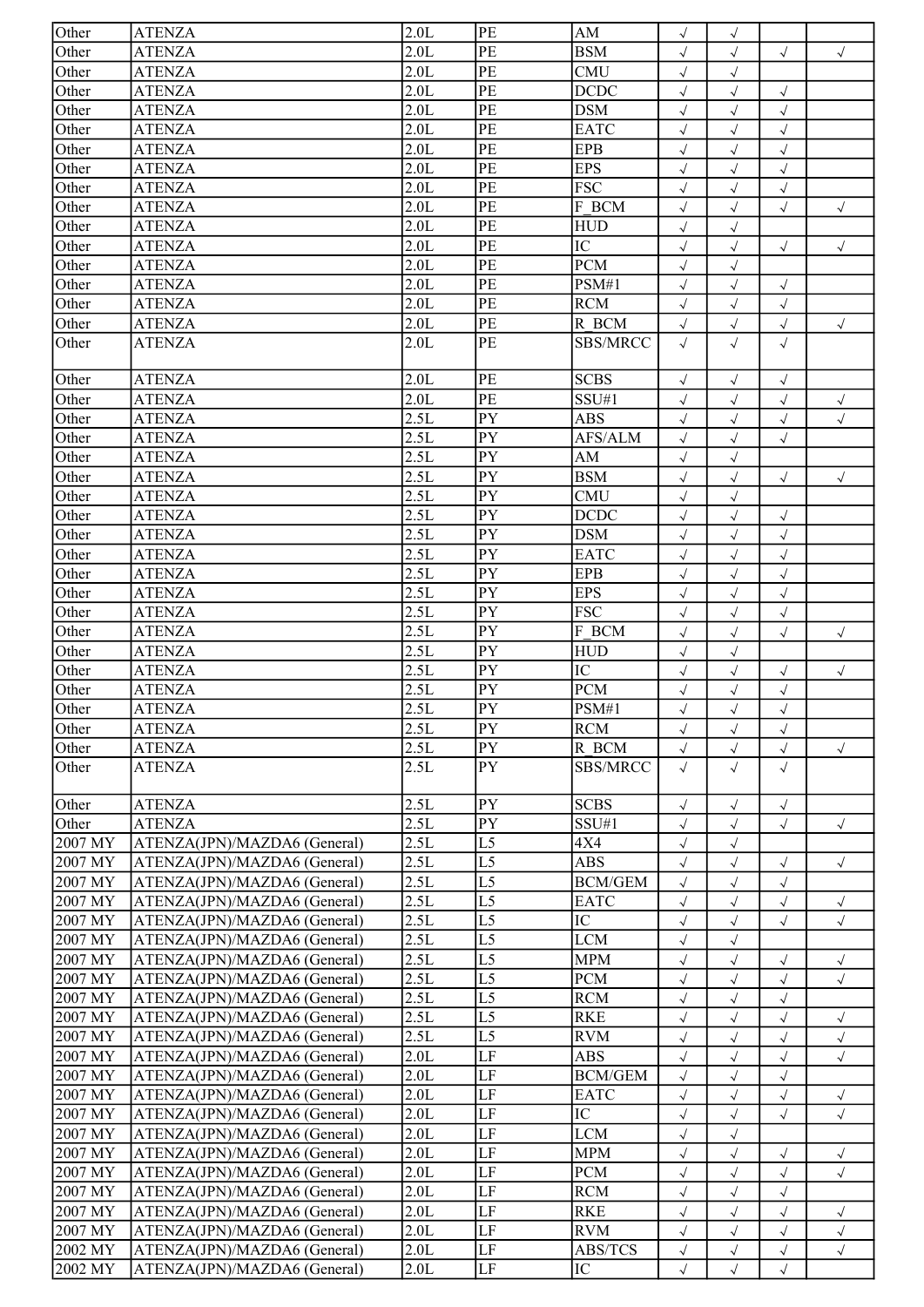| Other   | <b>ATENZA</b>                  | 2.0L   | $\ensuremath{\mathop{\mathrm{PE}}}\xspace$ | ${\rm AM}$      | $\sqrt{ }$               | $\sqrt{}$  |                      |              |
|---------|--------------------------------|--------|--------------------------------------------|-----------------|--------------------------|------------|----------------------|--------------|
| Other   | <b>ATENZA</b>                  | 2.0L   | PE                                         | <b>BSM</b>      | $\sqrt{ }$               | $\sqrt{}$  | $\sqrt{}$            | $\sqrt{ }$   |
| Other   | <b>ATENZA</b>                  | 2.0L   | PE                                         | <b>CMU</b>      | $\checkmark$             | $\sqrt{ }$ |                      |              |
| Other   | <b>ATENZA</b>                  | 2.0L   | PE                                         | DCDC            | $\sqrt{ }$               | $\sqrt{}$  | $\sqrt{ }$           |              |
| Other   | <b>ATENZA</b>                  | 2.0L   | PE                                         | <b>DSM</b>      | $\sqrt{ }$               | $\sqrt{}$  | $\sqrt{ }$           |              |
| Other   | <b>ATENZA</b>                  | 2.0L   | PE                                         | <b>EATC</b>     | $\sqrt{ }$               | $\sqrt{ }$ | $\sqrt{ }$           |              |
| Other   | <b>ATENZA</b>                  | 2.0L   | PE                                         | <b>EPB</b>      | $\checkmark$             | $\sqrt{}$  | $\checkmark$         |              |
| Other   | <b>ATENZA</b>                  | 2.0L   | PE                                         | <b>EPS</b>      | $\sqrt{ }$               | $\sqrt{}$  | $\checkmark$         |              |
| Other   | <b>ATENZA</b>                  | 2.0L   | PE                                         | <b>FSC</b>      | $\sqrt{ }$               | $\sqrt{ }$ | $\sqrt{ }$           |              |
| Other   | <b>ATENZA</b>                  | 2.0L   | PE                                         | F BCM           | $\sqrt{ }$               | $\sqrt{ }$ | $\sqrt{ }$           | $\sqrt{}$    |
| Other   | <b>ATENZA</b>                  | 2.0L   | PE                                         | <b>HUD</b>      | $\checkmark$             | $\sqrt{2}$ |                      |              |
| Other   | <b>ATENZA</b>                  | 2.0L   | PE                                         | IC              | $\checkmark$             | $\sqrt{}$  | $\sqrt{ }$           | $\sqrt{ }$   |
| Other   | <b>ATENZA</b>                  | 2.0L   | $\overline{PE}$                            | <b>PCM</b>      | $\overline{\sqrt{2}}$    | $\sqrt{2}$ |                      |              |
| Other   | <b>ATENZA</b>                  | 2.0L   | PE                                         | PSM#1           | $\checkmark$             | $\sqrt{}$  | $\sqrt{}$            |              |
| Other   | <b>ATENZA</b>                  | 2.0L   | $\overline{PE}$                            | <b>RCM</b>      | $\sqrt{ }$               | $\sqrt{ }$ | $\sqrt{ }$           |              |
| Other   | <b>ATENZA</b>                  | 2.0L   | PE                                         | R BCM           | $\sqrt{ }$               | $\sqrt{}$  | $\sqrt{ }$           | $\sqrt{ }$   |
| Other   | <b>ATENZA</b>                  | 2.0L   | PE                                         | <b>SBS/MRCC</b> | $\sqrt{ }$               | $\sqrt{}$  | $\sqrt{ }$           |              |
|         |                                |        |                                            |                 |                          |            |                      |              |
| Other   | <b>ATENZA</b>                  | 2.0L   | PE                                         | <b>SCBS</b>     | $\sqrt{\phantom{a}}$     | $\sqrt{}$  | $\sqrt{\phantom{a}}$ |              |
| Other   | <b>ATENZA</b>                  | 2.0L   | PE                                         | SSU#1           | $\sqrt{ }$               | $\sqrt{}$  | $\sqrt{ }$           | $\sqrt{ }$   |
| Other   | <b>ATENZA</b>                  | 2.5L   | $\overline{PY}$                            | <b>ABS</b>      | $\sqrt{ }$               | $\sqrt{}$  | $\checkmark$         | $\sqrt{}$    |
| Other   | <b>ATENZA</b>                  | 2.5L   | PY                                         | AFS/ALM         | $\sqrt{ }$               | $\sqrt{}$  | $\sqrt{ }$           |              |
| Other   | <b>ATENZA</b>                  | 2.5L   | PY                                         | AM              | $\sqrt{ }$               | $\sqrt{}$  |                      |              |
| Other   | <b>ATENZA</b>                  | 2.5L   | PY                                         | <b>BSM</b>      | $\checkmark$             | $\sqrt{}$  | $\sqrt{ }$           | $\sqrt{ }$   |
| Other   | <b>ATENZA</b>                  | 2.5L   | $\overline{PY}$                            | <b>CMU</b>      | $\sqrt{ }$               | $\sqrt{ }$ |                      |              |
| Other   | <b>ATENZA</b>                  | 2.5L   | $\overline{PY}$                            | <b>DCDC</b>     | $\sqrt{ }$               | $\sqrt{}$  | $\sqrt{ }$           |              |
| Other   | <b>ATENZA</b>                  | 2.5L   | $\overline{PY}$                            | <b>DSM</b>      | $\sqrt{ }$               | $\sqrt{2}$ | $\checkmark$         |              |
| Other   | <b>ATENZA</b>                  | 2.5L   | $\overline{PY}$                            | <b>EATC</b>     | $\sqrt{ }$               | $\sqrt{}$  | $\checkmark$         |              |
| Other   | <b>ATENZA</b>                  | 2.5L   | PY                                         | <b>EPB</b>      | $\checkmark$             | $\sqrt{}$  | $\sqrt{ }$           |              |
| Other   | <b>ATENZA</b>                  | 2.5L   | PY                                         | <b>EPS</b>      |                          |            |                      |              |
| Other   | <b>ATENZA</b>                  | 2.5L   | PY                                         | <b>FSC</b>      | $\sqrt{ }$               | $\sqrt{}$  | $\sqrt{ }$           |              |
|         |                                | 2.5L   | PY                                         | F BCM           | $\sqrt{\phantom{a}}$     | $\sqrt{}$  | $\sqrt{\phantom{a}}$ |              |
| Other   | <b>ATENZA</b>                  | 2.5L   | PY                                         | <b>HUD</b>      | $\sqrt{ }$               | $\sqrt{}$  | $\sqrt{ }$           | $\sqrt{ }$   |
| Other   | <b>ATENZA</b><br><b>ATENZA</b> | 2.5L   | PY                                         | IC              | $\sqrt{ }$               | $\sqrt{}$  |                      |              |
| Other   |                                |        | PY                                         |                 | $\sqrt{ }$               | $\sqrt{}$  | $\sqrt{ }$           | $\sqrt{}$    |
| Other   | <b>ATENZA</b>                  | 2.5L   |                                            | <b>PCM</b>      | $\sqrt{ }$               | $\sqrt{}$  | $\sqrt{ }$           |              |
| Other   | <b>ATENZA</b>                  | 2.5L   | PY                                         | PSM#1           | $\sqrt{ }$               | $\sqrt{ }$ | $\checkmark$         |              |
| Other   | <b>ATENZA</b>                  | 2.5L   | PY                                         | <b>RCM</b>      | $\sqrt{ }$               | $\sqrt{}$  | $\sqrt{ }$           |              |
| Other   | <b>ATENZA</b>                  | 2.5L   | PY                                         | R BCM           | $\sqrt{ }$               | $\sqrt{}$  | $\sqrt{}$            | $\sqrt{}$    |
| Other   | <b>ATENZA</b>                  | 2.5L   | PY                                         | <b>SBS/MRCC</b> | $\sqrt{ }$               | $\sqrt{}$  | $\sqrt{ }$           |              |
|         |                                | 2.5L   | PY                                         | <b>SCBS</b>     |                          |            |                      |              |
| Other   | <b>ATENZA</b>                  |        | $\overline{PY}$                            |                 | $\sqrt{ }$<br>$\sqrt{ }$ | $\sqrt{}$  | $\sqrt{}$            |              |
| Other   | <b>ATENZA</b>                  | 2.5L   |                                            | SSU#1           |                          | $\sqrt{}$  | $\sqrt{}$            | $\sqrt{}$    |
| 2007 MY | ATENZA(JPN)/MAZDA6 (General)   | 2.5L   | L <sub>5</sub>                             | 4X4             | $\sqrt{ }$               | $\sqrt{}$  |                      |              |
| 2007 MY | ATENZA(JPN)/MAZDA6 (General)   | 2.5L   | L <sub>5</sub>                             | <b>ABS</b>      | $\sqrt{ }$               | $\sqrt{}$  | $\sqrt{}$            | $\sqrt{ }$   |
| 2007 MY | ATENZA(JPN)/MAZDA6 (General)   | 2.5L   | L <sub>5</sub>                             | <b>BCM/GEM</b>  | $\sqrt{ }$               | $\sqrt{ }$ | $\sqrt{ }$           |              |
| 2007 MY | ATENZA(JPN)/MAZDA6 (General)   | 2.5L   | L <sub>5</sub>                             | <b>EATC</b>     | $\sqrt{\phantom{a}}$     | $\sqrt{}$  | $\sqrt{ }$           | $\sqrt{ }$   |
| 2007 MY | ATENZA(JPN)/MAZDA6 (General)   | 2.5L   | L <sub>5</sub>                             | IC              | $\sqrt{ }$               | $\sqrt{}$  | $\sqrt{ }$           | $\sqrt{}$    |
| 2007 MY | ATENZA(JPN)/MAZDA6 (General)   | 2.5L   | L <sub>5</sub>                             | <b>LCM</b>      | $\sqrt{ }$               | $\sqrt{}$  |                      |              |
| 2007 MY | ATENZA(JPN)/MAZDA6 (General)   | 2.5L   | L <sub>5</sub>                             | <b>MPM</b>      | $\sqrt{ }$               | $\sqrt{}$  | $\sqrt{ }$           | $\sqrt{ }$   |
| 2007 MY | ATENZA(JPN)/MAZDA6 (General)   | 2.5L   | L <sub>5</sub>                             | <b>PCM</b>      | $\sqrt{ }$               | $\sqrt{}$  | $\sqrt{ }$           | $\sqrt{ }$   |
| 2007 MY | ATENZA(JPN)/MAZDA6 (General)   | 2.5L   | L <sub>5</sub>                             | <b>RCM</b>      | $\checkmark$             | $\sqrt{}$  | $\checkmark$         |              |
| 2007 MY | ATENZA(JPN)/MAZDA6 (General)   | 2.5L   | L <sub>5</sub>                             | <b>RKE</b>      | $\sqrt{ }$               | $\sqrt{}$  | $\checkmark$         | $\sqrt{ }$   |
| 2007 MY | ATENZA(JPN)/MAZDA6 (General)   | 2.5L   | L <sub>5</sub>                             | <b>RVM</b>      | $\sqrt{ }$               | $\sqrt{}$  | $\sqrt{ }$           | $\sqrt{}$    |
| 2007 MY | ATENZA(JPN)/MAZDA6 (General)   | 2.0L   | LF                                         | <b>ABS</b>      | $\sqrt{ }$               | $\sqrt{}$  | $\sqrt{}$            | $\checkmark$ |
| 2007 MY | ATENZA(JPN)/MAZDA6 (General)   | $2.0L$ | LF                                         | <b>BCM/GEM</b>  | $\sqrt{ }$               | $\sqrt{}$  | $\checkmark$         |              |
| 2007 MY | ATENZA(JPN)/MAZDA6 (General)   | 2.0L   | LF                                         | <b>EATC</b>     | $\sqrt{ }$               | $\sqrt{}$  | $\sqrt{ }$           | $\sqrt{ }$   |
| 2007 MY | ATENZA(JPN)/MAZDA6 (General)   | 2.0L   | LF                                         | IC              | $\sqrt{ }$               | $\sqrt{ }$ | $\sqrt{ }$           | $\sqrt{ }$   |
| 2007 MY | ATENZA(JPN)/MAZDA6 (General)   | 2.0L   | LF                                         | <b>LCM</b>      | $\sqrt{ }$               | $\sqrt{ }$ |                      |              |
| 2007 MY | ATENZA(JPN)/MAZDA6 (General)   | 2.0L   | LF                                         | <b>MPM</b>      | $\sqrt{ }$               | $\sqrt{}$  | $\sqrt{}$            | $\sqrt{}$    |
| 2007 MY | ATENZA(JPN)/MAZDA6 (General)   | 2.0L   | LF                                         | <b>PCM</b>      | $\sqrt{ }$               | $\sqrt{}$  | $\sqrt{ }$           | $\sqrt{}$    |
| 2007 MY | ATENZA(JPN)/MAZDA6 (General)   | $2.0L$ | LF                                         | <b>RCM</b>      | $\sqrt{ }$               | $\sqrt{}$  | $\checkmark$         |              |
| 2007 MY | ATENZA(JPN)/MAZDA6 (General)   | 2.0L   | LF                                         | <b>RKE</b>      | $\sqrt{ }$               | $\sqrt{}$  | $\checkmark$         | $\sqrt{ }$   |
| 2007 MY | ATENZA(JPN)/MAZDA6 (General)   | 2.0L   | LF                                         | <b>RVM</b>      | $\sqrt{ }$               | $\sqrt{ }$ | $\checkmark$         | $\sqrt{ }$   |
| 2002 MY | ATENZA(JPN)/MAZDA6 (General)   | 2.0L   | LF                                         | ABS/TCS         | $\sqrt{ }$               | $\sqrt{}$  | $\checkmark$         | $\sqrt{ }$   |
| 2002 MY | ATENZA(JPN)/MAZDA6 (General)   | 2.0L   | LF                                         | IC              | $\sqrt{ }$               | $\sqrt{}$  | $\sqrt{2}$           |              |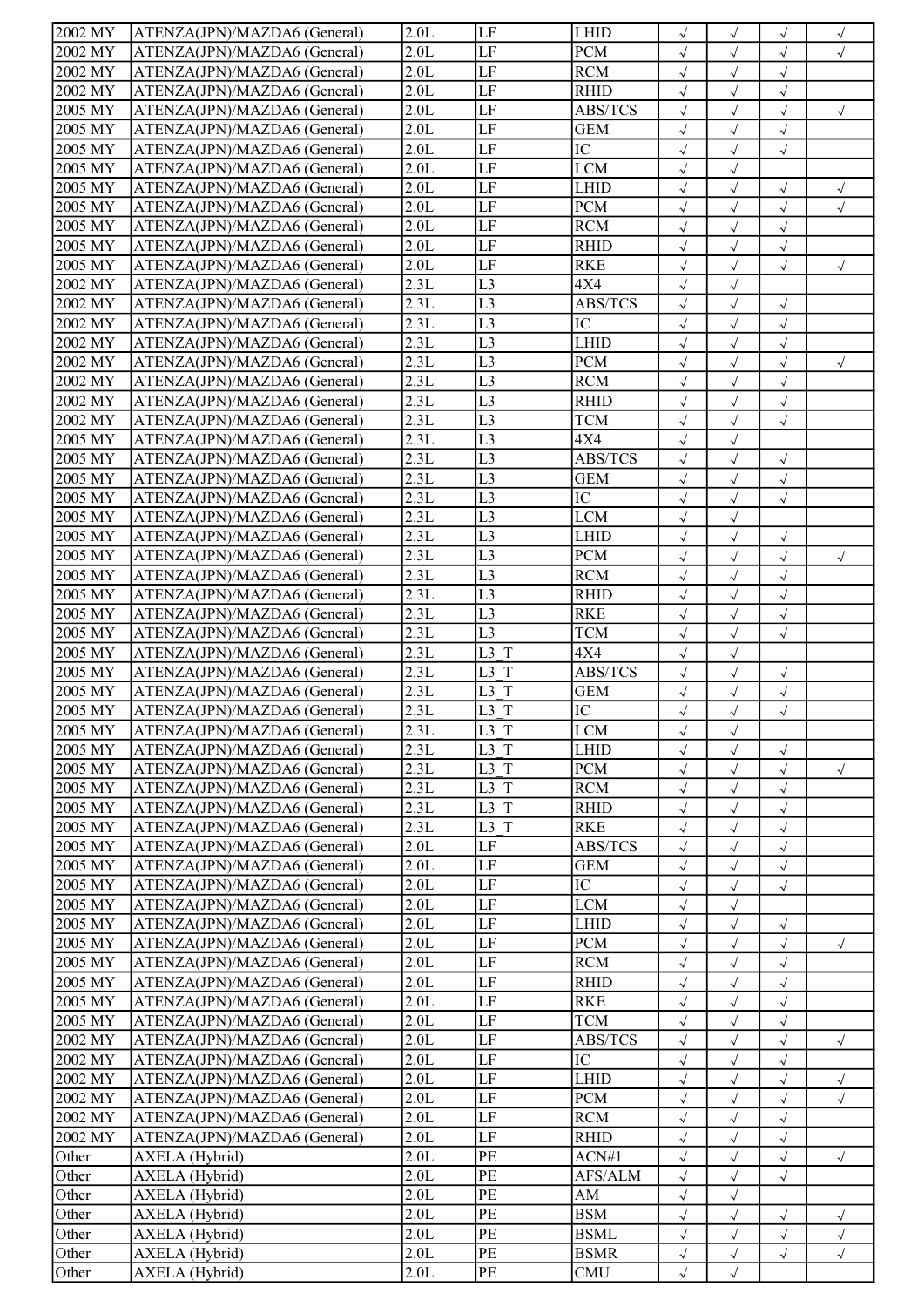| 2002 MY | ATENZA(JPN)/MAZDA6 (General) | 2.0L | LF             | <b>LHID</b>    | $\sqrt{}$            | $\sqrt{}$    | $\sqrt{}$    | $\sqrt{ }$ |
|---------|------------------------------|------|----------------|----------------|----------------------|--------------|--------------|------------|
| 2002 MY | ATENZA(JPN)/MAZDA6 (General) | 2.0L | LF             | <b>PCM</b>     | $\checkmark$         | $\sqrt{}$    | $\sqrt{}$    | $\sqrt{}$  |
| 2002 MY | ATENZA(JPN)/MAZDA6 (General) | 2.0L | LF             | <b>RCM</b>     | $\checkmark$         | $\sqrt{}$    | $\sqrt{ }$   |            |
| 2002 MY | ATENZA(JPN)/MAZDA6 (General) | 2.0L | LF             | <b>RHID</b>    | $\sqrt{ }$           | $\sqrt{}$    | $\sqrt{ }$   |            |
| 2005 MY | ATENZA(JPN)/MAZDA6 (General) | 2.0L | LF             | ABS/TCS        | $\sqrt{ }$           | $\sqrt{}$    | $\sqrt{}$    | $\sqrt{}$  |
| 2005 MY | ATENZA(JPN)/MAZDA6 (General) | 2.0L | LF             | <b>GEM</b>     | $\sqrt{ }$           | $\sqrt{}$    | $\sqrt{ }$   |            |
| 2005 MY | ATENZA(JPN)/MAZDA6 (General) | 2.0L | LF             | IC             | $\sqrt{ }$           | $\sqrt{}$    | $\sqrt{}$    |            |
| 2005 MY | ATENZA(JPN)/MAZDA6 (General) | 2.0L | LF             | <b>LCM</b>     | $\sqrt{ }$           | $\sqrt{}$    |              |            |
| 2005 MY | ATENZA(JPN)/MAZDA6 (General) | 2.0L | LF             | <b>LHID</b>    | $\sqrt{ }$           | $\sqrt{}$    | $\sqrt{}$    | $\sqrt{ }$ |
| 2005 MY | ATENZA(JPN)/MAZDA6 (General) | 2.0L | LF             | <b>PCM</b>     | $\sqrt{ }$           | $\sqrt{}$    | $\sqrt{ }$   | $\sqrt{ }$ |
| 2005 MY | ATENZA(JPN)/MAZDA6 (General) | 2.0L | LF             | <b>RCM</b>     | $\sqrt{2}$           | $\sqrt{}$    | $\sqrt{}$    |            |
| 2005 MY | ATENZA(JPN)/MAZDA6 (General) | 2.0L | LF             | <b>RHID</b>    | $\sqrt{}$            | $\sqrt{}$    | $\sqrt{}$    |            |
| 2005 MY | ATENZA(JPN)/MAZDA6 (General) | 2.0L | LF             | <b>RKE</b>     | $\sqrt{2}$           | $\sqrt{}$    | $\sqrt{}$    | $\sqrt{ }$ |
| 2002 MY | ATENZA(JPN)/MAZDA6 (General) | 2.3L | L <sub>3</sub> | 4X4            | $\checkmark$         | $\sqrt{}$    |              |            |
| 2002 MY | ATENZA(JPN)/MAZDA6 (General) | 2.3L | L <sub>3</sub> | <b>ABS/TCS</b> | $\sqrt{ }$           | $\sqrt{}$    | $\sqrt{}$    |            |
| 2002 MY | ATENZA(JPN)/MAZDA6 (General) | 2.3L | L <sub>3</sub> | IC             | $\sqrt{ }$           | $\sqrt{}$    | $\sqrt{ }$   |            |
| 2002 MY | ATENZA(JPN)/MAZDA6 (General) | 2.3L | L <sub>3</sub> | <b>LHID</b>    | $\sqrt{ }$           | $\sqrt{}$    | $\sqrt{ }$   |            |
| 2002 MY | ATENZA(JPN)/MAZDA6 (General) | 2.3L | L <sub>3</sub> | <b>PCM</b>     | $\checkmark$         | $\sqrt{}$    | $\sqrt{ }$   | $\sqrt{ }$ |
| 2002 MY | ATENZA(JPN)/MAZDA6 (General) | 2.3L | L <sub>3</sub> | <b>RCM</b>     | $\checkmark$         | $\sqrt{}$    | $\checkmark$ |            |
| 2002 MY | ATENZA(JPN)/MAZDA6 (General) | 2.3L | L <sub>3</sub> | <b>RHID</b>    | $\sqrt{ }$           | $\sqrt{}$    | $\checkmark$ |            |
| 2002 MY | ATENZA(JPN)/MAZDA6 (General) | 2.3L | L <sub>3</sub> | <b>TCM</b>     | $\sqrt{ }$           | $\sqrt{}$    | $\sqrt{}$    |            |
| 2005 MY | ATENZA(JPN)/MAZDA6 (General) | 2.3L | L <sub>3</sub> | 4X4            | $\checkmark$         | $\sqrt{2}$   |              |            |
| 2005 MY | ATENZA(JPN)/MAZDA6 (General) | 2.3L | L <sub>3</sub> | ABS/TCS        | $\sqrt{ }$           | $\sqrt{}$    | $\sqrt{ }$   |            |
| 2005 MY | ATENZA(JPN)/MAZDA6 (General) | 2.3L | L <sub>3</sub> | <b>GEM</b>     | $\checkmark$         | $\sqrt{}$    | $\sqrt{}$    |            |
| 2005 MY | ATENZA(JPN)/MAZDA6 (General) | 2.3L | L <sub>3</sub> | IC             | $\sqrt{2}$           | $\sqrt{}$    | $\sqrt{}$    |            |
| 2005 MY | ATENZA(JPN)/MAZDA6 (General) | 2.3L | L <sub>3</sub> | <b>LCM</b>     | $\sqrt{ }$           | $\sqrt{}$    |              |            |
| 2005 MY | ATENZA(JPN)/MAZDA6 (General) | 2.3L | L <sub>3</sub> | <b>LHID</b>    | $\sqrt{\ }$          | $\sqrt{}$    | $\sqrt{}$    |            |
| 2005 MY | ATENZA(JPN)/MAZDA6 (General) | 2.3L | L <sub>3</sub> | <b>PCM</b>     | $\sqrt{}$            | $\sqrt{}$    | $\sqrt{ }$   | $\sqrt{ }$ |
| 2005 MY | ATENZA(JPN)/MAZDA6 (General) | 2.3L | L <sub>3</sub> | <b>RCM</b>     | $\sqrt{ }$           | $\sqrt{}$    | $\sqrt{}$    |            |
| 2005 MY | ATENZA(JPN)/MAZDA6 (General) | 2.3L | L <sub>3</sub> | <b>RHID</b>    | $\sqrt{ }$           | $\sqrt{}$    | $\sqrt{}$    |            |
| 2005 MY | ATENZA(JPN)/MAZDA6 (General) | 2.3L | L <sub>3</sub> | <b>RKE</b>     | $\checkmark$         | $\sqrt{}$    | $\checkmark$ |            |
| 2005 MY | ATENZA(JPN)/MAZDA6 (General) | 2.3L | L <sub>3</sub> | <b>TCM</b>     | $\sqrt{ }$           | $\sqrt{}$    | $\sqrt{}$    |            |
| 2005 MY | ATENZA(JPN)/MAZDA6 (General) | 2.3L | L3 T           | 4X4            | $\sqrt{ }$           | $\sqrt{}$    |              |            |
| 2005 MY | ATENZA(JPN)/MAZDA6 (General) | 2.3L | L3 T           | ABS/TCS        | $\sqrt{ }$           | $\sqrt{}$    | $\sqrt{ }$   |            |
| 2005 MY | ATENZA(JPN)/MAZDA6 (General) | 2.3L | L3 T           | <b>GEM</b>     | $\sqrt{ }$           | $\sqrt{}$    | $\checkmark$ |            |
| 2005 MY | ATENZA(JPN)/MAZDA6 (General) | 2.3L | L3 T           | IC             | $\sqrt{2}$           | $\sqrt{}$    | $\sqrt{2}$   |            |
| 2005 MY | ATENZA(JPN)/MAZDA6 (General) | 2.3L | L3 T           | <b>LCM</b>     | $\sqrt{}$            | $\sqrt{ }$   |              |            |
| 2005 MY | ATENZA(JPN)/MAZDA6 (General) | 2.3L | L3 T           | <b>LHID</b>    | $\sqrt{ }$           | $\sqrt{}$    | $\checkmark$ |            |
| 2005 MY | ATENZA(JPN)/MAZDA6 (General) | 2.3L | L3 T           | <b>PCM</b>     | $\sqrt{}$            | $\sqrt{}$    | $\sqrt{}$    | $\sqrt{ }$ |
| 2005 MY | ATENZA(JPN)/MAZDA6 (General) | 2.3L | L3 T           | <b>RCM</b>     | $\sqrt{}$            | $\sqrt{ }$   | $\sqrt{}$    |            |
| 2005 MY | ATENZA(JPN)/MAZDA6 (General) | 2.3L | L3 T           | <b>RHID</b>    | $\sqrt{\phantom{a}}$ | $\sqrt{}$    | $\sqrt{}$    |            |
| 2005 MY | ATENZA(JPN)/MAZDA6 (General) | 2.3L | L3 T           | <b>RKE</b>     | $\sqrt{ }$           | $\sqrt{}$    | $\sqrt{}$    |            |
| 2005 MY | ATENZA(JPN)/MAZDA6 (General) | 2.0L | LF             | ABS/TCS        | $\sqrt{ }$           | $\sqrt{}$    | $\sqrt{}$    |            |
| 2005 MY | ATENZA(JPN)/MAZDA6 (General) | 2.0L | LF             | <b>GEM</b>     | $\sqrt{ }$           | $\sqrt{}$    | $\sqrt{ }$   |            |
| 2005 MY | ATENZA(JPN)/MAZDA6 (General) | 2.0L | LF             | IC             | $\sqrt{2}$           | $\sqrt{}$    | $\sqrt{}$    |            |
| 2005 MY | ATENZA(JPN)/MAZDA6 (General) | 2.0L | LF             | <b>LCM</b>     | $\sqrt{ }$           | $\sqrt{}$    |              |            |
| 2005 MY | ATENZA(JPN)/MAZDA6 (General) | 2.0L | LF             | <b>LHID</b>    | $\checkmark$         | $\sqrt{}$    | $\sqrt{ }$   |            |
| 2005 MY | ATENZA(JPN)/MAZDA6 (General) | 2.0L | LF             | <b>PCM</b>     | $\sqrt{}$            | $\sqrt{}$    | $\sqrt{}$    | $\sqrt{}$  |
| 2005 MY | ATENZA(JPN)/MAZDA6 (General) | 2.0L | LF             | <b>RCM</b>     | $\sqrt{}$            | $\sqrt{}$    | $\sqrt{}$    |            |
| 2005 MY | ATENZA(JPN)/MAZDA6 (General) | 2.0L | LF             | <b>RHID</b>    | $\sqrt{2}$           | $\sqrt{}$    | $\checkmark$ |            |
| 2005 MY | ATENZA(JPN)/MAZDA6 (General) | 2.0L | LF             | <b>RKE</b>     | $\checkmark$         | $\sqrt{}$    | $\sqrt{}$    |            |
| 2005 MY | ATENZA(JPN)/MAZDA6 (General) | 2.0L | LF             | <b>TCM</b>     | $\sqrt{}$            | $\checkmark$ | $\sqrt{}$    |            |
| 2002 MY | ATENZA(JPN)/MAZDA6 (General) | 2.0L | LF             | ABS/TCS        | $\sqrt{}$            | $\sqrt{}$    | $\sqrt{ }$   | $\sqrt{ }$ |
| 2002 MY | ATENZA(JPN)/MAZDA6 (General) | 2.0L | LF             | IC             | $\sqrt{ }$           | $\sqrt{}$    | $\sqrt{ }$   |            |
| 2002 MY | ATENZA(JPN)/MAZDA6 (General) | 2.0L | LF             | <b>LHID</b>    | $\sqrt{ }$           | $\sqrt{}$    | $\sqrt{}$    | $\sqrt{ }$ |
| 2002 MY | ATENZA(JPN)/MAZDA6 (General) | 2.0L | LF             | <b>PCM</b>     | $\checkmark$         | $\sqrt{}$    | $\checkmark$ | $\sqrt{ }$ |
| 2002 MY | ATENZA(JPN)/MAZDA6 (General) | 2.0L | LF             | <b>RCM</b>     | $\sqrt{ }$           | $\sqrt{ }$   | $\sqrt{}$    |            |
| 2002 MY | ATENZA(JPN)/MAZDA6 (General) | 2.0L | LF             | <b>RHID</b>    | $\sqrt{ }$           | $\sqrt{}$    | $\sqrt{ }$   |            |
| Other   | AXELA (Hybrid)               | 2.0L | PE             | ACN#1          | $\sqrt{ }$           | $\sqrt{}$    | $\sqrt{ }$   | $\sqrt{ }$ |
| Other   | AXELA (Hybrid)               | 2.0L | PE             | AFS/ALM        | $\sqrt{ }$           | $\sqrt{}$    | $\sqrt{ }$   |            |
| Other   | AXELA (Hybrid)               | 2.0L | PE             | AM             | $\checkmark$         | $\sqrt{}$    |              |            |
| Other   | AXELA (Hybrid)               | 2.0L | PE             | <b>BSM</b>     | $\sqrt{2}$           | $\sqrt{}$    | $\sqrt{}$    | $\sqrt{ }$ |
| Other   | AXELA (Hybrid)               | 2.0L | PE             | <b>BSML</b>    | $\sqrt{ }$           | $\sqrt{}$    | $\checkmark$ | $\sqrt{2}$ |
| Other   | AXELA (Hybrid)               | 2.0L | PE             | <b>BSMR</b>    | $\sqrt{}$            | $\sqrt{}$    | $\sqrt{}$    | $\sqrt{2}$ |
| Other   | AXELA (Hybrid)               | 2.0L | PE             | <b>CMU</b>     | $\sqrt{}$            | $\sqrt{}$    |              |            |
|         |                              |      |                |                |                      |              |              |            |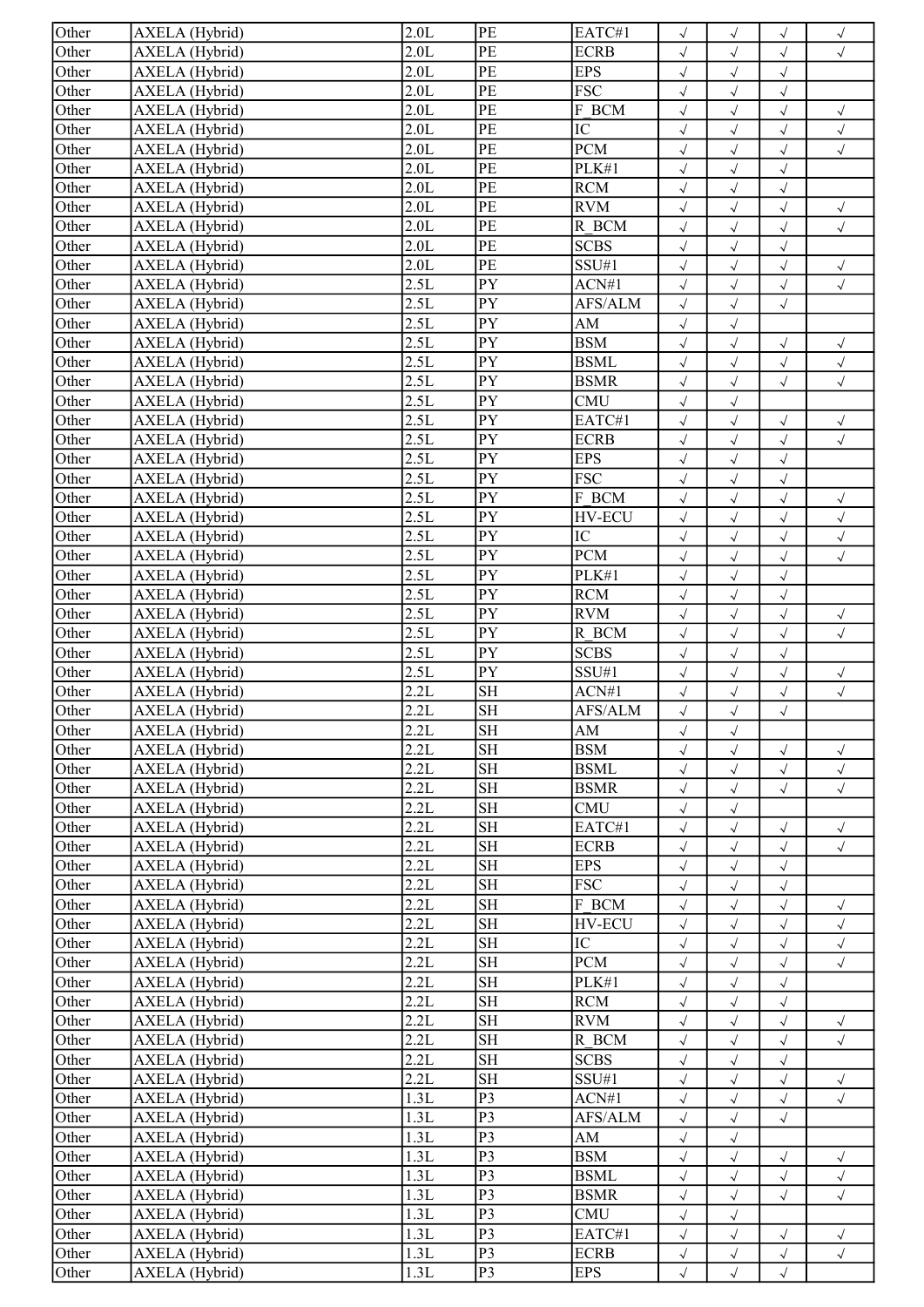| Other | AXELA (Hybrid) | 2.0L | PE                  | EATC#1        | $\sqrt{}$                | $\sqrt{}$               | $\sqrt{}$                | $\sqrt{ }$               |
|-------|----------------|------|---------------------|---------------|--------------------------|-------------------------|--------------------------|--------------------------|
| Other | AXELA (Hybrid) | 2.0L | PE                  | <b>ECRB</b>   | $\checkmark$             | $\sqrt{}$               | $\sqrt{ }$               | $\sqrt{}$                |
| Other | AXELA (Hybrid) | 2.0L | PE                  | <b>EPS</b>    | $\checkmark$             | $\sqrt{}$               | $\sqrt{ }$               |                          |
| Other | AXELA (Hybrid) | 2.0L | PE                  | <b>FSC</b>    | $\sqrt{ }$               | $\sqrt{ }$              | $\sqrt{ }$               |                          |
| Other | AXELA (Hybrid) | 2.0L | PE                  | F BCM         | $\sqrt{ }$               | $\sqrt{ }$              | $\sqrt{ }$               | $\sqrt{}$                |
| Other | AXELA (Hybrid) | 2.0L | PE                  | IC            | $\sqrt{ }$               | $\sqrt{ }$              | $\sqrt{ }$               | $\sqrt{ }$               |
| Other | AXELA (Hybrid) | 2.0L | PE                  | <b>PCM</b>    | $\checkmark$             | $\sqrt{ }$              | $\checkmark$             | $\sqrt{ }$               |
| Other | AXELA (Hybrid) | 2.0L | PE                  | PLK#1         | $\sqrt{ }$               | $\sqrt{ }$              | $\checkmark$             |                          |
| Other | AXELA (Hybrid) | 2.0L | PE                  | <b>RCM</b>    | $\checkmark$             | $\sqrt{ }$              | $\checkmark$             |                          |
| Other | AXELA (Hybrid) | 2.0L | PE                  | <b>RVM</b>    | $\checkmark$             | $\sqrt{ }$              | $\checkmark$             | $\sqrt{ }$               |
| Other | AXELA (Hybrid) | 2.0L | PE                  | R BCM         | $\sqrt{ }$               | $\sqrt{ }$              | $\checkmark$             | $\sqrt{}$                |
| Other | AXELA (Hybrid) | 2.0L | PE                  | <b>SCBS</b>   | $\checkmark$             | $\sqrt{}$               | $\checkmark$             |                          |
| Other | AXELA (Hybrid) | 2.0L | $\overline{PE}$     | SSU#1         | $\sqrt{ }$               | $\sqrt{2}$              | $\sqrt{ }$               | $\sqrt{ }$               |
| Other | AXELA (Hybrid) | 2.5L | PY                  | ACN#1         | $\checkmark$             | $\sqrt{}$               | $\checkmark$             | $\sqrt{}$                |
| Other | AXELA (Hybrid) | 2.5L | PY                  | AFS/ALM       | $\sqrt{ }$               | $\sqrt{}$               | $\sqrt{ }$               |                          |
| Other | AXELA (Hybrid) | 2.5L | PY                  | AM            | $\sqrt{ }$               | $\sqrt{}$               |                          |                          |
| Other | AXELA (Hybrid) | 2.5L | PY                  | <b>BSM</b>    | $\sqrt{ }$               | $\sqrt{ }$              | $\sqrt{ }$               | $\sqrt{ }$               |
| Other | AXELA (Hybrid) | 2.5L | PY                  | <b>BSML</b>   | $\sqrt{ }$               | $\sqrt{ }$              | $\sqrt{ }$               | $\sqrt{ }$               |
| Other | AXELA (Hybrid) | 2.5L | PY                  | <b>BSMR</b>   | $\checkmark$             | $\sqrt{ }$              | $\sqrt{ }$               | $\sqrt{ }$               |
| Other | AXELA (Hybrid) | 2.5L | PY                  | <b>CMU</b>    | $\checkmark$             | $\sqrt{2}$              |                          |                          |
| Other | AXELA (Hybrid) | 2.5L | <b>PY</b>           | EATC#1        | $\checkmark$             | $\sqrt{ }$              | $\sqrt{ }$               | $\sqrt{\phantom{a}}$     |
| Other | AXELA (Hybrid) | 2.5L | $\overline{PY}$     | <b>ECRB</b>   | $\checkmark$             | $\sqrt{ }$              | $\sqrt{ }$               | $\checkmark$             |
| Other | AXELA (Hybrid) | 2.5L | PY                  | <b>EPS</b>    | $\sqrt{ }$               | $\sqrt{ }$              | $\sqrt{ }$               |                          |
| Other | AXELA (Hybrid) | 2.5L | PY                  | <b>FSC</b>    | $\checkmark$             | $\checkmark$            | $\checkmark$             |                          |
| Other | AXELA (Hybrid) | 2.5L | $\overline{PY}$     | F BCM         | $\sqrt{ }$               | $\sqrt{2}$              | $\sqrt{ }$               | $\sqrt{ }$               |
| Other | AXELA (Hybrid) | 2.5L | PY                  | <b>HV-ECU</b> | $\checkmark$             | $\sqrt{2}$              | $\checkmark$             | $\sqrt{}$                |
| Other | AXELA (Hybrid) | 2.5L | PY                  | ${\rm IC}$    | $\sqrt{ }$               | $\sqrt{}$               | $\sqrt{ }$               | $\sqrt{\phantom{a}}$     |
| Other | AXELA (Hybrid) | 2.5L | $\overline{PY}$     | <b>PCM</b>    | $\sqrt{ }$               | $\sqrt{}$               | $\sqrt{ }$               | $\sqrt{ }$               |
| Other | AXELA (Hybrid) | 2.5L | PY                  | PLK#1         | $\sqrt{ }$               | $\sqrt{ }$              | $\sqrt{ }$               |                          |
| Other | AXELA (Hybrid) | 2.5L | PY                  | <b>RCM</b>    | $\sqrt{ }$               | $\sqrt{}$               | $\sqrt{ }$               |                          |
| Other | AXELA (Hybrid) | 2.5L | PY                  | <b>RVM</b>    | $\checkmark$             | $\sqrt{ }$              | $\sqrt{ }$               | $\sqrt{ }$               |
| Other | AXELA (Hybrid) | 2.5L | PY                  | R BCM         | $\sqrt{ }$               | $\sqrt{ }$              | $\checkmark$             | $\sqrt{ }$               |
| Other | AXELA (Hybrid) | 2.5L | PY                  | <b>SCBS</b>   | $\sqrt{ }$               | $\sqrt{ }$              | $\checkmark$             |                          |
| Other | AXELA (Hybrid) | 2.5L | PY                  | SSU#1         | $\checkmark$             | $\sqrt{ }$              | $\checkmark$             | $\sqrt{ }$               |
| Other | AXELA (Hybrid) | 2.2L | $\operatorname{SH}$ | ACN#1         | $\sqrt{ }$               | $\sqrt{ }$              | $\checkmark$             | $\checkmark$             |
| Other | AXELA (Hybrid) | 2.2L | <b>SH</b>           | AFS/ALM       | $\sqrt{2}$               | $\sqrt{ }$              | $\sqrt{ }$               |                          |
| Other | AXELA (Hybrid) | 2.2L | <b>SH</b>           | AM            | $\sqrt{ }$               | $\sqrt{}$               |                          |                          |
| Other | AXELA (Hybrid) | 2.2L | $\operatorname{SH}$ | <b>BSM</b>    | $\sqrt{ }$               | $\sqrt{}$               | $\sqrt{ }$               | $\sqrt{ }$               |
| Other | AXELA (Hybrid) | 2.2L | $\operatorname{SH}$ | <b>BSML</b>   | $\sqrt{ }$               | $\sqrt{}$               | $\sqrt{ }$               | $\sqrt{}$                |
| Other | AXELA (Hybrid) | 2.2L | $\operatorname{SH}$ | <b>BSMR</b>   | $\sqrt{ }$               | $\sqrt{ }$              | $\sqrt{ }$               | $\sqrt{ }$               |
| Other | AXELA (Hybrid) | 2.2L | $\operatorname{SH}$ | <b>CMU</b>    | $\sqrt{ }$               | $\sqrt{ }$              |                          |                          |
| Other | AXELA (Hybrid) | 2.2L | <b>SH</b>           | EATC#1        | $\sqrt{ }$               | $\sqrt{}$               | $\sqrt{}$                | $\sqrt{}$                |
| Other | AXELA (Hybrid) | 2.2L | <b>SH</b>           | <b>ECRB</b>   | $\sqrt{ }$               | $\sqrt{ }$              | $\sqrt{ }$               | $\sqrt{ }$               |
| Other | AXELA (Hybrid) | 2.2L | $\operatorname{SH}$ | <b>EPS</b>    | $\sqrt{ }$               | $\sqrt{}$               | $\checkmark$             |                          |
| Other | AXELA (Hybrid) | 2.2L | <b>SH</b>           | <b>FSC</b>    | $\sqrt{ }$               | $\sqrt{}$               | $\sqrt{ }$               |                          |
| Other | AXELA (Hybrid) | 2.2L | <b>SH</b>           | F BCM         | $\sqrt{ }$               | $\sqrt{ }$              | $\sqrt{ }$               | $\sqrt{ }$               |
| Other | AXELA (Hybrid) | 2.2L | $\operatorname{SH}$ | <b>HV-ECU</b> | $\sqrt{ }$               | $\sqrt{ }$              | $\checkmark$             | $\sqrt{ }$               |
| Other | AXELA (Hybrid) | 2.2L | <b>SH</b>           | IC            | $\sqrt{ }$               | $\sqrt{}$               | $\checkmark$             | $\checkmark$             |
| Other | AXELA (Hybrid) | 2.2L | <b>SH</b>           | PCM           | $\sqrt{ }$               | $\sqrt{}$               | $\sqrt{ }$               | $\sqrt{}$                |
| Other | AXELA (Hybrid) | 2.2L | $\operatorname{SH}$ | PLK#1         | $\sqrt{ }$               | $\sqrt{2}$              | $\checkmark$             |                          |
| Other | AXELA (Hybrid) | 2.2L | $\operatorname{SH}$ | <b>RCM</b>    | $\sqrt{ }$               | $\sqrt{}$               | $\sqrt{ }$               |                          |
| Other | AXELA (Hybrid) | 2.2L | <b>SH</b>           | <b>RVM</b>    | $\checkmark$             | $\sqrt{ }$              | $\sqrt{ }$               | $\sqrt{ }$               |
| Other | AXELA (Hybrid) | 2.2L | $\operatorname{SH}$ | R BCM         | $\sqrt{ }$               | $\sqrt{ }$              | $\sqrt{ }$               | $\sqrt{ }$               |
| Other | AXELA (Hybrid) | 2.2L | <b>SH</b>           | <b>SCBS</b>   | $\sqrt{ }$               | $\sqrt{}$               | $\sqrt{ }$               |                          |
| Other | AXELA (Hybrid) | 2.2L | <b>SH</b>           | SSU#1         | $\sqrt{ }$               |                         | $\sqrt{ }$               |                          |
| Other | AXELA (Hybrid) | 1.3L | P <sub>3</sub>      | ACN#1         | $\sqrt{ }$               | $\sqrt{ }$<br>$\sqrt{}$ | $\sqrt{ }$               | $\sqrt{ }$<br>$\sqrt{}$  |
| Other | AXELA (Hybrid) | 1.3L | P <sub>3</sub>      | AFS/ALM       | $\sqrt{ }$               | $\sqrt{}$               | $\sqrt{ }$               |                          |
| Other | AXELA (Hybrid) | 1.3L | P <sub>3</sub>      | AM            | $\sqrt{ }$               |                         |                          |                          |
| Other | AXELA (Hybrid) | 1.3L | P <sub>3</sub>      | <b>BSM</b>    | $\checkmark$             | $\sqrt{ }$<br>$\sqrt{}$ |                          |                          |
| Other | AXELA (Hybrid) | 1.3L | P <sub>3</sub>      | <b>BSML</b>   | $\sqrt{ }$               | $\sqrt{}$               | $\sqrt{ }$<br>$\sqrt{ }$ | $\sqrt{ }$<br>$\sqrt{ }$ |
| Other | AXELA (Hybrid) | 1.3L | P <sub>3</sub>      | <b>BSMR</b>   | $\sqrt{ }$               |                         | $\sqrt{ }$               | $\checkmark$             |
| Other | AXELA (Hybrid) | 1.3L | P <sub>3</sub>      | <b>CMU</b>    | $\sqrt{ }$               | $\sqrt{ }$<br>$\sqrt{}$ |                          |                          |
| Other | AXELA (Hybrid) | 1.3L | P <sub>3</sub>      | EATC#1        | $\sqrt{ }$               |                         |                          | $\sqrt{ }$               |
| Other | AXELA (Hybrid) | 1.3L | P <sub>3</sub>      | <b>ECRB</b>   |                          | $\sqrt{}$               | $\sqrt{}$                |                          |
|       | AXELA (Hybrid) | 1.3L | P <sub>3</sub>      | <b>EPS</b>    | $\sqrt{ }$<br>$\sqrt{ }$ | $\sqrt{ }$              | $\sqrt{ }$               | $\sqrt{ }$               |
| Other |                |      |                     |               |                          | $\sqrt{}$               | $\sqrt{ }$               |                          |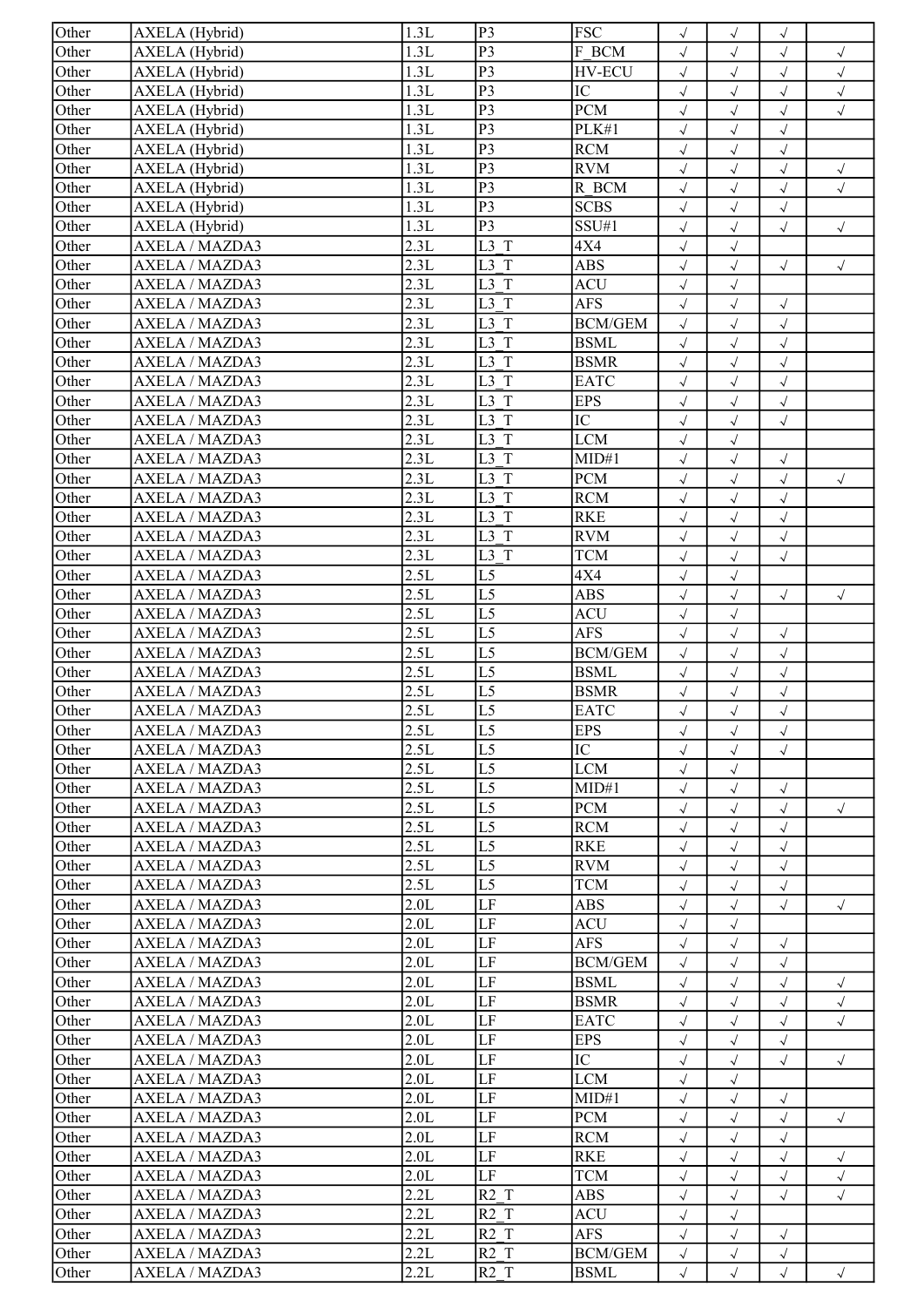| Other | AXELA (Hybrid)                   | 1.3L | P <sub>3</sub> | <b>FSC</b>                | $\sqrt{ }$           | $\sqrt{}$  | $\sqrt{\phantom{a}}$ |            |
|-------|----------------------------------|------|----------------|---------------------------|----------------------|------------|----------------------|------------|
| Other | AXELA (Hybrid)                   | 1.3L | P <sub>3</sub> | F BCM                     | $\sqrt{ }$           | $\sqrt{ }$ | $\sqrt{\phantom{a}}$ | $\sqrt{ }$ |
| Other | AXELA (Hybrid)                   | 1.3L | P <sub>3</sub> | <b>HV-ECU</b>             | $\sqrt{ }$           | $\sqrt{ }$ | $\sqrt{ }$           | $\sqrt{ }$ |
| Other | AXELA (Hybrid)                   | 1.3L | P <sub>3</sub> | IC                        | $\sqrt{ }$           | $\sqrt{ }$ | $\sqrt{ }$           | $\sqrt{ }$ |
| Other | AXELA (Hybrid)                   | 1.3L | P <sub>3</sub> | <b>PCM</b>                | $\sqrt{ }$           | $\sqrt{ }$ | $\sqrt{ }$           | $\sqrt{ }$ |
| Other | AXELA (Hybrid)                   | 1.3L | P <sub>3</sub> | PLK#1                     | $\sqrt{ }$           | $\sqrt{ }$ | $\sqrt{ }$           |            |
| Other | AXELA (Hybrid)                   | 1.3L | P <sub>3</sub> | <b>RCM</b>                | $\sqrt{ }$           | $\sqrt{ }$ | $\sqrt{ }$           |            |
| Other | AXELA (Hybrid)                   | 1.3L | P <sub>3</sub> | <b>RVM</b>                | $\sqrt{ }$           | $\sqrt{}$  | $\checkmark$         | $\sqrt{ }$ |
| Other | AXELA (Hybrid)                   | 1.3L | P <sub>3</sub> | R BCM                     | $\sqrt{ }$           | $\sqrt{}$  | $\sqrt{ }$           | $\sqrt{}$  |
| Other | AXELA (Hybrid)                   | 1.3L | P <sub>3</sub> | <b>SCBS</b>               | $\sqrt{ }$           | $\sqrt{ }$ | $\sqrt{ }$           |            |
| Other | AXELA (Hybrid)                   | 1.3L | P <sub>3</sub> | SSU#1                     | $\sqrt{ }$           | $\sqrt{ }$ | $\sqrt{ }$           | $\sqrt{}$  |
| Other | AXELA / MAZDA3                   | 2.3L | L3 T           | 4X4                       | $\sqrt{ }$           | $\sqrt{}$  |                      |            |
| Other | AXELA / MAZDA3                   | 2.3L | L3 T           | ABS                       | $\sqrt{ }$           | $\sqrt{2}$ | $\sqrt{ }$           | $\sqrt{ }$ |
| Other | AXELA / MAZDA3                   | 2.3L | L3 T           | <b>ACU</b>                | $\checkmark$         | $\sqrt{ }$ |                      |            |
| Other | AXELA / MAZDA3                   | 2.3L | L3 T           | <b>AFS</b>                | $\sqrt{ }$           | $\sqrt{ }$ | $\sqrt{ }$           |            |
| Other | AXELA / MAZDA3                   | 2.3L | L3 T           | <b>BCM/GEM</b>            | $\sqrt{ }$           | $\sqrt{ }$ | $\sqrt{ }$           |            |
| Other | AXELA / MAZDA3                   | 2.3L | L3 T           | <b>BSML</b>               | $\sqrt{ }$           | $\sqrt{ }$ | $\sqrt{ }$           |            |
| Other | AXELA / MAZDA3                   | 2.3L | L3 T           | <b>BSMR</b>               | $\sqrt{ }$           | $\sqrt{ }$ | $\sqrt{ }$           |            |
| Other | AXELA / MAZDA3                   | 2.3L | L3 T           | <b>EATC</b>               | $\checkmark$         | $\sqrt{ }$ | $\sqrt{ }$           |            |
| Other | AXELA / MAZDA3                   | 2.3L | L3 T           | <b>EPS</b>                | $\sqrt{ }$           | $\sqrt{ }$ | $\sqrt{ }$           |            |
| Other | AXELA / MAZDA3                   | 2.3L | L3 T           | IC                        | $\sqrt{ }$           | $\sqrt{ }$ | $\checkmark$         |            |
| Other | AXELA / MAZDA3                   | 2.3L | L3T            | <b>LCM</b>                | $\checkmark$         | $\sqrt{ }$ |                      |            |
|       | AXELA / MAZDA3                   | 2.3L | L3 T           | MID#1                     | $\sqrt{ }$           | $\sqrt{ }$ | $\sqrt{ }$           |            |
| Other |                                  |      | L3 T           |                           |                      |            |                      |            |
| Other | AXELA / MAZDA3                   | 2.3L |                | PCM                       | $\sqrt{ }$           | $\sqrt{ }$ | $\sqrt{ }$           | $\sqrt{ }$ |
| Other | AXELA / MAZDA3                   | 2.3L | L3 T           | <b>RCM</b>                | $\sqrt{ }$           | $\sqrt{2}$ | $\checkmark$         |            |
| Other | AXELA / MAZDA3                   | 2.3L | L3 T           | <b>RKE</b>                | $\sqrt{ }$           | $\sqrt{}$  | $\sqrt{ }$           |            |
| Other | AXELA / MAZDA3                   | 2.3L | L3 T           | <b>RVM</b>                | $\sqrt{ }$           | $\sqrt{ }$ | $\sqrt{ }$           |            |
| Other | AXELA / MAZDA3                   | 2.3L | $L3 \bar{T}$   | <b>TCM</b>                | $\sqrt{ }$           | $\sqrt{}$  | $\sqrt{ }$           |            |
| Other | AXELA / MAZDA3                   | 2.5L | L <sub>5</sub> | 4X4                       | $\sqrt{ }$           | $\sqrt{ }$ |                      |            |
| Other | AXELA / MAZDA3                   | 2.5L | L <sub>5</sub> | <b>ABS</b>                | $\sqrt{ }$           | $\sqrt{ }$ | $\sqrt{\phantom{a}}$ | $\sqrt{ }$ |
| Other | AXELA / MAZDA3                   | 2.5L | L <sub>5</sub> | <b>ACU</b>                | $\sqrt{ }$           | $\sqrt{}$  |                      |            |
| Other | AXELA / MAZDA3                   | 2.5L | L <sub>5</sub> | <b>AFS</b>                | $\sqrt{ }$           | $\sqrt{}$  | $\sqrt{ }$           |            |
| Other | AXELA / MAZDA3                   | 2.5L | L <sub>5</sub> | <b>BCM/GEM</b>            | $\sqrt{ }$           | $\sqrt{ }$ | $\sqrt{ }$           |            |
| Other | AXELA / MAZDA3                   | 2.5L | L <sub>5</sub> | <b>BSML</b>               | $\sqrt{ }$           | $\sqrt{ }$ | $\sqrt{ }$           |            |
| Other | AXELA / MAZDA3                   | 2.5L | L <sub>5</sub> | <b>BSMR</b>               | $\sqrt{ }$           | $\sqrt{ }$ | $\checkmark$         |            |
| Other | AXELA / MAZDA3                   | 2.5L | L <sub>5</sub> | <b>EATC</b>               | $\sqrt{ }$           | $\sqrt{ }$ | $\sqrt{ }$           |            |
| Other | AXELA / MAZDA3                   | 2.5L | L <sub>5</sub> | <b>EPS</b>                | $\sqrt{ }$           | $\sqrt{ }$ | $\sqrt{ }$           |            |
| Other | AXELA / MAZDA3                   | 2.5L | L <sub>5</sub> | IC                        | $\sqrt{ }$           | $\sqrt{}$  | $\sqrt{ }$           |            |
| Other | AXELA / MAZDA3                   | 2.5L | L <sub>5</sub> | <b>LCM</b>                | $\sqrt{ }$           | $\sqrt{ }$ |                      |            |
| Other | <b>AXELA / MAZDA3</b>            | 2.5L | L5             | MID#1                     | $\sqrt{ }$           | $\sqrt{ }$ | $\sqrt{ }$           |            |
| Other | AXELA / MAZDA3                   | 2.5L | L <sub>5</sub> | PCM                       | $\sqrt{ }$           | $\sqrt{ }$ | $\sqrt{ }$           | $\sqrt{ }$ |
| Other | AXELA / MAZDA3                   | 2.5L | L <sub>5</sub> | <b>RCM</b>                | $\sqrt{ }$           | $\sqrt{}$  | $\sqrt{ }$           |            |
| Other | AXELA / MAZDA3                   | 2.5L | L <sub>5</sub> | <b>RKE</b>                | $\sqrt{ }$           | $\sqrt{}$  | $\sqrt{ }$           |            |
| Other | AXELA / MAZDA3                   | 2.5L | L <sub>5</sub> | <b>RVM</b>                | $\sqrt{ }$           | $\sqrt{}$  | $\sqrt{ }$           |            |
| Other | AXELA / MAZDA3                   | 2.5L | L <sub>5</sub> | <b>TCM</b>                | $\sqrt{}$            | $\sqrt{}$  | $\sqrt{ }$           |            |
| Other | AXELA / MAZDA3                   | 2.0L | LF             | <b>ABS</b>                | $\sqrt{ }$           | $\sqrt{}$  | $\sqrt{ }$           | $\sqrt{ }$ |
| Other | AXELA / MAZDA3                   | 2.0L | LF             | <b>ACU</b>                | $\sqrt{ }$           | $\sqrt{ }$ |                      |            |
| Other | AXELA / MAZDA3                   | 2.0L | LF             | <b>AFS</b>                | $\sqrt{}$            | $\sqrt{ }$ | $\sqrt{ }$           |            |
| Other | AXELA / MAZDA3                   | 2.0L | LF             | <b>BCM/GEM</b>            | $\sqrt{ }$           | $\sqrt{}$  | $\sqrt{ }$           |            |
| Other | AXELA / MAZDA3                   | 2.0L | LF             | <b>BSML</b>               | $\sqrt{ }$           | $\sqrt{}$  | $\checkmark$         | $\sqrt{}$  |
| Other | AXELA / MAZDA3                   | 2.0L | LF             | <b>BSMR</b>               | $\sqrt{\phantom{a}}$ | $\sqrt{}$  | $\sqrt{ }$           | $\sqrt{}$  |
| Other | AXELA / MAZDA3                   | 2.0L | LF             | <b>EATC</b>               | $\sqrt{ }$           | $\sqrt{ }$ | $\sqrt{ }$           | $\sqrt{ }$ |
| Other | AXELA / MAZDA3                   | 2.0L | LF             | <b>EPS</b>                | $\sqrt{ }$           | $\sqrt{ }$ | $\sqrt{ }$           |            |
| Other | AXELA / MAZDA3                   | 2.0L | LF             | IC                        | $\sqrt{ }$           | $\sqrt{}$  | $\sqrt{ }$           | $\sqrt{ }$ |
| Other | AXELA / MAZDA3                   | 2.0L | LF             | <b>LCM</b>                | $\sqrt{ }$           | $\sqrt{}$  |                      |            |
| Other | AXELA / MAZDA3                   | 2.0L | LF             | $\overline{\text{MID#1}}$ | $\sqrt{}$            | $\sqrt{}$  | $\sqrt{}$            |            |
| Other | AXELA / MAZDA3                   | 2.0L | LF             | PCM                       | $\sqrt{ }$           | $\sqrt{}$  | $\sqrt{}$            | $\sqrt{ }$ |
| Other | AXELA / MAZDA3                   | 2.0L | LF             | <b>RCM</b>                | $\sqrt{ }$           | $\sqrt{ }$ | $\sqrt{ }$           |            |
| Other | AXELA / MAZDA3                   | 2.0L | LF             | <b>RKE</b>                | $\sqrt{ }$           | $\sqrt{}$  | $\sqrt{ }$           |            |
| Other | AXELA / MAZDA3                   | 2.0L | LF             | <b>TCM</b>                | $\sqrt{ }$           | $\sqrt{}$  | $\sqrt{ }$           | $\sqrt{ }$ |
| Other |                                  | 2.2L | R2T            | <b>ABS</b>                | $\sqrt{ }$           |            | $\sqrt{ }$           | $\sqrt{ }$ |
|       | AXELA / MAZDA3<br>AXELA / MAZDA3 | 2.2L | R2T            | <b>ACU</b>                | $\sqrt{ }$           | $\sqrt{}$  |                      | $\sqrt{}$  |
| Other |                                  |      |                |                           |                      | $\sqrt{ }$ |                      |            |
| Other | AXELA / MAZDA3                   | 2.2L | R2T            | <b>AFS</b>                | $\sqrt{ }$           | $\sqrt{}$  | $\sqrt{ }$           |            |
| Other | AXELA / MAZDA3                   | 2.2L | R2T            | <b>BCM/GEM</b>            | $\sqrt{ }$           | $\sqrt{ }$ | $\sqrt{ }$           |            |
| Other | AXELA / MAZDA3                   | 2.2L | R2T            | <b>BSML</b>               | $\sqrt{}$            | $\sqrt{}$  | $\sqrt{ }$           | $\sqrt{ }$ |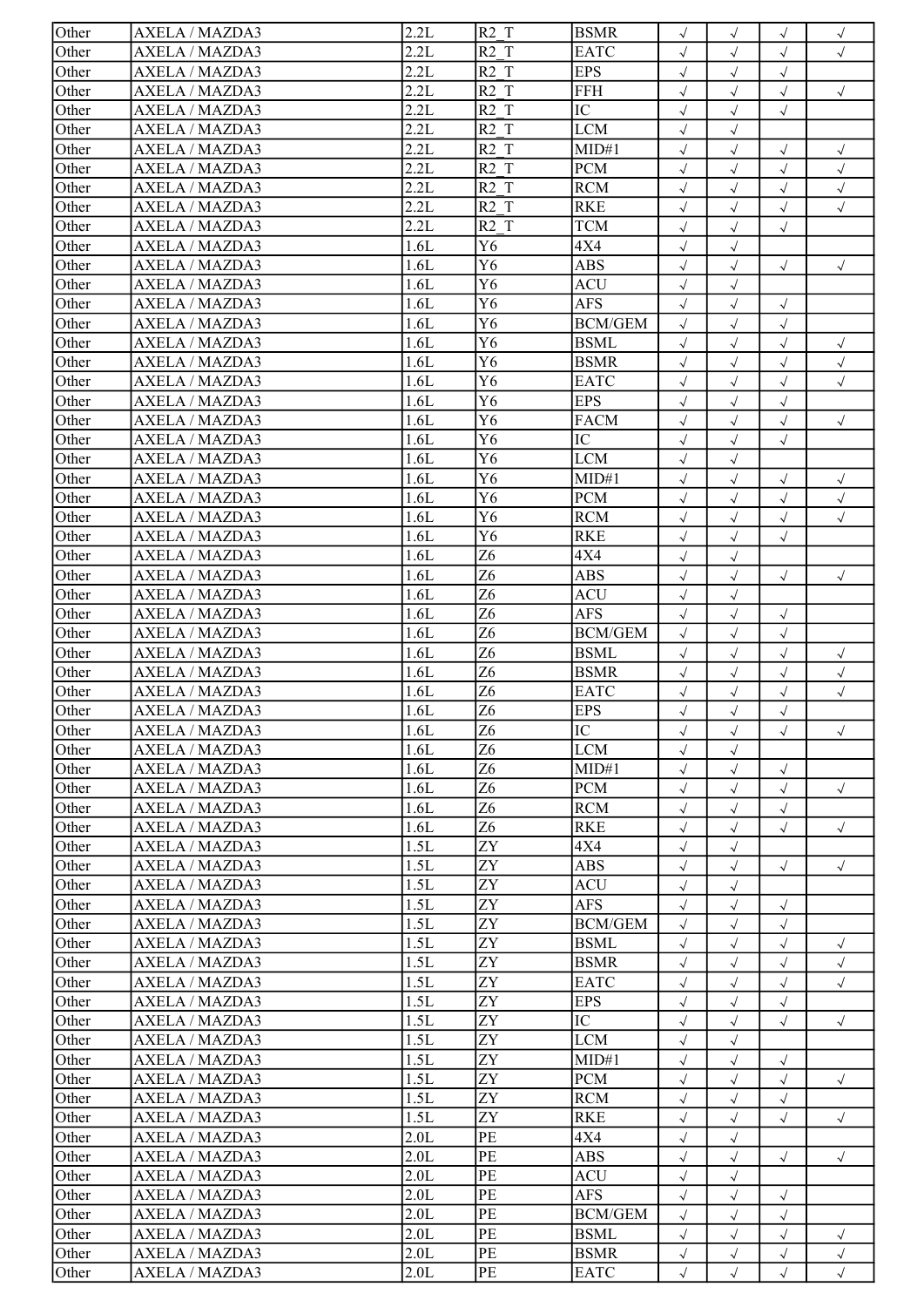| Other | AXELA / MAZDA3        | 2.2L         | R <sub>2</sub> T           | <b>BSMR</b>    | $\sqrt{ }$               | $\sqrt{ }$             | $\sqrt{ }$                         | $\sqrt{\phantom{a}}$ |
|-------|-----------------------|--------------|----------------------------|----------------|--------------------------|------------------------|------------------------------------|----------------------|
| Other | AXELA / MAZDA3        | 2.2L         | R2T                        | <b>EATC</b>    | $\sqrt{ }$               | $\sqrt{}$              | $\sqrt{ }$                         | $\sqrt{}$            |
| Other | AXELA / MAZDA3        | 2.2L         | R2T                        | <b>EPS</b>     | $\sqrt{ }$               | $\sqrt{ }$             | $\sqrt{ }$                         |                      |
| Other | AXELA / MAZDA3        | 2.2L         | R2T                        | <b>FFH</b>     | $\sqrt{ }$               | $\sqrt{ }$             | $\sqrt{ }$                         | $\sqrt{ }$           |
| Other | AXELA / MAZDA3        | 2.2L         | R2T                        | IC             | $\sqrt{ }$               | $\sqrt{}$              | $\sqrt{ }$                         |                      |
| Other | AXELA / MAZDA3        | 2.2L         | R2T                        | <b>LCM</b>     | $\sqrt{ }$               | $\sqrt{}$              |                                    |                      |
| Other | AXELA / MAZDA3        | 2.2L         | R2T                        | MID#1          | $\sqrt{ }$               | $\sqrt{}$              | $\sqrt{ }$                         | $\sqrt{}$            |
| Other | AXELA / MAZDA3        | 2.2L         | R2T                        | PCM            | $\sqrt{}$                | $\sqrt{}$              | $\sqrt{ }$                         | $\sqrt{ }$           |
| Other | AXELA / MAZDA3        | 2.2L         | R2T                        | <b>RCM</b>     | $\sqrt{ }$               | $\sqrt{}$              | $\sqrt{ }$                         | $\sqrt{ }$           |
| Other | AXELA / MAZDA3        | 2.2L         | R2T                        | <b>RKE</b>     | $\sqrt{ }$               | $\sqrt{ }$             | $\sqrt{ }$                         | $\sqrt{}$            |
| Other | AXELA / MAZDA3        | 2.2L         | R2T                        | <b>TCM</b>     | $\sqrt{ }$               | $\sqrt{ }$             | $\sqrt{ }$                         |                      |
| Other | AXELA / MAZDA3        | 1.6L         | Y <sub>6</sub>             | 4X4            | $\sqrt{ }$               | $\sqrt{}$              |                                    |                      |
| Other | AXELA / MAZDA3        | 1.6L         | Y <sub>6</sub>             | <b>ABS</b>     | $\sqrt{ }$               | $\sqrt{2}$             | $\sqrt{ }$                         | $\sqrt{}$            |
| Other | AXELA / MAZDA3        | 1.6L         | Y6                         | <b>ACU</b>     | $\sqrt{ }$               | $\sqrt{}$              |                                    |                      |
| Other | AXELA / MAZDA3        | 1.6L         | Y <sub>6</sub>             | <b>AFS</b>     | $\sqrt{ }$               | $\sqrt{ }$             | $\sqrt{ }$                         |                      |
| Other | AXELA / MAZDA3        | 1.6L         | Y <sub>6</sub>             | <b>BCM/GEM</b> | $\sqrt{ }$               | $\sqrt{}$              | $\sqrt{ }$                         |                      |
| Other | AXELA / MAZDA3        | 1.6L         | Y6                         | <b>BSML</b>    | $\sqrt{ }$               | $\sqrt{}$              | $\sqrt{ }$                         | $\sqrt{}$            |
| Other | AXELA / MAZDA3        | 1.6L         | Y <sub>6</sub>             | <b>BSMR</b>    | $\sqrt{ }$               | $\sqrt{ }$             | $\sqrt{ }$                         | $\sqrt{ }$           |
| Other | AXELA / MAZDA3        | 1.6L         | Y <sub>6</sub>             | <b>EATC</b>    | $\sqrt{ }$               | $\sqrt{}$              | $\sqrt{ }$                         | $\sqrt{}$            |
| Other | AXELA / MAZDA3        | 1.6L         | Y <sub>6</sub>             | <b>EPS</b>     | $\sqrt{ }$               | $\sqrt{ }$             | $\sqrt{ }$                         |                      |
| Other | AXELA / MAZDA3        | 1.6L         | Y <sub>6</sub>             | <b>FACM</b>    | $\sqrt{ }$               | $\sqrt{ }$             | $\sqrt{ }$                         | $\sqrt{}$            |
| Other | AXELA / MAZDA3        | 1.6L         | Y <sub>6</sub>             | IC             | $\sqrt{ }$               | $\sqrt{}$              | $\checkmark$                       |                      |
| Other | AXELA / MAZDA3        | 1.6L         | Y <sub>6</sub>             | <b>LCM</b>     | $\sqrt{ }$               | $\sqrt{ }$             |                                    |                      |
| Other | AXELA / MAZDA3        | 1.6L         | Y <sub>6</sub>             | MID#1          | $\sqrt{ }$               | $\sqrt{ }$             | $\sqrt{ }$                         | $\sqrt{\phantom{a}}$ |
| Other | AXELA / MAZDA3        | 1.6L         | $\overline{Y6}$            | <b>PCM</b>     | $\sqrt{ }$               | $\sqrt{2}$             | $\sqrt{ }$                         | $\sqrt{}$            |
| Other | AXELA / MAZDA3        | 1.6L         | Y <sub>6</sub>             | <b>RCM</b>     | $\sqrt{ }$               | $\sqrt{}$              | $\sqrt{ }$                         | $\sqrt{}$            |
| Other | AXELA / MAZDA3        | 1.6L         | Y6                         | <b>RKE</b>     | $\sqrt{ }$               | $\sqrt{}$              | $\sqrt{ }$                         |                      |
| Other | AXELA / MAZDA3        | 1.6L         | Z <sub>6</sub>             | 4X4            | $\sqrt{ }$               | $\sqrt{ }$             |                                    |                      |
| Other | AXELA / MAZDA3        | 1.6L         | Z <sub>6</sub>             | <b>ABS</b>     | $\sqrt{ }$               | $\sqrt{ }$             | $\sqrt{ }$                         | $\sqrt{ }$           |
| Other | AXELA / MAZDA3        | 1.6L         | Z <sub>6</sub>             | <b>ACU</b>     | $\sqrt{ }$               | $\sqrt{}$              |                                    |                      |
| Other | AXELA / MAZDA3        | 1.6L         | Z <sub>6</sub>             | <b>AFS</b>     | $\sqrt{ }$               | $\sqrt{}$              | $\sqrt{ }$                         |                      |
| Other | AXELA / MAZDA3        | 1.6L         | Z <sub>6</sub>             | <b>BCM/GEM</b> | $\sqrt{ }$               | $\sqrt{}$              | $\sqrt{ }$                         |                      |
| Other | AXELA / MAZDA3        | 1.6L         | Z <sub>6</sub>             | <b>BSML</b>    | $\sqrt{ }$               | $\sqrt{}$              | $\sqrt{ }$                         | $\sqrt{ }$           |
| Other | AXELA / MAZDA3        | 1.6L         | Z <sub>6</sub>             | <b>BSMR</b>    | $\sqrt{ }$               | $\sqrt{}$              | $\sqrt{ }$                         | $\sqrt{ }$           |
| Other | AXELA / MAZDA3        | 1.6L         | Z <sub>6</sub>             | <b>EATC</b>    | $\sqrt{ }$               | $\sqrt{ }$             | $\sqrt{ }$                         | $\sqrt{ }$           |
| Other | AXELA / MAZDA3        | 1.6L         | Z <sub>6</sub>             | <b>EPS</b>     | $\sqrt{ }$               | $\sqrt{ }$             | $\sqrt{ }$                         |                      |
| Other | AXELA / MAZDA3        | 1.6L         | Z <sub>6</sub>             | IC             | $\sqrt{ }$               | $\sqrt{ }$             | $\sqrt{ }$                         | $\sqrt{ }$           |
| Other | AXELA / MAZDA3        | 1.6L         | Z <sub>6</sub>             | <b>LCM</b>     | $\sqrt{ }$               | $\sqrt{}$              |                                    |                      |
| Other | AXELA / MAZDA3        | 1.6L         | Z <sub>6</sub>             | MID#1          | $\sqrt{ }$               | $\sqrt{ }$             | $\sqrt{ }$                         |                      |
| Other | <b>AXELA / MAZDA3</b> | 1.6L         | Z6                         | <b>PCM</b>     | $\sqrt{ }$               | $\sqrt{ }$             | $\sqrt{ }$                         | $\sqrt{ }$           |
| Other | AXELA / MAZDA3        | 1.6L         | Z6                         | <b>RCM</b>     | $\sqrt{ }$               | $\sqrt{ }$             | $\sqrt{ }$                         |                      |
| Other | AXELA / MAZDA3        | 1.6L         | Z6                         | <b>RKE</b>     | $\sqrt{ }$               | $\sqrt{}$              | $\sqrt{ }$                         | $\sqrt{ }$           |
| Other | AXELA / MAZDA3        | 1.5L         | ZY                         | 4X4            | $\sqrt{ }$               | $\sqrt{ }$             |                                    |                      |
| Other | AXELA / MAZDA3        | 1.5L         | ZY                         | <b>ABS</b>     | $\sqrt{ }$               | $\sqrt{}$              | $\sqrt{}$                          | $\sqrt{ }$           |
| Other | AXELA / MAZDA3        | 1.5L         | ZY                         | <b>ACU</b>     | $\sqrt{ }$               | $\sqrt{}$              |                                    |                      |
| Other | AXELA / MAZDA3        | 1.5L         | ZY                         | <b>AFS</b>     | $\sqrt{ }$               | $\sqrt{ }$             | $\sqrt{ }$                         |                      |
| Other | AXELA / MAZDA3        | 1.5L         | ZY                         | <b>BCM/GEM</b> | $\sqrt{ }$               | $\sqrt{}$              | $\sqrt{ }$                         |                      |
| Other | AXELA / MAZDA3        | 1.5L         | ZY                         | <b>BSML</b>    | $\sqrt{}$                | $\sqrt{ }$             | $\sqrt{ }$                         | $\sqrt{}$            |
| Other | AXELA / MAZDA3        | 1.5L         | ZY                         | <b>BSMR</b>    | $\sqrt{ }$               | $\sqrt{}$              | $\sqrt{ }$                         | $\sqrt{}$            |
| Other | AXELA / MAZDA3        | 1.5L         | ZY                         | <b>EATC</b>    | $\sqrt{ }$               | $\sqrt{2}$             | $\sqrt{ }$                         | $\sqrt{ }$           |
| Other | AXELA / MAZDA3        | 1.5L         | ZY                         | <b>EPS</b>     | $\sqrt{ }$               | $\sqrt{}$              | $\sqrt{ }$                         |                      |
| Other | AXELA / MAZDA3        | 1.5L         | ZY                         | IC             | $\sqrt{ }$               | $\sqrt{ }$             | $\sqrt{ }$                         | $\sqrt{ }$           |
| Other | AXELA / MAZDA3        | 1.5L         | ZY                         | <b>LCM</b>     | $\sqrt{ }$               | $\sqrt{ }$             |                                    |                      |
| Other | AXELA / MAZDA3        | 1.5L         | ZY                         | MID#1          | $\sqrt{ }$               | $\sqrt{ }$             | $\sqrt{ }$                         |                      |
| Other | AXELA / MAZDA3        | 1.5L         | ZY                         | <b>PCM</b>     | $\sqrt{ }$               |                        |                                    |                      |
| Other | AXELA / MAZDA3        | 1.5L         | ZY                         | <b>RCM</b>     | $\sqrt{}$                | $\sqrt{}$<br>$\sqrt{}$ | $\sqrt{\phantom{a}}$<br>$\sqrt{ }$ | $\sqrt{ }$           |
| Other | AXELA / MAZDA3        | 1.5L         | ZY                         | <b>RKE</b>     | $\sqrt{ }$               | $\sqrt{}$              | $\sqrt{ }$                         | $\sqrt{ }$           |
|       |                       |              |                            |                |                          |                        |                                    |                      |
| Other | AXELA / MAZDA3        | 2.0L<br>2.0L | PE<br>PE                   | 4X4            | $\sqrt{ }$               | $\sqrt{}$              |                                    |                      |
| Other | AXELA / MAZDA3        |              | PE                         | <b>ABS</b>     | $\sqrt{ }$               | $\sqrt{}$              | $\sqrt{ }$                         | $\sqrt{ }$           |
| Other | AXELA / MAZDA3        | 2.0L         |                            | <b>ACU</b>     | $\sqrt{ }$               | $\sqrt{}$              |                                    |                      |
| Other | AXELA / MAZDA3        | 2.0L         | PE<br>PE                   | <b>AFS</b>     | $\sqrt{ }$<br>$\sqrt{ }$ | $\sqrt{ }$             | $\sqrt{ }$                         |                      |
| Other | AXELA / MAZDA3        | 2.0L         |                            | <b>BCM/GEM</b> |                          | $\sqrt{}$              | $\sqrt{ }$                         |                      |
| Other | AXELA / MAZDA3        | 2.0L         | PE                         | <b>BSML</b>    | $\sqrt{ }$               | $\sqrt{}$              | $\sqrt{ }$                         | $\sqrt{ }$           |
| Other | AXELA / MAZDA3        | 2.0L         | $\ensuremath{\mathbf{PE}}$ | <b>BSMR</b>    | $\sqrt{ }$               | $\sqrt{ }$             | $\sqrt{ }$                         | $\sqrt{ }$           |
| Other | AXELA / MAZDA3        | 2.0L         | $\rm PE$                   | <b>EATC</b>    | $\sqrt{ }$               | $\sqrt{}$              | $\sqrt{ }$                         | $\sqrt{ }$           |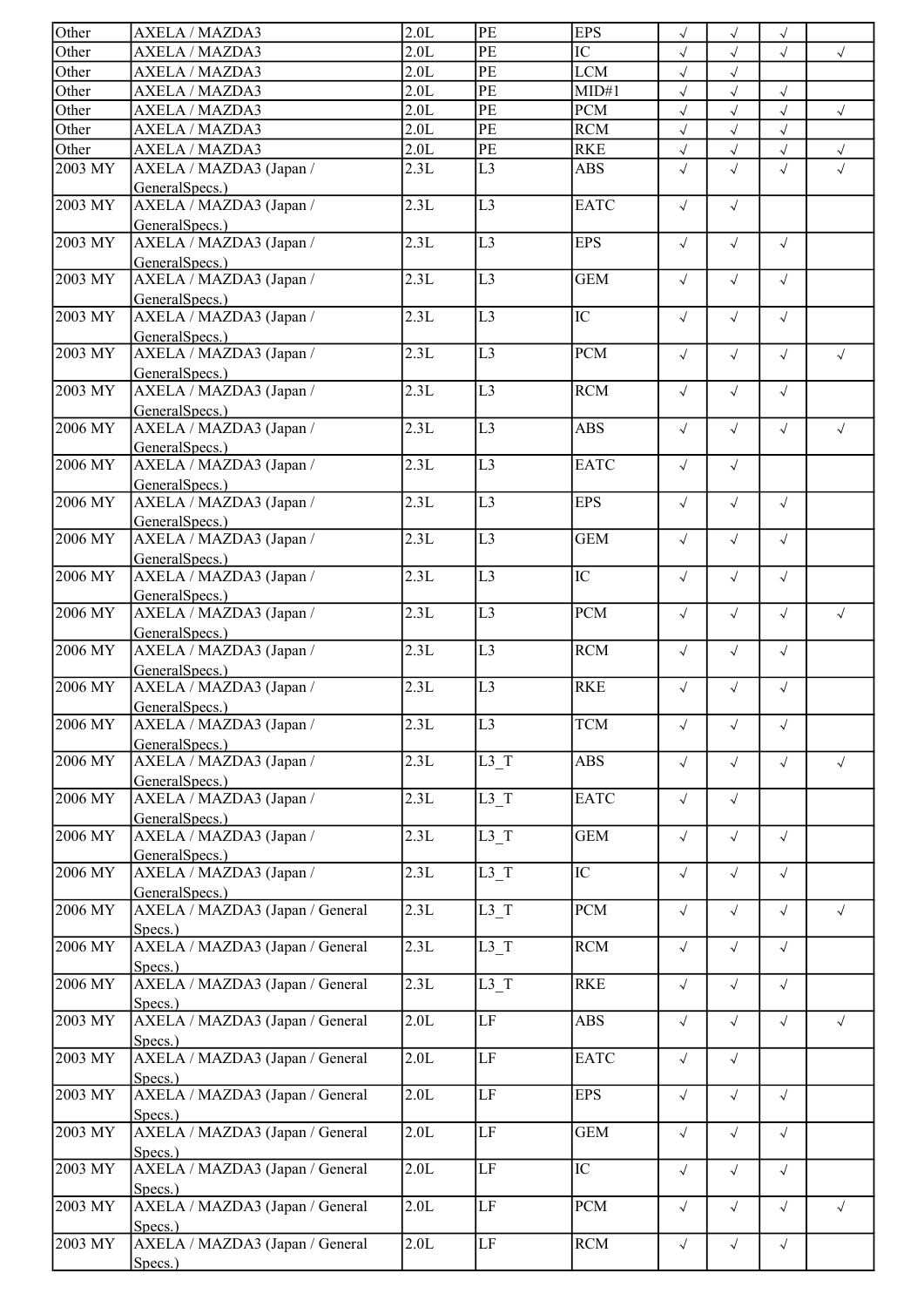| Other            | AXELA / MAZDA3                                              | 2.0L              | $\ensuremath{\mathop{\mathrm{PE}}}\xspace$ | <b>EPS</b>       | $\sqrt{ }$ | $\sqrt{}$  | $\sqrt{}$            |            |
|------------------|-------------------------------------------------------------|-------------------|--------------------------------------------|------------------|------------|------------|----------------------|------------|
| Other            | AXELA / MAZDA3                                              | 2.0L              | PE                                         | IC               | $\sqrt{ }$ | $\sqrt{}$  | $\checkmark$         | $\sqrt{ }$ |
| Other            | AXELA / MAZDA3                                              | 2.0L              | PE                                         | <b>LCM</b>       | $\sqrt{ }$ | $\sqrt{ }$ |                      |            |
| Other            | AXELA / MAZDA3                                              | 2.0L              | PE                                         | MID#1            | $\sqrt{ }$ | $\sqrt{ }$ | $\sqrt{ }$           |            |
| Other            | AXELA / MAZDA3                                              | 2.0L              | $\overline{PE}$                            | <b>PCM</b>       | $\sqrt{ }$ | $\sqrt{}$  | $\sqrt{ }$           | $\sqrt{ }$ |
| Other            | AXELA / MAZDA3                                              | 2.0L              | PE                                         | <b>RCM</b>       | $\sqrt{ }$ | $\sqrt{ }$ | $\sqrt{ }$           |            |
| Other            | AXELA / MAZDA3                                              | 2.0L              | PE                                         | <b>RKE</b>       | $\sqrt{ }$ | $\sqrt{2}$ | $\checkmark$         | $\sqrt{ }$ |
| 2003 MY          | AXELA / MAZDA3 (Japan /<br>GeneralSpecs.)                   | 2.3L              | L <sub>3</sub>                             | <b>ABS</b>       | $\sqrt{ }$ | $\sqrt{}$  | $\sqrt{ }$           | $\sqrt{ }$ |
| 2003 MY          | AXELA / MAZDA3 (Japan /<br>GeneralSpecs.)                   | 2.3L              | L3                                         | <b>EATC</b>      | $\sqrt{}$  | $\sqrt{}$  |                      |            |
| $\sqrt{2003}$ MY | AXELA / MAZDA3 (Japan /<br>GeneralSpecs.)                   | 2.3L              | L3                                         | <b>EPS</b>       | $\sqrt{}$  | $\sqrt{ }$ | $\sqrt{ }$           |            |
| 2003 MY          | AXELA / MAZDA3 (Japan /<br>GeneralSpecs.)                   | 2.3L              | $\overline{L3}$                            | <b>GEM</b>       | $\sqrt{}$  | $\sqrt{ }$ | $\sqrt{ }$           |            |
| 2003 MY          | AXELA / MAZDA3 (Japan /                                     | 2.3L              | $\overline{L3}$                            | IC               | $\sqrt{}$  | $\sqrt{ }$ | $\sqrt{ }$           |            |
| 2003 MY          | GeneralSpecs.)<br>AXELA / MAZDA3 (Japan /<br>GeneralSpecs.) | $\overline{2}.3L$ | $\overline{L3}$                            | <b>PCM</b>       | $\sqrt{ }$ | $\sqrt{}$  | $\sqrt{ }$           | $\sqrt{ }$ |
| 2003 MY          | AXELA / MAZDA3 (Japan /                                     | 2.3L              | $\overline{L3}$                            | <b>RCM</b>       | $\sqrt{ }$ | $\sqrt{}$  | $\sqrt{ }$           |            |
| 2006 MY          | GeneralSpecs.)<br>AXELA / MAZDA3 (Japan /                   | 2.3L              | $\overline{L3}$                            | <b>ABS</b>       | $\sqrt{ }$ | $\sqrt{}$  | $\sqrt{ }$           | $\sqrt{ }$ |
| 2006 MY          | GeneralSpecs.)<br>AXELA / MAZDA3 (Japan /                   | $\overline{2.3L}$ | L <sub>3</sub>                             | <b>EATC</b>      | $\sqrt{ }$ | $\sqrt{}$  |                      |            |
| 2006 MY          | GeneralSpecs.)<br>AXELA / MAZDA3 (Japan /<br>GeneralSpecs.) | 2.3L              | L <sub>3</sub>                             | <b>EPS</b>       | $\sqrt{ }$ | $\sqrt{}$  | $\sqrt{\phantom{a}}$ |            |
| 2006 MY          | AXELA / MAZDA3 (Japan /<br>GeneralSpecs.)                   | 2.3L              | $\overline{L3}$                            | <b>GEM</b>       | $\sqrt{}$  | $\sqrt{}$  | $\sqrt{\phantom{a}}$ |            |
| 2006 MY          | AXELA / MAZDA3 (Japan /<br>GeneralSpecs.)                   | 2.3L              | $\overline{L}3$                            | IC               | $\sqrt{ }$ | $\sqrt{}$  | $\sqrt{\phantom{a}}$ |            |
| 2006 MY          | AXELA / MAZDA3 (Japan /<br>GeneralSpecs.)                   | 2.3L              | L <sub>3</sub>                             | <b>PCM</b>       | $\sqrt{ }$ | $\sqrt{}$  | $\sqrt{ }$           | $\sqrt{ }$ |
| 2006 MY          | AXELA / MAZDA3 (Japan /<br>GeneralSpecs.)                   | 2.3L              | L <sub>3</sub>                             | <b>RCM</b>       | $\sqrt{ }$ | $\sqrt{}$  | $\sqrt{\phantom{a}}$ |            |
| 2006 MY          | AXELA / MAZDA3 (Japan /<br>GeneralSpecs.)                   | 2.3L              | L <sub>3</sub>                             | <b>RKE</b>       | $\sqrt{ }$ | $\sqrt{}$  | $\sqrt{ }$           |            |
| $2006$ MY        | AXELA / MAZDA3 (Japan /<br>GeneralSpecs.)                   | 2.3L              | L <sub>3</sub>                             | <b>TCM</b>       | $\sqrt{ }$ | $\sqrt{ }$ | $\sqrt{ }$           |            |
| 2006 MY          | AXELA / MAZDA3 (Japan /<br>GeneralSpecs.)                   | 2.3L              | $L3$ <sub>T</sub>                          | <b>ABS</b>       | $\sqrt{ }$ | $\sqrt{ }$ | $\sqrt{ }$           | $\sqrt{ }$ |
| 2006 MY          | AXELA / MAZDA3 (Japan /<br>GeneralSpecs.)                   | 2.3L              | $L3$ <sup>T</sup>                          | <b>EATC</b>      | $\sqrt{ }$ | $\sqrt{ }$ |                      |            |
| 2006 MY          | AXELA / MAZDA3 (Japan /<br>GeneralSpecs.)                   | 2.3L              | $L3$ <sup>T</sup>                          | <b>GEM</b>       | $\sqrt{ }$ | $\sqrt{ }$ | $\sqrt{ }$           |            |
| 2006 MY          | AXELA / MAZDA3 (Japan /<br>GeneralSpecs.)                   | 2.3L              | $L3$ <sup>T</sup>                          | IC               | $\sqrt{ }$ | $\sqrt{ }$ | $\sqrt{ }$           |            |
| 2006 MY          | AXELA / MAZDA3 (Japan / General<br>Specs.)                  | 2.3L              | $L3$ <sup>T</sup>                          | $\overline{P}CM$ | $\sqrt{ }$ | $\sqrt{ }$ | $\sqrt{ }$           | $\sqrt{ }$ |
| 2006 MY          | AXELA / MAZDA3 (Japan / General<br>Specs.)                  | 2.3L              | $L3$ <sup>T</sup>                          | <b>RCM</b>       | $\sqrt{ }$ | $\sqrt{ }$ | $\sqrt{ }$           |            |
| 2006 MY          | AXELA / MAZDA3 (Japan / General<br>Specs.)                  | 2.3L              | $L3$ <sup>T</sup>                          | <b>RKE</b>       | $\sqrt{}$  | $\sqrt{ }$ | $\sqrt{ }$           |            |
| 2003 MY          | AXELA / MAZDA3 (Japan / General<br>Specs.)                  | 2.0L              | LF                                         | <b>ABS</b>       | $\sqrt{}$  | $\sqrt{ }$ | $\sqrt{ }$           | $\sqrt{ }$ |
| 2003 MY          | AXELA / MAZDA3 (Japan / General<br>Specs.)                  | 2.0L              | LF                                         | <b>EATC</b>      | $\sqrt{}$  | $\sqrt{ }$ |                      |            |
| 2003 MY          | AXELA / MAZDA3 (Japan / General<br>Specs.)                  | 2.0L              | LF                                         | <b>EPS</b>       | $\sqrt{}$  | $\sqrt{ }$ | $\sqrt{ }$           |            |
| 2003 MY          | AXELA / MAZDA3 (Japan / General<br>Specs.)                  | 2.0L              | LF                                         | <b>GEM</b>       | $\sqrt{}$  | $\sqrt{ }$ | $\sqrt{ }$           |            |
| 2003 MY          | AXELA / MAZDA3 (Japan / General<br>Specs.)                  | 2.0L              | LF                                         | IC               | $\sqrt{}$  | $\sqrt{ }$ | $\sqrt{ }$           |            |
| 2003 MY          | AXELA / MAZDA3 (Japan / General<br>Specs.)                  | 2.0L              | LF                                         | PCM              | $\sqrt{}$  | $\sqrt{ }$ | $\sqrt{ }$           | $\sqrt{ }$ |
| 2003 MY          | AXELA / MAZDA3 (Japan / General<br>Specs.)                  | 2.0L              | LF                                         | <b>RCM</b>       | $\sqrt{ }$ | $\sqrt{ }$ | $\sqrt{ }$           |            |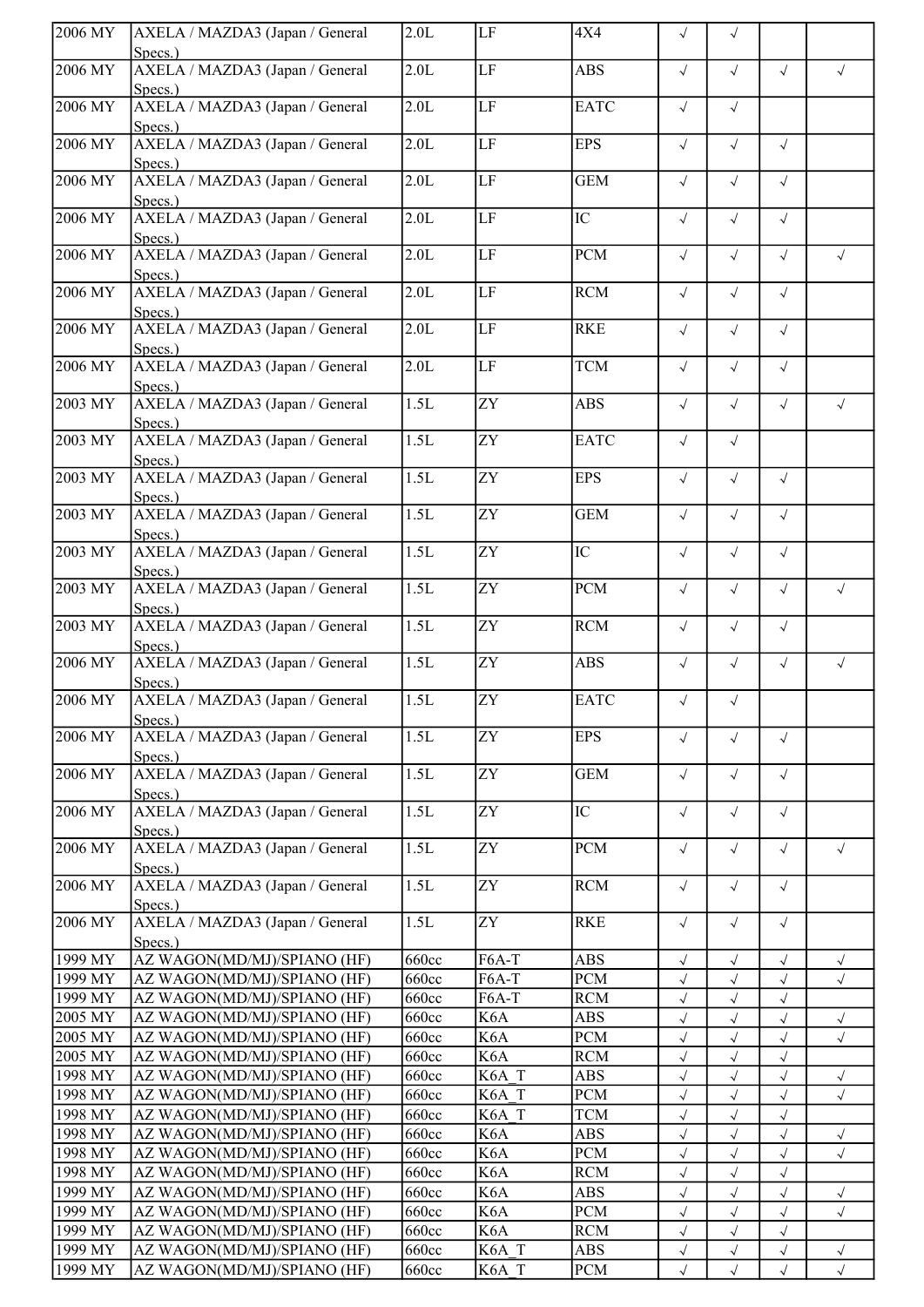| 2006 MY | AXELA / MAZDA3 (Japan / General                       | 2.0L  | LF               | 4X4         | $\sqrt{}$            | $\sqrt{}$  |              |              |
|---------|-------------------------------------------------------|-------|------------------|-------------|----------------------|------------|--------------|--------------|
| 2006 MY | Specs.)<br>AXELA / MAZDA3 (Japan / General<br>Specs.) | 2.0L  | LF               | <b>ABS</b>  | $\sqrt{ }$           | $\sqrt{ }$ | $\sqrt{ }$   | $\sqrt{ }$   |
| 2006 MY | AXELA / MAZDA3 (Japan / General<br>Specs.)            | 2.0L  | LF               | <b>EATC</b> | $\sqrt{}$            | $\sqrt{ }$ |              |              |
| 2006 MY | AXELA / MAZDA3 (Japan / General<br>Specs.)            | 2.0L  | LF               | <b>EPS</b>  | $\sqrt{ }$           | $\sqrt{ }$ | $\sqrt{ }$   |              |
| 2006 MY | AXELA / MAZDA3 (Japan / General<br>Specs.)            | 2.0L  | LF               | <b>GEM</b>  | $\sqrt{ }$           | $\sqrt{ }$ | $\sqrt{ }$   |              |
| 2006 MY | AXELA / MAZDA3 (Japan / General<br>Specs.)            | 2.0L  | LF               | IC          | $\sqrt{ }$           | $\sqrt{ }$ | $\sqrt{ }$   |              |
| 2006 MY | AXELA / MAZDA3 (Japan / General<br>Specs.)            | 2.0L  | LF               | <b>PCM</b>  | $\sqrt{ }$           | $\sqrt{ }$ | $\sqrt{ }$   | $\sqrt{ }$   |
| 2006 MY | AXELA / MAZDA3 (Japan / General<br>Specs.)            | 2.0L  | LF               | <b>RCM</b>  | $\sqrt{ }$           | $\sqrt{ }$ | $\sqrt{ }$   |              |
| 2006 MY | AXELA / MAZDA3 (Japan / General<br>Specs.)            | 2.0L  | LF               | <b>RKE</b>  | $\sqrt{ }$           | $\sqrt{ }$ | $\sqrt{ }$   |              |
| 2006 MY | AXELA / MAZDA3 (Japan / General<br>Specs.)            | 2.0L  | LF               | <b>TCM</b>  | $\sqrt{}$            | $\sqrt{ }$ | $\sqrt{}$    |              |
| 2003 MY | AXELA / MAZDA3 (Japan / General<br>Specs.)            | 1.5L  | ZY               | <b>ABS</b>  | $\sqrt{ }$           | $\sqrt{ }$ | $\sqrt{}$    | $\sqrt{ }$   |
| 2003 MY | AXELA / MAZDA3 (Japan / General<br>Specs.)            | 1.5L  | ZY               | <b>EATC</b> | $\sqrt{}$            | $\sqrt{ }$ |              |              |
| 2003 MY | AXELA / MAZDA3 (Japan / General<br>Specs.)            | 1.5L  | ZY               | <b>EPS</b>  | $\sqrt{}$            | $\sqrt{ }$ | $\sqrt{ }$   |              |
| 2003 MY | AXELA / MAZDA3 (Japan / General<br>Specs.)            | 1.5L  | ZY               | <b>GEM</b>  | $\sqrt{ }$           | $\sqrt{ }$ | $\sqrt{ }$   |              |
| 2003 MY | AXELA / MAZDA3 (Japan / General<br>Specs.)            | 1.5L  | ZY               | IC          | $\sqrt{ }$           | $\sqrt{ }$ | $\sqrt{ }$   |              |
| 2003 MY | AXELA / MAZDA3 (Japan / General<br>Specs.)            | 1.5L  | ZY               | PCM         | $\sqrt{ }$           | $\sqrt{ }$ | $\sqrt{ }$   | $\sqrt{ }$   |
| 2003 MY | AXELA / MAZDA3 (Japan / General<br>Specs.)            | 1.5L  | ZY               | <b>RCM</b>  | $\sqrt{}$            | $\sqrt{ }$ | $\sqrt{ }$   |              |
| 2006 MY | AXELA / MAZDA3 (Japan / General<br>Specs.)            | 1.5L  | ZY               | <b>ABS</b>  | $\sqrt{}$            | $\sqrt{ }$ | $\sqrt{ }$   | $\sqrt{ }$   |
| 2006 MY | AXELA / MAZDA3 (Japan / General<br>Specs.)            | 1.5L  | ZY               | <b>EATC</b> | $\sqrt{ }$           | $\sqrt{}$  |              |              |
| 2006 MY | AXELA / MAZDA3 (Japan / General<br>Specs.)            | 1.5L  | ZY               | <b>EPS</b>  | $\sqrt{ }$           | $\sqrt{}$  | $\sqrt{ }$   |              |
| 2006 MY | AXELA / MAZDA3 (Japan / General<br>Specs.)            | 1.5L  | $\overline{ZY}$  | <b>GEM</b>  | $\sqrt{ }$           | $\sqrt{ }$ | $\sqrt{ }$   |              |
| 2006 MY | AXELA / MAZDA3 (Japan / General<br>Specs.)            | 1.5L  | ZY               | IC          | $\sqrt{ }$           | $\sqrt{ }$ | $\sqrt{ }$   |              |
| 2006 MY | AXELA / MAZDA3 (Japan / General<br>Specs.)            | 1.5L  | ZY               | PCM         | $\sqrt{ }$           | $\sqrt{ }$ | $\sqrt{ }$   | $\sqrt{ }$   |
| 2006 MY | AXELA / MAZDA3 (Japan / General<br>Specs.)            | 1.5L  | ZY               | <b>RCM</b>  | $\sqrt{}$            | $\sqrt{ }$ | $\sqrt{ }$   |              |
| 2006 MY | AXELA / MAZDA3 (Japan / General<br>Specs.)            | 1.5L  | ZY               | <b>RKE</b>  | $\sqrt{}$            | $\sqrt{}$  | $\sqrt{ }$   |              |
| 1999 MY | AZ WAGON(MD/MJ)/SPIANO (HF)                           | 660cc | F6A-T            | <b>ABS</b>  | $\sqrt{\phantom{a}}$ | $\sqrt{}$  | $\sqrt{ }$   | $\sqrt{ }$   |
| 1999 MY | AZ WAGON(MD/MJ)/SPIANO (HF)                           | 660cc | F6A-T            | PCM         | $\sqrt{ }$           | $\sqrt{2}$ | $\sqrt{ }$   | $\checkmark$ |
| 1999 MY | AZ WAGON(MD/MJ)/SPIANO (HF)                           | 660cc | F6A-T            | <b>RCM</b>  | $\sqrt{ }$           | $\sqrt{2}$ | $\checkmark$ |              |
| 2005 MY | AZ WAGON(MD/MJ)/SPIANO (HF)                           | 660cc | K6A              | <b>ABS</b>  | $\checkmark$         | $\sqrt{}$  | $\checkmark$ | $\sqrt{ }$   |
| 2005 MY | AZ WAGON(MD/MJ)/SPIANO (HF)                           | 660cc | K6A              | PCM         | $\sqrt{2}$           | $\sqrt{}$  | $\sqrt{}$    | $\sqrt{2}$   |
| 2005 MY | AZ WAGON(MD/MJ)/SPIANO (HF)                           | 660cc | K6A              | RCM         | $\checkmark$         | $\sqrt{}$  | $\sqrt{2}$   |              |
| 1998 MY | AZ WAGON(MD/MJ)/SPIANO (HF)                           | 660cc | K6A T            | <b>ABS</b>  | $\sqrt{}$            | $\sqrt{}$  | $\sqrt{ }$   | $\sqrt{ }$   |
| 1998 MY | AZ WAGON(MD/MJ)/SPIANO (HF)                           | 660cc | K6A T            | <b>PCM</b>  |                      |            |              |              |
|         |                                                       |       |                  | <b>TCM</b>  | $\checkmark$         | $\sqrt{}$  | $\sqrt{ }$   | $\sqrt{ }$   |
| 1998 MY | AZ WAGON(MD/MJ)/SPIANO (HF)                           | 660cc | K6A T            |             | $\sqrt{ }$           | $\sqrt{}$  | $\sqrt{ }$   |              |
| 1998 MY | AZ WAGON(MD/MJ)/SPIANO (HF)                           | 660cc | K <sub>6</sub> A | <b>ABS</b>  | $\checkmark$         | $\sqrt{}$  | $\sqrt{ }$   | $\sqrt{ }$   |
| 1998 MY | AZ WAGON(MD/MJ)/SPIANO (HF)                           | 660cc | K6A              | <b>PCM</b>  | $\sqrt{ }$           | $\sqrt{}$  | $\sqrt{ }$   | $\sqrt{ }$   |
| 1998 MY | AZ WAGON(MD/MJ)/SPIANO (HF)                           | 660cc | K6A              | <b>RCM</b>  | $\checkmark$         | $\sqrt{}$  | $\checkmark$ |              |
| 1999 MY | AZ WAGON(MD/MJ)/SPIANO (HF)                           | 660cc | K6A              | <b>ABS</b>  | $\checkmark$         | $\sqrt{}$  | $\checkmark$ | $\sqrt{ }$   |
| 1999 MY | AZ WAGON(MD/MJ)/SPIANO (HF)                           | 660cc | K6A              | <b>PCM</b>  | $\checkmark$         | $\sqrt{}$  | $\sqrt{ }$   | $\sqrt{ }$   |
| 1999 MY | AZ WAGON(MD/MJ)/SPIANO (HF)                           | 660cc | K6A              | <b>RCM</b>  | $\checkmark$         | $\sqrt{}$  | $\sqrt{ }$   |              |
| 1999 MY | AZ WAGON(MD/MJ)/SPIANO (HF)                           | 660cc | K6A T            | <b>ABS</b>  | $\sqrt{}$            | $\sqrt{}$  | $\sqrt{ }$   | $\sqrt{ }$   |
| 1999 MY | AZ WAGON(MD/MJ)/SPIANO (HF)                           | 660cc | K6A T            | PCM         | $\sqrt{}$            | $\sqrt{}$  | $\checkmark$ | $\sqrt{ }$   |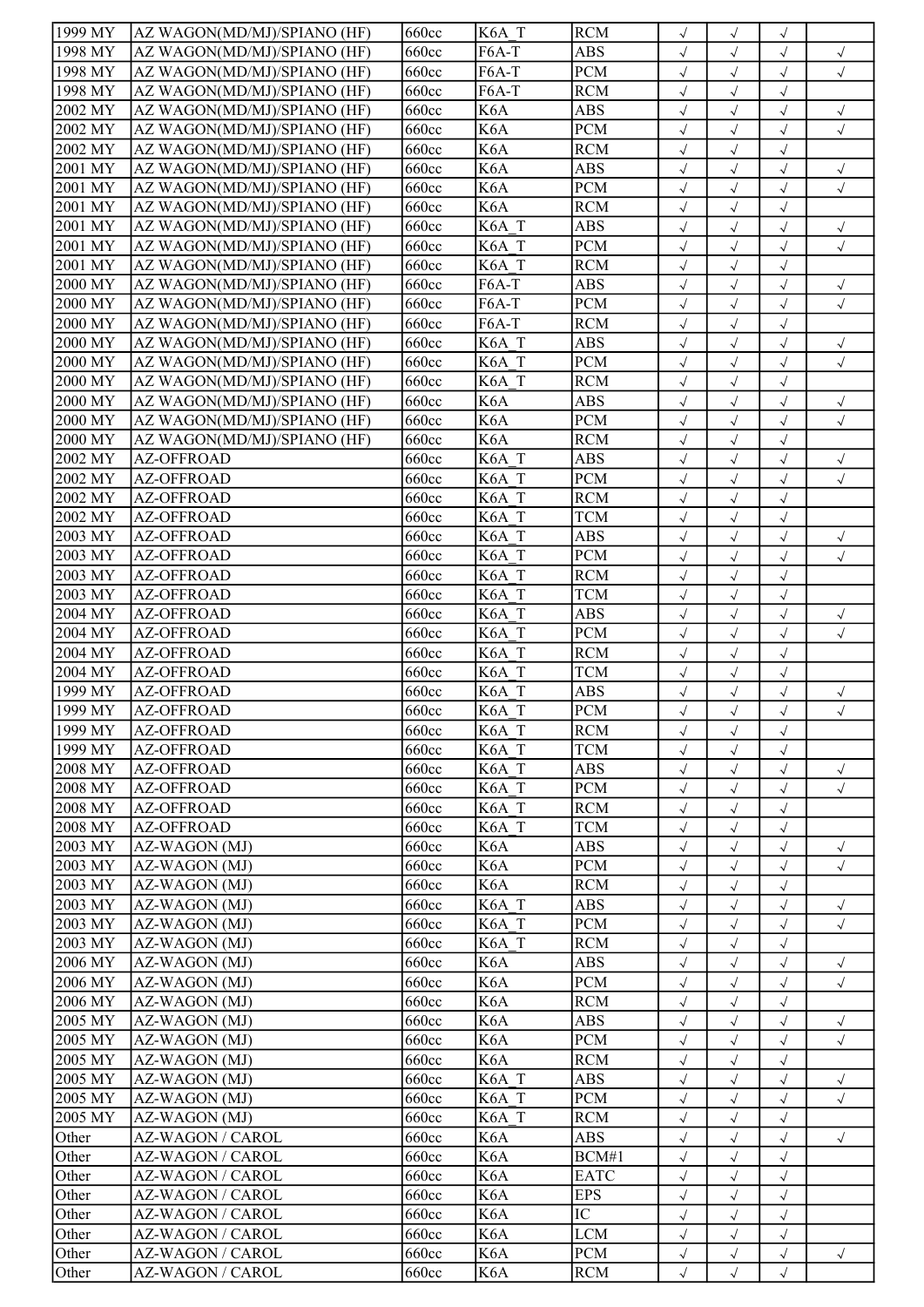| 1999 MY | AZ WAGON(MD/MJ)/SPIANO (HF) | 660cc | K6A T            | <b>RCM</b>  | $\sqrt{}$    | $\sqrt{}$    | $\sqrt{ }$           |              |
|---------|-----------------------------|-------|------------------|-------------|--------------|--------------|----------------------|--------------|
| 1998 MY | AZ WAGON(MD/MJ)/SPIANO (HF) | 660cc | F6A-T            | <b>ABS</b>  | $\sqrt{ }$   | $\sqrt{ }$   | $\sqrt{}$            | $\sqrt{ }$   |
| 1998 MY | AZ WAGON(MD/MJ)/SPIANO (HF) | 660cc | F6A-T            | <b>PCM</b>  | $\sqrt{ }$   | $\sqrt{ }$   | $\sqrt{ }$           | $\sqrt{ }$   |
| 1998 MY | AZ WAGON(MD/MJ)/SPIANO (HF) | 660cc | F6A-T            | <b>RCM</b>  | $\sqrt{ }$   | $\sqrt{ }$   | $\sqrt{ }$           |              |
| 2002 MY | AZ WAGON(MD/MJ)/SPIANO (HF) | 660cc | K <sub>6</sub> A | <b>ABS</b>  | $\sqrt{ }$   | $\sqrt{}$    | $\sqrt{ }$           | $\sqrt{ }$   |
| 2002 MY | AZ WAGON(MD/MJ)/SPIANO (HF) | 660cc | K <sub>6</sub> A | <b>PCM</b>  | $\sqrt{ }$   | $\sqrt{ }$   | $\sqrt{\phantom{a}}$ | $\sqrt{ }$   |
| 2002 MY | AZ WAGON(MD/MJ)/SPIANO (HF) | 660cc | K6A              | <b>RCM</b>  | $\sqrt{ }$   | $\sqrt{}$    | $\sqrt{\phantom{a}}$ |              |
| 2001 MY | AZ WAGON(MD/MJ)/SPIANO (HF) | 660cc | K6A              | <b>ABS</b>  | $\sqrt{ }$   | $\sqrt{}$    | $\sqrt{ }$           | $\sqrt{ }$   |
| 2001 MY | AZ WAGON(MD/MJ)/SPIANO (HF) | 660cc | K <sub>6</sub> A | <b>PCM</b>  | $\sqrt{ }$   | $\sqrt{}$    | $\sqrt{ }$           | $\sqrt{ }$   |
| 2001 MY | AZ WAGON(MD/MJ)/SPIANO (HF) | 660cc | K <sub>6</sub> A | <b>RCM</b>  | $\sqrt{ }$   | $\sqrt{ }$   | $\sqrt{ }$           |              |
| 2001 MY | AZ WAGON(MD/MJ)/SPIANO (HF) | 660cc | K6A T            | <b>ABS</b>  | $\sqrt{2}$   | $\sqrt{ }$   | $\sqrt{ }$           | $\sqrt{ }$   |
| 2001 MY | AZ WAGON(MD/MJ)/SPIANO (HF) | 660cc | K6A T            | <b>PCM</b>  | $\sqrt{ }$   | $\checkmark$ | $\sqrt{ }$           | $\sqrt{ }$   |
| 2001 MY | AZ WAGON(MD/MJ)/SPIANO (HF) | 660cc | K6A T            | <b>RCM</b>  | $\sqrt{2}$   | $\sqrt{2}$   | $\checkmark$         |              |
| 2000 MY | AZ WAGON(MD/MJ)/SPIANO (HF) | 660cc | F6A-T            | <b>ABS</b>  | $\sqrt{ }$   | $\sqrt{}$    | $\sqrt{ }$           | $\sqrt{ }$   |
| 2000 MY | AZ WAGON(MD/MJ)/SPIANO (HF) | 660cc | F6A-T            | <b>PCM</b>  | $\sqrt{ }$   | $\sqrt{}$    | $\sqrt{ }$           | $\sqrt{ }$   |
| 2000 MY | AZ WAGON(MD/MJ)/SPIANO (HF) | 660cc | F6A-T            | <b>RCM</b>  | $\sqrt{ }$   | $\sqrt{ }$   | $\sqrt{ }$           |              |
| 2000 MY | AZ WAGON(MD/MJ)/SPIANO (HF) | 660cc | K6A T            | <b>ABS</b>  | $\sqrt{ }$   | $\sqrt{ }$   | $\sqrt{\phantom{a}}$ | $\sqrt{ }$   |
| 2000 MY | AZ WAGON(MD/MJ)/SPIANO (HF) | 660cc | K6A T            | <b>PCM</b>  | $\sqrt{ }$   | $\sqrt{ }$   | $\sqrt{ }$           | $\sqrt{ }$   |
| 2000 MY | AZ WAGON(MD/MJ)/SPIANO (HF) | 660cc | K6A T            | <b>RCM</b>  | $\checkmark$ | $\sqrt{ }$   | $\sqrt{ }$           |              |
| 2000 MY | AZ WAGON(MD/MJ)/SPIANO (HF) | 660cc | K <sub>6</sub> A | <b>ABS</b>  | $\sqrt{ }$   | $\sqrt{ }$   | $\sqrt{ }$           | $\sqrt{ }$   |
| 2000 MY | AZ WAGON(MD/MJ)/SPIANO (HF) | 660cc | K <sub>6</sub> A | PCM         | $\sqrt{ }$   | $\sqrt{ }$   | $\sqrt{ }$           | $\sqrt{ }$   |
| 2000 MY | AZ WAGON(MD/MJ)/SPIANO (HF) | 660cc | K <sub>6</sub> A | <b>RCM</b>  | $\sqrt{ }$   | $\sqrt{ }$   | $\checkmark$         |              |
| 2002 MY | <b>AZ-OFFROAD</b>           | 660cc | K6A T            | <b>ABS</b>  | $\sqrt{ }$   | $\sqrt{ }$   | $\sqrt{ }$           | $\sqrt{ }$   |
| 2002 MY | <b>AZ-OFFROAD</b>           | 660cc | K6A T            | <b>PCM</b>  | $\sqrt{ }$   | $\sqrt{ }$   | $\sqrt{ }$           | $\sqrt{ }$   |
| 2002 MY | <b>AZ-OFFROAD</b>           | 660cc | K6A T            | <b>RCM</b>  | $\sqrt{2}$   |              | $\checkmark$         |              |
| 2002 MY | <b>AZ-OFFROAD</b>           | 660cc | K6A T            | <b>TCM</b>  | $\sqrt{ }$   |              | $\sqrt{ }$           |              |
|         |                             | 660cc |                  | <b>ABS</b>  |              | $\sqrt{}$    |                      |              |
| 2003 MY | <b>AZ-OFFROAD</b>           |       | K6A T            |             | $\sqrt{}$    | $\sqrt{}$    | $\sqrt{ }$           | $\sqrt{ }$   |
| 2003 MY | <b>AZ-OFFROAD</b>           | 660cc | K6A T            | <b>PCM</b>  | $\sqrt{ }$   | $\sqrt{ }$   | $\sqrt{ }$           | $\sqrt{ }$   |
| 2003 MY | <b>AZ-OFFROAD</b>           | 660cc | K6A T            | <b>RCM</b>  | $\sqrt{ }$   | $\sqrt{ }$   | $\sqrt{ }$           |              |
| 2003 MY | <b>AZ-OFFROAD</b>           | 660cc | K6A T            | <b>TCM</b>  | $\sqrt{ }$   | $\sqrt{ }$   | $\sqrt{ }$           |              |
| 2004 MY | <b>AZ-OFFROAD</b>           | 660cc | K6A T            | <b>ABS</b>  | $\checkmark$ | $\sqrt{ }$   | $\sqrt{ }$           | $\sqrt{ }$   |
| 2004 MY | <b>AZ-OFFROAD</b>           | 660cc | K6A T            | <b>PCM</b>  | $\sqrt{ }$   | $\sqrt{ }$   | $\sqrt{ }$           | $\sqrt{ }$   |
| 2004 MY | <b>AZ-OFFROAD</b>           | 660cc | K6A T            | <b>RCM</b>  | $\sqrt{ }$   | $\sqrt{}$    | $\sqrt{ }$           |              |
| 2004 MY | <b>AZ-OFFROAD</b>           | 660cc | K6A T            | <b>TCM</b>  | $\sqrt{ }$   | $\sqrt{ }$   | $\sqrt{ }$           |              |
| 1999 MY | <b>AZ-OFFROAD</b>           | 660cc | K6A T            | <b>ABS</b>  | $\sqrt{ }$   | $\sqrt{}$    | $\sqrt{ }$           | $\sqrt{ }$   |
| 1999 MY | <b>AZ-OFFROAD</b>           | 660cc | K6A T            | <b>PCM</b>  | $\sqrt{ }$   | $\sqrt{ }$   | $\sqrt{2}$           | $\sqrt{ }$   |
| 1999 MY | <b>AZ-OFFROAD</b>           | 660cc | K6A T            | <b>RCM</b>  | $\sqrt{ }$   | $\sqrt{ }$   | $\sqrt{ }$           |              |
| 1999 MY | <b>AZ-OFFROAD</b>           | 660cc | K6A T            | <b>TCM</b>  | $\sqrt{ }$   |              | $\sqrt{ }$           |              |
| 2008 MY | <b>AZ-OFFROAD</b>           | 660cc | K6A T            | <b>ABS</b>  | $\sqrt{ }$   | $\sqrt{ }$   | $\sqrt{ }$           | $\sqrt{ }$   |
| 2008 MY | <b>AZ-OFFROAD</b>           | 660cc | K6A T            | <b>PCM</b>  | $\sqrt{ }$   | $\sqrt{ }$   | $\sqrt{ }$           | $\sqrt{ }$   |
| 2008 MY | <b>AZ-OFFROAD</b>           | 660cc | K6A T            | <b>RCM</b>  | $\sqrt{ }$   | $\sqrt{ }$   | $\sqrt{ }$           |              |
| 2008 MY | <b>AZ-OFFROAD</b>           | 660cc | K6A T            | <b>TCM</b>  | $\sqrt{ }$   | $\sqrt{}$    | $\sqrt{ }$           |              |
| 2003 MY | AZ-WAGON (MJ)               | 660cc | K <sub>6</sub> A | <b>ABS</b>  | $\sqrt{ }$   | $\sqrt{ }$   | $\sqrt{ }$           | $\sqrt{ }$   |
| 2003 MY | AZ-WAGON (MJ)               | 660cc | K <sub>6</sub> A | PCM         | $\sqrt{ }$   | $\sqrt{}$    | $\sqrt{\phantom{a}}$ | $\sqrt{ }$   |
| 2003 MY | AZ-WAGON (MJ)               | 660cc | K <sub>6</sub> A | <b>RCM</b>  | $\sqrt{ }$   | $\sqrt{ }$   | $\sqrt{ }$           |              |
| 2003 MY | AZ-WAGON (MJ)               | 660cc | K6A T            | <b>ABS</b>  | $\sqrt{}$    | $\sqrt{ }$   | $\sqrt{}$            | $\sqrt{ }$   |
| 2003 MY | AZ-WAGON (MJ)               | 660cc | K6A T            | PCM         | $\sqrt{ }$   | $\sqrt{ }$   | $\checkmark$         | $\sqrt{ }$   |
| 2003 MY | AZ-WAGON (MJ)               | 660cc | K6A T            | <b>RCM</b>  | $\sqrt{ }$   | $\sqrt{}$    | $\sqrt{}$            |              |
| 2006 MY | AZ-WAGON (MJ)               | 660cc | K <sub>6</sub> A | <b>ABS</b>  | $\sqrt{ }$   |              | $\sqrt{ }$           | $\sqrt{ }$   |
| 2006 MY | AZ-WAGON (MJ)               | 660cc | K6A              | PCM         | $\sqrt{ }$   |              | $\sqrt{ }$           | $\checkmark$ |
| 2006 MY | AZ-WAGON (MJ)               | 660cc | K6A              | <b>RCM</b>  | $\sqrt{ }$   | $\sqrt{}$    | $\sqrt{ }$           |              |
| 2005 MY | AZ-WAGON (MJ)               | 660cc | K <sub>6</sub> A | <b>ABS</b>  | $\sqrt{ }$   | $\sqrt{ }$   | $\sqrt{ }$           | $\sqrt{ }$   |
| 2005 MY | AZ-WAGON (MJ)               | 660cc | K6A              | <b>PCM</b>  | $\sqrt{ }$   | $\sqrt{ }$   | $\sqrt{ }$           | $\sqrt{ }$   |
| 2005 MY | AZ-WAGON (MJ)               | 660cc | K <sub>6</sub> A | <b>RCM</b>  | $\sqrt{ }$   | $\sqrt{ }$   | $\sqrt{ }$           |              |
| 2005 MY | AZ-WAGON (MJ)               | 660cc | K6A T            | <b>ABS</b>  | $\sqrt{}$    | $\sqrt{ }$   | $\sqrt{ }$           | $\sqrt{ }$   |
| 2005 MY | AZ-WAGON (MJ)               | 660cc | K6A T            | PCM         | $\sqrt{ }$   | $\sqrt{}$    | $\checkmark$         | $\sqrt{ }$   |
| 2005 MY | AZ-WAGON (MJ)               | 660cc | K6A T            | <b>RCM</b>  | $\sqrt{ }$   | $\sqrt{ }$   | $\sqrt{ }$           |              |
| Other   | <b>AZ-WAGON / CAROL</b>     | 660cc | K <sub>6</sub> A | <b>ABS</b>  | $\sqrt{ }$   | $\sqrt{}$    | $\sqrt{ }$           | $\sqrt{ }$   |
| Other   | <b>AZ-WAGON / CAROL</b>     | 660cc | K6A              | BCM#1       | $\sqrt{ }$   | $\sqrt{ }$   | $\sqrt{ }$           |              |
| Other   | <b>AZ-WAGON / CAROL</b>     | 660cc | K6A              | <b>EATC</b> | $\sqrt{ }$   | $\sqrt{ }$   | $\sqrt{\phantom{a}}$ |              |
| Other   | AZ-WAGON / CAROL            | 660cc | K6A              | <b>EPS</b>  | $\sqrt{ }$   | $\sqrt{}$    | $\sqrt{ }$           |              |
| Other   | <b>AZ-WAGON / CAROL</b>     | 660cc | K6A              | IC          | $\sqrt{ }$   |              | $\checkmark$         |              |
| Other   | AZ-WAGON / CAROL            | 660cc | K6A              | <b>LCM</b>  | $\sqrt{ }$   | $\sqrt{ }$   | $\sqrt{\phantom{a}}$ |              |
| Other   | AZ-WAGON / CAROL            | 660cc | K <sub>6</sub> A | PCM         | $\sqrt{}$    | $\sqrt{}$    | $\sqrt{ }$           | $\sqrt{ }$   |
| Other   | AZ-WAGON / CAROL            | 660cc | K <sub>6</sub> A | <b>RCM</b>  | $\sqrt{ }$   | $\sqrt{ }$   | $\sqrt{ }$           |              |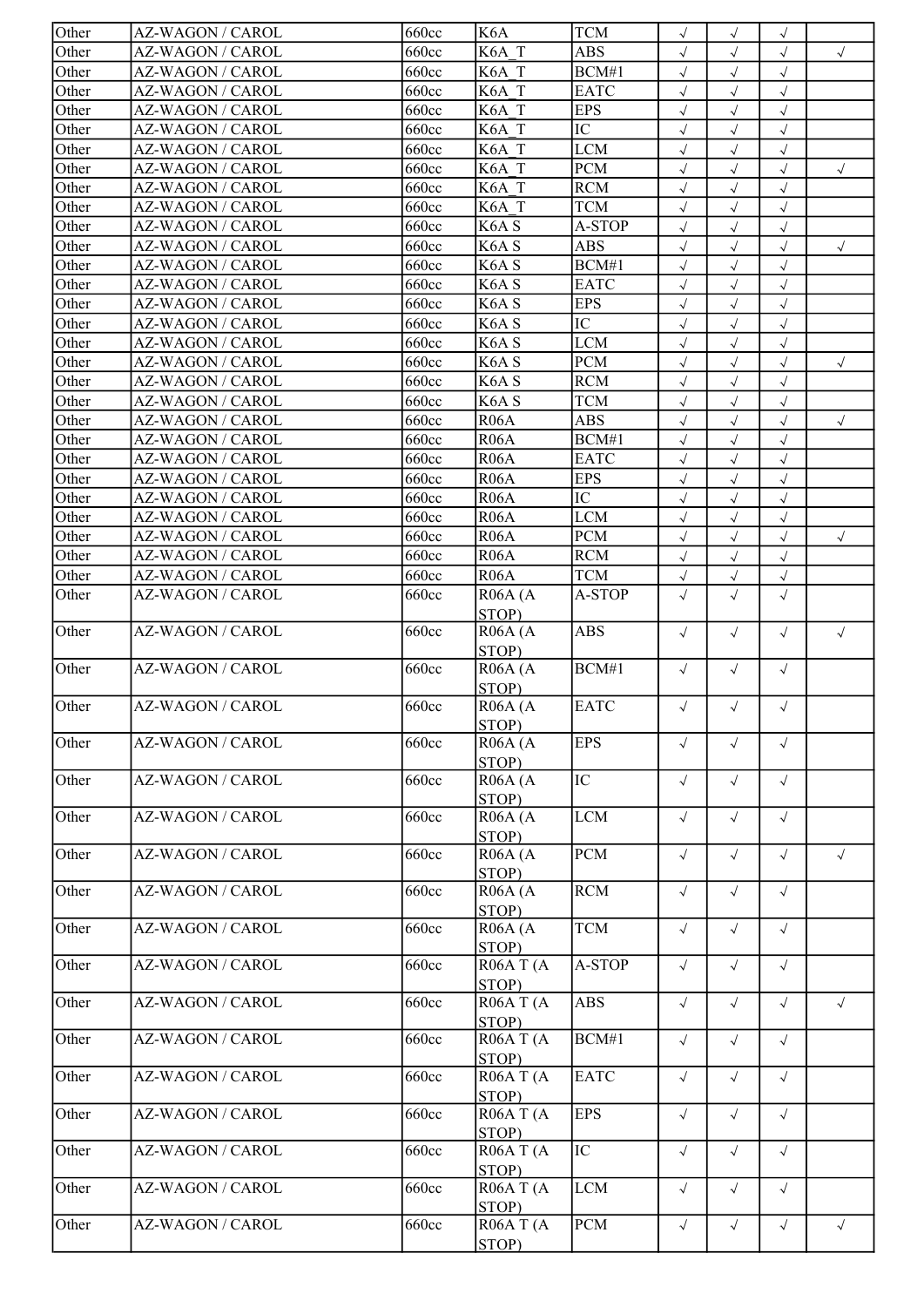| Other | <b>AZ-WAGON / CAROL</b> | 660cc | K6A                               | <b>TCM</b>             | $\sqrt{ }$           | $\sqrt{}$  | $\sqrt{}$            |                      |
|-------|-------------------------|-------|-----------------------------------|------------------------|----------------------|------------|----------------------|----------------------|
| Other | <b>AZ-WAGON / CAROL</b> | 660cc | K6A T                             | <b>ABS</b>             | $\sqrt{ }$           | $\sqrt{}$  | $\sqrt{ }$           | $\sqrt{}$            |
| Other | <b>AZ-WAGON / CAROL</b> | 660cc | K6A T                             | BCM#1                  | $\checkmark$         | $\sqrt{ }$ | $\sqrt{ }$           |                      |
| Other | <b>AZ-WAGON / CAROL</b> | 660cc | K6A T                             | <b>EATC</b>            | $\sqrt{ }$           | $\sqrt{}$  | $\sqrt{ }$           |                      |
| Other | <b>AZ-WAGON / CAROL</b> | 660cc | K6A T                             | <b>EPS</b>             | $\sqrt{ }$           | $\sqrt{}$  | $\sqrt{ }$           |                      |
| Other | AZ-WAGON / CAROL        | 660cc | K6A T                             | IC                     | $\checkmark$         | $\sqrt{ }$ | $\sqrt{ }$           |                      |
| Other | <b>AZ-WAGON / CAROL</b> | 660cc | K6A T                             | <b>LCM</b>             | $\checkmark$         | $\sqrt{}$  | $\checkmark$         |                      |
| Other | <b>AZ-WAGON / CAROL</b> | 660cc | K6A T                             | <b>PCM</b>             | $\sqrt{ }$           | $\sqrt{}$  | $\sqrt{ }$           | $\sqrt{ }$           |
| Other | AZ-WAGON / CAROL        | 660cc | K6A T                             | <b>RCM</b>             | $\sqrt{ }$           | $\sqrt{}$  | $\sqrt{ }$           |                      |
| Other | <b>AZ-WAGON / CAROL</b> | 660cc | K6A T                             | <b>TCM</b>             | $\sqrt{ }$           | $\sqrt{ }$ | $\sqrt{ }$           |                      |
| Other | <b>AZ-WAGON / CAROL</b> | 660cc | K6A <sub>S</sub>                  | A-STOP                 | $\sqrt{ }$           | $\sqrt{2}$ | $\checkmark$         |                      |
| Other | <b>AZ-WAGON / CAROL</b> | 660cc | K6A <sub>S</sub>                  | <b>ABS</b>             | $\checkmark$         | $\sqrt{}$  | $\sqrt{ }$           | $\sqrt{ }$           |
| Other | <b>AZ-WAGON / CAROL</b> | 660cc | K6A <sub>S</sub>                  | BCM#1                  | $\sqrt{ }$           | $\sqrt{2}$ | $\sqrt{}$            |                      |
| Other | <b>AZ-WAGON / CAROL</b> | 660cc | K6A <sub>S</sub>                  | <b>EATC</b>            | $\checkmark$         | $\sqrt{}$  | $\checkmark$         |                      |
| Other | <b>AZ-WAGON / CAROL</b> | 660cc | K6AS                              | <b>EPS</b>             | $\checkmark$         | $\sqrt{ }$ | $\sqrt{ }$           |                      |
| Other | <b>AZ-WAGON / CAROL</b> | 660cc | K6AS                              | IC                     | $\sqrt{ }$           | $\sqrt{ }$ | $\sqrt{ }$           |                      |
| Other | <b>AZ-WAGON / CAROL</b> | 660cc | K6A S                             | <b>LCM</b>             | $\sqrt{ }$           | $\sqrt{ }$ | $\sqrt{ }$           |                      |
| Other | <b>AZ-WAGON / CAROL</b> | 660cc | K6A <sub>S</sub>                  | <b>PCM</b>             | $\checkmark$         | $\sqrt{}$  | $\sqrt{ }$           | $\sqrt{\phantom{a}}$ |
| Other | <b>AZ-WAGON / CAROL</b> | 660cc | K6A <sub>S</sub>                  | <b>RCM</b>             | $\sqrt{ }$           | $\sqrt{ }$ | $\checkmark$         |                      |
| Other | <b>AZ-WAGON / CAROL</b> | 660cc | K6A <sub>S</sub>                  | <b>TCM</b>             | $\sqrt{ }$           | $\sqrt{}$  | $\checkmark$         |                      |
| Other | <b>AZ-WAGON / CAROL</b> | 660cc | R <sub>06</sub> A                 | <b>ABS</b>             | $\sqrt{ }$           | $\sqrt{ }$ | $\sqrt{ }$           | $\sqrt{ }$           |
| Other | <b>AZ-WAGON / CAROL</b> | 660cc | <b>R06A</b>                       | BCM#1                  | $\sqrt{ }$           | $\sqrt{2}$ | $\checkmark$         |                      |
| Other | <b>AZ-WAGON / CAROL</b> | 660cc | R <sub>06</sub> A                 | <b>EATC</b>            | $\sqrt{ }$           | $\sqrt{ }$ | $\checkmark$         |                      |
| Other | <b>AZ-WAGON / CAROL</b> | 660cc | R <sub>06</sub> A                 | <b>EPS</b>             | $\checkmark$         | $\sqrt{}$  | $\sqrt{ }$           |                      |
| Other | <b>AZ-WAGON / CAROL</b> | 660cc | R <sub>06</sub> A                 | $\overline{\text{IC}}$ | $\sqrt{ }$           | $\sqrt{}$  | $\sqrt{2}$           |                      |
| Other | <b>AZ-WAGON / CAROL</b> | 660cc | R <sub>06</sub> A                 | <b>LCM</b>             | $\checkmark$         | $\sqrt{}$  | $\checkmark$         |                      |
| Other | AZ-WAGON / CAROL        | 660cc | R <sub>06</sub> A                 | <b>PCM</b>             | $\sqrt{ }$           | $\sqrt{}$  | $\sqrt{\phantom{a}}$ | $\sqrt{ }$           |
| Other | <b>AZ-WAGON / CAROL</b> | 660cc | R <sub>06</sub> A                 | <b>RCM</b>             | $\sqrt{ }$           | $\sqrt{}$  | $\sqrt{ }$           |                      |
| Other | <b>AZ-WAGON / CAROL</b> | 660cc | R <sub>06</sub> A                 | <b>TCM</b>             | $\sqrt{ }$           | $\sqrt{}$  | $\sqrt{ }$           |                      |
| Other | AZ-WAGON / CAROL        | 660cc | <b>R06A</b> (A                    | A-STOP                 | $\sqrt{ }$           | $\sqrt{}$  | $\sqrt{ }$           |                      |
|       |                         |       | STOP)                             |                        |                      |            |                      |                      |
| Other | AZ-WAGON / CAROL        | 660cc | R06A(A)                           | <b>ABS</b>             | $\sqrt{}$            | $\sqrt{ }$ | $\sqrt{ }$           | $\sqrt{ }$           |
|       |                         |       | STOP)                             |                        |                      |            |                      |                      |
| Other | AZ-WAGON / CAROL        | 660cc | R06A(A)                           | BCM#1                  | $\sqrt{ }$           | $\sqrt{ }$ | $\sqrt{\phantom{a}}$ |                      |
|       |                         |       | STOP)                             |                        |                      |            |                      |                      |
| Other | AZ-WAGON / CAROL        | 660cc | R06A(A)                           | <b>EATC</b>            | $\sqrt{}$            | $\sqrt{}$  | $\sqrt{ }$           |                      |
|       |                         |       | STOP)                             |                        |                      |            |                      |                      |
| Other | AZ-WAGON / CAROL        | 660cc | R06A(A)                           | <b>EPS</b>             | $\sqrt{ }$           | $\sqrt{ }$ | $\sqrt{ }$           |                      |
| Other | AZ-WAGON / CAROL        | 660cc | STOP)<br>R06A(A)                  | IC                     | $\sqrt{ }$           |            | $\sqrt{ }$           |                      |
|       |                         |       | STOP)                             |                        |                      | $\sqrt{ }$ |                      |                      |
| Other | AZ-WAGON / CAROL        | 660cc | R06A(A)                           | <b>LCM</b>             | $\sqrt{ }$           | $\sqrt{ }$ | $\sqrt{ }$           |                      |
|       |                         |       | STOP)                             |                        |                      |            |                      |                      |
| Other | AZ-WAGON / CAROL        | 660cc | R06A(A)                           | <b>PCM</b>             | $\sqrt{ }$           | $\sqrt{ }$ | $\sqrt{ }$           | $\sqrt{ }$           |
|       |                         |       | STOP)                             |                        |                      |            |                      |                      |
| Other | <b>AZ-WAGON / CAROL</b> | 660cc | R06A(A)                           | <b>RCM</b>             | $\sqrt{ }$           | $\sqrt{ }$ | $\sqrt{ }$           |                      |
|       |                         |       | STOP)                             |                        |                      |            |                      |                      |
| Other | <b>AZ-WAGON / CAROL</b> | 660cc | R06A(A)                           | <b>TCM</b>             | $\sqrt{\phantom{a}}$ | $\sqrt{ }$ | $\sqrt{ }$           |                      |
|       |                         |       | STOP)                             |                        |                      |            |                      |                      |
| Other | <b>AZ-WAGON / CAROL</b> | 660cc | R06A T(A)                         | A-STOP                 | $\sqrt{ }$           | $\sqrt{ }$ | $\sqrt{ }$           |                      |
|       |                         |       | STOP)                             |                        |                      |            |                      |                      |
| Other | <b>AZ-WAGON / CAROL</b> | 660cc | R06A T(A)                         | <b>ABS</b>             | $\sqrt{ }$           | $\sqrt{ }$ | $\sqrt{ }$           | $\sqrt{ }$           |
|       |                         |       | STOP)                             |                        |                      |            |                      |                      |
| Other | <b>AZ-WAGON / CAROL</b> | 660cc | R <sub>06</sub> A <sub>T</sub> (A | BCM#1                  | $\sqrt{ }$           | $\sqrt{ }$ | $\sqrt{ }$           |                      |
|       |                         |       | STOP)                             |                        |                      |            |                      |                      |
| Other | <b>AZ-WAGON / CAROL</b> | 660cc | R06A T(A)                         | <b>EATC</b>            | $\sqrt{ }$           | $\sqrt{ }$ | $\sqrt{ }$           |                      |
|       |                         |       | STOP)                             |                        |                      |            |                      |                      |
| Other | <b>AZ-WAGON / CAROL</b> | 660cc | R06A T(A)                         | <b>EPS</b>             | $\sqrt{ }$           | $\sqrt{ }$ | $\sqrt{ }$           |                      |
|       |                         |       | STOP)                             |                        |                      |            |                      |                      |
| Other | <b>AZ-WAGON / CAROL</b> | 660cc | R06A T(A)                         | IC                     | $\sqrt{ }$           | $\sqrt{ }$ | $\sqrt{ }$           |                      |
|       |                         |       | STOP)                             |                        |                      |            |                      |                      |
| Other | <b>AZ-WAGON / CAROL</b> | 660cc | R06A T(A)                         | <b>LCM</b>             | $\sqrt{ }$           | $\sqrt{ }$ | $\sqrt{ }$           |                      |
| Other | <b>AZ-WAGON / CAROL</b> | 660cc | STOP)<br>R06A T(A)                | PCM                    |                      |            |                      |                      |
|       |                         |       | STOP)                             |                        | $\sqrt{ }$           | $\sqrt{ }$ | $\sqrt{ }$           | $\sqrt{ }$           |
|       |                         |       |                                   |                        |                      |            |                      |                      |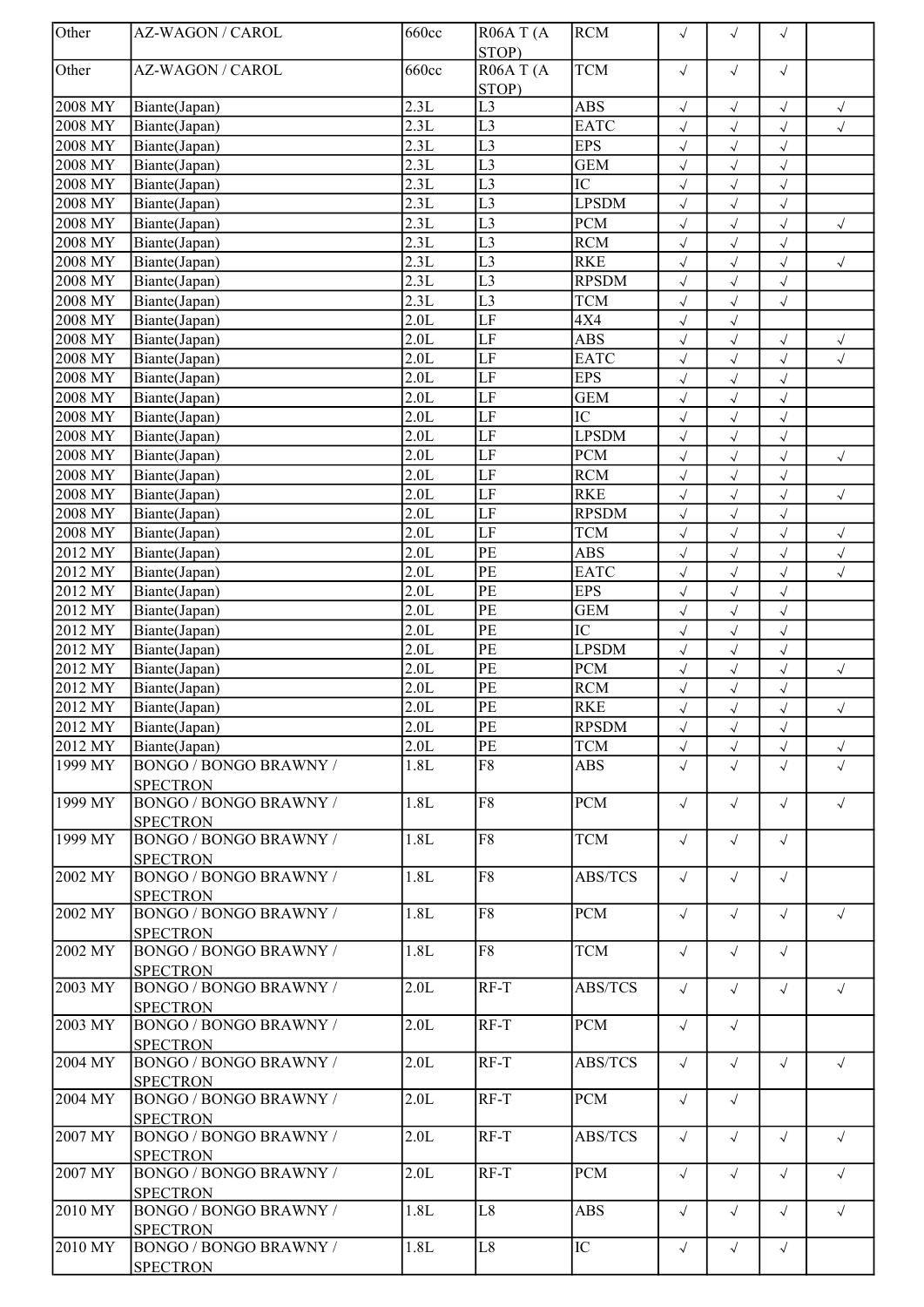| Other   | <b>AZ-WAGON / CAROL</b>                          | 660cc             | R <sub>06</sub> A <sub>T</sub> (A | <b>RCM</b>      | $\sqrt{}$        | $\sqrt{ }$   | $\sqrt{ }$   |              |
|---------|--------------------------------------------------|-------------------|-----------------------------------|-----------------|------------------|--------------|--------------|--------------|
| Other   | <b>AZ-WAGON / CAROL</b>                          | 660cc             | STOP)<br>R06AT(A                  | <b>TCM</b>      | $\sqrt{ }$       | $\sqrt{}$    | $\sqrt{ }$   |              |
|         |                                                  |                   | STOP)                             |                 |                  |              |              |              |
| 2008 MY | Biante(Japan)                                    | 2.3L              | L3                                | <b>ABS</b>      | $\sqrt{ }$       | $\checkmark$ | $\checkmark$ | $\sqrt{ }$   |
| 2008 MY | Biante(Japan)                                    | 2.3L              | L <sub>3</sub>                    | <b>EATC</b>     | $\sqrt{ }$       | $\sqrt{}$    | $\sqrt{ }$   | $\checkmark$ |
| 2008 MY | Biante(Japan)                                    | 2.3L              | L <sub>3</sub>                    | <b>EPS</b>      | $\checkmark$     | $\sqrt{}$    | $\sqrt{ }$   |              |
| 2008 MY | Biante(Japan)                                    | 2.3L              | L <sub>3</sub>                    | <b>GEM</b>      | $\sqrt{ }$       | $\sqrt{ }$   | $\sqrt{ }$   |              |
| 2008 MY | Biante(Japan)                                    | 2.3L              | L <sub>3</sub>                    | IC              | $\sqrt{ }$       | $\checkmark$ | $\sqrt{ }$   |              |
| 2008 MY | Biante(Japan)                                    | $\overline{2.3L}$ | L <sub>3</sub>                    | <b>LPSDM</b>    | $\checkmark$     | $\checkmark$ | $\checkmark$ |              |
| 2008 MY | Biante(Japan)                                    | 2.3L              | L <sub>3</sub>                    | <b>PCM</b>      | $\checkmark$     | $\checkmark$ | $\checkmark$ | $\checkmark$ |
| 2008 MY | Biante(Japan)                                    | 2.3L              | L <sub>3</sub>                    | <b>RCM</b>      | $\checkmark$     | $\checkmark$ | $\sqrt{ }$   |              |
| 2008 MY | Biante(Japan)                                    | 2.3L              | $\overline{L3}$                   | <b>RKE</b>      | $\checkmark$     | $\checkmark$ | $\checkmark$ | $\checkmark$ |
| 2008 MY | Biante(Japan)                                    | 2.3L              | $\overline{L3}$                   | <b>RPSDM</b>    | $\bar{\sqrt{ }}$ | $\checkmark$ | $\checkmark$ |              |
| 2008 MY | Biante(Japan)                                    | 2.3L              | L <sub>3</sub>                    | <b>TCM</b>      | $\checkmark$     | $\sqrt{2}$   | $\sqrt{ }$   |              |
| 2008 MY | Biante(Japan)                                    | 2.0L              | $\overline{LF}$                   | 4X4             | $\sqrt{2}$       | $\sqrt{}$    |              |              |
| 2008 MY | Biante(Japan)                                    | 2.0L              | LF                                | <b>ABS</b>      | $\sqrt{ }$       | $\checkmark$ | $\checkmark$ | $\sqrt{}$    |
| 2008 MY | Biante(Japan)                                    | 2.0L              | LF                                | <b>EATC</b>     | $\sqrt{ }$       | $\checkmark$ | $\sqrt{ }$   | $\sqrt{ }$   |
| 2008 MY | Biante(Japan)                                    | 2.0L              | LF                                | <b>EPS</b>      | $\checkmark$     | $\sqrt{ }$   | $\sqrt{ }$   |              |
| 2008 MY | Biante(Japan)                                    | 2.0L              | LF                                | <b>GEM</b>      | $\checkmark$     | $\sqrt{ }$   | $\sqrt{ }$   |              |
| 2008 MY | Biante(Japan)                                    | 2.0L              | $\overline{LF}$                   | $\overline{IC}$ | $\sqrt{ }$       | $\checkmark$ | $\sqrt{ }$   |              |
| 2008 MY | Biante(Japan)                                    | 2.0L              | LF                                | <b>LPSDM</b>    | $\checkmark$     | $\checkmark$ | $\sqrt{ }$   |              |
| 2008 MY | Biante(Japan)                                    | 2.0L              | LF                                | <b>PCM</b>      | $\sqrt{ }$       | $\checkmark$ | $\sqrt{ }$   | $\checkmark$ |
| 2008 MY | Biante(Japan)                                    | 2.0L              | LF                                | <b>RCM</b>      | $\checkmark$     | $\checkmark$ | $\sqrt{2}$   |              |
| 2008 MY | Biante(Japan)                                    | 2.0L              | LF                                | <b>RKE</b>      | $\checkmark$     | $\checkmark$ | $\checkmark$ | $\checkmark$ |
| 2008 MY | Biante(Japan)                                    | 2.0L              | LF                                | <b>RPSDM</b>    | $\sqrt{2}$       | $\checkmark$ | $\sqrt{ }$   |              |
| 2008 MY | Biante(Japan)                                    | 2.0L              | $\overline{LF}$                   | <b>TCM</b>      | $\sqrt{2}$       | $\sqrt{2}$   | $\sqrt{2}$   | $\checkmark$ |
| 2012 MY | Biante(Japan)                                    | 2.0L              | $\overline{PE}$                   | <b>ABS</b>      | $\checkmark$     | $\checkmark$ | $\checkmark$ | $\checkmark$ |
| 2012 MY | Biante(Japan)                                    | 2.0L              | $\overline{PE}$                   | <b>EATC</b>     | $\sqrt{2}$       | $\sqrt{}$    | $\sqrt{2}$   | $\sqrt{2}$   |
| 2012 MY | Biante(Japan)                                    | 2.0L              | $\overline{PE}$                   | <b>EPS</b>      | $\sqrt{ }$       | $\checkmark$ | $\sqrt{ }$   |              |
| 2012 MY | Biante(Japan)                                    | 2.0L              | PE                                | <b>GEM</b>      | $\checkmark$     | $\sqrt{}$    | $\checkmark$ |              |
| 2012 MY | Biante(Japan)                                    | 2.0L              | PE                                | IC              | $\sqrt{ }$       | $\sqrt{}$    | $\checkmark$ |              |
| 2012 MY | Biante(Japan)                                    | 2.0L              | PE                                | <b>LPSDM</b>    | $\sqrt{ }$       | $\checkmark$ | $\checkmark$ |              |
| 2012 MY | Biante(Japan)                                    | 2.0L              | PE                                | <b>PCM</b>      | $\checkmark$     | $\checkmark$ | $\checkmark$ | $\sqrt{ }$   |
| 2012 MY | Biante(Japan)                                    | 2.0L              | PE                                | <b>RCM</b>      | $\sqrt{ }$       | $\checkmark$ | $\sqrt{ }$   |              |
| 2012 MY | Biante(Japan)                                    | 2.0L              | PE                                | <b>RKE</b>      | $\sqrt{2}$       | $\checkmark$ | $\sqrt{2}$   | $\checkmark$ |
| 2012 MY | Biante(Japan)                                    | 2.0 <sub>L</sub>  | PE                                | <b>RPSDM</b>    | $\sqrt{ }$       | $\sqrt{ }$   | $\sqrt{ }$   |              |
| 2012 MY | Biante(Japan)                                    | 2.0L              | $\overline{PE}$                   | <b>TCM</b>      | $\sqrt{2}$       | $\sqrt{ }$   | $\sqrt{ }$   | $\sqrt{ }$   |
| 1999 MY | <b>BONGO / BONGO BRAWNY /</b>                    | 1.8L              | ${\rm F}8$                        | <b>ABS</b>      | $\sqrt{ }$       | $\sqrt{ }$   | $\sqrt{ }$   | $\sqrt{ }$   |
|         | <b>SPECTRON</b>                                  |                   |                                   |                 |                  |              |              |              |
| 1999 MY | BONGO / BONGO BRAWNY /                           | 1.8L              | F8                                | PCM             | $\sqrt{}$        | $\sqrt{ }$   | $\sqrt{ }$   | $\sqrt{ }$   |
|         | <b>SPECTRON</b>                                  |                   |                                   |                 |                  |              |              |              |
| 1999 MY | <b>BONGO / BONGO BRAWNY /</b>                    | 1.8L              | F8                                | <b>TCM</b>      | $\sqrt{}$        | $\sqrt{ }$   | $\sqrt{ }$   |              |
|         | <b>SPECTRON</b>                                  |                   |                                   |                 |                  |              |              |              |
| 2002 MY | <b>BONGO / BONGO BRAWNY /</b>                    | 1.8L              | F8                                | ABS/TCS         | $\sqrt{}$        | $\sqrt{ }$   | $\sqrt{ }$   |              |
|         | <b>SPECTRON</b>                                  |                   |                                   |                 |                  |              |              |              |
| 2002 MY | <b>BONGO / BONGO BRAWNY /</b>                    | 1.8L              | F8                                | PCM             | $\sqrt{}$        | $\sqrt{ }$   | $\sqrt{ }$   | $\sqrt{ }$   |
|         | <b>SPECTRON</b>                                  |                   |                                   |                 |                  |              |              |              |
| 2002 MY | <b>BONGO / BONGO BRAWNY /</b>                    | 1.8L              | F8                                | <b>TCM</b>      | $\sqrt{ }$       | $\sqrt{ }$   | $\sqrt{ }$   |              |
|         | <b>SPECTRON</b>                                  |                   |                                   |                 |                  |              |              |              |
| 2003 MY | <b>BONGO / BONGO BRAWNY /</b>                    | 2.0L              | $RF-T$                            | ABS/TCS         | $\sqrt{ }$       | $\sqrt{ }$   | $\sqrt{ }$   | $\sqrt{ }$   |
|         | <b>SPECTRON</b>                                  |                   |                                   |                 |                  |              |              |              |
| 2003 MY | <b>BONGO / BONGO BRAWNY /</b>                    | 2.0L              | $RF-T$                            | PCM             | $\sqrt{}$        | $\sqrt{ }$   |              |              |
|         | <b>SPECTRON</b>                                  |                   |                                   |                 |                  |              |              |              |
| 2004 MY | BONGO / BONGO BRAWNY /                           | 2.0L              | $RF-T$                            | ABS/TCS         | $\sqrt{ }$       | $\sqrt{ }$   | $\sqrt{ }$   | $\sqrt{ }$   |
|         | <b>SPECTRON</b>                                  |                   |                                   |                 |                  |              |              |              |
| 2004 MY | BONGO / BONGO BRAWNY /                           | 2.0L              | $RF-T$                            | <b>PCM</b>      | $\sqrt{ }$       | $\sqrt{ }$   |              |              |
|         | <b>SPECTRON</b>                                  |                   |                                   |                 |                  |              |              |              |
| 2007 MY | BONGO / BONGO BRAWNY /                           | 2.0L              | $RF-T$                            | ABS/TCS         | $\sqrt{ }$       | $\sqrt{ }$   | $\sqrt{ }$   | $\sqrt{ }$   |
|         | <b>SPECTRON</b>                                  |                   |                                   |                 |                  |              |              |              |
| 2007 MY | BONGO / BONGO BRAWNY /                           | 2.0L              | $RF-T$                            | PCM             | $\sqrt{ }$       | $\sqrt{ }$   | $\sqrt{ }$   | $\sqrt{ }$   |
|         | <b>SPECTRON</b>                                  |                   | L8                                |                 |                  |              |              |              |
| 2010 MY | BONGO / BONGO BRAWNY /                           | 1.8L              |                                   | <b>ABS</b>      | $\sqrt{ }$       | $\sqrt{ }$   | $\sqrt{ }$   | $\sqrt{ }$   |
| 2010 MY | <b>SPECTRON</b><br><b>BONGO / BONGO BRAWNY /</b> | 1.8L              | L8                                | IC              | $\sqrt{ }$       | $\sqrt{ }$   | $\sqrt{ }$   |              |
|         | <b>SPECTRON</b>                                  |                   |                                   |                 |                  |              |              |              |
|         |                                                  |                   |                                   |                 |                  |              |              |              |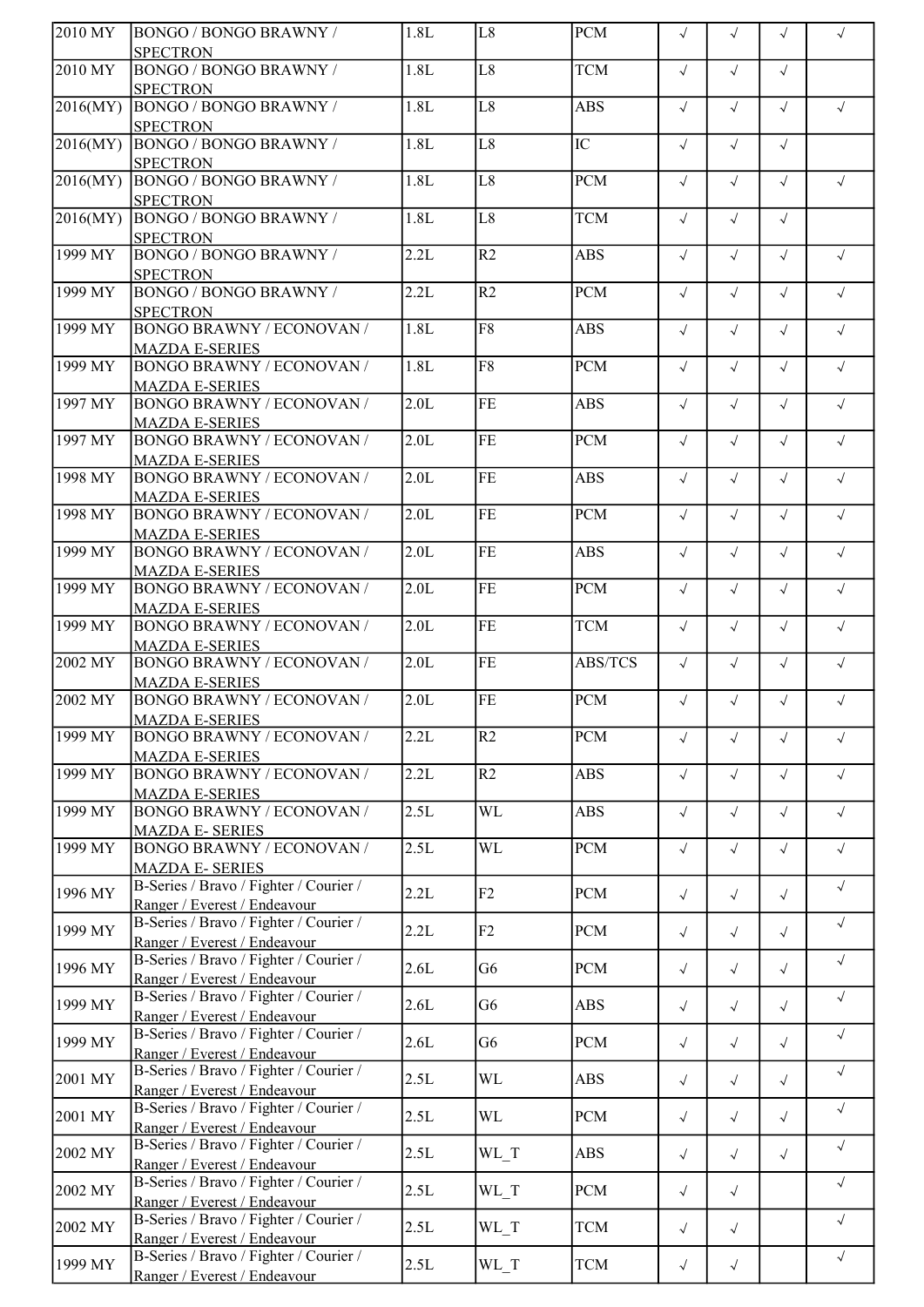| 2010 MY   | <b>BONGO / BONGO BRAWNY /</b>                                          | 1.8L             | L8             | PCM            | $\sqrt{ }$           | $\sqrt{ }$ | $\sqrt{ }$ | $\sqrt{ }$ |
|-----------|------------------------------------------------------------------------|------------------|----------------|----------------|----------------------|------------|------------|------------|
| 2010 MY   | <b>SPECTRON</b><br>BONGO / BONGO BRAWNY /                              | 1.8L             | L8             | <b>TCM</b>     | $\sqrt{ }$           | $\sqrt{ }$ | $\sqrt{ }$ |            |
|           | <b>SPECTRON</b>                                                        |                  |                |                |                      |            |            |            |
| 2016(MY)  | BONGO / BONGO BRAWNY /<br><b>SPECTRON</b>                              | 1.8L             | L8             | <b>ABS</b>     | $\sqrt{ }$           | $\sqrt{ }$ | $\sqrt{ }$ | $\sqrt{ }$ |
| 2016(MY)  | BONGO / BONGO BRAWNY /                                                 | 1.8L             | L8             | IC             | $\sqrt{ }$           | $\sqrt{ }$ | $\sqrt{ }$ |            |
| 2016(MY)  | <b>SPECTRON</b><br>BONGO / BONGO BRAWNY /                              | 1.8L             | L8             | PCM            | $\sqrt{ }$           | $\sqrt{ }$ | $\sqrt{ }$ | $\sqrt{ }$ |
| 2016(MY)  | <b>SPECTRON</b><br><b>BONGO / BONGO BRAWNY /</b>                       | 1.8L             | L8             | <b>TCM</b>     | $\sqrt{ }$           | $\sqrt{ }$ | $\sqrt{ }$ |            |
| 1999 MY   | <b>SPECTRON</b><br>BONGO / BONGO BRAWNY /                              | 2.2L             | R2             | <b>ABS</b>     | $\sqrt{ }$           | $\sqrt{ }$ | $\sqrt{ }$ | $\sqrt{ }$ |
|           | <b>SPECTRON</b>                                                        |                  |                |                |                      |            |            |            |
| 1999 MY   | <b>BONGO / BONGO BRAWNY /</b><br><b>SPECTRON</b>                       | 2.2L             | R <sub>2</sub> | <b>PCM</b>     | $\sqrt{ }$           | $\sqrt{ }$ | $\sqrt{ }$ | $\sqrt{ }$ |
| 1999 MY   | BONGO BRAWNY / ECONOVAN /<br><b>MAZDA E-SERIES</b>                     | 1.8L             | F8             | <b>ABS</b>     | $\sqrt{ }$           | $\sqrt{ }$ | $\sqrt{ }$ | $\sqrt{ }$ |
| 1999 MY   | BONGO BRAWNY / ECONOVAN /<br><b>MAZDA E-SERIES</b>                     | 1.8L             | F8             | <b>PCM</b>     | $\sqrt{ }$           | $\sqrt{ }$ | $\sqrt{ }$ | $\sqrt{ }$ |
| 1997 MY   | BONGO BRAWNY / ECONOVAN /                                              | 2.0L             | <b>FE</b>      | <b>ABS</b>     | $\sqrt{ }$           | $\sqrt{ }$ | $\sqrt{ }$ | $\sqrt{}$  |
| 1997 MY   | <b>MAZDA E-SERIES</b><br>BONGO BRAWNY / ECONOVAN /                     | 2.0L             | <b>FE</b>      | PCM            | $\sqrt{ }$           | $\sqrt{ }$ | $\sqrt{ }$ | $\sqrt{}$  |
| 1998 MY   | <b>MAZDA E-SERIES</b><br>BONGO BRAWNY / ECONOVAN /                     | 2.0L             | <b>FE</b>      | <b>ABS</b>     | $\sqrt{ }$           | $\sqrt{ }$ | $\sqrt{ }$ | $\sqrt{}$  |
| 1998 MY   | <b>MAZDA E-SERIES</b><br>BONGO BRAWNY / ECONOVAN /                     | 2.0L             | <b>FE</b>      | PCM            | $\sqrt{ }$           | $\sqrt{ }$ | $\sqrt{ }$ | $\sqrt{}$  |
| 1999 MY   | <b>MAZDA E-SERIES</b><br>BONGO BRAWNY / ECONOVAN /                     | 2.0L             | <b>FE</b>      | <b>ABS</b>     | $\sqrt{ }$           | $\sqrt{ }$ | $\sqrt{ }$ | $\sqrt{}$  |
| 1999 MY   | <b>MAZDA E-SERIES</b><br>BONGO BRAWNY / ECONOVAN /                     | 2.0L             | <b>FE</b>      | PCM            | $\sqrt{ }$           | $\sqrt{ }$ | $\sqrt{ }$ | $\sqrt{ }$ |
|           | <b>MAZDA E-SERIES</b>                                                  |                  |                |                |                      |            |            |            |
| 1999 MY   | BONGO BRAWNY / ECONOVAN /<br><b>MAZDA E-SERIES</b>                     | 2.0L             | <b>FE</b>      | <b>TCM</b>     | $\sqrt{ }$           | $\sqrt{ }$ | $\sqrt{ }$ | $\sqrt{ }$ |
| 2002 MY   | BONGO BRAWNY / ECONOVAN /<br><b>MAZDA E-SERIES</b>                     | 2.0L             | <b>FE</b>      | <b>ABS/TCS</b> | $\sqrt{ }$           | $\sqrt{ }$ | $\sqrt{ }$ | $\sqrt{ }$ |
| 2002 MY   | BONGO BRAWNY / ECONOVAN /<br><b>MAZDA E-SERIES</b>                     | 2.0 <sub>L</sub> | <b>FE</b>      | PCM            | $\sqrt{ }$           | $\sqrt{ }$ | $\sqrt{ }$ | $\sqrt{}$  |
| $1999$ MY | BONGO BRAWNY / ECONOVAN /<br><b>MAZDA E-SERIES</b>                     | 2.2L             | R2             | PCM            | $\sqrt{ }$           | $\sqrt{ }$ | $\sqrt{ }$ | $\sqrt{}$  |
| 1999 MY   | BONGO BRAWNY / ECONOVAN /<br><b>MAZDA E-SERIES</b>                     | 2.2L             | R2             | <b>ABS</b>     | $\sqrt{ }$           | $\sqrt{}$  | $\sqrt{ }$ | $\sqrt{ }$ |
| 1999 MY   | BONGO BRAWNY / ECONOVAN /                                              | 2.5L             | WL             | <b>ABS</b>     | $\sqrt{ }$           | $\sqrt{ }$ | $\sqrt{ }$ | $\sqrt{ }$ |
| 1999 MY   | <b>MAZDA E- SERIES</b><br>BONGO BRAWNY / ECONOVAN /                    | 2.5L             | <b>WL</b>      | PCM            | $\sqrt{ }$           | $\sqrt{ }$ | $\sqrt{ }$ | $\sqrt{ }$ |
| 1996 MY   | <b>MAZDA E- SERIES</b><br>B-Series / Bravo / Fighter / Courier /       | 2.2L             | F2             | PCM            | $\sqrt{ }$           | $\sqrt{ }$ | $\sqrt{ }$ | $\sqrt{ }$ |
|           | Ranger / Everest / Endeavour<br>B-Series / Bravo / Fighter / Courier / |                  |                |                |                      |            |            | $\sqrt{}$  |
| 1999 MY   | Ranger / Everest / Endeavour<br>B-Series / Bravo / Fighter / Courier / | 2.2L             | F2             | PCM            | $\sqrt{ }$           | $\sqrt{ }$ | $\sqrt{ }$ | $\sqrt{ }$ |
| 1996 MY   | Ranger / Everest / Endeavour                                           | 2.6L             | G <sub>6</sub> | PCM            | $\sqrt{ }$           | $\sqrt{ }$ | $\sqrt{ }$ |            |
| 1999 MY   | B-Series / Bravo / Fighter / Courier /<br>Ranger / Everest / Endeavour | 2.6L             | G <sub>6</sub> | <b>ABS</b>     | $\sqrt{ }$           | $\sqrt{ }$ | $\sqrt{ }$ | $\sqrt{ }$ |
| 1999 MY   | B-Series / Bravo / Fighter / Courier /<br>Ranger / Everest / Endeavour | 2.6L             | G <sub>6</sub> | PCM            | $\sqrt{ }$           | $\sqrt{ }$ | $\sqrt{ }$ | $\sqrt{ }$ |
| 2001 MY   | B-Series / Bravo / Fighter / Courier /<br>Ranger / Everest / Endeavour | 2.5L             | WL             | <b>ABS</b>     | $\sqrt{ }$           | $\sqrt{ }$ | $\sqrt{ }$ | $\sqrt{ }$ |
| 2001 MY   | B-Series / Bravo / Fighter / Courier /<br>Ranger / Everest / Endeavour | 2.5L             | WL             | PCM            | $\sqrt{\phantom{a}}$ | $\sqrt{ }$ | $\sqrt{ }$ | $\sqrt{}$  |
| 2002 MY   | B-Series / Bravo / Fighter / Courier /<br>Ranger / Everest / Endeavour | 2.5L             | WL T           | <b>ABS</b>     | $\sqrt{ }$           | $\sqrt{ }$ | $\sqrt{ }$ | $\sqrt{ }$ |
| 2002 MY   | B-Series / Bravo / Fighter / Courier /<br>Ranger / Everest / Endeavour | 2.5L             | WL_T           | PCM            | $\sqrt{ }$           | $\sqrt{ }$ |            | $\sqrt{}$  |
| 2002 MY   | B-Series / Bravo / Fighter / Courier /                                 | 2.5L             | WL T           | <b>TCM</b>     | $\sqrt{ }$           | $\sqrt{ }$ |            | $\sqrt{}$  |
| 1999 MY   | Ranger / Everest / Endeavour<br>B-Series / Bravo / Fighter / Courier / | 2.5L             | WL T           | <b>TCM</b>     | $\sqrt{ }$           | $\sqrt{ }$ |            | $\sqrt{ }$ |
|           | Ranger / Everest / Endeavour                                           |                  |                |                |                      |            |            |            |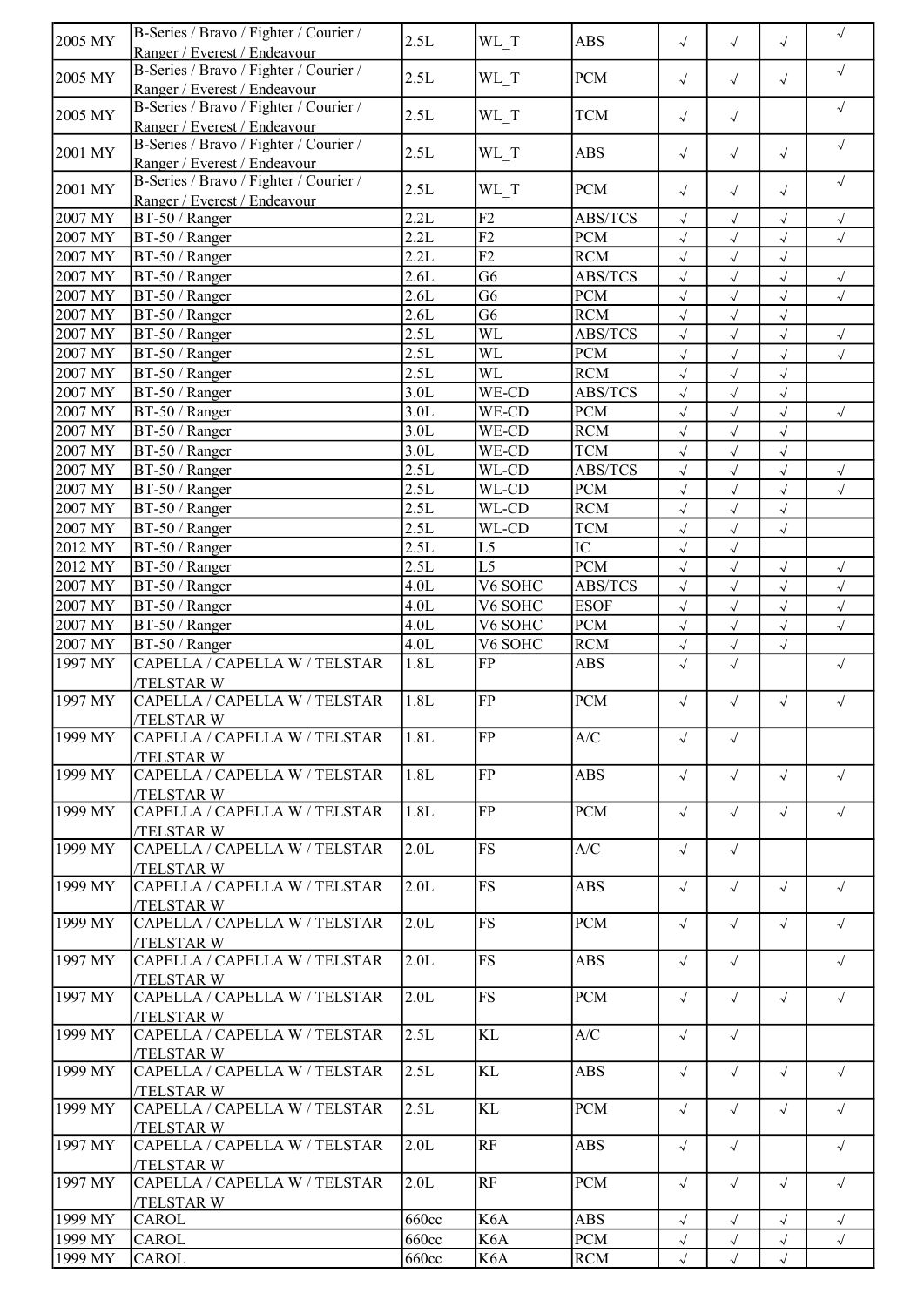| 2005 MY   | B-Series / Bravo / Fighter / Courier /<br>Ranger / Everest / Endeavour | 2.5L             | WL_T                        | <b>ABS</b>     | $\sqrt{\phantom{a}}$ | $\sqrt{ }$   | $\sqrt{ }$           | $\sqrt{ }$   |
|-----------|------------------------------------------------------------------------|------------------|-----------------------------|----------------|----------------------|--------------|----------------------|--------------|
| 2005 MY   | B-Series / Bravo / Fighter / Courier /<br>Ranger / Everest / Endeavour | 2.5L             | WL_T                        | <b>PCM</b>     | $\sqrt{\phantom{a}}$ | $\sqrt{ }$   | $\sqrt{\phantom{a}}$ | $\sqrt{ }$   |
| 2005 MY   | B-Series / Bravo / Fighter / Courier /<br>Ranger / Everest / Endeavour | 2.5L             | WL_T                        | <b>TCM</b>     | $\sqrt{ }$           | $\sqrt{ }$   |                      | $\sqrt{ }$   |
| 2001 MY   | B-Series / Bravo / Fighter / Courier /<br>Ranger / Everest / Endeavour | 2.5L             | WL_T                        | <b>ABS</b>     | $\sqrt{ }$           | $\sqrt{ }$   | $\sqrt{ }$           | $\checkmark$ |
| 2001 MY   | B-Series / Bravo / Fighter / Courier /<br>Ranger / Everest / Endeavour | 2.5L             | WL_T                        | PCM            | $\sqrt{ }$           | $\sqrt{ }$   | $\sqrt{\phantom{a}}$ | $\checkmark$ |
| $2007$ MY | BT-50 / Ranger                                                         | 2.2L             | F <sub>2</sub>              | <b>ABS/TCS</b> | $\sqrt{ }$           | $\sqrt{ }$   | $\sqrt{\phantom{a}}$ | $\checkmark$ |
| 2007 MY   | BT-50 / Ranger                                                         | 2.2L             | $\overline{F2}$             | PCM            | $\sqrt{ }$           | $\sqrt{ }$   | $\checkmark$         | $\checkmark$ |
| 2007 MY   | BT-50 / Ranger                                                         | 2.2L             | $\overline{F2}$             | <b>RCM</b>     | $\sqrt{ }$           | $\sqrt{ }$   | $\sqrt{ }$           |              |
| 2007 MY   | BT-50 / Ranger                                                         | 2.6L             | G <sub>6</sub>              | ABS/TCS        | $\sqrt{ }$           | $\sqrt{ }$   | $\sqrt{ }$           | $\checkmark$ |
| 2007 MY   | BT-50 / Ranger                                                         | 2.6L             | G <sub>6</sub>              | <b>PCM</b>     | $\sqrt{ }$           | $\sqrt{ }$   | $\sqrt{ }$           | $\sqrt{ }$   |
| 2007 MY   | BT-50 / Ranger                                                         | 2.6L             | G <sub>6</sub>              | <b>RCM</b>     | $\sqrt{ }$           | $\sqrt{ }$   | $\sqrt{\phantom{a}}$ |              |
| 2007 MY   | BT-50 / Ranger                                                         | 2.5L             | <b>WL</b>                   | ABS/TCS        | $\sqrt{ }$           | $\sqrt{ }$   | $\sqrt{\phantom{a}}$ | $\sqrt{ }$   |
| 2007 MY   | BT-50 / Ranger                                                         | 2.5L             | <b>WL</b>                   | <b>PCM</b>     | $\sqrt{ }$           | $\sqrt{ }$   | $\sqrt{ }$           | $\sqrt{ }$   |
| 2007 MY   | BT-50 / Ranger                                                         | 2.5L             | <b>WL</b>                   | <b>RCM</b>     | $\sqrt{ }$           | $\sqrt{ }$   | $\sqrt{2}$           |              |
| 2007 MY   | BT-50 / Ranger                                                         | 3.0L             | WE-CD                       | ABS/TCS        | $\checkmark$         | $\sqrt{ }$   | $\checkmark$         |              |
| 2007 MY   | BT-50 / Ranger                                                         | 3.0 <sub>L</sub> | WE-CD                       | <b>PCM</b>     | $\checkmark$         | $\sqrt{ }$   | $\checkmark$         | $\sqrt{ }$   |
| 2007 MY   |                                                                        | 3.0 <sub>L</sub> | WE-CD                       | RCM            | $\sqrt{ }$           |              | $\checkmark$         |              |
|           | BT-50 / Ranger                                                         | 3.0 <sub>L</sub> |                             | <b>TCM</b>     |                      | $\sqrt{ }$   |                      |              |
| 2007 MY   | BT-50 / Ranger                                                         |                  | $\overline{\text{WE-CD}}$   |                | $\checkmark$         | $\sqrt{}$    | $\sqrt{\phantom{a}}$ |              |
| 2007 MY   | BT-50 / Ranger                                                         | 2.5L             | WL-CD                       | <b>ABS/TCS</b> | $\sqrt{2}$           | $\sqrt{2}$   | $\sqrt{2}$           | $\checkmark$ |
| 2007 MY   | BT-50 / Ranger                                                         | 2.5L             | WL-CD                       | <b>PCM</b>     | $\checkmark$         | $\sqrt{2}$   | $\sqrt{ }$           | $\sqrt{ }$   |
| 2007 MY   | BT-50 / Ranger                                                         | 2.5L             | WL-CD                       | <b>RCM</b>     | $\checkmark$         | $\sqrt{ }$   | $\sqrt{ }$           |              |
| 2007 MY   | BT-50 / Ranger                                                         | 2.5L             | WL-CD                       | <b>TCM</b>     | $\sqrt{ }$           | $\sqrt{ }$   | $\sqrt{ }$           |              |
| 2012 MY   | BT-50 / Ranger                                                         | 2.5L             | L <sub>5</sub>              | IC             | $\sqrt{ }$           | $\sqrt{ }$   |                      |              |
| 2012 MY   | BT-50 / Ranger                                                         | 2.5L             | L <sub>5</sub>              | PCM            | $\sqrt{ }$           | $\checkmark$ | $\sqrt{\phantom{a}}$ | $\sqrt{ }$   |
| 2007 MY   | BT-50 / Ranger                                                         | 4.0L             | V6 SOHC                     | ABS/TCS        | $\sqrt{ }$           | $\checkmark$ | $\sqrt{ }$           | $\sqrt{ }$   |
| 2007 MY   | BT-50 / Ranger                                                         | 4.0L             | $\overline{\text{V6}}$ SOHC | <b>ESOF</b>    | $\checkmark$         | $\sqrt{ }$   | $\sqrt{ }$           | $\checkmark$ |
| 2007 MY   | BT-50 / Ranger                                                         | 4.0 <sub>L</sub> | V6 SOHC                     | PCM            | $\checkmark$         | $\checkmark$ | $\sqrt{\phantom{a}}$ | $\checkmark$ |
| 2007 MY   | BT-50 / Ranger                                                         | 4.0L             | $\overline{V6}$ SOHC        | <b>RCM</b>     | $\sqrt{ }$           | $\sqrt{ }$   | $\sqrt{ }$           |              |
| 1997 MY   | CAPELLA / CAPELLA W / TELSTAR<br><b>TELSTAR W</b>                      | 1.8L             | FP                          | <b>ABS</b>     | $\sqrt{ }$           | $\sqrt{ }$   |                      | $\sqrt{ }$   |
| 1997 MY   | CAPELLA / CAPELLA W / TELSTAR<br>/TELSTAR W                            | 1.8L             | FP                          | <b>PCM</b>     | $\sqrt{ }$           | $\sqrt{ }$   | $\sqrt{ }$           | $\checkmark$ |
| 1999 MY   | CAPELLA / CAPELLA W / TELSTAR                                          | 1.8L             | <b>FP</b>                   | A/C            | $\sqrt{ }$           | $\sqrt{ }$   |                      |              |
| $1999$ MY | <b>TELSTAR W</b><br>CAPELLA / CAPELLA W / TELSTAR                      | 1.8L             | <b>FP</b>                   | <b>ABS</b>     | $\sqrt{ }$           | $\sqrt{ }$   | $\sqrt{ }$           | $\sqrt{}$    |
| 1999 MY   | <b>/TELSTAR W</b><br>CAPELLA / CAPELLA W / TELSTAR                     | 1.8L             | $\overline{FP}$             | PCM            | $\sqrt{ }$           | $\sqrt{ }$   | $\sqrt{ }$           | $\sqrt{}$    |
| 1999 MY   | /TELSTAR W<br>CAPELLA / CAPELLA W / TELSTAR                            | 2.0 <sub>L</sub> | <b>FS</b>                   | A/C            | $\sqrt{ }$           | $\sqrt{ }$   |                      |              |
| 1999 MY   | <b>/TELSTAR W</b><br>CAPELLA / CAPELLA W / TELSTAR                     | 2.0 <sub>L</sub> | <b>FS</b>                   | <b>ABS</b>     | $\sqrt{ }$           | $\sqrt{ }$   | $\sqrt{ }$           | $\sqrt{ }$   |
| 1999 MY   | <b>TELSTAR W</b><br>CAPELLA / CAPELLA W / TELSTAR                      | 2.0 <sub>L</sub> | <b>FS</b>                   | PCM            | $\sqrt{ }$           | $\sqrt{ }$   | $\sqrt{ }$           | $\sqrt{ }$   |
| 1997 MY   | /TELSTAR W<br>CAPELLA / CAPELLA W / TELSTAR                            | 2.0 <sub>L</sub> | $\overline{\text{FS}}$      | <b>ABS</b>     | $\sqrt{ }$           | $\sqrt{ }$   |                      | $\sqrt{ }$   |
| 1997 MY   | /TELSTAR W<br>CAPELLA / CAPELLA W / TELSTAR                            | 2.0 <sub>L</sub> | <b>FS</b>                   | PCM            | $\sqrt{ }$           | $\sqrt{ }$   | $\sqrt{ }$           | $\sqrt{ }$   |
| 1999 MY   | /TELSTAR W<br>CAPELLA / CAPELLA W / TELSTAR                            | 2.5L             | KL                          | A/C            | $\sqrt{ }$           | $\sqrt{ }$   |                      |              |
| 1999 MY   | /TELSTAR W<br>CAPELLA / CAPELLA W / TELSTAR                            | 2.5L             | <b>KL</b>                   | <b>ABS</b>     | $\sqrt{ }$           | $\sqrt{ }$   | $\sqrt{ }$           | $\sqrt{ }$   |
| 1999 MY   | /TELSTAR W<br>CAPELLA / CAPELLA W / TELSTAR                            | 2.5L             | <b>KL</b>                   | <b>PCM</b>     | $\sqrt{ }$           | $\sqrt{ }$   | $\sqrt{}$            | $\sqrt{ }$   |
| 1997 MY   | /TELSTAR W<br>CAPELLA / CAPELLA W / TELSTAR                            | 2.0L             | RF                          | <b>ABS</b>     | $\sqrt{ }$           | $\sqrt{ }$   |                      | $\sqrt{ }$   |
| 1997 MY   | /TELSTAR W<br>CAPELLA / CAPELLA W / TELSTAR<br>/TELSTAR W              | 2.0L             | RF                          | PCM            | $\sqrt{ }$           | $\sqrt{ }$   | $\sqrt{ }$           | $\sqrt{ }$   |
| 1999 MY   | <b>CAROL</b>                                                           | 660cc            | K <sub>6</sub> A            | <b>ABS</b>     | $\sqrt{ }$           | $\sqrt{}$    | $\sqrt{ }$           | $\sqrt{ }$   |
| 1999 MY   | CAROL                                                                  | 660cc            | K <sub>6</sub> A            | <b>PCM</b>     | $\sqrt{ }$           | $\sqrt{ }$   | $\sqrt{ }$           | $\sqrt{}$    |
| 1999 MY   | CAROL                                                                  | 660cc            | K <sub>6</sub> A            | <b>RCM</b>     | $\sqrt{ }$           | $\sqrt{}$    | $\sqrt{ }$           |              |
|           |                                                                        |                  |                             |                |                      |              |                      |              |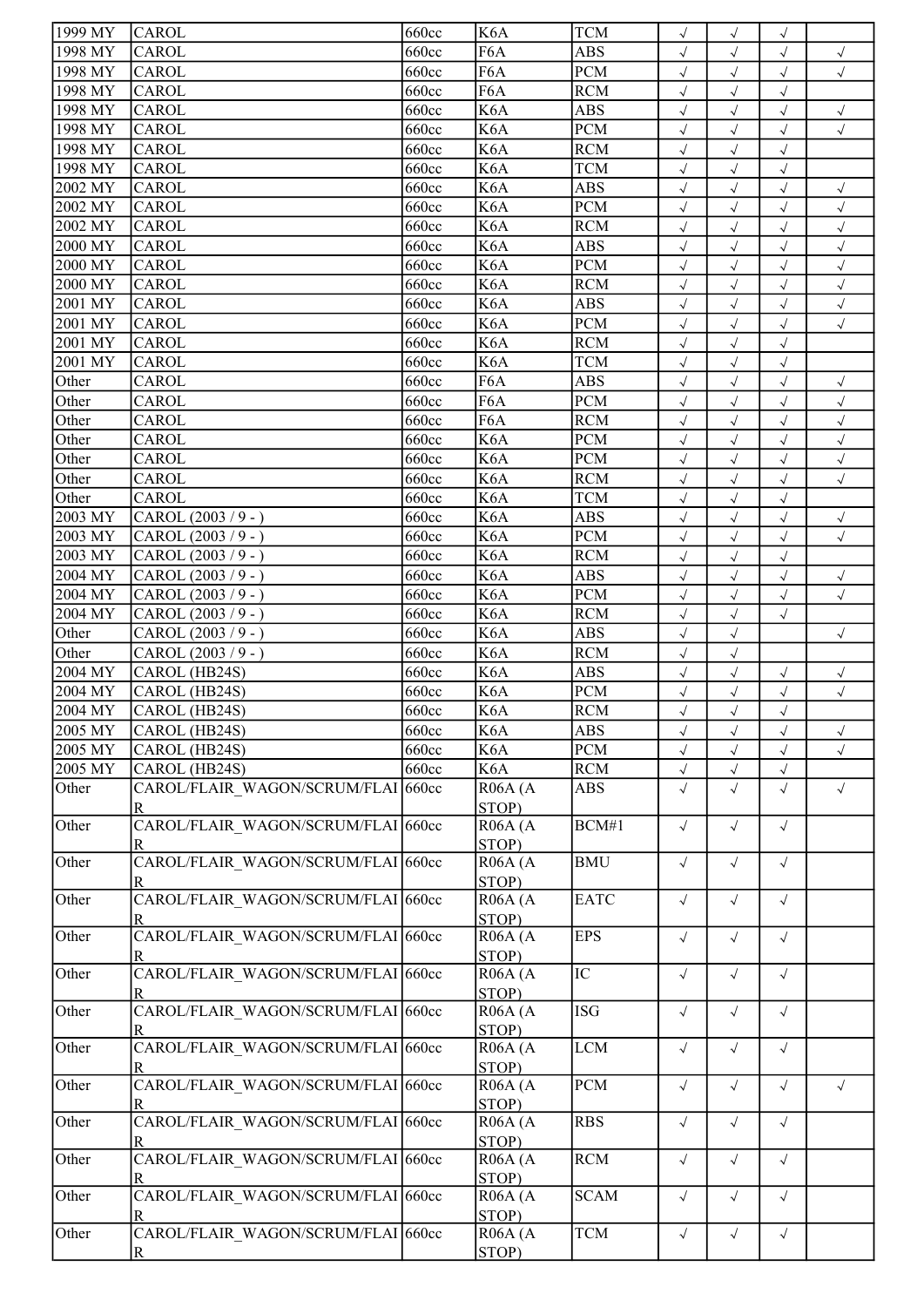| 1999 MY | <b>CAROL</b>                       | 660cc | K6A                     | <b>TCM</b>  | $\sqrt{}$    | $\sqrt{}$    | $\sqrt{}$    |              |
|---------|------------------------------------|-------|-------------------------|-------------|--------------|--------------|--------------|--------------|
| 1998 MY | CAROL                              | 660cc | F6A                     | <b>ABS</b>  | $\checkmark$ | $\sqrt{}$    | $\sqrt{}$    | $\sqrt{ }$   |
| 1998 MY | CAROL                              | 660cc | F6A                     | <b>PCM</b>  | $\checkmark$ | $\sqrt{}$    | $\sqrt{ }$   | $\sqrt{ }$   |
| 1998 MY | CAROL                              | 660cc | F6A                     | <b>RCM</b>  | $\sqrt{ }$   | $\sqrt{}$    | $\sqrt{ }$   |              |
| 1998 MY | <b>CAROL</b>                       | 660cc | K <sub>6</sub> A        | <b>ABS</b>  | $\sqrt{ }$   | $\sqrt{}$    | $\sqrt{}$    | $\sqrt{}$    |
| 1998 MY | <b>CAROL</b>                       | 660cc | K6A                     | <b>PCM</b>  | $\sqrt{ }$   | $\sqrt{}$    | $\sqrt{ }$   | $\sqrt{ }$   |
| 1998 MY | <b>CAROL</b>                       | 660cc | K6A                     | <b>RCM</b>  | $\sqrt{ }$   | $\sqrt{}$    | $\sqrt{ }$   |              |
| 1998 MY | <b>CAROL</b>                       | 660cc | K6A                     | <b>TCM</b>  | $\sqrt{ }$   | $\sqrt{}$    | $\sqrt{ }$   |              |
| 2002 MY | CAROL                              | 660cc | K6A                     | <b>ABS</b>  | $\checkmark$ | $\sqrt{}$    | $\sqrt{ }$   | $\sqrt{ }$   |
| 2002 MY | <b>CAROL</b>                       | 660cc | K6A                     | <b>PCM</b>  | $\checkmark$ | $\sqrt{}$    | $\sqrt{ }$   | $\sqrt{ }$   |
| 2002 MY | <b>CAROL</b>                       | 660cc | K <sub>6</sub> A        | <b>RCM</b>  | $\sqrt{2}$   | $\sqrt{2}$   | $\sqrt{}$    | $\checkmark$ |
| 2000 MY | CAROL                              | 660cc | K6A                     | <b>ABS</b>  | $\checkmark$ | $\sqrt{}$    | $\sqrt{}$    | $\sqrt{ }$   |
| 2000 MY | CAROL                              | 660cc | K6A                     | <b>PCM</b>  | $\sqrt{2}$   | $\sqrt{2}$   | $\sqrt{2}$   | $\checkmark$ |
| 2000 MY | CAROL                              | 660cc | K6A                     | <b>RCM</b>  | $\checkmark$ | $\sqrt{}$    | $\sqrt{}$    | $\sqrt{}$    |
| 2001 MY | CAROL                              | 660cc | K <sub>6</sub> A        | <b>ABS</b>  | $\sqrt{ }$   | $\sqrt{}$    | $\sqrt{ }$   | $\sqrt{ }$   |
| 2001 MY | CAROL                              | 660cc | K6A                     | <b>PCM</b>  | $\sqrt{ }$   | $\sqrt{}$    | $\sqrt{ }$   | $\sqrt{}$    |
| 2001 MY | <b>CAROL</b>                       | 660cc | K <sub>6</sub> A        | <b>RCM</b>  | $\checkmark$ | $\sqrt{}$    | $\sqrt{ }$   |              |
| 2001 MY | <b>CAROL</b>                       | 660cc | K <sub>6</sub> A        | <b>TCM</b>  | $\checkmark$ | $\sqrt{}$    | $\sqrt{ }$   |              |
| Other   | <b>CAROL</b>                       | 660cc | F6A                     | <b>ABS</b>  | $\checkmark$ | $\sqrt{}$    | $\checkmark$ | $\checkmark$ |
| Other   | CAROL                              | 660cc | F6A                     | <b>PCM</b>  | $\checkmark$ | $\sqrt{}$    | $\checkmark$ | $\sqrt{ }$   |
| Other   | CAROL                              | 660cc | F6A                     | <b>RCM</b>  | $\checkmark$ | $\sqrt{}$    | $\sqrt{ }$   | $\sqrt{ }$   |
| Other   | CAROL                              | 660cc | K6A                     | <b>PCM</b>  | $\checkmark$ | $\sqrt{2}$   | $\checkmark$ | $\sqrt{ }$   |
| Other   | CAROL                              | 660cc | K6A                     | <b>PCM</b>  | $\checkmark$ | $\sqrt{}$    | $\checkmark$ | $\sqrt{ }$   |
| Other   | CAROL                              | 660cc | K6A                     | <b>RCM</b>  | $\checkmark$ | $\sqrt{}$    | $\checkmark$ | $\sqrt{ }$   |
| Other   | CAROL                              | 660cc | K6A                     | <b>TCM</b>  | $\sqrt{2}$   | $\checkmark$ | $\sqrt{}$    |              |
| 2003 MY | CAROL (2003 / 9 - )                | 660cc | K6A                     | <b>ABS</b>  | $\checkmark$ | $\sqrt{}$    | $\checkmark$ | $\sqrt{ }$   |
| 2003 MY | CAROL (2003 / 9 - )                | 660cc | K6A                     | <b>PCM</b>  | $\sqrt{ }$   | $\sqrt{}$    | $\sqrt{}$    | $\sqrt{ }$   |
| 2003 MY | $CAROL(2003 / 9 - )$               | 660cc | K <sub>6</sub> A        | <b>RCM</b>  | $\checkmark$ | $\sqrt{}$    | $\sqrt{ }$   |              |
| 2004 MY | CAROL (2003 / 9 - )                | 660cc | K <sub>6</sub> A        | <b>ABS</b>  | $\sqrt{ }$   | $\sqrt{}$    | $\sqrt{ }$   | $\sqrt{ }$   |
| 2004 MY | CAROL (2003 / 9 - )                | 660cc | K <sub>6</sub> A        | <b>PCM</b>  | $\checkmark$ | $\sqrt{}$    | $\sqrt{ }$   | $\sqrt{ }$   |
| 2004 MY | CAROL (2003 / 9 - )                | 660cc | K6A                     | <b>RCM</b>  | $\checkmark$ | $\sqrt{}$    | $\checkmark$ |              |
| Other   | CAROL (2003 / 9 - )                | 660cc | K6A                     | <b>ABS</b>  | $\sqrt{ }$   | $\sqrt{}$    |              | $\sqrt{}$    |
| Other   | CAROL (2003 / 9 - )                | 660cc | K6A                     | <b>RCM</b>  | $\sqrt{ }$   | $\sqrt{}$    |              |              |
| 2004 MY | CAROL (HB24S)                      | 660cc | K6A                     | <b>ABS</b>  | $\checkmark$ | $\sqrt{}$    | $\sqrt{ }$   | $\sqrt{ }$   |
| 2004 MY | CAROL (HB24S)                      | 660cc | K6A                     | <b>PCM</b>  | $\sqrt{ }$   | $\sqrt{}$    | $\sqrt{ }$   | $\sqrt{ }$   |
| 2004 MY | CAROL (HB24S)                      | 660cc | K <sub>6</sub> A        | <b>RCM</b>  | $\sqrt{2}$   | $\sqrt{}$    | $\sqrt{2}$   |              |
| 2005 MY | CAROL (HB24S)                      | 660cc | K6A                     | <b>ABS</b>  | $\sqrt{}$    | $\sqrt{}$    | $\sqrt{}$    | $\sqrt{ }$   |
| 2005 MY | CAROL (HB24S)                      | 660cc | K6A                     | <b>PCM</b>  | $\sqrt{2}$   |              | $\sqrt{2}$   | $\checkmark$ |
| 2005 MY | CAROL (HB24S)                      | 660cc | K6A                     | <b>RCM</b>  | $\checkmark$ | $\sqrt{}$    | $\checkmark$ |              |
| Other   | CAROL/FLAIR_WAGON/SCRUM/FLAI 660cc |       | R06A(A)                 | <b>ABS</b>  | $\sqrt{}$    | $\sqrt{}$    | $\sqrt{ }$   | $\sqrt{ }$   |
|         | R                                  |       | STOP)                   |             |              |              |              |              |
| Other   | CAROL/FLAIR_WAGON/SCRUM/FLAI 660cc |       | R06A(A)<br>STOP)        | BCM#1       | $\sqrt{}$    | $\sqrt{}$    | $\sqrt{ }$   |              |
| Other   | CAROL/FLAIR_WAGON/SCRUM/FLAI 660cc |       | <b>R06A</b> (A          | <b>BMU</b>  | $\sqrt{}$    | $\sqrt{}$    | $\sqrt{ }$   |              |
|         |                                    |       | STOP)                   |             |              |              |              |              |
| Other   | CAROL/FLAIR_WAGON/SCRUM/FLAI 660cc |       | <b>R06A</b> (A          | <b>EATC</b> | $\checkmark$ | $\sqrt{}$    | $\sqrt{ }$   |              |
|         |                                    |       | STOP)                   |             |              |              |              |              |
| Other   | CAROL/FLAIR_WAGON/SCRUM/FLAI 660cc |       | <b>R06A</b> (A          | <b>EPS</b>  | $\checkmark$ | $\sqrt{}$    | $\sqrt{ }$   |              |
|         |                                    |       | STOP)                   |             |              |              |              |              |
| Other   | CAROL/FLAIR WAGON/SCRUM/FLAI 660cc |       | <b>R06A</b> (A<br>STOP) | IC          | $\checkmark$ | $\sqrt{}$    | $\sqrt{ }$   |              |
| Other   | CAROL/FLAIR WAGON/SCRUM/FLAI 660cc |       | <b>R06A</b> (A          | <b>ISG</b>  | $\checkmark$ | $\sqrt{}$    | $\sqrt{ }$   |              |
|         |                                    |       | STOP)                   |             |              |              |              |              |
| Other   | CAROL/FLAIR_WAGON/SCRUM/FLAI 660cc |       | <b>R06A</b> (A          | <b>LCM</b>  | $\sqrt{ }$   | $\sqrt{ }$   | $\sqrt{ }$   |              |
|         |                                    |       | STOP)                   |             |              |              |              |              |
| Other   | CAROL/FLAIR WAGON/SCRUM/FLAI 660cc |       | <b>R06A</b> (A          | PCM         | $\sqrt{ }$   | $\sqrt{ }$   | $\sqrt{}$    | $\sqrt{ }$   |
|         |                                    |       | STOP)                   |             |              |              |              |              |
| Other   | CAROL/FLAIR WAGON/SCRUM/FLAI 660cc |       | <b>R06A</b> (A          | <b>RBS</b>  | $\sqrt{ }$   | $\sqrt{ }$   | $\sqrt{ }$   |              |
|         |                                    |       | STOP)                   |             |              |              |              |              |
| Other   | CAROL/FLAIR_WAGON/SCRUM/FLAI 660cc |       | <b>R06A</b> (A          | <b>RCM</b>  | $\checkmark$ | $\sqrt{}$    | $\sqrt{ }$   |              |
|         |                                    |       | STOP)                   |             |              |              |              |              |
| Other   |                                    |       | <b>R06A</b> (A          | <b>SCAM</b> | $\sqrt{ }$   | $\sqrt{}$    | $\sqrt{ }$   |              |
|         | CAROL/FLAIR WAGON/SCRUM/FLAI 660cc |       |                         |             |              |              |              |              |
|         |                                    |       | STOP)                   |             |              |              |              |              |
| Other   | CAROL/FLAIR_WAGON/SCRUM/FLAI 660cc |       | <b>R06A</b> (A          | <b>TCM</b>  | $\checkmark$ | $\sqrt{2}$   | $\sqrt{ }$   |              |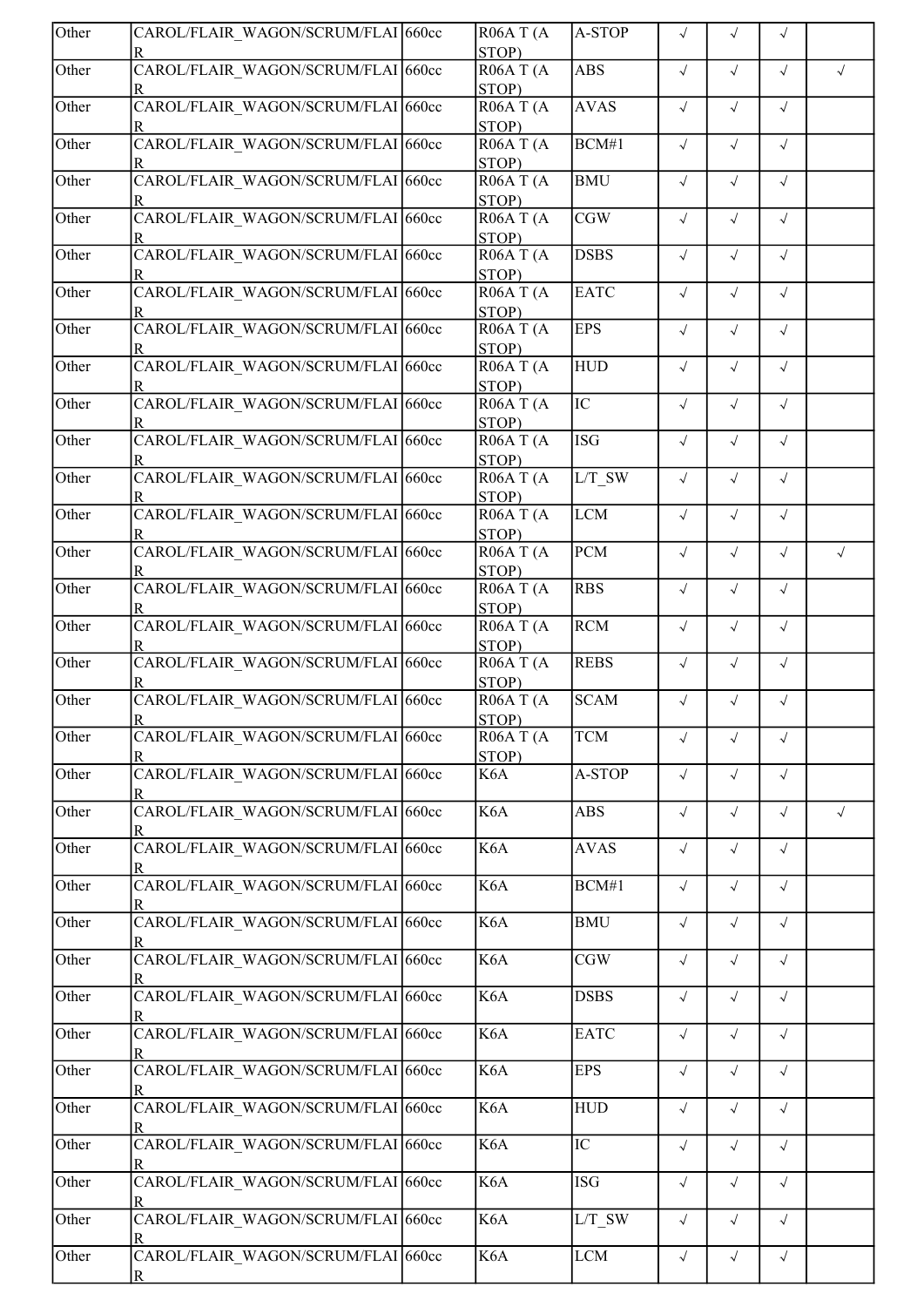| Other | CAROL/FLAIR_WAGON/SCRUM/FLAI 660cc       | R <sub>06</sub> A <sub>T</sub> (A          | A-STOP      | $\sqrt{}$            | $\sqrt{}$  | $\sqrt{ }$ |            |
|-------|------------------------------------------|--------------------------------------------|-------------|----------------------|------------|------------|------------|
| Other | CAROL/FLAIR WAGON/SCRUM/FLAI 660cc       | STOP)<br>R06AT(A                           | ABS         | $\sqrt{ }$           | $\sqrt{}$  | $\sqrt{ }$ | $\sqrt{ }$ |
| Other | CAROL/FLAIR WAGON/SCRUM/FLAI 660cc       | STOP)<br>R06AT(A<br>STOP)                  | <b>AVAS</b> | $\sqrt{ }$           | $\sqrt{}$  | $\sqrt{ }$ |            |
| Other | CAROL/FLAIR WAGON/SCRUM/FLAI 660cc       | $\overline{R0}$ 6A T (A<br>STOP)           | BCM#1       | $\sqrt{ }$           | $\sqrt{}$  | $\sqrt{ }$ |            |
| Other | CAROL/FLAIR WAGON/SCRUM/FLAI 660cc       | R06AT(A<br>STOP)                           | <b>BMU</b>  | $\sqrt{ }$           | $\sqrt{}$  | $\sqrt{ }$ |            |
| Other | CAROL/FLAIR_WAGON/SCRUM/FLAI 660cc       | R06AT(A<br>STOP)                           | CGW         | $\sqrt{\phantom{a}}$ | $\sqrt{ }$ | $\sqrt{ }$ |            |
| Other | CAROL/FLAIR_WAGON/SCRUM/FLAI 660cc       | R <sub>06</sub> A <sub>T</sub> (A<br>STOP) | <b>DSBS</b> | $\sqrt{ }$           | $\sqrt{}$  | $\sqrt{ }$ |            |
| Other | CAROL/FLAIR WAGON/SCRUM/FLAI 660cc       | R <sub>06</sub> A <sub>T</sub> (A<br>STOP) | <b>EATC</b> | $\checkmark$         | $\sqrt{}$  | $\sqrt{ }$ |            |
| Other | CAROL/FLAIR_WAGON/SCRUM/FLAI 660cc       | R06AT (A<br>STOP)                          | <b>EPS</b>  | $\checkmark$         | $\sqrt{}$  | $\sqrt{ }$ |            |
| Other | CAROL/FLAIR_WAGON/SCRUM/FLAI 660cc       | R06AT(A<br>STOP)                           | <b>HUD</b>  | $\checkmark$         | $\sqrt{}$  | $\sqrt{ }$ |            |
| Other | CAROL/FLAIR WAGON/SCRUM/FLAI 660cc       | R06AT (A<br>STOP)                          | IC          | $\checkmark$         | $\sqrt{}$  | $\sqrt{ }$ |            |
| Other | CAROL/FLAIR WAGON/SCRUM/FLAI 660cc       | R06AT (A<br>STOP)                          | <b>ISG</b>  | $\checkmark$         | $\sqrt{}$  | $\sqrt{ }$ |            |
| Other | CAROL/FLAIR_WAGON/SCRUM/FLAI 660cc       | R06AT (A<br>STOP)                          | $L/T$ _SW   | $\checkmark$         | $\sqrt{}$  | $\sqrt{ }$ |            |
| Other | CAROL/FLAIR_WAGON/SCRUM/FLAI 660cc       | R06AT (A<br>STOP)                          | <b>LCM</b>  | $\checkmark$         | $\sqrt{}$  | $\sqrt{ }$ |            |
| Other | CAROL/FLAIR_WAGON/SCRUM/FLAI 660cc       | R06AT(A<br>STOP)                           | PCM         | $\sqrt{ }$           | $\sqrt{}$  | $\sqrt{ }$ | $\sqrt{ }$ |
| Other | CAROL/FLAIR_WAGON/SCRUM/FLAI 660cc       | R06AT(A<br>STOP)                           | <b>RBS</b>  | $\sqrt{ }$           | $\sqrt{}$  | $\sqrt{ }$ |            |
| Other | CAROL/FLAIR_WAGON/SCRUM/FLAI 660cc       | R06AT(A<br>STOP)                           | <b>RCM</b>  | $\sqrt{ }$           | $\sqrt{}$  | $\sqrt{ }$ |            |
| Other | CAROL/FLAIR_WAGON/SCRUM/FLAI 660cc       | R06AT(A<br>STOP)                           | <b>REBS</b> | $\sqrt{ }$           | $\sqrt{}$  | $\sqrt{ }$ |            |
| Other | CAROL/FLAIR WAGON/SCRUM/FLAI 660cc<br>R. | R06AT(A<br>STOP)                           | <b>SCAM</b> | $\sqrt{\phantom{a}}$ | $\sqrt{}$  | $\sqrt{ }$ |            |
| Other | CAROL/FLAIR WAGON/SCRUM/FLAI 660cc       | R06AT(A<br>STOP)                           | <b>TCM</b>  | $\sqrt{2}$           | $\sqrt{}$  | $\sqrt{ }$ |            |
| Other | CAROL/FLAIR WAGON/SCRUM/FLAI 660cc<br>R  | K6A                                        | A-STOP      | $\sqrt{ }$           | $\sqrt{}$  | $\sqrt{}$  |            |
| Other | CAROL/FLAIR WAGON/SCRUM/FLAI 660cc<br>R  | K <sub>6</sub> A                           | ABS         | $\sqrt{ }$           | $\sqrt{}$  | $\sqrt{}$  | $\sqrt{ }$ |
| Other | CAROL/FLAIR WAGON/SCRUM/FLAI 660cc<br>R  | K <sub>6</sub> A                           | <b>AVAS</b> | $\sqrt{ }$           | $\sqrt{}$  | $\sqrt{}$  |            |
| Other | CAROL/FLAIR WAGON/SCRUM/FLAI 660cc<br>R  | K <sub>6</sub> A                           | BCM#1       | $\sqrt{}$            | $\sqrt{ }$ | $\sqrt{}$  |            |
| Other | CAROL/FLAIR_WAGON/SCRUM/FLAI 660cc<br>R  | K <sub>6</sub> A                           | <b>BMU</b>  | $\sqrt{}$            | $\sqrt{ }$ | $\sqrt{}$  |            |
| Other | CAROL/FLAIR_WAGON/SCRUM/FLAI 660cc<br>R  | K <sub>6</sub> A                           | CGW         | $\sqrt{}$            | $\sqrt{}$  | $\sqrt{}$  |            |
| Other | CAROL/FLAIR_WAGON/SCRUM/FLAI 660cc<br>R  | K <sub>6</sub> A                           | <b>DSBS</b> | $\sqrt{}$            | $\sqrt{ }$ | $\sqrt{}$  |            |
| Other | CAROL/FLAIR WAGON/SCRUM/FLAI 660cc<br>R  | K <sub>6</sub> A                           | <b>EATC</b> | $\sqrt{ }$           | $\sqrt{ }$ | $\sqrt{}$  |            |
| Other | CAROL/FLAIR WAGON/SCRUM/FLAI 660cc<br>R. | K <sub>6</sub> A                           | <b>EPS</b>  | $\sqrt{ }$           | $\sqrt{}$  | $\sqrt{}$  |            |
| Other | CAROL/FLAIR WAGON/SCRUM/FLAI 660cc<br>R  | K <sub>6</sub> A                           | <b>HUD</b>  | $\sqrt{ }$           | $\sqrt{ }$ | $\sqrt{}$  |            |
| Other | CAROL/FLAIR WAGON/SCRUM/FLAI 660cc<br>R  | K <sub>6</sub> A                           | IC          | $\sqrt{ }$           | $\sqrt{}$  | $\sqrt{}$  |            |
| Other | CAROL/FLAIR WAGON/SCRUM/FLAI 660cc<br>R  | K6A                                        | <b>ISG</b>  | $\sqrt{ }$           | $\sqrt{}$  | $\sqrt{}$  |            |
| Other | CAROL/FLAIR WAGON/SCRUM/FLAI 660cc<br>R  | K6A                                        | $L/T$ _SW   | $\sqrt{ }$           | $\sqrt{}$  | $\sqrt{}$  |            |
| Other | CAROL/FLAIR WAGON/SCRUM/FLAI 660cc<br>R  | K6A                                        | <b>LCM</b>  | $\sqrt{ }$           | $\sqrt{}$  | $\sqrt{}$  |            |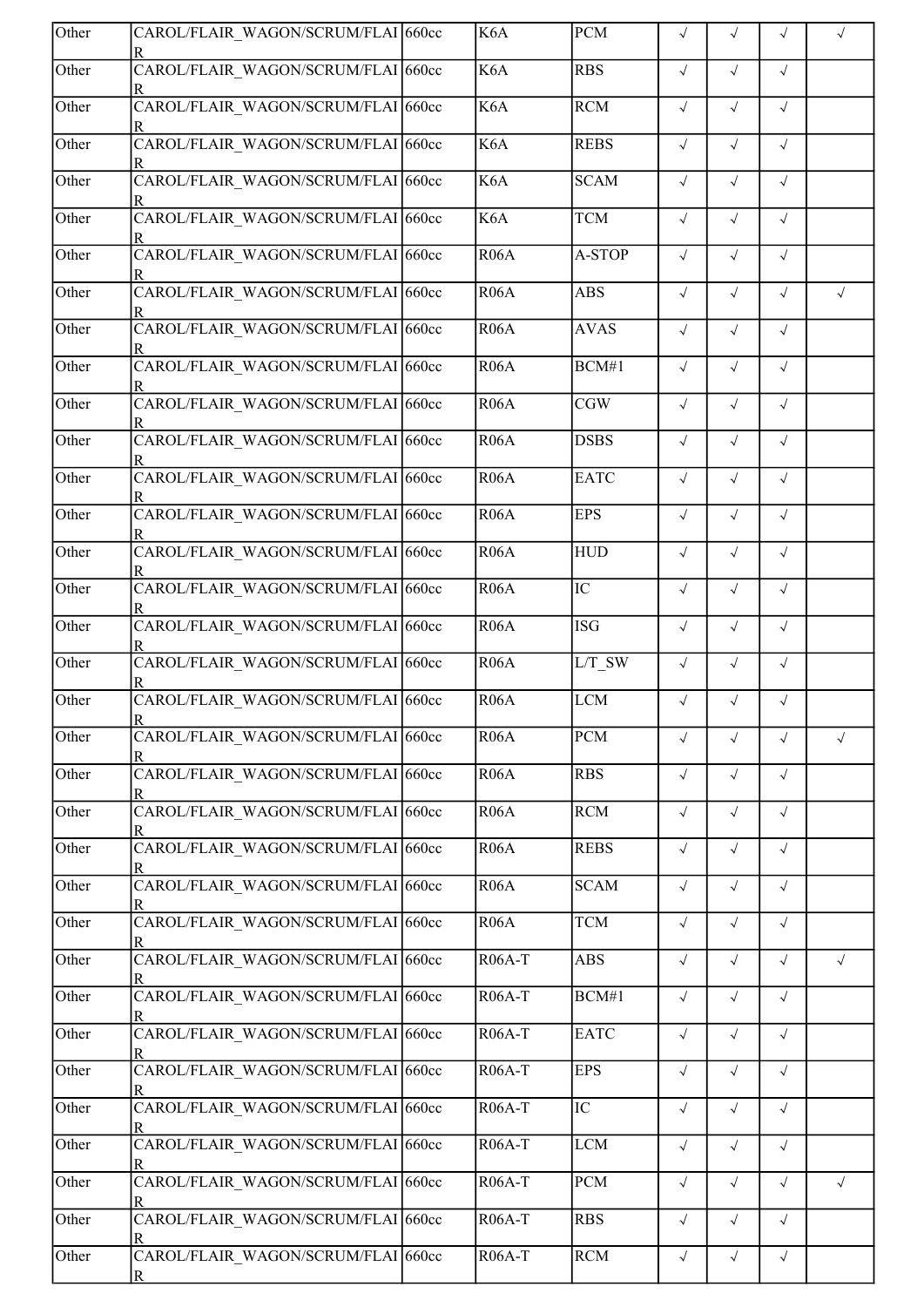| Other | CAROL/FLAIR_WAGON/SCRUM/FLAI 660cc<br>R  | K6A               | <b>PCM</b>  | $\sqrt{ }$   | $\sqrt{}$  | $\sqrt{ }$   | $\sqrt{ }$   |
|-------|------------------------------------------|-------------------|-------------|--------------|------------|--------------|--------------|
| Other | CAROL/FLAIR WAGON/SCRUM/FLAI 660cc       | K6A               | <b>RBS</b>  | $\sqrt{ }$   | $\sqrt{}$  | $\sqrt{ }$   |              |
| Other | R<br>CAROL/FLAIR WAGON/SCRUM/FLAI 660cc  | K6A               | <b>RCM</b>  | $\sqrt{ }$   | $\sqrt{}$  | $\sqrt{ }$   |              |
| Other | R<br>CAROL/FLAIR_WAGON/SCRUM/FLAI 660cc  | K <sub>6</sub> A  | <b>REBS</b> | $\checkmark$ | $\sqrt{}$  | $\sqrt{ }$   |              |
| Other | CAROL/FLAIR_WAGON/SCRUM/FLAI 660cc       | K <sub>6</sub> A  | <b>SCAM</b> | $\checkmark$ | $\sqrt{}$  | $\sqrt{ }$   |              |
| Other | CAROL/FLAIR_WAGON/SCRUM/FLAI 660cc       | K <sub>6</sub> A  | <b>TCM</b>  | $\checkmark$ | $\sqrt{}$  | $\sqrt{ }$   |              |
| Other | CAROL/FLAIR_WAGON/SCRUM/FLAI 660cc       | R <sub>06</sub> A | A-STOP      | $\sqrt{ }$   | $\sqrt{}$  | $\sqrt{ }$   |              |
| Other | CAROL/FLAIR WAGON/SCRUM/FLAI 660cc       | R <sub>06</sub> A | <b>ABS</b>  | $\sqrt{ }$   | $\sqrt{ }$ | $\sqrt{ }$   | $\sqrt{ }$   |
| Other | CAROL/FLAIR_WAGON/SCRUM/FLAI 660cc       | R <sub>06</sub> A | <b>AVAS</b> | $\sqrt{ }$   | $\sqrt{ }$ | $\sqrt{ }$   |              |
| Other | CAROL/FLAIR_WAGON/SCRUM/FLAI 660cc       | R <sub>06</sub> A | BCM#1       | $\sqrt{ }$   | $\sqrt{}$  | $\sqrt{ }$   |              |
| Other | CAROL/FLAIR WAGON/SCRUM/FLAI 660cc       | R <sub>06</sub> A | CGW         | $\checkmark$ | $\sqrt{}$  | $\sqrt{ }$   |              |
| Other | CAROL/FLAIR WAGON/SCRUM/FLAI 660cc       | R <sub>06</sub> A | <b>DSBS</b> | $\checkmark$ | $\sqrt{}$  | $\sqrt{ }$   |              |
| Other | CAROL/FLAIR_WAGON/SCRUM/FLAI 660cc       | R <sub>06</sub> A | <b>EATC</b> | $\checkmark$ | $\sqrt{}$  | $\sqrt{ }$   |              |
| Other | CAROL/FLAIR WAGON/SCRUM/FLAI 660cc       | R <sub>06</sub> A | <b>EPS</b>  | $\sqrt{}$    | $\sqrt{}$  | $\sqrt{ }$   |              |
| Other | CAROL/FLAIR_WAGON/SCRUM/FLAI 660cc       | R <sub>06</sub> A | <b>HUD</b>  | $\sqrt{ }$   | $\sqrt{}$  | $\sqrt{ }$   |              |
| Other | CAROL/FLAIR_WAGON/SCRUM/FLAI 660cc       | R06A              | IC          | $\sqrt{ }$   | $\sqrt{2}$ | $\sqrt{ }$   |              |
| Other | CAROL/FLAIR_WAGON/SCRUM/FLAI 660cc       | R06A              | <b>ISG</b>  | $\sqrt{2}$   | $\sqrt{}$  | $\sqrt{ }$   |              |
| Other | CAROL/FLAIR_WAGON/SCRUM/FLAI 660cc       | R06A              | $L/T$ _SW   | $\sqrt{ }$   | $\sqrt{}$  | $\sqrt{ }$   |              |
| Other | CAROL/FLAIR WAGON/SCRUM/FLAI 660cc       | R <sub>06</sub> A | LCM         | $\checkmark$ | $\sqrt{}$  | $\checkmark$ |              |
| Other | ΙK<br>CAROL/FLAIR WAGON/SCRUM/FLAI 660cc | R <sub>06</sub> A | <b>PCM</b>  | $\checkmark$ | $\sqrt{}$  | $\sqrt{ }$   | $\checkmark$ |
| Other | R<br>CAROL/FLAIR_WAGON/SCRUM/FLAI 660cc  | R06A              | <b>RBS</b>  | $\sqrt{ }$   | $\sqrt{}$  | $\sqrt{}$    |              |
| Other | R<br>CAROL/FLAIR WAGON/SCRUM/FLAI 660cc  | R06A              | <b>RCM</b>  | $\sqrt{ }$   | $\sqrt{}$  | $\sqrt{}$    |              |
| Other | R<br>CAROL/FLAIR_WAGON/SCRUM/FLAI 660cc  | R06A              | <b>REBS</b> | $\sqrt{ }$   | $\sqrt{}$  | $\sqrt{}$    |              |
| Other | R<br>CAROL/FLAIR_WAGON/SCRUM/FLAI 660cc  | R06A              | <b>SCAM</b> | $\sqrt{ }$   | $\sqrt{}$  | $\sqrt{}$    |              |
| Other | R<br>CAROL/FLAIR WAGON/SCRUM/FLAI 660cc  | R06A              | <b>TCM</b>  | $\sqrt{ }$   | $\sqrt{}$  | $\sqrt{}$    |              |
| Other | R<br>CAROL/FLAIR_WAGON/SCRUM/FLAI 660cc  | $R06A-T$          | ABS         | $\sqrt{2}$   | $\sqrt{}$  | $\sqrt{}$    | $\sqrt{ }$   |
| Other | R<br>CAROL/FLAIR_WAGON/SCRUM/FLAI 660cc  | $R06A-T$          | BCM#1       | $\sqrt{ }$   | $\sqrt{}$  | $\sqrt{}$    |              |
| Other | R<br>CAROL/FLAIR WAGON/SCRUM/FLAI 660cc  | $R06A-T$          | <b>EATC</b> | $\sqrt{ }$   | $\sqrt{}$  | $\sqrt{}$    |              |
| Other | R<br>CAROL/FLAIR WAGON/SCRUM/FLAI 660cc  | $R06A-T$          | <b>EPS</b>  | $\sqrt{ }$   | $\sqrt{}$  | $\sqrt{}$    |              |
| Other | R<br>CAROL/FLAIR WAGON/SCRUM/FLAI 660cc  | $R06A-T$          | IC          | $\checkmark$ | $\sqrt{}$  | $\sqrt{}$    |              |
| Other | R<br>CAROL/FLAIR WAGON/SCRUM/FLAI 660cc  | $R06A-T$          | <b>LCM</b>  | $\checkmark$ | $\sqrt{}$  | $\sqrt{}$    |              |
| Other | R<br>CAROL/FLAIR WAGON/SCRUM/FLAI 660cc  | $R06A-T$          | <b>PCM</b>  | $\sqrt{ }$   |            | $\sqrt{}$    |              |
|       | R                                        |                   |             |              | $\sqrt{}$  |              | $\sqrt{ }$   |
| Other | CAROL/FLAIR_WAGON/SCRUM/FLAI 660cc<br>R  | $R06A-T$          | <b>RBS</b>  | $\sqrt{ }$   | $\sqrt{}$  | $\sqrt{}$    |              |
| Other | CAROL/FLAIR WAGON/SCRUM/FLAI 660cc<br>R  | $R06A-T$          | RCM         | $\sqrt{ }$   | $\sqrt{}$  | $\sqrt{}$    |              |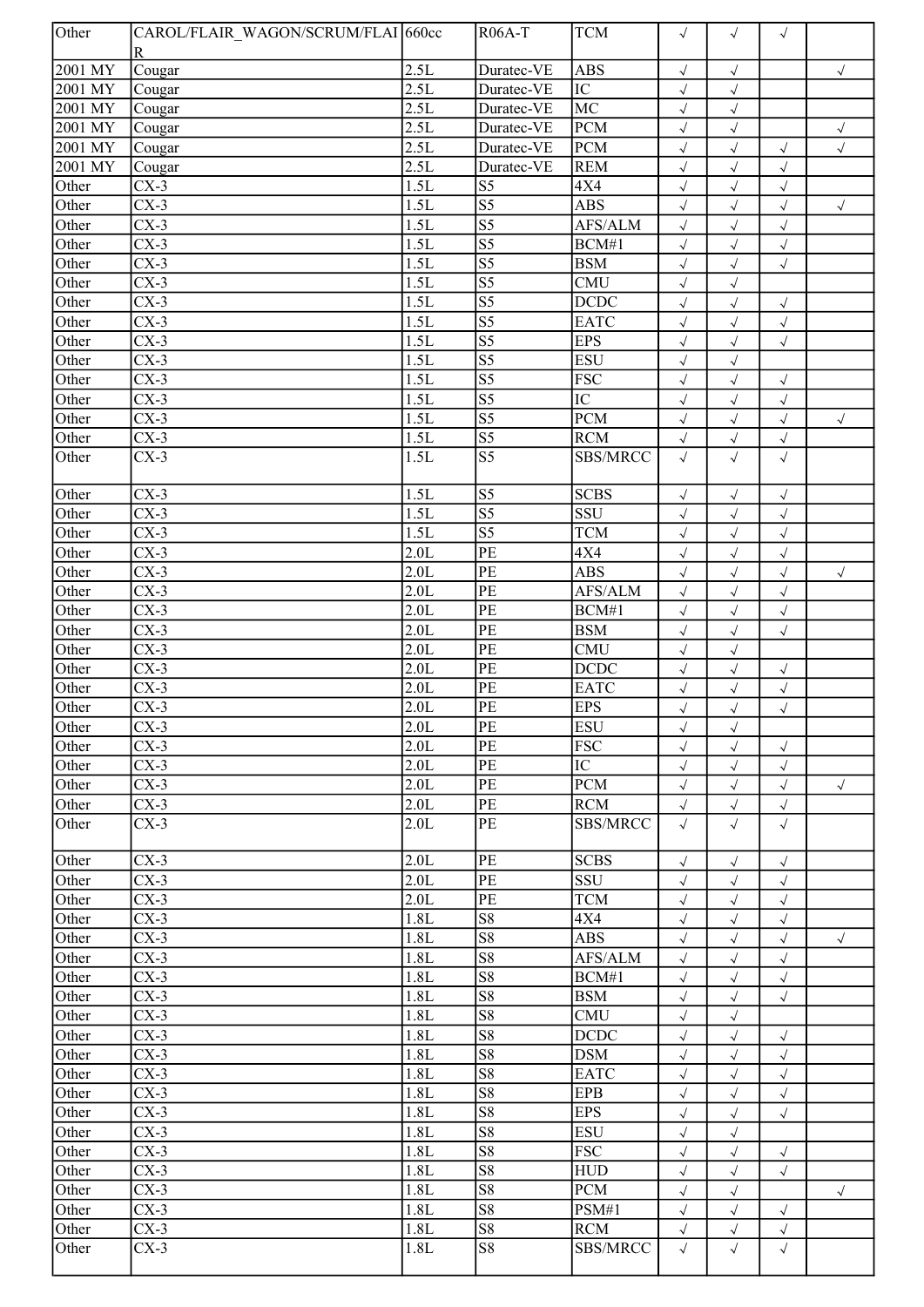| Other   | CAROL/FLAIR WAGON/SCRUM/FLAI 660cc<br>R |        | $R06A-T$               | <b>TCM</b>             | $\sqrt{}$                | $\sqrt{}$               | $\sqrt{ }$              |            |
|---------|-----------------------------------------|--------|------------------------|------------------------|--------------------------|-------------------------|-------------------------|------------|
| 2001 MY | Cougar                                  | 2.5L   | Duratec-VE             | <b>ABS</b>             | $\sqrt{ }$               | $\sqrt{}$               |                         | $\sqrt{}$  |
| 2001 MY | Cougar                                  | 2.5L   | Duratec-VE             | $\overline{\text{IC}}$ | $\checkmark$             | $\sqrt{}$               |                         |            |
| 2001 MY | Cougar                                  | 2.5L   | Duratec-VE             | MC                     | $\sqrt{ }$               | $\sqrt{}$               |                         |            |
| 2001 MY | Cougar                                  | 2.5L   | Duratec-VE             | PCM                    | $\checkmark$             | $\sqrt{}$               |                         | $\sqrt{ }$ |
| 2001 MY | Cougar                                  | 2.5L   | Duratec-VE             | <b>PCM</b>             | $\sqrt{ }$               | $\sqrt{}$               | $\sqrt{ }$              | $\sqrt{}$  |
| 2001 MY | Cougar                                  | 2.5L   | Duratec-VE             | <b>REM</b>             | $\sqrt{ }$               | $\sqrt{}$               | $\sqrt{ }$              |            |
| Other   | $CX-3$                                  | 1.5L   | S <sub>5</sub>         | 4X4                    | $\checkmark$             | $\sqrt{2}$              | $\checkmark$            |            |
| Other   | $CX-3$                                  | 1.5L   | S <sub>5</sub>         | <b>ABS</b>             | $\checkmark$             | $\sqrt{2}$              | $\checkmark$            | $\sqrt{ }$ |
| Other   | $CX-3$                                  | 1.5L   | $\overline{S5}$        | AFS/ALM                | $\sqrt{ }$               | $\sqrt{2}$              | $\sqrt{ }$              |            |
| Other   | $CX-3$                                  | 1.5L   | $\overline{S5}$        | BCM#1                  | $\checkmark$             | $\sqrt{2}$              | $\checkmark$            |            |
| Other   | $CX-3$                                  | 1.5L   | $\overline{\text{S5}}$ | <b>BSM</b>             | $\sqrt{2}$               | $\sqrt{}$               | $\checkmark$            |            |
| Other   | $CX-3$                                  | 1.5L   | $\overline{\text{S5}}$ | <b>CMU</b>             | $\checkmark$             | $\sqrt{}$               |                         |            |
| Other   | $CX-3$                                  | 1.5L   | $\overline{\text{S5}}$ | DCDC                   | $\sqrt{2}$               | $\sqrt{2}$              | $\sqrt{ }$              |            |
| Other   | $CX-3$                                  | 1.5L   | $\overline{\text{S5}}$ | <b>EATC</b>            | $\sqrt{ }$               | $\sqrt{}$               | $\sqrt{2}$              |            |
| Other   | $CX-3$                                  | 1.5L   | $\overline{\text{S5}}$ | <b>EPS</b>             | $\checkmark$             |                         | $\sqrt{ }$              |            |
| Other   | $CX-3$                                  | 1.5L   | $\overline{S5}$        | <b>ESU</b>             |                          | $\sqrt{}$               |                         |            |
| Other   | $CX-3$                                  | 1.5L   | S5                     | <b>FSC</b>             | $\checkmark$             | $\sqrt{ }$              |                         |            |
|         |                                         | 1.5L   | S <sub>5</sub>         | IC                     | $\sqrt{ }$               | $\sqrt{}$               | $\sqrt{ }$              |            |
| Other   | $CX-3$                                  |        | $\overline{\text{S5}}$ |                        | $\checkmark$             | $\sqrt{}$               | $\sqrt{ }$              |            |
| Other   | $CX-3$                                  | 1.5L   |                        | <b>PCM</b>             | $\checkmark$             | $\sqrt{2}$              | $\checkmark$            | $\sqrt{ }$ |
| Other   | $CX-3$                                  | 1.5L   | S5                     | <b>RCM</b>             | $\sqrt{ }$               | $\sqrt{}$               | $\checkmark$            |            |
| Other   | $CX-3$                                  | 1.5L   | S <sub>5</sub>         | <b>SBS/MRCC</b>        | $\sqrt{ }$               | $\sqrt{}$               | $\sqrt{ }$              |            |
| Other   | $CX-3$                                  | 1.5L   | S <sub>5</sub>         | <b>SCBS</b>            | $\sqrt{ }$               | $\sqrt{}$               | $\sqrt{ }$              |            |
| Other   | $CX-3$                                  | 1.5L   | $\overline{S5}$        | SSU                    | $\sqrt{ }$               | $\sqrt{2}$              | $\sqrt{ }$              |            |
| Other   | $CX-3$                                  | 1.5L   | $\overline{\text{S5}}$ | <b>TCM</b>             | $\sqrt{ }$               | $\sqrt{2}$              | $\checkmark$            |            |
| Other   | $\overline{\text{CX-3}}$                | 2.0L   | $\overline{PE}$        | 4X4                    | $\sqrt{2}$               | $\sqrt{ }$              | $\sqrt{2}$              |            |
| Other   | $CX-3$                                  | $2.0L$ | PE                     | <b>ABS</b>             | $\sqrt{ }$               | $\sqrt{}$               | $\sqrt{ }$              | $\sqrt{ }$ |
| Other   | $\overline{\text{CX-3}}$                | 2.0L   | $\overline{PE}$        | AFS/ALM                | $\sqrt{2}$               | $\sqrt{ }$              | $\sqrt{2}$              |            |
| Other   | $\overline{\text{CX-3}}$                | 2.0L   | $\overline{PE}$        | BCM#1                  | $\checkmark$             | $\sqrt{}$               | $\sqrt{ }$              |            |
| Other   | $CX-3$                                  | 2.0L   | PE                     | <b>BSM</b>             | $\sqrt{ }$               | $\sqrt{}$               | $\sqrt{ }$              |            |
| Other   | $CX-3$                                  | 2.0L   | PE                     | <b>CMU</b>             | $\sqrt{\phantom{a}}$     | $\sqrt{}$               |                         |            |
| Other   | $CX-3$                                  | 2.0L   | PE                     | DCDC                   | $\sqrt{ }$               | $\sqrt{}$               | $\sqrt{ }$              |            |
| Other   | $CX-3$                                  | 2.0L   | PE                     | <b>EATC</b>            | $\checkmark$             | $\sqrt{}$               | $\checkmark$            |            |
| Other   | $CX-3$                                  | 2.0L   | PE                     | <b>EPS</b>             | $\sqrt{2}$               | $\sqrt{2}$              | $\sqrt{ }$              |            |
| Other   | $CX-3$                                  | 2.0L   | PE                     | <b>ESU</b>             | $\sqrt{ }$               | $\sqrt{}$               |                         |            |
| Other   | $CX-3$                                  | 2.0L   | PE                     | <b>FSC</b>             | $\sqrt{ }$               | $\sqrt{}$               | $\sqrt{ }$              |            |
| Other   | $CX-3$                                  | 2.0L   | PE                     | IC                     | $\checkmark$             | $\sqrt{}$               | $\sqrt{ }$              |            |
| Other   | $CX-3$                                  | 2.0L   | PE                     | PCM                    | $\sqrt{ }$               |                         | $\sqrt{}$               | $\sqrt{}$  |
| Other   | $CX-3$                                  | 2.0L   | PE                     | <b>RCM</b>             |                          | $\sqrt{}$               |                         |            |
| Other   | $CX-3$                                  | 2.0L   | PE                     | SBS/MRCC               | $\sqrt{ }$<br>$\sqrt{ }$ | $\sqrt{}$<br>$\sqrt{ }$ | $\sqrt{}$<br>$\sqrt{2}$ |            |
|         |                                         |        |                        |                        |                          |                         |                         |            |
| Other   | $CX-3$                                  | 2.0L   | PE                     | <b>SCBS</b>            | $\sqrt{ }$               | $\sqrt{}$               | $\sqrt{ }$              |            |
| Other   | $CX-3$                                  | 2.0L   | PE                     | SSU                    | $\sqrt{ }$               | $\sqrt{}$               | $\sqrt{}$               |            |
| Other   | $CX-3$                                  | 2.0L   | PE                     | <b>TCM</b>             | $\sqrt{}$                | $\sqrt{}$               | $\sqrt{ }$              |            |
| Other   | $CX-3$                                  | 1.8L   | ${\rm S}8$             | 4X4                    | $\sqrt{ }$               | $\sqrt{ }$              | $\sqrt{ }$              |            |
| Other   | $CX-3$                                  | 1.8L   | ${\rm S}8$             | <b>ABS</b>             | $\sqrt{ }$               | $\sqrt{ }$              | $\sqrt{ }$              | $\sqrt{ }$ |
| Other   | $CX-3$                                  | 1.8L   | S8                     | AFS/ALM                | $\sqrt{}$                | $\sqrt{}$               | $\sqrt{ }$              |            |
| Other   | $CX-3$                                  | 1.8L   | S8                     | BCM#1                  | $\sqrt{ }$               | $\sqrt{}$               | $\sqrt{ }$              |            |
| Other   | $CX-3$                                  | 1.8L   | S8                     | <b>BSM</b>             | $\sqrt{ }$               | $\sqrt{}$               | $\sqrt{}$               |            |
| Other   | $CX-3$                                  | 1.8L   | S8                     | <b>CMU</b>             | $\sqrt{}$                | $\sqrt{}$               |                         |            |
| Other   | $CX-3$                                  | 1.8L   | ${\rm S}8$             | DCDC                   | $\sqrt{ }$               | $\sqrt{}$               | $\sqrt{ }$              |            |
| Other   | $CX-3$                                  | 1.8L   | S8                     | <b>DSM</b>             | $\sqrt{ }$               | $\sqrt{}$               | $\sqrt{ }$              |            |
| Other   | $CX-3$                                  | 1.8L   | S8                     | <b>EATC</b>            | $\sqrt{}$                | $\sqrt{}$               | $\sqrt{}$               |            |
| Other   | $CX-3$                                  | 1.8L   | ${\rm S}8$             | <b>EPB</b>             | $\sqrt{ }$               | $\sqrt{}$               | $\sqrt{ }$              |            |
| Other   | $CX-3$                                  | 1.8L   | S <sub>8</sub>         | <b>EPS</b>             | $\checkmark$             | $\sqrt{}$               | $\sqrt{2}$              |            |
| Other   | $CX-3$                                  | 1.8L   | ${\rm S}8$             | <b>ESU</b>             | $\sqrt{}$                | $\sqrt{ }$              |                         |            |
| Other   | $CX-3$                                  | 1.8L   | ${\rm S}8$             | <b>FSC</b>             | $\sqrt{ }$               | $\sqrt{ }$              | $\sqrt{ }$              |            |
| Other   | $CX-3$                                  | 1.8L   | ${\rm S}8$             | <b>HUD</b>             | $\sqrt{ }$               | $\sqrt{ }$              | $\sqrt{ }$              |            |
| Other   | $CX-3$                                  | 1.8L   | S8                     | PCM                    | $\sqrt{ }$               | $\sqrt{}$               |                         | $\sqrt{ }$ |
| Other   | $CX-3$                                  | 1.8L   | S8                     | PSM#1                  | $\sqrt{ }$               | $\sqrt{}$               | $\sqrt{ }$              |            |
| Other   | $CX-3$                                  | 1.8L   | ${\rm S}8$             | <b>RCM</b>             | $\sqrt{ }$               | $\sqrt{}$               | $\sqrt{ }$              |            |
| Other   | $CX-3$                                  | 1.8L   | S8                     | SBS/MRCC               | $\sqrt{ }$               | $\sqrt{}$               | $\sqrt{ }$              |            |
|         |                                         |        |                        |                        |                          |                         |                         |            |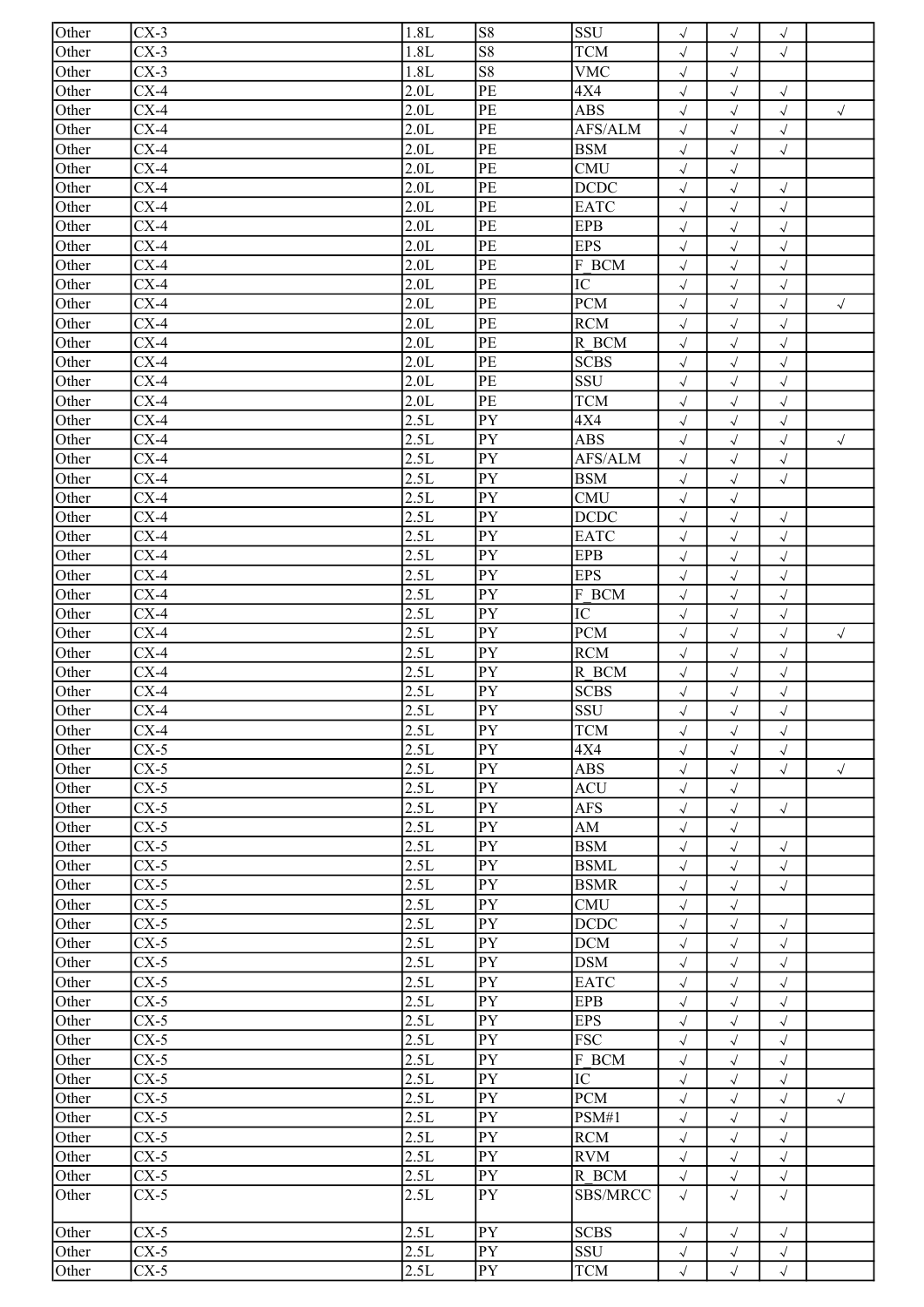| Other | $CX-3$                   | 1.8L   | S8              | SSU             | $\sqrt{ }$           | $\sqrt{}$            | $\sqrt{ }$   |            |
|-------|--------------------------|--------|-----------------|-----------------|----------------------|----------------------|--------------|------------|
| Other | $CX-3$                   | 1.8L   | S8              | <b>TCM</b>      | $\sqrt{ }$           | $\sqrt{}$            | $\sqrt{ }$   |            |
| Other | $CX-3$                   | 1.8L   | ${\rm S}8$      | <b>VMC</b>      | $\sqrt{\phantom{a}}$ | $\sqrt{}$            |              |            |
| Other | $CX-4$                   | 2.0L   | PE              | 4X4             | $\sqrt{ }$           | $\sqrt{}$            | $\sqrt{ }$   |            |
| Other | $CX-4$                   | 2.0L   | PE              | <b>ABS</b>      | $\checkmark$         | $\sqrt{ }$           | $\sqrt{ }$   | $\sqrt{ }$ |
| Other | $CX-4$                   | 2.0L   | PE              | AFS/ALM         | $\checkmark$         | $\sqrt{ }$           | $\sqrt{ }$   |            |
| Other | $CX-4$                   | 2.0L   | PE              | <b>BSM</b>      | $\sqrt{ }$           | $\sqrt{}$            | $\checkmark$ |            |
| Other | $CX-4$                   | 2.0L   | PE              | <b>CMU</b>      | $\sqrt{ }$           | $\sqrt{}$            |              |            |
| Other | $CX-4$                   | 2.0L   | PE              | DCDC            | $\sqrt{ }$           | $\sqrt{ }$           | $\sqrt{}$    |            |
| Other | $CX-4$                   | 2.0L   | PE              | <b>EATC</b>     | $\checkmark$         | $\sqrt{ }$           | $\checkmark$ |            |
| Other | $CX-4$                   | 2.0L   | PE              | <b>EPB</b>      | $\sqrt{2}$           | $\checkmark$         | $\checkmark$ |            |
| Other | $CX-4$                   | 2.0L   | PE              | <b>EPS</b>      | $\sqrt{ }$           | $\sqrt{}$            | $\sqrt{ }$   |            |
| Other | $CX-4$                   | 2.0L   | $\overline{PE}$ | F BCM           | $\sqrt{2}$           | $\sqrt{2}$           | $\sqrt{2}$   |            |
| Other | $CX-4$                   | 2.0L   | PE              | IC              | $\sqrt{ }$           | $\sqrt{}$            | $\sqrt{ }$   |            |
| Other | $CX-4$                   | 2.0L   | $\overline{PE}$ | <b>PCM</b>      | $\sqrt{\phantom{a}}$ | $\sqrt{ }$           | $\sqrt{ }$   | $\sqrt{}$  |
| Other | $CX-4$                   | 2.0L   | PE              | <b>RCM</b>      | $\sqrt{ }$           | $\sqrt{}$            | $\sqrt{}$    |            |
| Other | $CX-4$                   | 2.0L   | PE              | R BCM           | $\sqrt{ }$           | $\sqrt{}$            | $\sqrt{ }$   |            |
| Other | $CX-4$                   | 2.0L   | PE              | <b>SCBS</b>     | $\sqrt{ }$           | $\sqrt{}$            | $\sqrt{ }$   |            |
| Other | $CX-4$                   | 2.0L   | PE              | SSU             | $\checkmark$         | $\sqrt{}$            | $\sqrt{ }$   |            |
| Other | $CX-4$                   | 2.0L   | PE              | <b>TCM</b>      | $\checkmark$         | $\sqrt{2}$           | $\checkmark$ |            |
| Other | $CX-4$                   | 2.5L   | PY              | 4X4             | $\sqrt{ }$           | $\sqrt{ }$           | $\sqrt{ }$   |            |
| Other | $CX-4$                   | 2.5L   | $\overline{PY}$ | <b>ABS</b>      | $\checkmark$         | $\sqrt{ }$           | $\checkmark$ | $\sqrt{ }$ |
| Other | $CX-4$                   | 2.5L   | PY              | AFS/ALM         | $\sqrt{ }$           | $\sqrt{ }$           | $\checkmark$ |            |
| Other | $CX-4$                   | 2.5L   | $\overline{PY}$ | <b>BSM</b>      | $\sqrt{ }$           | $\sqrt{}$            | $\sqrt{ }$   |            |
| Other | $\overline{\text{CX-4}}$ | 2.5L   | $\overline{PY}$ | <b>CMU</b>      | $\sqrt{ }$           | $\sqrt{2}$           |              |            |
| Other | $CX-4$                   | 2.5L   | PY              | DCDC            | $\checkmark$         | $\sqrt{}$            | $\sqrt{ }$   |            |
| Other | $CX-4$                   | 2.5L   | PY              | <b>EATC</b>     | $\sqrt$              | $\sqrt{}$            | $\sqrt{ }$   |            |
| Other | $CX-4$                   | 2.5L   | PY              | <b>EPB</b>      | $\sqrt{ }$           | $\sqrt{}$            | $\sqrt{ }$   |            |
| Other | $CX-4$                   | 2.5L   | PY              | <b>EPS</b>      | $\sqrt{ }$           | $\sqrt{}$            | $\sqrt{ }$   |            |
| Other | $CX-4$                   | 2.5L   | PY              | F BCM           | $\sqrt{ }$           | $\checkmark$         | $\sqrt{}$    |            |
| Other | $CX-4$                   | 2.5L   | PY              | IC              | $\checkmark$         | $\sqrt{ }$           | $\checkmark$ |            |
| Other | $CX-4$                   | 2.5L   | PY              | <b>PCM</b>      | $\sqrt{ }$           | $\sqrt{}$            | $\checkmark$ | $\sqrt{}$  |
| Other | $CX-4$                   | 2.5L   | PY              | RCM             | $\sqrt{ }$           | $\sqrt{}$            | $\sqrt{ }$   |            |
| Other | $CX-4$                   | 2.5L   | PY              | R BCM           | $\checkmark$         | $\sqrt{ }$           | $\checkmark$ |            |
| Other | $CX-4$                   | 2.5L   | $\overline{PY}$ | <b>SCBS</b>     | $\sqrt{ }$           | $\sqrt{ }$           | $\sqrt{ }$   |            |
| Other | $CX-4$                   | 2.5L   | PY              | SSU             | $\sqrt{ }$           | $\sqrt{2}$           | $\sqrt{}$    |            |
| Other | $CX-4$                   | 2.5L   | PY              | <b>TCM</b>      | $\sqrt{ }$           | $\sqrt{ }$           | $\sqrt{ }$   |            |
| Other | $CX-5$                   | 2.5L   | $\overline{PY}$ | 4X4             | $\sqrt{ }$           | $\sqrt{}$            | $\checkmark$ |            |
| Other | $CX-5$                   | 2.5L   | PY              | <b>ABS</b>      | $\sqrt{ }$           | $\sqrt{}$            | $\sqrt{ }$   | $\sqrt{ }$ |
| Other | $CX-5$                   | 2.5L   | PY              | <b>ACU</b>      | $\sqrt{ }$           | $\sqrt{ }$           |              |            |
| Other | $CX-5$                   | 2.5L   | PY              | <b>AFS</b>      | $\sqrt{ }$           | $\sqrt{ }$           | $\sqrt{ }$   |            |
| Other | $CX-5$                   | 2.5L   | PY              | AM              | $\sqrt{ }$           | $\sqrt{}$            |              |            |
| Other | $CX-5$                   | 2.5L   | PY              | <b>BSM</b>      | $\sqrt{ }$           | $\sqrt{}$            | $\sqrt{}$    |            |
| Other | $CX-5$                   | 2.5L   | PY              | <b>BSML</b>     | $\sqrt{ }$           | $\sqrt{}$            | $\sqrt{ }$   |            |
| Other | $CX-5$                   | 2.5L   | PY              | <b>BSMR</b>     | $\sqrt{ }$           | $\sqrt{}$            | $\sqrt{ }$   |            |
| Other | $CX-5$                   | 2.5L   | PY              | <b>CMU</b>      | $\sqrt{ }$           | $\sqrt{}$            |              |            |
| Other | $CX-5$                   | 2.5L   | PY              | <b>DCDC</b>     | $\sqrt{ }$           | $\sqrt{ }$           | $\sqrt{ }$   |            |
| Other | $CX-5$                   | 2.5L   | PY              | DCM             | $\sqrt{ }$           | $\sqrt{}$            | $\sqrt{ }$   |            |
| Other | $CX-5$                   | 2.5L   | PY              | <b>DSM</b>      | $\checkmark$         | $\sqrt{}$            | $\sqrt{ }$   |            |
| Other | $CX-5$                   | 2.5L   | PY              | <b>EATC</b>     | $\sqrt{ }$           | $\sqrt{}$            | $\sqrt{2}$   |            |
| Other | $CX-5$                   | 2.5L   | PY              | <b>EPB</b>      | $\sqrt{ }$           | $\sqrt{}$            | $\sqrt{ }$   |            |
| Other | $CX-5$                   | 2.5L   | PY              | <b>EPS</b>      | $\sqrt{ }$           | $\sqrt{ }$           | $\sqrt{ }$   |            |
| Other | $CX-5$                   | 2.5L   | PY              | <b>FSC</b>      | $\sqrt{ }$           | $\sqrt{ }$           | $\sqrt{ }$   |            |
| Other | $CX-5$                   | 2.5L   | PY              | F BCM           | $\sqrt{ }$           | $\sqrt{ }$           | $\sqrt{ }$   |            |
| Other | $CX-5$                   | 2.5L   | PY              | IC              | $\sqrt{ }$           | $\sqrt{ }$           | $\sqrt{ }$   |            |
| Other | $CX-5$                   | 2.5L   | PY              | <b>PCM</b>      | $\sqrt{ }$           | $\sqrt{}$            | $\sqrt{ }$   | $\sqrt{ }$ |
| Other | $CX-5$                   | 2.5L   | PY              | PSM#1           | $\sqrt{ }$           | $\sqrt{}$            | $\sqrt{ }$   |            |
| Other | $CX-5$                   | 2.5L   | PY              | <b>RCM</b>      | $\sqrt{ }$           | $\sqrt{\phantom{a}}$ | $\sqrt{ }$   |            |
| Other | $CX-5$                   | 2.5L   | PY              | <b>RVM</b>      | $\checkmark$         | $\sqrt{ }$           | $\checkmark$ |            |
| Other | $CX-5$                   | 2.5L   | PY              | R BCM           | $\sqrt{ }$           | $\sqrt{}$            | $\sqrt{ }$   |            |
| Other | $CX-5$                   | 2.5L   | PY              | <b>SBS/MRCC</b> | $\sqrt{ }$           | $\sqrt{ }$           | $\sqrt{ }$   |            |
|       |                          |        |                 |                 |                      |                      |              |            |
| Other | $CX-5$                   | 2.5L   | PY              | <b>SCBS</b>     | $\sqrt{ }$           | $\sqrt{}$            | $\sqrt{ }$   |            |
| Other | $CX-5$                   | 2.5L   | PY              | SSU             | $\sqrt{ }$           | $\sqrt{}$            | $\sqrt{ }$   |            |
| Other | $CX-5$                   | $2.5L$ | PY              | <b>TCM</b>      | $\checkmark$         | $\sqrt{2}$           | $\sqrt{2}$   |            |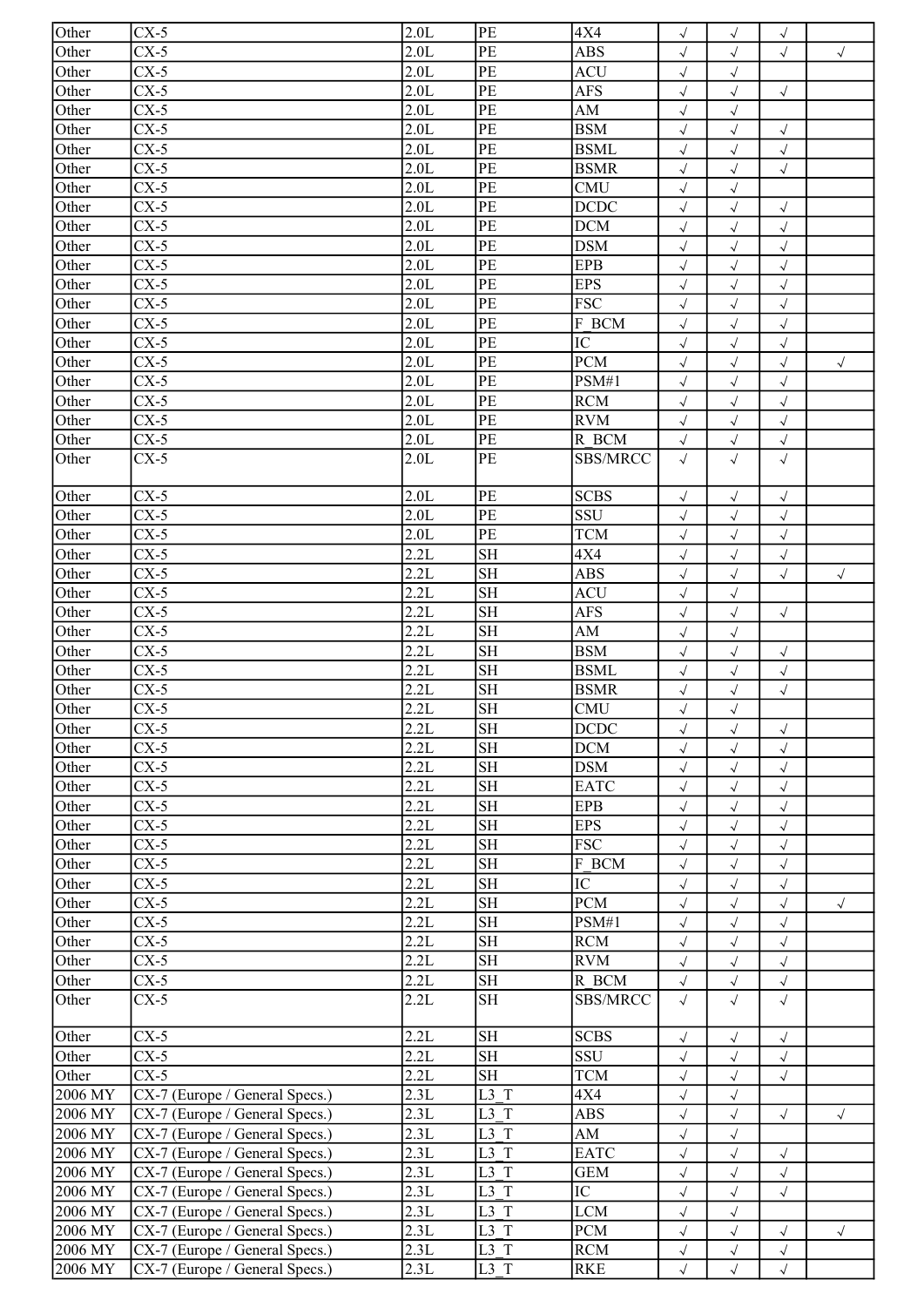| Other   | $CX-5$                         | 2.0L               | PE                     | 4X4                    | $\sqrt{ }$   | $\sqrt{}$            | $\sqrt{}$            |            |
|---------|--------------------------------|--------------------|------------------------|------------------------|--------------|----------------------|----------------------|------------|
| Other   | $CX-5$                         | $2.0\overline{L}$  | PE                     | ABS                    | $\sqrt{ }$   | $\sqrt{}$            | $\sqrt{ }$           | $\sqrt{}$  |
| Other   | $CX-5$                         | 2.0L               | PE                     | <b>ACU</b>             | $\sqrt{ }$   | $\sqrt{ }$           |                      |            |
| Other   | $CX-5$                         | 2.0L               | PE                     | <b>AFS</b>             | $\sqrt{ }$   | $\sqrt{}$            | $\sqrt{\phantom{a}}$ |            |
| Other   | $CX-5$                         | 2.0L               | PE                     | AM                     | $\sqrt{ }$   | $\sqrt{}$            |                      |            |
| Other   | $CX-5$                         | 2.0L               | PE                     | <b>BSM</b>             | $\checkmark$ | $\sqrt{}$            | $\sqrt{}$            |            |
| Other   | $CX-5$                         | 2.0L               | PE                     | <b>BSML</b>            | $\checkmark$ | $\sqrt{}$            | $\checkmark$         |            |
| Other   | $CX-5$                         | 2.0L               | PE                     | <b>BSMR</b>            | $\sqrt{ }$   | $\sqrt{}$            | $\checkmark$         |            |
| Other   | $CX-5$                         | 2.0L               | PE                     | <b>CMU</b>             | $\sqrt{ }$   | $\sqrt{\phantom{a}}$ |                      |            |
| Other   | $CX-5$                         | $\overline{2.0}$ L | PE                     | <b>DCDC</b>            | $\checkmark$ | $\sqrt{ }$           | $\sqrt{ }$           |            |
| Other   | $CX-5$                         | 2.0L               | PE                     | <b>DCM</b>             | $\checkmark$ | $\checkmark$         | $\checkmark$         |            |
| Other   | $CX-5$                         | 2.0L               | PE                     | <b>DSM</b>             | $\checkmark$ | $\sqrt{}$            | $\sqrt{ }$           |            |
| Other   | $CX-5$                         | 2.0L               | $\overline{PE}$        | <b>EPB</b>             | $\sqrt{2}$   | $\sqrt{2}$           | $\sqrt{2}$           |            |
| Other   | $CX-5$                         | 2.0L               | PE                     | <b>EPS</b>             | $\checkmark$ | $\sqrt{}$            | $\sqrt{ }$           |            |
| Other   | $CX-5$                         | 2.0L               | PE                     | <b>FSC</b>             | $\sqrt{ }$   | $\sqrt{ }$           | $\sqrt{ }$           |            |
| Other   | $CX-5$                         | 2.0L               | PE                     | F BCM                  | $\sqrt{ }$   | $\sqrt{ }$           | $\sqrt{ }$           |            |
| Other   | $CX-5$                         | 2.0L               | PE                     | IC                     | $\sqrt{ }$   | $\sqrt{ }$           | $\sqrt{ }$           |            |
| Other   | $CX-5$                         | 2.0L               | PE                     | <b>PCM</b>             | $\checkmark$ | $\sqrt{}$            | $\sqrt{}$            | $\sqrt{ }$ |
| Other   | $CX-5$                         | 2.0L               | PE                     | PSM#1                  | $\checkmark$ | $\sqrt{}$            | $\checkmark$         |            |
| Other   | $CX-5$                         | 2.0L               | PE                     | <b>RCM</b>             | $\checkmark$ | $\sqrt{2}$           | $\checkmark$         |            |
| Other   | $CX-5$                         | 2.0L               | PE                     | <b>RVM</b>             | $\sqrt{ }$   | $\checkmark$         | $\sqrt{ }$           |            |
| Other   | $CX-5$                         | 2.0L               | $\overline{PE}$        | R BCM                  | $\checkmark$ | $\sqrt{}$            | $\checkmark$         |            |
| Other   | $CX-5$                         | 2.0L               | PE                     | <b>SBS/MRCC</b>        | $\sqrt{ }$   | $\sqrt{ }$           | $\sqrt{ }$           |            |
|         |                                |                    |                        |                        |              |                      |                      |            |
| Other   | $CX-5$                         | 2.0L               | PE                     | <b>SCBS</b>            | $\sqrt{ }$   | $\sqrt{ }$           | $\sqrt{ }$           |            |
| Other   | $CX-5$                         | 2.0L               | PE                     | SSU                    | $\checkmark$ | $\sqrt{}$            | $\sqrt{ }$           |            |
| Other   | $CX-5$                         | 2.0L               | $\overline{PE}$        | <b>TCM</b>             | $\checkmark$ | $\sqrt{}$            | $\sqrt{2}$           |            |
| Other   | $CX-5$                         | 2.2L               | $\overline{\text{SH}}$ | 4X4                    | $\checkmark$ | $\sqrt{}$            | $\sqrt{ }$           |            |
| Other   | $CX-5$                         | 2.2L               | $\operatorname{SH}$    | <b>ABS</b>             | $\checkmark$ | $\sqrt{}$            | $\sqrt{ }$           | $\sqrt{ }$ |
| Other   | $CX-5$                         | 2.2L               | $\operatorname{SH}$    | <b>ACU</b>             | $\sqrt{ }$   | $\sqrt{}$            |                      |            |
| Other   | $CX-5$                         | 2.2L               | $\operatorname{SH}$    | <b>AFS</b>             | $\sqrt{ }$   | $\sqrt{}$            | $\sqrt{\phantom{a}}$ |            |
| Other   | $CX-5$                         | 2.2L               | <b>SH</b>              | AM                     | $\sqrt{ }$   | $\sqrt{}$            |                      |            |
| Other   | $CX-5$                         | 2.2L               | <b>SH</b>              | <b>BSM</b>             | $\sqrt{ }$   | $\sqrt{}$            | $\sqrt{}$            |            |
| Other   | $CX-5$                         | 2.2L               | $\operatorname{SH}$    | <b>BSML</b>            | $\sqrt{ }$   | $\checkmark$         | $\checkmark$         |            |
| Other   | $CX-5$                         | 2.2L               | $\operatorname{SH}$    | <b>BSMR</b>            | $\sqrt{}$    | $\sqrt{}$            | $\sqrt{ }$           |            |
| Other   | $CX-5$                         | 2.2L               | $\operatorname{SH}$    | <b>CMU</b>             | $\sqrt{}$    | $\sqrt{ }$           |                      |            |
| Other   | $CX-5$                         | 2.2L               | $\operatorname{SH}$    | <b>DCDC</b>            | $\sqrt{ }$   | $\sqrt{}$            | $\sqrt{ }$           |            |
| Other   | $CX-5$                         | 2.2L               | <b>SH</b>              | <b>DCM</b>             | $\sqrt{2}$   | $\sqrt{2}$           | $\sqrt{2}$           |            |
| Other   | $CX-5$                         | $2.2L$             | SH                     | <b>DSM</b>             | $\sqrt{ }$   | $\sqrt{}$            | $\sqrt{ }$           |            |
| Other   | $CX-5$                         | 2.2L               | $\overline{\text{SH}}$ | <b>EATC</b>            | $\sqrt{ }$   | $\sqrt{}$            | $\sqrt{2}$           |            |
| Other   | $CX-5$                         | 2.2L               | SH                     | <b>EPB</b>             | $\sqrt{ }$   | $\sqrt{}$            | $\sqrt{ }$           |            |
| Other   | $CX-5$                         | 2.2L               | <b>SH</b>              | <b>EPS</b>             | $\sqrt{ }$   | $\sqrt{}$            | $\sqrt{ }$           |            |
| Other   | $CX-5$                         | 2.2L               | $\operatorname{SH}$    | <b>FSC</b>             | $\sqrt{ }$   | $\sqrt{ }$           | $\sqrt{ }$           |            |
| Other   | $CX-5$                         | 2.2L               | <b>SH</b>              | F BCM                  | $\sqrt{ }$   | $\sqrt{}$            | $\sqrt{ }$           |            |
| Other   | $CX-5$                         | 2.2L               | <b>SH</b>              | IC                     | $\sqrt{ }$   | $\sqrt{}$            | $\sqrt{ }$           |            |
| Other   | $CX-5$                         | 2.2L               | $\operatorname{SH}$    | <b>PCM</b>             | $\sqrt{ }$   | $\sqrt{}$            | $\checkmark$         | $\sqrt{}$  |
| Other   | $CX-5$                         | 2.2L               | <b>SH</b>              | PSM#1                  | $\checkmark$ | $\sqrt{}$            | $\checkmark$         |            |
| Other   | $CX-5$                         | 2.2L               | <b>SH</b>              | RCM                    | $\sqrt{ }$   | $\sqrt{}$            | $\checkmark$         |            |
| Other   | $CX-5$                         | 2.2L               | <b>SH</b>              | <b>RVM</b>             | $\sqrt{ }$   | $\sqrt{}$            | $\checkmark$         |            |
| Other   | $CX-5$                         | 2.2L               | $\operatorname{SH}$    | R BCM                  | $\sqrt{ }$   | $\sqrt{2}$           | $\sqrt{ }$           |            |
| Other   | $CX-5$                         | 2.2L               | <b>SH</b>              | <b>SBS/MRCC</b>        | $\sqrt{ }$   | $\sqrt{ }$           | $\sqrt{ }$           |            |
| Other   | $CX-5$                         | 2.2L               | <b>SH</b>              | <b>SCBS</b>            | $\sqrt{ }$   | $\sqrt{}$            | $\sqrt{}$            |            |
| Other   | $CX-5$                         | 2.2L               | $\overline{\text{SH}}$ | SSU                    | $\sqrt{ }$   | $\sqrt{}$            | $\checkmark$         |            |
| Other   | $CX-5$                         | 2.2L               | $\operatorname{SH}$    | <b>TCM</b>             | $\sqrt{ }$   | $\sqrt{}$            | $\sqrt{ }$           |            |
| 2006 MY | CX-7 (Europe / General Specs.) | 2.3L               | L3 T                   | 4X4                    | $\sqrt{ }$   | $\sqrt{}$            |                      |            |
| 2006 MY | CX-7 (Europe / General Specs.) | 2.3L               | L3 T                   | <b>ABS</b>             | $\sqrt{ }$   | $\sqrt{}$            | $\sqrt{ }$           | $\sqrt{ }$ |
| 2006 MY | CX-7 (Europe / General Specs.) | 2.3L               | L3 T                   | $\mathbf{A}\mathbf{M}$ | $\sqrt{ }$   | $\sqrt{}$            |                      |            |
| 2006 MY | CX-7 (Europe / General Specs.) | 2.3L               | L3 T                   | <b>EATC</b>            | $\sqrt{ }$   | $\sqrt{}$            | $\sqrt{ }$           |            |
| 2006 MY | CX-7 (Europe / General Specs.) | 2.3L               | L3 T                   | <b>GEM</b>             | $\sqrt{ }$   | $\sqrt{}$            | $\sqrt{ }$           |            |
| 2006 MY | CX-7 (Europe / General Specs.) | 2.3L               | $L3$ T                 | IC                     | $\sqrt{ }$   | $\sqrt{2}$           | $\sqrt{ }$           |            |
| 2006 MY | CX-7 (Europe / General Specs.) | 2.3L               | L3 T                   | <b>LCM</b>             | $\sqrt{ }$   | $\sqrt{2}$           |                      |            |
| 2006 MY | CX-7 (Europe / General Specs.) | 2.3L               | L3 T                   | <b>PCM</b>             | $\sqrt{ }$   | $\sqrt{}$            | $\checkmark$         | $\sqrt{}$  |
| 2006 MY | CX-7 (Europe / General Specs.) | 2.3L               | L3 T                   | <b>RCM</b>             | $\sqrt{ }$   | $\sqrt{ }$           | $\sqrt{ }$           |            |
| 2006 MY | CX-7 (Europe / General Specs.) | 2.3L               | L3 T                   | <b>RKE</b>             | $\sqrt{}$    | $\sqrt{}$            | $\sqrt{2}$           |            |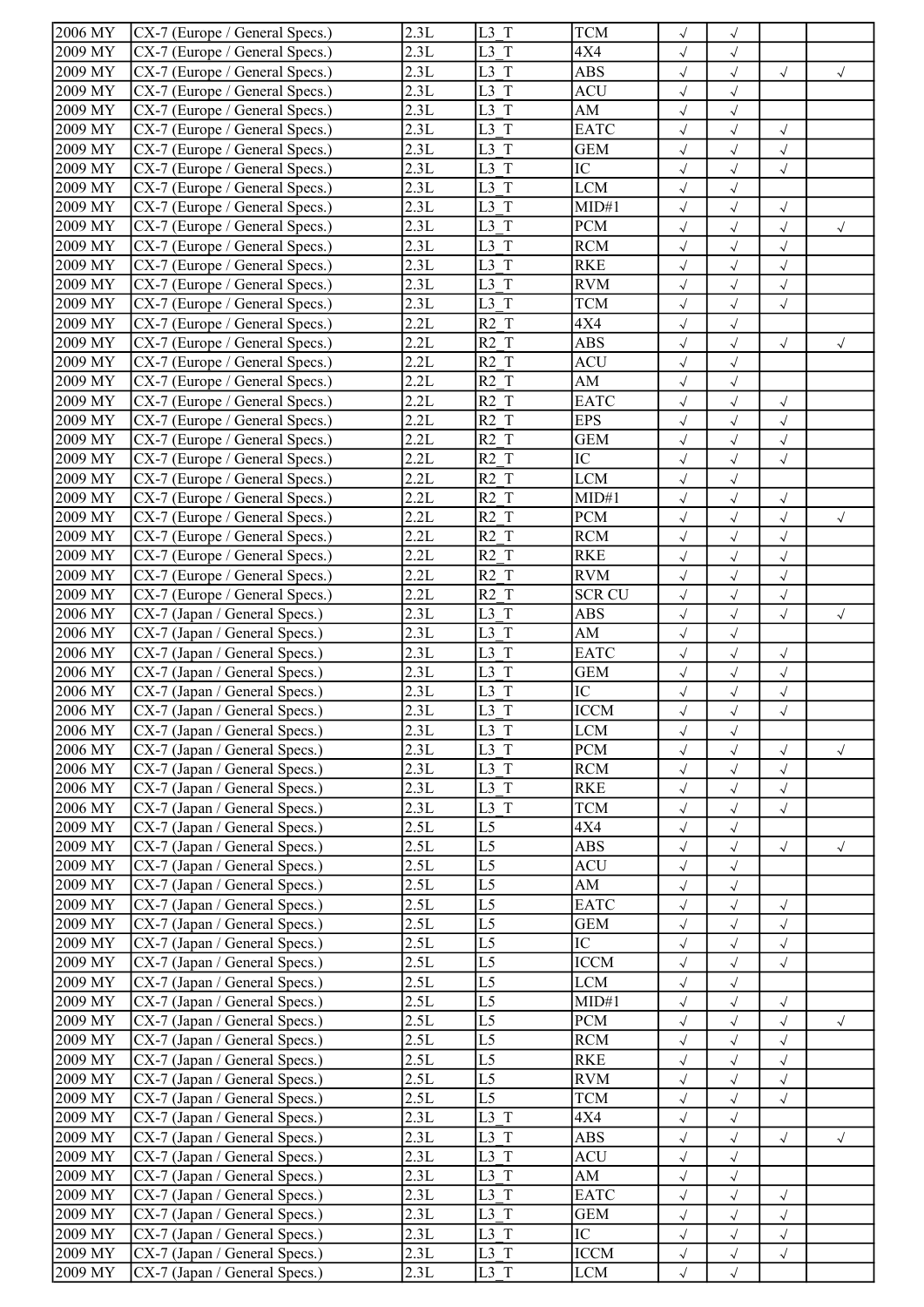| 2006 MY            | CX-7 (Europe / General Specs.)                                 | 2.3L              | L3 T                             | <b>TCM</b>       | $\sqrt{}$                  | $\sqrt{}$               |                            |                      |
|--------------------|----------------------------------------------------------------|-------------------|----------------------------------|------------------|----------------------------|-------------------------|----------------------------|----------------------|
| 2009 MY            | CX-7 (Europe / General Specs.)                                 | 2.3L              | L3 T                             | 4X4              | $\sqrt{2}$                 | $\sqrt{}$               |                            |                      |
| 2009 MY            | CX-7 (Europe / General Specs.)                                 | 2.3L              | L3 T                             | <b>ABS</b>       | $\checkmark$               | $\sqrt{}$               | $\sqrt{\phantom{a}}$       | $\sqrt{}$            |
| 2009 MY            | CX-7 (Europe / General Specs.)                                 | 2.3L              | L3 T                             | <b>ACU</b>       | $\sqrt{ }$                 | $\sqrt{}$               |                            |                      |
| 2009 MY            | CX-7 (Europe / General Specs.)                                 | 2.3L              | L3 T                             | AM               | $\sqrt{ }$                 | $\sqrt{}$               |                            |                      |
| 2009 MY            | CX-7 (Europe / General Specs.)                                 | 2.3L              | L3 T                             | <b>EATC</b>      | $\sqrt{ }$                 | $\sqrt{}$               | $\sqrt{}$                  |                      |
| 2009 MY            | CX-7 (Europe / General Specs.)                                 | 2.3L              | L3 T                             | <b>GEM</b>       | $\sqrt{ }$                 | $\sqrt{}$               | $\checkmark$               |                      |
| 2009 MY            | CX-7 (Europe / General Specs.)                                 | 2.3L              | L3 T                             | IC               | $\sqrt{ }$                 | $\sqrt{}$               | $\sqrt{}$                  |                      |
| 2009 MY            | CX-7 (Europe / General Specs.)                                 | 2.3L              | L3 T                             | <b>LCM</b>       | $\sqrt{ }$                 | $\sqrt{}$               |                            |                      |
| 2009 MY            | CX-7 (Europe / General Specs.)                                 | 2.3L              | $L3$ T                           | MID#1            | $\sqrt{ }$                 | $\sqrt{}$               | $\sqrt{ }$                 |                      |
| 2009 MY            | CX-7 (Europe / General Specs.)                                 | 2.3L              | L3 T                             | <b>PCM</b>       | $\sqrt{2}$                 | $\sqrt{2}$              | $\sqrt{2}$                 | $\sqrt{ }$           |
| 2009 MY            | CX-7 (Europe / General Specs.)                                 | 2.3L              | L3<br>$\mathbf T$                | <b>RCM</b>       | $\sqrt{2}$                 | $\sqrt{}$               | $\sqrt{}$                  |                      |
| 2009 MY            | CX-7 (Europe / General Specs.)                                 | 2.3L              | $\mathbf T$<br>L3                | <b>RKE</b>       | $\sqrt{2}$                 | $\sqrt{2}$              | $\sqrt{2}$                 |                      |
| 2009 MY            | CX-7 (Europe / General Specs.)                                 | 2.3L              | L3 T                             | <b>RVM</b>       | $\checkmark$               | $\sqrt{}$               | $\checkmark$               |                      |
| 2009 MY            | CX-7 (Europe / General Specs.)                                 | 2.3L              | L3 T                             | <b>TCM</b>       | $\checkmark$               | $\sqrt{}$               | $\sqrt{ }$                 |                      |
| 2009 MY            | CX-7 (Europe / General Specs.)                                 | 2.2L              | R <sub>2</sub> T                 | 4X4              | $\checkmark$               | $\sqrt{}$               |                            |                      |
| 2009 MY            | CX-7 (Europe / General Specs.)                                 | 2.2L              | R2T                              | <b>ABS</b>       | $\sqrt{ }$                 | $\sqrt{}$               | $\sqrt{ }$                 | $\sqrt{}$            |
| 2009 MY            | CX-7 (Europe / General Specs.)                                 | 2.2L              | R2T                              | <b>ACU</b>       | $\sqrt{ }$                 | $\sqrt{}$               |                            |                      |
| 2009 MY            | CX-7 (Europe / General Specs.)                                 | 2.2L              | R <sub>2</sub> T                 | AM               | $\checkmark$               | $\sqrt{2}$              |                            |                      |
| 2009 MY            | CX-7 (Europe / General Specs.)                                 | 2.2L              | R2T                              | <b>EATC</b>      | $\sqrt{ }$                 | $\sqrt{2}$              | $\checkmark$               |                      |
| 2009 MY            | CX-7 (Europe / General Specs.)                                 | 2.2L              | R <sub>2</sub> T                 | <b>EPS</b>       | $\checkmark$               | $\sqrt{2}$              | $\sqrt{ }$                 |                      |
| 2009 MY            | CX-7 (Europe / General Specs.)                                 | 2.2L              | R2T                              | <b>GEM</b>       | $\checkmark$               | $\sqrt{2}$              | $\checkmark$               |                      |
| 2009 MY            | CX-7 (Europe / General Specs.)                                 | 2.2L              | R2T                              | IC               | $\sqrt{ }$                 | $\sqrt{2}$              | $\sqrt{2}$                 |                      |
| 2009 MY            | CX-7 (Europe / General Specs.)                                 | 2.2L              | R <sub>2</sub> T                 | <b>LCM</b>       | $\checkmark$               | $\sqrt{}$               |                            |                      |
| 2009 MY            | CX-7 (Europe / General Specs.)                                 | 2.2L              | R <sub>2</sub> T                 | MID#1            | $\sqrt{2}$                 | $\sqrt{2}$              | $\sqrt{ }$                 |                      |
| 2009 MY            | CX-7 (Europe / General Specs.)                                 | 2.2L              | R2T                              | <b>PCM</b>       | $\sqrt{ }$                 | $\sqrt{2}$              | $\checkmark$               | $\sqrt{\phantom{a}}$ |
| 2009 MY            | CX-7 (Europe / General Specs.)                                 | 2.2L              | R <sub>2</sub> T                 | <b>RCM</b>       | $\sqrt{ }$                 | $\sqrt{}$               | $\sqrt{ }$                 |                      |
| 2009 MY            | CX-7 (Europe / General Specs.)                                 | 2.2L              | R <sub>2</sub> T                 | <b>RKE</b>       | $\sqrt{ }$                 | $\sqrt{}$               | $\sqrt{ }$                 |                      |
| 2009 MY            | CX-7 (Europe / General Specs.)                                 | 2.2L              | R2T                              | <b>RVM</b>       | $\sqrt{ }$                 | $\sqrt{}$               | $\sqrt{ }$                 |                      |
| 2009 MY            | CX-7 (Europe / General Specs.)                                 | 2.2L              | R2T                              | <b>SCR CU</b>    | $\sqrt{ }$                 | $\sqrt{}$               | $\sqrt{ }$                 |                      |
| 2006 MY            | CX-7 (Japan / General Specs.)                                  | 2.3L              | L3 T                             | <b>ABS</b>       | $\checkmark$               | $\sqrt{2}$              | $\sqrt{ }$                 | $\sqrt{}$            |
| 2006 MY            | CX-7 (Japan / General Specs.)                                  | 2.3L              | L3 T                             | AM               | $\sqrt{ }$                 | $\sqrt{}$               |                            |                      |
| 2006 MY            | CX-7 (Japan / General Specs.)                                  | 2.3L              | L3 T                             | <b>EATC</b>      | $\sqrt{ }$                 | $\sqrt{}$               | $\sqrt{ }$                 |                      |
| 2006 MY            | CX-7 (Japan / General Specs.)                                  | $\overline{2.3L}$ | L3 T                             | <b>GEM</b>       | $\sqrt{ }$                 | $\sqrt{2}$              | $\checkmark$               |                      |
| 2006 MY            | CX-7 (Japan / General Specs.)                                  | 2.3L              | L3 T                             | IC               | $\checkmark$               | $\sqrt{}$               | $\checkmark$               |                      |
| 2006 MY            | CX-7 (Japan / General Specs.)                                  | 2.3L              | L3 T                             | <b>ICCM</b>      | $\sqrt{2}$                 | $\sqrt{2}$              | $\sqrt{}$                  |                      |
| 2006 MY            | CX-7 (Japan / General Specs.)                                  | 2.3L              | L3 T                             | <b>LCM</b>       | $\sqrt{ }$                 | $\sqrt{}$               |                            |                      |
| 2006 MY            | CX-7 (Japan / General Specs.)                                  | 2.3L              | L3 T                             | <b>PCM</b>       | $\checkmark$               | $\sqrt{}$               | $\sqrt{ }$                 | $\sqrt{ }$           |
| 2006 MY            | CX-7 (Japan / General Specs.)                                  | 2.3L              | L3 T                             | <b>RCM</b>       | $\sqrt{}$                  | $\sqrt{ }$              | $\sqrt{}$                  |                      |
| 2006 MY            | CX-7 (Japan / General Specs.)                                  | 2.3L              | L3 T                             | <b>RKE</b>       | $\sqrt{ }$                 | $\sqrt{ }$              | $\sqrt{ }$                 |                      |
| 2006 MY            | CX-7 (Japan / General Specs.)                                  | 2.3L              | L3 T                             | <b>TCM</b>       | $\sqrt{ }$                 | $\sqrt{}$               | $\sqrt{ }$                 |                      |
| 2009 MY            | CX-7 (Japan / General Specs.)                                  | 2.5L              | L <sub>5</sub>                   | 4X4              | $\sqrt{ }$                 | $\sqrt{}$               |                            |                      |
| 2009 MY            | CX-7 (Japan / General Specs.)                                  | 2.5L              | L <sub>5</sub>                   | ABS              | $\sqrt{ }$                 | $\sqrt{ }$              | $\sqrt{\phantom{a}}$       | $\sqrt{}$            |
| 2009 MY            | CX-7 (Japan / General Specs.)                                  | 2.5L              | L <sub>5</sub>                   | <b>ACU</b>       | $\sqrt{ }$                 | $\sqrt{}$               |                            |                      |
| 2009 MY            | CX-7 (Japan / General Specs.)                                  | 2.5L              | L <sub>5</sub>                   | AM               | $\sqrt{2}$                 | $\sqrt{}$               |                            |                      |
| 2009 MY            | CX-7 (Japan / General Specs.)                                  | 2.5L              | L5                               | <b>EATC</b>      | $\sqrt{ }$                 | $\sqrt{}$               | $\sqrt{ }$                 |                      |
| 2009 MY            | CX-7 (Japan / General Specs.)                                  | 2.5L              | L <sub>5</sub><br>L <sub>5</sub> | <b>GEM</b><br>IC | $\sqrt{ }$                 | $\sqrt{2}$              | $\checkmark$               |                      |
| 2009 MY            | CX-7 (Japan / General Specs.)                                  | 2.5L<br>2.5L      | L <sub>5</sub>                   | <b>ICCM</b>      | $\sqrt{2}$                 | $\checkmark$            | $\sqrt{ }$                 |                      |
| 2009 MY            | CX-7 (Japan / General Specs.)                                  | 2.5L              | $\overline{L5}$                  |                  | $\sqrt{2}$<br>$\sqrt{2}$   | $\sqrt{}$               | $\sqrt{}$                  |                      |
| 2009 MY<br>2009 MY | CX-7 (Japan / General Specs.)<br>CX-7 (Japan / General Specs.) | 2.5L              | L5                               | LCM<br>MID#1     | $\sqrt{}$                  | $\sqrt{2}$              |                            |                      |
| 2009 MY            | CX-7 (Japan / General Specs.)                                  | 2.5L              | L5                               | <b>PCM</b>       |                            | $\sqrt{}$               | $\sqrt{ }$                 |                      |
|                    |                                                                | 2.5L              | L <sub>5</sub>                   | <b>RCM</b>       | $\sqrt{ }$                 | $\sqrt{}$               | $\sqrt{}$                  | $\sqrt{ }$           |
| 2009 MY<br>2009 MY | CX-7 (Japan / General Specs.)<br>CX-7 (Japan / General Specs.) | 2.5L              | L <sub>5</sub>                   | <b>RKE</b>       | $\checkmark$<br>$\sqrt{ }$ | $\sqrt{}$<br>$\sqrt{}$  | $\sqrt{}$<br>$\sqrt{ }$    |                      |
| 2009 MY            | CX-7 (Japan / General Specs.)                                  | 2.5L              | L <sub>5</sub>                   | <b>RVM</b>       | $\sqrt{ }$                 |                         |                            |                      |
| 2009 MY            | CX-7 (Japan / General Specs.)                                  | 2.5L              | L <sub>5</sub>                   | <b>TCM</b>       | $\sqrt{ }$                 | $\sqrt{}$<br>$\sqrt{2}$ | $\sqrt{ }$<br>$\checkmark$ |                      |
| 2009 MY            | CX-7 (Japan / General Specs.)                                  | 2.3L              | L3 T                             | 4X4              | $\sqrt{ }$                 | $\sqrt{}$               |                            |                      |
| 2009 MY            | CX-7 (Japan / General Specs.)                                  | 2.3L              | L3 T                             | <b>ABS</b>       | $\sqrt{ }$                 | $\sqrt{}$               | $\sqrt{ }$                 | $\sqrt{ }$           |
| 2009 MY            | CX-7 (Japan / General Specs.)                                  | 2.3L              | L3 T                             | <b>ACU</b>       | $\sqrt{ }$                 | $\sqrt{2}$              |                            |                      |
| 2009 MY            | CX-7 (Japan / General Specs.)                                  | 2.3L              | L3 T                             | AM               | $\checkmark$               | $\sqrt{2}$              |                            |                      |
| 2009 MY            | CX-7 (Japan / General Specs.)                                  | 2.3L              | L3 T                             | <b>EATC</b>      | $\sqrt{ }$                 | $\sqrt{}$               | $\sqrt{ }$                 |                      |
| 2009 MY            | CX-7 (Japan / General Specs.)                                  | 2.3L              | L3 T                             | <b>GEM</b>       | $\sqrt{2}$                 | $\sqrt{2}$              | $\sqrt{ }$                 |                      |
| 2009 MY            | CX-7 (Japan / General Specs.)                                  | 2.3L              | L3 T                             | IC               | $\sqrt{ }$                 | $\sqrt{}$               | $\sqrt{ }$                 |                      |
| 2009 MY            | CX-7 (Japan / General Specs.)                                  | 2.3L              | L3 T                             | <b>ICCM</b>      | $\sqrt{}$                  | $\sqrt{ }$              | $\sqrt{}$                  |                      |
| 2009 MY            | CX-7 (Japan / General Specs.)                                  | 2.3L              | $L3$ T                           | <b>LCM</b>       | $\sqrt{ }$                 | $\sqrt{}$               |                            |                      |
|                    |                                                                |                   |                                  |                  |                            |                         |                            |                      |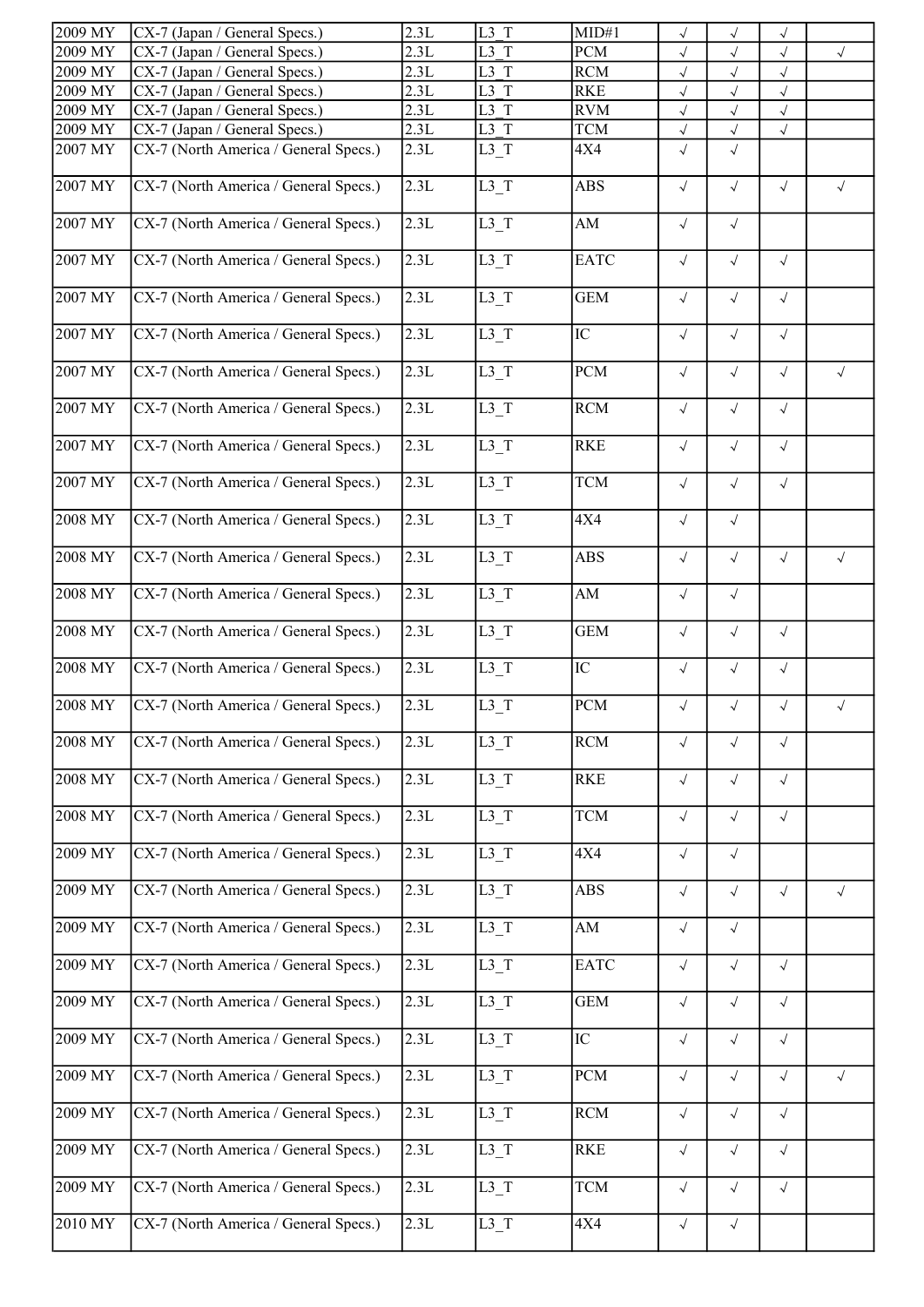| 2009 MY | CX-7 (Japan / General Specs.)         | 2.3L | L3 T              | MID#1                       | $\checkmark$         | $\sqrt{}$  | $\sqrt{}$            |            |
|---------|---------------------------------------|------|-------------------|-----------------------------|----------------------|------------|----------------------|------------|
| 2009 MY | CX-7 (Japan / General Specs.)         | 2.3L | L3 T              | <b>PCM</b>                  | $\sqrt{ }$           | $\sqrt{}$  | $\checkmark$         | $\sqrt{}$  |
| 2009 MY | CX-7 (Japan / General Specs.)         | 2.3L | L3 T              | <b>RCM</b>                  | $\sqrt{ }$           | $\sqrt{}$  | $\sqrt{ }$           |            |
| 2009 MY | CX-7 (Japan / General Specs.)         | 2.3L | L3 T              | <b>RKE</b>                  | $\sqrt{ }$           | $\sqrt{ }$ | $\sqrt{}$            |            |
| 2009 MY | CX-7 (Japan / General Specs.)         | 2.3L | L3 T              | <b>RVM</b>                  | $\sqrt{ }$           | $\sqrt{ }$ | $\sqrt{ }$           |            |
| 2009 MY | CX-7 (Japan / General Specs.)         | 2.3L | L3 T              | <b>TCM</b>                  | $\sqrt{ }$           | $\sqrt{}$  | $\sqrt{ }$           |            |
| 2007 MY | CX-7 (North America / General Specs.) | 2.3L | L3T               | 4X4                         | $\sqrt{ }$           | $\sqrt{ }$ |                      |            |
| 2007 MY | CX-7 (North America / General Specs.) | 2.3L | $L3$ <sup>T</sup> | <b>ABS</b>                  | $\sqrt{\phantom{a}}$ | $\sqrt{}$  | $\sqrt{ }$           | $\sqrt{ }$ |
| 2007 MY | CX-7 (North America / General Specs.) | 2.3L | L3T               | AM                          | $\sqrt{\phantom{a}}$ | $\sqrt{}$  |                      |            |
| 2007 MY | CX-7 (North America / General Specs.) | 2.3L | $L3$ <sub>T</sub> | <b>EATC</b>                 | $\sqrt{\phantom{a}}$ | $\sqrt{}$  | $\sqrt{}$            |            |
| 2007 MY | CX-7 (North America / General Specs.) | 2.3L | $L3$ <sub>T</sub> | <b>GEM</b>                  | $\sqrt{}$            | $\sqrt{ }$ | $\sqrt{ }$           |            |
| 2007 MY | CX-7 (North America / General Specs.) | 2.3L | $L3$ <sup>T</sup> | ${\rm IC}$                  | $\sqrt{}$            | $\sqrt{ }$ | $\sqrt{ }$           |            |
| 2007 MY | CX-7 (North America / General Specs.) | 2.3L | $L3$ <sup>T</sup> | <b>PCM</b>                  | $\sqrt{}$            | $\sqrt{ }$ | $\sqrt{}$            | $\sqrt{ }$ |
| 2007 MY | CX-7 (North America / General Specs.) | 2.3L | $L3$ <sup>T</sup> | RCM                         | $\sqrt{ }$           | $\sqrt{}$  | $\sqrt{}$            |            |
| 2007 MY | CX-7 (North America / General Specs.) | 2.3L | $L3$ <sup>T</sup> | <b>RKE</b>                  | $\sqrt{ }$           | $\sqrt{}$  | $\sqrt{}$            |            |
| 2007 MY | CX-7 (North America / General Specs.) | 2.3L | $L3$ <sup>T</sup> | <b>TCM</b>                  | $\sqrt{\phantom{a}}$ | $\sqrt{}$  | $\sqrt{}$            |            |
| 2008 MY | CX-7 (North America / General Specs.) | 2.3L | $L3$ <sup>T</sup> | <b>4X4</b>                  | $\sqrt{ }$           | $\sqrt{ }$ |                      |            |
| 2008 MY | CX-7 (North America / General Specs.) | 2.3L | $L3$ <sup>T</sup> | ABS                         | $\sqrt{ }$           | $\sqrt{}$  | $\sqrt{ }$           | $\sqrt{ }$ |
| 2008 MY | CX-7 (North America / General Specs.) | 2.3L | L3T               | $\mathbf{A}\mathbf{M}$      | $\sqrt{ }$           | $\sqrt{ }$ |                      |            |
| 2008 MY | CX-7 (North America / General Specs.) | 2.3L | L3T               | <b>GEM</b>                  | $\sqrt{ }$           | $\sqrt{ }$ | $\sqrt{ }$           |            |
| 2008 MY | CX-7 (North America / General Specs.) | 2.3L | L3T               | ${\rm IC}$                  | $\sqrt{ }$           | $\sqrt{ }$ | $\sqrt{\phantom{a}}$ |            |
| 2008 MY | CX-7 (North America / General Specs.) | 2.3L | L3T               | $\boldsymbol{\mathsf{PCM}}$ | $\sqrt{ }$           | $\sqrt{}$  | $\checkmark$         | $\sqrt{ }$ |
| 2008 MY | CX-7 (North America / General Specs.) | 2.3L | L3 T              | RCM                         | $\sqrt{ }$           | $\sqrt{ }$ | $\sqrt{ }$           |            |
| 2008 MY | CX-7 (North America / General Specs.) | 2.3L | L3T               | <b>RKE</b>                  | $\sqrt{ }$           | $\sqrt{ }$ | $\sqrt{ }$           |            |
| 2008 MY | CX-7 (North America / General Specs.) | 2.3L | L3T               | <b>TCM</b>                  | $\sqrt{ }$           | $\sqrt{ }$ | $\sqrt{ }$           |            |
| 2009 MY | CX-7 (North America / General Specs.) | 2.3L | L3T               | 4X4                         | $\sqrt{ }$           | $\sqrt{ }$ |                      |            |
| 2009 MY | CX-7 (North America / General Specs.) | 2.3L | L3T               | <b>ABS</b>                  | $\sqrt{}$            | $\sqrt{ }$ | $\sqrt{ }$           | $\sqrt{ }$ |
| 2009 MY | CX-7 (North America / General Specs.) | 2.3L | L3T               | AM                          | $\sqrt{}$            | $\sqrt{ }$ |                      |            |
| 2009 MY | CX-7 (North America / General Specs.) | 2.3L | L3T               | <b>EATC</b>                 | $\sqrt{}$            | $\sqrt{ }$ | $\sqrt{ }$           |            |
| 2009 MY | CX-7 (North America / General Specs.) | 2.3L | L3T               | <b>GEM</b>                  | $\sqrt{}$            | $\sqrt{ }$ | $\sqrt{ }$           |            |
| 2009 MY | CX-7 (North America / General Specs.) | 2.3L | $L3$ <sub>T</sub> | IC                          | $\sqrt{}$            | $\sqrt{ }$ | $\sqrt{ }$           |            |
| 2009 MY | CX-7 (North America / General Specs.) | 2.3L | L3T               | <b>PCM</b>                  | $\sqrt{}$            | $\sqrt{}$  | $\sqrt{ }$           | $\sqrt{ }$ |
| 2009 MY | CX-7 (North America / General Specs.) | 2.3L | L3T               | RCM                         | $\sqrt{}$            | $\sqrt{}$  | $\sqrt{ }$           |            |
| 2009 MY | CX-7 (North America / General Specs.) | 2.3L | L3T               | <b>RKE</b>                  | $\sqrt{}$            | $\sqrt{}$  | $\sqrt{}$            |            |
| 2009 MY | CX-7 (North America / General Specs.) | 2.3L | $L3$ <sup>T</sup> | <b>TCM</b>                  | $\sqrt{ }$           | $\sqrt{ }$ | $\sqrt{}$            |            |
| 2010 MY | CX-7 (North America / General Specs.) | 2.3L | $L3$ <sub>T</sub> | 4X4                         | $\sqrt{}$            | $\sqrt{}$  |                      |            |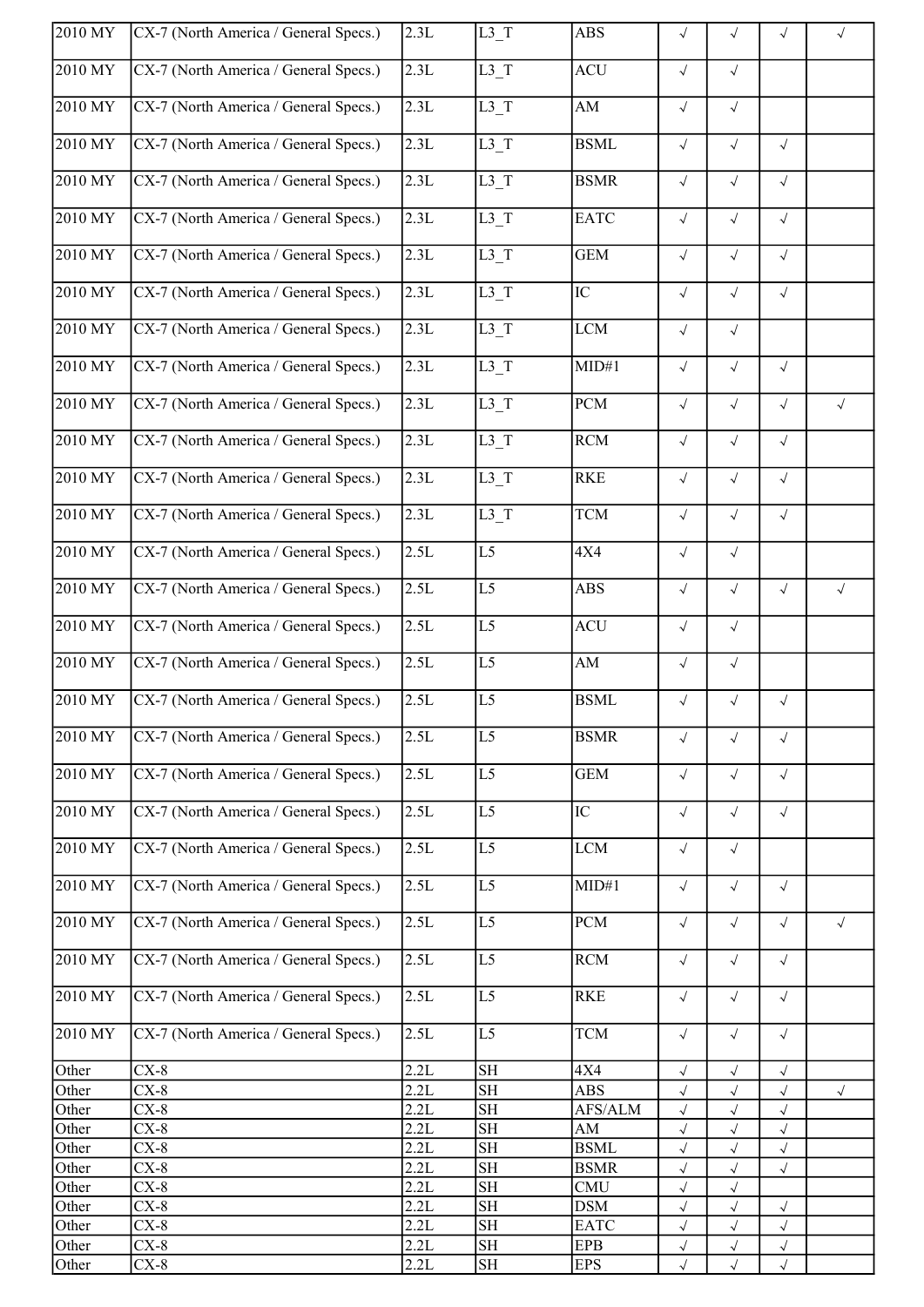| 2010 MY        | CX-7 (North America / General Specs.) | 2.3L               | $L3$ <sub>T</sub>                | ABS                  | $\checkmark$             | $\sqrt{ }$               | $\sqrt{}$                          | $\sqrt{ }$ |
|----------------|---------------------------------------|--------------------|----------------------------------|----------------------|--------------------------|--------------------------|------------------------------------|------------|
| 2010 MY        | CX-7 (North America / General Specs.) | 2.3L               | $L3$ <sub>T</sub>                | <b>ACU</b>           | $\sqrt{ }$               | $\sqrt{ }$               |                                    |            |
| 2010 MY        | CX-7 (North America / General Specs.) | 2.3L               | L3T                              | AM                   | $\sqrt{}$                | $\sqrt{ }$               |                                    |            |
| 2010 MY        | CX-7 (North America / General Specs.) | 2.3L               | L3T                              | <b>BSML</b>          | $\sqrt{}$                | $\sqrt{ }$               | $\sqrt{ }$                         |            |
| 2010 MY        | CX-7 (North America / General Specs.) | 2.3L               | L3T                              | <b>BSMR</b>          | $\sqrt{2}$               | $\sqrt{ }$               | $\sqrt{ }$                         |            |
| 2010 MY        | CX-7 (North America / General Specs.) | 2.3L               | L3T                              | <b>EATC</b>          | $\sqrt{ }$               | $\sqrt{}$                | $\sqrt{}$                          |            |
| 2010 MY        | CX-7 (North America / General Specs.) | 2.3L               | L3T                              | $\operatorname{GEM}$ | $\sqrt{ }$               | $\sqrt{ }$               | $\sqrt{ }$                         |            |
| 2010 MY        | CX-7 (North America / General Specs.) | 2.3L               | L3T                              | IC                   | $\sqrt{ }$               | $\sqrt{ }$               | $\sqrt{ }$                         |            |
| 2010 MY        | CX-7 (North America / General Specs.) | 2.3L               | $L3$ <sup>T</sup>                | <b>LCM</b>           | $\sqrt{ }$               | $\sqrt{ }$               |                                    |            |
| 2010 MY        | CX-7 (North America / General Specs.) | 2.3L               | $L3$ <sup>T</sup>                | MID#1                | $\sqrt{ }$               | $\sqrt{}$                | $\sqrt{ }$                         |            |
| 2010 MY        | CX-7 (North America / General Specs.) | 2.3L               | $L3$ <sub>T</sub>                | <b>PCM</b>           | $\sqrt{ }$               | $\sqrt{}$                | $\sqrt{}$                          | $\sqrt{ }$ |
| 2010 MY        | CX-7 (North America / General Specs.) | 2.3L               | $L3$ <sup>T</sup>                | RCM                  | $\sqrt{ }$               | $\sqrt{}$                | $\sqrt{ }$                         |            |
| 2010 MY        | CX-7 (North America / General Specs.) | 2.3L               | L3T                              | <b>RKE</b>           | $\sqrt{}$                | $\sqrt{ }$               | $\sqrt{}$                          |            |
| 2010 MY        | CX-7 (North America / General Specs.) | 2.3L               | L3T                              | <b>TCM</b>           | $\sqrt{}$                | $\sqrt{ }$               | $\sqrt{ }$                         |            |
| 2010 MY        | CX-7 (North America / General Specs.) | 2.5L               | L <sub>5</sub>                   | 4X4                  | $\sqrt{}$                | $\sqrt{ }$               |                                    |            |
| 2010 MY        | CX-7 (North America / General Specs.) | 2.5L               | L <sub>5</sub>                   | <b>ABS</b>           | $\sqrt{}$                | $\sqrt{ }$               | $\sqrt{ }$                         | $\sqrt{ }$ |
| 2010 MY        | CX-7 (North America / General Specs.) | $\overline{2.5}$ L | L <sub>5</sub>                   | <b>ACU</b>           | $\sqrt{ }$               | $\sqrt{ }$               |                                    |            |
| 2010 MY        | CX-7 (North America / General Specs.) | 2.5L               | $\overline{L5}$                  | AM                   | $\sqrt{ }$               | $\sqrt{}$                |                                    |            |
| 2010 MY        | CX-7 (North America / General Specs.) | 2.5L               | L <sub>5</sub>                   | <b>BSML</b>          | $\sqrt{ }$               | $\sqrt{}$                | $\checkmark$                       |            |
| 2010 MY        | CX-7 (North America / General Specs.) | 2.5L               | L <sub>5</sub>                   | <b>BSMR</b>          | $\sqrt{ }$               | $\sqrt{}$                | $\sqrt{}$                          |            |
| 2010 MY        | CX-7 (North America / General Specs.) | 2.5L               | $\overline{L5}$                  | <b>GEM</b>           | $\sqrt{ }$               | $\sqrt{ }$               | $\sqrt{ }$                         |            |
| 2010 MY        | CX-7 (North America / General Specs.) | 2.5L               | $\overline{L5}$                  | IC                   | $\sqrt{ }$               | $\sqrt{ }$               | $\sqrt{ }$                         |            |
| 2010 MY        | CX-7 (North America / General Specs.) | 2.5L               | L <sub>5</sub>                   | LCM                  | $\sqrt{}$                | $\sqrt{}$                |                                    |            |
| 2010 MY        | CX-7 (North America / General Specs.) | 2.5L               | $\overline{L5}$                  | MID#1                | $\sqrt{ }$               | $\sqrt{}$                | $\sqrt{ }$                         |            |
| 2010 MY        | CX-7 (North America / General Specs.) | 2.5L               | $\overline{L5}$                  | <b>PCM</b>           | $\sqrt{}$                | $\sqrt{}$                | $\sqrt{ }$                         | $\sqrt{}$  |
| 2010 MY        | CX-7 (North America / General Specs.) | 2.5L               | L <sub>5</sub>                   | RCM                  | $\sqrt{}$                | $\sqrt{ }$               | $\sqrt{}$                          |            |
| 2010 MY        | CX-7 (North America / General Specs.) | 2.5L               | L <sub>5</sub>                   | <b>RKE</b>           | $\sqrt{ }$               | $\sqrt{ }$               | $\sqrt{ }$                         |            |
| 2010 MY        | CX-7 (North America / General Specs.) | $\overline{2.5L}$  | $\overline{L5}$                  | <b>TCM</b>           | $\sqrt{ }$               | $\sqrt{ }$               | $\sqrt{}$                          |            |
| Other          | $CX-8$                                | 2.2L               | <b>SH</b>                        | 4X4                  | $\sqrt{ }$               | $\sqrt{}$                | $\sqrt{ }$                         |            |
| Other          | $CX-8$                                | 2.2L               | <b>SH</b>                        | <b>ABS</b>           | $\checkmark$             | $\sqrt{ }$               | $\sqrt{ }$                         | $\sqrt{ }$ |
| Other          | $CX-8$                                | 2.2L               | <b>SH</b>                        | AFS/ALM              | $\checkmark$             | $\sqrt{}$                | $\sqrt{ }$                         |            |
| Other          | $CX-8$                                | 2.2L               | <b>SH</b>                        | AM                   | $\sqrt{ }$               | $\sqrt{}$                | $\checkmark$                       |            |
| Other          | $CX-8$                                | 2.2L               | SH                               | <b>BSML</b>          | $\sqrt{2}$               | $\sqrt{}$                | $\sqrt{ }$                         |            |
| Other          | $CX-8$                                | 2.2L               | $\operatorname{SH}$              | <b>BSMR</b>          | $\sqrt{ }$               | $\sqrt{ }$               | $\sqrt{ }$                         |            |
| Other          | $CX-8$                                | 2.2L               | $\operatorname{SH}$<br><b>SH</b> | CMU                  | $\checkmark$             | $\sqrt{ }$               |                                    |            |
| Other<br>Other | $CX-8$<br>CX-8                        | 2.2L<br>2.2L       | <b>SH</b>                        | DSM<br><b>EATC</b>   | $\sqrt{ }$<br>$\sqrt{ }$ | $\sqrt{ }$<br>$\sqrt{ }$ | $\sqrt{\phantom{a}}$<br>$\sqrt{ }$ |            |
| Other          | $CX-8$                                | 2.2L               | <b>SH</b>                        | <b>EPB</b>           | $\sqrt{ }$               | $\sqrt{2}$               | $\sqrt{ }$                         |            |
| Other          | $CX-8$                                | 2.2L               | <b>SH</b>                        | <b>EPS</b>           | $\sqrt{ }$               | $\sqrt{}$                | $\checkmark$                       |            |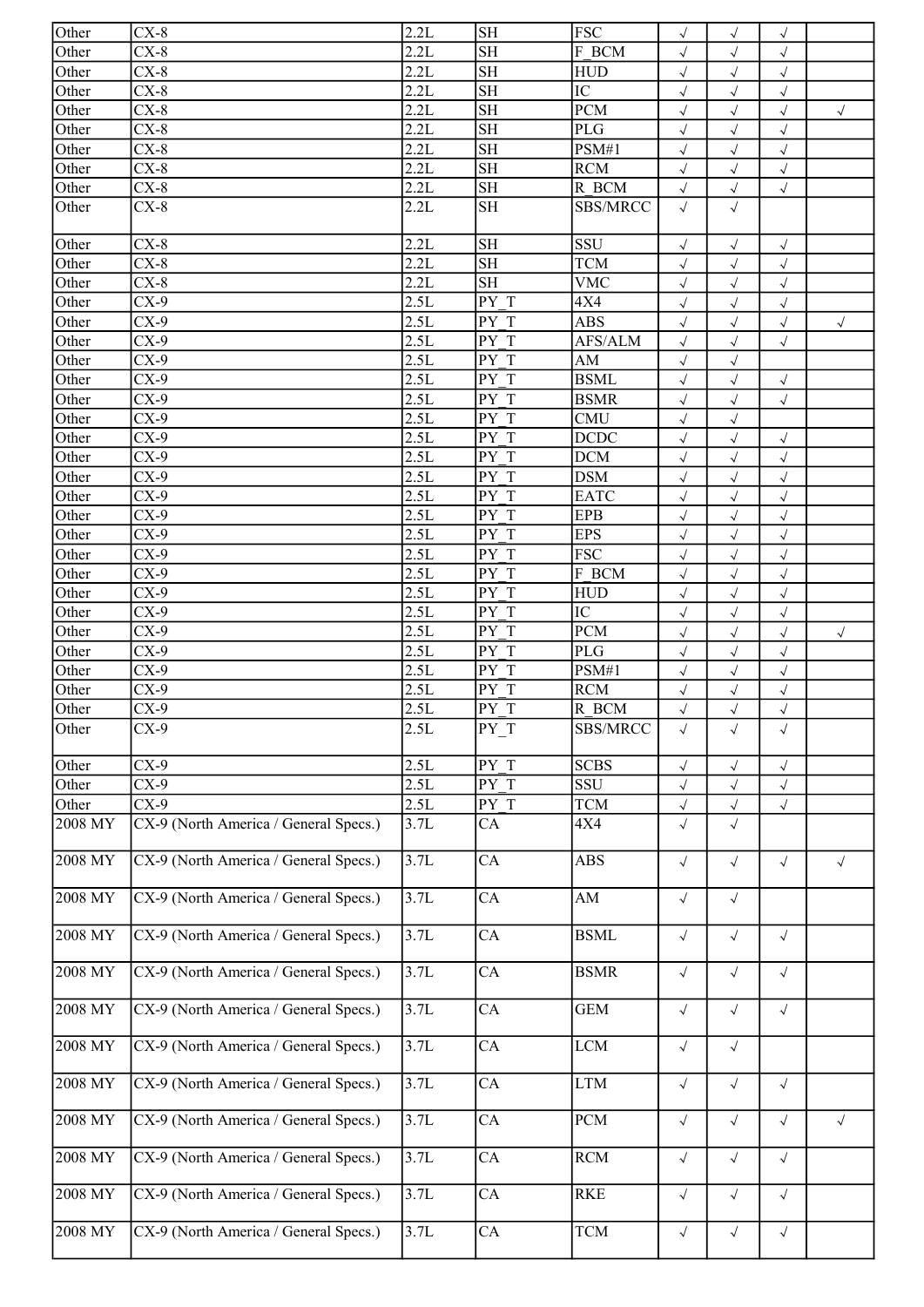| Other<br>$CX-8$<br>F BCM<br>$\sqrt{ }$<br>$\sqrt{}$<br>$\sqrt{ }$<br>2.2L<br>$\operatorname{SH}$<br>$CX-8$<br>Other<br><b>HUD</b><br>$\sqrt{ }$<br>$\sqrt{ }$<br>$\sqrt{ }$<br>2.2L<br>$\operatorname{SH}$<br>IC<br>$CX-8$<br>Other<br>$\sqrt{ }$<br>$\sqrt{}$<br>$\sqrt{ }$<br>$CX-8$<br>2.2L<br>PCM<br><b>SH</b><br>Other<br>$\sqrt{ }$<br>$\sqrt{ }$<br>$\sqrt{}$<br>$\sqrt{}$<br>2.2L<br><b>SH</b><br><b>PLG</b><br>$CX-8$<br>$\sqrt{ }$<br>Other<br>$\sqrt{ }$<br>$\sqrt{}$<br>2.2L<br>$CX-8$<br><b>SH</b><br>PSM#1<br>Other<br>$\sqrt{ }$<br>$\checkmark$<br>$\sqrt{}$<br>$CX-8$<br>2.2L<br>Other<br><b>SH</b><br><b>RCM</b><br>$\sqrt{ }$<br>$\checkmark$<br>$\sqrt{}$<br>2.2L<br>$CX-8$<br>$\operatorname{SH}$<br>R BCM<br>$\sqrt{ }$<br>$\sqrt{ }$<br>Other<br>$\sqrt{}$<br>2.2L<br>$\operatorname{SH}$<br>$CX-8$<br><b>SBS/MRCC</b><br>Other<br>$\sqrt{ }$<br>$\sqrt{ }$<br>$CX-8$<br>2.2L<br><b>SH</b><br><b>SSU</b><br>$\sqrt{ }$<br>$\sqrt{ }$<br>$\sqrt{ }$<br>Other<br>2.2L<br>$CX-8$<br><b>SH</b><br><b>TCM</b><br>Other<br>$\checkmark$<br>$\checkmark$<br>$\sqrt{}$<br>2.2L<br><b>SH</b><br>$CX-8$<br><b>VMC</b><br>Other<br>$\checkmark$<br>$\sqrt{}$<br>$\sqrt{ }$<br>$\sqrt{2}$<br>2.5L<br>PY T<br>$CX-9$<br>Other<br>4X4<br>$\checkmark$<br>$\sqrt{}$<br>2.5L<br>PY T<br>$CX-9$<br>$\checkmark$<br>Other<br><b>ABS</b><br>$\sqrt{}$<br>$\sqrt{}$<br>$\sqrt{}$<br>2.5L<br>$CX-9$<br>PY T<br><b>AFS/ALM</b><br>Other<br>$\sqrt{ }$<br>$\sqrt{}$<br>$\sqrt{ }$<br>2.5L<br>$CX-9$<br>PY T<br>Other<br>AM<br>$\sqrt{ }$<br>$\sqrt{ }$<br>2.5L<br>PY T<br>$CX-9$<br><b>BSML</b><br>Other<br>$\sqrt{ }$<br>$\sqrt{ }$<br>$\sqrt{\phantom{a}}$<br>2.5L<br>PY T<br>$CX-9$<br><b>BSMR</b><br>Other<br>$\checkmark$<br>$\sqrt{ }$<br>$\sqrt{ }$<br>2.5L<br>$CX-9$<br>PY T<br><b>CMU</b><br>$\checkmark$<br>Other<br>$\sqrt{2}$<br>$CX-9$<br>2.5L<br>PY T<br>Other<br><b>DCDC</b><br>$\sqrt{ }$<br>$\sqrt{ }$<br>$\sqrt{ }$<br>2.5L<br>$CX-9$<br>PY T<br><b>DCM</b><br>$\sqrt{ }$<br>$\sqrt{}$<br>$\sqrt{ }$<br>Other<br>2.5L<br>PY T<br>$CX-9$<br><b>DSM</b><br>$\checkmark$<br>Other<br>$\sqrt{2}$<br>$\sqrt{ }$<br>2.5L<br>PY T<br>$CX-9$<br><b>EATC</b><br>$\sqrt{ }$<br>Other<br>$\sqrt{2}$<br>$\sqrt{ }$<br>2.5L<br>PY T<br>$CX-9$<br><b>EPB</b><br>$\sqrt{ }$<br>Other<br>$\sqrt{}$<br>$\sqrt{ }$<br>$CX-9$<br>2.5L<br>PY T<br><b>EPS</b><br>$\sqrt{2}$<br>Other<br>$\checkmark$<br>$\sqrt{}$<br>2.5L<br>$CX-9$<br>PY T<br><b>FSC</b><br>Other<br>$\sqrt{ }$<br>$\sqrt{ }$<br>$\sqrt{}$<br>2.5L<br>PY T<br>F BCM<br>Other<br>$CX-9$<br>$\checkmark$<br>$\sqrt{ }$<br>$\sqrt{}$<br>2.5L<br>$CX-9$<br>PY T<br>Other<br><b>HUD</b><br>$\sqrt{ }$<br>$\sqrt{ }$<br>$\sqrt{}$<br>2.5L<br>PY T<br>IC<br>$CX-9$<br>Other<br>$\sqrt{ }$<br>$\sqrt{ }$<br>$\sqrt{ }$<br>2.5L<br>PY T<br>$CX-9$<br>PCM<br>Other<br>$\sqrt{ }$<br>$\sqrt{}$<br>$\sqrt{}$<br>$\sqrt{ }$<br>$CX-9$<br>2.5L<br>PY T<br>PLG<br>Other<br>$\sqrt{ }$<br>$\sqrt{}$<br>$\sqrt{}$<br>$CX-9$<br>2.5L<br>PY T<br>PSM#1<br>Other<br>$\checkmark$<br>$\sqrt{ }$<br>$\sqrt{}$<br>2.5L<br>PY T<br>$CX-9$<br><b>RCM</b><br>Other<br>$\checkmark$<br>$\sqrt{ }$<br>$\sqrt{}$<br>2.5L<br>$CX-9$<br>PY T<br>R BCM<br>$\sqrt{ }$<br>$\sqrt{ }$<br>$\checkmark$<br>Other<br>2.5L<br>Other<br>$CX-9$<br>PY T<br><b>SBS/MRCC</b><br>$\sqrt{ }$<br>$\sqrt{}$<br>$\sqrt{ }$<br>$CX-9$<br>PY T<br>2.5L<br><b>SCBS</b><br>$\sqrt{ }$<br>Other<br>$\sqrt{ }$<br>$\sqrt{}$<br>2.5L<br>PY T<br><b>SSU</b><br>$CX-9$<br>Other<br>$\sqrt{2}$<br>$\sqrt{}$<br>$\sqrt{}$<br>$CX-9$<br>2.5L<br>PY T<br>Other<br><b>TCM</b><br>$\sqrt{ }$<br>$\sqrt{}$<br>$\sqrt{2}$<br>CX-9 (North America / General Specs.)<br>3.7L<br>2008 MY<br>4X4<br>$\sqrt{2}$<br>CA<br>3.7L<br>CX-9 (North America / General Specs.)<br>$\overline{CA}$<br>2008 MY<br><b>ABS</b><br>$\sqrt{ }$<br>$\sqrt{ }$<br>$\sqrt{ }$<br>$\sqrt{ }$<br>3.7L<br>CX-9 (North America / General Specs.)<br>CA<br>2008 MY<br>${\rm AM}$<br>$\sqrt{ }$<br>$\sqrt{}$<br>3.7L<br>CX-9 (North America / General Specs.)<br>CA<br><b>BSML</b><br>2008 MY<br>$\sqrt{ }$<br>$\sqrt{}$<br>$\sqrt{ }$<br>CX-9 (North America / General Specs.)<br>3.7L<br>$\overline{\text{CA}}$<br><b>BSMR</b><br>2008 MY<br>$\sqrt{ }$<br>$\sqrt{}$<br>$\sqrt{ }$<br>CX-9 (North America / General Specs.)<br>3.7L<br>CA<br><b>GEM</b><br>2008 MY<br>$\sqrt{ }$<br>$\sqrt{}$<br>$\sqrt{ }$<br>3.7L<br>CA<br>CX-9 (North America / General Specs.)<br><b>LCM</b><br>2008 MY<br>$\sqrt{ }$<br>$\sqrt{}$<br>3.7L<br>$\overline{\text{CA}}$<br>2008 MY<br>CX-9 (North America / General Specs.)<br><b>LTM</b><br>$\sqrt{ }$<br>$\sqrt{}$<br>$\sqrt{ }$<br>3.7L<br>$\overline{CA}$<br>2008 MY<br>CX-9 (North America / General Specs.)<br>PCM<br>$\sqrt{ }$<br>$\sqrt{ }$<br>$\sqrt{ }$<br>$\sqrt{ }$<br>3.7L<br>CX-9 (North America / General Specs.)<br>CA<br><b>RCM</b><br>2008 MY<br>$\sqrt{ }$<br>$\sqrt{ }$<br>$\sqrt{ }$<br>$\overline{3.7}$ L<br>CX-9 (North America / General Specs.)<br>CA<br><b>RKE</b><br>2008 MY<br>$\sqrt{ }$<br>$\sqrt{ }$<br>$\sqrt{}$<br>3.7L<br>$\overline{\text{CA}}$<br><b>TCM</b><br>2008 MY<br>CX-9 (North America / General Specs.)<br>$\sqrt{}$<br>$\sqrt{}$<br>$\sqrt{ }$ | Other | $CX-8$ | 2.2L | $\operatorname{SH}$ | <b>FSC</b> | $\sqrt{ }$ | $\sqrt{}$ | $\sqrt{}$ |  |
|---------------------------------------------------------------------------------------------------------------------------------------------------------------------------------------------------------------------------------------------------------------------------------------------------------------------------------------------------------------------------------------------------------------------------------------------------------------------------------------------------------------------------------------------------------------------------------------------------------------------------------------------------------------------------------------------------------------------------------------------------------------------------------------------------------------------------------------------------------------------------------------------------------------------------------------------------------------------------------------------------------------------------------------------------------------------------------------------------------------------------------------------------------------------------------------------------------------------------------------------------------------------------------------------------------------------------------------------------------------------------------------------------------------------------------------------------------------------------------------------------------------------------------------------------------------------------------------------------------------------------------------------------------------------------------------------------------------------------------------------------------------------------------------------------------------------------------------------------------------------------------------------------------------------------------------------------------------------------------------------------------------------------------------------------------------------------------------------------------------------------------------------------------------------------------------------------------------------------------------------------------------------------------------------------------------------------------------------------------------------------------------------------------------------------------------------------------------------------------------------------------------------------------------------------------------------------------------------------------------------------------------------------------------------------------------------------------------------------------------------------------------------------------------------------------------------------------------------------------------------------------------------------------------------------------------------------------------------------------------------------------------------------------------------------------------------------------------------------------------------------------------------------------------------------------------------------------------------------------------------------------------------------------------------------------------------------------------------------------------------------------------------------------------------------------------------------------------------------------------------------------------------------------------------------------------------------------------------------------------------------------------------------------------------------------------------------------------------------------------------------------------------------------------------------------------------------------------------------------------------------------------------------------------------------------------------------------------------------------------------------------------------------------------------------------------------------------------------------------------------------------------------------------------------------------------------------------------------------------------------------------------------------------------------------------------------------------------------------------------------------------------------------------------------------------------------------------------------------------------------------------------------------------------------------------------------------------------------------------------------------------------------------------------------------------------------------------------------------------------------------------------------------------------------------------------------------------------------------------------------------------------------------------------------------------------------------------------------------------------------------------------------------------------------------------------------------------------------------------------------------------------------------------------------------------------------------|-------|--------|------|---------------------|------------|------------|-----------|-----------|--|
|                                                                                                                                                                                                                                                                                                                                                                                                                                                                                                                                                                                                                                                                                                                                                                                                                                                                                                                                                                                                                                                                                                                                                                                                                                                                                                                                                                                                                                                                                                                                                                                                                                                                                                                                                                                                                                                                                                                                                                                                                                                                                                                                                                                                                                                                                                                                                                                                                                                                                                                                                                                                                                                                                                                                                                                                                                                                                                                                                                                                                                                                                                                                                                                                                                                                                                                                                                                                                                                                                                                                                                                                                                                                                                                                                                                                                                                                                                                                                                                                                                                                                                                                                                                                                                                                                                                                                                                                                                                                                                                                                                                                                                                                                                                                                                                                                                                                                                                                                                                                                                                                                                                                                                                                   |       |        | 2.2L | <b>SH</b>           |            |            |           |           |  |
|                                                                                                                                                                                                                                                                                                                                                                                                                                                                                                                                                                                                                                                                                                                                                                                                                                                                                                                                                                                                                                                                                                                                                                                                                                                                                                                                                                                                                                                                                                                                                                                                                                                                                                                                                                                                                                                                                                                                                                                                                                                                                                                                                                                                                                                                                                                                                                                                                                                                                                                                                                                                                                                                                                                                                                                                                                                                                                                                                                                                                                                                                                                                                                                                                                                                                                                                                                                                                                                                                                                                                                                                                                                                                                                                                                                                                                                                                                                                                                                                                                                                                                                                                                                                                                                                                                                                                                                                                                                                                                                                                                                                                                                                                                                                                                                                                                                                                                                                                                                                                                                                                                                                                                                                   |       |        |      |                     |            |            |           |           |  |
|                                                                                                                                                                                                                                                                                                                                                                                                                                                                                                                                                                                                                                                                                                                                                                                                                                                                                                                                                                                                                                                                                                                                                                                                                                                                                                                                                                                                                                                                                                                                                                                                                                                                                                                                                                                                                                                                                                                                                                                                                                                                                                                                                                                                                                                                                                                                                                                                                                                                                                                                                                                                                                                                                                                                                                                                                                                                                                                                                                                                                                                                                                                                                                                                                                                                                                                                                                                                                                                                                                                                                                                                                                                                                                                                                                                                                                                                                                                                                                                                                                                                                                                                                                                                                                                                                                                                                                                                                                                                                                                                                                                                                                                                                                                                                                                                                                                                                                                                                                                                                                                                                                                                                                                                   |       |        |      |                     |            |            |           |           |  |
|                                                                                                                                                                                                                                                                                                                                                                                                                                                                                                                                                                                                                                                                                                                                                                                                                                                                                                                                                                                                                                                                                                                                                                                                                                                                                                                                                                                                                                                                                                                                                                                                                                                                                                                                                                                                                                                                                                                                                                                                                                                                                                                                                                                                                                                                                                                                                                                                                                                                                                                                                                                                                                                                                                                                                                                                                                                                                                                                                                                                                                                                                                                                                                                                                                                                                                                                                                                                                                                                                                                                                                                                                                                                                                                                                                                                                                                                                                                                                                                                                                                                                                                                                                                                                                                                                                                                                                                                                                                                                                                                                                                                                                                                                                                                                                                                                                                                                                                                                                                                                                                                                                                                                                                                   |       |        |      |                     |            |            |           |           |  |
|                                                                                                                                                                                                                                                                                                                                                                                                                                                                                                                                                                                                                                                                                                                                                                                                                                                                                                                                                                                                                                                                                                                                                                                                                                                                                                                                                                                                                                                                                                                                                                                                                                                                                                                                                                                                                                                                                                                                                                                                                                                                                                                                                                                                                                                                                                                                                                                                                                                                                                                                                                                                                                                                                                                                                                                                                                                                                                                                                                                                                                                                                                                                                                                                                                                                                                                                                                                                                                                                                                                                                                                                                                                                                                                                                                                                                                                                                                                                                                                                                                                                                                                                                                                                                                                                                                                                                                                                                                                                                                                                                                                                                                                                                                                                                                                                                                                                                                                                                                                                                                                                                                                                                                                                   |       |        |      |                     |            |            |           |           |  |
|                                                                                                                                                                                                                                                                                                                                                                                                                                                                                                                                                                                                                                                                                                                                                                                                                                                                                                                                                                                                                                                                                                                                                                                                                                                                                                                                                                                                                                                                                                                                                                                                                                                                                                                                                                                                                                                                                                                                                                                                                                                                                                                                                                                                                                                                                                                                                                                                                                                                                                                                                                                                                                                                                                                                                                                                                                                                                                                                                                                                                                                                                                                                                                                                                                                                                                                                                                                                                                                                                                                                                                                                                                                                                                                                                                                                                                                                                                                                                                                                                                                                                                                                                                                                                                                                                                                                                                                                                                                                                                                                                                                                                                                                                                                                                                                                                                                                                                                                                                                                                                                                                                                                                                                                   |       |        |      |                     |            |            |           |           |  |
|                                                                                                                                                                                                                                                                                                                                                                                                                                                                                                                                                                                                                                                                                                                                                                                                                                                                                                                                                                                                                                                                                                                                                                                                                                                                                                                                                                                                                                                                                                                                                                                                                                                                                                                                                                                                                                                                                                                                                                                                                                                                                                                                                                                                                                                                                                                                                                                                                                                                                                                                                                                                                                                                                                                                                                                                                                                                                                                                                                                                                                                                                                                                                                                                                                                                                                                                                                                                                                                                                                                                                                                                                                                                                                                                                                                                                                                                                                                                                                                                                                                                                                                                                                                                                                                                                                                                                                                                                                                                                                                                                                                                                                                                                                                                                                                                                                                                                                                                                                                                                                                                                                                                                                                                   |       |        |      |                     |            |            |           |           |  |
|                                                                                                                                                                                                                                                                                                                                                                                                                                                                                                                                                                                                                                                                                                                                                                                                                                                                                                                                                                                                                                                                                                                                                                                                                                                                                                                                                                                                                                                                                                                                                                                                                                                                                                                                                                                                                                                                                                                                                                                                                                                                                                                                                                                                                                                                                                                                                                                                                                                                                                                                                                                                                                                                                                                                                                                                                                                                                                                                                                                                                                                                                                                                                                                                                                                                                                                                                                                                                                                                                                                                                                                                                                                                                                                                                                                                                                                                                                                                                                                                                                                                                                                                                                                                                                                                                                                                                                                                                                                                                                                                                                                                                                                                                                                                                                                                                                                                                                                                                                                                                                                                                                                                                                                                   |       |        |      |                     |            |            |           |           |  |
|                                                                                                                                                                                                                                                                                                                                                                                                                                                                                                                                                                                                                                                                                                                                                                                                                                                                                                                                                                                                                                                                                                                                                                                                                                                                                                                                                                                                                                                                                                                                                                                                                                                                                                                                                                                                                                                                                                                                                                                                                                                                                                                                                                                                                                                                                                                                                                                                                                                                                                                                                                                                                                                                                                                                                                                                                                                                                                                                                                                                                                                                                                                                                                                                                                                                                                                                                                                                                                                                                                                                                                                                                                                                                                                                                                                                                                                                                                                                                                                                                                                                                                                                                                                                                                                                                                                                                                                                                                                                                                                                                                                                                                                                                                                                                                                                                                                                                                                                                                                                                                                                                                                                                                                                   |       |        |      |                     |            |            |           |           |  |
|                                                                                                                                                                                                                                                                                                                                                                                                                                                                                                                                                                                                                                                                                                                                                                                                                                                                                                                                                                                                                                                                                                                                                                                                                                                                                                                                                                                                                                                                                                                                                                                                                                                                                                                                                                                                                                                                                                                                                                                                                                                                                                                                                                                                                                                                                                                                                                                                                                                                                                                                                                                                                                                                                                                                                                                                                                                                                                                                                                                                                                                                                                                                                                                                                                                                                                                                                                                                                                                                                                                                                                                                                                                                                                                                                                                                                                                                                                                                                                                                                                                                                                                                                                                                                                                                                                                                                                                                                                                                                                                                                                                                                                                                                                                                                                                                                                                                                                                                                                                                                                                                                                                                                                                                   |       |        |      |                     |            |            |           |           |  |
|                                                                                                                                                                                                                                                                                                                                                                                                                                                                                                                                                                                                                                                                                                                                                                                                                                                                                                                                                                                                                                                                                                                                                                                                                                                                                                                                                                                                                                                                                                                                                                                                                                                                                                                                                                                                                                                                                                                                                                                                                                                                                                                                                                                                                                                                                                                                                                                                                                                                                                                                                                                                                                                                                                                                                                                                                                                                                                                                                                                                                                                                                                                                                                                                                                                                                                                                                                                                                                                                                                                                                                                                                                                                                                                                                                                                                                                                                                                                                                                                                                                                                                                                                                                                                                                                                                                                                                                                                                                                                                                                                                                                                                                                                                                                                                                                                                                                                                                                                                                                                                                                                                                                                                                                   |       |        |      |                     |            |            |           |           |  |
|                                                                                                                                                                                                                                                                                                                                                                                                                                                                                                                                                                                                                                                                                                                                                                                                                                                                                                                                                                                                                                                                                                                                                                                                                                                                                                                                                                                                                                                                                                                                                                                                                                                                                                                                                                                                                                                                                                                                                                                                                                                                                                                                                                                                                                                                                                                                                                                                                                                                                                                                                                                                                                                                                                                                                                                                                                                                                                                                                                                                                                                                                                                                                                                                                                                                                                                                                                                                                                                                                                                                                                                                                                                                                                                                                                                                                                                                                                                                                                                                                                                                                                                                                                                                                                                                                                                                                                                                                                                                                                                                                                                                                                                                                                                                                                                                                                                                                                                                                                                                                                                                                                                                                                                                   |       |        |      |                     |            |            |           |           |  |
|                                                                                                                                                                                                                                                                                                                                                                                                                                                                                                                                                                                                                                                                                                                                                                                                                                                                                                                                                                                                                                                                                                                                                                                                                                                                                                                                                                                                                                                                                                                                                                                                                                                                                                                                                                                                                                                                                                                                                                                                                                                                                                                                                                                                                                                                                                                                                                                                                                                                                                                                                                                                                                                                                                                                                                                                                                                                                                                                                                                                                                                                                                                                                                                                                                                                                                                                                                                                                                                                                                                                                                                                                                                                                                                                                                                                                                                                                                                                                                                                                                                                                                                                                                                                                                                                                                                                                                                                                                                                                                                                                                                                                                                                                                                                                                                                                                                                                                                                                                                                                                                                                                                                                                                                   |       |        |      |                     |            |            |           |           |  |
|                                                                                                                                                                                                                                                                                                                                                                                                                                                                                                                                                                                                                                                                                                                                                                                                                                                                                                                                                                                                                                                                                                                                                                                                                                                                                                                                                                                                                                                                                                                                                                                                                                                                                                                                                                                                                                                                                                                                                                                                                                                                                                                                                                                                                                                                                                                                                                                                                                                                                                                                                                                                                                                                                                                                                                                                                                                                                                                                                                                                                                                                                                                                                                                                                                                                                                                                                                                                                                                                                                                                                                                                                                                                                                                                                                                                                                                                                                                                                                                                                                                                                                                                                                                                                                                                                                                                                                                                                                                                                                                                                                                                                                                                                                                                                                                                                                                                                                                                                                                                                                                                                                                                                                                                   |       |        |      |                     |            |            |           |           |  |
|                                                                                                                                                                                                                                                                                                                                                                                                                                                                                                                                                                                                                                                                                                                                                                                                                                                                                                                                                                                                                                                                                                                                                                                                                                                                                                                                                                                                                                                                                                                                                                                                                                                                                                                                                                                                                                                                                                                                                                                                                                                                                                                                                                                                                                                                                                                                                                                                                                                                                                                                                                                                                                                                                                                                                                                                                                                                                                                                                                                                                                                                                                                                                                                                                                                                                                                                                                                                                                                                                                                                                                                                                                                                                                                                                                                                                                                                                                                                                                                                                                                                                                                                                                                                                                                                                                                                                                                                                                                                                                                                                                                                                                                                                                                                                                                                                                                                                                                                                                                                                                                                                                                                                                                                   |       |        |      |                     |            |            |           |           |  |
|                                                                                                                                                                                                                                                                                                                                                                                                                                                                                                                                                                                                                                                                                                                                                                                                                                                                                                                                                                                                                                                                                                                                                                                                                                                                                                                                                                                                                                                                                                                                                                                                                                                                                                                                                                                                                                                                                                                                                                                                                                                                                                                                                                                                                                                                                                                                                                                                                                                                                                                                                                                                                                                                                                                                                                                                                                                                                                                                                                                                                                                                                                                                                                                                                                                                                                                                                                                                                                                                                                                                                                                                                                                                                                                                                                                                                                                                                                                                                                                                                                                                                                                                                                                                                                                                                                                                                                                                                                                                                                                                                                                                                                                                                                                                                                                                                                                                                                                                                                                                                                                                                                                                                                                                   |       |        |      |                     |            |            |           |           |  |
|                                                                                                                                                                                                                                                                                                                                                                                                                                                                                                                                                                                                                                                                                                                                                                                                                                                                                                                                                                                                                                                                                                                                                                                                                                                                                                                                                                                                                                                                                                                                                                                                                                                                                                                                                                                                                                                                                                                                                                                                                                                                                                                                                                                                                                                                                                                                                                                                                                                                                                                                                                                                                                                                                                                                                                                                                                                                                                                                                                                                                                                                                                                                                                                                                                                                                                                                                                                                                                                                                                                                                                                                                                                                                                                                                                                                                                                                                                                                                                                                                                                                                                                                                                                                                                                                                                                                                                                                                                                                                                                                                                                                                                                                                                                                                                                                                                                                                                                                                                                                                                                                                                                                                                                                   |       |        |      |                     |            |            |           |           |  |
|                                                                                                                                                                                                                                                                                                                                                                                                                                                                                                                                                                                                                                                                                                                                                                                                                                                                                                                                                                                                                                                                                                                                                                                                                                                                                                                                                                                                                                                                                                                                                                                                                                                                                                                                                                                                                                                                                                                                                                                                                                                                                                                                                                                                                                                                                                                                                                                                                                                                                                                                                                                                                                                                                                                                                                                                                                                                                                                                                                                                                                                                                                                                                                                                                                                                                                                                                                                                                                                                                                                                                                                                                                                                                                                                                                                                                                                                                                                                                                                                                                                                                                                                                                                                                                                                                                                                                                                                                                                                                                                                                                                                                                                                                                                                                                                                                                                                                                                                                                                                                                                                                                                                                                                                   |       |        |      |                     |            |            |           |           |  |
|                                                                                                                                                                                                                                                                                                                                                                                                                                                                                                                                                                                                                                                                                                                                                                                                                                                                                                                                                                                                                                                                                                                                                                                                                                                                                                                                                                                                                                                                                                                                                                                                                                                                                                                                                                                                                                                                                                                                                                                                                                                                                                                                                                                                                                                                                                                                                                                                                                                                                                                                                                                                                                                                                                                                                                                                                                                                                                                                                                                                                                                                                                                                                                                                                                                                                                                                                                                                                                                                                                                                                                                                                                                                                                                                                                                                                                                                                                                                                                                                                                                                                                                                                                                                                                                                                                                                                                                                                                                                                                                                                                                                                                                                                                                                                                                                                                                                                                                                                                                                                                                                                                                                                                                                   |       |        |      |                     |            |            |           |           |  |
|                                                                                                                                                                                                                                                                                                                                                                                                                                                                                                                                                                                                                                                                                                                                                                                                                                                                                                                                                                                                                                                                                                                                                                                                                                                                                                                                                                                                                                                                                                                                                                                                                                                                                                                                                                                                                                                                                                                                                                                                                                                                                                                                                                                                                                                                                                                                                                                                                                                                                                                                                                                                                                                                                                                                                                                                                                                                                                                                                                                                                                                                                                                                                                                                                                                                                                                                                                                                                                                                                                                                                                                                                                                                                                                                                                                                                                                                                                                                                                                                                                                                                                                                                                                                                                                                                                                                                                                                                                                                                                                                                                                                                                                                                                                                                                                                                                                                                                                                                                                                                                                                                                                                                                                                   |       |        |      |                     |            |            |           |           |  |
|                                                                                                                                                                                                                                                                                                                                                                                                                                                                                                                                                                                                                                                                                                                                                                                                                                                                                                                                                                                                                                                                                                                                                                                                                                                                                                                                                                                                                                                                                                                                                                                                                                                                                                                                                                                                                                                                                                                                                                                                                                                                                                                                                                                                                                                                                                                                                                                                                                                                                                                                                                                                                                                                                                                                                                                                                                                                                                                                                                                                                                                                                                                                                                                                                                                                                                                                                                                                                                                                                                                                                                                                                                                                                                                                                                                                                                                                                                                                                                                                                                                                                                                                                                                                                                                                                                                                                                                                                                                                                                                                                                                                                                                                                                                                                                                                                                                                                                                                                                                                                                                                                                                                                                                                   |       |        |      |                     |            |            |           |           |  |
|                                                                                                                                                                                                                                                                                                                                                                                                                                                                                                                                                                                                                                                                                                                                                                                                                                                                                                                                                                                                                                                                                                                                                                                                                                                                                                                                                                                                                                                                                                                                                                                                                                                                                                                                                                                                                                                                                                                                                                                                                                                                                                                                                                                                                                                                                                                                                                                                                                                                                                                                                                                                                                                                                                                                                                                                                                                                                                                                                                                                                                                                                                                                                                                                                                                                                                                                                                                                                                                                                                                                                                                                                                                                                                                                                                                                                                                                                                                                                                                                                                                                                                                                                                                                                                                                                                                                                                                                                                                                                                                                                                                                                                                                                                                                                                                                                                                                                                                                                                                                                                                                                                                                                                                                   |       |        |      |                     |            |            |           |           |  |
|                                                                                                                                                                                                                                                                                                                                                                                                                                                                                                                                                                                                                                                                                                                                                                                                                                                                                                                                                                                                                                                                                                                                                                                                                                                                                                                                                                                                                                                                                                                                                                                                                                                                                                                                                                                                                                                                                                                                                                                                                                                                                                                                                                                                                                                                                                                                                                                                                                                                                                                                                                                                                                                                                                                                                                                                                                                                                                                                                                                                                                                                                                                                                                                                                                                                                                                                                                                                                                                                                                                                                                                                                                                                                                                                                                                                                                                                                                                                                                                                                                                                                                                                                                                                                                                                                                                                                                                                                                                                                                                                                                                                                                                                                                                                                                                                                                                                                                                                                                                                                                                                                                                                                                                                   |       |        |      |                     |            |            |           |           |  |
|                                                                                                                                                                                                                                                                                                                                                                                                                                                                                                                                                                                                                                                                                                                                                                                                                                                                                                                                                                                                                                                                                                                                                                                                                                                                                                                                                                                                                                                                                                                                                                                                                                                                                                                                                                                                                                                                                                                                                                                                                                                                                                                                                                                                                                                                                                                                                                                                                                                                                                                                                                                                                                                                                                                                                                                                                                                                                                                                                                                                                                                                                                                                                                                                                                                                                                                                                                                                                                                                                                                                                                                                                                                                                                                                                                                                                                                                                                                                                                                                                                                                                                                                                                                                                                                                                                                                                                                                                                                                                                                                                                                                                                                                                                                                                                                                                                                                                                                                                                                                                                                                                                                                                                                                   |       |        |      |                     |            |            |           |           |  |
|                                                                                                                                                                                                                                                                                                                                                                                                                                                                                                                                                                                                                                                                                                                                                                                                                                                                                                                                                                                                                                                                                                                                                                                                                                                                                                                                                                                                                                                                                                                                                                                                                                                                                                                                                                                                                                                                                                                                                                                                                                                                                                                                                                                                                                                                                                                                                                                                                                                                                                                                                                                                                                                                                                                                                                                                                                                                                                                                                                                                                                                                                                                                                                                                                                                                                                                                                                                                                                                                                                                                                                                                                                                                                                                                                                                                                                                                                                                                                                                                                                                                                                                                                                                                                                                                                                                                                                                                                                                                                                                                                                                                                                                                                                                                                                                                                                                                                                                                                                                                                                                                                                                                                                                                   |       |        |      |                     |            |            |           |           |  |
|                                                                                                                                                                                                                                                                                                                                                                                                                                                                                                                                                                                                                                                                                                                                                                                                                                                                                                                                                                                                                                                                                                                                                                                                                                                                                                                                                                                                                                                                                                                                                                                                                                                                                                                                                                                                                                                                                                                                                                                                                                                                                                                                                                                                                                                                                                                                                                                                                                                                                                                                                                                                                                                                                                                                                                                                                                                                                                                                                                                                                                                                                                                                                                                                                                                                                                                                                                                                                                                                                                                                                                                                                                                                                                                                                                                                                                                                                                                                                                                                                                                                                                                                                                                                                                                                                                                                                                                                                                                                                                                                                                                                                                                                                                                                                                                                                                                                                                                                                                                                                                                                                                                                                                                                   |       |        |      |                     |            |            |           |           |  |
|                                                                                                                                                                                                                                                                                                                                                                                                                                                                                                                                                                                                                                                                                                                                                                                                                                                                                                                                                                                                                                                                                                                                                                                                                                                                                                                                                                                                                                                                                                                                                                                                                                                                                                                                                                                                                                                                                                                                                                                                                                                                                                                                                                                                                                                                                                                                                                                                                                                                                                                                                                                                                                                                                                                                                                                                                                                                                                                                                                                                                                                                                                                                                                                                                                                                                                                                                                                                                                                                                                                                                                                                                                                                                                                                                                                                                                                                                                                                                                                                                                                                                                                                                                                                                                                                                                                                                                                                                                                                                                                                                                                                                                                                                                                                                                                                                                                                                                                                                                                                                                                                                                                                                                                                   |       |        |      |                     |            |            |           |           |  |
|                                                                                                                                                                                                                                                                                                                                                                                                                                                                                                                                                                                                                                                                                                                                                                                                                                                                                                                                                                                                                                                                                                                                                                                                                                                                                                                                                                                                                                                                                                                                                                                                                                                                                                                                                                                                                                                                                                                                                                                                                                                                                                                                                                                                                                                                                                                                                                                                                                                                                                                                                                                                                                                                                                                                                                                                                                                                                                                                                                                                                                                                                                                                                                                                                                                                                                                                                                                                                                                                                                                                                                                                                                                                                                                                                                                                                                                                                                                                                                                                                                                                                                                                                                                                                                                                                                                                                                                                                                                                                                                                                                                                                                                                                                                                                                                                                                                                                                                                                                                                                                                                                                                                                                                                   |       |        |      |                     |            |            |           |           |  |
|                                                                                                                                                                                                                                                                                                                                                                                                                                                                                                                                                                                                                                                                                                                                                                                                                                                                                                                                                                                                                                                                                                                                                                                                                                                                                                                                                                                                                                                                                                                                                                                                                                                                                                                                                                                                                                                                                                                                                                                                                                                                                                                                                                                                                                                                                                                                                                                                                                                                                                                                                                                                                                                                                                                                                                                                                                                                                                                                                                                                                                                                                                                                                                                                                                                                                                                                                                                                                                                                                                                                                                                                                                                                                                                                                                                                                                                                                                                                                                                                                                                                                                                                                                                                                                                                                                                                                                                                                                                                                                                                                                                                                                                                                                                                                                                                                                                                                                                                                                                                                                                                                                                                                                                                   |       |        |      |                     |            |            |           |           |  |
|                                                                                                                                                                                                                                                                                                                                                                                                                                                                                                                                                                                                                                                                                                                                                                                                                                                                                                                                                                                                                                                                                                                                                                                                                                                                                                                                                                                                                                                                                                                                                                                                                                                                                                                                                                                                                                                                                                                                                                                                                                                                                                                                                                                                                                                                                                                                                                                                                                                                                                                                                                                                                                                                                                                                                                                                                                                                                                                                                                                                                                                                                                                                                                                                                                                                                                                                                                                                                                                                                                                                                                                                                                                                                                                                                                                                                                                                                                                                                                                                                                                                                                                                                                                                                                                                                                                                                                                                                                                                                                                                                                                                                                                                                                                                                                                                                                                                                                                                                                                                                                                                                                                                                                                                   |       |        |      |                     |            |            |           |           |  |
|                                                                                                                                                                                                                                                                                                                                                                                                                                                                                                                                                                                                                                                                                                                                                                                                                                                                                                                                                                                                                                                                                                                                                                                                                                                                                                                                                                                                                                                                                                                                                                                                                                                                                                                                                                                                                                                                                                                                                                                                                                                                                                                                                                                                                                                                                                                                                                                                                                                                                                                                                                                                                                                                                                                                                                                                                                                                                                                                                                                                                                                                                                                                                                                                                                                                                                                                                                                                                                                                                                                                                                                                                                                                                                                                                                                                                                                                                                                                                                                                                                                                                                                                                                                                                                                                                                                                                                                                                                                                                                                                                                                                                                                                                                                                                                                                                                                                                                                                                                                                                                                                                                                                                                                                   |       |        |      |                     |            |            |           |           |  |
|                                                                                                                                                                                                                                                                                                                                                                                                                                                                                                                                                                                                                                                                                                                                                                                                                                                                                                                                                                                                                                                                                                                                                                                                                                                                                                                                                                                                                                                                                                                                                                                                                                                                                                                                                                                                                                                                                                                                                                                                                                                                                                                                                                                                                                                                                                                                                                                                                                                                                                                                                                                                                                                                                                                                                                                                                                                                                                                                                                                                                                                                                                                                                                                                                                                                                                                                                                                                                                                                                                                                                                                                                                                                                                                                                                                                                                                                                                                                                                                                                                                                                                                                                                                                                                                                                                                                                                                                                                                                                                                                                                                                                                                                                                                                                                                                                                                                                                                                                                                                                                                                                                                                                                                                   |       |        |      |                     |            |            |           |           |  |
|                                                                                                                                                                                                                                                                                                                                                                                                                                                                                                                                                                                                                                                                                                                                                                                                                                                                                                                                                                                                                                                                                                                                                                                                                                                                                                                                                                                                                                                                                                                                                                                                                                                                                                                                                                                                                                                                                                                                                                                                                                                                                                                                                                                                                                                                                                                                                                                                                                                                                                                                                                                                                                                                                                                                                                                                                                                                                                                                                                                                                                                                                                                                                                                                                                                                                                                                                                                                                                                                                                                                                                                                                                                                                                                                                                                                                                                                                                                                                                                                                                                                                                                                                                                                                                                                                                                                                                                                                                                                                                                                                                                                                                                                                                                                                                                                                                                                                                                                                                                                                                                                                                                                                                                                   |       |        |      |                     |            |            |           |           |  |
|                                                                                                                                                                                                                                                                                                                                                                                                                                                                                                                                                                                                                                                                                                                                                                                                                                                                                                                                                                                                                                                                                                                                                                                                                                                                                                                                                                                                                                                                                                                                                                                                                                                                                                                                                                                                                                                                                                                                                                                                                                                                                                                                                                                                                                                                                                                                                                                                                                                                                                                                                                                                                                                                                                                                                                                                                                                                                                                                                                                                                                                                                                                                                                                                                                                                                                                                                                                                                                                                                                                                                                                                                                                                                                                                                                                                                                                                                                                                                                                                                                                                                                                                                                                                                                                                                                                                                                                                                                                                                                                                                                                                                                                                                                                                                                                                                                                                                                                                                                                                                                                                                                                                                                                                   |       |        |      |                     |            |            |           |           |  |
|                                                                                                                                                                                                                                                                                                                                                                                                                                                                                                                                                                                                                                                                                                                                                                                                                                                                                                                                                                                                                                                                                                                                                                                                                                                                                                                                                                                                                                                                                                                                                                                                                                                                                                                                                                                                                                                                                                                                                                                                                                                                                                                                                                                                                                                                                                                                                                                                                                                                                                                                                                                                                                                                                                                                                                                                                                                                                                                                                                                                                                                                                                                                                                                                                                                                                                                                                                                                                                                                                                                                                                                                                                                                                                                                                                                                                                                                                                                                                                                                                                                                                                                                                                                                                                                                                                                                                                                                                                                                                                                                                                                                                                                                                                                                                                                                                                                                                                                                                                                                                                                                                                                                                                                                   |       |        |      |                     |            |            |           |           |  |
|                                                                                                                                                                                                                                                                                                                                                                                                                                                                                                                                                                                                                                                                                                                                                                                                                                                                                                                                                                                                                                                                                                                                                                                                                                                                                                                                                                                                                                                                                                                                                                                                                                                                                                                                                                                                                                                                                                                                                                                                                                                                                                                                                                                                                                                                                                                                                                                                                                                                                                                                                                                                                                                                                                                                                                                                                                                                                                                                                                                                                                                                                                                                                                                                                                                                                                                                                                                                                                                                                                                                                                                                                                                                                                                                                                                                                                                                                                                                                                                                                                                                                                                                                                                                                                                                                                                                                                                                                                                                                                                                                                                                                                                                                                                                                                                                                                                                                                                                                                                                                                                                                                                                                                                                   |       |        |      |                     |            |            |           |           |  |
|                                                                                                                                                                                                                                                                                                                                                                                                                                                                                                                                                                                                                                                                                                                                                                                                                                                                                                                                                                                                                                                                                                                                                                                                                                                                                                                                                                                                                                                                                                                                                                                                                                                                                                                                                                                                                                                                                                                                                                                                                                                                                                                                                                                                                                                                                                                                                                                                                                                                                                                                                                                                                                                                                                                                                                                                                                                                                                                                                                                                                                                                                                                                                                                                                                                                                                                                                                                                                                                                                                                                                                                                                                                                                                                                                                                                                                                                                                                                                                                                                                                                                                                                                                                                                                                                                                                                                                                                                                                                                                                                                                                                                                                                                                                                                                                                                                                                                                                                                                                                                                                                                                                                                                                                   |       |        |      |                     |            |            |           |           |  |
|                                                                                                                                                                                                                                                                                                                                                                                                                                                                                                                                                                                                                                                                                                                                                                                                                                                                                                                                                                                                                                                                                                                                                                                                                                                                                                                                                                                                                                                                                                                                                                                                                                                                                                                                                                                                                                                                                                                                                                                                                                                                                                                                                                                                                                                                                                                                                                                                                                                                                                                                                                                                                                                                                                                                                                                                                                                                                                                                                                                                                                                                                                                                                                                                                                                                                                                                                                                                                                                                                                                                                                                                                                                                                                                                                                                                                                                                                                                                                                                                                                                                                                                                                                                                                                                                                                                                                                                                                                                                                                                                                                                                                                                                                                                                                                                                                                                                                                                                                                                                                                                                                                                                                                                                   |       |        |      |                     |            |            |           |           |  |
|                                                                                                                                                                                                                                                                                                                                                                                                                                                                                                                                                                                                                                                                                                                                                                                                                                                                                                                                                                                                                                                                                                                                                                                                                                                                                                                                                                                                                                                                                                                                                                                                                                                                                                                                                                                                                                                                                                                                                                                                                                                                                                                                                                                                                                                                                                                                                                                                                                                                                                                                                                                                                                                                                                                                                                                                                                                                                                                                                                                                                                                                                                                                                                                                                                                                                                                                                                                                                                                                                                                                                                                                                                                                                                                                                                                                                                                                                                                                                                                                                                                                                                                                                                                                                                                                                                                                                                                                                                                                                                                                                                                                                                                                                                                                                                                                                                                                                                                                                                                                                                                                                                                                                                                                   |       |        |      |                     |            |            |           |           |  |
|                                                                                                                                                                                                                                                                                                                                                                                                                                                                                                                                                                                                                                                                                                                                                                                                                                                                                                                                                                                                                                                                                                                                                                                                                                                                                                                                                                                                                                                                                                                                                                                                                                                                                                                                                                                                                                                                                                                                                                                                                                                                                                                                                                                                                                                                                                                                                                                                                                                                                                                                                                                                                                                                                                                                                                                                                                                                                                                                                                                                                                                                                                                                                                                                                                                                                                                                                                                                                                                                                                                                                                                                                                                                                                                                                                                                                                                                                                                                                                                                                                                                                                                                                                                                                                                                                                                                                                                                                                                                                                                                                                                                                                                                                                                                                                                                                                                                                                                                                                                                                                                                                                                                                                                                   |       |        |      |                     |            |            |           |           |  |
|                                                                                                                                                                                                                                                                                                                                                                                                                                                                                                                                                                                                                                                                                                                                                                                                                                                                                                                                                                                                                                                                                                                                                                                                                                                                                                                                                                                                                                                                                                                                                                                                                                                                                                                                                                                                                                                                                                                                                                                                                                                                                                                                                                                                                                                                                                                                                                                                                                                                                                                                                                                                                                                                                                                                                                                                                                                                                                                                                                                                                                                                                                                                                                                                                                                                                                                                                                                                                                                                                                                                                                                                                                                                                                                                                                                                                                                                                                                                                                                                                                                                                                                                                                                                                                                                                                                                                                                                                                                                                                                                                                                                                                                                                                                                                                                                                                                                                                                                                                                                                                                                                                                                                                                                   |       |        |      |                     |            |            |           |           |  |
|                                                                                                                                                                                                                                                                                                                                                                                                                                                                                                                                                                                                                                                                                                                                                                                                                                                                                                                                                                                                                                                                                                                                                                                                                                                                                                                                                                                                                                                                                                                                                                                                                                                                                                                                                                                                                                                                                                                                                                                                                                                                                                                                                                                                                                                                                                                                                                                                                                                                                                                                                                                                                                                                                                                                                                                                                                                                                                                                                                                                                                                                                                                                                                                                                                                                                                                                                                                                                                                                                                                                                                                                                                                                                                                                                                                                                                                                                                                                                                                                                                                                                                                                                                                                                                                                                                                                                                                                                                                                                                                                                                                                                                                                                                                                                                                                                                                                                                                                                                                                                                                                                                                                                                                                   |       |        |      |                     |            |            |           |           |  |
|                                                                                                                                                                                                                                                                                                                                                                                                                                                                                                                                                                                                                                                                                                                                                                                                                                                                                                                                                                                                                                                                                                                                                                                                                                                                                                                                                                                                                                                                                                                                                                                                                                                                                                                                                                                                                                                                                                                                                                                                                                                                                                                                                                                                                                                                                                                                                                                                                                                                                                                                                                                                                                                                                                                                                                                                                                                                                                                                                                                                                                                                                                                                                                                                                                                                                                                                                                                                                                                                                                                                                                                                                                                                                                                                                                                                                                                                                                                                                                                                                                                                                                                                                                                                                                                                                                                                                                                                                                                                                                                                                                                                                                                                                                                                                                                                                                                                                                                                                                                                                                                                                                                                                                                                   |       |        |      |                     |            |            |           |           |  |
|                                                                                                                                                                                                                                                                                                                                                                                                                                                                                                                                                                                                                                                                                                                                                                                                                                                                                                                                                                                                                                                                                                                                                                                                                                                                                                                                                                                                                                                                                                                                                                                                                                                                                                                                                                                                                                                                                                                                                                                                                                                                                                                                                                                                                                                                                                                                                                                                                                                                                                                                                                                                                                                                                                                                                                                                                                                                                                                                                                                                                                                                                                                                                                                                                                                                                                                                                                                                                                                                                                                                                                                                                                                                                                                                                                                                                                                                                                                                                                                                                                                                                                                                                                                                                                                                                                                                                                                                                                                                                                                                                                                                                                                                                                                                                                                                                                                                                                                                                                                                                                                                                                                                                                                                   |       |        |      |                     |            |            |           |           |  |
|                                                                                                                                                                                                                                                                                                                                                                                                                                                                                                                                                                                                                                                                                                                                                                                                                                                                                                                                                                                                                                                                                                                                                                                                                                                                                                                                                                                                                                                                                                                                                                                                                                                                                                                                                                                                                                                                                                                                                                                                                                                                                                                                                                                                                                                                                                                                                                                                                                                                                                                                                                                                                                                                                                                                                                                                                                                                                                                                                                                                                                                                                                                                                                                                                                                                                                                                                                                                                                                                                                                                                                                                                                                                                                                                                                                                                                                                                                                                                                                                                                                                                                                                                                                                                                                                                                                                                                                                                                                                                                                                                                                                                                                                                                                                                                                                                                                                                                                                                                                                                                                                                                                                                                                                   |       |        |      |                     |            |            |           |           |  |
|                                                                                                                                                                                                                                                                                                                                                                                                                                                                                                                                                                                                                                                                                                                                                                                                                                                                                                                                                                                                                                                                                                                                                                                                                                                                                                                                                                                                                                                                                                                                                                                                                                                                                                                                                                                                                                                                                                                                                                                                                                                                                                                                                                                                                                                                                                                                                                                                                                                                                                                                                                                                                                                                                                                                                                                                                                                                                                                                                                                                                                                                                                                                                                                                                                                                                                                                                                                                                                                                                                                                                                                                                                                                                                                                                                                                                                                                                                                                                                                                                                                                                                                                                                                                                                                                                                                                                                                                                                                                                                                                                                                                                                                                                                                                                                                                                                                                                                                                                                                                                                                                                                                                                                                                   |       |        |      |                     |            |            |           |           |  |
|                                                                                                                                                                                                                                                                                                                                                                                                                                                                                                                                                                                                                                                                                                                                                                                                                                                                                                                                                                                                                                                                                                                                                                                                                                                                                                                                                                                                                                                                                                                                                                                                                                                                                                                                                                                                                                                                                                                                                                                                                                                                                                                                                                                                                                                                                                                                                                                                                                                                                                                                                                                                                                                                                                                                                                                                                                                                                                                                                                                                                                                                                                                                                                                                                                                                                                                                                                                                                                                                                                                                                                                                                                                                                                                                                                                                                                                                                                                                                                                                                                                                                                                                                                                                                                                                                                                                                                                                                                                                                                                                                                                                                                                                                                                                                                                                                                                                                                                                                                                                                                                                                                                                                                                                   |       |        |      |                     |            |            |           |           |  |
|                                                                                                                                                                                                                                                                                                                                                                                                                                                                                                                                                                                                                                                                                                                                                                                                                                                                                                                                                                                                                                                                                                                                                                                                                                                                                                                                                                                                                                                                                                                                                                                                                                                                                                                                                                                                                                                                                                                                                                                                                                                                                                                                                                                                                                                                                                                                                                                                                                                                                                                                                                                                                                                                                                                                                                                                                                                                                                                                                                                                                                                                                                                                                                                                                                                                                                                                                                                                                                                                                                                                                                                                                                                                                                                                                                                                                                                                                                                                                                                                                                                                                                                                                                                                                                                                                                                                                                                                                                                                                                                                                                                                                                                                                                                                                                                                                                                                                                                                                                                                                                                                                                                                                                                                   |       |        |      |                     |            |            |           |           |  |
|                                                                                                                                                                                                                                                                                                                                                                                                                                                                                                                                                                                                                                                                                                                                                                                                                                                                                                                                                                                                                                                                                                                                                                                                                                                                                                                                                                                                                                                                                                                                                                                                                                                                                                                                                                                                                                                                                                                                                                                                                                                                                                                                                                                                                                                                                                                                                                                                                                                                                                                                                                                                                                                                                                                                                                                                                                                                                                                                                                                                                                                                                                                                                                                                                                                                                                                                                                                                                                                                                                                                                                                                                                                                                                                                                                                                                                                                                                                                                                                                                                                                                                                                                                                                                                                                                                                                                                                                                                                                                                                                                                                                                                                                                                                                                                                                                                                                                                                                                                                                                                                                                                                                                                                                   |       |        |      |                     |            |            |           |           |  |
|                                                                                                                                                                                                                                                                                                                                                                                                                                                                                                                                                                                                                                                                                                                                                                                                                                                                                                                                                                                                                                                                                                                                                                                                                                                                                                                                                                                                                                                                                                                                                                                                                                                                                                                                                                                                                                                                                                                                                                                                                                                                                                                                                                                                                                                                                                                                                                                                                                                                                                                                                                                                                                                                                                                                                                                                                                                                                                                                                                                                                                                                                                                                                                                                                                                                                                                                                                                                                                                                                                                                                                                                                                                                                                                                                                                                                                                                                                                                                                                                                                                                                                                                                                                                                                                                                                                                                                                                                                                                                                                                                                                                                                                                                                                                                                                                                                                                                                                                                                                                                                                                                                                                                                                                   |       |        |      |                     |            |            |           |           |  |
|                                                                                                                                                                                                                                                                                                                                                                                                                                                                                                                                                                                                                                                                                                                                                                                                                                                                                                                                                                                                                                                                                                                                                                                                                                                                                                                                                                                                                                                                                                                                                                                                                                                                                                                                                                                                                                                                                                                                                                                                                                                                                                                                                                                                                                                                                                                                                                                                                                                                                                                                                                                                                                                                                                                                                                                                                                                                                                                                                                                                                                                                                                                                                                                                                                                                                                                                                                                                                                                                                                                                                                                                                                                                                                                                                                                                                                                                                                                                                                                                                                                                                                                                                                                                                                                                                                                                                                                                                                                                                                                                                                                                                                                                                                                                                                                                                                                                                                                                                                                                                                                                                                                                                                                                   |       |        |      |                     |            |            |           |           |  |
|                                                                                                                                                                                                                                                                                                                                                                                                                                                                                                                                                                                                                                                                                                                                                                                                                                                                                                                                                                                                                                                                                                                                                                                                                                                                                                                                                                                                                                                                                                                                                                                                                                                                                                                                                                                                                                                                                                                                                                                                                                                                                                                                                                                                                                                                                                                                                                                                                                                                                                                                                                                                                                                                                                                                                                                                                                                                                                                                                                                                                                                                                                                                                                                                                                                                                                                                                                                                                                                                                                                                                                                                                                                                                                                                                                                                                                                                                                                                                                                                                                                                                                                                                                                                                                                                                                                                                                                                                                                                                                                                                                                                                                                                                                                                                                                                                                                                                                                                                                                                                                                                                                                                                                                                   |       |        |      |                     |            |            |           |           |  |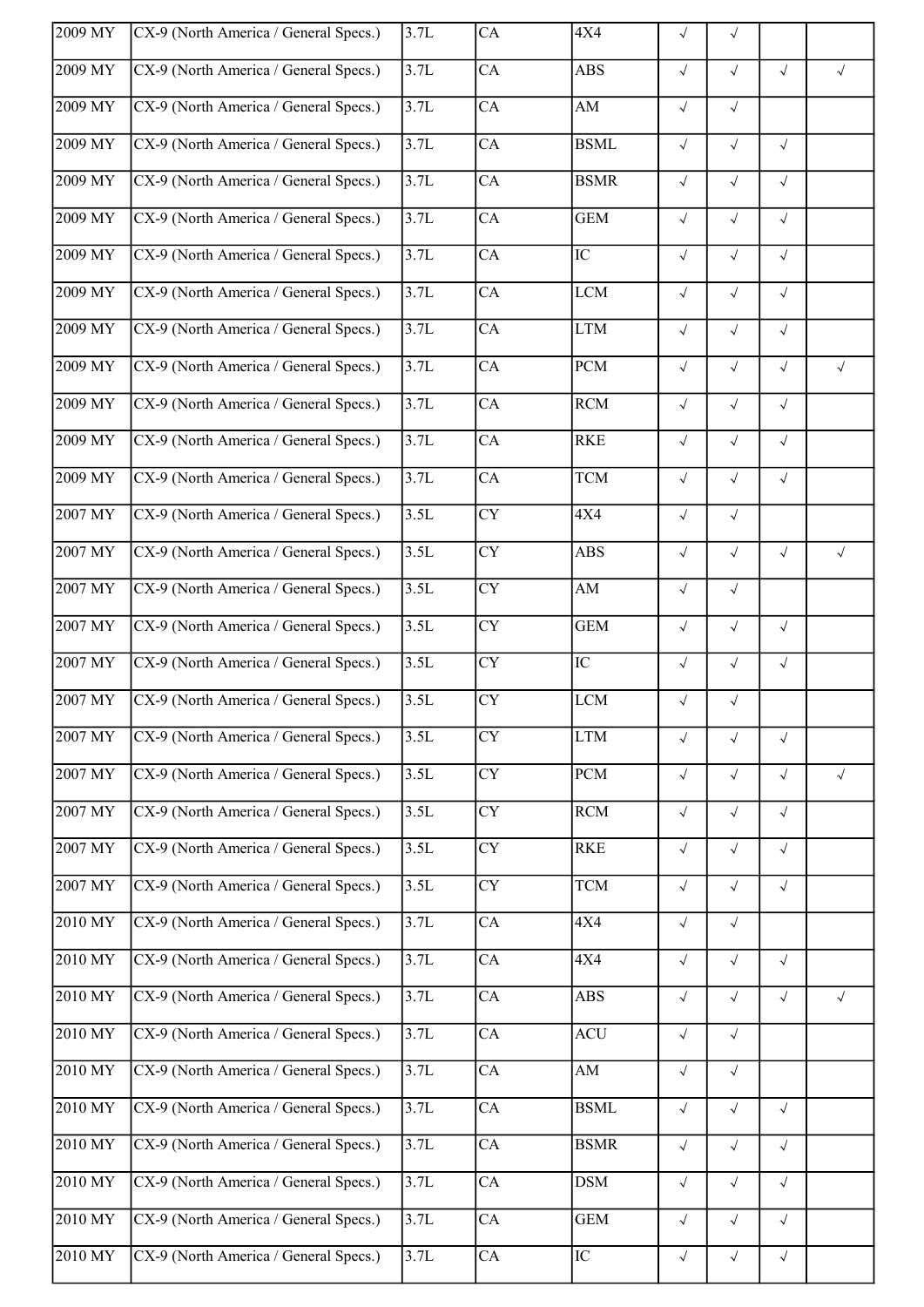| 2009 MY | CX-9 (North America / General Specs.) | 3.7L | CA                     | 4X4                         | $\sqrt{ }$ | $\sqrt{ }$ |            |            |
|---------|---------------------------------------|------|------------------------|-----------------------------|------------|------------|------------|------------|
| 2009 MY | CX-9 (North America / General Specs.) | 3.7L | CA                     | <b>ABS</b>                  | $\sqrt{ }$ | $\sqrt{ }$ | $\sqrt{ }$ | $\sqrt{}$  |
| 2009 MY | CX-9 (North America / General Specs.) | 3.7L | CA                     | AM                          | $\sqrt{ }$ | $\sqrt{ }$ |            |            |
| 2009 MY | CX-9 (North America / General Specs.) | 3.7L | CA                     | <b>BSML</b>                 | $\sqrt{ }$ | $\sqrt{ }$ | $\sqrt{ }$ |            |
| 2009 MY | CX-9 (North America / General Specs.) | 3.7L | CA                     | <b>BSMR</b>                 | $\sqrt{ }$ | $\sqrt{ }$ | $\sqrt{ }$ |            |
| 2009 MY | CX-9 (North America / General Specs.) | 3.7L | CA                     | <b>GEM</b>                  | $\sqrt{ }$ | $\sqrt{ }$ | $\sqrt{ }$ |            |
| 2009 MY | CX-9 (North America / General Specs.) | 3.7L | CA                     | IC                          | $\sqrt{ }$ | $\sqrt{ }$ | $\sqrt{}$  |            |
| 2009 MY | CX-9 (North America / General Specs.) | 3.7L | CA                     | <b>LCM</b>                  | $\sqrt{}$  | $\sqrt{ }$ | $\sqrt{}$  |            |
| 2009 MY | CX-9 (North America / General Specs.) | 3.7L | CA                     | <b>LTM</b>                  | $\sqrt{ }$ | $\sqrt{ }$ | $\sqrt{ }$ |            |
| 2009 MY | CX-9 (North America / General Specs.) | 3.7L | CA                     | <b>PCM</b>                  | $\sqrt{}$  | $\sqrt{ }$ | $\sqrt{}$  | $\sqrt{ }$ |
| 2009 MY | CX-9 (North America / General Specs.) | 3.7L | CA                     | RCM                         | $\sqrt{}$  | $\sqrt{ }$ | $\sqrt{ }$ |            |
| 2009 MY | CX-9 (North America / General Specs.) | 3.7L | CA                     | <b>RKE</b>                  | $\sqrt{2}$ | $\sqrt{ }$ | $\sqrt{}$  |            |
| 2009 MY | CX-9 (North America / General Specs.) | 3.7L | CA                     | <b>TCM</b>                  | $\sqrt{ }$ | $\sqrt{}$  | $\sqrt{ }$ |            |
| 2007 MY | CX-9 (North America / General Specs.) | 3.5L | <b>CY</b>              | 4X4                         | $\sqrt{ }$ | $\sqrt{}$  |            |            |
| 2007 MY | CX-9 (North America / General Specs.) | 3.5L | <b>CY</b>              | <b>ABS</b>                  | $\sqrt{ }$ | $\sqrt{}$  | $\sqrt{ }$ | $\sqrt{ }$ |
| 2007 MY | CX-9 (North America / General Specs.) | 3.5L | <b>CY</b>              | ${\rm AM}$                  | $\sqrt{ }$ | $\sqrt{}$  |            |            |
| 2007 MY | CX-9 (North America / General Specs.) | 3.5L | <b>CY</b>              | <b>GEM</b>                  | $\sqrt{ }$ | $\sqrt{}$  | $\sqrt{ }$ |            |
| 2007 MY | CX-9 (North America / General Specs.) | 3.5L | $\overline{\text{CY}}$ | $\overline{\text{IC}}$      | $\sqrt{ }$ | $\sqrt{}$  | $\sqrt{ }$ |            |
| 2007 MY | CX-9 (North America / General Specs.) | 3.5L | <b>CY</b>              | <b>LCM</b>                  | $\sqrt{ }$ | $\sqrt{}$  |            |            |
| 2007 MY | CX-9 (North America / General Specs.) | 3.5L | <b>CY</b>              | $\ensuremath{\mathrm{LTM}}$ | $\sqrt{}$  | $\sqrt{}$  | $\sqrt{}$  |            |
| 2007 MY | CX-9 (North America / General Specs.) | 3.5L | <b>CY</b>              | <b>PCM</b>                  | $\sqrt{ }$ | $\sqrt{ }$ | $\sqrt{2}$ | $\sqrt{}$  |
| 2007 MY | CX-9 (North America / General Specs.) | 3.5L | <b>CY</b>              | RCM                         | $\sqrt{ }$ | $\sqrt{ }$ | $\sqrt{ }$ |            |
| 2007 MY | CX-9 (North America / General Specs.) | 3.5L | <b>CY</b>              | <b>RKE</b>                  | $\sqrt{}$  | $\sqrt{ }$ | $\sqrt{}$  |            |
| 2007 MY | CX-9 (North America / General Specs.) | 3.5L | <b>CY</b>              | <b>TCM</b>                  | $\sqrt{ }$ | $\sqrt{ }$ | $\sqrt{}$  |            |
| 2010 MY | CX-9 (North America / General Specs.) | 3.7L | CA                     | <b>4X4</b>                  | $\sqrt{}$  | $\sqrt{ }$ |            |            |
| 2010 MY | CX-9 (North America / General Specs.) | 3.7L | CA                     | <b>4X4</b>                  | $\sqrt{}$  | $\sqrt{}$  | $\sqrt{}$  |            |
| 2010 MY | CX-9 (North America / General Specs.) | 3.7L | CA                     | ABS                         | $\sqrt{ }$ | $\sqrt{ }$ | $\sqrt{}$  | $\sqrt{ }$ |
| 2010 MY | CX-9 (North America / General Specs.) | 3.7L | CA                     | ACU                         | $\sqrt{ }$ | $\sqrt{}$  |            |            |
| 2010 MY | CX-9 (North America / General Specs.) | 3.7L | CA                     | AM                          | $\sqrt{ }$ | $\sqrt{ }$ |            |            |
| 2010 MY | CX-9 (North America / General Specs.) | 3.7L | CA                     | <b>BSML</b>                 | $\sqrt{ }$ | $\sqrt{ }$ | $\sqrt{}$  |            |
| 2010 MY | CX-9 (North America / General Specs.) | 3.7L | CA                     | <b>BSMR</b>                 | $\sqrt{}$  | $\sqrt{ }$ | $\sqrt{}$  |            |
| 2010 MY | CX-9 (North America / General Specs.) | 3.7L | CA                     | <b>DSM</b>                  | $\sqrt{}$  | $\sqrt{ }$ | $\sqrt{}$  |            |
| 2010 MY | CX-9 (North America / General Specs.) | 3.7L | CA                     | <b>GEM</b>                  | $\sqrt{ }$ | $\sqrt{ }$ | $\sqrt{}$  |            |
| 2010 MY | CX-9 (North America / General Specs.) | 3.7L | CA                     | IC                          | $\sqrt{}$  | $\sqrt{ }$ | $\sqrt{}$  |            |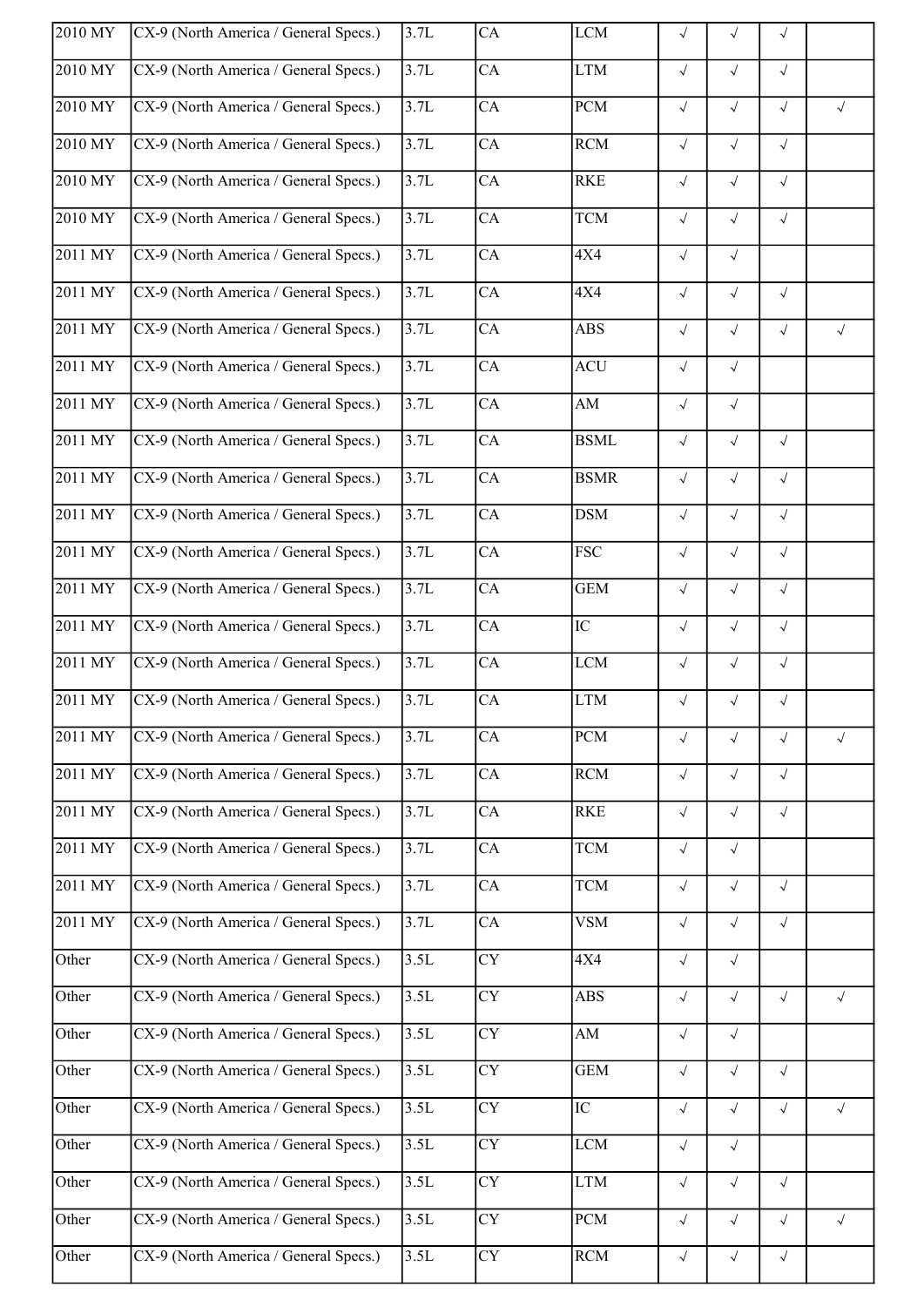| 2010 MY | CX-9 (North America / General Specs.) | 3.7L | CA                     | <b>LCM</b>             | $\sqrt{ }$ | $\sqrt{ }$ | $\sqrt{ }$ |            |
|---------|---------------------------------------|------|------------------------|------------------------|------------|------------|------------|------------|
| 2010 MY | CX-9 (North America / General Specs.) | 3.7L | CA                     | LTM                    | $\sqrt{ }$ | $\sqrt{ }$ | $\sqrt{ }$ |            |
| 2010 MY | CX-9 (North America / General Specs.) | 3.7L | CA                     | <b>PCM</b>             | $\sqrt{ }$ | $\sqrt{ }$ | $\sqrt{}$  | $\sqrt{ }$ |
| 2010 MY | CX-9 (North America / General Specs.) | 3.7L | CA                     | <b>RCM</b>             | $\sqrt{ }$ | $\sqrt{ }$ | $\sqrt{ }$ |            |
| 2010 MY | CX-9 (North America / General Specs.) | 3.7L | CA                     | <b>RKE</b>             | $\sqrt{ }$ | $\sqrt{ }$ | $\sqrt{ }$ |            |
| 2010 MY | CX-9 (North America / General Specs.) | 3.7L | CA                     | <b>TCM</b>             | $\sqrt{2}$ | $\sqrt{ }$ | $\sqrt{ }$ |            |
| 2011 MY | CX-9 (North America / General Specs.) | 3.7L | CA                     | 4X4                    | $\sqrt{ }$ | $\sqrt{ }$ |            |            |
| 2011 MY | CX-9 (North America / General Specs.) | 3.7L | CA                     | 4X4                    | $\sqrt{}$  | $\sqrt{ }$ | $\sqrt{ }$ |            |
| 2011 MY | CX-9 (North America / General Specs.) | 3.7L | CA                     | <b>ABS</b>             | $\sqrt{ }$ | $\sqrt{ }$ | $\sqrt{ }$ | $\sqrt{ }$ |
| 2011 MY | CX-9 (North America / General Specs.) | 3.7L | CA                     | <b>ACU</b>             | $\sqrt{}$  | $\sqrt{ }$ |            |            |
| 2011 MY | CX-9 (North America / General Specs.) | 3.7L | CA                     | AM                     | $\sqrt{}$  | $\sqrt{}$  |            |            |
| 2011 MY | CX-9 (North America / General Specs.) | 3.7L | CA                     | <b>BSML</b>            | $\sqrt{2}$ | $\sqrt{}$  | $\sqrt{ }$ |            |
| 2011 MY | CX-9 (North America / General Specs.) | 3.7L | CA                     | <b>BSMR</b>            | $\sqrt{ }$ | $\sqrt{}$  | $\sqrt{}$  |            |
| 2011 MY | CX-9 (North America / General Specs.) | 3.7L | CA                     | <b>DSM</b>             | $\sqrt{ }$ | $\sqrt{}$  | $\sqrt{}$  |            |
| 2011 MY | CX-9 (North America / General Specs.) | 3.7L | CA                     | <b>FSC</b>             | $\sqrt{ }$ | $\sqrt{}$  | $\sqrt{}$  |            |
| 2011 MY | CX-9 (North America / General Specs.) | 3.7L | CA                     | <b>GEM</b>             | $\sqrt{ }$ | $\sqrt{}$  | $\sqrt{ }$ |            |
| 2011 MY | CX-9 (North America / General Specs.) | 3.7L | CA                     | IC                     | $\sqrt{ }$ | $\sqrt{}$  | $\sqrt{}$  |            |
| 2011 MY | CX-9 (North America / General Specs.) | 3.7L | CA                     | <b>LCM</b>             | $\sqrt{ }$ | $\sqrt{}$  | $\sqrt{ }$ |            |
| 2011 MY | CX-9 (North America / General Specs.) | 3.7L | CA                     | <b>LTM</b>             | $\sqrt{ }$ | $\sqrt{}$  | $\sqrt{ }$ |            |
| 2011 MY | CX-9 (North America / General Specs.) | 3.7L | CA                     | <b>PCM</b>             | $\sqrt{}$  | $\sqrt{}$  | $\sqrt{}$  | $\sqrt{ }$ |
| 2011 MY | CX-9 (North America / General Specs.) | 3.7L | CA                     | RCM                    | $\sqrt{ }$ | $\sqrt{ }$ | $\sqrt{2}$ |            |
| 2011 MY | CX-9 (North America / General Specs.) | 3.7L | CA                     | <b>RKE</b>             | $\sqrt{ }$ | $\sqrt{ }$ | $\sqrt{}$  |            |
| 2011 MY | CX-9 (North America / General Specs.) | 3.7L | CA                     | <b>TCM</b>             | $\sqrt{}$  | $\sqrt{ }$ |            |            |
| 2011 MY | CX-9 (North America / General Specs.) | 3.7L | CA                     | <b>TCM</b>             | $\sqrt{}$  | $\sqrt{}$  | $\sqrt{}$  |            |
| 2011 MY | CX-9 (North America / General Specs.) | 3.7L | CA                     | <b>VSM</b>             | $\sqrt{}$  | $\sqrt{}$  | $\sqrt{}$  |            |
| Other   | CX-9 (North America / General Specs.) | 3.5L | <b>CY</b>              | 4X4                    | $\sqrt{}$  | $\sqrt{}$  |            |            |
| Other   | CX-9 (North America / General Specs.) | 3.5L | <b>CY</b>              | ABS                    | $\sqrt{ }$ | $\sqrt{ }$ | $\sqrt{}$  | $\sqrt{}$  |
| Other   | CX-9 (North America / General Specs.) | 3.5L | $\overline{\text{CY}}$ | $\mathbf{A}\mathbf{M}$ | $\sqrt{ }$ | $\sqrt{}$  |            |            |
| Other   | CX-9 (North America / General Specs.) | 3.5L | <b>CY</b>              | <b>GEM</b>             | $\sqrt{ }$ | $\sqrt{ }$ | $\sqrt{}$  |            |
| Other   | CX-9 (North America / General Specs.) | 3.5L | <b>CY</b>              | IC                     | $\sqrt{}$  | $\sqrt{ }$ | $\sqrt{}$  | $\sqrt{}$  |
| Other   | CX-9 (North America / General Specs.) | 3.5L | $\overline{\text{CY}}$ | <b>LCM</b>             | $\sqrt{}$  | $\sqrt{}$  |            |            |
| Other   | CX-9 (North America / General Specs.) | 3.5L | CY                     | <b>LTM</b>             | $\sqrt{}$  | $\sqrt{}$  | $\sqrt{}$  |            |
| Other   | CX-9 (North America / General Specs.) | 3.5L | <b>CY</b>              | <b>PCM</b>             | $\sqrt{}$  | $\sqrt{ }$ | $\sqrt{}$  | $\sqrt{ }$ |
| Other   | CX-9 (North America / General Specs.) | 3.5L | <b>CY</b>              | RCM                    | $\sqrt{}$  | $\sqrt{ }$ | $\sqrt{}$  |            |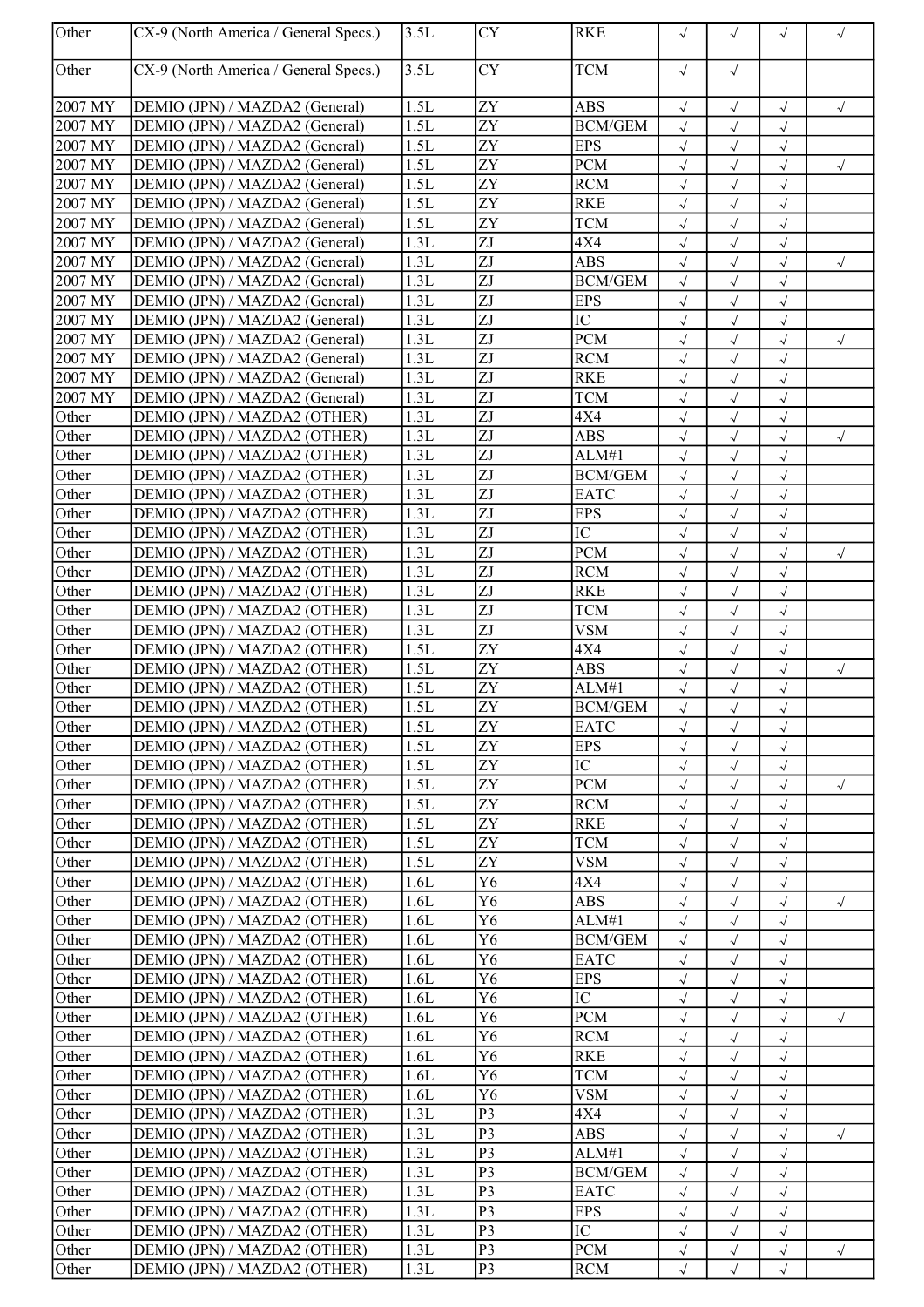| Other   | CX-9 (North America / General Specs.) | 3.5L | <b>CY</b>              | <b>RKE</b>     | $\sqrt{ }$   | $\sqrt{ }$   | $\sqrt{ }$           | $\sqrt{ }$           |
|---------|---------------------------------------|------|------------------------|----------------|--------------|--------------|----------------------|----------------------|
| Other   | CX-9 (North America / General Specs.) | 3.5L | <b>CY</b>              | <b>TCM</b>     | $\sqrt{ }$   | $\sqrt{ }$   |                      |                      |
| 2007 MY | DEMIO (JPN) / MAZDA2 (General)        | 1.5L | ZY                     | <b>ABS</b>     | $\sqrt{ }$   | $\sqrt{ }$   | $\sqrt{ }$           | $\sqrt{\phantom{a}}$ |
| 2007 MY | DEMIO (JPN) / MAZDA2 (General)        | 1.5L | ZY                     | <b>BCM/GEM</b> | $\sqrt{ }$   | $\sqrt{}$    | $\sqrt{ }$           |                      |
| 2007 MY | DEMIO (JPN) / MAZDA2 (General)        | 1.5L | ZY                     | <b>EPS</b>     | $\checkmark$ | $\checkmark$ | $\sqrt{ }$           |                      |
| 2007 MY | DEMIO (JPN) / MAZDA2 (General)        | 1.5L | ZY                     | PCM            | $\sqrt{ }$   | $\checkmark$ | $\checkmark$         | $\sqrt{}$            |
| 2007 MY | DEMIO (JPN) / MAZDA2 (General)        | 1.5L | ZY                     | <b>RCM</b>     | $\sqrt{ }$   | $\sqrt{}$    | $\checkmark$         |                      |
| 2007 MY | DEMIO (JPN) / MAZDA2 (General)        | 1.5L | ZY                     | <b>RKE</b>     | $\checkmark$ | $\sqrt{}$    | $\sqrt{ }$           |                      |
| 2007 MY | DEMIO (JPN) / MAZDA2 (General)        | 1.5L | $\overline{\text{ZY}}$ | <b>TCM</b>     | $\sqrt{ }$   | $\checkmark$ | $\checkmark$         |                      |
| 2007 MY | DEMIO (JPN) / MAZDA2 (General)        | 1.3L | ZJ                     | 4X4            | $\sqrt{ }$   | $\sqrt{2}$   | $\checkmark$         |                      |
| 2007 MY | DEMIO (JPN) / MAZDA2 (General)        | 1.3L | ZJ                     | ABS            | $\checkmark$ | $\checkmark$ | $\sqrt{ }$           | $\sqrt{ }$           |
| 2007 MY | DEMIO (JPN) / MAZDA2 (General)        | 1.3L | $\overline{ZJ}$        | <b>BCM/GEM</b> | $\sqrt{2}$   |              | $\sqrt{}$            |                      |
| 2007 MY | DEMIO (JPN) / MAZDA2 (General)        | 1.3L | ZJ                     | <b>EPS</b>     | $\checkmark$ | $\sqrt{}$    | $\sqrt{}$            |                      |
| 2007 MY | DEMIO (JPN) / MAZDA2 (General)        | 1.3L | ZJ                     | IC             | $\sqrt{}$    | $\sqrt{}$    | $\sqrt{}$            |                      |
| 2007 MY | DEMIO (JPN) / MAZDA2 (General)        | 1.3L | ZJ                     | <b>PCM</b>     | $\sqrt{ }$   | $\sqrt{}$    | $\sqrt{ }$           | $\sqrt{ }$           |
| 2007 MY | DEMIO (JPN) / MAZDA2 (General)        | 1.3L | ZJ                     | <b>RCM</b>     | $\sqrt{ }$   | $\sqrt{}$    | $\sqrt{ }$           |                      |
| 2007 MY | DEMIO (JPN) / MAZDA2 (General)        | 1.3L | ZJ                     | <b>RKE</b>     | $\checkmark$ | $\sqrt{}$    | $\sqrt{ }$           |                      |
| 2007 MY | DEMIO (JPN) / MAZDA2 (General)        | 1.3L | ZJ                     | <b>TCM</b>     | $\checkmark$ | $\checkmark$ | $\checkmark$         |                      |
| Other   | DEMIO (JPN) / MAZDA2 (OTHER)          | 1.3L | ZJ                     | 4X4            | $\checkmark$ | $\sqrt{}$    | $\checkmark$         |                      |
| Other   | DEMIO (JPN) / MAZDA2 (OTHER)          | 1.3L | ZJ                     | <b>ABS</b>     | $\sqrt{ }$   | $\sqrt{}$    | $\sqrt{ }$           | $\sqrt{ }$           |
| Other   | DEMIO (JPN) / MAZDA2 (OTHER)          | 1.3L | ZJ                     | ALM#1          | $\checkmark$ | $\checkmark$ | $\checkmark$         |                      |
| Other   | DEMIO (JPN) / MAZDA2 (OTHER)          | 1.3L | ZJ                     | <b>BCM/GEM</b> | $\sqrt{ }$   | $\sqrt{}$    | $\checkmark$         |                      |
| Other   | DEMIO (JPN) / MAZDA2 (OTHER)          | 1.3L | ZJ                     | <b>EATC</b>    | $\sqrt{ }$   | $\sqrt{}$    | $\checkmark$         |                      |
| Other   | DEMIO (JPN) / MAZDA2 (OTHER)          | 1.3L | ZJ                     | <b>EPS</b>     | $\sqrt{ }$   | $\checkmark$ | $\checkmark$         |                      |
| Other   | DEMIO (JPN) / MAZDA2 (OTHER)          | 1.3L | $\overline{ZJ}$        | IC             | $\sqrt{ }$   | $\checkmark$ | $\checkmark$         |                      |
| Other   | DEMIO (JPN) / MAZDA2 (OTHER)          | 1.3L | ZJ                     | PCM            | $\sqrt{ }$   | $\sqrt{}$    | $\sqrt{}$            | $\sqrt{ }$           |
| Other   | DEMIO (JPN) / MAZDA2 (OTHER)          | 1.3L | ZJ                     | <b>RCM</b>     | $\checkmark$ | $\sqrt{}$    | $\sqrt{ }$           |                      |
| Other   | DEMIO (JPN) / MAZDA2 (OTHER)          | 1.3L | ZJ                     | <b>RKE</b>     | $\sqrt{ }$   | $\sqrt{}$    | $\sqrt{ }$           |                      |
| Other   | DEMIO (JPN) / MAZDA2 (OTHER)          | 1.3L | ZJ                     | <b>TCM</b>     | $\sqrt{ }$   | $\sqrt{}$    | $\sqrt{ }$           |                      |
| Other   | DEMIO (JPN) / MAZDA2 (OTHER)          | 1.3L | ZJ                     | <b>VSM</b>     | $\sqrt{ }$   | $\sqrt{}$    | $\sqrt{ }$           |                      |
| Other   | DEMIO (JPN) / MAZDA2 (OTHER)          | 1.5L | ZY                     | 4X4            | $\checkmark$ | $\checkmark$ | $\sqrt{\phantom{a}}$ |                      |
| Other   | DEMIO (JPN) / MAZDA2 (OTHER)          | 1.5L | ZY                     | <b>ABS</b>     | $\sqrt{ }$   | $\sqrt{}$    | $\sqrt{}$            | $\sqrt{ }$           |
| Other   | DEMIO (JPN) / MAZDA2 (OTHER)          | 1.5L | ZY                     | ALM#1          | $\checkmark$ | $\sqrt{}$    | $\sqrt{ }$           |                      |
| Other   | DEMIO (JPN) / MAZDA2 (OTHER)          | 1.5L | ZY                     | <b>BCM/GEM</b> | $\sqrt{ }$   | $\sqrt{ }$   | $\sqrt{}$            |                      |
| Other   | DEMIO (JPN) / MAZDA2 (OTHER)          | 1.5L | ZY                     | <b>EATC</b>    | $\sqrt{ }$   | $\sqrt{}$    | $\sqrt{ }$           |                      |
| Other   | DEMIO (JPN) / MAZDA2 (OTHER)          | 1.5L | ZY                     | <b>EPS</b>     | $\sqrt{ }$   |              | $\sqrt{ }$           |                      |
| Other   | DEMIO (JPN) / MAZDA2 (OTHER)          | 1.5L | ZY                     | IC             | $\checkmark$ |              | $\checkmark$         |                      |
| Other   | DEMIO (JPN) / MAZDA2 (OTHER)          | 1.5L | ZY                     | PCM            | $\checkmark$ | $\sqrt{}$    | $\sqrt{ }$           | $\sqrt{ }$           |
| Other   | DEMIO (JPN) / MAZDA2 (OTHER)          | 1.5L | ZY                     | <b>RCM</b>     | $\sqrt{}$    | $\sqrt{}$    | $\sqrt{ }$           |                      |
| Other   | DEMIO (JPN) / MAZDA2 (OTHER)          | 1.5L | ZY                     | <b>RKE</b>     | $\sqrt{ }$   | $\sqrt{}$    | $\sqrt{ }$           |                      |
| Other   | DEMIO (JPN) / MAZDA2 (OTHER)          | 1.5L | ZY                     | <b>TCM</b>     | $\sqrt{ }$   | $\sqrt{}$    | $\sqrt{ }$           |                      |
| Other   | DEMIO (JPN) / MAZDA2 (OTHER)          | 1.5L | ZY                     | <b>VSM</b>     | $\checkmark$ | $\sqrt{}$    | $\sqrt{ }$           |                      |
| Other   | DEMIO (JPN) / MAZDA2 (OTHER)          | 1.6L | Y <sub>6</sub>         | 4X4            | $\checkmark$ | $\sqrt{}$    | $\checkmark$         |                      |
| Other   | DEMIO (JPN) / MAZDA2 (OTHER)          | 1.6L | Y <sub>6</sub>         | <b>ABS</b>     | $\checkmark$ | $\sqrt{}$    | $\sqrt{ }$           | $\sqrt{ }$           |
| Other   | DEMIO (JPN) / MAZDA2 (OTHER)          | 1.6L | Y <sub>6</sub>         | ALM#1          | $\sqrt{ }$   | $\sqrt{}$    | $\sqrt{ }$           |                      |
| Other   | DEMIO (JPN) / MAZDA2 (OTHER)          | 1.6L | Y <sub>6</sub>         | <b>BCM/GEM</b> | $\sqrt{ }$   | $\sqrt{}$    | $\checkmark$         |                      |
| Other   | DEMIO (JPN) / MAZDA2 (OTHER)          | 1.6L | Y <sub>6</sub>         | <b>EATC</b>    | $\sqrt{ }$   | $\sqrt{}$    | $\sqrt{ }$           |                      |
| Other   | DEMIO (JPN) / MAZDA2 (OTHER)          | 1.6L | Y6                     | <b>EPS</b>     | $\checkmark$ | $\sqrt{}$    | $\sqrt{ }$           |                      |
| Other   | DEMIO (JPN) / MAZDA2 (OTHER)          | 1.6L | Y6                     | IC             | $\sqrt{ }$   |              | $\checkmark$         |                      |
| Other   | DEMIO (JPN) / MAZDA2 (OTHER)          | 1.6L | Y <sub>6</sub>         | PCM            | $\checkmark$ | $\sqrt{}$    | $\sqrt{ }$           | $\sqrt{ }$           |
| Other   | DEMIO (JPN) / MAZDA2 (OTHER)          | 1.6L | Y6                     | <b>RCM</b>     | $\sqrt{}$    | $\sqrt{}$    | $\sqrt{}$            |                      |
| Other   | DEMIO (JPN) / MAZDA2 (OTHER)          | 1.6L | Y <sub>6</sub>         | <b>RKE</b>     | $\sqrt{ }$   | $\sqrt{}$    | $\sqrt{ }$           |                      |
| Other   | DEMIO (JPN) / MAZDA2 (OTHER)          | 1.6L | Y6                     | <b>TCM</b>     | $\sqrt{ }$   | $\sqrt{}$    | $\sqrt{ }$           |                      |
| Other   | DEMIO (JPN) / MAZDA2 (OTHER)          | 1.6L | Y6                     | <b>VSM</b>     | $\checkmark$ | $\sqrt{}$    | $\sqrt{ }$           |                      |
| Other   | DEMIO (JPN) / MAZDA2 (OTHER)          | 1.3L | P <sub>3</sub>         | 4X4            | $\sqrt{ }$   | $\sqrt{}$    | $\sqrt{ }$           |                      |
| Other   | DEMIO (JPN) / MAZDA2 (OTHER)          | 1.3L | P3                     | ABS            | $\sqrt{ }$   | $\sqrt{}$    | $\sqrt{ }$           | $\sqrt{ }$           |
| Other   | DEMIO (JPN) / MAZDA2 (OTHER)          | 1.3L | P3                     | ALM#1          | $\checkmark$ | $\sqrt{}$    | $\sqrt{ }$           |                      |
| Other   | DEMIO (JPN) / MAZDA2 (OTHER)          | 1.3L | P3                     | <b>BCM/GEM</b> | $\sqrt{ }$   | $\sqrt{}$    | $\sqrt{ }$           |                      |
| Other   | DEMIO (JPN) / MAZDA2 (OTHER)          | 1.3L | P3                     | <b>EATC</b>    | $\sqrt{ }$   | $\sqrt{}$    | $\sqrt{ }$           |                      |
| Other   | DEMIO (JPN) / MAZDA2 (OTHER)          | 1.3L | P <sub>3</sub>         | <b>EPS</b>     | $\sqrt{ }$   | $\sqrt{}$    | $\sqrt{ }$           |                      |
| Other   | DEMIO (JPN) / MAZDA2 (OTHER)          | 1.3L | P <sub>3</sub>         | IC             | $\sqrt{ }$   | $\sqrt{}$    | $\sqrt{ }$           |                      |
| Other   | DEMIO (JPN) / MAZDA2 (OTHER)          | 1.3L | P <sub>3</sub>         | PCM            | $\checkmark$ | $\sqrt{}$    | $\sqrt{ }$           | $\sqrt{ }$           |
| Other   | DEMIO (JPN) / MAZDA2 (OTHER)          | 1.3L | P3                     | RCM            | $\sqrt{ }$   | $\sqrt{}$    | $\sqrt{}$            |                      |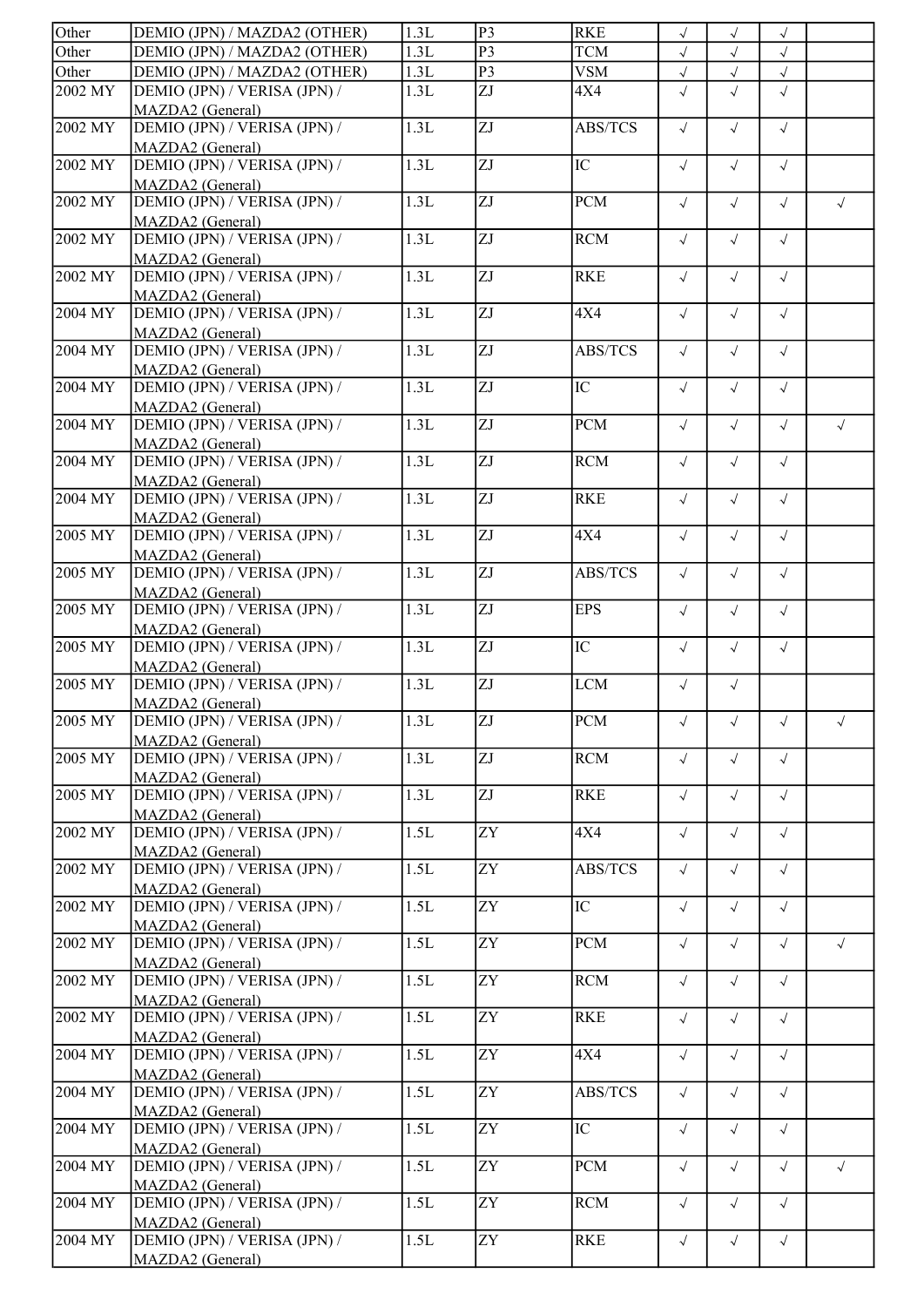| Other            | DEMIO (JPN) / MAZDA2 (OTHER)                                                 | 1.3L | P <sub>3</sub>           | <b>RKE</b>     | $\sqrt{ }$           | $\sqrt{ }$   | $\sqrt{ }$           |            |
|------------------|------------------------------------------------------------------------------|------|--------------------------|----------------|----------------------|--------------|----------------------|------------|
| Other            | DEMIO (JPN) / MAZDA2 (OTHER)                                                 | 1.3L | P <sub>3</sub>           | <b>TCM</b>     | $\sqrt{ }$           | $\checkmark$ | $\checkmark$         |            |
| Other            | DEMIO (JPN) / MAZDA2 (OTHER)                                                 | 1.3L | P <sub>3</sub>           | <b>VSM</b>     | $\checkmark$         | $\sqrt{ }$   | $\sqrt{ }$           |            |
| 2002 MY          | DEMIO (JPN) / VERISA (JPN) /<br>MAZDA2 (General)                             | 1.3L | ZJ                       | 4X4            | $\sqrt{ }$           | $\sqrt{ }$   | $\sqrt{ }$           |            |
| 2002 MY          | DEMIO (JPN) / VERISA (JPN) /                                                 | 1.3L | ZJ                       | ABS/TCS        | $\sqrt{ }$           | $\sqrt{}$    | $\sqrt{\phantom{a}}$ |            |
| 2002 MY          | MAZDA2 (General)<br>DEMIO (JPN) / VERISA (JPN) /                             | 1.3L | ZJ                       | IC             | $\sqrt{ }$           | $\sqrt{ }$   | $\sqrt{\phantom{a}}$ |            |
| 2002 MY          | MAZDA2 (General)<br>DEMIO (JPN) / VERISA (JPN) /                             | 1.3L | ZJ                       | <b>PCM</b>     | $\sqrt{ }$           | $\sqrt{ }$   | $\sqrt{ }$           | $\sqrt{ }$ |
| 2002 MY          | MAZDA2 (General)<br>DEMIO (JPN) / VERISA (JPN) /                             | 1.3L | ZJ                       | <b>RCM</b>     | $\sqrt{\phantom{a}}$ | $\sqrt{}$    | $\sqrt{ }$           |            |
| 2002 MY          | MAZDA2 (General)<br>DEMIO (JPN) / VERISA (JPN) /                             | 1.3L | ZJ                       | <b>RKE</b>     | $\sqrt{ }$           | $\sqrt{ }$   | $\sqrt{ }$           |            |
| 2004 MY          | MAZDA2 (General)<br>DEMIO (JPN) / VERISA (JPN) /                             | 1.3L | ZJ                       | 4X4            | $\sqrt{ }$           | $\sqrt{ }$   | $\sqrt{ }$           |            |
| 2004 MY          | MAZDA2 (General)<br>DEMIO (JPN) / VERISA (JPN) /                             | 1.3L | $\overline{Z}$           | ABS/TCS        | $\sqrt{ }$           | $\sqrt{ }$   | $\sqrt{ }$           |            |
| 2004 MY          | MAZDA2 (General)<br>DEMIO (JPN) / VERISA (JPN) /                             | 1.3L | ZJ                       | IC             | $\sqrt{ }$           | $\sqrt{ }$   | $\sqrt{ }$           |            |
| 2004 MY          | MAZDA2 (General)                                                             | 1.3L | ZJ                       | PCM            |                      |              |                      |            |
|                  | DEMIO (JPN) / VERISA (JPN) /<br>MAZDA2 (General)                             |      |                          |                | $\sqrt{ }$           | $\sqrt{ }$   | $\sqrt{ }$           | $\sqrt{ }$ |
| 2004 MY          | DEMIO (JPN) / VERISA (JPN) /<br>MAZDA2 (General)                             | 1.3L | $\overline{ZJ}$          | <b>RCM</b>     | $\sqrt{}$            | $\sqrt{ }$   | $\sqrt{ }$           |            |
| 2004 MY          | DEMIO (JPN) / VERISA (JPN) /<br>MAZDA2 (General)                             | 1.3L | ZJ                       | <b>RKE</b>     | $\sqrt{}$            | $\sqrt{ }$   | $\sqrt{ }$           |            |
| 2005 MY          | DEMIO (JPN) / VERISA (JPN) /<br>MAZDA2 (General)                             | 1.3L | ZJ                       | 4X4            | $\sqrt{}$            | $\sqrt{ }$   | $\sqrt{ }$           |            |
| 2005 MY          | DEMIO (JPN) / VERISA (JPN) /<br>MAZDA2 (General)                             | 1.3L | $\overline{ZJ}$          | ABS/TCS        | $\sqrt{}$            | $\sqrt{ }$   | $\sqrt{ }$           |            |
| 2005 MY          | DEMIO (JPN) / VERISA (JPN) /<br>MAZDA2 (General)                             | 1.3L | ZJ                       | <b>EPS</b>     | $\sqrt{ }$           | $\sqrt{ }$   | $\sqrt{ }$           |            |
| 2005 MY          | DEMIO (JPN) / VERISA (JPN) /                                                 | 1.3L | $\overline{\mathrm{ZJ}}$ | IC             | $\sqrt{ }$           | $\sqrt{ }$   | $\sqrt{ }$           |            |
| $2005$ MY        | MAZDA2 (General)<br>DEMIO (JPN) / VERISA (JPN) /                             | 1.3L | $\overline{ZJ}$          | <b>LCM</b>     | $\sqrt{ }$           | $\sqrt{ }$   |                      |            |
|                  | MAZDA2 (General)<br>MAZDA2 (General)<br>2005 MY DEMIO (JPN) / VERISA (JPN) / | 1.3L | ZJ                       | PCM            | $\sqrt{ }$           | $\sqrt{ }$   | $\sqrt{ }$           | $\sqrt{ }$ |
| 2005 MY          | <b>MAZDA2</b> (General)<br>DEMIO (JPN) / VERISA (JPN) /                      | 1.3L | ZJ                       | RCM            | $\sqrt{ }$           | $\sqrt{ }$   | $\sqrt{ }$           |            |
| 2005 MY          | MAZDA2 (General)<br>DEMIO (JPN) / VERISA (JPN) /                             | 1.3L | ZJ                       | <b>RKE</b>     | $\sqrt{ }$           | $\sqrt{ }$   | $\sqrt{}$            |            |
| 2002 MY          | MAZDA2 (General)<br>DEMIO (JPN) / VERISA (JPN) /                             | 1.5L | ZY                       | 4X4            | $\sqrt{ }$           | $\sqrt{ }$   | $\sqrt{}$            |            |
| 2002 MY          | MAZDA2 (General)<br>DEMIO (JPN) / VERISA (JPN) /                             | 1.5L | ZY                       | <b>ABS/TCS</b> | $\sqrt{ }$           | $\sqrt{ }$   | $\sqrt{}$            |            |
| 2002 MY          | MAZDA2 (General)<br>DEMIO (JPN) / VERISA (JPN) /                             | 1.5L | ZY                       | IC             | $\sqrt{ }$           | $\sqrt{}$    | $\sqrt{ }$           |            |
| $\sqrt{2002}$ MY | MAZDA2 (General)<br>DEMIO (JPN) / VERISA (JPN) /                             | 1.5L | $\overline{ZY}$          | <b>PCM</b>     | $\sqrt{ }$           | $\sqrt{ }$   | $\sqrt{ }$           | $\sqrt{ }$ |
| $\sqrt{2002}$ MY | MAZDA2 (General)<br>DEMIO (JPN) / VERISA (JPN) /                             | 1.5L | ZY                       | <b>RCM</b>     | $\sqrt{ }$           | $\sqrt{ }$   | $\sqrt{ }$           |            |
| 2002 MY          | MAZDA2 (General)<br>DEMIO (JPN) / VERISA (JPN) /                             | 1.5L | ZY                       | <b>RKE</b>     | $\sqrt{}$            | $\sqrt{ }$   | $\sqrt{}$            |            |
| 2004 MY          | MAZDA2 (General)<br>DEMIO (JPN) / VERISA (JPN) /                             | 1.5L | ZY                       | 4X4            | $\sqrt{}$            | $\sqrt{}$    | $\sqrt{ }$           |            |
| 2004 MY          | MAZDA2 (General)<br>DEMIO (JPN) / VERISA (JPN) /                             | 1.5L | $\overline{ZY}$          | ABS/TCS        | $\sqrt{ }$           | $\sqrt{ }$   | $\sqrt{ }$           |            |
| 2004 MY          | MAZDA2 (General)<br>DEMIO (JPN) / VERISA (JPN) /                             | 1.5L | ZY                       | IC             | $\sqrt{}$            | $\sqrt{ }$   | $\sqrt{ }$           |            |
| $\sqrt{2004}$ MY | MAZDA2 (General)<br>DEMIO (JPN) / VERISA (JPN) /                             | 1.5L | ZY                       | PCM            | $\sqrt{ }$           | $\sqrt{ }$   | $\sqrt{ }$           | $\sqrt{ }$ |
| $2004$ MY        | MAZDA2 (General)<br>DEMIO (JPN) / VERISA (JPN) /                             | 1.5L | $\overline{ZY}$          | <b>RCM</b>     | $\sqrt{ }$           | $\sqrt{ }$   | $\sqrt{ }$           |            |
|                  | MAZDA2 (General)                                                             |      |                          |                |                      |              |                      |            |
| 2004 MY          | DEMIO (JPN) / VERISA (JPN) /<br>MAZDA2 (General)                             | 1.5L | ZY                       | <b>RKE</b>     | $\sqrt{ }$           | $\sqrt{ }$   | $\sqrt{ }$           |            |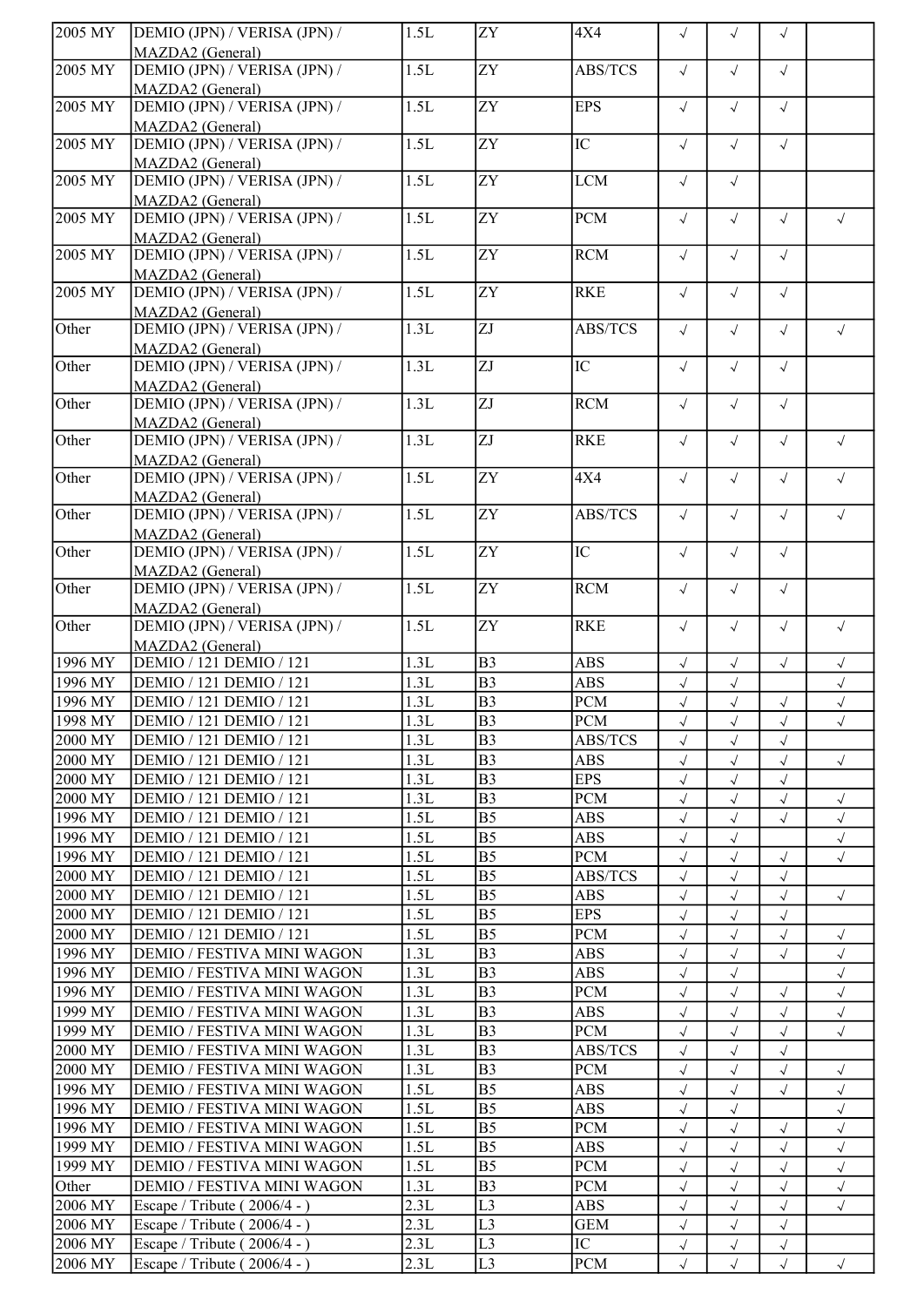| DEMIO (JPN) / VERISA (JPN) /<br>ZY<br>2005 MY<br>1.5L<br><b>ABS/TCS</b><br>$\sqrt{ }$<br>$\sqrt{ }$<br>$\sqrt{ }$<br>MAZDA2 (General)<br>DEMIO (JPN) / VERISA (JPN) /<br>2005 MY<br>ZY<br><b>EPS</b><br>1.5L<br>$\sqrt{ }$<br>$\sqrt{ }$<br>$\sqrt{}$<br>MAZDA2 (General)<br>DEMIO (JPN) / VERISA (JPN) /<br>$\overline{ZY}$<br>2005 MY<br>IC<br>1.5L<br>$\sqrt{ }$<br>$\sqrt{ }$<br>$\sqrt{2}$<br>MAZDA2 (General)<br>DEMIO (JPN) / VERISA (JPN) /<br>ZY<br>2005 MY<br>LCM<br>1.5L<br>$\sqrt{}$<br>$\sqrt{ }$<br>MAZDA2 (General)<br>$\overline{ZY}$<br>DEMIO (JPN) / VERISA (JPN) /<br>$\sqrt{ }$<br>2005 MY<br>1.5L<br><b>PCM</b><br>$\sqrt{ }$<br>$\sqrt{ }$<br>$\sqrt{ }$<br>MAZDA2 (General)<br>$\overline{ZY}$<br>DEMIO (JPN) / VERISA (JPN) /<br>$\sqrt{ }$<br>2005 MY<br>1.5L<br><b>RCM</b><br>$\sqrt{ }$<br>$\sqrt{2}$<br>MAZDA2 (General)<br>DEMIO (JPN) / VERISA (JPN) /<br>$\overline{ZY}$<br>1.5L<br><b>RKE</b><br>$\sqrt{ }$<br>$\sqrt{ }$<br>$\sqrt{2}$<br>MAZDA2 (General)<br>$\overline{ZJ}$<br>DEMIO (JPN) / VERISA (JPN) /<br>Other<br>1.3L<br>ABS/TCS<br>$\sqrt{ }$<br>$\sqrt{ }$<br>$\sqrt{}$<br>$\sqrt{ }$<br>MAZDA2 (General)<br>DEMIO (JPN) / VERISA (JPN) /<br>Other<br>ZJ<br>IC<br>1.3L<br>$\sqrt{}$<br>$\sqrt{ }$<br>$\sqrt{}$<br>MAZDA2 (General)<br>DEMIO (JPN) / VERISA (JPN) /<br>Other<br>ZJ<br>1.3L<br><b>RCM</b><br>$\sqrt{ }$<br>$\sqrt{ }$<br>$\sqrt{}$<br>MAZDA2 (General)<br>ZJ<br>Other<br>DEMIO (JPN) / VERISA (JPN) /<br>1.3L<br><b>RKE</b><br>$\sqrt{}$<br>$\sqrt{ }$<br>$\sqrt{ }$<br>$\sqrt{}$<br>MAZDA2 (General)<br>ZY<br>Other<br>DEMIO (JPN) / VERISA (JPN) /<br>1.5L<br>4X4<br>$\sqrt{}$<br>$\sqrt{ }$<br>$\sqrt{ }$<br>$\sqrt{ }$<br>MAZDA2 (General)<br>DEMIO (JPN) / VERISA (JPN) /<br>$\overline{ZY}$<br>Other<br>1.5L<br><b>ABS/TCS</b><br>$\sqrt{ }$<br>$\sqrt{ }$<br>$\sqrt{ }$<br>$\sqrt{ }$<br>MAZDA2 (General)<br>DEMIO (JPN) / VERISA (JPN) /<br><b>ZY</b><br>IC<br>Other<br>1.5L<br>$\sqrt{2}$<br>$\sqrt{ }$<br>$\sqrt{ }$<br>MAZDA2 (General)<br>DEMIO (JPN) / VERISA (JPN) /<br>ZY<br>Other<br>$\sqrt{ }$<br>1.5L<br><b>RCM</b><br>$\sqrt{ }$<br>$\sqrt{ }$<br>MAZDA2 (General)<br>DEMIO (JPN) / VERISA (JPN) /<br>ZY<br>Other<br>1.5L<br><b>RKE</b><br>$\sqrt{ }$<br>$\sqrt{ }$<br>$\sqrt{ }$<br>$\sqrt{ }$<br>MAZDA2 (General)<br>1996 MY<br><b>DEMIO / 121 DEMIO / 121</b><br>B <sub>3</sub><br>1.3L<br><b>ABS</b><br>$\sqrt{ }$<br>$\sqrt{}$<br>$\sqrt{ }$<br>$\sqrt{ }$<br>1.3L<br>B <sub>3</sub><br>$\sqrt{2}$<br>1996 MY<br>DEMIO / 121 DEMIO / 121<br><b>ABS</b><br>$\sqrt{}$<br>$\checkmark$<br>DEMIO / 121 DEMIO / 121<br>B <sub>3</sub><br>1.3L<br>PCM<br>$\sqrt{ }$<br>1996 MY<br>$\checkmark$<br>$\checkmark$<br>$\sqrt{}$<br>$\overline{B3}$<br>1998 MY<br>1.3L<br><b>DEMIO / 121 DEMIO / 121</b><br>PCM<br>$\sqrt{ }$<br>$\sqrt{ }$<br>$\sqrt{ }$<br>$\sqrt{ }$<br>1.3L<br>B <sub>3</sub><br>ABS/TCS<br>2000 MY<br>DEMIO / 121 DEMIO / 121<br>$\sqrt{}$<br>$\sqrt{}$<br>$\sqrt{}$<br>1.3L<br>B <sub>3</sub><br>2000 MY<br>DEMIO / 121 DEMIO / 121<br><b>ABS</b><br>$\sqrt{}$<br>$\sqrt{ }$<br>$\sqrt{}$<br>$\sqrt{ }$<br>1.3L<br>B <sub>3</sub><br><b>EPS</b><br>2000 MY<br>DEMIO / 121 DEMIO / 121<br>$\sqrt{ }$<br>$\sqrt{ }$<br>$\sqrt{}$<br>2000 MY<br>DEMIO / 121 DEMIO / 121<br>1.3L<br>B <sub>3</sub><br><b>PCM</b><br>$\sqrt{ }$<br>$\sqrt{}$<br>$\sqrt{ }$<br>$\sqrt{ }$<br>1996 MY<br>DEMIO / 121 DEMIO / 121<br>1.5L<br>B <sub>5</sub><br>$\sqrt{ }$<br>ABS<br>$\sqrt{}$<br>$\sqrt{ }$<br>$\sqrt{ }$<br>1996 MY<br>DEMIO / 121 DEMIO / 121<br>1.5L<br>B <sub>5</sub><br><b>ABS</b><br>$\sqrt{ }$<br>$\sqrt{}$<br>$\sqrt{ }$<br>1996 MY<br>DEMIO / 121 DEMIO / 121<br>1.5L<br>B <sub>5</sub><br><b>PCM</b><br>$\sqrt{ }$<br>$\sqrt{ }$<br>$\sqrt{ }$<br>$\sqrt{ }$<br>B <sub>5</sub><br>ABS/TCS<br>DEMIO / 121 DEMIO / 121<br>1.5L<br>$\sqrt{ }$<br>$\sqrt{}$<br>$\sqrt{ }$<br>2000 MY<br>1.5L<br>B <sub>5</sub><br>$\sqrt{ }$<br>DEMIO / 121 DEMIO / 121<br>$\sqrt{}$<br>$\sqrt{ }$<br>2000 MY<br><b>ABS</b><br>$\sqrt{ }$<br>B <sub>5</sub><br>1.5L<br>2000 MY<br>DEMIO / 121 DEMIO / 121<br><b>EPS</b><br>$\sqrt{}$<br>$\sqrt{ }$<br>$\sqrt{}$<br>B <sub>5</sub><br>DEMIO / 121 DEMIO / 121<br>1.5L<br><b>PCM</b><br>2000 MY<br>$\sqrt{ }$<br>$\sqrt{}$<br>$\sqrt{ }$<br>$\sqrt{ }$<br>$\sqrt{2}$<br>B <sub>3</sub><br>$\sqrt{}$<br>1.3L<br>$\sqrt{}$<br>$\sqrt{2}$<br>1996 MY<br>DEMIO / FESTIVA MINI WAGON<br><b>ABS</b><br>1.3L<br>B <sub>3</sub><br>1996 MY<br>DEMIO / FESTIVA MINI WAGON<br><b>ABS</b><br>$\checkmark$<br>$\sqrt{}$<br>$\sqrt{}$<br>1.3L<br>B <sub>3</sub><br>1996 MY<br><b>PCM</b><br>DEMIO / FESTIVA MINI WAGON<br>$\sqrt{}$<br>$\sqrt{}$<br>$\sqrt{}$<br>$\sqrt{ }$<br>1999 MY<br>1.3L<br>B <sub>3</sub><br><b>ABS</b><br>DEMIO / FESTIVA MINI WAGON<br>$\sqrt{}$<br>$\sqrt{}$<br>$\sqrt{ }$<br>$\sqrt{ }$<br>1999 MY<br>1.3L<br>B <sub>3</sub><br><b>PCM</b><br>DEMIO / FESTIVA MINI WAGON<br>$\sqrt{ }$<br>$\sqrt{ }$<br>$\sqrt{}$<br>$\sqrt{ }$<br>1.3L<br>B <sub>3</sub><br>ABS/TCS<br>2000 MY<br>DEMIO / FESTIVA MINI WAGON<br>$\sqrt{}$<br>$\sqrt{}$<br>$\sqrt{ }$<br>DEMIO / FESTIVA MINI WAGON<br>1.3L<br>B <sub>3</sub><br><b>PCM</b><br>2000 MY<br>$\sqrt{ }$<br>$\sqrt{ }$<br>$\sqrt{ }$<br>$\sqrt{}$<br>$\sqrt{}$<br>1996 MY<br>DEMIO / FESTIVA MINI WAGON<br>1.5L<br>B5<br><b>ABS</b><br>$\sqrt{ }$<br>$\sqrt{}$<br>$\sqrt{ }$<br>1996 MY<br>1.5L<br>B5<br><b>ABS</b><br>DEMIO / FESTIVA MINI WAGON<br>$\sqrt{}$<br>$\sqrt{}$<br>$\sqrt{ }$<br>1.5L<br>B <sub>5</sub><br>1996 MY<br>DEMIO / FESTIVA MINI WAGON<br><b>PCM</b><br>$\checkmark$<br>$\sqrt{}$<br>$\sqrt{ }$<br>$\sqrt{ }$<br>1.5L<br>B <sub>5</sub><br>1999 MY<br>DEMIO / FESTIVA MINI WAGON<br><b>ABS</b><br>$\sqrt{ }$<br>$\sqrt{ }$<br>$\sqrt{}$<br>$\sqrt{ }$<br>B <sub>5</sub><br>1999 MY<br>DEMIO / FESTIVA MINI WAGON<br>1.5L<br>PCM<br>$\sqrt{ }$<br>$\sqrt{}$<br>$\sqrt{ }$<br>$\sqrt{ }$<br>1.3L<br>B <sub>3</sub><br><b>PCM</b><br>$\sqrt{2}$<br>Other<br>DEMIO / FESTIVA MINI WAGON<br>$\sqrt{}$<br>$\sqrt{}$<br>$\checkmark$<br>L <sub>3</sub><br>Escape / Tribute (2006/4 - )<br>2.3L<br>2006 MY<br>ABS<br>$\sqrt{ }$<br>$\sqrt{}$<br>$\sqrt{ }$<br>$\sqrt{ }$<br>2.3L<br>2006 MY<br>Escape / Tribute ( $2006/4$ -)<br>L <sub>3</sub><br>GEM<br>$\sqrt{}$<br>$\sqrt{ }$<br>$\sqrt{}$<br>IC<br>2.3L<br>Escape / Tribute ( $2006/4$ -)<br>L <sub>3</sub><br>2006 MY<br>$\sqrt{\phantom{a}}$<br>$\sqrt{ }$<br>$\sqrt{}$<br>2.3L<br>L <sub>3</sub><br><b>PCM</b><br>2006 MY<br>Escape / Tribute (2006/4 - )<br>$\sqrt{ }$<br>$\sqrt{ }$<br>$\sqrt{ }$<br>$\sqrt{}$ | 2005 MY | DEMIO (JPN) / VERISA (JPN) / | 1.5L | ZY | 4X4 | $\sqrt{}$ | $\sqrt{}$ | $\sqrt{}$ |  |
|---------------------------------------------------------------------------------------------------------------------------------------------------------------------------------------------------------------------------------------------------------------------------------------------------------------------------------------------------------------------------------------------------------------------------------------------------------------------------------------------------------------------------------------------------------------------------------------------------------------------------------------------------------------------------------------------------------------------------------------------------------------------------------------------------------------------------------------------------------------------------------------------------------------------------------------------------------------------------------------------------------------------------------------------------------------------------------------------------------------------------------------------------------------------------------------------------------------------------------------------------------------------------------------------------------------------------------------------------------------------------------------------------------------------------------------------------------------------------------------------------------------------------------------------------------------------------------------------------------------------------------------------------------------------------------------------------------------------------------------------------------------------------------------------------------------------------------------------------------------------------------------------------------------------------------------------------------------------------------------------------------------------------------------------------------------------------------------------------------------------------------------------------------------------------------------------------------------------------------------------------------------------------------------------------------------------------------------------------------------------------------------------------------------------------------------------------------------------------------------------------------------------------------------------------------------------------------------------------------------------------------------------------------------------------------------------------------------------------------------------------------------------------------------------------------------------------------------------------------------------------------------------------------------------------------------------------------------------------------------------------------------------------------------------------------------------------------------------------------------------------------------------------------------------------------------------------------------------------------------------------------------------------------------------------------------------------------------------------------------------------------------------------------------------------------------------------------------------------------------------------------------------------------------------------------------------------------------------------------------------------------------------------------------------------------------------------------------------------------------------------------------------------------------------------------------------------------------------------------------------------------------------------------------------------------------------------------------------------------------------------------------------------------------------------------------------------------------------------------------------------------------------------------------------------------------------------------------------------------------------------------------------------------------------------------------------------------------------------------------------------------------------------------------------------------------------------------------------------------------------------------------------------------------------------------------------------------------------------------------------------------------------------------------------------------------------------------------------------------------------------------------------------------------------------------------------------------------------------------------------------------------------------------------------------------------------------------------------------------------------------------------------------------------------------------------------------------------------------------------------------------------------------------------------------------------------------------------------------------------------------------------------------------------------------------------------------------------------------------------------------------------------------------------------------------------------------------------------------------------------------------------------------------------------------------------------------------------------------------------------------------------------------------------------------------------------------------------------------------------------------------------------------------------------------------------------------------------------------------------------------------------------------------------------------------------------------------------------------------------------------------------------------------------------------------------------------------------------------------------------------------------------------------------------------------------------------------------------------------------------------------------------------------------------------------------------------------------------------------------------------------------------------------------------------------------------------------------------------------------------------------------------------------------------------------------------------|---------|------------------------------|------|----|-----|-----------|-----------|-----------|--|
|                                                                                                                                                                                                                                                                                                                                                                                                                                                                                                                                                                                                                                                                                                                                                                                                                                                                                                                                                                                                                                                                                                                                                                                                                                                                                                                                                                                                                                                                                                                                                                                                                                                                                                                                                                                                                                                                                                                                                                                                                                                                                                                                                                                                                                                                                                                                                                                                                                                                                                                                                                                                                                                                                                                                                                                                                                                                                                                                                                                                                                                                                                                                                                                                                                                                                                                                                                                                                                                                                                                                                                                                                                                                                                                                                                                                                                                                                                                                                                                                                                                                                                                                                                                                                                                                                                                                                                                                                                                                                                                                                                                                                                                                                                                                                                                                                                                                                                                                                                                                                                                                                                                                                                                                                                                                                                                                                                                                                                                                                                                                                                                                                                                                                                                                                                                                                                                                                                                                                                                                                                                                                                                                                                                                                                                                                                                                                                                                                                                                                                                                                                           |         | MAZDA2 (General)             |      |    |     |           |           |           |  |
|                                                                                                                                                                                                                                                                                                                                                                                                                                                                                                                                                                                                                                                                                                                                                                                                                                                                                                                                                                                                                                                                                                                                                                                                                                                                                                                                                                                                                                                                                                                                                                                                                                                                                                                                                                                                                                                                                                                                                                                                                                                                                                                                                                                                                                                                                                                                                                                                                                                                                                                                                                                                                                                                                                                                                                                                                                                                                                                                                                                                                                                                                                                                                                                                                                                                                                                                                                                                                                                                                                                                                                                                                                                                                                                                                                                                                                                                                                                                                                                                                                                                                                                                                                                                                                                                                                                                                                                                                                                                                                                                                                                                                                                                                                                                                                                                                                                                                                                                                                                                                                                                                                                                                                                                                                                                                                                                                                                                                                                                                                                                                                                                                                                                                                                                                                                                                                                                                                                                                                                                                                                                                                                                                                                                                                                                                                                                                                                                                                                                                                                                                                           |         |                              |      |    |     |           |           |           |  |
|                                                                                                                                                                                                                                                                                                                                                                                                                                                                                                                                                                                                                                                                                                                                                                                                                                                                                                                                                                                                                                                                                                                                                                                                                                                                                                                                                                                                                                                                                                                                                                                                                                                                                                                                                                                                                                                                                                                                                                                                                                                                                                                                                                                                                                                                                                                                                                                                                                                                                                                                                                                                                                                                                                                                                                                                                                                                                                                                                                                                                                                                                                                                                                                                                                                                                                                                                                                                                                                                                                                                                                                                                                                                                                                                                                                                                                                                                                                                                                                                                                                                                                                                                                                                                                                                                                                                                                                                                                                                                                                                                                                                                                                                                                                                                                                                                                                                                                                                                                                                                                                                                                                                                                                                                                                                                                                                                                                                                                                                                                                                                                                                                                                                                                                                                                                                                                                                                                                                                                                                                                                                                                                                                                                                                                                                                                                                                                                                                                                                                                                                                                           |         |                              |      |    |     |           |           |           |  |
|                                                                                                                                                                                                                                                                                                                                                                                                                                                                                                                                                                                                                                                                                                                                                                                                                                                                                                                                                                                                                                                                                                                                                                                                                                                                                                                                                                                                                                                                                                                                                                                                                                                                                                                                                                                                                                                                                                                                                                                                                                                                                                                                                                                                                                                                                                                                                                                                                                                                                                                                                                                                                                                                                                                                                                                                                                                                                                                                                                                                                                                                                                                                                                                                                                                                                                                                                                                                                                                                                                                                                                                                                                                                                                                                                                                                                                                                                                                                                                                                                                                                                                                                                                                                                                                                                                                                                                                                                                                                                                                                                                                                                                                                                                                                                                                                                                                                                                                                                                                                                                                                                                                                                                                                                                                                                                                                                                                                                                                                                                                                                                                                                                                                                                                                                                                                                                                                                                                                                                                                                                                                                                                                                                                                                                                                                                                                                                                                                                                                                                                                                                           |         |                              |      |    |     |           |           |           |  |
|                                                                                                                                                                                                                                                                                                                                                                                                                                                                                                                                                                                                                                                                                                                                                                                                                                                                                                                                                                                                                                                                                                                                                                                                                                                                                                                                                                                                                                                                                                                                                                                                                                                                                                                                                                                                                                                                                                                                                                                                                                                                                                                                                                                                                                                                                                                                                                                                                                                                                                                                                                                                                                                                                                                                                                                                                                                                                                                                                                                                                                                                                                                                                                                                                                                                                                                                                                                                                                                                                                                                                                                                                                                                                                                                                                                                                                                                                                                                                                                                                                                                                                                                                                                                                                                                                                                                                                                                                                                                                                                                                                                                                                                                                                                                                                                                                                                                                                                                                                                                                                                                                                                                                                                                                                                                                                                                                                                                                                                                                                                                                                                                                                                                                                                                                                                                                                                                                                                                                                                                                                                                                                                                                                                                                                                                                                                                                                                                                                                                                                                                                                           |         |                              |      |    |     |           |           |           |  |
|                                                                                                                                                                                                                                                                                                                                                                                                                                                                                                                                                                                                                                                                                                                                                                                                                                                                                                                                                                                                                                                                                                                                                                                                                                                                                                                                                                                                                                                                                                                                                                                                                                                                                                                                                                                                                                                                                                                                                                                                                                                                                                                                                                                                                                                                                                                                                                                                                                                                                                                                                                                                                                                                                                                                                                                                                                                                                                                                                                                                                                                                                                                                                                                                                                                                                                                                                                                                                                                                                                                                                                                                                                                                                                                                                                                                                                                                                                                                                                                                                                                                                                                                                                                                                                                                                                                                                                                                                                                                                                                                                                                                                                                                                                                                                                                                                                                                                                                                                                                                                                                                                                                                                                                                                                                                                                                                                                                                                                                                                                                                                                                                                                                                                                                                                                                                                                                                                                                                                                                                                                                                                                                                                                                                                                                                                                                                                                                                                                                                                                                                                                           |         |                              |      |    |     |           |           |           |  |
|                                                                                                                                                                                                                                                                                                                                                                                                                                                                                                                                                                                                                                                                                                                                                                                                                                                                                                                                                                                                                                                                                                                                                                                                                                                                                                                                                                                                                                                                                                                                                                                                                                                                                                                                                                                                                                                                                                                                                                                                                                                                                                                                                                                                                                                                                                                                                                                                                                                                                                                                                                                                                                                                                                                                                                                                                                                                                                                                                                                                                                                                                                                                                                                                                                                                                                                                                                                                                                                                                                                                                                                                                                                                                                                                                                                                                                                                                                                                                                                                                                                                                                                                                                                                                                                                                                                                                                                                                                                                                                                                                                                                                                                                                                                                                                                                                                                                                                                                                                                                                                                                                                                                                                                                                                                                                                                                                                                                                                                                                                                                                                                                                                                                                                                                                                                                                                                                                                                                                                                                                                                                                                                                                                                                                                                                                                                                                                                                                                                                                                                                                                           |         |                              |      |    |     |           |           |           |  |
|                                                                                                                                                                                                                                                                                                                                                                                                                                                                                                                                                                                                                                                                                                                                                                                                                                                                                                                                                                                                                                                                                                                                                                                                                                                                                                                                                                                                                                                                                                                                                                                                                                                                                                                                                                                                                                                                                                                                                                                                                                                                                                                                                                                                                                                                                                                                                                                                                                                                                                                                                                                                                                                                                                                                                                                                                                                                                                                                                                                                                                                                                                                                                                                                                                                                                                                                                                                                                                                                                                                                                                                                                                                                                                                                                                                                                                                                                                                                                                                                                                                                                                                                                                                                                                                                                                                                                                                                                                                                                                                                                                                                                                                                                                                                                                                                                                                                                                                                                                                                                                                                                                                                                                                                                                                                                                                                                                                                                                                                                                                                                                                                                                                                                                                                                                                                                                                                                                                                                                                                                                                                                                                                                                                                                                                                                                                                                                                                                                                                                                                                                                           |         |                              |      |    |     |           |           |           |  |
|                                                                                                                                                                                                                                                                                                                                                                                                                                                                                                                                                                                                                                                                                                                                                                                                                                                                                                                                                                                                                                                                                                                                                                                                                                                                                                                                                                                                                                                                                                                                                                                                                                                                                                                                                                                                                                                                                                                                                                                                                                                                                                                                                                                                                                                                                                                                                                                                                                                                                                                                                                                                                                                                                                                                                                                                                                                                                                                                                                                                                                                                                                                                                                                                                                                                                                                                                                                                                                                                                                                                                                                                                                                                                                                                                                                                                                                                                                                                                                                                                                                                                                                                                                                                                                                                                                                                                                                                                                                                                                                                                                                                                                                                                                                                                                                                                                                                                                                                                                                                                                                                                                                                                                                                                                                                                                                                                                                                                                                                                                                                                                                                                                                                                                                                                                                                                                                                                                                                                                                                                                                                                                                                                                                                                                                                                                                                                                                                                                                                                                                                                                           |         |                              |      |    |     |           |           |           |  |
|                                                                                                                                                                                                                                                                                                                                                                                                                                                                                                                                                                                                                                                                                                                                                                                                                                                                                                                                                                                                                                                                                                                                                                                                                                                                                                                                                                                                                                                                                                                                                                                                                                                                                                                                                                                                                                                                                                                                                                                                                                                                                                                                                                                                                                                                                                                                                                                                                                                                                                                                                                                                                                                                                                                                                                                                                                                                                                                                                                                                                                                                                                                                                                                                                                                                                                                                                                                                                                                                                                                                                                                                                                                                                                                                                                                                                                                                                                                                                                                                                                                                                                                                                                                                                                                                                                                                                                                                                                                                                                                                                                                                                                                                                                                                                                                                                                                                                                                                                                                                                                                                                                                                                                                                                                                                                                                                                                                                                                                                                                                                                                                                                                                                                                                                                                                                                                                                                                                                                                                                                                                                                                                                                                                                                                                                                                                                                                                                                                                                                                                                                                           |         |                              |      |    |     |           |           |           |  |
|                                                                                                                                                                                                                                                                                                                                                                                                                                                                                                                                                                                                                                                                                                                                                                                                                                                                                                                                                                                                                                                                                                                                                                                                                                                                                                                                                                                                                                                                                                                                                                                                                                                                                                                                                                                                                                                                                                                                                                                                                                                                                                                                                                                                                                                                                                                                                                                                                                                                                                                                                                                                                                                                                                                                                                                                                                                                                                                                                                                                                                                                                                                                                                                                                                                                                                                                                                                                                                                                                                                                                                                                                                                                                                                                                                                                                                                                                                                                                                                                                                                                                                                                                                                                                                                                                                                                                                                                                                                                                                                                                                                                                                                                                                                                                                                                                                                                                                                                                                                                                                                                                                                                                                                                                                                                                                                                                                                                                                                                                                                                                                                                                                                                                                                                                                                                                                                                                                                                                                                                                                                                                                                                                                                                                                                                                                                                                                                                                                                                                                                                                                           |         |                              |      |    |     |           |           |           |  |
|                                                                                                                                                                                                                                                                                                                                                                                                                                                                                                                                                                                                                                                                                                                                                                                                                                                                                                                                                                                                                                                                                                                                                                                                                                                                                                                                                                                                                                                                                                                                                                                                                                                                                                                                                                                                                                                                                                                                                                                                                                                                                                                                                                                                                                                                                                                                                                                                                                                                                                                                                                                                                                                                                                                                                                                                                                                                                                                                                                                                                                                                                                                                                                                                                                                                                                                                                                                                                                                                                                                                                                                                                                                                                                                                                                                                                                                                                                                                                                                                                                                                                                                                                                                                                                                                                                                                                                                                                                                                                                                                                                                                                                                                                                                                                                                                                                                                                                                                                                                                                                                                                                                                                                                                                                                                                                                                                                                                                                                                                                                                                                                                                                                                                                                                                                                                                                                                                                                                                                                                                                                                                                                                                                                                                                                                                                                                                                                                                                                                                                                                                                           | 2005 MY |                              |      |    |     |           |           |           |  |
|                                                                                                                                                                                                                                                                                                                                                                                                                                                                                                                                                                                                                                                                                                                                                                                                                                                                                                                                                                                                                                                                                                                                                                                                                                                                                                                                                                                                                                                                                                                                                                                                                                                                                                                                                                                                                                                                                                                                                                                                                                                                                                                                                                                                                                                                                                                                                                                                                                                                                                                                                                                                                                                                                                                                                                                                                                                                                                                                                                                                                                                                                                                                                                                                                                                                                                                                                                                                                                                                                                                                                                                                                                                                                                                                                                                                                                                                                                                                                                                                                                                                                                                                                                                                                                                                                                                                                                                                                                                                                                                                                                                                                                                                                                                                                                                                                                                                                                                                                                                                                                                                                                                                                                                                                                                                                                                                                                                                                                                                                                                                                                                                                                                                                                                                                                                                                                                                                                                                                                                                                                                                                                                                                                                                                                                                                                                                                                                                                                                                                                                                                                           |         |                              |      |    |     |           |           |           |  |
|                                                                                                                                                                                                                                                                                                                                                                                                                                                                                                                                                                                                                                                                                                                                                                                                                                                                                                                                                                                                                                                                                                                                                                                                                                                                                                                                                                                                                                                                                                                                                                                                                                                                                                                                                                                                                                                                                                                                                                                                                                                                                                                                                                                                                                                                                                                                                                                                                                                                                                                                                                                                                                                                                                                                                                                                                                                                                                                                                                                                                                                                                                                                                                                                                                                                                                                                                                                                                                                                                                                                                                                                                                                                                                                                                                                                                                                                                                                                                                                                                                                                                                                                                                                                                                                                                                                                                                                                                                                                                                                                                                                                                                                                                                                                                                                                                                                                                                                                                                                                                                                                                                                                                                                                                                                                                                                                                                                                                                                                                                                                                                                                                                                                                                                                                                                                                                                                                                                                                                                                                                                                                                                                                                                                                                                                                                                                                                                                                                                                                                                                                                           |         |                              |      |    |     |           |           |           |  |
|                                                                                                                                                                                                                                                                                                                                                                                                                                                                                                                                                                                                                                                                                                                                                                                                                                                                                                                                                                                                                                                                                                                                                                                                                                                                                                                                                                                                                                                                                                                                                                                                                                                                                                                                                                                                                                                                                                                                                                                                                                                                                                                                                                                                                                                                                                                                                                                                                                                                                                                                                                                                                                                                                                                                                                                                                                                                                                                                                                                                                                                                                                                                                                                                                                                                                                                                                                                                                                                                                                                                                                                                                                                                                                                                                                                                                                                                                                                                                                                                                                                                                                                                                                                                                                                                                                                                                                                                                                                                                                                                                                                                                                                                                                                                                                                                                                                                                                                                                                                                                                                                                                                                                                                                                                                                                                                                                                                                                                                                                                                                                                                                                                                                                                                                                                                                                                                                                                                                                                                                                                                                                                                                                                                                                                                                                                                                                                                                                                                                                                                                                                           |         |                              |      |    |     |           |           |           |  |
|                                                                                                                                                                                                                                                                                                                                                                                                                                                                                                                                                                                                                                                                                                                                                                                                                                                                                                                                                                                                                                                                                                                                                                                                                                                                                                                                                                                                                                                                                                                                                                                                                                                                                                                                                                                                                                                                                                                                                                                                                                                                                                                                                                                                                                                                                                                                                                                                                                                                                                                                                                                                                                                                                                                                                                                                                                                                                                                                                                                                                                                                                                                                                                                                                                                                                                                                                                                                                                                                                                                                                                                                                                                                                                                                                                                                                                                                                                                                                                                                                                                                                                                                                                                                                                                                                                                                                                                                                                                                                                                                                                                                                                                                                                                                                                                                                                                                                                                                                                                                                                                                                                                                                                                                                                                                                                                                                                                                                                                                                                                                                                                                                                                                                                                                                                                                                                                                                                                                                                                                                                                                                                                                                                                                                                                                                                                                                                                                                                                                                                                                                                           |         |                              |      |    |     |           |           |           |  |
|                                                                                                                                                                                                                                                                                                                                                                                                                                                                                                                                                                                                                                                                                                                                                                                                                                                                                                                                                                                                                                                                                                                                                                                                                                                                                                                                                                                                                                                                                                                                                                                                                                                                                                                                                                                                                                                                                                                                                                                                                                                                                                                                                                                                                                                                                                                                                                                                                                                                                                                                                                                                                                                                                                                                                                                                                                                                                                                                                                                                                                                                                                                                                                                                                                                                                                                                                                                                                                                                                                                                                                                                                                                                                                                                                                                                                                                                                                                                                                                                                                                                                                                                                                                                                                                                                                                                                                                                                                                                                                                                                                                                                                                                                                                                                                                                                                                                                                                                                                                                                                                                                                                                                                                                                                                                                                                                                                                                                                                                                                                                                                                                                                                                                                                                                                                                                                                                                                                                                                                                                                                                                                                                                                                                                                                                                                                                                                                                                                                                                                                                                                           |         |                              |      |    |     |           |           |           |  |
|                                                                                                                                                                                                                                                                                                                                                                                                                                                                                                                                                                                                                                                                                                                                                                                                                                                                                                                                                                                                                                                                                                                                                                                                                                                                                                                                                                                                                                                                                                                                                                                                                                                                                                                                                                                                                                                                                                                                                                                                                                                                                                                                                                                                                                                                                                                                                                                                                                                                                                                                                                                                                                                                                                                                                                                                                                                                                                                                                                                                                                                                                                                                                                                                                                                                                                                                                                                                                                                                                                                                                                                                                                                                                                                                                                                                                                                                                                                                                                                                                                                                                                                                                                                                                                                                                                                                                                                                                                                                                                                                                                                                                                                                                                                                                                                                                                                                                                                                                                                                                                                                                                                                                                                                                                                                                                                                                                                                                                                                                                                                                                                                                                                                                                                                                                                                                                                                                                                                                                                                                                                                                                                                                                                                                                                                                                                                                                                                                                                                                                                                                                           |         |                              |      |    |     |           |           |           |  |
|                                                                                                                                                                                                                                                                                                                                                                                                                                                                                                                                                                                                                                                                                                                                                                                                                                                                                                                                                                                                                                                                                                                                                                                                                                                                                                                                                                                                                                                                                                                                                                                                                                                                                                                                                                                                                                                                                                                                                                                                                                                                                                                                                                                                                                                                                                                                                                                                                                                                                                                                                                                                                                                                                                                                                                                                                                                                                                                                                                                                                                                                                                                                                                                                                                                                                                                                                                                                                                                                                                                                                                                                                                                                                                                                                                                                                                                                                                                                                                                                                                                                                                                                                                                                                                                                                                                                                                                                                                                                                                                                                                                                                                                                                                                                                                                                                                                                                                                                                                                                                                                                                                                                                                                                                                                                                                                                                                                                                                                                                                                                                                                                                                                                                                                                                                                                                                                                                                                                                                                                                                                                                                                                                                                                                                                                                                                                                                                                                                                                                                                                                                           |         |                              |      |    |     |           |           |           |  |
|                                                                                                                                                                                                                                                                                                                                                                                                                                                                                                                                                                                                                                                                                                                                                                                                                                                                                                                                                                                                                                                                                                                                                                                                                                                                                                                                                                                                                                                                                                                                                                                                                                                                                                                                                                                                                                                                                                                                                                                                                                                                                                                                                                                                                                                                                                                                                                                                                                                                                                                                                                                                                                                                                                                                                                                                                                                                                                                                                                                                                                                                                                                                                                                                                                                                                                                                                                                                                                                                                                                                                                                                                                                                                                                                                                                                                                                                                                                                                                                                                                                                                                                                                                                                                                                                                                                                                                                                                                                                                                                                                                                                                                                                                                                                                                                                                                                                                                                                                                                                                                                                                                                                                                                                                                                                                                                                                                                                                                                                                                                                                                                                                                                                                                                                                                                                                                                                                                                                                                                                                                                                                                                                                                                                                                                                                                                                                                                                                                                                                                                                                                           |         |                              |      |    |     |           |           |           |  |
|                                                                                                                                                                                                                                                                                                                                                                                                                                                                                                                                                                                                                                                                                                                                                                                                                                                                                                                                                                                                                                                                                                                                                                                                                                                                                                                                                                                                                                                                                                                                                                                                                                                                                                                                                                                                                                                                                                                                                                                                                                                                                                                                                                                                                                                                                                                                                                                                                                                                                                                                                                                                                                                                                                                                                                                                                                                                                                                                                                                                                                                                                                                                                                                                                                                                                                                                                                                                                                                                                                                                                                                                                                                                                                                                                                                                                                                                                                                                                                                                                                                                                                                                                                                                                                                                                                                                                                                                                                                                                                                                                                                                                                                                                                                                                                                                                                                                                                                                                                                                                                                                                                                                                                                                                                                                                                                                                                                                                                                                                                                                                                                                                                                                                                                                                                                                                                                                                                                                                                                                                                                                                                                                                                                                                                                                                                                                                                                                                                                                                                                                                                           |         |                              |      |    |     |           |           |           |  |
|                                                                                                                                                                                                                                                                                                                                                                                                                                                                                                                                                                                                                                                                                                                                                                                                                                                                                                                                                                                                                                                                                                                                                                                                                                                                                                                                                                                                                                                                                                                                                                                                                                                                                                                                                                                                                                                                                                                                                                                                                                                                                                                                                                                                                                                                                                                                                                                                                                                                                                                                                                                                                                                                                                                                                                                                                                                                                                                                                                                                                                                                                                                                                                                                                                                                                                                                                                                                                                                                                                                                                                                                                                                                                                                                                                                                                                                                                                                                                                                                                                                                                                                                                                                                                                                                                                                                                                                                                                                                                                                                                                                                                                                                                                                                                                                                                                                                                                                                                                                                                                                                                                                                                                                                                                                                                                                                                                                                                                                                                                                                                                                                                                                                                                                                                                                                                                                                                                                                                                                                                                                                                                                                                                                                                                                                                                                                                                                                                                                                                                                                                                           |         |                              |      |    |     |           |           |           |  |
|                                                                                                                                                                                                                                                                                                                                                                                                                                                                                                                                                                                                                                                                                                                                                                                                                                                                                                                                                                                                                                                                                                                                                                                                                                                                                                                                                                                                                                                                                                                                                                                                                                                                                                                                                                                                                                                                                                                                                                                                                                                                                                                                                                                                                                                                                                                                                                                                                                                                                                                                                                                                                                                                                                                                                                                                                                                                                                                                                                                                                                                                                                                                                                                                                                                                                                                                                                                                                                                                                                                                                                                                                                                                                                                                                                                                                                                                                                                                                                                                                                                                                                                                                                                                                                                                                                                                                                                                                                                                                                                                                                                                                                                                                                                                                                                                                                                                                                                                                                                                                                                                                                                                                                                                                                                                                                                                                                                                                                                                                                                                                                                                                                                                                                                                                                                                                                                                                                                                                                                                                                                                                                                                                                                                                                                                                                                                                                                                                                                                                                                                                                           |         |                              |      |    |     |           |           |           |  |
|                                                                                                                                                                                                                                                                                                                                                                                                                                                                                                                                                                                                                                                                                                                                                                                                                                                                                                                                                                                                                                                                                                                                                                                                                                                                                                                                                                                                                                                                                                                                                                                                                                                                                                                                                                                                                                                                                                                                                                                                                                                                                                                                                                                                                                                                                                                                                                                                                                                                                                                                                                                                                                                                                                                                                                                                                                                                                                                                                                                                                                                                                                                                                                                                                                                                                                                                                                                                                                                                                                                                                                                                                                                                                                                                                                                                                                                                                                                                                                                                                                                                                                                                                                                                                                                                                                                                                                                                                                                                                                                                                                                                                                                                                                                                                                                                                                                                                                                                                                                                                                                                                                                                                                                                                                                                                                                                                                                                                                                                                                                                                                                                                                                                                                                                                                                                                                                                                                                                                                                                                                                                                                                                                                                                                                                                                                                                                                                                                                                                                                                                                                           |         |                              |      |    |     |           |           |           |  |
|                                                                                                                                                                                                                                                                                                                                                                                                                                                                                                                                                                                                                                                                                                                                                                                                                                                                                                                                                                                                                                                                                                                                                                                                                                                                                                                                                                                                                                                                                                                                                                                                                                                                                                                                                                                                                                                                                                                                                                                                                                                                                                                                                                                                                                                                                                                                                                                                                                                                                                                                                                                                                                                                                                                                                                                                                                                                                                                                                                                                                                                                                                                                                                                                                                                                                                                                                                                                                                                                                                                                                                                                                                                                                                                                                                                                                                                                                                                                                                                                                                                                                                                                                                                                                                                                                                                                                                                                                                                                                                                                                                                                                                                                                                                                                                                                                                                                                                                                                                                                                                                                                                                                                                                                                                                                                                                                                                                                                                                                                                                                                                                                                                                                                                                                                                                                                                                                                                                                                                                                                                                                                                                                                                                                                                                                                                                                                                                                                                                                                                                                                                           |         |                              |      |    |     |           |           |           |  |
|                                                                                                                                                                                                                                                                                                                                                                                                                                                                                                                                                                                                                                                                                                                                                                                                                                                                                                                                                                                                                                                                                                                                                                                                                                                                                                                                                                                                                                                                                                                                                                                                                                                                                                                                                                                                                                                                                                                                                                                                                                                                                                                                                                                                                                                                                                                                                                                                                                                                                                                                                                                                                                                                                                                                                                                                                                                                                                                                                                                                                                                                                                                                                                                                                                                                                                                                                                                                                                                                                                                                                                                                                                                                                                                                                                                                                                                                                                                                                                                                                                                                                                                                                                                                                                                                                                                                                                                                                                                                                                                                                                                                                                                                                                                                                                                                                                                                                                                                                                                                                                                                                                                                                                                                                                                                                                                                                                                                                                                                                                                                                                                                                                                                                                                                                                                                                                                                                                                                                                                                                                                                                                                                                                                                                                                                                                                                                                                                                                                                                                                                                                           |         |                              |      |    |     |           |           |           |  |
|                                                                                                                                                                                                                                                                                                                                                                                                                                                                                                                                                                                                                                                                                                                                                                                                                                                                                                                                                                                                                                                                                                                                                                                                                                                                                                                                                                                                                                                                                                                                                                                                                                                                                                                                                                                                                                                                                                                                                                                                                                                                                                                                                                                                                                                                                                                                                                                                                                                                                                                                                                                                                                                                                                                                                                                                                                                                                                                                                                                                                                                                                                                                                                                                                                                                                                                                                                                                                                                                                                                                                                                                                                                                                                                                                                                                                                                                                                                                                                                                                                                                                                                                                                                                                                                                                                                                                                                                                                                                                                                                                                                                                                                                                                                                                                                                                                                                                                                                                                                                                                                                                                                                                                                                                                                                                                                                                                                                                                                                                                                                                                                                                                                                                                                                                                                                                                                                                                                                                                                                                                                                                                                                                                                                                                                                                                                                                                                                                                                                                                                                                                           |         |                              |      |    |     |           |           |           |  |
|                                                                                                                                                                                                                                                                                                                                                                                                                                                                                                                                                                                                                                                                                                                                                                                                                                                                                                                                                                                                                                                                                                                                                                                                                                                                                                                                                                                                                                                                                                                                                                                                                                                                                                                                                                                                                                                                                                                                                                                                                                                                                                                                                                                                                                                                                                                                                                                                                                                                                                                                                                                                                                                                                                                                                                                                                                                                                                                                                                                                                                                                                                                                                                                                                                                                                                                                                                                                                                                                                                                                                                                                                                                                                                                                                                                                                                                                                                                                                                                                                                                                                                                                                                                                                                                                                                                                                                                                                                                                                                                                                                                                                                                                                                                                                                                                                                                                                                                                                                                                                                                                                                                                                                                                                                                                                                                                                                                                                                                                                                                                                                                                                                                                                                                                                                                                                                                                                                                                                                                                                                                                                                                                                                                                                                                                                                                                                                                                                                                                                                                                                                           |         |                              |      |    |     |           |           |           |  |
|                                                                                                                                                                                                                                                                                                                                                                                                                                                                                                                                                                                                                                                                                                                                                                                                                                                                                                                                                                                                                                                                                                                                                                                                                                                                                                                                                                                                                                                                                                                                                                                                                                                                                                                                                                                                                                                                                                                                                                                                                                                                                                                                                                                                                                                                                                                                                                                                                                                                                                                                                                                                                                                                                                                                                                                                                                                                                                                                                                                                                                                                                                                                                                                                                                                                                                                                                                                                                                                                                                                                                                                                                                                                                                                                                                                                                                                                                                                                                                                                                                                                                                                                                                                                                                                                                                                                                                                                                                                                                                                                                                                                                                                                                                                                                                                                                                                                                                                                                                                                                                                                                                                                                                                                                                                                                                                                                                                                                                                                                                                                                                                                                                                                                                                                                                                                                                                                                                                                                                                                                                                                                                                                                                                                                                                                                                                                                                                                                                                                                                                                                                           |         |                              |      |    |     |           |           |           |  |
|                                                                                                                                                                                                                                                                                                                                                                                                                                                                                                                                                                                                                                                                                                                                                                                                                                                                                                                                                                                                                                                                                                                                                                                                                                                                                                                                                                                                                                                                                                                                                                                                                                                                                                                                                                                                                                                                                                                                                                                                                                                                                                                                                                                                                                                                                                                                                                                                                                                                                                                                                                                                                                                                                                                                                                                                                                                                                                                                                                                                                                                                                                                                                                                                                                                                                                                                                                                                                                                                                                                                                                                                                                                                                                                                                                                                                                                                                                                                                                                                                                                                                                                                                                                                                                                                                                                                                                                                                                                                                                                                                                                                                                                                                                                                                                                                                                                                                                                                                                                                                                                                                                                                                                                                                                                                                                                                                                                                                                                                                                                                                                                                                                                                                                                                                                                                                                                                                                                                                                                                                                                                                                                                                                                                                                                                                                                                                                                                                                                                                                                                                                           |         |                              |      |    |     |           |           |           |  |
|                                                                                                                                                                                                                                                                                                                                                                                                                                                                                                                                                                                                                                                                                                                                                                                                                                                                                                                                                                                                                                                                                                                                                                                                                                                                                                                                                                                                                                                                                                                                                                                                                                                                                                                                                                                                                                                                                                                                                                                                                                                                                                                                                                                                                                                                                                                                                                                                                                                                                                                                                                                                                                                                                                                                                                                                                                                                                                                                                                                                                                                                                                                                                                                                                                                                                                                                                                                                                                                                                                                                                                                                                                                                                                                                                                                                                                                                                                                                                                                                                                                                                                                                                                                                                                                                                                                                                                                                                                                                                                                                                                                                                                                                                                                                                                                                                                                                                                                                                                                                                                                                                                                                                                                                                                                                                                                                                                                                                                                                                                                                                                                                                                                                                                                                                                                                                                                                                                                                                                                                                                                                                                                                                                                                                                                                                                                                                                                                                                                                                                                                                                           |         |                              |      |    |     |           |           |           |  |
|                                                                                                                                                                                                                                                                                                                                                                                                                                                                                                                                                                                                                                                                                                                                                                                                                                                                                                                                                                                                                                                                                                                                                                                                                                                                                                                                                                                                                                                                                                                                                                                                                                                                                                                                                                                                                                                                                                                                                                                                                                                                                                                                                                                                                                                                                                                                                                                                                                                                                                                                                                                                                                                                                                                                                                                                                                                                                                                                                                                                                                                                                                                                                                                                                                                                                                                                                                                                                                                                                                                                                                                                                                                                                                                                                                                                                                                                                                                                                                                                                                                                                                                                                                                                                                                                                                                                                                                                                                                                                                                                                                                                                                                                                                                                                                                                                                                                                                                                                                                                                                                                                                                                                                                                                                                                                                                                                                                                                                                                                                                                                                                                                                                                                                                                                                                                                                                                                                                                                                                                                                                                                                                                                                                                                                                                                                                                                                                                                                                                                                                                                                           |         |                              |      |    |     |           |           |           |  |
|                                                                                                                                                                                                                                                                                                                                                                                                                                                                                                                                                                                                                                                                                                                                                                                                                                                                                                                                                                                                                                                                                                                                                                                                                                                                                                                                                                                                                                                                                                                                                                                                                                                                                                                                                                                                                                                                                                                                                                                                                                                                                                                                                                                                                                                                                                                                                                                                                                                                                                                                                                                                                                                                                                                                                                                                                                                                                                                                                                                                                                                                                                                                                                                                                                                                                                                                                                                                                                                                                                                                                                                                                                                                                                                                                                                                                                                                                                                                                                                                                                                                                                                                                                                                                                                                                                                                                                                                                                                                                                                                                                                                                                                                                                                                                                                                                                                                                                                                                                                                                                                                                                                                                                                                                                                                                                                                                                                                                                                                                                                                                                                                                                                                                                                                                                                                                                                                                                                                                                                                                                                                                                                                                                                                                                                                                                                                                                                                                                                                                                                                                                           |         |                              |      |    |     |           |           |           |  |
|                                                                                                                                                                                                                                                                                                                                                                                                                                                                                                                                                                                                                                                                                                                                                                                                                                                                                                                                                                                                                                                                                                                                                                                                                                                                                                                                                                                                                                                                                                                                                                                                                                                                                                                                                                                                                                                                                                                                                                                                                                                                                                                                                                                                                                                                                                                                                                                                                                                                                                                                                                                                                                                                                                                                                                                                                                                                                                                                                                                                                                                                                                                                                                                                                                                                                                                                                                                                                                                                                                                                                                                                                                                                                                                                                                                                                                                                                                                                                                                                                                                                                                                                                                                                                                                                                                                                                                                                                                                                                                                                                                                                                                                                                                                                                                                                                                                                                                                                                                                                                                                                                                                                                                                                                                                                                                                                                                                                                                                                                                                                                                                                                                                                                                                                                                                                                                                                                                                                                                                                                                                                                                                                                                                                                                                                                                                                                                                                                                                                                                                                                                           |         |                              |      |    |     |           |           |           |  |
|                                                                                                                                                                                                                                                                                                                                                                                                                                                                                                                                                                                                                                                                                                                                                                                                                                                                                                                                                                                                                                                                                                                                                                                                                                                                                                                                                                                                                                                                                                                                                                                                                                                                                                                                                                                                                                                                                                                                                                                                                                                                                                                                                                                                                                                                                                                                                                                                                                                                                                                                                                                                                                                                                                                                                                                                                                                                                                                                                                                                                                                                                                                                                                                                                                                                                                                                                                                                                                                                                                                                                                                                                                                                                                                                                                                                                                                                                                                                                                                                                                                                                                                                                                                                                                                                                                                                                                                                                                                                                                                                                                                                                                                                                                                                                                                                                                                                                                                                                                                                                                                                                                                                                                                                                                                                                                                                                                                                                                                                                                                                                                                                                                                                                                                                                                                                                                                                                                                                                                                                                                                                                                                                                                                                                                                                                                                                                                                                                                                                                                                                                                           |         |                              |      |    |     |           |           |           |  |
|                                                                                                                                                                                                                                                                                                                                                                                                                                                                                                                                                                                                                                                                                                                                                                                                                                                                                                                                                                                                                                                                                                                                                                                                                                                                                                                                                                                                                                                                                                                                                                                                                                                                                                                                                                                                                                                                                                                                                                                                                                                                                                                                                                                                                                                                                                                                                                                                                                                                                                                                                                                                                                                                                                                                                                                                                                                                                                                                                                                                                                                                                                                                                                                                                                                                                                                                                                                                                                                                                                                                                                                                                                                                                                                                                                                                                                                                                                                                                                                                                                                                                                                                                                                                                                                                                                                                                                                                                                                                                                                                                                                                                                                                                                                                                                                                                                                                                                                                                                                                                                                                                                                                                                                                                                                                                                                                                                                                                                                                                                                                                                                                                                                                                                                                                                                                                                                                                                                                                                                                                                                                                                                                                                                                                                                                                                                                                                                                                                                                                                                                                                           |         |                              |      |    |     |           |           |           |  |
|                                                                                                                                                                                                                                                                                                                                                                                                                                                                                                                                                                                                                                                                                                                                                                                                                                                                                                                                                                                                                                                                                                                                                                                                                                                                                                                                                                                                                                                                                                                                                                                                                                                                                                                                                                                                                                                                                                                                                                                                                                                                                                                                                                                                                                                                                                                                                                                                                                                                                                                                                                                                                                                                                                                                                                                                                                                                                                                                                                                                                                                                                                                                                                                                                                                                                                                                                                                                                                                                                                                                                                                                                                                                                                                                                                                                                                                                                                                                                                                                                                                                                                                                                                                                                                                                                                                                                                                                                                                                                                                                                                                                                                                                                                                                                                                                                                                                                                                                                                                                                                                                                                                                                                                                                                                                                                                                                                                                                                                                                                                                                                                                                                                                                                                                                                                                                                                                                                                                                                                                                                                                                                                                                                                                                                                                                                                                                                                                                                                                                                                                                                           |         |                              |      |    |     |           |           |           |  |
|                                                                                                                                                                                                                                                                                                                                                                                                                                                                                                                                                                                                                                                                                                                                                                                                                                                                                                                                                                                                                                                                                                                                                                                                                                                                                                                                                                                                                                                                                                                                                                                                                                                                                                                                                                                                                                                                                                                                                                                                                                                                                                                                                                                                                                                                                                                                                                                                                                                                                                                                                                                                                                                                                                                                                                                                                                                                                                                                                                                                                                                                                                                                                                                                                                                                                                                                                                                                                                                                                                                                                                                                                                                                                                                                                                                                                                                                                                                                                                                                                                                                                                                                                                                                                                                                                                                                                                                                                                                                                                                                                                                                                                                                                                                                                                                                                                                                                                                                                                                                                                                                                                                                                                                                                                                                                                                                                                                                                                                                                                                                                                                                                                                                                                                                                                                                                                                                                                                                                                                                                                                                                                                                                                                                                                                                                                                                                                                                                                                                                                                                                                           |         |                              |      |    |     |           |           |           |  |
|                                                                                                                                                                                                                                                                                                                                                                                                                                                                                                                                                                                                                                                                                                                                                                                                                                                                                                                                                                                                                                                                                                                                                                                                                                                                                                                                                                                                                                                                                                                                                                                                                                                                                                                                                                                                                                                                                                                                                                                                                                                                                                                                                                                                                                                                                                                                                                                                                                                                                                                                                                                                                                                                                                                                                                                                                                                                                                                                                                                                                                                                                                                                                                                                                                                                                                                                                                                                                                                                                                                                                                                                                                                                                                                                                                                                                                                                                                                                                                                                                                                                                                                                                                                                                                                                                                                                                                                                                                                                                                                                                                                                                                                                                                                                                                                                                                                                                                                                                                                                                                                                                                                                                                                                                                                                                                                                                                                                                                                                                                                                                                                                                                                                                                                                                                                                                                                                                                                                                                                                                                                                                                                                                                                                                                                                                                                                                                                                                                                                                                                                                                           |         |                              |      |    |     |           |           |           |  |
|                                                                                                                                                                                                                                                                                                                                                                                                                                                                                                                                                                                                                                                                                                                                                                                                                                                                                                                                                                                                                                                                                                                                                                                                                                                                                                                                                                                                                                                                                                                                                                                                                                                                                                                                                                                                                                                                                                                                                                                                                                                                                                                                                                                                                                                                                                                                                                                                                                                                                                                                                                                                                                                                                                                                                                                                                                                                                                                                                                                                                                                                                                                                                                                                                                                                                                                                                                                                                                                                                                                                                                                                                                                                                                                                                                                                                                                                                                                                                                                                                                                                                                                                                                                                                                                                                                                                                                                                                                                                                                                                                                                                                                                                                                                                                                                                                                                                                                                                                                                                                                                                                                                                                                                                                                                                                                                                                                                                                                                                                                                                                                                                                                                                                                                                                                                                                                                                                                                                                                                                                                                                                                                                                                                                                                                                                                                                                                                                                                                                                                                                                                           |         |                              |      |    |     |           |           |           |  |
|                                                                                                                                                                                                                                                                                                                                                                                                                                                                                                                                                                                                                                                                                                                                                                                                                                                                                                                                                                                                                                                                                                                                                                                                                                                                                                                                                                                                                                                                                                                                                                                                                                                                                                                                                                                                                                                                                                                                                                                                                                                                                                                                                                                                                                                                                                                                                                                                                                                                                                                                                                                                                                                                                                                                                                                                                                                                                                                                                                                                                                                                                                                                                                                                                                                                                                                                                                                                                                                                                                                                                                                                                                                                                                                                                                                                                                                                                                                                                                                                                                                                                                                                                                                                                                                                                                                                                                                                                                                                                                                                                                                                                                                                                                                                                                                                                                                                                                                                                                                                                                                                                                                                                                                                                                                                                                                                                                                                                                                                                                                                                                                                                                                                                                                                                                                                                                                                                                                                                                                                                                                                                                                                                                                                                                                                                                                                                                                                                                                                                                                                                                           |         |                              |      |    |     |           |           |           |  |
|                                                                                                                                                                                                                                                                                                                                                                                                                                                                                                                                                                                                                                                                                                                                                                                                                                                                                                                                                                                                                                                                                                                                                                                                                                                                                                                                                                                                                                                                                                                                                                                                                                                                                                                                                                                                                                                                                                                                                                                                                                                                                                                                                                                                                                                                                                                                                                                                                                                                                                                                                                                                                                                                                                                                                                                                                                                                                                                                                                                                                                                                                                                                                                                                                                                                                                                                                                                                                                                                                                                                                                                                                                                                                                                                                                                                                                                                                                                                                                                                                                                                                                                                                                                                                                                                                                                                                                                                                                                                                                                                                                                                                                                                                                                                                                                                                                                                                                                                                                                                                                                                                                                                                                                                                                                                                                                                                                                                                                                                                                                                                                                                                                                                                                                                                                                                                                                                                                                                                                                                                                                                                                                                                                                                                                                                                                                                                                                                                                                                                                                                                                           |         |                              |      |    |     |           |           |           |  |
|                                                                                                                                                                                                                                                                                                                                                                                                                                                                                                                                                                                                                                                                                                                                                                                                                                                                                                                                                                                                                                                                                                                                                                                                                                                                                                                                                                                                                                                                                                                                                                                                                                                                                                                                                                                                                                                                                                                                                                                                                                                                                                                                                                                                                                                                                                                                                                                                                                                                                                                                                                                                                                                                                                                                                                                                                                                                                                                                                                                                                                                                                                                                                                                                                                                                                                                                                                                                                                                                                                                                                                                                                                                                                                                                                                                                                                                                                                                                                                                                                                                                                                                                                                                                                                                                                                                                                                                                                                                                                                                                                                                                                                                                                                                                                                                                                                                                                                                                                                                                                                                                                                                                                                                                                                                                                                                                                                                                                                                                                                                                                                                                                                                                                                                                                                                                                                                                                                                                                                                                                                                                                                                                                                                                                                                                                                                                                                                                                                                                                                                                                                           |         |                              |      |    |     |           |           |           |  |
|                                                                                                                                                                                                                                                                                                                                                                                                                                                                                                                                                                                                                                                                                                                                                                                                                                                                                                                                                                                                                                                                                                                                                                                                                                                                                                                                                                                                                                                                                                                                                                                                                                                                                                                                                                                                                                                                                                                                                                                                                                                                                                                                                                                                                                                                                                                                                                                                                                                                                                                                                                                                                                                                                                                                                                                                                                                                                                                                                                                                                                                                                                                                                                                                                                                                                                                                                                                                                                                                                                                                                                                                                                                                                                                                                                                                                                                                                                                                                                                                                                                                                                                                                                                                                                                                                                                                                                                                                                                                                                                                                                                                                                                                                                                                                                                                                                                                                                                                                                                                                                                                                                                                                                                                                                                                                                                                                                                                                                                                                                                                                                                                                                                                                                                                                                                                                                                                                                                                                                                                                                                                                                                                                                                                                                                                                                                                                                                                                                                                                                                                                                           |         |                              |      |    |     |           |           |           |  |
|                                                                                                                                                                                                                                                                                                                                                                                                                                                                                                                                                                                                                                                                                                                                                                                                                                                                                                                                                                                                                                                                                                                                                                                                                                                                                                                                                                                                                                                                                                                                                                                                                                                                                                                                                                                                                                                                                                                                                                                                                                                                                                                                                                                                                                                                                                                                                                                                                                                                                                                                                                                                                                                                                                                                                                                                                                                                                                                                                                                                                                                                                                                                                                                                                                                                                                                                                                                                                                                                                                                                                                                                                                                                                                                                                                                                                                                                                                                                                                                                                                                                                                                                                                                                                                                                                                                                                                                                                                                                                                                                                                                                                                                                                                                                                                                                                                                                                                                                                                                                                                                                                                                                                                                                                                                                                                                                                                                                                                                                                                                                                                                                                                                                                                                                                                                                                                                                                                                                                                                                                                                                                                                                                                                                                                                                                                                                                                                                                                                                                                                                                                           |         |                              |      |    |     |           |           |           |  |
|                                                                                                                                                                                                                                                                                                                                                                                                                                                                                                                                                                                                                                                                                                                                                                                                                                                                                                                                                                                                                                                                                                                                                                                                                                                                                                                                                                                                                                                                                                                                                                                                                                                                                                                                                                                                                                                                                                                                                                                                                                                                                                                                                                                                                                                                                                                                                                                                                                                                                                                                                                                                                                                                                                                                                                                                                                                                                                                                                                                                                                                                                                                                                                                                                                                                                                                                                                                                                                                                                                                                                                                                                                                                                                                                                                                                                                                                                                                                                                                                                                                                                                                                                                                                                                                                                                                                                                                                                                                                                                                                                                                                                                                                                                                                                                                                                                                                                                                                                                                                                                                                                                                                                                                                                                                                                                                                                                                                                                                                                                                                                                                                                                                                                                                                                                                                                                                                                                                                                                                                                                                                                                                                                                                                                                                                                                                                                                                                                                                                                                                                                                           |         |                              |      |    |     |           |           |           |  |
|                                                                                                                                                                                                                                                                                                                                                                                                                                                                                                                                                                                                                                                                                                                                                                                                                                                                                                                                                                                                                                                                                                                                                                                                                                                                                                                                                                                                                                                                                                                                                                                                                                                                                                                                                                                                                                                                                                                                                                                                                                                                                                                                                                                                                                                                                                                                                                                                                                                                                                                                                                                                                                                                                                                                                                                                                                                                                                                                                                                                                                                                                                                                                                                                                                                                                                                                                                                                                                                                                                                                                                                                                                                                                                                                                                                                                                                                                                                                                                                                                                                                                                                                                                                                                                                                                                                                                                                                                                                                                                                                                                                                                                                                                                                                                                                                                                                                                                                                                                                                                                                                                                                                                                                                                                                                                                                                                                                                                                                                                                                                                                                                                                                                                                                                                                                                                                                                                                                                                                                                                                                                                                                                                                                                                                                                                                                                                                                                                                                                                                                                                                           |         |                              |      |    |     |           |           |           |  |
|                                                                                                                                                                                                                                                                                                                                                                                                                                                                                                                                                                                                                                                                                                                                                                                                                                                                                                                                                                                                                                                                                                                                                                                                                                                                                                                                                                                                                                                                                                                                                                                                                                                                                                                                                                                                                                                                                                                                                                                                                                                                                                                                                                                                                                                                                                                                                                                                                                                                                                                                                                                                                                                                                                                                                                                                                                                                                                                                                                                                                                                                                                                                                                                                                                                                                                                                                                                                                                                                                                                                                                                                                                                                                                                                                                                                                                                                                                                                                                                                                                                                                                                                                                                                                                                                                                                                                                                                                                                                                                                                                                                                                                                                                                                                                                                                                                                                                                                                                                                                                                                                                                                                                                                                                                                                                                                                                                                                                                                                                                                                                                                                                                                                                                                                                                                                                                                                                                                                                                                                                                                                                                                                                                                                                                                                                                                                                                                                                                                                                                                                                                           |         |                              |      |    |     |           |           |           |  |
|                                                                                                                                                                                                                                                                                                                                                                                                                                                                                                                                                                                                                                                                                                                                                                                                                                                                                                                                                                                                                                                                                                                                                                                                                                                                                                                                                                                                                                                                                                                                                                                                                                                                                                                                                                                                                                                                                                                                                                                                                                                                                                                                                                                                                                                                                                                                                                                                                                                                                                                                                                                                                                                                                                                                                                                                                                                                                                                                                                                                                                                                                                                                                                                                                                                                                                                                                                                                                                                                                                                                                                                                                                                                                                                                                                                                                                                                                                                                                                                                                                                                                                                                                                                                                                                                                                                                                                                                                                                                                                                                                                                                                                                                                                                                                                                                                                                                                                                                                                                                                                                                                                                                                                                                                                                                                                                                                                                                                                                                                                                                                                                                                                                                                                                                                                                                                                                                                                                                                                                                                                                                                                                                                                                                                                                                                                                                                                                                                                                                                                                                                                           |         |                              |      |    |     |           |           |           |  |
|                                                                                                                                                                                                                                                                                                                                                                                                                                                                                                                                                                                                                                                                                                                                                                                                                                                                                                                                                                                                                                                                                                                                                                                                                                                                                                                                                                                                                                                                                                                                                                                                                                                                                                                                                                                                                                                                                                                                                                                                                                                                                                                                                                                                                                                                                                                                                                                                                                                                                                                                                                                                                                                                                                                                                                                                                                                                                                                                                                                                                                                                                                                                                                                                                                                                                                                                                                                                                                                                                                                                                                                                                                                                                                                                                                                                                                                                                                                                                                                                                                                                                                                                                                                                                                                                                                                                                                                                                                                                                                                                                                                                                                                                                                                                                                                                                                                                                                                                                                                                                                                                                                                                                                                                                                                                                                                                                                                                                                                                                                                                                                                                                                                                                                                                                                                                                                                                                                                                                                                                                                                                                                                                                                                                                                                                                                                                                                                                                                                                                                                                                                           |         |                              |      |    |     |           |           |           |  |
|                                                                                                                                                                                                                                                                                                                                                                                                                                                                                                                                                                                                                                                                                                                                                                                                                                                                                                                                                                                                                                                                                                                                                                                                                                                                                                                                                                                                                                                                                                                                                                                                                                                                                                                                                                                                                                                                                                                                                                                                                                                                                                                                                                                                                                                                                                                                                                                                                                                                                                                                                                                                                                                                                                                                                                                                                                                                                                                                                                                                                                                                                                                                                                                                                                                                                                                                                                                                                                                                                                                                                                                                                                                                                                                                                                                                                                                                                                                                                                                                                                                                                                                                                                                                                                                                                                                                                                                                                                                                                                                                                                                                                                                                                                                                                                                                                                                                                                                                                                                                                                                                                                                                                                                                                                                                                                                                                                                                                                                                                                                                                                                                                                                                                                                                                                                                                                                                                                                                                                                                                                                                                                                                                                                                                                                                                                                                                                                                                                                                                                                                                                           |         |                              |      |    |     |           |           |           |  |
|                                                                                                                                                                                                                                                                                                                                                                                                                                                                                                                                                                                                                                                                                                                                                                                                                                                                                                                                                                                                                                                                                                                                                                                                                                                                                                                                                                                                                                                                                                                                                                                                                                                                                                                                                                                                                                                                                                                                                                                                                                                                                                                                                                                                                                                                                                                                                                                                                                                                                                                                                                                                                                                                                                                                                                                                                                                                                                                                                                                                                                                                                                                                                                                                                                                                                                                                                                                                                                                                                                                                                                                                                                                                                                                                                                                                                                                                                                                                                                                                                                                                                                                                                                                                                                                                                                                                                                                                                                                                                                                                                                                                                                                                                                                                                                                                                                                                                                                                                                                                                                                                                                                                                                                                                                                                                                                                                                                                                                                                                                                                                                                                                                                                                                                                                                                                                                                                                                                                                                                                                                                                                                                                                                                                                                                                                                                                                                                                                                                                                                                                                                           |         |                              |      |    |     |           |           |           |  |
|                                                                                                                                                                                                                                                                                                                                                                                                                                                                                                                                                                                                                                                                                                                                                                                                                                                                                                                                                                                                                                                                                                                                                                                                                                                                                                                                                                                                                                                                                                                                                                                                                                                                                                                                                                                                                                                                                                                                                                                                                                                                                                                                                                                                                                                                                                                                                                                                                                                                                                                                                                                                                                                                                                                                                                                                                                                                                                                                                                                                                                                                                                                                                                                                                                                                                                                                                                                                                                                                                                                                                                                                                                                                                                                                                                                                                                                                                                                                                                                                                                                                                                                                                                                                                                                                                                                                                                                                                                                                                                                                                                                                                                                                                                                                                                                                                                                                                                                                                                                                                                                                                                                                                                                                                                                                                                                                                                                                                                                                                                                                                                                                                                                                                                                                                                                                                                                                                                                                                                                                                                                                                                                                                                                                                                                                                                                                                                                                                                                                                                                                                                           |         |                              |      |    |     |           |           |           |  |
|                                                                                                                                                                                                                                                                                                                                                                                                                                                                                                                                                                                                                                                                                                                                                                                                                                                                                                                                                                                                                                                                                                                                                                                                                                                                                                                                                                                                                                                                                                                                                                                                                                                                                                                                                                                                                                                                                                                                                                                                                                                                                                                                                                                                                                                                                                                                                                                                                                                                                                                                                                                                                                                                                                                                                                                                                                                                                                                                                                                                                                                                                                                                                                                                                                                                                                                                                                                                                                                                                                                                                                                                                                                                                                                                                                                                                                                                                                                                                                                                                                                                                                                                                                                                                                                                                                                                                                                                                                                                                                                                                                                                                                                                                                                                                                                                                                                                                                                                                                                                                                                                                                                                                                                                                                                                                                                                                                                                                                                                                                                                                                                                                                                                                                                                                                                                                                                                                                                                                                                                                                                                                                                                                                                                                                                                                                                                                                                                                                                                                                                                                                           |         |                              |      |    |     |           |           |           |  |
|                                                                                                                                                                                                                                                                                                                                                                                                                                                                                                                                                                                                                                                                                                                                                                                                                                                                                                                                                                                                                                                                                                                                                                                                                                                                                                                                                                                                                                                                                                                                                                                                                                                                                                                                                                                                                                                                                                                                                                                                                                                                                                                                                                                                                                                                                                                                                                                                                                                                                                                                                                                                                                                                                                                                                                                                                                                                                                                                                                                                                                                                                                                                                                                                                                                                                                                                                                                                                                                                                                                                                                                                                                                                                                                                                                                                                                                                                                                                                                                                                                                                                                                                                                                                                                                                                                                                                                                                                                                                                                                                                                                                                                                                                                                                                                                                                                                                                                                                                                                                                                                                                                                                                                                                                                                                                                                                                                                                                                                                                                                                                                                                                                                                                                                                                                                                                                                                                                                                                                                                                                                                                                                                                                                                                                                                                                                                                                                                                                                                                                                                                                           |         |                              |      |    |     |           |           |           |  |
|                                                                                                                                                                                                                                                                                                                                                                                                                                                                                                                                                                                                                                                                                                                                                                                                                                                                                                                                                                                                                                                                                                                                                                                                                                                                                                                                                                                                                                                                                                                                                                                                                                                                                                                                                                                                                                                                                                                                                                                                                                                                                                                                                                                                                                                                                                                                                                                                                                                                                                                                                                                                                                                                                                                                                                                                                                                                                                                                                                                                                                                                                                                                                                                                                                                                                                                                                                                                                                                                                                                                                                                                                                                                                                                                                                                                                                                                                                                                                                                                                                                                                                                                                                                                                                                                                                                                                                                                                                                                                                                                                                                                                                                                                                                                                                                                                                                                                                                                                                                                                                                                                                                                                                                                                                                                                                                                                                                                                                                                                                                                                                                                                                                                                                                                                                                                                                                                                                                                                                                                                                                                                                                                                                                                                                                                                                                                                                                                                                                                                                                                                                           |         |                              |      |    |     |           |           |           |  |
|                                                                                                                                                                                                                                                                                                                                                                                                                                                                                                                                                                                                                                                                                                                                                                                                                                                                                                                                                                                                                                                                                                                                                                                                                                                                                                                                                                                                                                                                                                                                                                                                                                                                                                                                                                                                                                                                                                                                                                                                                                                                                                                                                                                                                                                                                                                                                                                                                                                                                                                                                                                                                                                                                                                                                                                                                                                                                                                                                                                                                                                                                                                                                                                                                                                                                                                                                                                                                                                                                                                                                                                                                                                                                                                                                                                                                                                                                                                                                                                                                                                                                                                                                                                                                                                                                                                                                                                                                                                                                                                                                                                                                                                                                                                                                                                                                                                                                                                                                                                                                                                                                                                                                                                                                                                                                                                                                                                                                                                                                                                                                                                                                                                                                                                                                                                                                                                                                                                                                                                                                                                                                                                                                                                                                                                                                                                                                                                                                                                                                                                                                                           |         |                              |      |    |     |           |           |           |  |
|                                                                                                                                                                                                                                                                                                                                                                                                                                                                                                                                                                                                                                                                                                                                                                                                                                                                                                                                                                                                                                                                                                                                                                                                                                                                                                                                                                                                                                                                                                                                                                                                                                                                                                                                                                                                                                                                                                                                                                                                                                                                                                                                                                                                                                                                                                                                                                                                                                                                                                                                                                                                                                                                                                                                                                                                                                                                                                                                                                                                                                                                                                                                                                                                                                                                                                                                                                                                                                                                                                                                                                                                                                                                                                                                                                                                                                                                                                                                                                                                                                                                                                                                                                                                                                                                                                                                                                                                                                                                                                                                                                                                                                                                                                                                                                                                                                                                                                                                                                                                                                                                                                                                                                                                                                                                                                                                                                                                                                                                                                                                                                                                                                                                                                                                                                                                                                                                                                                                                                                                                                                                                                                                                                                                                                                                                                                                                                                                                                                                                                                                                                           |         |                              |      |    |     |           |           |           |  |
|                                                                                                                                                                                                                                                                                                                                                                                                                                                                                                                                                                                                                                                                                                                                                                                                                                                                                                                                                                                                                                                                                                                                                                                                                                                                                                                                                                                                                                                                                                                                                                                                                                                                                                                                                                                                                                                                                                                                                                                                                                                                                                                                                                                                                                                                                                                                                                                                                                                                                                                                                                                                                                                                                                                                                                                                                                                                                                                                                                                                                                                                                                                                                                                                                                                                                                                                                                                                                                                                                                                                                                                                                                                                                                                                                                                                                                                                                                                                                                                                                                                                                                                                                                                                                                                                                                                                                                                                                                                                                                                                                                                                                                                                                                                                                                                                                                                                                                                                                                                                                                                                                                                                                                                                                                                                                                                                                                                                                                                                                                                                                                                                                                                                                                                                                                                                                                                                                                                                                                                                                                                                                                                                                                                                                                                                                                                                                                                                                                                                                                                                                                           |         |                              |      |    |     |           |           |           |  |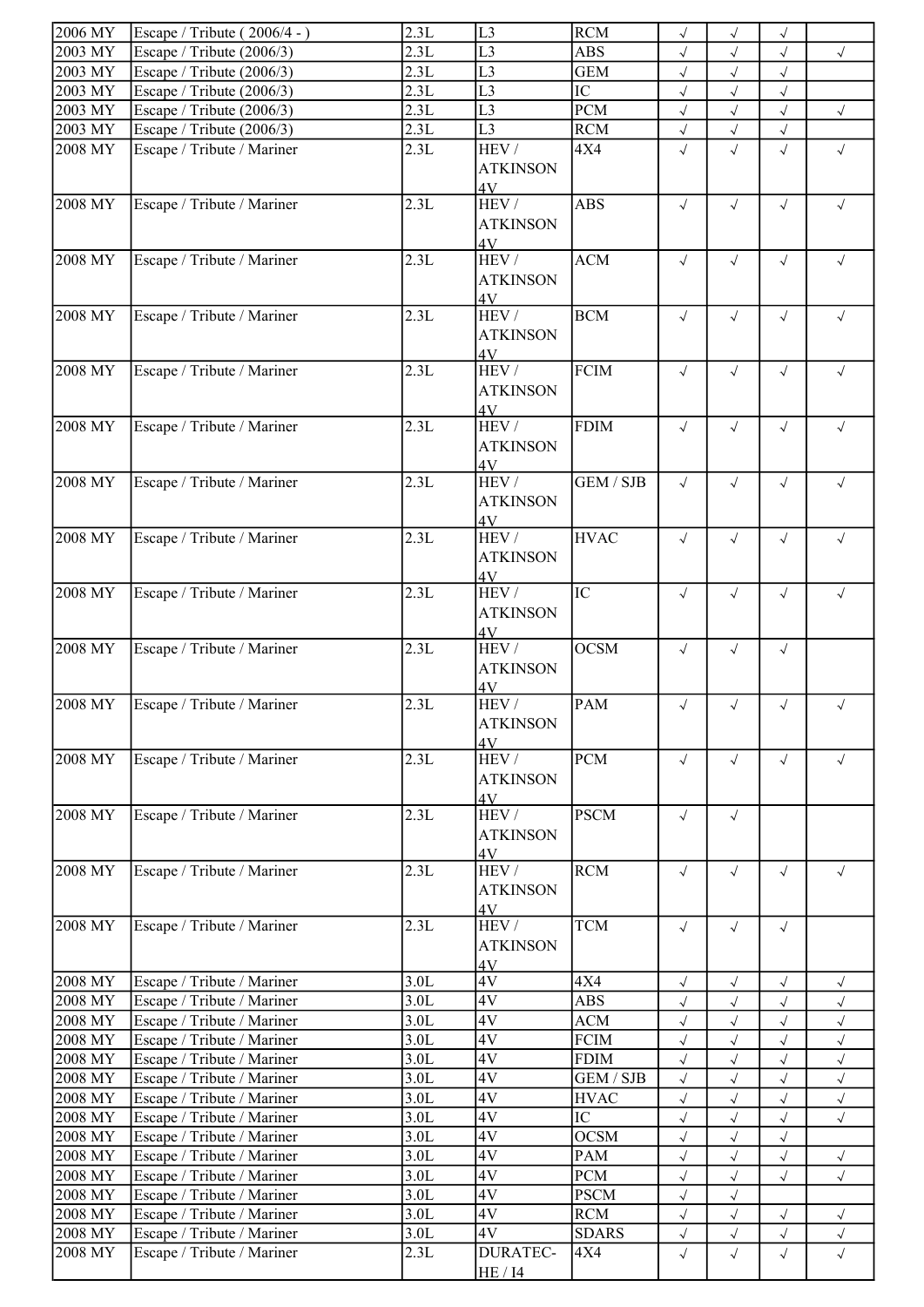| 2006 MY            | Escape / Tribute (2006/4 -)                              | 2.3L                                 | L <sub>3</sub>                 | <b>RCM</b>        | $\sqrt{ }$               | $\sqrt{}$               | $\sqrt{\phantom{a}}$     |                          |
|--------------------|----------------------------------------------------------|--------------------------------------|--------------------------------|-------------------|--------------------------|-------------------------|--------------------------|--------------------------|
| 2003 MY            | Escape / Tribute (2006/3)                                | 2.3L                                 | L <sub>3</sub>                 | <b>ABS</b>        | $\checkmark$             | $\sqrt{}$               | $\sqrt{ }$               | $\sqrt{}$                |
| 2003 MY            | Escape / Tribute (2006/3)                                | 2.3L                                 | L <sub>3</sub>                 | <b>GEM</b>        | $\sqrt{ }$               | $\sqrt{ }$              | $\sqrt{ }$               |                          |
| 2003 MY            | Escape / Tribute (2006/3)                                | 2.3L                                 | L <sub>3</sub>                 | IC                | $\sqrt{ }$               | $\sqrt{ }$              | $\sqrt{\phantom{a}}$     |                          |
| 2003 MY            | Escape / Tribute (2006/3)                                | 2.3L                                 | L <sub>3</sub>                 | PCM               | $\sqrt{ }$               | $\sqrt{ }$              | $\sqrt{ }$               | $\sqrt{ }$               |
| 2003 MY            | Escape / Tribute (2006/3)                                | 2.3L                                 | L <sub>3</sub>                 | <b>RCM</b>        | $\sqrt{ }$               | $\sqrt{ }$              | $\sqrt{ }$               |                          |
| 2008 MY            | Escape / Tribute / Mariner                               | 2.3L                                 | HEV /<br><b>ATKINSON</b><br>4V | 4X4               | $\sqrt{2}$               | $\sqrt{}$               | $\sqrt{ }$               | $\sqrt{ }$               |
| 2008 MY            | Escape / Tribute / Mariner                               | 2.3L                                 | HEV/<br><b>ATKINSON</b><br>4V  | $\overline{ABS}$  | $\sqrt{ }$               | $\sqrt{ }$              | $\sqrt{ }$               | $\sqrt{ }$               |
| 2008 MY            | Escape / Tribute / Mariner                               | 2.3L                                 | HEV/<br><b>ATKINSON</b><br>4V  | ACM               | $\sqrt{ }$               | $\sqrt{ }$              | $\sqrt{ }$               | $\sqrt{ }$               |
| 2008 MY            | Escape / Tribute / Mariner                               | 2.3L                                 | HEV/<br><b>ATKINSON</b><br>4V  | <b>BCM</b>        | $\sqrt{ }$               | $\sqrt{ }$              | $\sqrt{ }$               | $\sqrt{ }$               |
| 2008 MY            | Escape / Tribute / Mariner                               | 2.3L                                 | HEV/<br><b>ATKINSON</b><br>4V  | FCIM              | $\sqrt{ }$               | $\sqrt{}$               | $\sqrt{ }$               | $\sqrt{ }$               |
| 2008 MY            | Escape / Tribute / Mariner                               | 2.3L                                 | HEV/<br><b>ATKINSON</b><br>4V  | <b>FDIM</b>       | $\sqrt{ }$               | $\sqrt{ }$              | $\sqrt{ }$               | $\sqrt{ }$               |
| 2008 MY            | Escape / Tribute / Mariner                               | 2.3L                                 | HEV/<br><b>ATKINSON</b><br>4V  | <b>GEM / SJB</b>  | $\sqrt{ }$               | $\sqrt{ }$              | $\sqrt{\phantom{a}}$     | $\sqrt{ }$               |
| 2008 MY            | Escape / Tribute / Mariner                               | 2.3L                                 | HEV/<br><b>ATKINSON</b><br>4V  | <b>HVAC</b>       | $\sqrt{ }$               | $\sqrt{ }$              | $\sqrt{ }$               | $\sqrt{ }$               |
| 2008 MY            | Escape / Tribute / Mariner                               | 2.3L                                 | HEV/<br><b>ATKINSON</b><br>4V  | IC                | $\sqrt{ }$               | $\sqrt{ }$              | $\sqrt{\phantom{a}}$     | $\sqrt{ }$               |
| 2008 MY            | Escape / Tribute / Mariner                               | 2.3L                                 | HEV/<br><b>ATKINSON</b><br>4V  | <b>OCSM</b>       | $\sqrt{ }$               | $\sqrt{ }$              | $\sqrt{ }$               |                          |
| 2008 MY            | Escape / Tribute / Mariner                               | 2.3L                                 | HEV /<br><b>ATKINSON</b><br>4V | PAM               | $\sqrt{ }$               | $\sqrt{}$               | $\sqrt{ }$               | $\sqrt{ }$               |
| 2008 MY            | Escape / Tribute / Mariner                               | 2.3L                                 | HEV /<br><b>ATKINSON</b><br>4V | PCM               | $\sqrt{}$                | $\sqrt{ }$              | $\sqrt{ }$               | $\sqrt{ }$               |
| 2008 MY            | Escape / Tribute / Mariner                               | 2.3L                                 | HEV/<br><b>ATKINSON</b><br>4V  | <b>PSCM</b>       | $\sqrt{ }$               | $\sqrt{ }$              |                          |                          |
| 2008 MY            | Escape / Tribute / Mariner                               | 2.3L                                 | HEV/<br><b>ATKINSON</b><br>4V  | <b>RCM</b>        | $\sqrt{ }$               | $\sqrt{ }$              | $\sqrt{ }$               | $\sqrt{ }$               |
| 2008 MY            | Escape / Tribute / Mariner                               | 2.3L                                 | HEV /<br><b>ATKINSON</b><br>4V | <b>TCM</b>        | $\sqrt{ }$               | $\sqrt{ }$              | $\sqrt{ }$               |                          |
| 2008 MY            | Escape / Tribute / Mariner                               | 3.0 <sub>L</sub>                     | $\overline{AV}$                | 4X4               | $\sqrt{ }$               | $\sqrt{}$               | $\sqrt{ }$               | $\sqrt{ }$               |
| 2008 MY            | Escape / Tribute / Mariner                               | 3.0 <sub>L</sub>                     | 4V                             | <b>ABS</b>        | $\sqrt{ }$               | $\sqrt{}$               | $\sqrt{ }$               | $\sqrt{ }$               |
| 2008 MY            | Escape / Tribute / Mariner                               | 3.0 <sub>L</sub>                     | 4V                             | ACM               | $\sqrt{}$                | $\checkmark$            | $\sqrt{ }$               | $\sqrt{\phantom{a}}$     |
| 2008 MY            | Escape / Tribute / Mariner                               | 3.0 <sub>L</sub>                     | 4V                             | <b>FCIM</b>       | $\sqrt{ }$               | $\sqrt{ }$              | $\sqrt{\phantom{a}}$     | $\sqrt{ }$               |
| 2008 MY            | Escape / Tribute / Mariner                               | 3.0 <sub>L</sub>                     | 4V<br>4V                       | <b>FDIM</b>       | $\sqrt{ }$               | $\sqrt{ }$              | $\sqrt{ }$               | $\sqrt{ }$               |
| 2008 MY            | Escape / Tribute / Mariner                               | 3.0 <sub>L</sub><br>3.0 <sub>L</sub> | 4V                             | GEM / SJB         | $\sqrt{ }$               | $\sqrt{ }$              | $\sqrt{ }$               | $\sqrt{}$                |
| 2008 MY<br>2008 MY | Escape / Tribute / Mariner<br>Escape / Tribute / Mariner | 3.0L                                 | 4V                             | <b>HVAC</b><br>IC | $\sqrt{ }$<br>$\sqrt{ }$ | $\sqrt{ }$              | $\sqrt{ }$<br>$\sqrt{ }$ | $\sqrt{ }$<br>$\sqrt{ }$ |
| 2008 MY            | Escape / Tribute / Mariner                               | 3.0 <sub>L</sub>                     | 4V                             | <b>OCSM</b>       | $\sqrt{ }$               | $\sqrt{ }$<br>$\sqrt{}$ | $\sqrt{ }$               |                          |
| 2008 MY            | Escape / Tribute / Mariner                               | 3.0 <sub>L</sub>                     | 4V                             | PAM               | $\checkmark$             | $\sqrt{ }$              | $\sqrt{ }$               | $\sqrt{ }$               |
| 2008 MY            | Escape / Tribute / Mariner                               | 3.0 <sub>L</sub>                     | 4V                             | <b>PCM</b>        | $\sqrt{ }$               | $\sqrt{ }$              | $\sqrt{ }$               | $\sqrt{ }$               |
| 2008 MY            | Escape / Tribute / Mariner                               | 3.0 <sub>L</sub>                     | 4V                             | <b>PSCM</b>       | $\sqrt{ }$               | $\sqrt{2}$              |                          |                          |
| 2008 MY            | Escape / Tribute / Mariner                               | 3.0L                                 | 4V                             | <b>RCM</b>        | $\checkmark$             | $\sqrt{}$               | $\sqrt{ }$               | $\sqrt{ }$               |
| 2008 MY            | Escape / Tribute / Mariner                               | 3.0 <sub>L</sub>                     | $\overline{4V}$                | <b>SDARS</b>      | $\sqrt{2}$               | $\checkmark$            | $\sqrt{ }$               | $\sqrt{2}$               |
| 2008 MY            | Escape / Tribute / Mariner                               | 2.3L                                 | <b>DURATEC-</b>                | 4X4               | $\sqrt{ }$               | $\sqrt{}$               | $\sqrt{ }$               | $\checkmark$             |
|                    |                                                          |                                      | HE / I4                        |                   |                          |                         |                          |                          |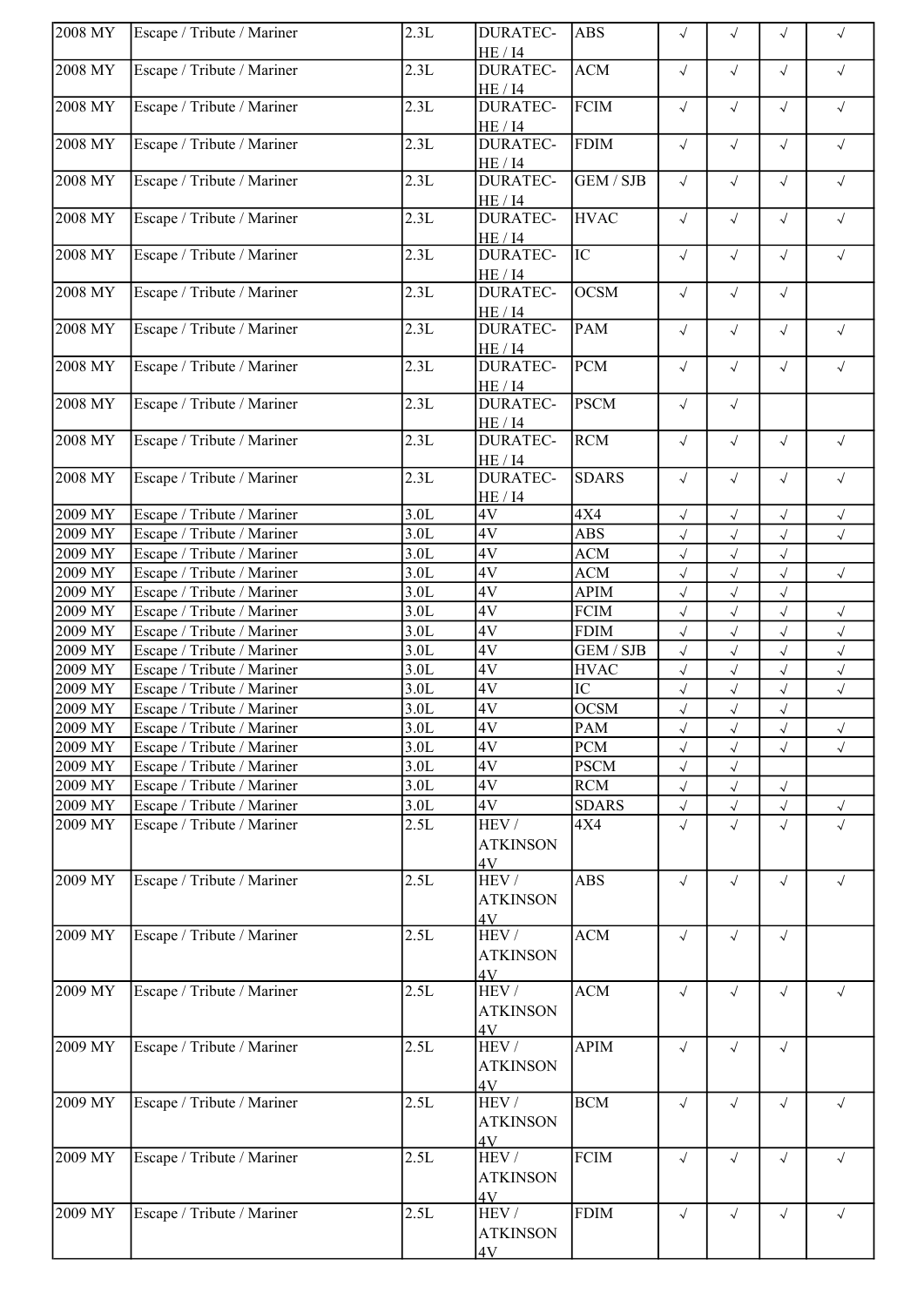| 2008 MY | Escape / Tribute / Mariner | 2.3L               | <b>DURATEC-</b><br>HE / I4        | <b>ABS</b>       | $\sqrt{}$            | $\sqrt{}$    | $\sqrt{}$    | $\sqrt{ }$   |
|---------|----------------------------|--------------------|-----------------------------------|------------------|----------------------|--------------|--------------|--------------|
| 2008 MY | Escape / Tribute / Mariner | 2.3L               | <b>DURATEC-</b><br>HE/14          | <b>ACM</b>       | $\sqrt{ }$           | $\sqrt{}$    | $\sqrt{ }$   | $\sqrt{ }$   |
| 2008 MY | Escape / Tribute / Mariner | 2.3L               | <b>DURATEC-</b><br>HE / 14        | FCIM             | $\sqrt{ }$           | $\sqrt{}$    | $\sqrt{2}$   | $\sqrt{ }$   |
| 2008 MY | Escape / Tribute / Mariner | 2.3L               | <b>DURATEC-</b><br>HE / 14        | <b>FDIM</b>      | $\sqrt{ }$           | $\sqrt{ }$   | $\sqrt{2}$   | $\checkmark$ |
| 2008 MY | Escape / Tribute / Mariner | 2.3L               | <b>DURATEC-</b><br>HE/14          | <b>GEM / SJB</b> | $\sqrt{ }$           | $\sqrt{ }$   | $\sqrt{2}$   | $\checkmark$ |
| 2008 MY | Escape / Tribute / Mariner | 2.3L               | <b>DURATEC-</b><br>HE / I4        | <b>HVAC</b>      | $\sqrt{ }$           | $\sqrt{ }$   | $\sqrt{}$    | $\checkmark$ |
| 2008 MY | Escape / Tribute / Mariner | 2.3L               | <b>DURATEC-</b><br><b>HE</b> / 14 | IC               | $\sqrt{ }$           | $\sqrt{}$    | $\sqrt{}$    | $\sqrt{ }$   |
| 2008 MY | Escape / Tribute / Mariner | 2.3L               | <b>DURATEC-</b><br>HE / I4        | <b>OCSM</b>      | $\sqrt{ }$           | $\sqrt{}$    | $\sqrt{ }$   |              |
| 2008 MY | Escape / Tribute / Mariner | 2.3L               | <b>DURATEC-</b><br>HE / I4        | <b>PAM</b>       | $\sqrt{ }$           | $\sqrt{ }$   | $\sqrt{}$    | $\sqrt{ }$   |
| 2008 MY | Escape / Tribute / Mariner | 2.3L               | <b>DURATEC-</b><br>HE / I4        | PCM              | $\sqrt{ }$           | $\sqrt{ }$   | $\sqrt{ }$   | $\sqrt{ }$   |
| 2008 MY | Escape / Tribute / Mariner | 2.3L               | <b>DURATEC-</b><br>HE / I4        | <b>PSCM</b>      | $\sqrt{ }$           | $\sqrt{ }$   |              |              |
| 2008 MY | Escape / Tribute / Mariner | 2.3L               | <b>DURATEC-</b><br>HE / I4        | <b>RCM</b>       | $\sqrt{ }$           | $\sqrt{ }$   | $\sqrt{ }$   | $\sqrt{ }$   |
| 2008 MY | Escape / Tribute / Mariner | 2.3L               | <b>DURATEC-</b><br>HE / I4        | <b>SDARS</b>     | $\sqrt{ }$           | $\sqrt{ }$   | $\sqrt{ }$   | $\sqrt{ }$   |
| 2009 MY | Escape / Tribute / Mariner | 3.0 <sub>L</sub>   | 4V                                | 4X4              | $\sqrt{ }$           | $\sqrt{ }$   | $\sqrt{ }$   | $\checkmark$ |
| 2009 MY | Escape / Tribute / Mariner | $\overline{3}.0L$  | 4V                                | <b>ABS</b>       | $\checkmark$         | $\checkmark$ | $\sqrt{2}$   | $\sqrt{}$    |
| 2009 MY | Escape / Tribute / Mariner | 3.0 <sub>L</sub>   | $\overline{AV}$                   | <b>ACM</b>       | $\sqrt{ }$           | $\checkmark$ | $\sqrt{2}$   |              |
| 2009 MY | Escape / Tribute / Mariner | 3.0 <sub>L</sub>   | 4V                                | <b>ACM</b>       | $\sqrt{ }$           | $\checkmark$ | $\sqrt{2}$   | $\checkmark$ |
| 2009 MY | Escape / Tribute / Mariner | 3.0 <sub>L</sub>   | 4V                                | <b>APIM</b>      | $\checkmark$         |              | $\sqrt{2}$   |              |
|         |                            |                    |                                   |                  |                      | $\checkmark$ |              |              |
| 2009 MY | Escape / Tribute / Mariner | 3.0 <sub>L</sub>   | 4V                                | <b>FCIM</b>      | $\checkmark$         | $\checkmark$ | $\checkmark$ | $\checkmark$ |
| 2009 MY | Escape / Tribute / Mariner | 3.0 <sub>L</sub>   | 4V                                | <b>FDIM</b>      | $\sqrt{}$            | $\sqrt{ }$   | $\sqrt{ }$   | $\sqrt{ }$   |
| 2009 MY | Escape / Tribute / Mariner | 3.0 <sub>L</sub>   | 4V                                | GEM / SJB        | $\checkmark$         | $\checkmark$ | $\sqrt{}$    | $\checkmark$ |
| 2009 MY | Escape / Tribute / Mariner | $\overline{3.0}$ L | 4V                                | <b>HVAC</b>      | $\checkmark$         | $\checkmark$ | $\checkmark$ | $\sqrt{ }$   |
| 2009 MY | Escape / Tribute / Mariner | $\overline{3.0}$ L | 4V                                | IC               | $\sqrt{\phantom{a}}$ | $\checkmark$ | $\checkmark$ | $\sqrt{2}$   |
| 2009 MY | Escape / Tribute / Mariner | 3.0L               | 4V                                | OCSM             | $\sqrt{ }$           | $\sqrt{}$    | $\checkmark$ |              |
| 2009 MY | Escape / Tribute / Mariner | 3.0 <sub>L</sub>   | 4V                                | <b>PAM</b>       | $\sqrt{ }$           | $\sqrt{ }$   | $\sqrt{ }$   | $\sqrt{ }$   |
| 2009 MY | Escape / Tribute / Mariner | 3.0 <sub>L</sub>   | 4V                                | <b>PCM</b>       | $\sqrt{ }$           | $\sqrt{2}$   | $\sqrt{ }$   |              |
| 2009 MY | Escape / Tribute / Mariner | 3.0 <sub>L</sub>   | 4V                                | <b>PSCM</b>      | $\sqrt{ }$           | $\sqrt{}$    |              |              |
| 2009 MY | Escape / Tribute / Mariner | 3.0L               | 4V                                | RCM              | $\checkmark$         | $\sqrt{}$    | $\sqrt{ }$   |              |
|         |                            | 3.0 <sub>L</sub>   | 4V                                |                  | $\sqrt{2}$           |              | $\sqrt{ }$   |              |
| 2009 MY | Escape / Tribute / Mariner |                    |                                   | <b>SDARS</b>     |                      | $\sqrt{2}$   |              | $\checkmark$ |
| 2009 MY | Escape / Tribute / Mariner | 2.5L               | HEV /<br><b>ATKINSON</b><br>4V    | 4X4              | $\sqrt{}$            | $\sqrt{}$    | $\sqrt{ }$   | $\sqrt{}$    |
| 2009 MY | Escape / Tribute / Mariner | 2.5L               | HEV/<br><b>ATKINSON</b><br>4V     | <b>ABS</b>       | $\sqrt{ }$           | $\sqrt{}$    | $\sqrt{ }$   | $\sqrt{ }$   |
| 2009 MY | Escape / Tribute / Mariner | 2.5L               | $HEV$ /<br><b>ATKINSON</b><br>4V  | <b>ACM</b>       | $\sqrt{ }$           | $\sqrt{}$    | $\sqrt{ }$   |              |
| 2009 MY | Escape / Tribute / Mariner | 2.5L               | HEV /<br><b>ATKINSON</b><br>4V    | <b>ACM</b>       | $\sqrt{ }$           | $\sqrt{ }$   | $\sqrt{ }$   | $\sqrt{ }$   |
| 2009 MY | Escape / Tribute / Mariner | 2.5L               | HEV /<br><b>ATKINSON</b><br>4V    | <b>APIM</b>      | $\sqrt{ }$           | $\sqrt{}$    | $\sqrt{ }$   |              |
| 2009 MY | Escape / Tribute / Mariner | 2.5L               | HEV/<br><b>ATKINSON</b><br>4V     | <b>BCM</b>       | $\sqrt{ }$           | $\sqrt{}$    | $\sqrt{ }$   | $\sqrt{ }$   |
| 2009 MY | Escape / Tribute / Mariner | 2.5L               | HEV/<br><b>ATKINSON</b><br>4V     | FCIM             | $\sqrt{ }$           | $\sqrt{ }$   | $\sqrt{ }$   | $\sqrt{ }$   |
| 2009 MY | Escape / Tribute / Mariner | 2.5L               | HEV/<br><b>ATKINSON</b><br>4V     | FDIM             | $\sqrt{ }$           | $\sqrt{ }$   | $\sqrt{ }$   | $\sqrt{ }$   |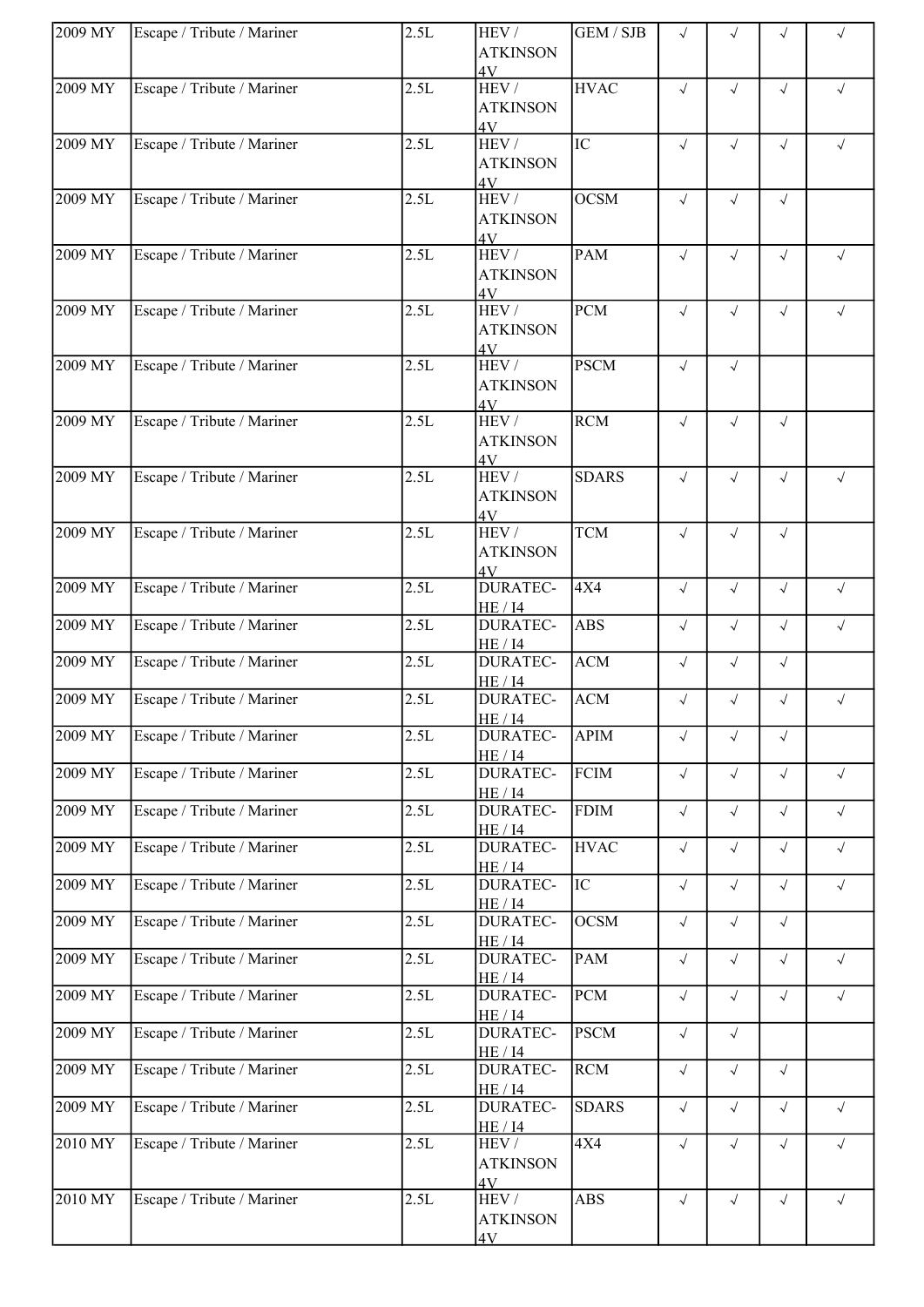| 2009 MY | Escape / Tribute / Mariner | 2.5L               | HEV /<br><b>ATKINSON</b>                 | GEM / SJB                | $\sqrt{}$  | $\sqrt{}$  | $\sqrt{}$            | $\sqrt{}$  |
|---------|----------------------------|--------------------|------------------------------------------|--------------------------|------------|------------|----------------------|------------|
|         |                            |                    | 4V                                       |                          |            |            |                      |            |
| 2009 MY | Escape / Tribute / Mariner | 2.5L               | HEV/<br><b>ATKINSON</b><br>4V            | <b>HVAC</b>              | $\sqrt{2}$ | $\sqrt{ }$ | $\sqrt{2}$           | $\sqrt{}$  |
| 2009 MY | Escape / Tribute / Mariner | 2.5L               | HEV /<br><b>ATKINSON</b><br>4V           | $\overline{\text{IC}}$   | $\sqrt{2}$ | $\sqrt{ }$ | $\sqrt{2}$           | $\sqrt{2}$ |
| 2009 MY | Escape / Tribute / Mariner | 2.5L               | HEV/<br><b>ATKINSON</b><br>4V            | $\overline{\text{OCSM}}$ | $\sqrt{ }$ | $\sqrt{ }$ | $\sqrt{}$            |            |
| 2009 MY | Escape / Tribute / Mariner | 2.5L               | HEV<br><b>ATKINSON</b><br>4V             | <b>PAM</b>               | $\sqrt{2}$ | $\sqrt{2}$ | $\sqrt{}$            | $\sqrt{2}$ |
| 2009 MY | Escape / Tribute / Mariner | 2.5L               | HEV/<br><b>ATKINSON</b><br>4V            | <b>PCM</b>               | $\sqrt{2}$ | $\sqrt{ }$ | $\sqrt{2}$           | $\sqrt{2}$ |
| 2009 MY | Escape / Tribute / Mariner | 2.5L               | HEV/<br><b>ATKINSON</b><br>4V            | <b>PSCM</b>              | $\sqrt{ }$ | $\sqrt{ }$ |                      |            |
| 2009 MY | Escape / Tribute / Mariner | 2.5L               | HEV/<br><b>ATKINSON</b><br>4V            | <b>RCM</b>               | $\sqrt{ }$ | $\sqrt{2}$ | $\sqrt{}$            |            |
| 2009 MY | Escape / Tribute / Mariner | 2.5L               | HEV/<br><b>ATKINSON</b><br>4V            | <b>SDARS</b>             | $\sqrt{2}$ | $\sqrt{2}$ | $\sqrt{}$            | $\sqrt{}$  |
| 2009 MY | Escape / Tribute / Mariner | 2.5L               | HEV/<br><b>ATKINSON</b><br>4V            | <b>TCM</b>               | $\sqrt{2}$ | $\sqrt{ }$ | $\sqrt{2}$           |            |
| 2009 MY | Escape / Tribute / Mariner | 2.5L               | <b>DURATEC-</b><br><b>HE</b> / <b>I4</b> | 4X4                      | $\sqrt{ }$ | $\sqrt{ }$ | $\sqrt{2}$           | $\sqrt{ }$ |
| 2009 MY | Escape / Tribute / Mariner | 2.5L               | <b>DURATEC-</b><br><b>HE</b> / <b>I4</b> | <b>ABS</b>               | $\sqrt{ }$ | $\sqrt{ }$ | $\sqrt{}$            | $\sqrt{ }$ |
| 2009 MY | Escape / Tribute / Mariner | 2.5L               | <b>DURATEC-</b><br>HE / I4               | <b>ACM</b>               | $\sqrt{}$  | $\sqrt{ }$ | $\sqrt{ }$           |            |
| 2009 MY | Escape / Tribute / Mariner | 2.5L               | <b>DURATEC-</b><br>HE/IA                 | <b>ACM</b>               | $\sqrt{}$  | $\sqrt{2}$ | $\sqrt{}$            | $\sqrt{ }$ |
| 2009 MY | Escape / Tribute / Mariner | 2.5L               | <b>DURATEC-</b><br><b>HE</b> / <b>I4</b> | <b>APIM</b>              | $\sqrt{}$  | $\sqrt{2}$ | $\sqrt{}$            |            |
| 2009 MY | Escape / Tribute / Mariner | 2.5L               | <b>DURATEC-</b><br><b>HE</b> / <b>I4</b> | <b>FCIM</b>              | $\sqrt{ }$ | $\sqrt{ }$ | $\sqrt{ }$           | $\sqrt{ }$ |
| 2009 MY | Escape / Tribute / Mariner | 2.5L               | <b>DURATEC-</b><br><b>HE</b> / <b>I4</b> | <b>FDIM</b>              | $\sqrt{ }$ | $\sqrt{}$  | $\sqrt{ }$           | $\sqrt{ }$ |
| 2009 MY | Escape / Tribute / Mariner | 2.5L               | <b>DURATEC-</b><br><b>HE/I4</b>          | <b>HVAC</b>              | $\sqrt{ }$ | $\sqrt{}$  | $\sqrt{ }$           | $\sqrt{ }$ |
| 2009 MY | Escape / Tribute / Mariner | 2.5L               | <b>DURATEC-</b><br><b>HE</b> / <b>I4</b> | IC                       | $\sqrt{ }$ | $\sqrt{}$  | $\sqrt{ }$           | $\sqrt{}$  |
| 2009 MY | Escape / Tribute / Mariner | 2.5L               | <b>DURATEC-</b><br><b>HE</b> / <b>I4</b> | <b>OCSM</b>              | $\sqrt{ }$ | $\sqrt{}$  | $\sqrt{ }$           |            |
| 2009 MY | Escape / Tribute / Mariner | 2.5L               | <b>DURATEC-</b><br><b>HE</b> / <b>I4</b> | <b>PAM</b>               | $\sqrt{ }$ | $\sqrt{}$  | $\sqrt{ }$           | $\sqrt{}$  |
| 2009 MY | Escape / Tribute / Mariner | 2.5L               | <b>DURATEC-</b><br><b>HE</b> / <b>I4</b> | <b>PCM</b>               | $\sqrt{ }$ | $\sqrt{}$  | $\sqrt{ }$           | $\sqrt{ }$ |
| 2009 MY | Escape / Tribute / Mariner | 2.5L               | <b>DURATEC-</b><br><b>HE</b> / <b>I4</b> | <b>PSCM</b>              | $\sqrt{}$  | $\sqrt{ }$ |                      |            |
| 2009 MY | Escape / Tribute / Mariner | $\overline{2.5}$ L | <b>DURATEC-</b><br>HE/14                 | RCM                      | $\sqrt{}$  | $\sqrt{ }$ | $\sqrt{}$            |            |
| 2009 MY | Escape / Tribute / Mariner | 2.5L               | <b>DURATEC-</b><br>HE / I4               | <b>SDARS</b>             | $\sqrt{}$  | $\sqrt{ }$ | $\sqrt{ }$           | $\sqrt{ }$ |
| 2010 MY | Escape / Tribute / Mariner | 2.5L               | HEV/<br><b>ATKINSON</b><br>4V            | 4X4                      | $\sqrt{ }$ | $\sqrt{ }$ | $\sqrt{ }$           | $\sqrt{ }$ |
| 2010 MY | Escape / Tribute / Mariner | 2.5L               | HEV/<br><b>ATKINSON</b><br>4V            | <b>ABS</b>               | $\sqrt{ }$ | $\sqrt{}$  | $\sqrt{\phantom{a}}$ | $\sqrt{}$  |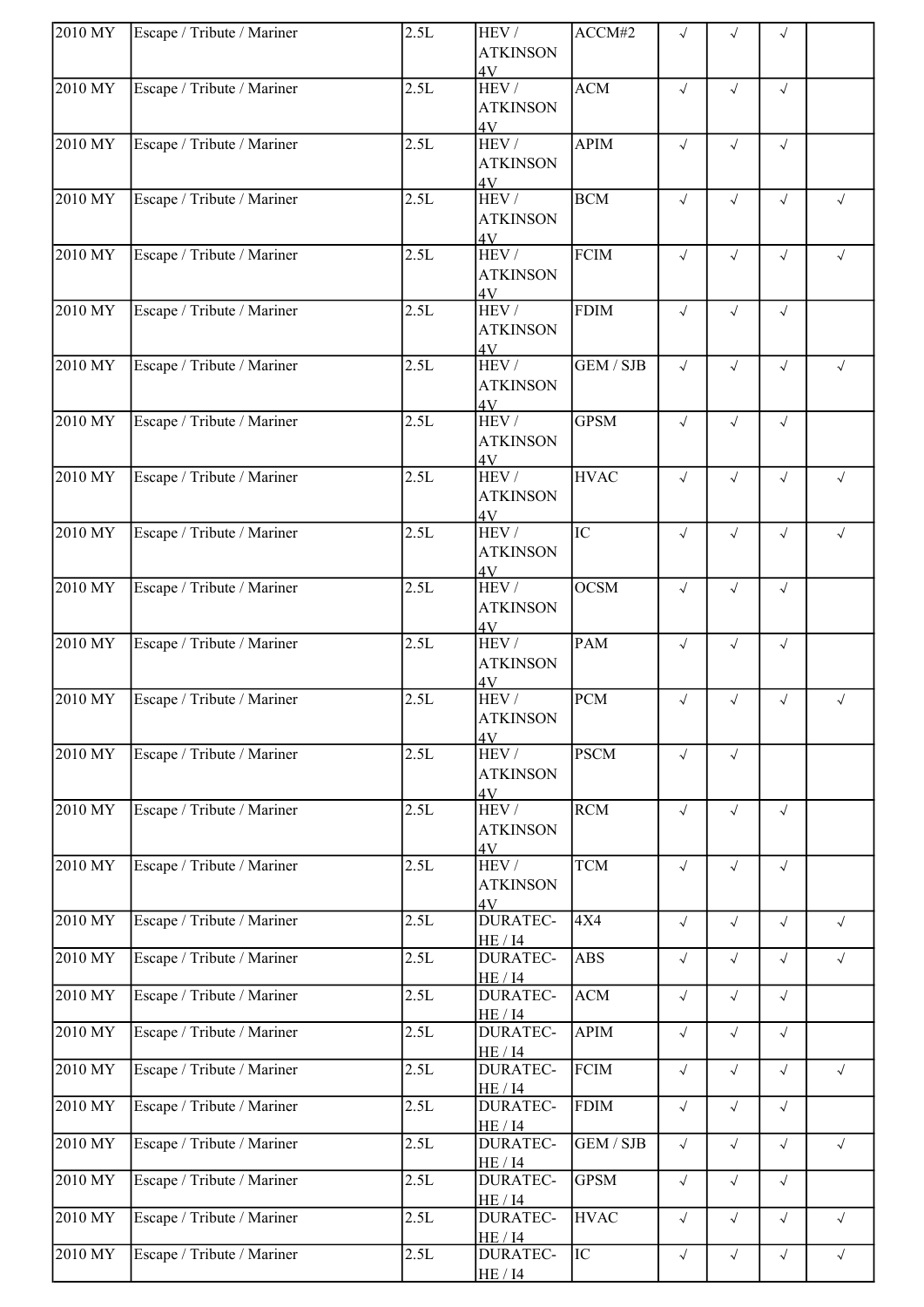| 2010 MY | Escape / Tribute / Mariner | 2.5L | HEV /                      | ACCM#2                 | $\sqrt{}$            | $\sqrt{}$  | $\sqrt{}$  |            |
|---------|----------------------------|------|----------------------------|------------------------|----------------------|------------|------------|------------|
|         |                            |      | ATKINSON                   |                        |                      |            |            |            |
| 2010 MY | Escape / Tribute / Mariner | 2.5L | 4V<br>HEV/                 | <b>ACM</b>             | $\sqrt{2}$           | $\sqrt{ }$ | $\sqrt{ }$ |            |
|         |                            |      | <b>ATKINSON</b>            |                        |                      |            |            |            |
|         |                            |      | 4V                         |                        |                      |            |            |            |
| 2010 MY | Escape / Tribute / Mariner | 2.5L | HEV /                      | <b>APIM</b>            | $\sqrt{2}$           | $\sqrt{ }$ | $\sqrt{}$  |            |
|         |                            |      | <b>ATKINSON</b>            |                        |                      |            |            |            |
| 2010 MY | Escape / Tribute / Mariner | 2.5L | 4V<br>HEV/                 | BCM                    | $\sqrt{ }$           | $\sqrt{ }$ | $\sqrt{}$  | $\sqrt{ }$ |
|         |                            |      | <b>ATKINSON</b>            |                        |                      |            |            |            |
|         |                            |      | 4V                         |                        |                      |            |            |            |
| 2010 MY | Escape / Tribute / Mariner | 2.5L | HEV                        | <b>FCIM</b>            | $\sqrt{}$            | $\sqrt{2}$ | $\sqrt{}$  | $\sqrt{2}$ |
|         |                            |      | <b>ATKINSON</b>            |                        |                      |            |            |            |
| 2010 MY | Escape / Tribute / Mariner | 2.5L | 4V<br>HEV/                 | <b>FDIM</b>            | $\sqrt{2}$           |            |            |            |
|         |                            |      | <b>ATKINSON</b>            |                        |                      | $\sqrt{ }$ | $\sqrt{}$  |            |
|         |                            |      | 4V                         |                        |                      |            |            |            |
| 2010 MY | Escape / Tribute / Mariner | 2.5L | HEV/                       | GEM / SJB              | $\sqrt{ }$           | $\sqrt{ }$ | $\sqrt{}$  | $\sqrt{ }$ |
|         |                            |      | <b>ATKINSON</b>            |                        |                      |            |            |            |
|         |                            |      | 4V                         |                        |                      |            |            |            |
| 2010 MY | Escape / Tribute / Mariner | 2.5L | HEV/                       | <b>GPSM</b>            | $\sqrt{ }$           | $\sqrt{ }$ | $\sqrt{}$  |            |
|         |                            |      | <b>ATKINSON</b>            |                        |                      |            |            |            |
| 2010 MY | Escape / Tribute / Mariner | 2.5L | 4V<br>HEV/                 | <b>HVAC</b>            | $\sqrt{2}$           | $\sqrt{ }$ | $\sqrt{}$  | $\sqrt{2}$ |
|         |                            |      | <b>ATKINSON</b>            |                        |                      |            |            |            |
|         |                            |      | 4V                         |                        |                      |            |            |            |
| 2010 MY | Escape / Tribute / Mariner | 2.5L | HEV/                       | $\overline{\text{IC}}$ | $\sqrt{}$            | $\sqrt{ }$ | $\sqrt{2}$ | $\sqrt{2}$ |
|         |                            |      | <b>ATKINSON</b>            |                        |                      |            |            |            |
| 2010 MY | Escape / Tribute / Mariner | 2.5L | 4V<br>HEV/                 | <b>OCSM</b>            | $\sqrt{2}$           | $\sqrt{ }$ | $\sqrt{}$  |            |
|         |                            |      | <b>ATKINSON</b>            |                        |                      |            |            |            |
|         |                            |      | 4V                         |                        |                      |            |            |            |
| 2010 MY | Escape / Tribute / Mariner | 2.5L | HEV /                      | PAM                    | $\sqrt{}$            | $\sqrt{ }$ | $\sqrt{}$  |            |
|         |                            |      | <b>ATKINSON</b>            |                        |                      |            |            |            |
|         |                            |      | 4V                         |                        |                      |            |            |            |
| 2010 MY | Escape / Tribute / Mariner | 2.5L | HEV /                      | <b>PCM</b>             | $\sqrt{}$            | $\sqrt{ }$ | $\sqrt{}$  | $\sqrt{ }$ |
|         |                            |      | <b>ATKINSON</b><br>4V      |                        |                      |            |            |            |
| 2010 MY | Escape / Tribute / Mariner | 2.5L | HEV /                      | <b>PSCM</b>            | $\sqrt{ }$           | $\sqrt{ }$ |            |            |
|         |                            |      | <b>ATKINSON</b>            |                        |                      |            |            |            |
|         |                            |      | 4V                         |                        |                      |            |            |            |
| 2010 MY | Escape / Tribute / Mariner | 2.5L | HEV/                       | RCM                    | $\sqrt{\phantom{a}}$ | $\sqrt{}$  | $\sqrt{ }$ |            |
|         |                            |      | <b>ATKINSON</b>            |                        |                      |            |            |            |
| 2010 MY | Escape / Tribute / Mariner | 2.5L | 4V<br>HEV/                 | <b>TCM</b>             | $\sqrt{\phantom{a}}$ | $\sqrt{}$  | $\sqrt{ }$ |            |
|         |                            |      | <b>ATKINSON</b>            |                        |                      |            |            |            |
|         |                            |      | 4V                         |                        |                      |            |            |            |
| 2010 MY | Escape / Tribute / Mariner | 2.5L | <b>DURATEC-</b>            | 4X4                    | $\sqrt{ }$           | $\sqrt{ }$ | $\sqrt{}$  | $\sqrt{ }$ |
|         |                            |      | <b>HE</b> / <b>I4</b>      |                        |                      |            |            |            |
| 2010 MY | Escape / Tribute / Mariner | 2.5L | <b>DURATEC-</b>            | <b>ABS</b>             | $\sqrt{ }$           | $\sqrt{ }$ | $\sqrt{}$  | $\sqrt{ }$ |
| 2010 MY | Escape / Tribute / Mariner | 2.5L | HE/14<br><b>DURATEC-</b>   | ACM                    | $\sqrt{\phantom{a}}$ | $\sqrt{ }$ | $\sqrt{}$  |            |
|         |                            |      | <b>HE</b> / <b>I4</b>      |                        |                      |            |            |            |
| 2010 MY | Escape / Tribute / Mariner | 2.5L | <b>DURATEC-</b>            | <b>APIM</b>            | $\sqrt{ }$           | $\sqrt{ }$ | $\sqrt{ }$ |            |
|         |                            |      | <b>HE</b> / <b>I4</b>      |                        |                      |            |            |            |
| 2010 MY | Escape / Tribute / Mariner | 2.5L | <b>DURATEC-</b>            | <b>FCIM</b>            | $\sqrt{\phantom{a}}$ | $\sqrt{ }$ | $\sqrt{ }$ | $\sqrt{ }$ |
|         |                            |      | HE/14                      |                        |                      |            |            |            |
| 2010 MY | Escape / Tribute / Mariner | 2.5L | <b>DURATEC-</b><br>HE/14   | <b>FDIM</b>            | $\sqrt{}$            | $\sqrt{ }$ | $\sqrt{}$  |            |
| 2010 MY | Escape / Tribute / Mariner | 2.5L | <b>DURATEC-</b>            | GEM / SJB              | $\sqrt{\phantom{a}}$ | $\sqrt{ }$ | $\sqrt{ }$ | $\sqrt{ }$ |
|         |                            |      | HE / I4                    |                        |                      |            |            |            |
| 2010 MY | Escape / Tribute / Mariner | 2.5L | <b>DURATEC-</b>            | <b>GPSM</b>            | $\sqrt{ }$           | $\sqrt{ }$ | $\sqrt{ }$ |            |
|         |                            |      | HE/14                      |                        |                      |            |            |            |
| 2010 MY | Escape / Tribute / Mariner | 2.5L | <b>DURATEC-</b>            | <b>HVAC</b>            | $\sqrt{ }$           | $\sqrt{}$  | $\sqrt{}$  | $\sqrt{ }$ |
| 2010 MY | Escape / Tribute / Mariner | 2.5L | HE / I4<br><b>DURATEC-</b> | IC                     |                      |            |            |            |
|         |                            |      | HE / 14                    |                        | $\sqrt{\phantom{a}}$ | $\sqrt{ }$ | $\sqrt{}$  | $\sqrt{ }$ |
|         |                            |      |                            |                        |                      |            |            |            |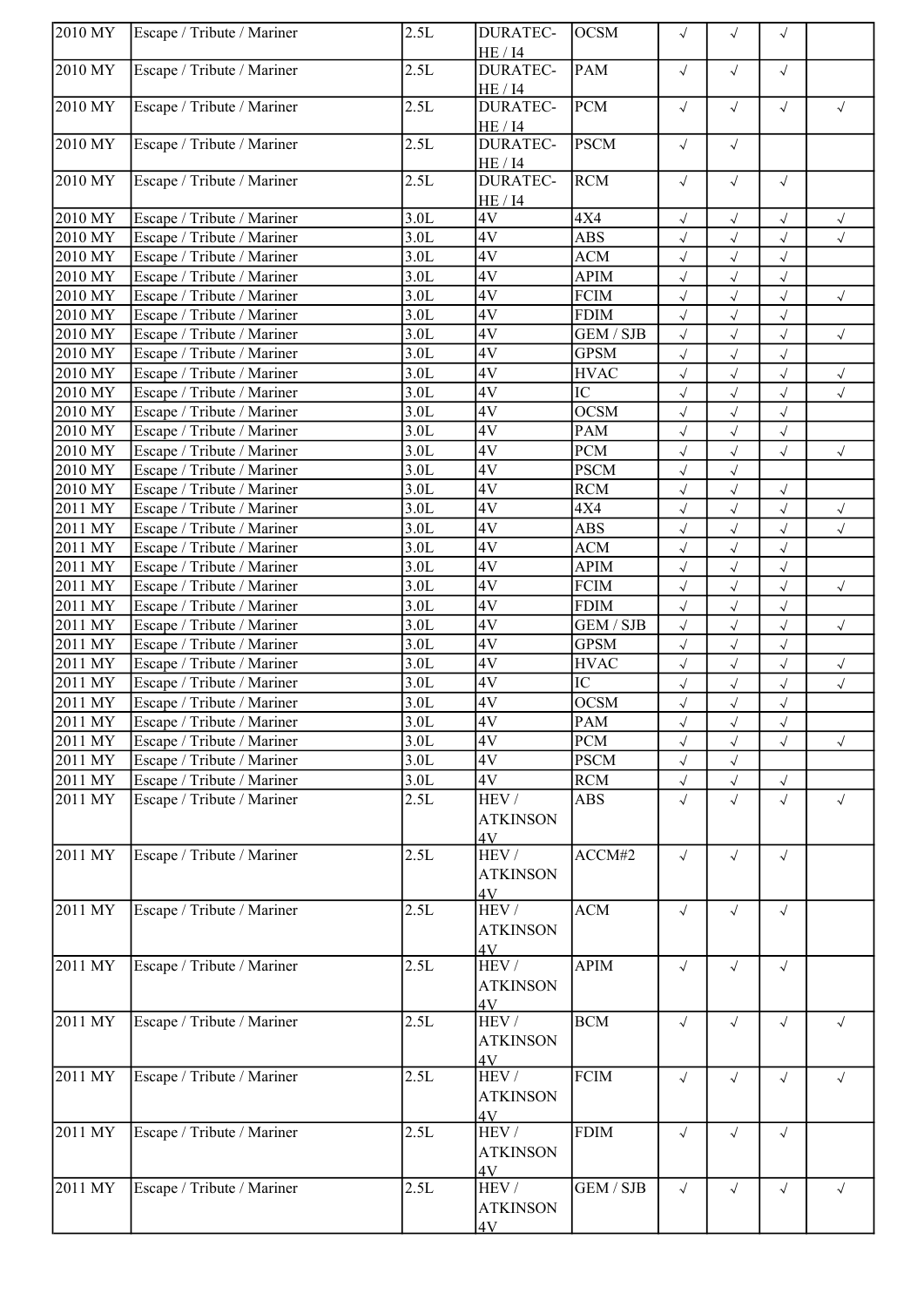| 2010 MY            | Escape / Tribute / Mariner                               | 2.5L                                   | <b>DURATEC-</b>            | <b>OCSM</b>                | $\sqrt{ }$                   | $\sqrt{ }$              | $\sqrt{ }$                 |              |
|--------------------|----------------------------------------------------------|----------------------------------------|----------------------------|----------------------------|------------------------------|-------------------------|----------------------------|--------------|
| 2010 MY            | Escape / Tribute / Mariner                               | 2.5L                                   | HE / I4<br><b>DURATEC-</b> | <b>PAM</b>                 | $\sqrt{}$                    | $\sqrt{}$               | $\sqrt{\phantom{a}}$       |              |
|                    |                                                          |                                        | HE / 14                    |                            |                              |                         |                            |              |
| 2010 MY            | Escape / Tribute / Mariner                               | 2.5L                                   | <b>DURATEC-</b>            | <b>PCM</b>                 | $\sqrt{ }$                   | $\sqrt{}$               | $\sqrt{ }$                 | $\checkmark$ |
|                    |                                                          |                                        | HE/IA                      |                            |                              |                         |                            |              |
| 2010 MY            | Escape / Tribute / Mariner                               | 2.5L                                   | <b>DURATEC-</b>            | <b>PSCM</b>                | $\sqrt{ }$                   | $\sqrt{}$               |                            |              |
|                    |                                                          |                                        | HE / 14                    |                            |                              |                         |                            |              |
| 2010 MY            | Escape / Tribute / Mariner                               | 2.5L                                   | <b>DURATEC-</b>            | <b>RCM</b>                 | $\sqrt{ }$                   | $\sqrt{}$               | $\sqrt{\phantom{a}}$       |              |
| 2010 MY            | Escape / Tribute / Mariner                               | 3.0L                                   | HE/14<br>4V                | 4X4                        | $\sqrt{ }$                   | $\sqrt{}$               | $\sqrt{ }$                 | $\sqrt{ }$   |
| 2010 MY            | Escape / Tribute / Mariner                               | 3.0 <sub>L</sub>                       | $\overline{4V}$            | <b>ABS</b>                 | $\sqrt{ }$                   | $\sqrt{}$               | $\sqrt{ }$                 | $\sqrt{2}$   |
| 2010 MY            | Escape / Tribute / Mariner                               | 3.0 <sub>L</sub>                       | $\overline{4V}$            | <b>ACM</b>                 | $\sqrt{ }$                   | $\sqrt{}$               | $\sqrt{ }$                 |              |
| 2010 MY            | Escape / Tribute / Mariner                               | 3.0 <sub>L</sub>                       | 4V                         | <b>APIM</b>                | $\sqrt{ }$                   | $\sqrt{}$               | $\sqrt{ }$                 |              |
| 2010 MY            | Escape / Tribute / Mariner                               | 3.0 <sub>L</sub>                       | 4V                         | <b>FCIM</b>                | $\sqrt{ }$                   | $\sqrt{}$               | $\sqrt{ }$                 | $\sqrt{ }$   |
| 2010 MY            | Escape / Tribute / Mariner                               | 3.0 <sub>L</sub>                       | 4V                         | <b>FDIM</b>                | $\sqrt{ }$                   | $\sqrt{}$               | $\sqrt{ }$                 |              |
| 2010 MY            | Escape / Tribute / Mariner                               | 3.0 <sub>L</sub>                       | 4V                         | GEM / SJB                  | $\sqrt{ }$                   | $\sqrt{}$               | $\sqrt{ }$                 | $\sqrt{ }$   |
| 2010 MY            | Escape / Tribute / Mariner                               | 3.0 <sub>L</sub>                       | 4V                         | <b>GPSM</b>                | $\checkmark$                 | $\checkmark$            | $\sqrt{\phantom{a}}$       |              |
| 2010 MY            | Escape / Tribute / Mariner                               | 3.0 <sub>L</sub>                       | 4V                         | <b>HVAC</b>                | $\sqrt{ }$                   | $\sqrt{}$               | $\sqrt{}$                  | $\sqrt{}$    |
| 2010 MY            | Escape / Tribute / Mariner                               | 3.0L                                   | 4V                         | IC                         | $\sqrt{ }$                   | $\sqrt{}$               | $\sqrt{ }$                 | $\checkmark$ |
| 2010 MY            | Escape / Tribute / Mariner                               | 3.0 <sub>L</sub>                       | 4V                         | <b>OCSM</b>                | $\sqrt{ }$                   | $\sqrt{ }$              | $\sqrt{ }$                 |              |
| 2010 MY            | Escape / Tribute / Mariner                               | 3.0 <sub>L</sub>                       | 4V                         | <b>PAM</b>                 | $\sqrt{ }$                   | $\sqrt{}$               | $\checkmark$               |              |
| 2010 MY            | Escape / Tribute / Mariner                               | 3.0 <sub>L</sub>                       | $\overline{4V}$            | <b>PCM</b>                 | $\checkmark$                 | $\checkmark$            | $\sqrt{ }$                 | $\sqrt{}$    |
| 2010 MY            | Escape / Tribute / Mariner                               | 3.0 <sub>L</sub>                       | $\overline{4V}$            | <b>PSCM</b>                | $\sqrt{2}$                   | $\sqrt{2}$              |                            |              |
| 2010 MY            | Escape / Tribute / Mariner                               | 3.0 <sub>L</sub>                       | 4V                         | <b>RCM</b>                 | $\sqrt{ }$                   | $\sqrt{\phantom{a}}$    | $\sqrt{ }$                 |              |
| 2011 MY            | Escape / Tribute / Mariner                               | 3.0 <sub>L</sub>                       | 4V                         | 4X4                        | $\checkmark$                 | $\sqrt{}$               | $\sqrt{ }$                 | $\sqrt{ }$   |
| 2011 MY            | Escape / Tribute / Mariner                               | 3.0 <sub>L</sub>                       | 4V                         | <b>ABS</b>                 | $\sqrt{2}$                   | $\sqrt{ }$              | $\sqrt{ }$                 | $\sqrt{ }$   |
| 2011 MY            | Escape / Tribute / Mariner                               | 3.0 <sub>L</sub>                       | 4V                         | <b>ACM</b>                 | $\sqrt{ }$                   | $\sqrt{}$               | $\sqrt{ }$                 |              |
| 2011 MY            | Escape / Tribute / Mariner<br>Escape / Tribute / Mariner | 3.0 <sub>L</sub><br>$\overline{3.0}$ L | 4V<br>4V                   | <b>APIM</b>                | $\checkmark$                 | $\sqrt{\phantom{a}}$    | $\sqrt{ }$                 |              |
| 2011 MY<br>2011 MY | Escape / Tribute / Mariner                               | 3.0 <sub>L</sub>                       | 4V                         | <b>FCIM</b><br><b>FDIM</b> | $\checkmark$<br>$\checkmark$ | $\checkmark$            | $\checkmark$<br>$\sqrt{ }$ | $\sqrt{ }$   |
| 2011 MY            | Escape / Tribute / Mariner                               | 3.0 <sub>L</sub>                       | 4V                         | GEM / SJB                  | $\checkmark$                 | $\sqrt{}$<br>$\sqrt{ }$ | $\sqrt{ }$                 | $\sqrt{ }$   |
| 2011 MY            | Escape / Tribute / Mariner                               | 3.0L                                   | 4V                         | <b>GPSM</b>                | $\sqrt{ }$                   | $\sqrt{2}$              | $\checkmark$               |              |
| 2011 MY            | Escape / Tribute / Mariner                               | $\overline{3.0}$ L                     | 4V                         | <b>HVAC</b>                | $\sqrt{ }$                   | $\sqrt{ }$              | $\sqrt{\phantom{a}}$       | $\sqrt{ }$   |
| 2011 MY            | Escape / Tribute / Mariner                               | 3.0 <sub>L</sub>                       | 4V                         | IC                         | $\sqrt{ }$                   | $\sqrt{2}$              | $\checkmark$               | $\sqrt{2}$   |
| 2011 MY            | Escape / Tribute / Mariner                               | 3.0 <sub>L</sub>                       | 4V                         | <b>OCSM</b>                | $\checkmark$                 | $\sqrt{}$               | $\sqrt{ }$                 |              |
| 2011 MY            | Escape / Tribute / Mariner                               | 3.0L                                   | $\overline{4V}$            | <b>PAM</b>                 | $\checkmark$                 | $\checkmark$            | $\sqrt{ }$                 |              |
| 2011 MY            | Escape / Tribute / Mariner                               | 3.0 <sub>L</sub>                       | 4V                         | <b>PCM</b>                 | $\sqrt{ }$                   | $\sqrt{}$               | $\sqrt{ }$                 | $\sqrt{}$    |
| 2011 MY            | Escape / Tribute / Mariner                               | 3.0L                                   | 4V                         | <b>PSCM</b>                | $\sqrt{ }$                   | $\sqrt{ }$              |                            |              |
| 2011 MY            | Escape / Tribute / Mariner                               | 3.0L                                   | 4V                         | <b>RCM</b>                 | $\sqrt{ }$                   | $\sqrt{\phantom{a}}$    | $\sqrt{\phantom{a}}$       |              |
| 2011 MY            | Escape / Tribute / Mariner                               | 2.5L                                   | HEV/                       | <b>ABS</b>                 | $\sqrt{ }$                   | $\sqrt{ }$              | $\sqrt{ }$                 | $\sqrt{}$    |
|                    |                                                          |                                        | <b>ATKINSON</b>            |                            |                              |                         |                            |              |
|                    |                                                          |                                        | 4V                         |                            |                              |                         |                            |              |
| 2011 MY            | Escape / Tribute / Mariner                               | 2.5L                                   | HEV/                       | ACCM#2                     | $\sqrt{}$                    | $\sqrt{ }$              | $\sqrt{ }$                 |              |
|                    |                                                          |                                        | <b>ATKINSON</b>            |                            |                              |                         |                            |              |
| 2011 MY            |                                                          | 2.5L                                   | 4V<br>HEV/                 | <b>ACM</b>                 |                              |                         |                            |              |
|                    | Escape / Tribute / Mariner                               |                                        | <b>ATKINSON</b>            |                            | $\sqrt{ }$                   | $\sqrt{ }$              | $\sqrt{\phantom{a}}$       |              |
|                    |                                                          |                                        | 4V                         |                            |                              |                         |                            |              |
| 2011 MY            | Escape / Tribute / Mariner                               | 2.5L                                   | HEV/                       | <b>APIM</b>                | $\sqrt{ }$                   | $\sqrt{}$               | $\sqrt{ }$                 |              |
|                    |                                                          |                                        | <b>ATKINSON</b>            |                            |                              |                         |                            |              |
|                    |                                                          |                                        | 4V                         |                            |                              |                         |                            |              |
| 2011 MY            | Escape / Tribute / Mariner                               | 2.5L                                   | HEV/                       | <b>BCM</b>                 | $\sqrt{ }$                   | $\sqrt{ }$              | $\sqrt{ }$                 | $\sqrt{ }$   |
|                    |                                                          |                                        | <b>ATKINSON</b>            |                            |                              |                         |                            |              |
|                    |                                                          |                                        | 4V                         |                            |                              |                         |                            |              |
| 2011 MY            | Escape / Tribute / Mariner                               | 2.5L                                   | HEV/                       | <b>FCIM</b>                | $\sqrt{ }$                   | $\sqrt{ }$              | $\sqrt{ }$                 | $\sqrt{ }$   |
|                    |                                                          |                                        | <b>ATKINSON</b>            |                            |                              |                         |                            |              |
|                    |                                                          |                                        | 4V                         |                            |                              |                         |                            |              |
| 2011 MY            | Escape / Tribute / Mariner                               | 2.5L                                   | HEV/                       | <b>FDIM</b>                | $\sqrt{ }$                   | $\sqrt{ }$              | $\sqrt{ }$                 |              |
|                    |                                                          |                                        | <b>ATKINSON</b>            |                            |                              |                         |                            |              |
| 2011 MY            | Escape / Tribute / Mariner                               | 2.5L                                   | 4V<br>HEV/                 | <b>GEM / SJB</b>           | $\sqrt{ }$                   |                         |                            |              |
|                    |                                                          |                                        | <b>ATKINSON</b>            |                            |                              | $\sqrt{ }$              | $\sqrt{ }$                 | $\sqrt{ }$   |
|                    |                                                          |                                        | 4V                         |                            |                              |                         |                            |              |
|                    |                                                          |                                        |                            |                            |                              |                         |                            |              |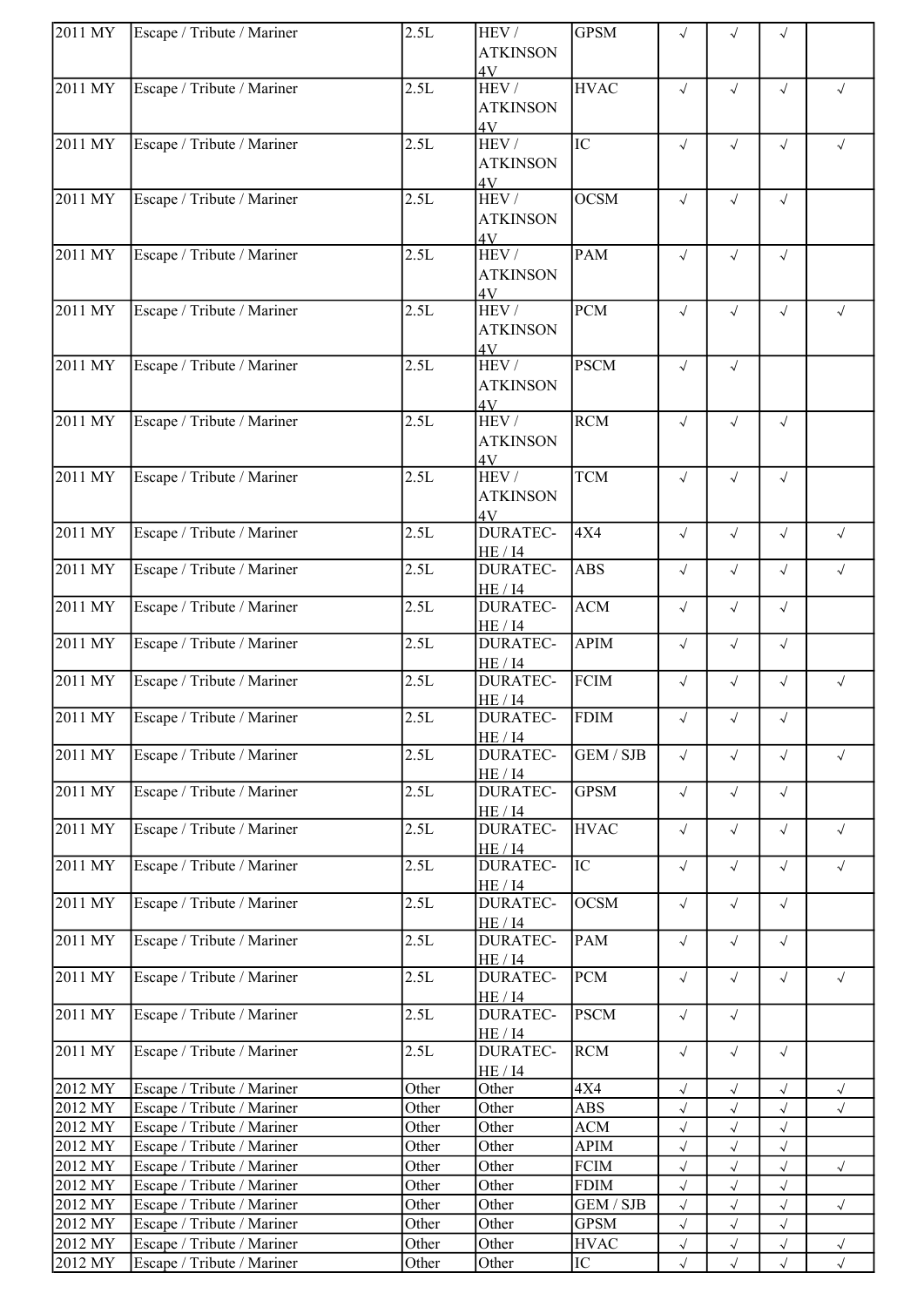| 2011 MY | Escape / Tribute / Mariner | 2.5L  | HEV /                                    | <b>GPSM</b>            | $\sqrt{}$    | $\sqrt{ }$ | $\sqrt{}$    |            |
|---------|----------------------------|-------|------------------------------------------|------------------------|--------------|------------|--------------|------------|
|         |                            |       | <b>ATKINSON</b>                          |                        |              |            |              |            |
|         |                            |       | 4V                                       |                        |              |            |              |            |
| 2011 MY | Escape / Tribute / Mariner | 2.5L  | HEV /                                    | <b>HVAC</b>            | $\sqrt{}$    | $\sqrt{ }$ | $\sqrt{2}$   | $\sqrt{ }$ |
|         |                            |       | <b>ATKINSON</b>                          |                        |              |            |              |            |
|         |                            |       | 4V<br>HEV/                               | $\overline{\text{IC}}$ |              |            |              |            |
| 2011 MY | Escape / Tribute / Mariner | 2.5L  |                                          |                        | $\sqrt{}$    | $\sqrt{ }$ | $\sqrt{2}$   | $\sqrt{2}$ |
|         |                            |       | <b>ATKINSON</b>                          |                        |              |            |              |            |
| 2011 MY | Escape / Tribute / Mariner | 2.5L  | 4V<br>HEV/                               | OCSM                   | $\sqrt{ }$   | $\sqrt{ }$ | $\sqrt{}$    |            |
|         |                            |       | <b>ATKINSON</b>                          |                        |              |            |              |            |
|         |                            |       | 4V                                       |                        |              |            |              |            |
| 2011 MY | Escape / Tribute / Mariner | 2.5L  | HEV                                      | <b>PAM</b>             | $\sqrt{2}$   | $\sqrt{ }$ | $\sqrt{}$    |            |
|         |                            |       | <b>ATKINSON</b>                          |                        |              |            |              |            |
|         |                            |       | 4V                                       |                        |              |            |              |            |
| 2011 MY | Escape / Tribute / Mariner | 2.5L  | HEV/                                     | <b>PCM</b>             | $\sqrt{2}$   | $\sqrt{ }$ | $\sqrt{2}$   | $\sqrt{ }$ |
|         |                            |       | <b>ATKINSON</b>                          |                        |              |            |              |            |
|         |                            |       | 4V                                       |                        |              |            |              |            |
| 2011 MY | Escape / Tribute / Mariner | 2.5L  | HEV/                                     | <b>PSCM</b>            | $\sqrt{ }$   | $\sqrt{ }$ |              |            |
|         |                            |       | <b>ATKINSON</b>                          |                        |              |            |              |            |
|         |                            |       | 4V                                       |                        |              |            |              |            |
| 2011 MY | Escape / Tribute / Mariner | 2.5L  | HEV/                                     | <b>RCM</b>             | $\sqrt{ }$   | $\sqrt{ }$ | $\sqrt{}$    |            |
|         |                            |       | <b>ATKINSON</b>                          |                        |              |            |              |            |
|         |                            |       | 4V                                       |                        |              |            |              |            |
| 2011 MY | Escape / Tribute / Mariner | 2.5L  | HEV/                                     | <b>TCM</b>             | $\sqrt{2}$   | $\sqrt{ }$ | $\sqrt{}$    |            |
|         |                            |       | <b>ATKINSON</b>                          |                        |              |            |              |            |
|         |                            |       | 4V                                       |                        |              |            |              |            |
| 2011 MY | Escape / Tribute / Mariner | 2.5L  | <b>DURATEC-</b>                          | 4X4                    | $\sqrt{ }$   | $\sqrt{ }$ | $\sqrt{}$    | $\sqrt{ }$ |
|         |                            |       | <b>HE</b> / <b>I4</b>                    |                        |              |            |              |            |
| 2011 MY | Escape / Tribute / Mariner | 2.5L  | <b>DURATEC-</b>                          | ABS                    | $\sqrt{ }$   | $\sqrt{ }$ | $\sqrt{2}$   | $\sqrt{ }$ |
|         |                            |       | <b>HE</b> / <b>I4</b>                    |                        |              |            |              |            |
| 2011 MY | Escape / Tribute / Mariner | 2.5L  | <b>DURATEC-</b>                          | <b>ACM</b>             | $\sqrt{ }$   | $\sqrt{ }$ | $\sqrt{ }$   |            |
|         |                            |       | <b>HE</b> / <b>I4</b>                    |                        |              |            |              |            |
| 2011 MY | Escape / Tribute / Mariner | 2.5L  | <b>DURATEC-</b>                          | <b>APIM</b>            | $\sqrt{ }$   | $\sqrt{ }$ | $\sqrt{ }$   |            |
|         |                            |       | <b>HE</b> / <b>I4</b>                    |                        |              |            |              |            |
| 2011 MY | Escape / Tribute / Mariner | 2.5L  | <b>DURATEC-</b>                          | FCIM                   | $\sqrt{ }$   | $\sqrt{ }$ | $\sqrt{ }$   | $\sqrt{ }$ |
|         |                            |       | <b>HE</b> / <b>I4</b>                    |                        |              |            |              |            |
| 2011 MY | Escape / Tribute / Mariner | 2.5L  | <b>DURATEC-</b>                          | <b>FDIM</b>            | $\sqrt{2}$   | $\sqrt{2}$ | $\sqrt{2}$   |            |
| 2011 MY | Escape / Tribute / Mariner | 2.5L  | HE / I4<br><b>DURATEC-</b>               | <b>GEM / SJB</b>       | $\sqrt{ }$   |            | $\sqrt{ }$   |            |
|         |                            |       |                                          |                        |              | $\sqrt{ }$ |              | $\sqrt{ }$ |
| 2011 MY | Escape / Tribute / Mariner | 2.5L  | <b>HE</b> / <b>I4</b><br><b>DURATEC-</b> | <b>GPSM</b>            | $\sqrt{ }$   | $\sqrt{}$  | $\sqrt{ }$   |            |
|         |                            |       | <b>HE</b> / <b>I4</b>                    |                        |              |            |              |            |
| 2011 MY | Escape / Tribute / Mariner | 2.5L  | <b>DURATEC-</b>                          | <b>HVAC</b>            | $\sqrt{ }$   | $\sqrt{}$  | $\sqrt{ }$   | $\sqrt{ }$ |
|         |                            |       | HE / I4                                  |                        |              |            |              |            |
| 2011 MY | Escape / Tribute / Mariner | 2.5L  | <b>DURATEC-</b>                          | IC                     | $\sqrt{ }$   | $\sqrt{}$  | $\sqrt{}$    | $\sqrt{ }$ |
|         |                            |       | HE / I4                                  |                        |              |            |              |            |
| 2011 MY | Escape / Tribute / Mariner | 2.5L  | <b>DURATEC-</b>                          | <b>OCSM</b>            | $\sqrt{ }$   | $\sqrt{}$  | $\sqrt{ }$   |            |
|         |                            |       | HE / I4                                  |                        |              |            |              |            |
| 2011 MY | Escape / Tribute / Mariner | 2.5L  | <b>DURATEC-</b>                          | PAM                    | $\sqrt{}$    | $\sqrt{}$  | $\sqrt{ }$   |            |
|         |                            |       | HE/IA                                    |                        |              |            |              |            |
| 2011 MY | Escape / Tribute / Mariner | 2.5L  | <b>DURATEC-</b>                          | <b>PCM</b>             | $\sqrt{}$    | $\sqrt{}$  | $\sqrt{ }$   | $\sqrt{}$  |
|         |                            |       | HE / I4                                  |                        |              |            |              |            |
| 2011 MY | Escape / Tribute / Mariner | 2.5L  | <b>DURATEC-</b>                          | <b>PSCM</b>            | $\sqrt{}$    | $\sqrt{}$  |              |            |
|         |                            |       | HE / I4                                  |                        |              |            |              |            |
| 2011 MY | Escape / Tribute / Mariner | 2.5L  | <b>DURATEC-</b>                          | RCM                    | $\sqrt{ }$   | $\sqrt{ }$ | $\sqrt{}$    |            |
|         |                            |       | HE / I4                                  |                        |              |            |              |            |
| 2012 MY | Escape / Tribute / Mariner | Other | Other                                    | 4X4                    | $\sqrt{ }$   | $\sqrt{ }$ | $\sqrt{ }$   | $\sqrt{ }$ |
| 2012 MY | Escape / Tribute / Mariner | Other | Other                                    | <b>ABS</b>             | $\sqrt{2}$   | $\sqrt{}$  | $\checkmark$ | $\sqrt{ }$ |
| 2012 MY | Escape / Tribute / Mariner | Other | Other                                    | <b>ACM</b>             | $\sqrt{2}$   | $\sqrt{}$  | $\checkmark$ |            |
| 2012 MY | Escape / Tribute / Mariner | Other | Other                                    | <b>APIM</b>            | $\sqrt{}$    | $\sqrt{}$  | $\sqrt{ }$   |            |
| 2012 MY | Escape / Tribute / Mariner | Other | Other                                    | <b>FCIM</b>            | $\checkmark$ | $\sqrt{}$  | $\checkmark$ | $\sqrt{ }$ |
| 2012 MY | Escape / Tribute / Mariner | Other | Other                                    | <b>FDIM</b>            | $\checkmark$ | $\sqrt{}$  | $\checkmark$ |            |
| 2012 MY | Escape / Tribute / Mariner | Other | Other                                    | GEM / SJB              | $\checkmark$ | $\sqrt{ }$ | $\checkmark$ | $\sqrt{}$  |
| 2012 MY | Escape / Tribute / Mariner | Other | Other                                    | <b>GPSM</b>            | $\sqrt{ }$   | $\sqrt{ }$ | $\sqrt{2}$   |            |
| 2012 MY | Escape / Tribute / Mariner | Other | Other                                    | <b>HVAC</b>            | $\checkmark$ | $\sqrt{ }$ | $\sqrt{ }$   | $\sqrt{ }$ |
| 2012 MY | Escape / Tribute / Mariner | Other | Other                                    | IC                     | $\sqrt{2}$   | $\sqrt{}$  | $\checkmark$ | $\sqrt{ }$ |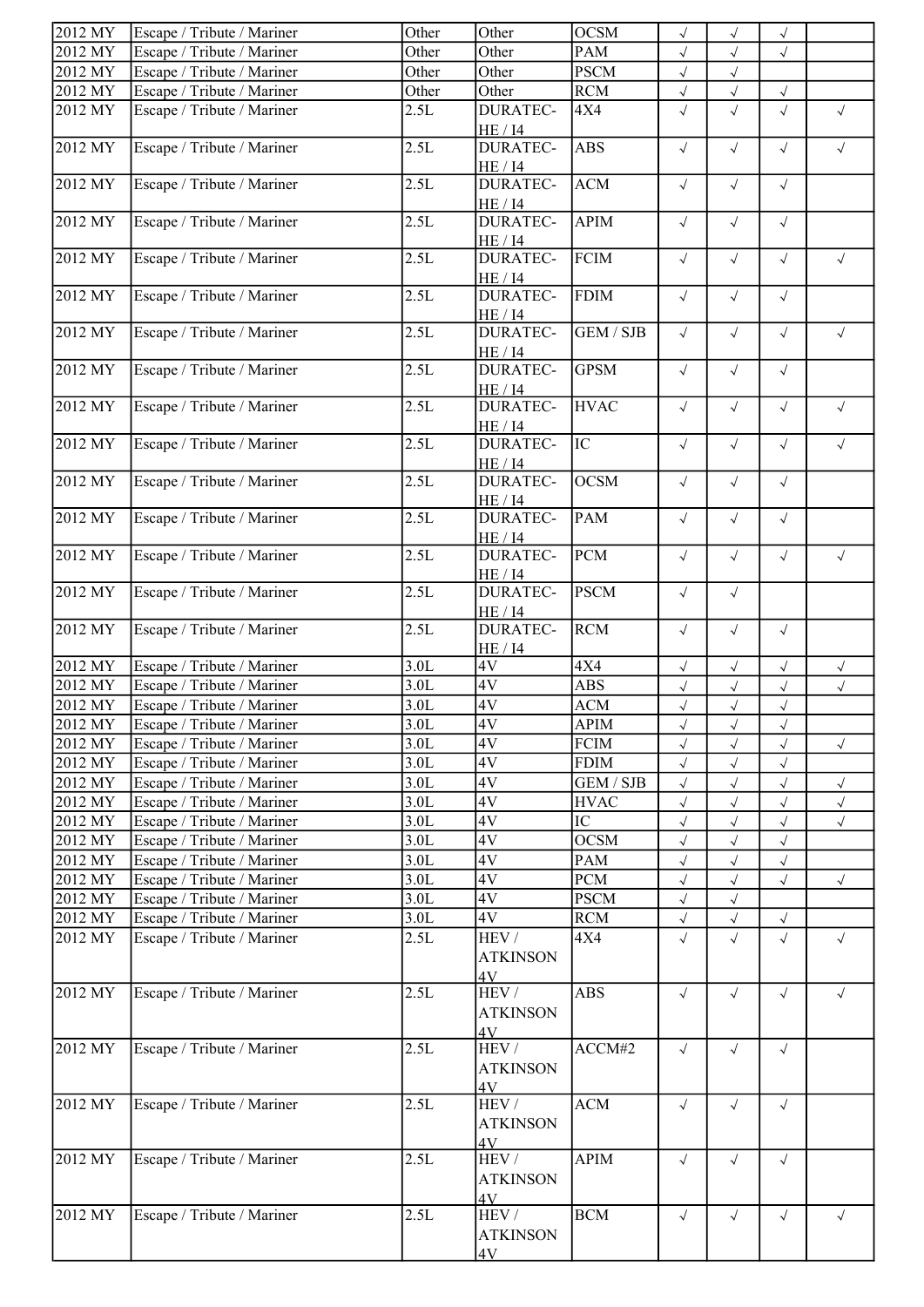| 2012 MY | Escape / Tribute / Mariner | Other            | Other                           | <b>OCSM</b>      | $\sqrt{}$    | $\sqrt{}$    | $\sqrt{ }$   |                      |
|---------|----------------------------|------------------|---------------------------------|------------------|--------------|--------------|--------------|----------------------|
| 2012 MY | Escape / Tribute / Mariner | Other            | Other                           | <b>PAM</b>       | $\sqrt{2}$   | $\sqrt{}$    | $\sqrt{}$    |                      |
| 2012 MY | Escape / Tribute / Mariner | Other            | Other                           | <b>PSCM</b>      | $\checkmark$ | $\sqrt{}$    |              |                      |
| 2012 MY | Escape / Tribute / Mariner | Other            | Other                           | <b>RCM</b>       | $\sqrt{ }$   | $\sqrt{}$    | $\sqrt{ }$   |                      |
| 2012 MY | Escape / Tribute / Mariner | 2.5L             | <b>DURATEC-</b>                 | 4X4              | $\sqrt{}$    | $\sqrt{}$    | $\sqrt{}$    | $\sqrt{ }$           |
|         |                            |                  | HE / I4                         |                  |              |              |              |                      |
| 2012 MY | Escape / Tribute / Mariner | 2.5L             | <b>DURATEC-</b><br><b>HE/I4</b> | <b>ABS</b>       | $\sqrt{ }$   | $\sqrt{ }$   | $\sqrt{}$    | $\sqrt{ }$           |
| 2012 MY | Escape / Tribute / Mariner | 2.5L             | <b>DURATEC-</b>                 | ACM              | $\sqrt{ }$   | $\sqrt{}$    | $\sqrt{}$    |                      |
|         |                            | 2.5L             | HE / I4<br><b>DURATEC-</b>      | <b>APIM</b>      |              |              |              |                      |
| 2012 MY | Escape / Tribute / Mariner |                  | HE / 14                         |                  | $\sqrt{ }$   | $\sqrt{}$    | $\sqrt{}$    |                      |
| 2012 MY | Escape / Tribute / Mariner | 2.5L             | <b>DURATEC-</b>                 | <b>FCIM</b>      | $\sqrt{ }$   | $\sqrt{}$    | $\sqrt{}$    | $\sqrt{\phantom{a}}$ |
|         |                            |                  | HE / I4                         |                  |              |              |              |                      |
| 2012 MY | Escape / Tribute / Mariner | 2.5L             | <b>DURATEC-</b><br>HE/IA        | <b>FDIM</b>      | $\sqrt{ }$   | $\sqrt{}$    | $\sqrt{}$    |                      |
| 2012 MY | Escape / Tribute / Mariner | 2.5L             | <b>DURATEC-</b>                 | GEM / SJB        | $\sqrt{ }$   | $\sqrt{}$    | $\sqrt{}$    | $\sqrt{\phantom{a}}$ |
|         |                            |                  | HE / I4                         |                  |              |              |              |                      |
| 2012 MY | Escape / Tribute / Mariner | 2.5L             | <b>DURATEC-</b>                 | <b>GPSM</b>      | $\sqrt{ }$   | $\sqrt{}$    | $\sqrt{}$    |                      |
|         |                            |                  | <b>HE/I4</b>                    |                  |              |              |              |                      |
| 2012 MY | Escape / Tribute / Mariner | 2.5L             | <b>DURATEC-</b><br>HE/14        | <b>HVAC</b>      | $\sqrt{ }$   | $\sqrt{}$    | $\sqrt{ }$   | $\sqrt{\phantom{a}}$ |
| 2012 MY | Escape / Tribute / Mariner | 2.5L             | <b>DURATEC-</b>                 | IC               | $\sqrt{ }$   | $\sqrt{}$    | $\sqrt{}$    | $\sqrt{ }$           |
|         |                            |                  | HE/IA                           |                  |              |              |              |                      |
| 2012 MY | Escape / Tribute / Mariner | 2.5L             | <b>DURATEC-</b><br>HE / 14      | <b>OCSM</b>      | $\sqrt{ }$   | $\sqrt{}$    | $\sqrt{}$    |                      |
| 2012 MY | Escape / Tribute / Mariner | 2.5L             | <b>DURATEC-</b>                 | <b>PAM</b>       | $\sqrt{ }$   | $\sqrt{}$    | $\sqrt{}$    |                      |
|         |                            |                  | HE / 14                         |                  |              |              |              |                      |
| 2012 MY | Escape / Tribute / Mariner | 2.5L             | <b>DURATEC-</b><br>HE/14        | PCM              | $\sqrt{ }$   | $\sqrt{}$    | $\sqrt{}$    | $\sqrt{ }$           |
| 2012 MY | Escape / Tribute / Mariner | 2.5L             | <b>DURATEC-</b>                 | <b>PSCM</b>      | $\sqrt{ }$   | $\sqrt{ }$   |              |                      |
|         |                            |                  | HE/14                           |                  |              |              |              |                      |
| 2012 MY | Escape / Tribute / Mariner | 2.5L             | <b>DURATEC-</b>                 | $\overline{RCM}$ | $\sqrt{2}$   | $\sqrt{}$    | $\sqrt{ }$   |                      |
|         |                            |                  | HE/14                           |                  |              |              |              |                      |
| 2012 MY | Escape / Tribute / Mariner | 3.0 <sub>L</sub> | 4V                              | 4X4              | $\checkmark$ | $\sqrt{}$    | $\sqrt{ }$   | $\sqrt{ }$           |
| 2012 MY | Escape / Tribute / Mariner | 3.0 <sub>L</sub> | 4V                              | <b>ABS</b>       | $\checkmark$ | $\sqrt{}$    | $\sqrt{ }$   | $\sqrt{ }$           |
| 2012 MY | Escape / Tribute / Mariner | 3.0L             | $4\mathrm{V}$                   | $\rm{ACM}$       | $\sqrt{2}$   | $\sqrt{2}$   | $\checkmark$ |                      |
| 2012 MY | Escape / Tribute / Mariner | 3.0 <sub>L</sub> | 4V                              | <b>APIM</b>      | $\sqrt{ }$   | $\checkmark$ | $\sqrt{ }$   |                      |
| 2012 MY | Escape / Tribute / Mariner | 3.0 <sub>L</sub> | 4V                              | <b>FCIM</b>      | $\sqrt{ }$   | $\sqrt{}$    | $\sqrt{ }$   | $\sqrt{}$            |
| 2012 MY | Escape / Tribute / Mariner | 3.0L             | 4V                              | <b>FDIM</b>      | $\checkmark$ | $\sqrt{2}$   | $\checkmark$ |                      |
| 2012 MY | Escape / Tribute / Mariner | 3.0 <sub>L</sub> | 4V                              | GEM / SJB        | $\sqrt{ }$   | $\sqrt{}$    | $\checkmark$ | $\sqrt{ }$           |
| 2012 MY | Escape / Tribute / Mariner | 3.0 <sub>L</sub> | 4V                              | <b>HVAC</b>      | $\sqrt{ }$   | $\sqrt{}$    | $\sqrt{ }$   | $\sqrt{\phantom{a}}$ |
| 2012 MY | Escape / Tribute / Mariner | 3.0 <sub>L</sub> | 4V                              | IC               | $\checkmark$ | $\sqrt{}$    | $\checkmark$ | $\sqrt{}$            |
| 2012 MY | Escape / Tribute / Mariner | 3.0 <sub>L</sub> | 4V                              | <b>OCSM</b>      | $\sqrt{ }$   | $\sqrt{2}$   | $\sqrt{ }$   |                      |
| 2012 MY | Escape / Tribute / Mariner | 3.0 <sub>L</sub> | 4V                              | PAM              | $\checkmark$ | $\sqrt{}$    | $\checkmark$ |                      |
| 2012 MY | Escape / Tribute / Mariner | 3.0L             | $\overline{4V}$                 | <b>PCM</b>       | $\sqrt{2}$   | $\checkmark$ | $\sqrt{}$    | $\sqrt{}$            |
| 2012 MY | Escape / Tribute / Mariner | 3.0L             | 4V                              | <b>PSCM</b>      | $\sqrt{ }$   | $\sqrt{}$    |              |                      |
| 2012 MY | Escape / Tribute / Mariner | 3.0L             | 4V                              | RCM              | $\checkmark$ | $\sqrt{}$    | $\sqrt{}$    |                      |
| 2012 MY | Escape / Tribute / Mariner | 2.5L             | HEV/                            | 4X4              | $\sqrt{}$    | $\sqrt{}$    | $\sqrt{ }$   | $\sqrt{ }$           |
|         |                            |                  | <b>ATKINSON</b>                 |                  |              |              |              |                      |
| 2012 MY | Escape / Tribute / Mariner | 2.5L             | 4V<br>HEV /                     | <b>ABS</b>       | $\sqrt{}$    | $\sqrt{ }$   | $\sqrt{ }$   | $\sqrt{ }$           |
|         |                            |                  | <b>ATKINSON</b>                 |                  |              |              |              |                      |
|         |                            |                  | 4V                              |                  |              |              |              |                      |
| 2012 MY | Escape / Tribute / Mariner | 2.5L             | HEV/                            | ACCM#2           | $\sqrt{ }$   | $\sqrt{ }$   | $\sqrt{ }$   |                      |
|         |                            |                  | <b>ATKINSON</b>                 |                  |              |              |              |                      |
|         |                            |                  | 4V                              |                  |              |              |              |                      |
| 2012 MY | Escape / Tribute / Mariner | 2.5L             | HEV/                            | <b>ACM</b>       | $\sqrt{}$    | $\sqrt{ }$   | $\sqrt{ }$   |                      |
|         |                            |                  | <b>ATKINSON</b>                 |                  |              |              |              |                      |
|         |                            |                  | 4V                              |                  |              |              |              |                      |
| 2012 MY | Escape / Tribute / Mariner | 2.5L             | HEV/                            | <b>APIM</b>      | $\sqrt{}$    | $\sqrt{}$    | $\sqrt{ }$   |                      |
|         |                            |                  | <b>ATKINSON</b>                 |                  |              |              |              |                      |
|         |                            |                  | 4V                              |                  |              |              |              |                      |
| 2012 MY | Escape / Tribute / Mariner | 2.5L             | HEV/                            | <b>BCM</b>       | $\sqrt{}$    | $\sqrt{}$    | $\sqrt{ }$   | $\sqrt{}$            |
|         |                            |                  | <b>ATKINSON</b>                 |                  |              |              |              |                      |
|         |                            |                  | 4V                              |                  |              |              |              |                      |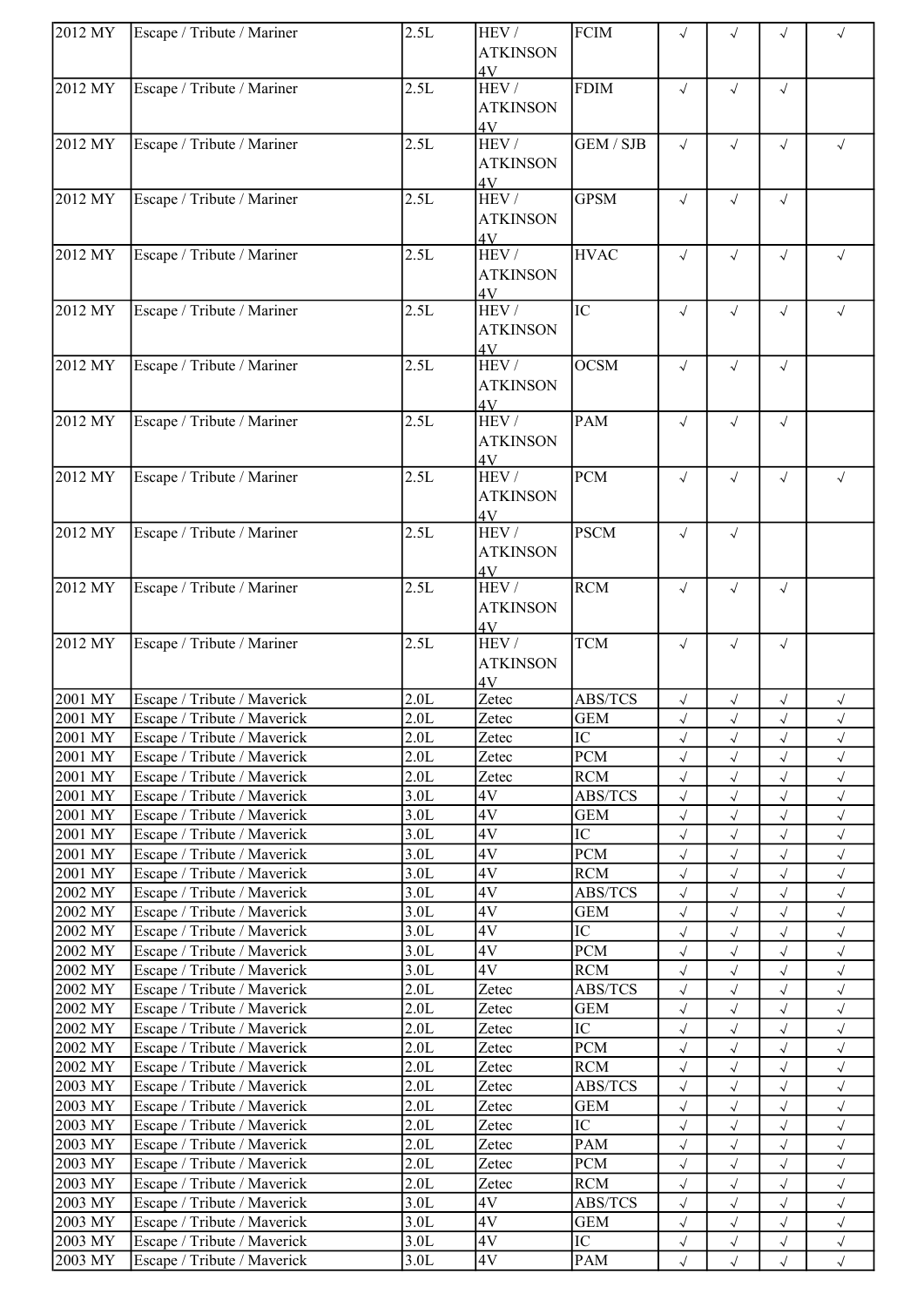| 2012 MY   | Escape / Tribute / Mariner  | 2.5L             | HEV /           | <b>FCIM</b>            | $\sqrt{}$            | $\sqrt{}$  | $\sqrt{}$            | $\sqrt{}$            |
|-----------|-----------------------------|------------------|-----------------|------------------------|----------------------|------------|----------------------|----------------------|
|           |                             |                  | ATKINSON        |                        |                      |            |                      |                      |
|           |                             |                  | 4V              |                        |                      |            |                      |                      |
| 2012 MY   | Escape / Tribute / Mariner  | 2.5L             | HEV/            | <b>FDIM</b>            | $\sqrt{2}$           | $\sqrt{ }$ | $\sqrt{}$            |                      |
|           |                             |                  | <b>ATKINSON</b> |                        |                      |            |                      |                      |
|           |                             |                  | 4V              |                        |                      |            |                      |                      |
| 2012 MY   | Escape / Tribute / Mariner  | 2.5L             | HEV/            | <b>GEM / SJB</b>       | $\sqrt{ }$           | $\sqrt{ }$ | $\sqrt{2}$           | $\sqrt{2}$           |
|           |                             |                  | <b>ATKINSON</b> |                        |                      |            |                      |                      |
|           |                             |                  | 4V              |                        |                      |            |                      |                      |
| 2012 MY   | Escape / Tribute / Mariner  | 2.5L             | HEV/            | <b>GPSM</b>            | $\sqrt{ }$           | $\sqrt{ }$ | $\sqrt{}$            |                      |
|           |                             |                  | <b>ATKINSON</b> |                        |                      |            |                      |                      |
|           |                             |                  | 4V              |                        |                      |            |                      |                      |
| 2012 MY   | Escape / Tribute / Mariner  | 2.5L             | HEV/            | <b>HVAC</b>            | $\sqrt{2}$           | $\sqrt{ }$ | $\sqrt{}$            | $\sqrt{}$            |
|           |                             |                  | <b>ATKINSON</b> |                        |                      |            |                      |                      |
|           |                             |                  | 4V              |                        |                      |            |                      |                      |
| 2012 MY   | Escape / Tribute / Mariner  | 2.5L             | HEV/            | $\overline{\text{IC}}$ | $\sqrt{}$            | $\sqrt{ }$ | $\sqrt{}$            | $\sqrt{2}$           |
|           |                             |                  |                 |                        |                      |            |                      |                      |
|           |                             |                  | <b>ATKINSON</b> |                        |                      |            |                      |                      |
|           | Escape / Tribute / Mariner  | 2.5L             | 4V<br>HEV/      | OCSM                   |                      |            |                      |                      |
| 2012 MY   |                             |                  |                 |                        | $\sqrt{ }$           | $\sqrt{ }$ | $\sqrt{}$            |                      |
|           |                             |                  | <b>ATKINSON</b> |                        |                      |            |                      |                      |
|           |                             |                  | 4V              |                        |                      |            |                      |                      |
| 2012 MY   | Escape / Tribute / Mariner  | 2.5L             | HEV/            | <b>PAM</b>             | $\sqrt{ }$           | $\sqrt{ }$ | $\sqrt{}$            |                      |
|           |                             |                  | <b>ATKINSON</b> |                        |                      |            |                      |                      |
|           |                             |                  | 4V              |                        |                      |            |                      |                      |
| 2012 MY   | Escape / Tribute / Mariner  | 2.5L             | HEV/            | $\overline{PCM}$       | $\sqrt{2}$           | $\sqrt{ }$ | $\sqrt{}$            | $\sqrt{}$            |
|           |                             |                  | <b>ATKINSON</b> |                        |                      |            |                      |                      |
|           |                             |                  | 4V              |                        |                      |            |                      |                      |
| 2012 MY   | Escape / Tribute / Mariner  | 2.5L             | HEV/            | <b>PSCM</b>            | $\sqrt{2}$           | $\sqrt{ }$ |                      |                      |
|           |                             |                  | <b>ATKINSON</b> |                        |                      |            |                      |                      |
|           |                             |                  | 4V              |                        |                      |            |                      |                      |
| 2012 MY   | Escape / Tribute / Mariner  | 2.5L             | HEV/            | <b>RCM</b>             | $\sqrt{}$            | $\sqrt{ }$ | $\sqrt{}$            |                      |
|           |                             |                  | <b>ATKINSON</b> |                        |                      |            |                      |                      |
|           |                             |                  | 4V              |                        |                      |            |                      |                      |
| 2012 MY   | Escape / Tribute / Mariner  | 2.5L             | HEV/            | <b>TCM</b>             | $\sqrt{}$            | $\sqrt{ }$ | $\sqrt{}$            |                      |
|           |                             |                  | <b>ATKINSON</b> |                        |                      |            |                      |                      |
|           |                             |                  | 4V              |                        |                      |            |                      |                      |
| 2001 MY   | Escape / Tribute / Maverick | 2.0L             | Zetec           | <b>ABS/TCS</b>         | $\sqrt{}$            | $\sqrt{}$  | $\sqrt{}$            | $\sqrt{ }$           |
| $2001$ MY | Escape / Tribute / Maverick | 2.0L             | Zetec           | <b>GEM</b>             |                      |            |                      |                      |
|           |                             |                  |                 |                        | $\sqrt{}$            |            | √                    | $\sqrt{}$            |
| 2001 MY   | Escape / Tribute / Maverick | 2.0L             | Zetec           | IC                     | $\sqrt{ }$           | $\sqrt{ }$ | $\sqrt{ }$           | $\checkmark$         |
| 2001 MY   | Escape / Tribute / Maverick | 2.0L             | Zetec           | <b>PCM</b>             | $\sqrt{ }$           | $\sqrt{}$  | $\sqrt{ }$           | $\checkmark$         |
| 2001 MY   | Escape / Tribute / Maverick | 2.0L             | Zetec           | <b>RCM</b>             | $\sqrt{ }$           | $\sqrt{ }$ | $\sqrt{ }$           | $\sqrt{ }$           |
| 2001 MY   | Escape / Tribute / Maverick | 3.0L             | 4V              | ABS/TCS                | $\sqrt{2}$           | $\sqrt{}$  | $\sqrt{}$            | $\checkmark$         |
| 2001 MY   | Escape / Tribute / Maverick | 3.0 <sub>L</sub> | 4V              | <b>GEM</b>             | $\sqrt{}$            | $\sqrt{}$  | $\sqrt{}$            | $\sqrt{ }$           |
| 2001 MY   | Escape / Tribute / Maverick | 3.0 <sub>L</sub> | 4V              | IC                     | $\sqrt{ }$           | $\sqrt{ }$ | $\sqrt{}$            | $\sqrt{ }$           |
| 2001 MY   | Escape / Tribute / Maverick | 3.0 <sub>L</sub> | 4V              | <b>PCM</b>             | $\sqrt{ }$           | $\sqrt{ }$ | $\sqrt{ }$           | $\sqrt{ }$           |
| 2001 MY   | Escape / Tribute / Maverick | 3.0 <sub>L</sub> | 4V              | <b>RCM</b>             | $\sqrt{ }$           | $\sqrt{ }$ | $\sqrt{ }$           | $\sqrt{ }$           |
| 2002 MY   | Escape / Tribute / Maverick | 3.0L             | 4V              | ABS/TCS                | $\sqrt{\phantom{a}}$ | $\sqrt{ }$ | $\sqrt{ }$           | $\sqrt{ }$           |
| 2002 MY   | Escape / Tribute / Maverick | 3.0 <sub>L</sub> | 4V              | <b>GEM</b>             | $\checkmark$         | $\sqrt{}$  | $\checkmark$         | $\checkmark$         |
| 2002 MY   | Escape / Tribute / Maverick | 3.0L             | 4V              | IC                     | $\sqrt{ }$           | $\sqrt{}$  | $\sqrt{ }$           | $\sqrt{ }$           |
|           |                             | 3.0 <sub>L</sub> | 4V              | <b>PCM</b>             |                      | $\sqrt{}$  | $\sqrt{ }$           |                      |
| 2002 MY   | Escape / Tribute / Maverick |                  |                 |                        | $\checkmark$         |            |                      | $\sqrt{ }$           |
| 2002 MY   | Escape / Tribute / Maverick | 3.0 <sub>L</sub> | 4V              | <b>RCM</b>             | $\checkmark$         | $\sqrt{}$  | $\checkmark$         | $\sqrt{ }$           |
| 2002 MY   | Escape / Tribute / Maverick | 2.0L             | Zetec           | ABS/TCS                | $\sqrt{ }$           | $\sqrt{}$  | $\checkmark$         | $\sqrt{ }$           |
| 2002 MY   | Escape / Tribute / Maverick | 2.0L             | Zetec           | <b>GEM</b>             | $\sqrt{ }$           | $\sqrt{}$  | $\sqrt{ }$           | $\sqrt{ }$           |
| 2002 MY   | Escape / Tribute / Maverick | 2.0L             | Zetec           | $\overline{IC}$        | $\sqrt{2}$           | $\sqrt{}$  | $\checkmark$         | $\sqrt{ }$           |
| 2002 MY   | Escape / Tribute / Maverick | 2.0L             | Zetec           | <b>PCM</b>             | $\sqrt{ }$           | $\sqrt{}$  | $\sqrt{ }$           | $\sqrt{ }$           |
| 2002 MY   | Escape / Tribute / Maverick | 2.0L             | Zetec           | <b>RCM</b>             | $\checkmark$         | $\sqrt{ }$ | $\sqrt{ }$           | $\sqrt{ }$           |
| 2003 MY   | Escape / Tribute / Maverick | 2.0L             | Zetec           | ABS/TCS                | $\sqrt{ }$           | $\sqrt{ }$ | $\sqrt{\phantom{a}}$ | $\sqrt{\phantom{a}}$ |
| 2003 MY   | Escape / Tribute / Maverick | 2.0L             | Zetec           | <b>GEM</b>             | $\sqrt{\phantom{a}}$ | $\sqrt{ }$ | $\sqrt{\phantom{a}}$ | $\sqrt{\phantom{a}}$ |
| 2003 MY   | Escape / Tribute / Maverick | 2.0L             | Zetec           | IC                     | $\sqrt{ }$           | $\sqrt{ }$ | $\sqrt{ }$           | $\sqrt{ }$           |
| 2003 MY   | Escape / Tribute / Maverick | 2.0L             | Zetec           | PAM                    | $\sqrt{ }$           | $\sqrt{ }$ | $\sqrt{ }$           | $\sqrt{\phantom{a}}$ |
|           |                             |                  |                 |                        |                      |            |                      |                      |
| 2003 MY   | Escape / Tribute / Maverick | 2.0L             | Zetec           | <b>PCM</b>             | $\sqrt{ }$           | $\sqrt{}$  | $\sqrt{ }$           | $\sqrt{ }$           |
| 2003 MY   | Escape / Tribute / Maverick | 2.0L             | Zetec           | RCM                    | $\sqrt{}$            | $\sqrt{}$  | $\sqrt{ }$           | $\sqrt{ }$           |
| 2003 MY   | Escape / Tribute / Maverick | 3.0L             | 4V              | ABS/TCS                | $\sqrt{ }$           | $\sqrt{}$  | $\sqrt{ }$           | $\sqrt{ }$           |
| 2003 MY   | Escape / Tribute / Maverick | 3.0L             | 4V              | <b>GEM</b>             | $\sqrt{ }$           | $\sqrt{}$  | $\sqrt{ }$           | $\sqrt{ }$           |
| 2003 MY   | Escape / Tribute / Maverick | 3.0 <sub>L</sub> | 4V              | $\overline{\text{IC}}$ | $\sqrt{ }$           | $\sqrt{}$  | $\sqrt{ }$           | $\sqrt{ }$           |
| 2003 MY   | Escape / Tribute / Maverick | 3.0L             | 4V              | PAM                    | $\sqrt{}$            | $\sqrt{}$  | $\sqrt{ }$           | $\sqrt{ }$           |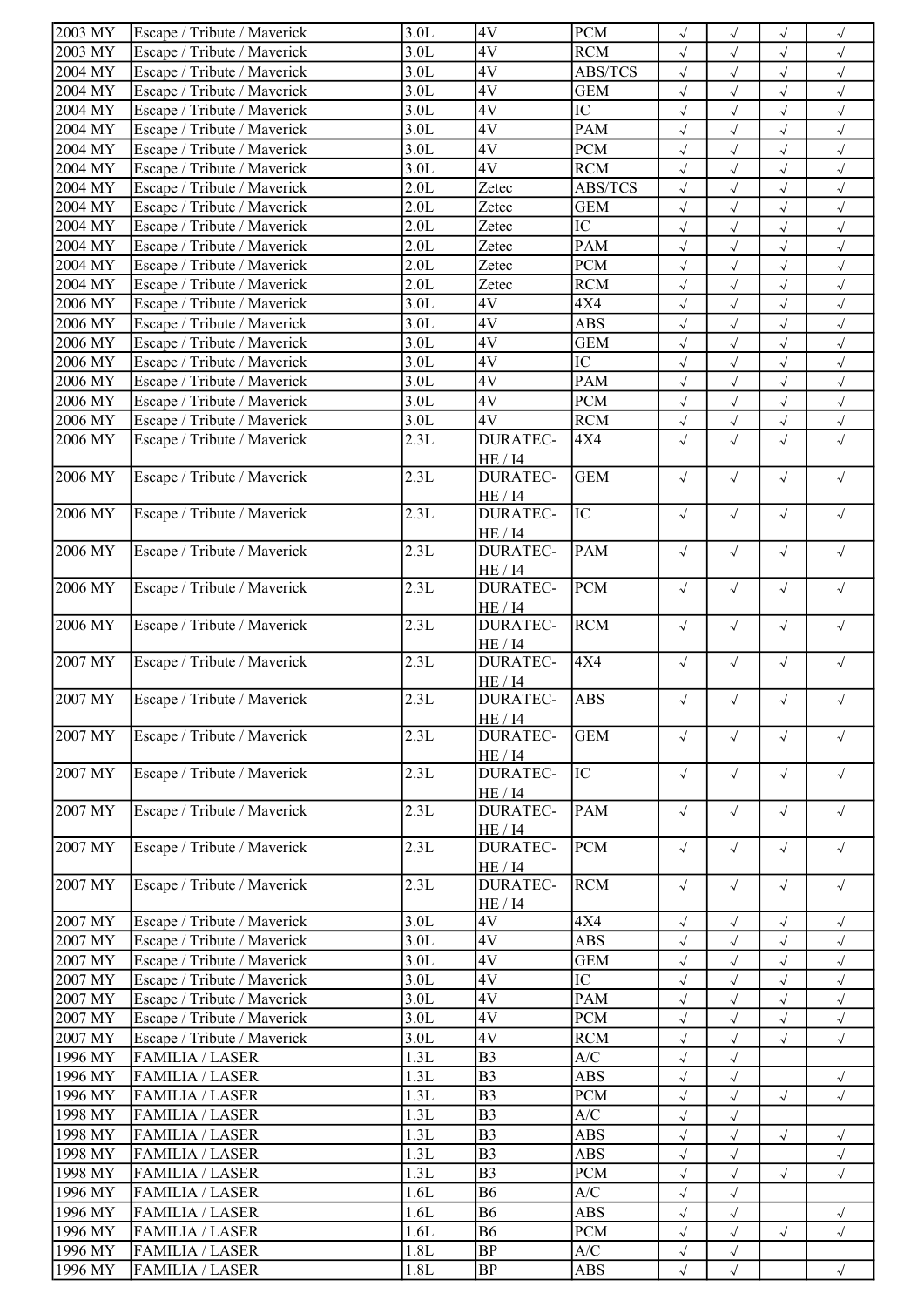| 2003 MY   | Escape / Tribute / Maverick | 3.0L               | 4V                    | <b>PCM</b> | $\sqrt{}$            | $\sqrt{}$    | $\sqrt{}$            | $\sqrt{ }$           |
|-----------|-----------------------------|--------------------|-----------------------|------------|----------------------|--------------|----------------------|----------------------|
| 2003 MY   | Escape / Tribute / Maverick | 3.0 <sub>L</sub>   | 4V                    | RCM        | $\sqrt{}$            | $\checkmark$ | $\sqrt{}$            | $\sqrt{ }$           |
| 2004 MY   | Escape / Tribute / Maverick | 3.0 <sub>L</sub>   | 4V                    | ABS/TCS    | $\sqrt{ }$           | $\sqrt{}$    | $\sqrt{ }$           | $\sqrt{ }$           |
| 2004 MY   | Escape / Tribute / Maverick | 3.0 <sub>L</sub>   | 4V                    | <b>GEM</b> | $\sqrt{ }$           | $\sqrt{}$    | $\sqrt{ }$           | $\sqrt{ }$           |
| $2004$ MY | Escape / Tribute / Maverick | 3.0 <sub>L</sub>   | 4V                    | IC         | $\sqrt{ }$           | $\sqrt{}$    | $\sqrt{ }$           | $\sqrt{ }$           |
| 2004 MY   | Escape / Tribute / Maverick | 3.0 <sub>L</sub>   | 4V                    | <b>PAM</b> | $\sqrt{ }$           | $\sqrt{}$    | $\sqrt{ }$           | $\sqrt{ }$           |
| 2004 MY   | Escape / Tribute / Maverick | 3.0 <sub>L</sub>   | 4V                    | <b>PCM</b> | $\sqrt{ }$           | $\sqrt{}$    | $\checkmark$         | $\checkmark$         |
| 2004 MY   | Escape / Tribute / Maverick | 3.0 <sub>L</sub>   | 4V                    | <b>RCM</b> | $\sqrt{}$            | $\sqrt{}$    | $\sqrt{}$            | $\checkmark$         |
| 2004 MY   | Escape / Tribute / Maverick | 2.0L               | Zetec                 | ABS/TCS    | $\checkmark$         | $\sqrt{}$    | $\sqrt{ }$           | $\checkmark$         |
| 2004 MY   | Escape / Tribute / Maverick | $\overline{2.0}$ L | Zetec                 | <b>GEM</b> | $\sqrt{ }$           | $\sqrt{2}$   | $\checkmark$         | $\checkmark$         |
| 2004 MY   | Escape / Tribute / Maverick | 2.0L               | Zetec                 | IC         | $\sqrt{}$            | $\sqrt{}$    | $\sqrt{}$            | $\checkmark$         |
| 2004 MY   | Escape / Tribute / Maverick | 2.0L               | Zetec                 | <b>PAM</b> | $\checkmark$         | $\sqrt{}$    | $\sqrt{}$            | $\sqrt{ }$           |
| 2004 MY   | Escape / Tribute / Maverick | 2.0L               | Zetec                 | <b>PCM</b> | $\sqrt{2}$           | $\sqrt{}$    | $\sqrt{2}$           | $\sqrt{2}$           |
| 2004 MY   | Escape / Tribute / Maverick | 2.0L               | Zetec                 | <b>RCM</b> | $\sqrt{}$            | $\sqrt{}$    | $\sqrt{}$            | $\checkmark$         |
| 2006 MY   | Escape / Tribute / Maverick | 3.0 <sub>L</sub>   | 4V                    | 4X4        | $\checkmark$         | $\sqrt{}$    | $\sqrt{ }$           | $\sqrt{ }$           |
| 2006 MY   | Escape / Tribute / Maverick | 3.0 <sub>L</sub>   | 4V                    | <b>ABS</b> | $\sqrt{}$            | $\sqrt{}$    | $\sqrt{ }$           | $\sqrt{ }$           |
| 2006 MY   | Escape / Tribute / Maverick | 3.0 <sub>L</sub>   | 4V                    | <b>GEM</b> | $\checkmark$         | $\sqrt{}$    | $\sqrt{ }$           | $\sqrt{ }$           |
| 2006 MY   | Escape / Tribute / Maverick | 3.0 <sub>L</sub>   | 4V                    | IC         | $\checkmark$         | $\sqrt{}$    | $\sqrt{ }$           | $\sqrt{ }$           |
| 2006 MY   | Escape / Tribute / Maverick | 3.0L               | 4V                    | <b>PAM</b> | $\sqrt{2}$           | $\sqrt{2}$   | $\checkmark$         | $\checkmark$         |
| 2006 MY   | Escape / Tribute / Maverick | 3.0 <sub>L</sub>   | 4V                    | <b>PCM</b> | $\checkmark$         | $\sqrt{}$    | $\sqrt{}$            | $\checkmark$         |
| 2006 MY   | Escape / Tribute / Maverick | 3.0 <sub>L</sub>   | 4V                    | <b>RCM</b> | $\checkmark$         | $\checkmark$ | $\sqrt{ }$           | $\sqrt{ }$           |
| 2006 MY   | Escape / Tribute / Maverick | 2.3L               | <b>DURATEC-</b>       | 4X4        | $\sqrt{2}$           | $\sqrt{}$    | $\sqrt{2}$           | $\sqrt{ }$           |
|           |                             |                    | HE / I4               |            |                      |              |                      |                      |
| 2006 MY   | Escape / Tribute / Maverick | 2.3L               | <b>DURATEC-</b>       | <b>GEM</b> | $\sqrt{ }$           | $\sqrt{ }$   | $\sqrt{2}$           | $\sqrt{}$            |
|           |                             |                    | HE / I4               |            |                      |              |                      |                      |
| 2006 MY   | Escape / Tribute / Maverick | 2.3L               | <b>DURATEC-</b>       | IC         | $\sqrt{ }$           | $\sqrt{ }$   | $\sqrt{}$            | $\sqrt{}$            |
|           |                             |                    | HE / I4               |            |                      |              |                      |                      |
| 2006 MY   | Escape / Tribute / Maverick | 2.3L               | <b>DURATEC-</b>       | PAM        | $\sqrt{ }$           | $\sqrt{ }$   | $\sqrt{}$            | $\sqrt{}$            |
|           |                             |                    | <b>HE</b> / <b>I4</b> |            |                      |              |                      |                      |
| 2006 MY   | Escape / Tribute / Maverick | 2.3L               | <b>DURATEC-</b>       | PCM        | $\sqrt{ }$           | $\sqrt{ }$   | $\sqrt{}$            | $\sqrt{ }$           |
|           |                             |                    | HE / I4               |            |                      |              |                      |                      |
| 2006 MY   | Escape / Tribute / Maverick | 2.3L               | <b>DURATEC-</b>       | <b>RCM</b> | $\sqrt{ }$           | $\sqrt{}$    | $\sqrt{}$            | $\sqrt{ }$           |
|           |                             |                    | HE / 14               |            |                      |              |                      |                      |
| 2007 MY   | Escape / Tribute / Maverick | 2.3L               | <b>DURATEC-</b>       | 4X4        | $\sqrt{ }$           | $\sqrt{}$    | $\sqrt{}$            | $\sqrt{ }$           |
|           |                             |                    | HE / I4               |            |                      |              |                      |                      |
| 2007 MY   | Escape / Tribute / Maverick | 2.3L               | <b>DURATEC-</b>       | <b>ABS</b> | $\sqrt{ }$           | $\sqrt{}$    | $\sqrt{}$            | $\sqrt{ }$           |
|           |                             |                    | HE/14                 |            |                      |              |                      |                      |
| 2007 MY   | Escape / Tribute / Maverick | 2.3L               | <b>DURATEC-</b>       | <b>GEM</b> | $\sqrt{ }$           | $\sqrt{}$    | $\sqrt{ }$           | $\sqrt{ }$           |
|           |                             |                    | <b>HE/I4</b>          |            |                      |              |                      |                      |
| 2007 MY   | Escape / Tribute / Maverick | 2.3L               | <b>DURATEC-</b>       | IC         | $\sqrt{ }$           | $\sqrt{ }$   | $\sqrt{ }$           | $\sqrt{ }$           |
|           |                             |                    | HE / 14               |            |                      |              |                      |                      |
| 2007 MY   | Escape / Tribute / Maverick | 2.3L               | <b>DURATEC-</b>       | PAM        | $\sqrt{ }$           | $\sqrt{}$    | $\sqrt{ }$           | $\sqrt{}$            |
|           |                             |                    | HE / I4               |            |                      |              |                      |                      |
| 2007 MY   | Escape / Tribute / Maverick | 2.3L               | <b>DURATEC-</b>       | <b>PCM</b> | $\sqrt{ }$           | $\sqrt{}$    | $\sqrt{ }$           | $\sqrt{}$            |
|           |                             |                    | HE / I4               |            |                      |              |                      |                      |
| 2007 MY   | Escape / Tribute / Maverick | 2.3L               | <b>DURATEC-</b>       | <b>RCM</b> | $\sqrt{}$            | $\sqrt{}$    | $\sqrt{ }$           | $\sqrt{ }$           |
|           |                             |                    | HE/IA                 |            |                      |              |                      |                      |
| 2007 MY   | Escape / Tribute / Maverick | 3.0 <sub>L</sub>   | 4V                    | 4X4        | $\sqrt{ }$           | $\sqrt{}$    | $\sqrt{ }$           | $\sqrt{ }$           |
| 2007 MY   | Escape / Tribute / Maverick | 3.0 <sub>L</sub>   | 4V                    | <b>ABS</b> | $\sqrt{2}$           | $\sqrt{}$    | $\sqrt{ }$           | $\sqrt{ }$           |
| 2007 MY   | Escape / Tribute / Maverick | 3.0L               | 4V                    | <b>GEM</b> | $\sqrt{ }$           | $\sqrt{}$    | $\sqrt{ }$           | $\sqrt{\phantom{a}}$ |
| 2007 MY   | Escape / Tribute / Maverick | 3.0L               | 4V                    | IC         | $\sqrt{ }$           | $\sqrt{}$    | $\sqrt{ }$           | $\sqrt{ }$           |
| 2007 MY   | Escape / Tribute / Maverick | 3.0 <sub>L</sub>   | 4V                    | PAM        | $\sqrt{ }$           | $\sqrt{2}$   | $\checkmark$         | $\sqrt{ }$           |
| 2007 MY   | Escape / Tribute / Maverick | 3.0 <sub>L</sub>   | 4V                    | PCM        | $\checkmark$         | $\sqrt{}$    | $\sqrt{ }$           | $\sqrt{ }$           |
| 2007 MY   | Escape / Tribute / Maverick | 3.0 <sub>L</sub>   | $\overline{4V}$       | <b>RCM</b> | $\sqrt{2}$           | $\sqrt{}$    | $\sqrt{2}$           | $\sqrt{2}$           |
| 1996 MY   | <b>FAMILIA / LASER</b>      | 1.3L               | B <sub>3</sub>        | A/C        | $\sqrt{ }$           | $\sqrt{}$    |                      |                      |
| 1996 MY   | <b>FAMILIA / LASER</b>      | 1.3L               | B <sub>3</sub>        | <b>ABS</b> | $\sqrt{ }$           | $\sqrt{}$    |                      | $\sqrt{}$            |
| 1996 MY   | <b>FAMILIA / LASER</b>      | 1.3L               | B <sub>3</sub>        | <b>PCM</b> | $\sqrt{ }$           | $\sqrt{ }$   | $\sqrt{ }$           | $\sqrt{ }$           |
| 1998 MY   | <b>FAMILIA / LASER</b>      | 1.3L               | B <sub>3</sub>        | A/C        | $\sqrt{\phantom{a}}$ | $\sqrt{}$    |                      |                      |
| 1998 MY   | <b>FAMILIA / LASER</b>      | 1.3L               | B <sub>3</sub>        | <b>ABS</b> | $\sqrt{ }$           | $\sqrt{}$    | $\sqrt{ }$           | $\sqrt{ }$           |
| 1998 MY   | <b>FAMILIA / LASER</b>      | 1.3L               | B <sub>3</sub>        | <b>ABS</b> | $\sqrt{ }$           | $\sqrt{}$    |                      | $\sqrt{ }$           |
| 1998 MY   | <b>FAMILIA / LASER</b>      | 1.3L               | B <sub>3</sub>        | <b>PCM</b> | $\sqrt{ }$           | $\sqrt{}$    | $\sqrt{ }$           | $\sqrt{}$            |
| 1996 MY   | FAMILIA / LASER             | 1.6L               | <b>B6</b>             | A/C        | $\sqrt{}$            | $\sqrt{}$    |                      |                      |
| 1996 MY   | <b>FAMILIA / LASER</b>      | 1.6L               | <b>B6</b>             | <b>ABS</b> | $\sqrt{ }$           | $\sqrt{}$    |                      | $\sqrt{ }$           |
| 1996 MY   | <b>FAMILIA / LASER</b>      | 1.6L               | <b>B6</b>             | <b>PCM</b> | $\sqrt{ }$           | $\sqrt{}$    | $\sqrt{\phantom{a}}$ | $\sqrt{}$            |
| 1996 MY   | <b>FAMILIA / LASER</b>      | 1.8L               | BP                    | A/C        | $\sqrt{}$            | $\sqrt{}$    |                      |                      |
| 1996 MY   | FAMILIA / LASER             | 1.8L               | BP                    | <b>ABS</b> | $\sqrt{2}$           | $\sqrt{2}$   |                      | $\sqrt{ }$           |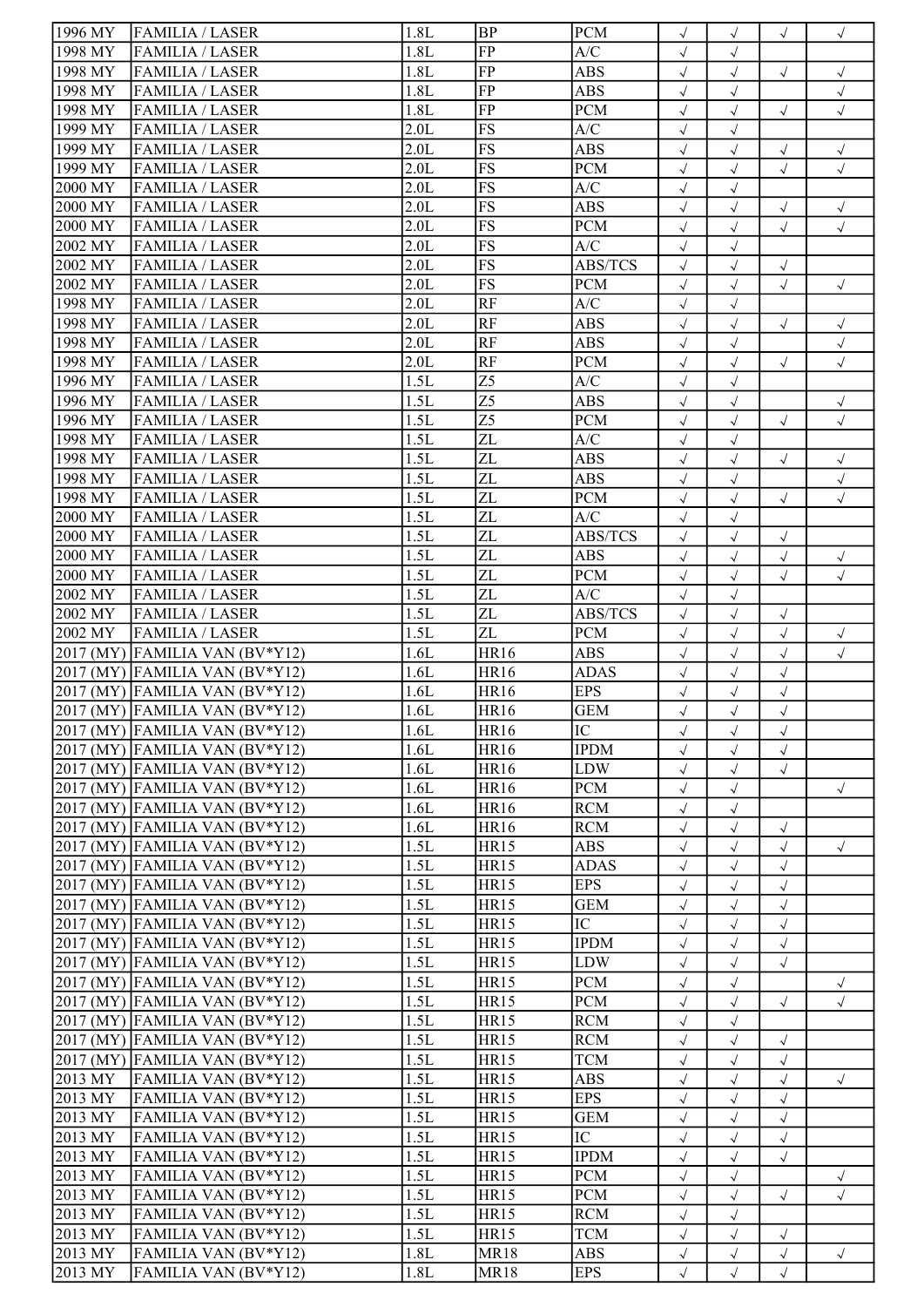| 1996 MY | <b>FAMILIA / LASER</b>            | 1.8L | <b>BP</b>              | PCM            | $\sqrt{ }$           | $\sqrt{}$              | $\sqrt{ }$               | $\sqrt{ }$           |
|---------|-----------------------------------|------|------------------------|----------------|----------------------|------------------------|--------------------------|----------------------|
| 1998 MY | <b>FAMILIA / LASER</b>            | 1.8L | FP                     | A/C            | $\sqrt{ }$           | $\sqrt{ }$             |                          |                      |
| 1998 MY | <b>FAMILIA / LASER</b>            | 1.8L | FP                     | <b>ABS</b>     | $\sqrt{ }$           | $\sqrt{ }$             | $\sqrt{ }$               | $\sqrt{\phantom{a}}$ |
| 1998 MY | <b>FAMILIA / LASER</b>            | 1.8L | <b>FP</b>              | <b>ABS</b>     | $\sqrt{ }$           | $\sqrt{ }$             |                          | $\sqrt{ }$           |
| 1998 MY | <b>FAMILIA / LASER</b>            | 1.8L | <b>FP</b>              | <b>PCM</b>     | $\sqrt{ }$           | $\sqrt{ }$             | $\sqrt{ }$               | $\sqrt{}$            |
| 1999 MY | <b>FAMILIA / LASER</b>            | 2.0L | FS                     | A/C            | $\sqrt{ }$           | $\sqrt{ }$             |                          |                      |
|         |                                   |      |                        |                |                      |                        |                          |                      |
| 1999 MY | <b>FAMILIA / LASER</b>            | 2.0L | FS                     | <b>ABS</b>     | $\sqrt{ }$           | $\sqrt{}$              | $\sqrt{ }$               | $\sqrt{ }$           |
| 1999 MY | <b>FAMILIA / LASER</b>            | 2.0L | FS                     | <b>PCM</b>     | $\sqrt{\phantom{a}}$ | $\sqrt{ }$             | $\sqrt{ }$               | $\sqrt{ }$           |
| 2000 MY | <b>FAMILIA / LASER</b>            | 2.0L | FS                     | A/C            | $\sqrt{ }$           | $\sqrt{ }$             |                          |                      |
| 2000 MY | <b>FAMILIA / LASER</b>            | 2.0L | <b>FS</b>              | <b>ABS</b>     | $\sqrt{ }$           | $\sqrt{}$              | $\sqrt{ }$               | $\sqrt{ }$           |
| 2000 MY | <b>FAMILIA / LASER</b>            | 2.0L | <b>FS</b>              | <b>PCM</b>     | $\sqrt{ }$           | $\sqrt{}$              | $\sqrt{ }$               | $\sqrt{ }$           |
| 2002 MY | <b>FAMILIA / LASER</b>            | 2.0L | FS                     | A/C            | $\sqrt{ }$           | $\sqrt{2}$             |                          |                      |
| 2002 MY | <b>FAMILIA / LASER</b>            | 2.0L | FS                     | <b>ABS/TCS</b> | $\sqrt{ }$           | $\sqrt{}$              | $\sqrt{ }$               |                      |
| 2002 MY | <b>FAMILIA / LASER</b>            | 2.0L | <b>FS</b>              | <b>PCM</b>     | $\sqrt{ }$           | $\sqrt{ }$             | $\sqrt{}$                | $\sqrt{ }$           |
| 1998 MY | <b>FAMILIA / LASER</b>            | 2.0L | <b>RF</b>              | A/C            | $\sqrt{ }$           | $\sqrt{ }$             |                          |                      |
| 1998 MY | <b>FAMILIA / LASER</b>            | 2.0L | RF                     | <b>ABS</b>     | $\sqrt{ }$           | $\sqrt{ }$             | $\sqrt{\phantom{a}}$     | $\sqrt{}$            |
| 1998 MY | <b>FAMILIA / LASER</b>            | 2.0L | RF                     | <b>ABS</b>     | $\sqrt{ }$           | $\sqrt{ }$             |                          | $\sqrt{ }$           |
| 1998 MY | <b>FAMILIA / LASER</b>            | 2.0L | <b>RF</b>              | <b>PCM</b>     | $\sqrt{ }$           | $\sqrt{}$              | $\sqrt{ }$               | $\sqrt{ }$           |
| 1996 MY |                                   |      | Z5                     | A/C            |                      | $\sqrt{ }$             |                          |                      |
|         | <b>FAMILIA / LASER</b>            | 1.5L |                        |                | $\sqrt{\phantom{a}}$ |                        |                          |                      |
| 1996 MY | <b>FAMILIA / LASER</b>            | 1.5L | Z5                     | <b>ABS</b>     | $\sqrt{\phantom{a}}$ | $\sqrt{ }$             |                          | $\sqrt{ }$           |
| 1996 MY | <b>FAMILIA / LASER</b>            | 1.5L | Z <sub>5</sub>         | <b>PCM</b>     | $\sqrt{ }$           | $\sqrt{}$              | $\sqrt{ }$               | $\sqrt{ }$           |
| 1998 MY | <b>FAMILIA / LASER</b>            | 1.5L | ZL                     | A/C            | $\sqrt{ }$           | $\sqrt{ }$             |                          |                      |
| 1998 MY | <b>FAMILIA / LASER</b>            | 1.5L | ZL                     | <b>ABS</b>     | $\checkmark$         | $\sqrt{}$              | $\sqrt{ }$               | $\sqrt{ }$           |
| 1998 MY | <b>FAMILIA / LASER</b>            | 1.5L | $\overline{ZL}$        | <b>ABS</b>     | $\sqrt{ }$           | $\sqrt{2}$             |                          | $\checkmark$         |
| 1998 MY | <b>FAMILIA / LASER</b>            | 1.5L | $\overline{\text{ZL}}$ | <b>PCM</b>     | $\sqrt{ }$           | $\sqrt{}$              | $\sqrt{ }$               | $\sqrt{ }$           |
| 2000 MY | <b>FAMILIA / LASER</b>            | 1.5L | ZL                     | A/C            | $\sqrt{}$            | $\sqrt{}$              |                          |                      |
| 2000 MY | <b>FAMILIA / LASER</b>            | 1.5L | ZL                     | ABS/TCS        | $\sqrt{ }$           | $\sqrt{ }$             | $\sqrt{ }$               |                      |
| 2000 MY | <b>FAMILIA / LASER</b>            | 1.5L | ZL                     | ABS            | $\sqrt{ }$           | $\sqrt{ }$             | $\sqrt{ }$               | $\sqrt{ }$           |
| 2000 MY | <b>FAMILIA / LASER</b>            | 1.5L | ZL                     | <b>PCM</b>     | $\sqrt{ }$           | $\sqrt{ }$             | $\sqrt{ }$               | $\sqrt{}$            |
| 2002 MY | <b>FAMILIA / LASER</b>            | 1.5L | ZL                     | A/C            | $\sqrt{\phantom{a}}$ | $\sqrt{ }$             |                          |                      |
| 2002 MY | <b>FAMILIA / LASER</b>            | 1.5L | ZL                     | ABS/TCS        |                      |                        |                          |                      |
|         |                                   |      |                        |                | $\sqrt{\phantom{a}}$ | $\sqrt{}$              | $\sqrt{ }$               |                      |
| 2002 MY | <b>FAMILIA / LASER</b>            | 1.5L | ZL                     | <b>PCM</b>     | $\sqrt{\phantom{a}}$ | $\sqrt{ }$             | $\sqrt{ }$               | $\sqrt{ }$           |
|         | $2017$ (MY) FAMILIA VAN (BV*Y12)  | 1.6L | <b>HR16</b>            | <b>ABS</b>     | $\sqrt{\phantom{a}}$ | $\sqrt{ }$             | $\sqrt{ }$               | $\sqrt{ }$           |
|         | 2017 (MY) FAMILIA VAN (BV*Y12)    | 1.6L | <b>HR16</b>            | <b>ADAS</b>    | $\sqrt{ }$           | $\sqrt{ }$             | $\sqrt{ }$               |                      |
|         | $2017$ (MY) FAMILIA VAN (BV*Y12)  | 1.6L | <b>HR16</b>            | <b>EPS</b>     | $\sqrt{ }$           | $\sqrt{}$              | $\sqrt{ }$               |                      |
|         | $2017$ (MY) FAMILIA VAN (BV*Y12)  | 1.6L | <b>HR16</b>            | <b>GEM</b>     | $\sqrt{ }$           | $\sqrt{}$              | $\sqrt{ }$               |                      |
|         | $[2017 (MY)$ FAMILIA VAN (BV*Y12) | 1.6L | <b>HR16</b>            | IC             | $\sqrt{ }$           | $\sqrt{}$              | $\sqrt{ }$               |                      |
|         | $2017$ (MY) FAMILIA VAN (BV*Y12)  | 1.6L | <b>HR16</b>            | <b>IPDM</b>    | $\sqrt{ }$           | $\sqrt{}$              | $\sqrt{ }$               |                      |
|         | $2017$ (MY) FAMILIA VAN (BV*Y12)  | 1.6L | <b>HR16</b>            | <b>LDW</b>     | $\sqrt{ }$           | $\sqrt{ }$             | $\sqrt{\phantom{a}}$     |                      |
|         | $2017$ (MY) FAMILIA VAN (BV*Y12)  | 1.6L | <b>HR16</b>            | <b>PCM</b>     | $\sqrt{ }$           | $\sqrt{ }$             |                          | $\sqrt{ }$           |
|         | $2017$ (MY) FAMILIA VAN (BV*Y12)  | 1.6L | <b>HR16</b>            | <b>RCM</b>     | $\sqrt{ }$           | $\sqrt{ }$             |                          |                      |
|         | $2017$ (MY) FAMILIA VAN (BV*Y12)  | 1.6L | <b>HR16</b>            | <b>RCM</b>     | $\sqrt{ }$           | $\sqrt{ }$             | $\sqrt{\phantom{a}}$     |                      |
|         | $2017$ (MY) FAMILIA VAN (BV*Y12)  | 1.5L | <b>HR15</b>            | <b>ABS</b>     | $\sqrt{ }$           | $\sqrt{}$              | $\sqrt{ }$               | $\sqrt{ }$           |
|         | $2017$ (MY) FAMILIA VAN (BV*Y12)  | 1.5L | <b>HR15</b>            | <b>ADAS</b>    | $\sqrt{ }$           | $\sqrt{}$              | $\sqrt{ }$               |                      |
|         | $2017$ (MY) FAMILIA VAN (BV*Y12)  | 1.5L | <b>HR15</b>            | <b>EPS</b>     | $\sqrt{\phantom{a}}$ |                        |                          |                      |
|         | $2017$ (MY) FAMILIA VAN (BV*Y12)  | 1.5L | <b>HR15</b>            | <b>GEM</b>     | $\sqrt{ }$           | $\sqrt{}$<br>$\sqrt{}$ | $\sqrt{ }$<br>$\sqrt{ }$ |                      |
|         |                                   |      |                        |                |                      |                        |                          |                      |
|         | $2017$ (MY) FAMILIA VAN (BV*Y12)  | 1.5L | <b>HR15</b>            | IC             | $\sqrt{ }$           | $\sqrt{}$              | $\sqrt{ }$               |                      |
|         | $2017$ (MY) FAMILIA VAN (BV*Y12)  | 1.5L | <b>HR15</b>            | <b>IPDM</b>    | $\sqrt{ }$           | $\sqrt{}$              | $\sqrt{}$                |                      |
|         | $2017$ (MY) FAMILIA VAN (BV*Y12)  | 1.5L | <b>HR15</b>            | <b>LDW</b>     | $\sqrt{ }$           | $\sqrt{}$              | $\sqrt{}$                |                      |
|         | $2017$ (MY) FAMILIA VAN (BV*Y12)  | 1.5L | <b>HR15</b>            | <b>PCM</b>     | $\sqrt{ }$           | $\sqrt{ }$             |                          | $\sqrt{ }$           |
|         | $2017$ (MY) FAMILIA VAN (BV*Y12)  | 1.5L | <b>HR15</b>            | <b>PCM</b>     | $\sqrt{ }$           | $\checkmark$           | $\sqrt{ }$               | $\sqrt{ }$           |
|         | $[2017 (MY)$ FAMILIA VAN (BV*Y12) | 1.5L | <b>HR15</b>            | <b>RCM</b>     | $\sqrt{ }$           | $\sqrt{ }$             |                          |                      |
|         | $2017$ (MY) FAMILIA VAN (BV*Y12)  | 1.5L | <b>HR15</b>            | <b>RCM</b>     | $\sqrt{ }$           | $\sqrt{ }$             | $\sqrt{\phantom{a}}$     |                      |
|         | $2017$ (MY) FAMILIA VAN (BV*Y12)  | 1.5L | <b>HR15</b>            | <b>TCM</b>     | $\sqrt{ }$           | $\sqrt{}$              | $\sqrt{ }$               |                      |
| 2013 MY | FAMILIA VAN (BV*Y12)              | 1.5L | <b>HR15</b>            | ABS            | $\sqrt{ }$           | $\sqrt{ }$             | $\sqrt{ }$               | $\sqrt{ }$           |
| 2013 MY | FAMILIA VAN (BV*Y12)              | 1.5L | <b>HR15</b>            | <b>EPS</b>     | $\sqrt{\phantom{a}}$ | $\sqrt{}$              | $\sqrt{ }$               |                      |
| 2013 MY | FAMILIA VAN (BV*Y12)              | 1.5L | <b>HR15</b>            | <b>GEM</b>     | $\sqrt{\phantom{a}}$ | $\sqrt{}$              | $\sqrt{ }$               |                      |
| 2013 MY | FAMILIA VAN (BV*Y12)              | 1.5L | <b>HR15</b>            | IC             | $\sqrt{ }$           | $\sqrt{}$              | $\sqrt{ }$               |                      |
| 2013 MY | FAMILIA VAN (BV*Y12)              | 1.5L | <b>HR15</b>            | <b>IPDM</b>    | $\sqrt{ }$           | $\sqrt{ }$             | $\sqrt{ }$               |                      |
|         |                                   |      |                        |                |                      |                        |                          |                      |
| 2013 MY | FAMILIA VAN (BV*Y12)              | 1.5L | <b>HR15</b>            | PCM            | $\sqrt{ }$           | $\sqrt{ }$             |                          | $\sqrt{ }$           |
| 2013 MY | FAMILIA VAN (BV*Y12)              | 1.5L | <b>HR15</b>            | PCM            | $\sqrt{ }$           | $\sqrt{}$              | $\sqrt{ }$               | $\sqrt{ }$           |
| 2013 MY | FAMILIA VAN (BV*Y12)              | 1.5L | <b>HR15</b>            | RCM            | $\sqrt{ }$           | $\sqrt{ }$             |                          |                      |
| 2013 MY | FAMILIA VAN (BV*Y12)              | 1.5L | <b>HR15</b>            | <b>TCM</b>     | $\sqrt{}$            | $\sqrt{}$              | $\sqrt{ }$               |                      |
| 2013 MY | FAMILIA VAN (BV*Y12)              | 1.8L | <b>MR18</b>            | <b>ABS</b>     | $\sqrt{ }$           | $\sqrt{ }$             | $\sqrt{ }$               | $\sqrt{ }$           |
| 2013 MY | FAMILIA VAN (BV*Y12)              | 1.8L | MR18                   | <b>EPS</b>     | $\sqrt{ }$           | $\sqrt{}$              | $\sqrt{ }$               |                      |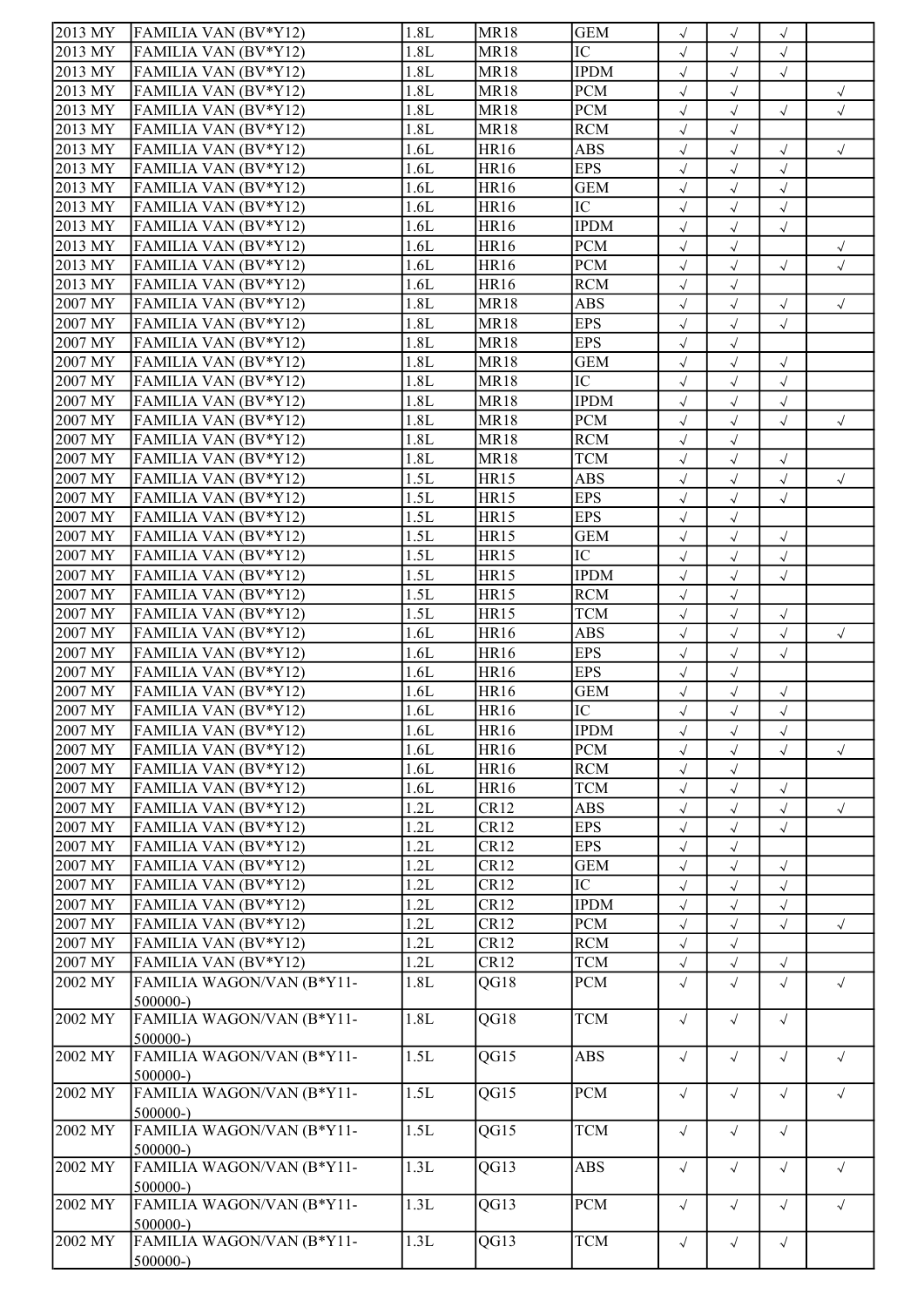| 2013 MY          | FAMILIA VAN (BV*Y12)                         | 1.8L   | <b>MR18</b> | <b>GEM</b>  | $\sqrt{}$            | $\sqrt{ }$           | $\sqrt{ }$           |            |
|------------------|----------------------------------------------|--------|-------------|-------------|----------------------|----------------------|----------------------|------------|
| 2013 MY          | FAMILIA VAN (BV*Y12)                         | 1.8L   | <b>MR18</b> | IC          | $\sqrt{}$            | $\sqrt{ }$           | $\sqrt{ }$           |            |
| 2013 MY          | FAMILIA VAN (BV*Y12)                         | 1.8L   | <b>MR18</b> | <b>IPDM</b> | $\sqrt{ }$           | $\sqrt{ }$           | $\sqrt{\phantom{a}}$ |            |
| 2013 MY          | FAMILIA VAN (BV*Y12)                         | 1.8L   | <b>MR18</b> | <b>PCM</b>  | $\sqrt{ }$           | $\sqrt{ }$           |                      | $\sqrt{ }$ |
| 2013 MY          | FAMILIA VAN (BV*Y12)                         | 1.8L   | <b>MR18</b> | <b>PCM</b>  | $\sqrt{ }$           | $\sqrt{ }$           | $\sqrt{\phantom{a}}$ | $\sqrt{ }$ |
| 2013 MY          | FAMILIA VAN (BV*Y12)                         | 1.8L   | <b>MR18</b> | <b>RCM</b>  | $\sqrt{ }$           | $\sqrt{}$            |                      |            |
| 2013 MY          | FAMILIA VAN (BV*Y12)                         | 1.6L   | <b>HR16</b> | <b>ABS</b>  | $\sqrt{ }$           | $\sqrt{}$            | $\sqrt{ }$           | $\sqrt{ }$ |
| 2013 MY          | FAMILIA VAN (BV*Y12)                         | 1.6L   | <b>HR16</b> | <b>EPS</b>  | $\sqrt{}$            | $\sqrt{}$            | $\sqrt{ }$           |            |
| 2013 MY          | FAMILIA VAN (BV*Y12)                         | 1.6L   | <b>HR16</b> | <b>GEM</b>  | $\sqrt{ }$           | $\sqrt{}$            | $\sqrt{\phantom{a}}$ |            |
| 2013 MY          | FAMILIA VAN (BV*Y12)                         | 1.6L   | <b>HR16</b> | IC          | $\sqrt{ }$           | $\sqrt{ }$           | $\sqrt{ }$           |            |
| 2013 MY          | FAMILIA VAN (BV*Y12)                         | 1.6L   | <b>HR16</b> | <b>IPDM</b> | $\sqrt{}$            | $\sqrt{ }$           | $\sqrt{ }$           |            |
| 2013 MY          | FAMILIA VAN (BV*Y12)                         | 1.6L   | <b>HR16</b> | PCM         | $\sqrt{}$            | $\sqrt{ }$           |                      | $\sqrt{ }$ |
| 2013 MY          | FAMILIA VAN (BV*Y12)                         | 1.6L   | <b>HR16</b> | <b>PCM</b>  | $\sqrt{2}$           | $\sqrt{ }$           | $\sqrt{ }$           | $\sqrt{2}$ |
| 2013 MY          | FAMILIA VAN (BV*Y12)                         | 1.6L   | <b>HR16</b> | <b>RCM</b>  | $\sqrt{}$            | $\sqrt{}$            |                      |            |
| 2007 MY          | FAMILIA VAN (BV*Y12)                         | 1.8L   | <b>MR18</b> | <b>ABS</b>  | $\sqrt{ }$           | $\sqrt{ }$           | $\sqrt{\phantom{a}}$ | $\sqrt{ }$ |
| 2007 MY          | FAMILIA VAN (BV*Y12)                         | 1.8L   | <b>MR18</b> | <b>EPS</b>  | $\sqrt{ }$           | $\sqrt{ }$           | $\sqrt{ }$           |            |
| 2007 MY          | FAMILIA VAN (BV*Y12)                         | 1.8L   | <b>MR18</b> | <b>EPS</b>  | $\sqrt{ }$           | $\sqrt{}$            |                      |            |
| 2007 MY          | FAMILIA VAN (BV*Y12)                         | 1.8L   | <b>MR18</b> | <b>GEM</b>  | $\sqrt{ }$           | $\sqrt{ }$           | $\sqrt{\phantom{a}}$ |            |
| 2007 MY          | FAMILIA VAN (BV*Y12)                         | 1.8L   | <b>MR18</b> | IC          | $\sqrt{ }$           | $\sqrt{\phantom{a}}$ | $\sqrt{ }$           |            |
| 2007 MY          | FAMILIA VAN (BV*Y12)                         | 1.8L   | <b>MR18</b> | <b>IPDM</b> | $\sqrt{ }$           | $\sqrt{}$            | $\sqrt{ }$           |            |
| 2007 MY          | FAMILIA VAN (BV*Y12)                         | 1.8L   | <b>MR18</b> | <b>PCM</b>  | $\sqrt{ }$           | $\sqrt{\phantom{a}}$ | $\sqrt{\phantom{a}}$ | $\sqrt{ }$ |
| 2007 MY          | FAMILIA VAN (BV*Y12)                         | 1.8L   | <b>MR18</b> | <b>RCM</b>  | $\sqrt{ }$           | $\sqrt{ }$           |                      |            |
| 2007 MY          | FAMILIA VAN (BV*Y12)                         | 1.8L   | <b>MR18</b> | <b>TCM</b>  | $\sqrt{ }$           | $\sqrt{ }$           | $\sqrt{ }$           |            |
| 2007 MY          | FAMILIA VAN (BV*Y12)                         | 1.5L   | <b>HR15</b> | <b>ABS</b>  | $\checkmark$         | $\sqrt{ }$           | $\sqrt{ }$           | $\sqrt{ }$ |
| 2007 MY          | FAMILIA VAN (BV*Y12)                         | 1.5L   | <b>HR15</b> | <b>EPS</b>  | $\sqrt{2}$           | $\sqrt{ }$           | $\sqrt{2}$           |            |
| 2007 MY          | FAMILIA VAN (BV*Y12)                         | 1.5L   | <b>HR15</b> | <b>EPS</b>  | $\sqrt{}$            | $\sqrt{}$            |                      |            |
| 2007 MY          | FAMILIA VAN (BV*Y12)                         | 1.5L   | <b>HR15</b> | GEM         | $\sqrt{ }$           | $\sqrt{}$            | $\sqrt{}$            |            |
| 2007 MY          | FAMILIA VAN (BV*Y12)                         | 1.5L   | <b>HR15</b> | IC          | $\sqrt{ }$           | $\sqrt{ }$           | $\sqrt{\phantom{a}}$ |            |
| 2007 MY          | FAMILIA VAN (BV*Y12)                         | 1.5L   | <b>HR15</b> | <b>IPDM</b> | $\sqrt{ }$           | $\sqrt{ }$           | $\sqrt{ }$           |            |
| 2007 MY          | FAMILIA VAN (BV*Y12)                         | 1.5L   | <b>HR15</b> | <b>RCM</b>  | $\sqrt{ }$           | $\sqrt{ }$           |                      |            |
| 2007 MY          | FAMILIA VAN (BV*Y12)                         | 1.5L   | <b>HR15</b> | <b>TCM</b>  | $\sqrt{ }$           | $\sqrt{}$            | $\sqrt{ }$           |            |
| 2007 MY          | FAMILIA VAN (BV*Y12)                         | 1.6L   | <b>HR16</b> | <b>ABS</b>  | $\sqrt{ }$           | $\sqrt{}$            | $\sqrt{ }$           | $\sqrt{ }$ |
| 2007 MY          | FAMILIA VAN (BV*Y12)                         | 1.6L   | <b>HR16</b> | <b>EPS</b>  | $\sqrt{ }$           | $\sqrt{ }$           | $\sqrt{ }$           |            |
| 2007 MY          | FAMILIA VAN (BV*Y12)                         | 1.6L   | <b>HR16</b> | <b>EPS</b>  | $\sqrt{ }$           | $\sqrt{}$            |                      |            |
| 2007 MY          | FAMILIA VAN (BV*Y12)                         | 1.6L   | <b>HR16</b> | <b>GEM</b>  | $\sqrt{ }$           | $\sqrt{ }$           | $\sqrt{ }$           |            |
| 2007 MY          | FAMILIA VAN (BV*Y12)                         | 1.6L   | <b>HR16</b> | IC          | $\sqrt{ }$           | $\sqrt{ }$           | $\sqrt{ }$           |            |
| 2007 MY          | FAMILIA VAN (BV*Y12)                         | 1.6L   | <b>HR16</b> | <b>IPDM</b> | $\sqrt{ }$           | $\sqrt{}$            | $\sqrt{ }$           |            |
| 2007 MY          | FAMILIA VAN (BV*Y12)                         | 1.6L   | <b>HR16</b> | <b>PCM</b>  | $\sqrt{2}$           | $\checkmark$         | $\sqrt{ }$           | $\sqrt{ }$ |
| 2007 MY          | FAMILIA VAN (BV*Y12)                         | 1.6L   | <b>HR16</b> | <b>RCM</b>  | $\sqrt{}$            | $\sqrt{}$            |                      |            |
| 2007 MY          | FAMILIA VAN (BV*Y12)                         | 1.6L   | <b>HR16</b> | <b>TCM</b>  | $\sqrt{\phantom{a}}$ | $\sqrt{ }$           | $\sqrt{\phantom{a}}$ |            |
| 2007 MY          | FAMILIA VAN (BV*Y12)                         | 1.2L   | <b>CR12</b> | <b>ABS</b>  |                      |                      | $\sqrt{\phantom{a}}$ |            |
| 2007 MY          | FAMILIA VAN (BV*Y12)                         | 1.2L   | <b>CR12</b> | <b>EPS</b>  | $\sqrt{\phantom{a}}$ | $\sqrt{ }$           | $\sqrt{\phantom{a}}$ | $\sqrt{ }$ |
|                  |                                              |        | CR12        | <b>EPS</b>  | $\sqrt{\phantom{a}}$ | $\sqrt{}$            |                      |            |
| 2007 MY          | FAMILIA VAN (BV*Y12)<br>FAMILIA VAN (BV*Y12) | 1.2L   |             | <b>GEM</b>  | $\sqrt{ }$           | $\sqrt{ }$           |                      |            |
| 2007 MY          |                                              | 1.2L   | CR12        |             | $\sqrt{ }$           | $\sqrt{ }$           | $\sqrt{ }$           |            |
| 2007 MY          | FAMILIA VAN (BV*Y12)                         | 1.2L   | <b>CR12</b> | IC          | $\sqrt{2}$           | $\sqrt{ }$           | $\sqrt{ }$           |            |
| $\sqrt{2007}$ MY | FAMILIA VAN (BV*Y12)                         | 1.2L   | <b>CR12</b> | <b>IPDM</b> | $\sqrt{ }$           | $\sqrt{ }$           | $\sqrt{ }$           |            |
| 2007 MY          | FAMILIA VAN (BV*Y12)                         | 1.2L   | <b>CR12</b> | <b>PCM</b>  | $\sqrt{ }$           | $\sqrt{ }$           | $\sqrt{ }$           | $\sqrt{}$  |
| 2007 MY          | FAMILIA VAN (BV*Y12)                         | 1.2L   | <b>CR12</b> | <b>RCM</b>  | $\sqrt{}$            | $\sqrt{ }$           |                      |            |
| 2007 MY          | FAMILIA VAN (BV*Y12)                         | 1.2L   | <b>CR12</b> | <b>TCM</b>  | $\sqrt{}$            | $\sqrt{}$            | $\sqrt{ }$           |            |
| 2002 MY          | FAMILIA WAGON/VAN (B*Y11-                    | $1.8L$ | QG18        | PCM         | $\sqrt{ }$           | $\sqrt{ }$           | $\sqrt{ }$           | $\sqrt{}$  |
|                  | $500000-$                                    |        |             |             |                      |                      |                      |            |
| 2002 MY          | FAMILIA WAGON/VAN (B*Y11-                    | 1.8L   | QG18        | <b>TCM</b>  | $\sqrt{}$            | $\sqrt{}$            | $\sqrt{}$            |            |
|                  | $500000-$                                    |        |             |             |                      |                      |                      |            |
| 2002 MY          | FAMILIA WAGON/VAN (B*Y11-                    | 1.5L   | QG15        | <b>ABS</b>  | $\sqrt{}$            | $\sqrt{}$            | $\sqrt{}$            | $\sqrt{}$  |
|                  | $500000-$                                    |        |             |             |                      |                      |                      |            |
| 2002 MY          | FAMILIA WAGON/VAN (B*Y11-                    | 1.5L   | QG15        | <b>PCM</b>  | $\sqrt{}$            | $\sqrt{}$            | $\sqrt{}$            | $\sqrt{}$  |
|                  | $500000-$<br>FAMILIA WAGON/VAN (B*Y11-       | 1.5L   |             |             |                      |                      |                      |            |
| 2002 MY          |                                              |        | QG15        | <b>TCM</b>  | $\sqrt{}$            | $\sqrt{ }$           | $\sqrt{ }$           |            |
| 2002 MY          | $500000-$<br>FAMILIA WAGON/VAN (B*Y11-       | 1.3L   | QG13        | <b>ABS</b>  | $\sqrt{}$            | $\sqrt{}$            | $\sqrt{ }$           |            |
|                  | $500000-$                                    |        |             |             |                      |                      |                      | $\sqrt{}$  |
| 2002 MY          | FAMILIA WAGON/VAN (B*Y11-                    | 1.3L   | QG13        | <b>PCM</b>  | $\sqrt{}$            | $\sqrt{ }$           | $\sqrt{ }$           | $\sqrt{ }$ |
|                  | $500000-$                                    |        |             |             |                      |                      |                      |            |
| 2002 MY          | FAMILIA WAGON/VAN (B*Y11-                    | 1.3L   | QG13        | <b>TCM</b>  | $\sqrt{}$            | $\sqrt{ }$           | $\sqrt{ }$           |            |
|                  | $500000-$                                    |        |             |             |                      |                      |                      |            |
|                  |                                              |        |             |             |                      |                      |                      |            |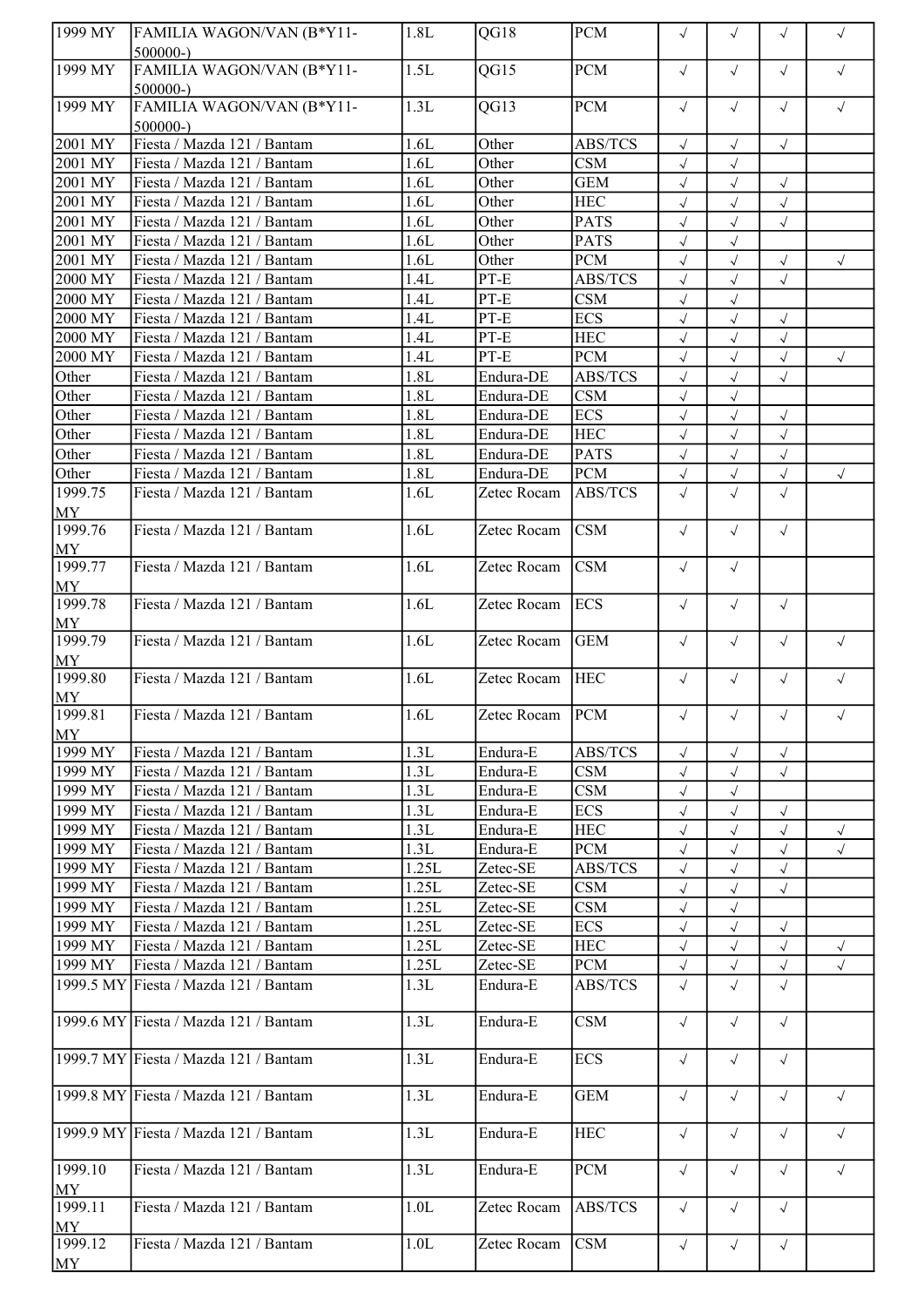| 1999 MY              | FAMILIA WAGON/VAN (B*Y11-              | 1.8L  | QG18            | <b>PCM</b>  | $\sqrt{}$            | $\sqrt{}$  | $\sqrt{ }$   | $\sqrt{ }$   |
|----------------------|----------------------------------------|-------|-----------------|-------------|----------------------|------------|--------------|--------------|
| 1999 MY              | $500000-$<br>FAMILIA WAGON/VAN (B*Y11- | 1.5L  | QG15            | PCM         | $\sqrt{ }$           | $\sqrt{}$  | $\sqrt{ }$   | $\sqrt{ }$   |
|                      | $500000-$                              |       |                 |             |                      |            |              |              |
| 1999 MY              | FAMILIA WAGON/VAN (B*Y11-<br>$500000-$ | 1.3L  | QG13            | <b>PCM</b>  | $\sqrt{}$            | $\sqrt{}$  | $\sqrt{}$    | $\sqrt{ }$   |
| 2001 MY              | Fiesta / Mazda 121 / Bantam            | 1.6L  | Other           | ABS/TCS     | $\checkmark$         | $\sqrt{}$  | $\sqrt{}$    |              |
| 2001 MY              | Fiesta / Mazda 121 / Bantam            | 1.6L  | Other           | CSM         | $\sqrt{ }$           | $\sqrt{ }$ |              |              |
| 2001 MY              | Fiesta / Mazda 121 / Bantam            | 1.6L  | Other           | <b>GEM</b>  | $\sqrt{ }$           | $\sqrt{ }$ | $\sqrt{ }$   |              |
| 2001 MY              | Fiesta / Mazda 121 / Bantam            | 1.6L  | Other           | <b>HEC</b>  | $\sqrt{}$            | $\sqrt{}$  | $\sqrt{ }$   |              |
| 2001 MY              | Fiesta / Mazda 121 / Bantam            | 1.6L  | Other           | <b>PATS</b> | $\sqrt{ }$           | $\sqrt{}$  | $\sqrt{ }$   |              |
| 2001 MY              | Fiesta / Mazda 121 / Bantam            | 1.6L  | Other           | <b>PATS</b> | $\sqrt{}$            | $\sqrt{}$  |              |              |
| 2001 MY              | Fiesta / Mazda 121 / Bantam            | 1.6L  | Other           | <b>PCM</b>  | $\sqrt{}$            | $\sqrt{}$  | $\sqrt{}$    | $\sqrt{ }$   |
| 2000 MY              | Fiesta / Mazda 121 / Bantam            | 1.4L  | PT-E            | ABS/TCS     | $\sqrt{}$            | $\sqrt{}$  | $\checkmark$ |              |
| 2000 MY              | Fiesta / Mazda 121 / Bantam            | 1.4L  | $PT-E$          | CSM         | $\sqrt{ }$           | $\sqrt{}$  |              |              |
| 2000 MY              | Fiesta / Mazda 121 / Bantam            | 1.4L  | $PT-E$          | <b>ECS</b>  | $\sqrt{}$            | $\sqrt{}$  | $\checkmark$ |              |
| 2000 MY              | Fiesta / Mazda 121 / Bantam            | 1.4L  | $PT-E$          | <b>HEC</b>  | $\sqrt{}$            | $\sqrt{}$  | $\sqrt{}$    |              |
| 2000 MY              | Fiesta / Mazda 121 / Bantam            | 1.4L  | $PT-E$          | <b>PCM</b>  | $\sqrt{2}$           | $\sqrt{}$  | $\sqrt{2}$   | $\sqrt{ }$   |
| Other                | Fiesta / Mazda 121 / Bantam            | 1.8L  | Endura-DE       | ABS/TCS     | $\sqrt{}$            | $\sqrt{}$  | $\sqrt{}$    |              |
| Other                | Fiesta / Mazda 121 / Bantam            | 1.8L  | Endura-DE       | CSM         | $\sqrt{}$            | $\sqrt{}$  |              |              |
| Other                | Fiesta / Mazda 121 / Bantam            | 1.8L  | Endura-DE       | <b>ECS</b>  | $\sqrt{\phantom{a}}$ | $\sqrt{}$  | $\sqrt{ }$   |              |
| Other                | Fiesta / Mazda 121 / Bantam            | 1.8L  | Endura-DE       | <b>HEC</b>  | $\sqrt{ }$           | $\sqrt{}$  | $\sqrt{ }$   |              |
| Other                | Fiesta / Mazda 121 / Bantam            | 1.8L  | Endura-DE       | <b>PATS</b> | $\sqrt{ }$           | $\sqrt{}$  | $\sqrt{ }$   |              |
| Other                | Fiesta / Mazda 121 / Bantam            | 1.8L  | Endura-DE       | <b>PCM</b>  | $\checkmark$         | $\sqrt{}$  | $\checkmark$ | $\sqrt{ }$   |
| 1999.75              | Fiesta / Mazda 121 / Bantam            | 1.6L  | Zetec Rocam     | ABS/TCS     | $\sqrt{ }$           | $\sqrt{ }$ | $\sqrt{}$    |              |
| <b>MY</b><br>1999.76 | Fiesta / Mazda 121 / Bantam            | 1.6L  | Zetec Rocam     | CSM         | $\sqrt{ }$           | $\sqrt{ }$ | $\sqrt{ }$   |              |
| <b>MY</b>            |                                        |       |                 |             |                      |            |              |              |
| 1999.77<br><b>MY</b> | Fiesta / Mazda 121 / Bantam            | 1.6L  | Zetec Rocam     | <b>CSM</b>  | $\sqrt{ }$           | $\sqrt{ }$ |              |              |
| 1999.78<br><b>MY</b> | Fiesta / Mazda 121 / Bantam            | 1.6L  | Zetec Rocam     | <b>ECS</b>  | $\sqrt{ }$           | $\sqrt{ }$ | $\sqrt{ }$   |              |
| 1999.79<br><b>MY</b> | Fiesta / Mazda 121 / Bantam            | 1.6L  | Zetec Rocam     | <b>GEM</b>  | $\sqrt{ }$           | $\sqrt{ }$ | $\sqrt{ }$   | $\sqrt{ }$   |
| 1999.80<br><b>MY</b> | Fiesta / Mazda 121 / Bantam            | 1.6L  | Zetec Rocam     | <b>HEC</b>  | $\sqrt{ }$           | $\sqrt{ }$ | $\sqrt{ }$   | $\sqrt{ }$   |
| 1999.81<br><b>MY</b> | Fiesta / Mazda 121 / Bantam            | 1.6L  | Zetec Rocam PCM |             | $\sqrt{ }$           | $\sqrt{ }$ | $\sqrt{ }$   | $\sqrt{ }$   |
| 1999 MY              | Fiesta / Mazda 121 / Bantam            | 1.3L  | Endura-E        | ABS/TCS     | $\sqrt{ }$           | $\sqrt{}$  | $\sqrt{ }$   |              |
| 1999 MY              | Fiesta / Mazda 121 / Bantam            | 1.3L  | Endura-E        | CSM         | $\sqrt{ }$           | $\sqrt{}$  | $\sqrt{}$    |              |
| 1999 MY              | Fiesta / Mazda 121 / Bantam            | 1.3L  | Endura-E        | CSM         | $\sqrt{}$            | $\sqrt{}$  |              |              |
| 1999 MY              | Fiesta / Mazda 121 / Bantam            | 1.3L  | Endura-E        | ECS         | $\sqrt{ }$           |            | $\sqrt{}$    |              |
| 1999 MY              | Fiesta / Mazda 121 / Bantam            | 1.3L  | Endura-E        | <b>HEC</b>  | $\sqrt{}$            | $\sqrt{}$  | $\sqrt{}$    | $\sqrt{ }$   |
| 1999 MY              | Fiesta / Mazda 121 / Bantam            | 1.3L  | Endura-E        | PCM         | $\sqrt{2}$           | $\sqrt{}$  | $\sqrt{}$    | $\checkmark$ |
| 1999 MY              | Fiesta / Mazda 121 / Bantam            | 1.25L | Zetec-SE        | ABS/TCS     | $\sqrt{}$            |            | $\sqrt{}$    |              |
| 1999 MY              | Fiesta / Mazda 121 / Bantam            | 1.25L | Zetec-SE        | CSM         |                      | $\sqrt{}$  | $\sqrt{}$    |              |
| 1999 MY              | Fiesta / Mazda 121 / Bantam            | 1.25L | Zetec-SE        | <b>CSM</b>  | $\sqrt{}$            | $\sqrt{}$  |              |              |
| 1999 MY              | Fiesta / Mazda 121 / Bantam            | 1.25L | Zetec-SE        | <b>ECS</b>  | $\sqrt{}$            | $\sqrt{}$  | $\sqrt{}$    |              |
| 1999 MY              | Fiesta / Mazda 121 / Bantam            | 1.25L | Zetec-SE        | <b>HEC</b>  | $\sqrt{ }$           | $\sqrt{}$  | $\sqrt{ }$   | $\sqrt{ }$   |
| 1999 MY              | Fiesta / Mazda 121 / Bantam            | 1.25L | Zetec-SE        | <b>PCM</b>  | $\sqrt{}$            | $\sqrt{}$  | $\sqrt{}$    | $\sqrt{}$    |
|                      | 1999.5 MY Fiesta / Mazda 121 / Bantam  | 1.3L  | Endura-E        | ABS/TCS     | $\sqrt{ }$           | $\sqrt{2}$ | $\sqrt{ }$   |              |
|                      | 1999.6 MY Fiesta / Mazda 121 / Bantam  | 1.3L  | Endura-E        | <b>CSM</b>  | $\sqrt{}$            | $\sqrt{ }$ | $\sqrt{ }$   |              |
|                      | 1999.7 MY Fiesta / Mazda 121 / Bantam  | 1.3L  | Endura-E        | <b>ECS</b>  | $\sqrt{}$            | $\sqrt{ }$ | $\sqrt{ }$   |              |
|                      | 1999.8 MY Fiesta / Mazda 121 / Bantam  | 1.3L  | Endura-E        | <b>GEM</b>  | $\sqrt{}$            | $\sqrt{ }$ | $\sqrt{ }$   | $\sqrt{ }$   |
|                      | 1999.9 MY Fiesta / Mazda 121 / Bantam  | 1.3L  | Endura-E        | <b>HEC</b>  | $\sqrt{}$            | $\sqrt{ }$ | $\sqrt{ }$   | $\sqrt{ }$   |
| 1999.10<br><b>MY</b> | Fiesta / Mazda 121 / Bantam            | 1.3L  | Endura-E        | <b>PCM</b>  | $\sqrt{ }$           | $\sqrt{ }$ | $\sqrt{ }$   | $\sqrt{ }$   |
| 1999.11<br>MY        | Fiesta / Mazda 121 / Bantam            | 1.0L  | Zetec Rocam     | ABS/TCS     | $\sqrt{ }$           | $\sqrt{ }$ | $\sqrt{ }$   |              |
| 1999.12<br>MY        | Fiesta / Mazda 121 / Bantam            | 1.0L  | Zetec Rocam     | CSM         | $\sqrt{\phantom{a}}$ | $\sqrt{ }$ | $\sqrt{ }$   |              |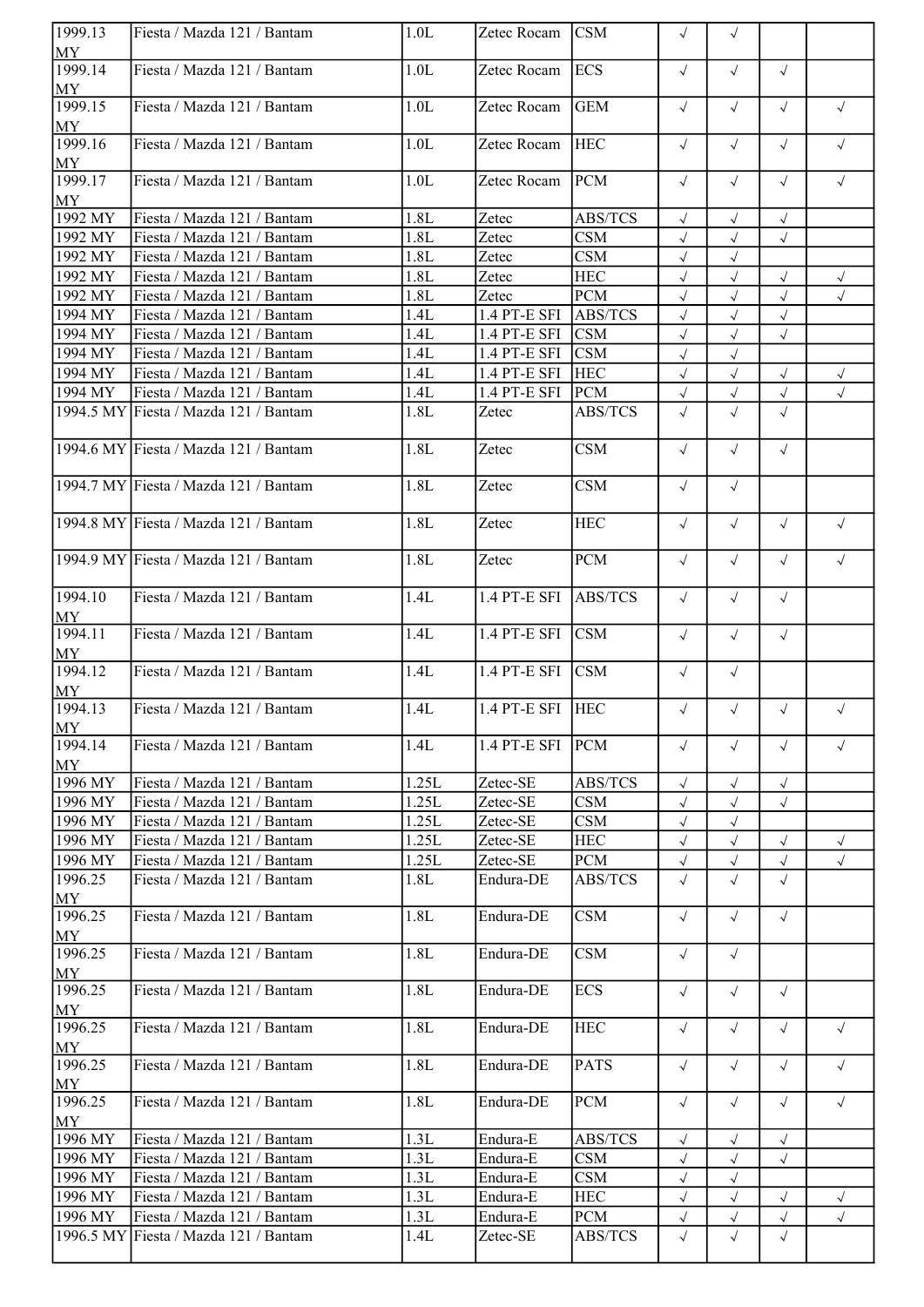| 1999.13              | Fiesta / Mazda 121 / Bantam           | 1.0L             | Zetec Rocam      | <b>CSM</b>     | $\sqrt{ }$   | $\sqrt{ }$   |                      |              |
|----------------------|---------------------------------------|------------------|------------------|----------------|--------------|--------------|----------------------|--------------|
| <b>MY</b><br>1999.14 | Fiesta / Mazda 121 / Bantam           | 1.0 <sub>L</sub> | Zetec Rocam      | ECS            | $\sqrt{ }$   | $\sqrt{ }$   | $\sqrt{ }$           |              |
| <b>MY</b><br>1999.15 | Fiesta / Mazda 121 / Bantam           | 1.0L             | Zetec Rocam      | <b>GEM</b>     | $\sqrt{ }$   | $\sqrt{}$    | $\sqrt{ }$           | $\sqrt{ }$   |
| <b>MY</b><br>1999.16 | Fiesta / Mazda 121 / Bantam           | 1.0L             | Zetec Rocam      | <b>HEC</b>     | $\sqrt{ }$   | $\sqrt{}$    | $\sqrt{ }$           | $\sqrt{ }$   |
| <b>MY</b><br>1999.17 | Fiesta / Mazda 121 / Bantam           | 1.0 <sub>L</sub> | Zetec Rocam      | <b>PCM</b>     | $\sqrt{ }$   | $\sqrt{ }$   | $\sqrt{ }$           | $\sqrt{ }$   |
| <b>MY</b>            |                                       |                  |                  |                |              |              |                      |              |
| 1992 MY              | Fiesta / Mazda 121 / Bantam           | 1.8L             | Zetec            | <b>ABS/TCS</b> | $\sqrt{ }$   | $\sqrt{ }$   | $\sqrt{ }$           |              |
| 1992 MY              | Fiesta / Mazda 121 / Bantam           | 1.8L             | Zetec            | <b>CSM</b>     | $\sqrt{}$    | $\sqrt{}$    | $\sqrt{ }$           |              |
| 1992 MY              | Fiesta / Mazda 121 / Bantam           | 1.8L             | Zetec            | <b>CSM</b>     | $\sqrt{}$    | $\sqrt{}$    |                      |              |
| 1992 MY              | Fiesta / Mazda 121 / Bantam           | 1.8L             | Zetec            | <b>HEC</b>     | $\sqrt{ }$   | $\sqrt{ }$   | $\sqrt{ }$           | $\sqrt{ }$   |
| 1992 MY              | Fiesta / Mazda 121 / Bantam           | 1.8L             | Zetec            | <b>PCM</b>     | $\sqrt{ }$   | $\sqrt{}$    | $\sqrt{ }$           | $\sqrt{ }$   |
| 1994 MY              | Fiesta / Mazda 121 / Bantam           | 1.4L             | 1.4 PT-E SFI     | ABS/TCS        | $\sqrt{}$    | $\sqrt{ }$   | $\sqrt{ }$           |              |
| 1994 MY              | Fiesta / Mazda 121 / Bantam           | 1.4L             | 1.4 PT-E SFI     | <b>CSM</b>     | $\sqrt{ }$   | $\sqrt{ }$   | $\sqrt{}$            |              |
|                      |                                       | 1.4L             |                  |                | $\sqrt{2}$   | $\sqrt{}$    |                      |              |
| 1994 MY              | Fiesta / Mazda 121 / Bantam           |                  | 1.4 PT-E SFI     | <b>CSM</b>     |              |              |                      |              |
| 1994 MY              | Fiesta / Mazda 121 / Bantam           | 1.4L             | 1.4 PT-E SFI     | <b>HEC</b>     | $\sqrt{}$    | $\sqrt{ }$   | $\sqrt{ }$           | $\checkmark$ |
| 1994 MY              | Fiesta / Mazda 121 / Bantam           | 1.4L             | 1.4 PT-E SFI     | <b>PCM</b>     | $\checkmark$ | $\sqrt{}$    | $\sqrt{}$            | $\sqrt{}$    |
|                      | 1994.5 MY Fiesta / Mazda 121 / Bantam | 1.8L             | Zetec            | ABS/TCS        | $\sqrt{ }$   | $\sqrt{ }$   | $\sqrt{ }$           |              |
|                      | 1994.6 MY Fiesta / Mazda 121 / Bantam | 1.8L             | Zetec            | CSM            | $\sqrt{}$    | $\sqrt{ }$   | $\sqrt{ }$           |              |
|                      | 1994.7 MY Fiesta / Mazda 121 / Bantam | 1.8L             | Zetec            | <b>CSM</b>     | $\sqrt{ }$   | $\sqrt{}$    |                      |              |
|                      | 1994.8 MY Fiesta / Mazda 121 / Bantam | 1.8L             | Zetec            | <b>HEC</b>     | $\sqrt{}$    | $\sqrt{ }$   | $\sqrt{ }$           | $\sqrt{ }$   |
|                      | 1994.9 MY Fiesta / Mazda 121 / Bantam | 1.8L             | Zetec            | PCM            | $\sqrt{}$    | $\sqrt{ }$   | $\sqrt{ }$           | $\sqrt{ }$   |
| 1994.10<br><b>MY</b> | Fiesta / Mazda 121 / Bantam           | 1.4L             | 1.4 PT-E SFI     | ABS/TCS        | $\sqrt{}$    | $\sqrt{ }$   | $\sqrt{ }$           |              |
| 1994.11<br><b>MY</b> | Fiesta / Mazda 121 / Bantam           | 1.4L             | 1.4 PT-E SFI     | <b>CSM</b>     | $\sqrt{}$    | $\sqrt{ }$   | $\sqrt{ }$           |              |
| 1994.12<br><b>MY</b> | Fiesta / Mazda 121 / Bantam           | 1.4L             | 1.4 PT-E SFI     | <b>CSM</b>     | $\sqrt{ }$   | $\sqrt{ }$   |                      |              |
| 1994.13<br><b>MY</b> | Fiesta / Mazda 121 / Bantam           | 1.4L             | 1.4 PT-E SFI HEC |                | $\sqrt{}$    | $\sqrt{ }$   | $\sqrt{ }$           | $\checkmark$ |
| 1994.14<br><b>MY</b> | Fiesta / Mazda 121 / Bantam           | 1.4L             | 1.4 PT-E SFI     | <b>PCM</b>     | $\sqrt{ }$   | $\sqrt{ }$   | $\sqrt{ }$           | $\sqrt{ }$   |
| 1996 MY              | Fiesta / Mazda 121 / Bantam           | 1.25L            | Zetec-SE         | ABS/TCS        | $\sqrt{ }$   | $\sqrt{ }$   | $\sqrt{ }$           |              |
| 1996 MY              | Fiesta / Mazda 121 / Bantam           | 1.25L            | Zetec-SE         | <b>CSM</b>     | $\sqrt{2}$   | $\sqrt{ }$   | $\sqrt{}$            |              |
| 1996 MY              | Fiesta / Mazda 121 / Bantam           | 1.25L            | Zetec-SE         | <b>CSM</b>     | $\sqrt{}$    | $\sqrt{ }$   |                      |              |
| 1996 MY              | Fiesta / Mazda 121 / Bantam           | 1.25L            | Zetec-SE         | <b>HEC</b>     | $\sqrt{2}$   | $\sqrt{ }$   | $\sqrt{ }$           | $\sqrt{}$    |
| 1996 MY              | Fiesta / Mazda 121 / Bantam           | 1.25L            |                  | <b>PCM</b>     |              |              |                      |              |
|                      |                                       |                  | Zetec-SE         |                | $\checkmark$ | $\checkmark$ | $\sqrt{}$            | $\checkmark$ |
| 1996.25<br><b>MY</b> | Fiesta / Mazda 121 / Bantam           | 1.8L             | Endura-DE        | ABS/TCS        | $\sqrt{2}$   | $\sqrt{ }$   | $\sqrt{ }$           |              |
| 1996.25<br>MY        | Fiesta / Mazda 121 / Bantam           | 1.8L             | Endura-DE        | <b>CSM</b>     | $\sqrt{ }$   | $\sqrt{ }$   | $\sqrt{ }$           |              |
| 1996.25<br><b>MY</b> | Fiesta / Mazda 121 / Bantam           | 1.8L             | Endura-DE        | <b>CSM</b>     | $\sqrt{ }$   | $\sqrt{ }$   |                      |              |
| 1996.25<br><b>MY</b> | Fiesta / Mazda 121 / Bantam           | 1.8L             | Endura-DE        | <b>ECS</b>     | $\sqrt{ }$   | $\sqrt{ }$   | $\sqrt{ }$           |              |
| 1996.25<br><b>MY</b> | Fiesta / Mazda 121 / Bantam           | 1.8L             | Endura-DE        | <b>HEC</b>     | $\sqrt{ }$   | $\sqrt{ }$   | $\sqrt{ }$           | $\sqrt{ }$   |
| 1996.25<br><b>MY</b> | Fiesta / Mazda 121 / Bantam           | 1.8L             | Endura-DE        | <b>PATS</b>    | $\sqrt{ }$   | $\sqrt{ }$   | $\sqrt{ }$           | $\sqrt{ }$   |
| 1996.25<br><b>MY</b> | Fiesta / Mazda 121 / Bantam           | 1.8L             | Endura-DE        | <b>PCM</b>     | $\sqrt{ }$   | $\sqrt{ }$   | $\sqrt{ }$           | $\sqrt{ }$   |
| 1996 MY              | Fiesta / Mazda 121 / Bantam           | 1.3L             | Endura-E         | ABS/TCS        | $\sqrt{}$    | $\sqrt{ }$   | $\sqrt{\phantom{a}}$ |              |
| 1996 MY              | Fiesta / Mazda 121 / Bantam           | 1.3L             | Endura-E         | <b>CSM</b>     | $\sqrt{}$    | $\sqrt{}$    | $\sqrt{ }$           |              |
| 1996 MY              | Fiesta / Mazda 121 / Bantam           | 1.3L             | Endura-E         | <b>CSM</b>     | $\sqrt{2}$   | $\sqrt{}$    |                      |              |
| 1996 MY              | Fiesta / Mazda 121 / Bantam           | 1.3L             | Endura-E         | <b>HEC</b>     |              |              |                      |              |
|                      |                                       |                  |                  |                | $\checkmark$ | $\sqrt{}$    | $\sqrt{}$            | $\sqrt{ }$   |
| 1996 MY              | Fiesta / Mazda 121 / Bantam           | 1.3L             | Endura-E         | <b>PCM</b>     | $\sqrt{ }$   | $\sqrt{}$    | $\sqrt{}$            | $\sqrt{ }$   |
| 1996.5 MY            | Fiesta / Mazda 121 / Bantam           | 1.4L             | Zetec-SE         | ABS/TCS        | $\sqrt{ }$   | $\sqrt{ }$   | $\sqrt{ }$           |              |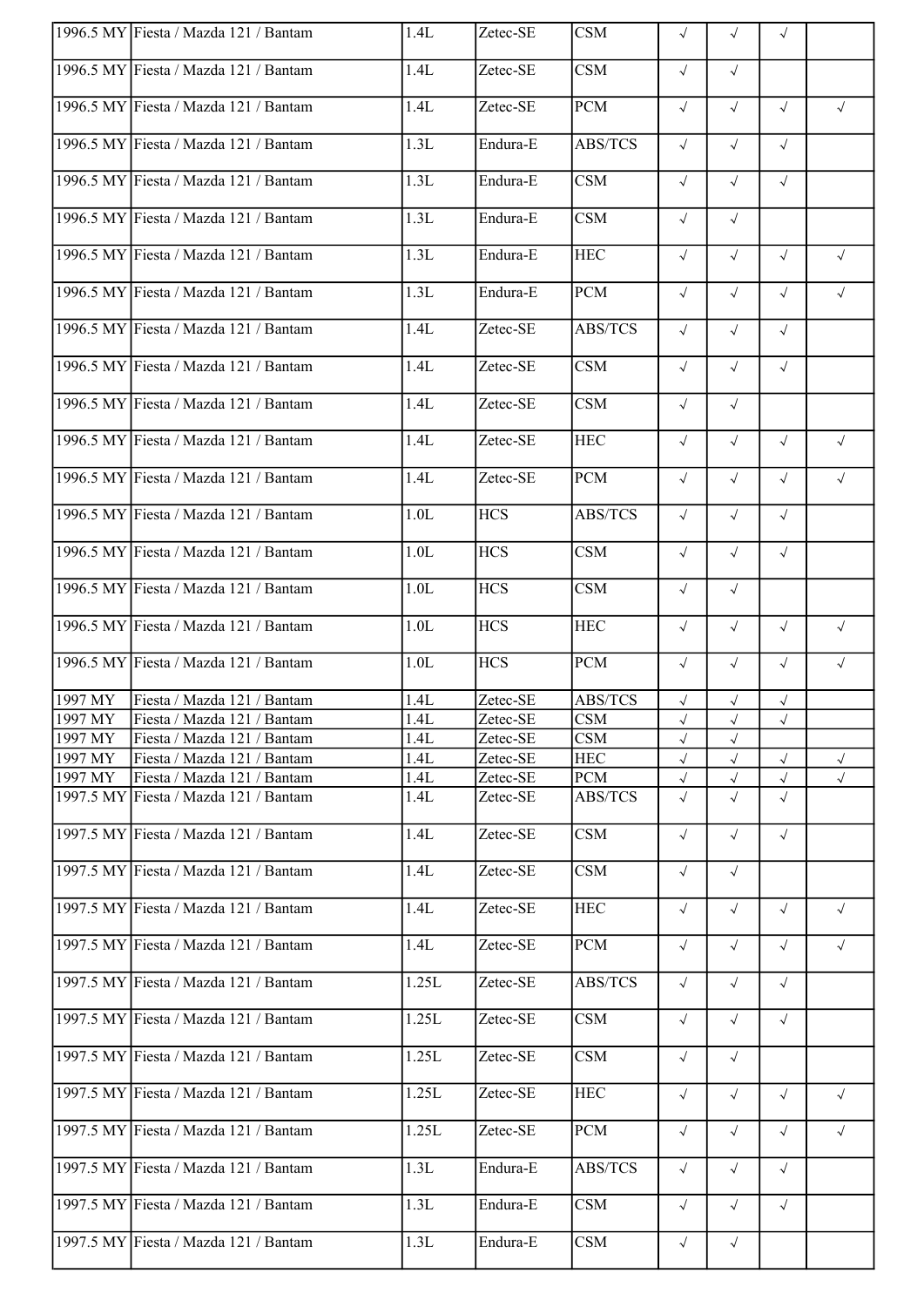|         | 1996.5 MY Fiesta / Mazda 121 / Bantam | 1.4L             | Zetec-SE   | CSM            | $\sqrt{ }$     | $\sqrt{}$  | $\sqrt{}$  |            |
|---------|---------------------------------------|------------------|------------|----------------|----------------|------------|------------|------------|
|         | 1996.5 MY Fiesta / Mazda 121 / Bantam | 1.4L             | Zetec-SE   | CSM            | $\sqrt{}$      | $\sqrt{ }$ |            |            |
|         | 1996.5 MY Fiesta / Mazda 121 / Bantam | 1.4L             | Zetec-SE   | <b>PCM</b>     | $\sqrt{ }$     | $\sqrt{2}$ | $\sqrt{ }$ | $\sqrt{}$  |
|         | 1996.5 MY Fiesta / Mazda 121 / Bantam | 1.3L             | Endura-E   | <b>ABS/TCS</b> | $\sqrt{ }$     | $\sqrt{2}$ | $\sqrt{ }$ |            |
|         | 1996.5 MY Fiesta / Mazda 121 / Bantam | 1.3L             | Endura-E   | <b>CSM</b>     | $\sqrt{ }$     | $\sqrt{2}$ | $\sqrt{ }$ |            |
|         | 1996.5 MY Fiesta / Mazda 121 / Bantam | 1.3L             | Endura-E   | <b>CSM</b>     | $\sqrt{ }$     | $\sqrt{ }$ |            |            |
|         | 1996.5 MY Fiesta / Mazda 121 / Bantam | 1.3L             | Endura-E   | <b>HEC</b>     | $\sqrt{ }$     | $\sqrt{ }$ | $\sqrt{ }$ | $\sqrt{ }$ |
|         | 1996.5 MY Fiesta / Mazda 121 / Bantam | 1.3L             | Endura-E   | <b>PCM</b>     | $\sqrt{}$      | $\sqrt{ }$ | $\sqrt{ }$ | $\sqrt{ }$ |
|         | 1996.5 MY Fiesta / Mazda 121 / Bantam | 1.4L             | Zetec-SE   | ABS/TCS        | $\sqrt{}$      | $\sqrt{ }$ | $\sqrt{ }$ |            |
|         | 1996.5 MY Fiesta / Mazda 121 / Bantam | 1.4L             | Zetec-SE   | <b>CSM</b>     | $\sqrt{}$      | $\sqrt{ }$ | $\sqrt{ }$ |            |
|         | 1996.5 MY Fiesta / Mazda 121 / Bantam | 1.4L             | Zetec-SE   | CSM            | $\sqrt{}$      | $\sqrt{ }$ |            |            |
|         | 1996.5 MY Fiesta / Mazda 121 / Bantam | 1.4L             | Zetec-SE   | <b>HEC</b>     | $\sqrt{ }$     | $\sqrt{ }$ | $\sqrt{ }$ | $\sqrt{ }$ |
|         | 1996.5 MY Fiesta / Mazda 121 / Bantam | 1.4L             | Zetec-SE   | <b>PCM</b>     | $\sqrt{ }$     | $\sqrt{ }$ | $\sqrt{ }$ | $\sqrt{ }$ |
|         | 1996.5 MY Fiesta / Mazda 121 / Bantam | 1.0 <sub>L</sub> | <b>HCS</b> | ABS/TCS        | $\sqrt{}$      | $\sqrt{ }$ | $\sqrt{ }$ |            |
|         | 1996.5 MY Fiesta / Mazda 121 / Bantam | 1.0 <sub>L</sub> | <b>HCS</b> | <b>CSM</b>     | $\sqrt{}$      | $\sqrt{ }$ | $\sqrt{ }$ |            |
|         | 1996.5 MY Fiesta / Mazda 121 / Bantam | 1.0 <sub>L</sub> | <b>HCS</b> | <b>CSM</b>     | $\sqrt{ }$     | $\sqrt{ }$ |            |            |
|         | 1996.5 MY Fiesta / Mazda 121 / Bantam | 1.0 <sub>L</sub> | <b>HCS</b> | <b>HEC</b>     | $\sqrt{}$      | $\sqrt{ }$ | $\sqrt{ }$ | $\sqrt{ }$ |
|         | 1996.5 MY Fiesta / Mazda 121 / Bantam | 1.0 <sub>L</sub> | <b>HCS</b> | PCM            | $\sqrt{ }$     | $\sqrt{ }$ | $\sqrt{ }$ | $\sqrt{ }$ |
| 1997 MY | Fiesta / Mazda 121 / Bantam           | 1.4L             | Zetec-SE   | ABS/TCS        | $\sqrt{ }$     | $\sqrt{ }$ | $\sqrt{ }$ |            |
|         | 1997 MY Fiesta / Mazda 121 / Bantam   | 1.4L             | Zetec-SE   | <b>CSM</b>     | $\overline{2}$ | $\sqrt{}$  | $\sqrt{ }$ |            |
| 1997 MY | Fiesta / Mazda 121 / Bantam           | 1.4L             | Zetec-SE   | <b>CSM</b>     | $\sqrt{ }$     | $\sqrt{}$  |            |            |
| 1997 MY | Fiesta / Mazda 121 / Bantam           | 1.4L             | Zetec-SE   | <b>HEC</b>     | $\sqrt{ }$     | $\sqrt{}$  | $\sqrt{ }$ | $\sqrt{ }$ |
| 1997 MY | Fiesta / Mazda 121 / Bantam           | 1.4L             | Zetec-SE   | PCM            | $\sqrt{}$      | $\sqrt{}$  | $\sqrt{}$  | $\sqrt{}$  |
|         | 1997.5 MY Fiesta / Mazda 121 / Bantam | 1.4L             | Zetec-SE   | ABS/TCS        | $\sqrt{ }$     | $\sqrt{}$  | $\sqrt{ }$ |            |
|         | 1997.5 MY Fiesta / Mazda 121 / Bantam | 1.4L             | Zetec-SE   | <b>CSM</b>     | $\sqrt{2}$     | $\sqrt{ }$ | $\sqrt{ }$ |            |
|         | 1997.5 MY Fiesta / Mazda 121 / Bantam | 1.4L             | Zetec-SE   | <b>CSM</b>     | $\sqrt{ }$     | $\sqrt{ }$ |            |            |
|         | 1997.5 MY Fiesta / Mazda 121 / Bantam | 1.4L             | Zetec-SE   | <b>HEC</b>     | $\sqrt{ }$     | $\sqrt{2}$ | $\sqrt{ }$ | $\sqrt{ }$ |
|         | 1997.5 MY Fiesta / Mazda 121 / Bantam | 1.4L             | Zetec-SE   | <b>PCM</b>     | $\sqrt{ }$     | $\sqrt{ }$ | $\sqrt{ }$ | $\sqrt{ }$ |
|         | 1997.5 MY Fiesta / Mazda 121 / Bantam | 1.25L            | Zetec-SE   | ABS/TCS        | $\sqrt{ }$     | $\sqrt{ }$ | $\sqrt{ }$ |            |
|         | 1997.5 MY Fiesta / Mazda 121 / Bantam | 1.25L            | Zetec-SE   | <b>CSM</b>     | $\sqrt{}$      | $\sqrt{ }$ | $\sqrt{ }$ |            |
|         | 1997.5 MY Fiesta / Mazda 121 / Bantam | 1.25L            | Zetec-SE   | <b>CSM</b>     | $\sqrt{ }$     | $\sqrt{ }$ |            |            |
|         | 1997.5 MY Fiesta / Mazda 121 / Bantam | 1.25L            | Zetec-SE   | <b>HEC</b>     | $\sqrt{ }$     | $\sqrt{ }$ | $\sqrt{ }$ | $\sqrt{ }$ |
|         | 1997.5 MY Fiesta / Mazda 121 / Bantam | 1.25L            | Zetec-SE   | <b>PCM</b>     | $\sqrt{ }$     | $\sqrt{ }$ | $\sqrt{ }$ | $\sqrt{ }$ |
|         | 1997.5 MY Fiesta / Mazda 121 / Bantam | 1.3L             | Endura-E   | ABS/TCS        | $\sqrt{ }$     | $\sqrt{ }$ | $\sqrt{ }$ |            |
|         | 1997.5 MY Fiesta / Mazda 121 / Bantam | 1.3L             | Endura-E   | CSM            | $\sqrt{ }$     | $\sqrt{ }$ | $\sqrt{ }$ |            |
|         | 1997.5 MY Fiesta / Mazda 121 / Bantam | 1.3L             | Endura-E   | <b>CSM</b>     | $\sqrt{ }$     | $\sqrt{ }$ |            |            |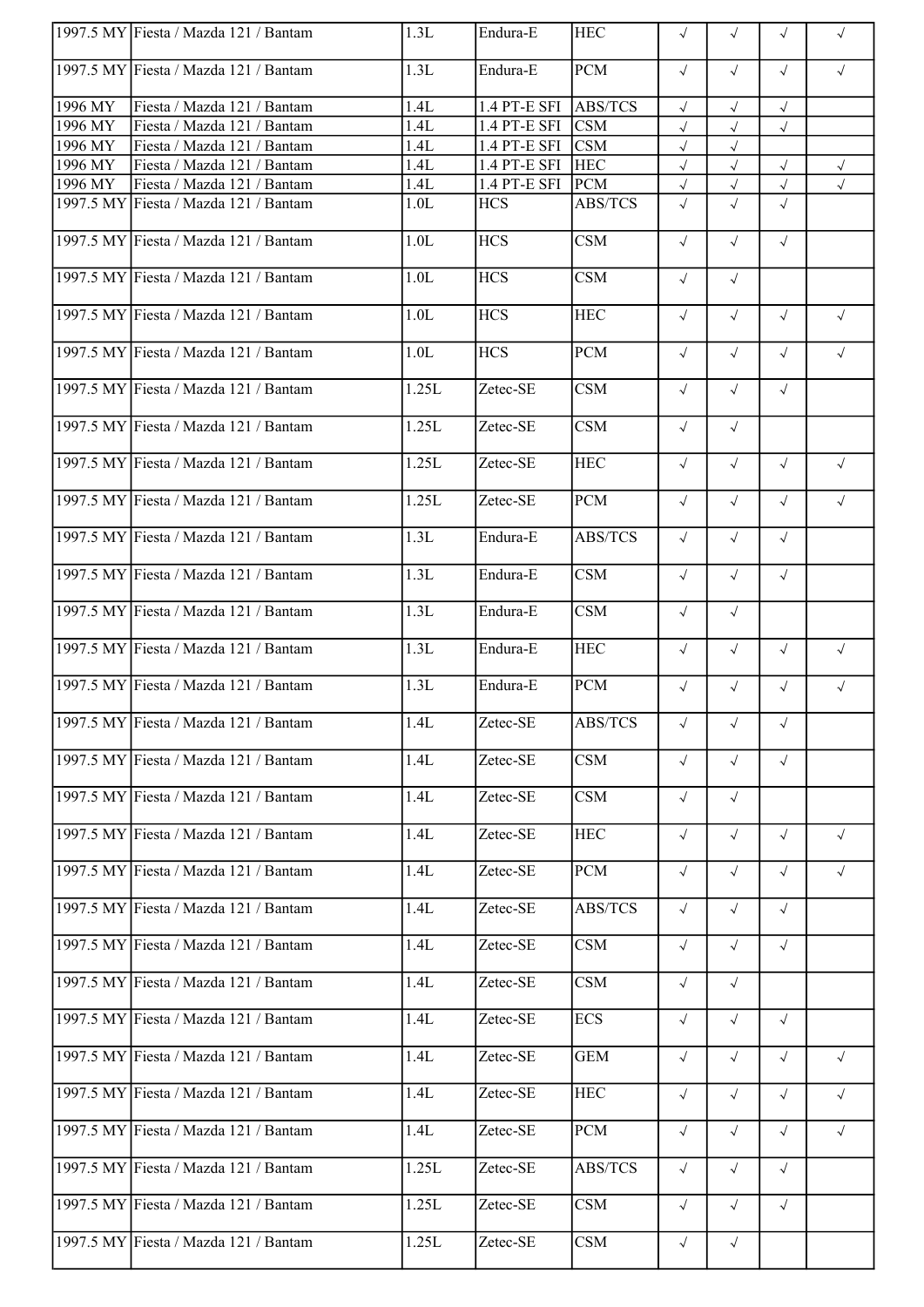|         | 1997.5 MY Fiesta / Mazda 121 / Bantam | 1.3L             | Endura-E     | <b>HEC</b> | $\sqrt{}$            | $\sqrt{ }$ | $\sqrt{ }$           | $\sqrt{ }$ |
|---------|---------------------------------------|------------------|--------------|------------|----------------------|------------|----------------------|------------|
|         | 1997.5 MY Fiesta / Mazda 121 / Bantam | 1.3L             | Endura-E     | <b>PCM</b> | $\sqrt{}$            | $\sqrt{2}$ | $\sqrt{ }$           | $\sqrt{ }$ |
| 1996 MY | Fiesta / Mazda 121 / Bantam           | 1.4L             | 1.4 PT-E SFI | ABS/TCS    | $\sqrt{ }$           | $\sqrt{}$  | $\sqrt{}$            |            |
| 1996 MY | Fiesta / Mazda 121 / Bantam           | 1.4L             | 1.4 PT-E SFI | <b>CSM</b> | $\sqrt{ }$           | $\sqrt{ }$ | $\sqrt{ }$           |            |
| 1996 MY | Fiesta / Mazda 121 / Bantam           | 1.4L             | 1.4 PT-E SFI | <b>CSM</b> | $\sqrt{ }$           | $\sqrt{ }$ |                      |            |
| 1996 MY | Fiesta / Mazda 121 / Bantam           | 1.4L             | 1.4 PT-E SFI | <b>HEC</b> | $\sqrt{ }$           | $\sqrt{ }$ | $\sqrt{}$            | $\sqrt{ }$ |
| 1996 MY | Fiesta / Mazda 121 / Bantam           | 1.4L             | 1.4 PT-E SFI | PCM        | $\sqrt{2}$           | $\sqrt{}$  | $\checkmark$         | $\sqrt{ }$ |
|         | 1997.5 MY Fiesta / Mazda 121 / Bantam | 1.0 <sub>L</sub> | <b>HCS</b>   | ABS/TCS    | $\sqrt{}$            | $\sqrt{ }$ | $\sqrt{ }$           |            |
|         | 1997.5 MY Fiesta / Mazda 121 / Bantam | 1.0 <sub>L</sub> | <b>HCS</b>   | CSM        | $\sqrt{ }$           | $\sqrt{}$  | $\sqrt{ }$           |            |
|         | 1997.5 MY Fiesta / Mazda 121 / Bantam | 1.0 <sub>L</sub> | <b>HCS</b>   | CSM        | $\sqrt{ }$           | $\sqrt{}$  |                      |            |
|         | 1997.5 MY Fiesta / Mazda 121 / Bantam | 1.0 <sub>L</sub> | <b>HCS</b>   | <b>HEC</b> | $\sqrt{ }$           | $\sqrt{ }$ | $\sqrt{ }$           | $\sqrt{ }$ |
|         | 1997.5 MY Fiesta / Mazda 121 / Bantam | 1.0L             | <b>HCS</b>   | PCM        | $\sqrt{\phantom{a}}$ | $\sqrt{}$  | $\sqrt{ }$           | $\sqrt{ }$ |
|         | 1997.5 MY Fiesta / Mazda 121 / Bantam | 1.25L            | Zetec-SE     | CSM        | $\sqrt{ }$           | $\sqrt{}$  | $\sqrt{ }$           |            |
|         | 1997.5 MY Fiesta / Mazda 121 / Bantam | 1.25L            | Zetec-SE     | CSM        | $\sqrt{ }$           | $\sqrt{ }$ |                      |            |
|         | 1997.5 MY Fiesta / Mazda 121 / Bantam | 1.25L            | Zetec-SE     | <b>HEC</b> | $\sqrt{ }$           | $\sqrt{}$  | $\sqrt{ }$           | $\sqrt{}$  |
|         | 1997.5 MY Fiesta / Mazda 121 / Bantam | 1.25L            | Zetec-SE     | <b>PCM</b> | $\sqrt{ }$           | $\sqrt{}$  | $\sqrt{}$            | $\sqrt{}$  |
|         | 1997.5 MY Fiesta / Mazda 121 / Bantam | 1.3L             | Endura-E     | ABS/TCS    | $\sqrt{ }$           | $\sqrt{ }$ | $\sqrt{ }$           |            |
|         | 1997.5 MY Fiesta / Mazda 121 / Bantam | 1.3L             | Endura-E     | CSM        | $\sqrt{ }$           | $\sqrt{ }$ | $\sqrt{ }$           |            |
|         | 1997.5 MY Fiesta / Mazda 121 / Bantam | 1.3L             | Endura-E     | CSM        | $\sqrt{ }$           | $\sqrt{ }$ |                      |            |
|         | 1997.5 MY Fiesta / Mazda 121 / Bantam | 1.3L             | Endura-E     | <b>HEC</b> | $\sqrt{}$            | $\sqrt{ }$ | $\sqrt{ }$           | $\sqrt{ }$ |
|         | 1997.5 MY Fiesta / Mazda 121 / Bantam | 1.3L             | Endura-E     | <b>PCM</b> | $\sqrt{}$            | $\sqrt{ }$ | $\sqrt{\phantom{a}}$ | $\sqrt{ }$ |
|         | 1997.5 MY Fiesta / Mazda 121 / Bantam | 1.4L             | Zetec-SE     | ABS/TCS    | $\sqrt{ }$           | $\sqrt{}$  | $\sqrt{ }$           |            |
|         | 1997.5 MY Fiesta / Mazda 121 / Bantam | 1.4L             | Zetec-SE     | CSM        | $\sqrt{ }$           | $\sqrt{ }$ | $\sqrt{ }$           |            |
|         | 1997.5 MY Fiesta / Mazda 121 / Bantam | 1.4L             | Zetec-SE     | <b>CSM</b> | $\sqrt{ }$           | $\sqrt{ }$ |                      |            |
|         | 1997.5 MY Fiesta / Mazda 121 / Bantam | 1.4L             | Zetec-SE     | <b>HEC</b> | $\sqrt{ }$           | $\sqrt{ }$ | $\sqrt{ }$           | $\sqrt{ }$ |
|         | 1997.5 MY Fiesta / Mazda 121 / Bantam | 1.4L             | Zetec-SE     | <b>PCM</b> | $\sqrt{ }$           | $\sqrt{ }$ | $\sqrt{ }$           | $\sqrt{ }$ |
|         | 1997.5 MY Fiesta / Mazda 121 / Bantam | 1.4L             | Zetec-SE     | ABS/TCS    | $\sqrt{2}$           | $\sqrt{ }$ | $\sqrt{ }$           |            |
|         | 1997.5 MY Fiesta / Mazda 121 / Bantam | 1.4L             | Zetec-SE     | <b>CSM</b> | $\sqrt{2}$           | $\sqrt{ }$ | $\sqrt{ }$           |            |
|         | 1997.5 MY Fiesta / Mazda 121 / Bantam | 1.4L             | Zetec-SE     | <b>CSM</b> | $\sqrt{ }$           | $\sqrt{ }$ |                      |            |
|         | 1997.5 MY Fiesta / Mazda 121 / Bantam | 1.4L             | Zetec-SE     | <b>ECS</b> | $\sqrt{ }$           | $\sqrt{ }$ | $\sqrt{ }$           |            |
|         | 1997.5 MY Fiesta / Mazda 121 / Bantam | 1.4L             | Zetec-SE     | <b>GEM</b> | $\sqrt{ }$           | $\sqrt{ }$ | $\sqrt{ }$           | $\sqrt{ }$ |
|         | 1997.5 MY Fiesta / Mazda 121 / Bantam | 1.4L             | Zetec-SE     | <b>HEC</b> | $\sqrt{ }$           | $\sqrt{ }$ | $\sqrt{ }$           | $\sqrt{ }$ |
|         | 1997.5 MY Fiesta / Mazda 121 / Bantam | 1.4L             | Zetec-SE     | <b>PCM</b> | $\sqrt{}$            | $\sqrt{2}$ | $\sqrt{ }$           | $\sqrt{ }$ |
|         | 1997.5 MY Fiesta / Mazda 121 / Bantam | 1.25L            | Zetec-SE     | ABS/TCS    | $\sqrt{ }$           | $\sqrt{2}$ | $\sqrt{ }$           |            |
|         | 1997.5 MY Fiesta / Mazda 121 / Bantam | 1.25L            | Zetec-SE     | <b>CSM</b> | $\sqrt{ }$           | $\sqrt{2}$ | $\sqrt{ }$           |            |
|         | 1997.5 MY Fiesta / Mazda 121 / Bantam | 1.25L            | Zetec-SE     | <b>CSM</b> | $\sqrt{}$            | $\sqrt{ }$ |                      |            |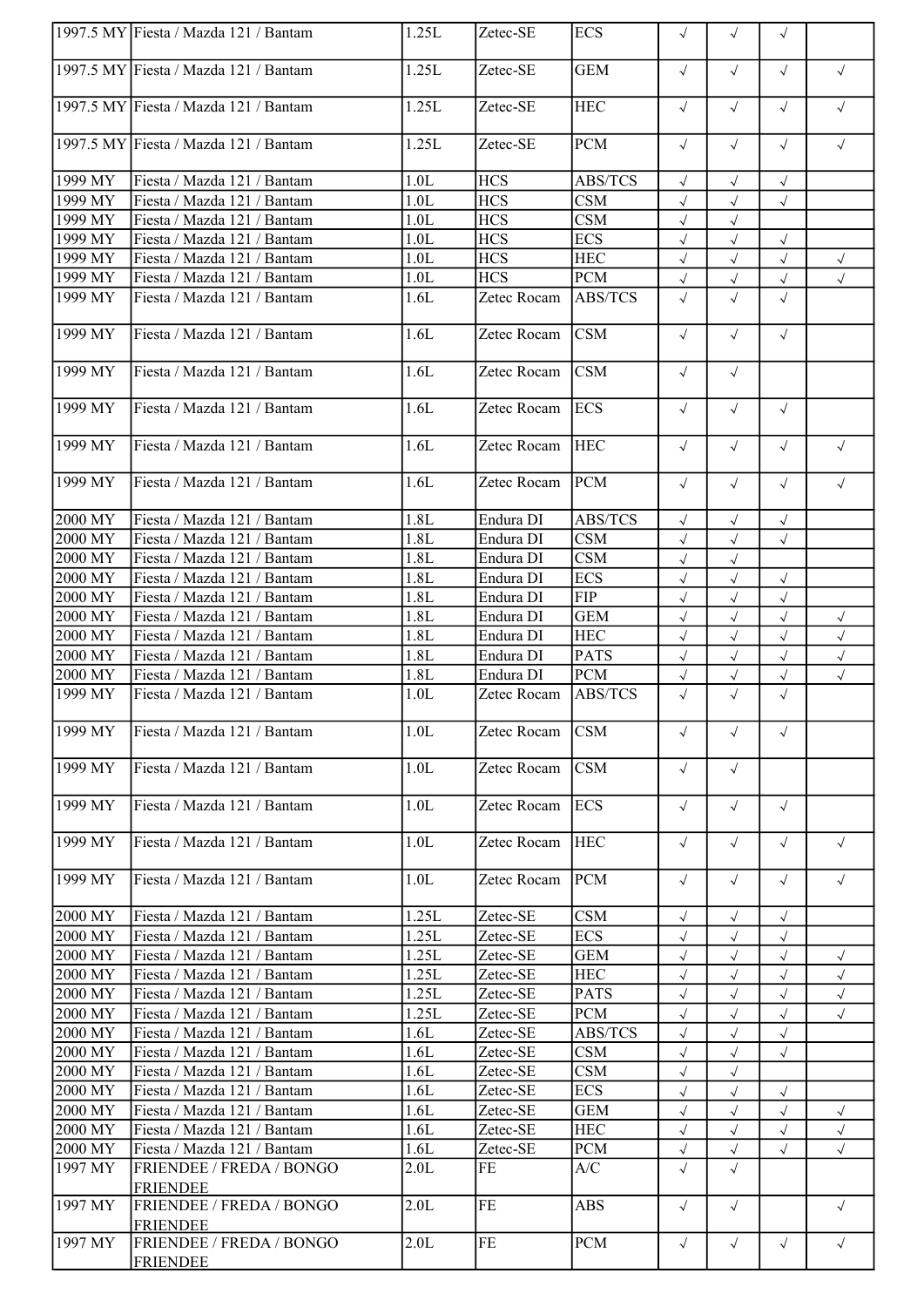|         | 1997.5 MY Fiesta / Mazda 121 / Bantam              | 1.25L            | Zetec-SE    | ECS         | $\sqrt{ }$   | $\sqrt{ }$ | $\sqrt{ }$ |            |
|---------|----------------------------------------------------|------------------|-------------|-------------|--------------|------------|------------|------------|
|         | 1997.5 MY Fiesta / Mazda 121 / Bantam              | 1.25L            | Zetec-SE    | <b>GEM</b>  | $\sqrt{ }$   | $\sqrt{ }$ | $\sqrt{ }$ | $\sqrt{ }$ |
|         | 1997.5 MY Fiesta / Mazda 121 / Bantam              | 1.25L            | Zetec-SE    | <b>HEC</b>  | $\sqrt{}$    | $\sqrt{ }$ | $\sqrt{ }$ | $\sqrt{ }$ |
|         | 1997.5 MY Fiesta / Mazda 121 / Bantam              | 1.25L            | Zetec-SE    | <b>PCM</b>  | $\sqrt{}$    | $\sqrt{ }$ | $\sqrt{}$  | $\sqrt{ }$ |
| 1999 MY | Fiesta / Mazda 121 / Bantam                        | 1.0L             | <b>HCS</b>  | ABS/TCS     | $\sqrt{ }$   | $\sqrt{ }$ | $\sqrt{ }$ |            |
| 1999 MY | Fiesta / Mazda 121 / Bantam                        | 1.0 <sub>L</sub> | <b>HCS</b>  | CSM         | $\sqrt{ }$   | $\sqrt{ }$ | $\sqrt{ }$ |            |
| 1999 MY | Fiesta / Mazda 121 / Bantam                        | 1.0L             | <b>HCS</b>  | CSM         | $\sqrt{ }$   | $\sqrt{}$  |            |            |
| 1999 MY | Fiesta / Mazda 121 / Bantam                        | 1.0L             | <b>HCS</b>  | <b>ECS</b>  | $\checkmark$ | $\sqrt{}$  | $\sqrt{ }$ |            |
| 1999 MY | Fiesta / Mazda 121 / Bantam                        | 1.0L             | <b>HCS</b>  | <b>HEC</b>  | $\sqrt{ }$   | $\sqrt{}$  | $\sqrt{ }$ | $\sqrt{ }$ |
| 1999 MY | Fiesta / Mazda 121 / Bantam                        | 1.0L             | <b>HCS</b>  | PCM         | $\checkmark$ | $\sqrt{}$  | $\sqrt{ }$ | $\sqrt{ }$ |
| 1999 MY | Fiesta / Mazda 121 / Bantam                        | 1.6L             | Zetec Rocam | ABS/TCS     | $\sqrt{ }$   | $\sqrt{ }$ | $\sqrt{}$  |            |
| 1999 MY | Fiesta / Mazda 121 / Bantam                        | 1.6L             | Zetec Rocam | <b>CSM</b>  | $\sqrt{ }$   | $\sqrt{ }$ | $\sqrt{ }$ |            |
| 1999 MY | Fiesta / Mazda 121 / Bantam                        | 1.6L             | Zetec Rocam | CSM         | $\sqrt{ }$   | $\sqrt{}$  |            |            |
| 1999 MY | Fiesta / Mazda 121 / Bantam                        | 1.6L             | Zetec Rocam | <b>ECS</b>  | $\sqrt{ }$   | $\sqrt{ }$ | $\sqrt{ }$ |            |
| 1999 MY | Fiesta / Mazda 121 / Bantam                        | 1.6L             | Zetec Rocam | <b>HEC</b>  | $\sqrt{ }$   | $\sqrt{}$  | $\sqrt{ }$ | $\sqrt{ }$ |
| 1999 MY | Fiesta / Mazda 121 / Bantam                        | 1.6L             | Zetec Rocam | PCM         | $\sqrt{ }$   | $\sqrt{ }$ | $\sqrt{ }$ | $\sqrt{}$  |
| 2000 MY | Fiesta / Mazda 121 / Bantam                        | 1.8L             | Endura DI   | ABS/TCS     | $\sqrt{ }$   | $\sqrt{}$  | $\sqrt{ }$ |            |
| 2000 MY | Fiesta / Mazda 121 / Bantam                        | 1.8L             | Endura DI   | CSM         | $\sqrt{ }$   | $\sqrt{ }$ | $\sqrt{}$  |            |
| 2000 MY | Fiesta / Mazda 121 / Bantam                        | 1.8L             | Endura DI   | <b>CSM</b>  | $\checkmark$ | $\sqrt{}$  |            |            |
| 2000 MY | Fiesta / Mazda 121 / Bantam                        | 1.8L             | Endura DI   | ECS         | $\sqrt{ }$   | $\sqrt{ }$ | $\sqrt{ }$ |            |
| 2000 MY | Fiesta / Mazda 121 / Bantam                        | 1.8L             | Endura DI   | <b>FIP</b>  | $\sqrt{}$    | $\sqrt{ }$ | $\sqrt{2}$ |            |
| 2000 MY | Fiesta / Mazda 121 / Bantam                        | 1.8L             | Endura DI   | <b>GEM</b>  | $\sqrt{ }$   | $\sqrt{}$  | $\sqrt{ }$ | $\sqrt{ }$ |
| 2000 MY | Fiesta / Mazda 121 / Bantam                        | 1.8L             | Endura DI   | <b>HEC</b>  | $\sqrt{2}$   | $\sqrt{}$  | $\sqrt{2}$ | $\sqrt{2}$ |
| 2000 MY | Fiesta / Mazda 121 / Bantam                        | 1.8L             | Endura DI   | <b>PATS</b> | $\sqrt{}$    | $\sqrt{}$  | $\sqrt{}$  | $\sqrt{}$  |
| 2000 MY | Fiesta / Mazda 121 / Bantam                        | 1.8L             | Endura DI   | <b>PCM</b>  | $\checkmark$ | $\sqrt{ }$ | $\sqrt{ }$ | $\sqrt{ }$ |
| 1999 MY | Fiesta / Mazda 121 / Bantam                        | 1.0 <sub>L</sub> | Zetec Rocam | ABS/TCS     | $\sqrt{ }$   | $\sqrt{ }$ | $\sqrt{ }$ |            |
| 1999 MY | Fiesta / Mazda 121 / Bantam                        | 1.0 <sub>L</sub> | Zetec Rocam | <b>CSM</b>  | $\sqrt{ }$   | $\sqrt{ }$ | $\sqrt{ }$ |            |
| 1999 MY | Fiesta / Mazda 121 / Bantam                        | 1.0 <sub>L</sub> | Zetec Rocam | CSM         | $\sqrt{ }$   | $\sqrt{ }$ |            |            |
| 1999 MY | Fiesta / Mazda 121 / Bantam                        | 1.0 <sub>L</sub> | Zetec Rocam | <b>ECS</b>  | $\sqrt{}$    | $\sqrt{ }$ | $\sqrt{ }$ |            |
| 1999 MY | Fiesta / Mazda 121 / Bantam                        | 1.0 <sub>L</sub> | Zetec Rocam | <b>HEC</b>  | $\sqrt{}$    | $\sqrt{ }$ | $\sqrt{ }$ | $\sqrt{ }$ |
| 1999 MY | Fiesta / Mazda 121 / Bantam                        | 1.0 <sub>L</sub> | Zetec Rocam | <b>PCM</b>  | $\sqrt{}$    | $\sqrt{ }$ | $\sqrt{}$  | $\sqrt{ }$ |
| 2000 MY | Fiesta / Mazda 121 / Bantam                        | 1.25L            | Zetec-SE    | CSM         | $\sqrt{}$    | $\sqrt{}$  | $\sqrt{ }$ |            |
| 2000 MY | Fiesta / Mazda 121 / Bantam                        | 1.25L            | Zetec-SE    | <b>ECS</b>  | $\sqrt{}$    | $\sqrt{ }$ | $\sqrt{ }$ |            |
| 2000 MY | Fiesta / Mazda 121 / Bantam                        | 1.25L            | Zetec-SE    | <b>GEM</b>  | $\sqrt{}$    | $\sqrt{ }$ | $\sqrt{ }$ | $\sqrt{ }$ |
| 2000 MY | Fiesta / Mazda 121 / Bantam                        | 1.25L            | Zetec-SE    | <b>HEC</b>  | $\sqrt{}$    | $\sqrt{}$  | $\sqrt{}$  | $\sqrt{ }$ |
| 2000 MY | Fiesta / Mazda 121 / Bantam                        | 1.25L            | Zetec-SE    | <b>PATS</b> | $\sqrt{ }$   | $\sqrt{}$  | $\sqrt{ }$ | $\sqrt{ }$ |
| 2000 MY | Fiesta / Mazda 121 / Bantam                        | 1.25L            | Zetec-SE    | <b>PCM</b>  | $\sqrt{ }$   | $\sqrt{}$  | $\sqrt{}$  | $\sqrt{ }$ |
| 2000 MY | Fiesta / Mazda 121 / Bantam                        | 1.6L             | Zetec-SE    | ABS/TCS     | $\sqrt{}$    | $\sqrt{}$  | $\sqrt{}$  |            |
| 2000 MY | Fiesta / Mazda 121 / Bantam                        | 1.6L             | Zetec-SE    | CSM         | $\sqrt{ }$   | $\sqrt{ }$ | $\sqrt{2}$ |            |
| 2000 MY | Fiesta / Mazda 121 / Bantam                        | 1.6L             | Zetec-SE    | CSM         | $\sqrt{ }$   | $\sqrt{ }$ |            |            |
| 2000 MY | Fiesta / Mazda 121 / Bantam                        | 1.6L             | Zetec-SE    | <b>ECS</b>  | $\sqrt{}$    | $\sqrt{}$  | $\sqrt{}$  |            |
| 2000 MY | Fiesta / Mazda 121 / Bantam                        | 1.6L             | Zetec-SE    | <b>GEM</b>  | $\sqrt{ }$   | $\sqrt{}$  | $\sqrt{}$  | $\sqrt{ }$ |
| 2000 MY | Fiesta / Mazda 121 / Bantam                        | 1.6L             | Zetec-SE    | <b>HEC</b>  | $\sqrt{2}$   | $\sqrt{}$  | $\sqrt{2}$ | $\sqrt{}$  |
| 2000 MY | Fiesta / Mazda 121 / Bantam                        | 1.6L             | Zetec-SE    | <b>PCM</b>  | $\sqrt{ }$   | $\sqrt{}$  | $\sqrt{}$  | $\sqrt{}$  |
| 1997 MY | <b>FRIENDEE / FREDA / BONGO</b>                    | 2.0 <sub>L</sub> | FE          | A/C         | $\sqrt{}$    | $\sqrt{ }$ |            |            |
| 1997 MY | <b>FRIENDEE</b><br><b>FRIENDEE / FREDA / BONGO</b> | 2.0L             | FE          | <b>ABS</b>  | $\sqrt{ }$   | $\sqrt{ }$ |            | $\sqrt{ }$ |
|         | <b>FRIENDEE</b>                                    |                  |             |             |              |            |            |            |
| 1997 MY | FRIENDEE / FREDA / BONGO<br><b>FRIENDEE</b>        | 2.0L             | $\rm FE$    | <b>PCM</b>  | $\sqrt{ }$   | $\sqrt{ }$ | $\sqrt{ }$ | $\sqrt{ }$ |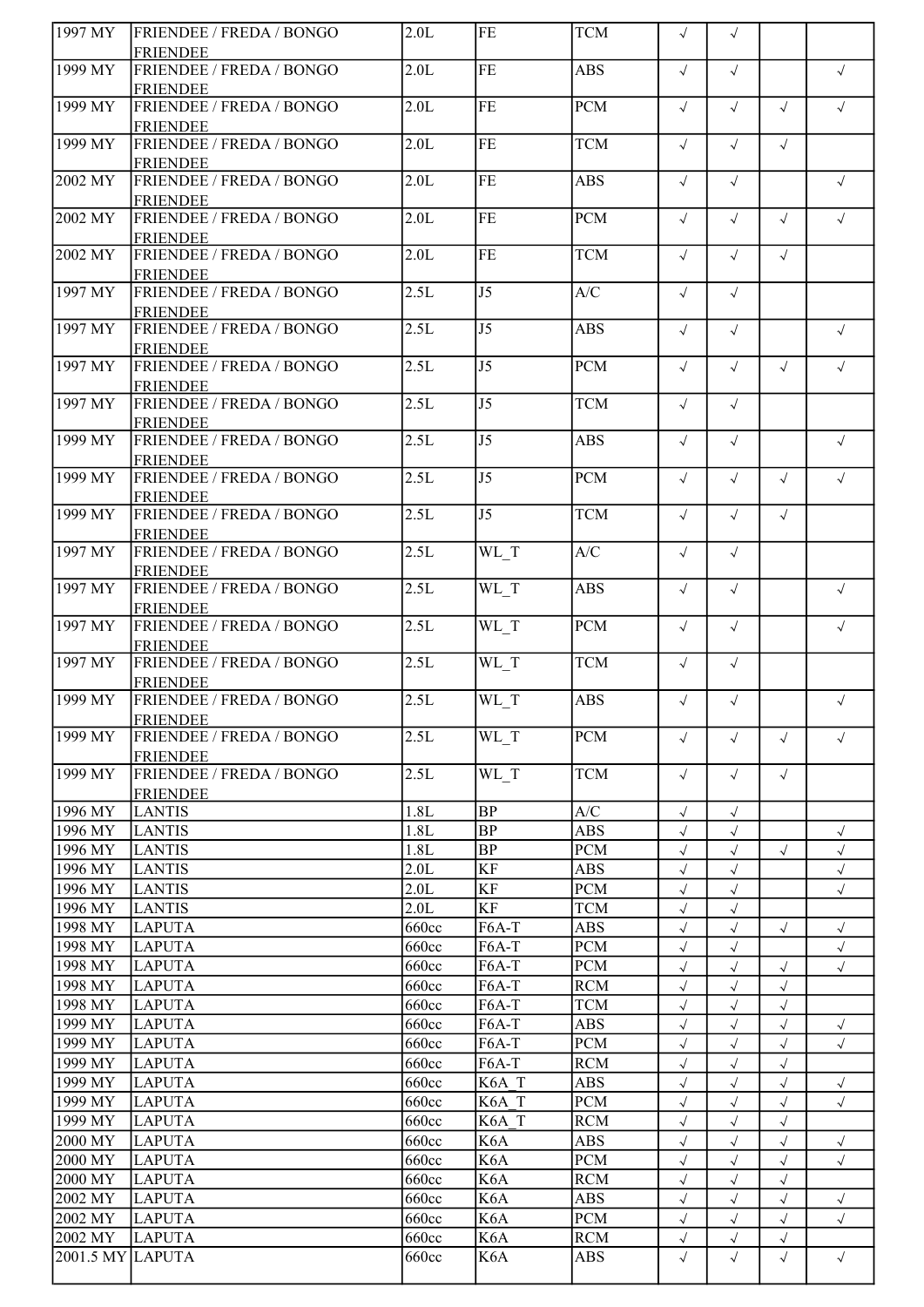| 1997 MY            | <b>FRIENDEE / FREDA / BONGO</b>                    | 2.0L             | <b>FE</b>                | <b>TCM</b>        | $\sqrt{ }$           | $\sqrt{ }$ |              |                      |
|--------------------|----------------------------------------------------|------------------|--------------------------|-------------------|----------------------|------------|--------------|----------------------|
| 1999 MY            | <b>FRIENDEE</b><br>FRIENDEE / FREDA / BONGO        | 2.0L             | <b>FE</b>                | <b>ABS</b>        | $\sqrt{ }$           | $\sqrt{ }$ |              | $\sqrt{ }$           |
|                    | <b>FRIENDEE</b>                                    |                  |                          |                   |                      |            |              |                      |
| 1999 MY            | FRIENDEE / FREDA / BONGO                           | 2.0L             | <b>FE</b>                | <b>PCM</b>        | $\sqrt{ }$           | $\sqrt{}$  | $\sqrt{ }$   | $\sqrt{ }$           |
| 1999 MY            | <b>FRIENDEE</b><br><b>FRIENDEE / FREDA / BONGO</b> | 2.0L             | FE                       | <b>TCM</b>        | $\sqrt{ }$           | $\sqrt{}$  | $\sqrt{ }$   |                      |
|                    | <b>FRIENDEE</b>                                    |                  |                          |                   |                      |            |              |                      |
| 2002 MY            | <b>FRIENDEE / FREDA / BONGO</b>                    | 2.0L             | <b>FE</b>                | <b>ABS</b>        | $\sqrt{ }$           | $\sqrt{}$  |              | $\sqrt{ }$           |
|                    | <b>FRIENDEE</b>                                    |                  |                          |                   |                      |            |              |                      |
| 2002 MY            | <b>FRIENDEE / FREDA / BONGO</b><br><b>FRIENDEE</b> | 2.0L             | <b>FE</b>                | PCM               | $\sqrt{ }$           | $\sqrt{}$  | $\sqrt{ }$   | $\sqrt{ }$           |
| 2002 MY            | <b>FRIENDEE / FREDA / BONGO</b>                    | 2.0 <sub>L</sub> | <b>FE</b>                | <b>TCM</b>        | $\sqrt{ }$           | $\sqrt{}$  | $\sqrt{ }$   |                      |
|                    | <b>FRIENDEE</b>                                    |                  |                          |                   |                      |            |              |                      |
| 1997 MY            | <b>FRIENDEE / FREDA / BONGO</b>                    | 2.5L             | $\overline{J5}$          | A/C               | $\sqrt{ }$           | $\sqrt{ }$ |              |                      |
| 1997 MY            | <b>FRIENDEE</b><br><b>FRIENDEE / FREDA / BONGO</b> | 2.5L             | J <sub>5</sub>           | <b>ABS</b>        | $\sqrt{ }$           | $\sqrt{ }$ |              | $\sqrt{ }$           |
|                    | <b>FRIENDEE</b>                                    |                  |                          |                   |                      |            |              |                      |
| 1997 MY            | <b>FRIENDEE / FREDA / BONGO</b>                    | 2.5L             | J <sub>5</sub>           | PCM               | $\sqrt{ }$           | $\sqrt{ }$ | $\sqrt{ }$   | $\sqrt{ }$           |
| 1997 MY            | <b>FRIENDEE</b><br><b>FRIENDEE / FREDA / BONGO</b> | 2.5L             | $\overline{J5}$          | <b>TCM</b>        | $\sqrt{ }$           | $\sqrt{ }$ |              |                      |
|                    | <b>FRIENDEE</b>                                    |                  |                          |                   |                      |            |              |                      |
| 1999 MY            | <b>FRIENDEE / FREDA / BONGO</b>                    | 2.5L             | J <sub>5</sub>           | <b>ABS</b>        | $\sqrt{ }$           | $\sqrt{ }$ |              | $\sqrt{ }$           |
|                    | <b>FRIENDEE</b>                                    |                  |                          |                   |                      |            |              |                      |
| 1999 MY            | <b>FRIENDEE / FREDA / BONGO</b><br><b>FRIENDEE</b> | 2.5L             | J <sub>5</sub>           | PCM               | $\sqrt{ }$           | $\sqrt{ }$ | $\sqrt{ }$   | $\sqrt{ }$           |
| 1999 MY            | <b>FRIENDEE / FREDA / BONGO</b>                    | 2.5L             | $\overline{J5}$          | <b>TCM</b>        | $\sqrt{ }$           | $\sqrt{ }$ | $\sqrt{ }$   |                      |
|                    | <b>FRIENDEE</b>                                    |                  |                          |                   |                      |            |              |                      |
| 1997 MY            | <b>FRIENDEE / FREDA / BONGO</b>                    | 2.5L             | WL T                     | A/C               | $\sqrt{ }$           | $\sqrt{ }$ |              |                      |
| 1997 MY            | <b>FRIENDEE</b><br><b>FRIENDEE / FREDA / BONGO</b> | 2.5L             | $\overline{\text{WL}}$ T | <b>ABS</b>        | $\sqrt{ }$           | $\sqrt{ }$ |              | $\sqrt{ }$           |
|                    | <b>FRIENDEE</b>                                    |                  |                          |                   |                      |            |              |                      |
| 1997 MY            | FRIENDEE / FREDA / BONGO                           | 2.5L             | WL T                     | PCM               | $\sqrt{ }$           | $\sqrt{ }$ |              | $\sqrt{ }$           |
| 1997 MY            | <b>FRIENDEE</b><br><b>FRIENDEE / FREDA / BONGO</b> | 2.5L             | WL T                     | <b>TCM</b>        | $\sqrt{ }$           | $\sqrt{ }$ |              |                      |
|                    | <b>FRIENDEE</b>                                    |                  |                          |                   |                      |            |              |                      |
| 1999 MY            | FRIENDEE / FREDA / BONGO                           | 2.5L             | WL T                     | <b>ABS</b>        | $\sqrt{ }$           | $\sqrt{ }$ |              | $\sqrt{ }$           |
| 1999 MY            | <b>FRIENDEE</b><br><b>FRIENDEE / FREDA / BONGO</b> | 2.5L             | WL T                     | PCM               | $\sqrt{ }$           | $\sqrt{ }$ | $\sqrt{ }$   | $\sqrt{ }$           |
|                    | <b>FRIENDEE</b>                                    |                  |                          |                   |                      |            |              |                      |
| 1999 MY            | <b>FRIENDEE / FREDA / BONGO</b>                    | 2.5L             | WL T                     | <b>TCM</b>        | $\sqrt{ }$           | $\sqrt{ }$ | $\sqrt{ }$   |                      |
|                    | <b>FRIENDEE</b>                                    |                  |                          |                   |                      |            |              |                      |
| 1996 MY<br>1996 MY | <b>LANTIS</b><br><b>LANTIS</b>                     | 1.8L<br>1.8L     | <b>BP</b><br><b>BP</b>   | A/C<br><b>ABS</b> | $\sqrt{ }$           | $\sqrt{}$  |              |                      |
|                    | <b>LANTIS</b>                                      | 1.8L             |                          |                   | $\sqrt{ }$           | $\sqrt{}$  |              | $\sqrt{ }$           |
| 1996 MY            |                                                    |                  | BP                       | PCM               | $\sqrt{ }$           | $\sqrt{ }$ | $\sqrt{ }$   | $\sqrt{ }$           |
| 1996 MY            | <b>LANTIS</b>                                      | 2.0L             | KF                       | <b>ABS</b>        | $\checkmark$         | $\sqrt{}$  |              | $\sqrt{}$            |
| 1996 MY            | <b>LANTIS</b>                                      | 2.0L             | KF                       | PCM               | $\sqrt{2}$           | $\sqrt{2}$ |              | $\sqrt{2}$           |
| 1996 MY            | <b>LANTIS</b>                                      | 2.0L             | KF                       | <b>TCM</b>        | $\sqrt{ }$           | $\sqrt{}$  |              |                      |
| 1998 MY            | <b>LAPUTA</b>                                      | 660cc            | F6A-T                    | <b>ABS</b>        | $\sqrt{\phantom{a}}$ | $\sqrt{}$  | $\sqrt{ }$   | $\sqrt{ }$           |
| 1998 MY            | <b>LAPUTA</b>                                      | 660cc            | F6A-T                    | <b>PCM</b>        | $\sqrt{ }$           | $\sqrt{ }$ |              | $\sqrt{ }$           |
| 1998 MY            | <b>LAPUTA</b>                                      | 660cc            | F6A-T                    | <b>PCM</b>        | $\sqrt{ }$           | $\sqrt{ }$ | $\sqrt{ }$   | $\sqrt{}$            |
| 1998 MY            | <b>LAPUTA</b>                                      | 660cc            | F6A-T                    | <b>RCM</b>        | $\sqrt{ }$           | $\sqrt{}$  | $\sqrt{ }$   |                      |
| 1998 MY            | <b>LAPUTA</b>                                      | 660cc            | $F6A-T$                  | <b>TCM</b>        | $\checkmark$         | $\sqrt{ }$ | $\sqrt{ }$   |                      |
| 1999 MY            | <b>LAPUTA</b>                                      | 660cc            | F6A-T                    | <b>ABS</b>        | $\sqrt{ }$           | $\sqrt{ }$ | $\checkmark$ | $\sqrt{}$            |
| 1999 MY            | <b>LAPUTA</b>                                      | 660cc            | $F6A-T$                  | PCM               | $\sqrt{ }$           | $\sqrt{}$  | $\sqrt{ }$   | $\sqrt{ }$           |
| 1999 MY            | <b>LAPUTA</b>                                      | 660cc            | F6A-T                    | <b>RCM</b>        | $\checkmark$         | $\sqrt{ }$ | $\sqrt{ }$   |                      |
| 1999 MY            | <b>LAPUTA</b>                                      | 660cc            | K6A T                    | <b>ABS</b>        | $\checkmark$         | $\sqrt{}$  | $\sqrt{ }$   | $\sqrt{ }$           |
| 1999 MY            | <b>LAPUTA</b>                                      | 660cc            | K6A T                    | PCM               | $\checkmark$         | $\sqrt{}$  | $\sqrt{ }$   | $\sqrt{}$            |
| 1999 MY            | <b>LAPUTA</b>                                      | 660cc            | K6A T                    | <b>RCM</b>        | $\checkmark$         | $\sqrt{}$  | $\checkmark$ |                      |
|                    |                                                    |                  |                          |                   |                      |            |              |                      |
| 2000 MY            | <b>LAPUTA</b>                                      | 660cc            | K6A                      | <b>ABS</b>        | $\checkmark$         | $\sqrt{}$  | $\checkmark$ | $\sqrt{\phantom{a}}$ |
| 2000 MY            | <b>LAPUTA</b>                                      | 660cc            | K <sub>6</sub> A         | PCM               | $\checkmark$         | $\sqrt{ }$ | $\sqrt{ }$   | $\sqrt{ }$           |
| 2000 MY            | <b>LAPUTA</b>                                      | 660cc            | K <sub>6</sub> A         | <b>RCM</b>        | $\sqrt{ }$           | $\sqrt{ }$ | $\sqrt{ }$   |                      |
| 2002 MY            | <b>LAPUTA</b>                                      | 660cc            | K6A                      | <b>ABS</b>        | $\sqrt{ }$           | $\sqrt{ }$ | $\sqrt{ }$   | $\sqrt{ }$           |
| 2002 MY            | <b>LAPUTA</b>                                      | 660cc            | K6A                      | <b>PCM</b>        | $\sqrt{ }$           | $\sqrt{ }$ | $\sqrt{}$    | $\sqrt{}$            |
| 2002 MY            | <b>LAPUTA</b>                                      | 660cc            | K <sub>6</sub> A         | <b>RCM</b>        | $\sqrt{ }$           | $\sqrt{ }$ | $\sqrt{ }$   |                      |
| 2001.5 MY LAPUTA   |                                                    | 660cc            | K <sub>6</sub> A         | <b>ABS</b>        | $\sqrt{ }$           | $\sqrt{ }$ | $\sqrt{ }$   | $\sqrt{ }$           |
|                    |                                                    |                  |                          |                   |                      |            |              |                      |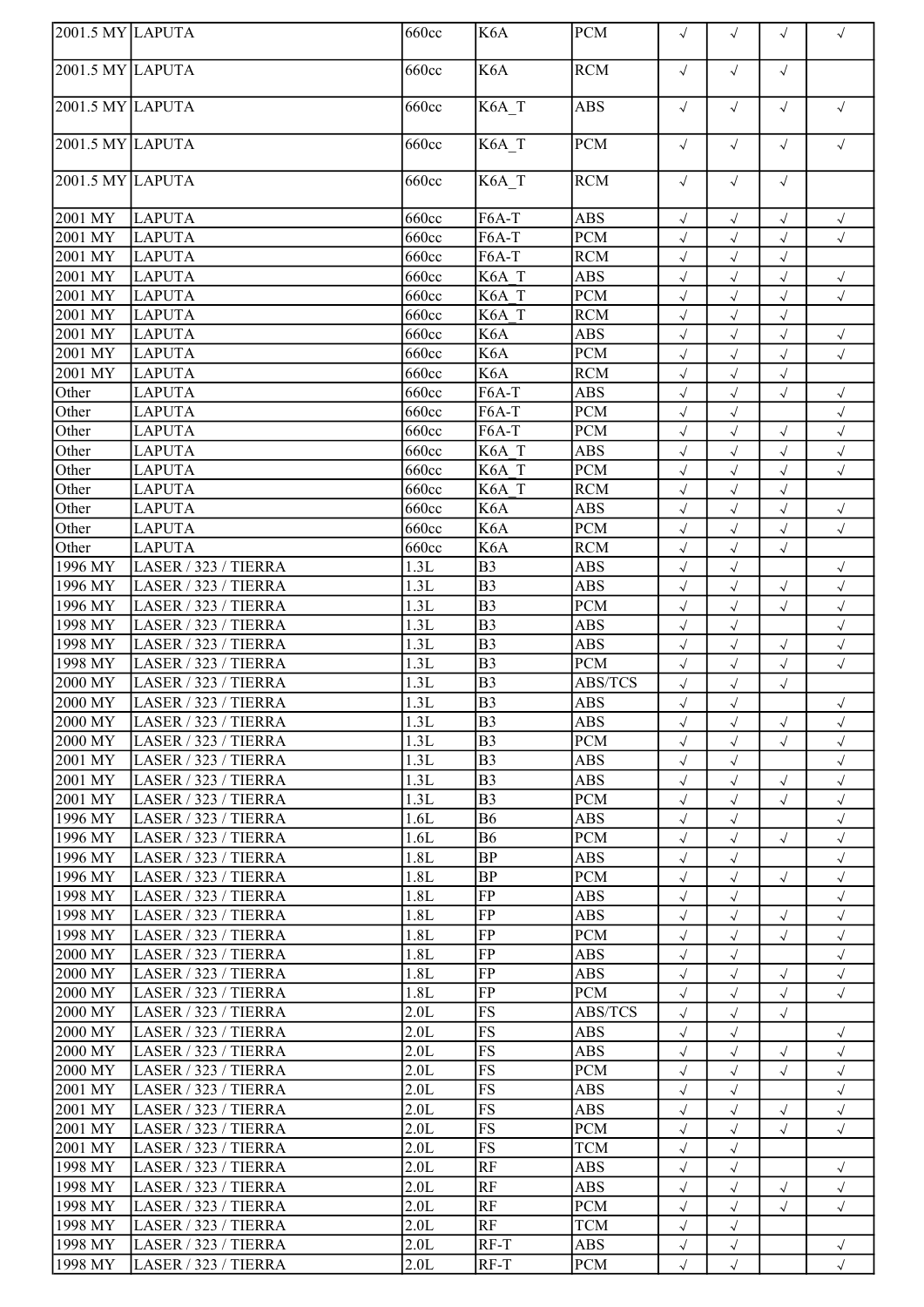| $2001.5$ MY LAPUTA |                                              | 660cc            | K <sub>6</sub> A       | <b>PCM</b>        | $\sqrt{ }$               | $\sqrt{ }$               | $\sqrt{ }$           | $\sqrt{ }$              |
|--------------------|----------------------------------------------|------------------|------------------------|-------------------|--------------------------|--------------------------|----------------------|-------------------------|
| 2001.5 MY LAPUTA   |                                              | 660cc            | K <sub>6</sub> A       | <b>RCM</b>        | $\sqrt{ }$               | $\sqrt{ }$               | $\sqrt{\phantom{a}}$ |                         |
| 2001.5 MY LAPUTA   |                                              | 660cc            | K6A_T                  | <b>ABS</b>        | $\sqrt{ }$               | $\sqrt{ }$               | $\sqrt{\phantom{a}}$ | $\sqrt{ }$              |
| 2001.5 MY LAPUTA   |                                              | 660cc            | $K6A$ <sup>T</sup>     | PCM               | $\sqrt{ }$               | $\sqrt{ }$               | $\sqrt{ }$           | $\checkmark$            |
| 2001.5 MY LAPUTA   |                                              | 660cc            | K6A <sub>T</sub>       | <b>RCM</b>        | $\sqrt{ }$               | $\sqrt{ }$               | $\sqrt{\phantom{a}}$ |                         |
| 2001 MY            | <b>LAPUTA</b>                                | 660cc            | F6A-T                  | <b>ABS</b>        | $\checkmark$             | $\sqrt{ }$               | $\sqrt{ }$           | $\sqrt{ }$              |
| 2001 MY            | <b>LAPUTA</b>                                | 660cc            | F6A-T                  | <b>PCM</b>        | $\sqrt{ }$               | $\sqrt{ }$               | $\sqrt{ }$           | $\checkmark$            |
| 2001 MY            | <b>LAPUTA</b>                                | 660cc            | $F6A-T$                | <b>RCM</b>        | $\checkmark$             | $\sqrt{ }$               | $\sqrt{\phantom{a}}$ |                         |
| 2001 MY            | <b>LAPUTA</b>                                | 660cc            | K6A T                  | <b>ABS</b>        | $\checkmark$             | $\sqrt{}$                | $\sqrt{\phantom{a}}$ | $\checkmark$            |
| 2001 MY            | <b>LAPUTA</b>                                | 660cc            | K6A T                  | <b>PCM</b>        | $\sqrt{2}$               | $\sqrt{ }$               | $\sqrt{ }$           | $\sqrt{2}$              |
| 2001 MY            | <b>LAPUTA</b>                                | 660cc            | K6A T                  | <b>RCM</b>        | $\sqrt{ }$               | $\sqrt{ }$               | $\sqrt{ }$           |                         |
| 2001 MY            | <b>LAPUTA</b>                                | 660cc            | K <sub>6</sub> A       | ABS               | $\sqrt{ }$               | $\sqrt{ }$               | $\sqrt{ }$           | $\checkmark$            |
| 2001 MY            | <b>LAPUTA</b>                                | 660cc            | K6A                    | $\overline{PCM}$  | $\sqrt{2}$               | $\sqrt{ }$               | $\sqrt{2}$           | $\sqrt{2}$              |
| 2001 MY            | <b>LAPUTA</b>                                | 660cc            | K <sub>6</sub> A       | <b>RCM</b>        | $\sqrt{2}$               | $\sqrt{2}$               | $\sqrt{2}$           |                         |
| Other              | <b>LAPUTA</b>                                | 660cc            | F6A-T                  | ABS               | $\checkmark$             | $\sqrt{}$                | $\sqrt{ }$           | $\checkmark$            |
| Other              | <b>LAPUTA</b>                                | 660cc            | $F6A-T$                | PCM               | $\sqrt{2}$               | $\sqrt{2}$               |                      | $\overline{\sqrt{2}}$   |
| Other              | <b>LAPUTA</b>                                | 660cc            | $F6A-T$                | PCM               | $\sqrt{ }$               | $\sqrt{ }$               | $\sqrt{\phantom{a}}$ | $\sqrt{ }$              |
| Other              | <b>LAPUTA</b>                                | 660cc            | K6A T                  | $\overline{ABS}$  | $\sqrt{ }$               | $\sqrt{ }$               | $\sqrt{ }$           | $\sqrt{ }$              |
| Other              | <b>LAPUTA</b>                                | 660cc            | K6A T                  | PCM               | $\sqrt{ }$               | $\sqrt{}$                | $\sqrt{\phantom{a}}$ | $\checkmark$            |
| Other              | <b>LAPUTA</b>                                | 660cc            | K6A T                  | <b>RCM</b>        | $\checkmark$             | $\sqrt{ }$               | $\sqrt{\phantom{a}}$ |                         |
| Other              | <b>LAPUTA</b>                                | 660cc            | K6A                    | <b>ABS</b>        | $\sqrt{ }$               | $\checkmark$             | $\sqrt{\phantom{a}}$ | $\sqrt{ }$              |
| Other              | <b>LAPUTA</b>                                | 660cc            | K <sub>6</sub> A       | PCM               | $\sqrt{2}$               | $\sqrt{ }$               | $\sqrt{ }$           | $\sqrt{2}$              |
| Other              | <b>LAPUTA</b>                                | 660cc            | K <sub>6</sub> A       | <b>RCM</b>        | $\checkmark$             | $\sqrt{ }$               | $\sqrt{ }$           |                         |
| 1996 MY            | LASER / 323 / TIERRA                         | 1.3L             | B <sub>3</sub>         | <b>ABS</b>        | $\sqrt{ }$               | $\sqrt{ }$               |                      | $\checkmark$            |
| 1996 MY            | LASER / 323 / TIERRA                         | 1.3L             | $\overline{B3}$        | <b>ABS</b>        | $\sqrt{2}$               | $\sqrt{ }$               | $\sqrt{ }$           | $\sqrt{2}$              |
| 1996 MY            | LASER / 323 / TIERRA                         | 1.3L             | B <sub>3</sub>         | PCM               | $\sqrt{2}$               | $\checkmark$             | $\sqrt{ }$           | $\sqrt{2}$              |
| 1998 MY            | LASER / 323 / TIERRA                         | 1.3L             | B <sub>3</sub>         | <b>ABS</b>        | $\sqrt{\phantom{a}}$     | $\sqrt{ }$               |                      | $\sqrt{2}$              |
| 1998 MY            | LASER / 323 / TIERRA                         | 1.3L             | $\overline{B3}$        | <b>ABS</b>        | $\sqrt{2}$               | $\checkmark$             | $\sqrt{ }$           |                         |
| 1998 MY            | LASER / 323 / TIERRA                         | 1.3L             | B <sub>3</sub>         | PCM               | $\sqrt{ }$               | $\sqrt{ }$               | $\sqrt{\phantom{a}}$ | $\sqrt{ }$              |
| 2000 MY            | LASER / 323 / TIERRA                         | 1.3L             | B <sub>3</sub>         | ABS/TCS           | $\checkmark$             | $\sqrt{}$                | $\sqrt{ }$           |                         |
| 2000 MY            | LASER / 323 / TIERRA                         | 1.3L             | B <sub>3</sub>         | <b>ABS</b>        | $\checkmark$             | $\sqrt{}$                |                      | $\checkmark$            |
| 2000 MY            | LASER / 323 / TIERRA                         | 1.3L             | B <sub>3</sub>         | ABS               | $\sqrt{ }$               | $\sqrt{ }$               | $\sqrt{ }$           | $\sqrt{ }$              |
| 2000 MY            | LASER / 323 / TIERRA                         | 1.3L             | B <sub>3</sub>         | <b>PCM</b>        | $\sqrt{ }$               | $\sqrt{}$                | $\sqrt{ }$           | $\sqrt{}$               |
| 2001 MY            | LASER / 323 / TIERRA                         | 1.3L             | B <sub>3</sub>         | <b>ABS</b>        | $\sqrt{ }$               | $\sqrt{ }$               |                      | $\sqrt{ }$              |
| 2001 MY            | LASER / 323 / TIERRA                         | 1.3L             | B <sub>3</sub>         | ABS               | $\sqrt{ }$               | $\sqrt{ }$               | $\sqrt{ }$           | $\sqrt{ }$              |
| 2001 MY            | LASER / 323 / TIERRA                         | 1.3L             | B <sub>3</sub>         | <b>PCM</b>        | $\sqrt{}$                | $\sqrt{ }$               | $\sqrt{ }$           | $\sqrt{ }$              |
| 1996 MY            | LASER / 323 / TIERRA                         | 1.6L             | <b>B6</b>              | <b>ABS</b>        | $\sqrt{ }$               | $\sqrt{ }$               |                      | $\sqrt{ }$              |
| 1996 MY            | LASER / 323 / TIERRA                         | 1.6L             | <b>B6</b>              | <b>PCM</b>        | $\sqrt{ }$               | $\sqrt{ }$               | $\sqrt{ }$           | $\sqrt{ }$              |
| 1996 MY            | LASER / 323 / TIERRA                         | 1.8L             | <b>BP</b>              | <b>ABS</b>        | $\sqrt{}$                | $\sqrt{ }$               |                      | $\sqrt{}$               |
| 1996 MY            | LASER / 323 / TIERRA                         | 1.8L             | <b>BP</b><br><b>FP</b> | <b>PCM</b>        | $\sqrt{ }$               | $\sqrt{}$                | $\sqrt{ }$           | $\sqrt{}$               |
| 1998 MY            | LASER / 323 / TIERRA                         | 1.8L<br>1.8L     | <b>FP</b>              | ABS               | $\sqrt{ }$               | $\sqrt{}$                |                      | $\sqrt{}$               |
| 1998 MY            | LASER / 323 / TIERRA                         | 1.8L             | <b>FP</b>              | ABS<br><b>PCM</b> | $\sqrt{ }$               | $\sqrt{ }$               | $\sqrt{ }$           | $\sqrt{ }$              |
| 1998 MY<br>2000 MY | LASER / 323 / TIERRA<br>LASER / 323 / TIERRA | 1.8L             | <b>FP</b>              | <b>ABS</b>        | $\sqrt{ }$               | $\sqrt{ }$               | $\sqrt{ }$           | $\sqrt{}$               |
| 2000 MY            | LASER / 323 / TIERRA                         | 1.8L             | <b>FP</b>              | ABS               | $\sqrt{ }$<br>$\sqrt{ }$ | $\sqrt{ }$<br>$\sqrt{ }$ | $\sqrt{ }$           | $\sqrt{ }$              |
| 2000 MY            | LASER / 323 / TIERRA                         | 1.8L             | FP                     | <b>PCM</b>        | $\sqrt{ }$               | $\sqrt{ }$               | $\sqrt{ }$           | $\sqrt{}$<br>$\sqrt{ }$ |
| 2000 MY            | LASER / 323 / TIERRA                         | 2.0L             | FS                     | ABS/TCS           | $\sqrt{ }$               | $\sqrt{ }$               | $\sqrt{ }$           |                         |
| 2000 MY            | LASER / 323 / TIERRA                         | 2.0L             | FS                     | ABS               | $\sqrt{ }$               | $\sqrt{ }$               |                      | $\sqrt{ }$              |
| 2000 MY            | LASER / 323 / TIERRA                         | 2.0 <sub>L</sub> | <b>FS</b>              | <b>ABS</b>        | $\sqrt{ }$               | $\sqrt{ }$               | $\sqrt{ }$           | $\sqrt{ }$              |
| 2000 MY            | LASER / 323 / TIERRA                         | 2.0L             | <b>FS</b>              | <b>PCM</b>        | $\sqrt{ }$               | $\sqrt{ }$               | $\sqrt{ }$           | $\sqrt{}$               |
| 2001 MY            | LASER / 323 / TIERRA                         | 2.0L             | <b>FS</b>              | <b>ABS</b>        | $\sqrt{ }$               | $\sqrt{ }$               |                      | $\sqrt{}$               |
| 2001 MY            | LASER / 323 / TIERRA                         | 2.0L             | FS                     | <b>ABS</b>        |                          | $\sqrt{}$                | $\sqrt{ }$           | $\sqrt{}$               |
| 2001 MY            | LASER / 323 / TIERRA                         | 2.0L             | <b>FS</b>              | <b>PCM</b>        |                          | $\sqrt{}$                | $\sqrt{ }$           | $\sqrt{ }$              |
| 2001 MY            | LASER / 323 / TIERRA                         | 2.0L             | <b>FS</b>              | <b>TCM</b>        | $\sqrt{}$                | $\sqrt{}$                |                      |                         |
| 1998 MY            | LASER / 323 / TIERRA                         | 2.0L             | RF                     | ABS               | $\sqrt{ }$               | $\sqrt{ }$               |                      | $\sqrt{ }$              |
| 1998 MY            | LASER / 323 / TIERRA                         | 2.0 <sub>L</sub> | RF                     | <b>ABS</b>        | $\sqrt{ }$               | $\sqrt{ }$               | $\sqrt{ }$           | $\sqrt{ }$              |
| 1998 MY            | LASER / 323 / TIERRA                         | 2.0L             | RF                     | <b>PCM</b>        | $\sqrt{ }$               | $\sqrt{ }$               | $\sqrt{ }$           | $\sqrt{ }$              |
| 1998 MY            | LASER / 323 / TIERRA                         | 2.0L             | RF                     | TCM               | $\sqrt{ }$               | $\sqrt{ }$               |                      |                         |
| 1998 MY            | LASER / 323 / TIERRA                         | 2.0L             | $RF-T$                 | <b>ABS</b>        | $\sqrt{ }$               | $\sqrt{ }$               |                      | $\sqrt{ }$              |
| 1998 MY            | LASER / 323 / TIERRA                         | 2.0L             | $RF-T$                 | PCM               | $\sqrt{ }$               | $\sqrt{2}$               |                      | $\sqrt{}$               |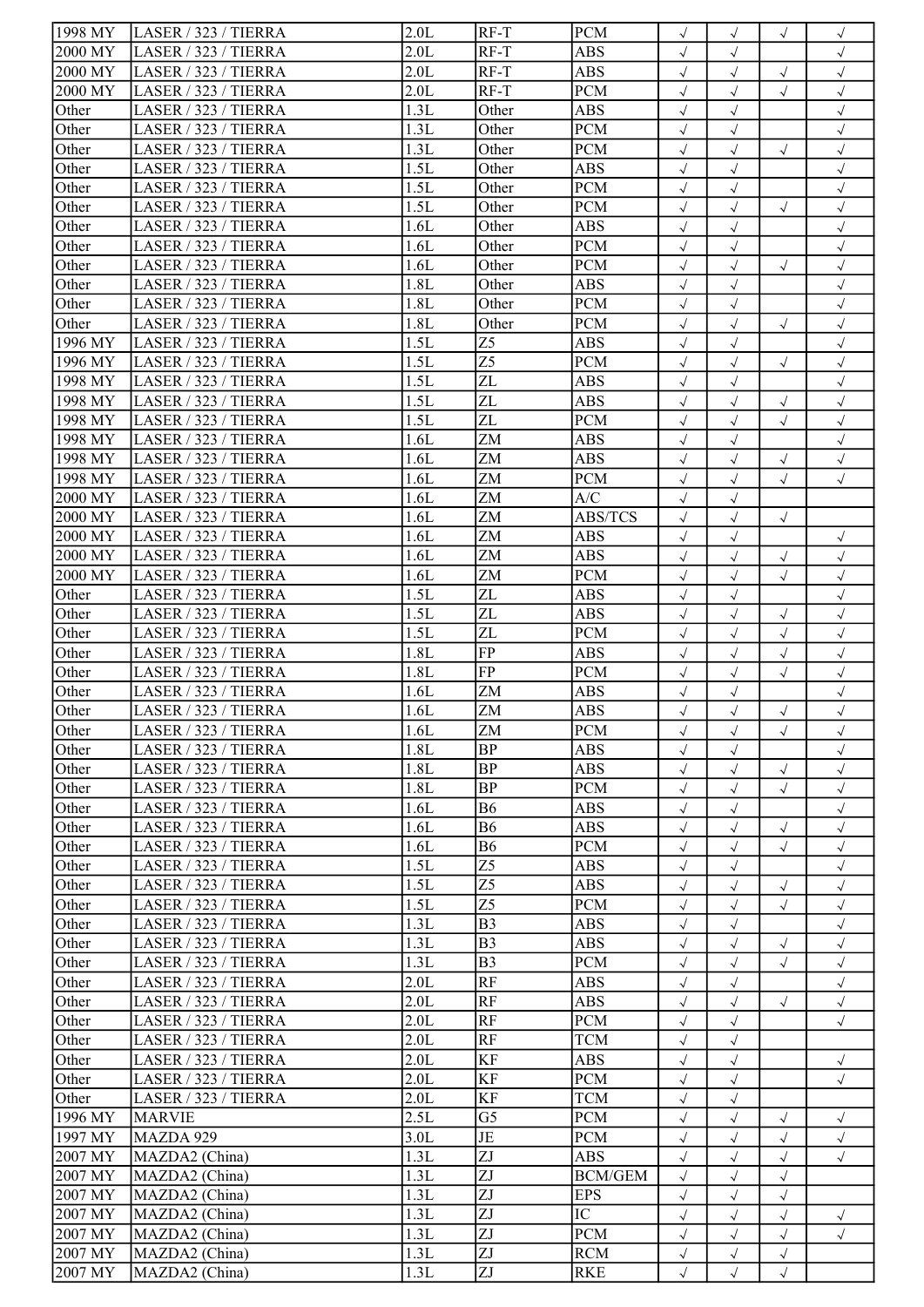| 1998 MY | LASER / 323 / TIERRA | 2.0 <sub>L</sub> | $RF-T$          | <b>PCM</b>     | $\sqrt{}$                  | $\sqrt{}$  | $\sqrt{ }$   | $\sqrt{}$            |
|---------|----------------------|------------------|-----------------|----------------|----------------------------|------------|--------------|----------------------|
| 2000 MY | LASER / 323 / TIERRA | 2.0L             | $RF-T$          | <b>ABS</b>     | $\sqrt{ }$                 | $\sqrt{}$  |              | $\sqrt{}$            |
| 2000 MY | LASER / 323 / TIERRA | 2.0L             | $RF-T$          | <b>ABS</b>     | $\sqrt{ }$                 | $\sqrt{ }$ | $\sqrt{ }$   | $\sqrt{ }$           |
| 2000 MY | LASER / 323 / TIERRA | 2.0L             | $RF-T$          | <b>PCM</b>     | $\sqrt{ }$                 | $\sqrt{}$  | $\sqrt{ }$   | $\sqrt{\phantom{a}}$ |
| Other   | LASER / 323 / TIERRA | 1.3L             | Other           | <b>ABS</b>     | $\sqrt{ }$                 | $\sqrt{}$  |              | $\sqrt{ }$           |
| Other   | LASER / 323 / TIERRA | 1.3L             | Other           | <b>PCM</b>     | $\sqrt{ }$                 | $\sqrt{}$  |              | $\sqrt{ }$           |
| Other   | LASER / 323 / TIERRA | 1.3L             | Other           | <b>PCM</b>     | $\sqrt{ }$                 | $\sqrt{}$  | $\sqrt{ }$   | $\sqrt{ }$           |
| Other   | LASER / 323 / TIERRA | 1.5L             | Other           | <b>ABS</b>     | $\sqrt{ }$                 | $\sqrt{}$  |              | $\sqrt{ }$           |
| Other   | LASER / 323 / TIERRA | 1.5L             | Other           | <b>PCM</b>     | $\sqrt{\phantom{a}}$       | $\sqrt{ }$ |              | $\sqrt{\phantom{a}}$ |
| Other   | LASER / 323 / TIERRA | 1.5L             | Other           | <b>PCM</b>     | $\sqrt{ }$                 | $\sqrt{ }$ | $\sqrt{ }$   | $\sqrt{ }$           |
| Other   | LASER / 323 / TIERRA | 1.6L             | Other           | <b>ABS</b>     | $\sqrt{ }$                 | $\sqrt{}$  |              | $\checkmark$         |
| Other   | LASER / 323 / TIERRA | 1.6L             | Other           | <b>PCM</b>     | $\sqrt{ }$                 | $\sqrt{}$  |              | $\sqrt{}$            |
| Other   | LASER / 323 / TIERRA | 1.6L             | Other           | <b>PCM</b>     | $\sqrt{ }$                 | $\sqrt{2}$ | $\sqrt{ }$   | $\checkmark$         |
| Other   | LASER / 323 / TIERRA | 1.8L             | Other           | <b>ABS</b>     | $\sqrt{ }$                 | $\sqrt{}$  |              | $\checkmark$         |
| Other   | LASER / 323 / TIERRA | 1.8L             | Other           | <b>PCM</b>     | $\sqrt{}$                  | $\sqrt{ }$ |              | $\sqrt{ }$           |
| Other   | LASER / 323 / TIERRA | 1.8L             | Other           | <b>PCM</b>     | $\sqrt{ }$                 | $\sqrt{ }$ | $\sqrt{ }$   | $\sqrt{ }$           |
| 1996 MY | LASER / 323 / TIERRA | 1.5L             | Z5              | <b>ABS</b>     | $\sqrt{ }$                 | $\sqrt{}$  |              | $\sqrt{ }$           |
| 1996 MY | LASER / 323 / TIERRA | 1.5L             | Z5              | <b>PCM</b>     | $\sqrt{ }$                 | $\sqrt{}$  | $\sqrt{ }$   | $\sqrt{ }$           |
| 1998 MY | LASER / 323 / TIERRA | 1.5L             | ZL              | <b>ABS</b>     | $\sqrt{ }$                 | $\sqrt{}$  |              | $\sqrt{ }$           |
| 1998 MY | LASER / 323 / TIERRA | 1.5L             | ZL              | <b>ABS</b>     | $\sqrt{ }$                 |            |              | $\sqrt{ }$           |
|         |                      |                  |                 |                |                            | $\sqrt{}$  | $\sqrt{ }$   |                      |
| 1998 MY | LASER / 323 / TIERRA | 1.5L             | ZL              | <b>PCM</b>     | $\sqrt{ }$                 | $\sqrt{ }$ | $\sqrt{ }$   | $\sqrt{ }$           |
| 1998 MY | LASER / 323 / TIERRA | 1.6L             | ZM              | <b>ABS</b>     | $\sqrt{ }$                 | $\sqrt{ }$ |              | $\sqrt{ }$           |
| 1998 MY | LASER / 323 / TIERRA | 1.6L             | ZM              | <b>ABS</b>     | $\sqrt{ }$                 | $\sqrt{}$  | $\sqrt{ }$   | $\sqrt{ }$           |
| 1998 MY | LASER / 323 / TIERRA | 1.6L             | ZM              | <b>PCM</b>     | $\checkmark$               | $\sqrt{}$  | $\sqrt{ }$   | $\sqrt{}$            |
| 2000 MY | LASER / 323 / TIERRA | 1.6L             | ZM              | A/C            | $\sqrt{ }$                 | $\sqrt{}$  |              |                      |
| 2000 MY | LASER / 323 / TIERRA | 1.6L             | ZM              | ABS/TCS        | $\sqrt{ }$                 | $\sqrt{}$  | $\sqrt{ }$   |                      |
| 2000 MY | LASER / 323 / TIERRA | 1.6L             | ZM              | <b>ABS</b>     | $\sqrt{}$                  | $\sqrt{ }$ |              | $\sqrt{ }$           |
| 2000 MY | LASER / 323 / TIERRA | 1.6L             | ZM              | <b>ABS</b>     | $\sqrt{ }$                 | $\sqrt{ }$ | $\sqrt{ }$   | $\sqrt{ }$           |
| 2000 MY | LASER / 323 / TIERRA | 1.6L             | ZM              | <b>PCM</b>     | $\sqrt{ }$                 | $\sqrt{}$  | $\sqrt{ }$   | $\sqrt{\phantom{a}}$ |
| Other   | LASER / 323 / TIERRA | 1.5L             | ZL              | <b>ABS</b>     | $\sqrt{ }$                 | $\sqrt{ }$ |              | $\sqrt{ }$           |
| Other   | LASER / 323 / TIERRA | 1.5L             | ZL              | <b>ABS</b>     | $\sqrt{ }$                 | $\sqrt{}$  | $\sqrt{ }$   | $\sqrt{ }$           |
| Other   | LASER / 323 / TIERRA | 1.5L             | ZL              | <b>PCM</b>     | $\sqrt{ }$                 | $\sqrt{}$  | $\sqrt{ }$   | $\sqrt{ }$           |
| Other   | LASER / 323 / TIERRA | 1.8L             | FP              | <b>ABS</b>     | $\sqrt{ }$                 | $\sqrt{}$  | $\sqrt{ }$   | $\sqrt{ }$           |
| Other   | LASER / 323 / TIERRA | 1.8L             | FP              | <b>PCM</b>     | $\sqrt{ }$                 | $\sqrt{}$  | $\sqrt{ }$   | $\sqrt{ }$           |
| Other   | LASER / 323 / TIERRA | 1.6L             | ZM              | <b>ABS</b>     | $\sqrt{ }$                 | $\sqrt{}$  |              | $\sqrt{ }$           |
| Other   | LASER / 323 / TIERRA | 1.6L             | ZM              | <b>ABS</b>     | $\sqrt{ }$                 | $\sqrt{ }$ | $\sqrt{ }$   | $\sqrt{}$            |
| Other   | LASER / 323 / TIERRA | 1.6L             | ZM              | PCM            | $\sqrt{ }$                 | $\sqrt{}$  | $\sqrt{ }$   | $\sqrt{ }$           |
| Other   | LASER / 323 / TIERRA | 1.8L             | BP              | <b>ABS</b>     | $\sqrt{2}$                 | $\sqrt{}$  |              | $\sqrt{}$            |
| Other   | LASER / 323 / TIERRA | 1.8L             | BP              | <b>ABS</b>     | $\sqrt{ }$                 | $\sqrt{}$  | $\sqrt{}$    | $\sqrt{}$            |
| Other   | LASER / 323 / TIERRA | 1.8L             | BP              | <b>PCM</b>     | $\sqrt{ }$                 | $\sqrt{ }$ | $\sqrt{ }$   | $\sqrt{ }$           |
| Other   | LASER / 323 / TIERRA | 1.6L             | <b>B6</b>       | <b>ABS</b>     | $\sqrt{ }$                 | $\sqrt{ }$ |              | $\sqrt{\phantom{a}}$ |
| Other   | LASER / 323 / TIERRA | 1.6L             | <b>B6</b>       | <b>ABS</b>     | $\sqrt{ }$                 | $\sqrt{}$  | $\sqrt{ }$   | $\sqrt{}$            |
| Other   | LASER / 323 / TIERRA | 1.6L             | <b>B6</b>       | <b>PCM</b>     | $\sqrt{ }$                 | $\sqrt{}$  | $\sqrt{ }$   | $\sqrt{\phantom{a}}$ |
| Other   | LASER / 323 / TIERRA | 1.5L             | Z5              | <b>ABS</b>     | $\sqrt{ }$                 | $\sqrt{}$  |              | $\sqrt{ }$           |
| Other   | LASER / 323 / TIERRA | 1.5L             | Z5              | <b>ABS</b>     | $\sqrt{ }$                 | $\sqrt{}$  | $\sqrt{ }$   | $\sqrt{}$            |
| Other   | LASER / 323 / TIERRA | 1.5L             | Z5              | PCM            | $\sqrt{ }$                 | $\sqrt{}$  | $\sqrt{ }$   | $\sqrt{ }$           |
| Other   | LASER / 323 / TIERRA | 1.3L             | B <sub>3</sub>  | <b>ABS</b>     | $\sqrt{ }$                 | $\sqrt{ }$ |              | $\checkmark$         |
| Other   | LASER / 323 / TIERRA | 1.3L             | B <sub>3</sub>  | <b>ABS</b>     | $\sqrt{ }$                 |            |              |                      |
|         |                      | 1.3L             | B <sub>3</sub>  | <b>PCM</b>     |                            | $\sqrt{}$  | $\sqrt{ }$   | $\sqrt{}$            |
| Other   | LASER / 323 / TIERRA | 2.0L             | RF              |                | $\checkmark$<br>$\sqrt{ }$ | $\sqrt{}$  | $\sqrt{ }$   | $\sqrt{}$            |
| Other   | LASER / 323 / TIERRA |                  |                 | <b>ABS</b>     |                            | $\sqrt{}$  |              | $\checkmark$         |
| Other   | LASER / 323 / TIERRA | $2.0L$           | RF              | <b>ABS</b>     | $\sqrt{ }$                 | $\sqrt{}$  | $\sqrt{ }$   | $\sqrt{}$            |
| Other   | LASER / 323 / TIERRA | 2.0L             | RF              | <b>PCM</b>     | $\sqrt{ }$                 | $\sqrt{ }$ |              | $\sqrt{ }$           |
| Other   | LASER / 323 / TIERRA | 2.0L             | RF              | <b>TCM</b>     | $\sqrt{ }$                 | $\sqrt{ }$ |              |                      |
| Other   | LASER / 323 / TIERRA | 2.0L             | KF              | <b>ABS</b>     | $\sqrt{ }$                 | $\sqrt{}$  |              | $\sqrt{ }$           |
| Other   | LASER / 323 / TIERRA | 2.0L             | KF              | <b>PCM</b>     | $\sqrt{ }$                 | $\sqrt{}$  |              | $\sqrt{ }$           |
| Other   | LASER / 323 / TIERRA | 2.0L             | KF              | <b>TCM</b>     | $\sqrt{ }$                 | $\sqrt{}$  |              |                      |
| 1996 MY | <b>MARVIE</b>        | 2.5L             | G <sub>5</sub>  | <b>PCM</b>     | $\sqrt{ }$                 | $\sqrt{ }$ | $\sqrt{ }$   | $\sqrt{ }$           |
| 1997 MY | MAZDA 929            | 3.0 <sub>L</sub> | JE              | <b>PCM</b>     | $\sqrt{ }$                 | $\sqrt{}$  | $\sqrt{ }$   | $\sqrt{ }$           |
| 2007 MY | MAZDA2 (China)       | 1.3L             | ZJ              | <b>ABS</b>     | $\sqrt{ }$                 | $\sqrt{ }$ | $\sqrt{ }$   | $\sqrt{}$            |
| 2007 MY | MAZDA2 (China)       | 1.3L             | ZJ              | <b>BCM/GEM</b> | $\sqrt{ }$                 | $\sqrt{}$  | $\sqrt{ }$   |                      |
| 2007 MY | MAZDA2 (China)       | 1.3L             | ZJ              | <b>EPS</b>     | $\sqrt{ }$                 | $\sqrt{}$  | $\sqrt{ }$   |                      |
| 2007 MY | MAZDA2 (China)       | 1.3L             | $\overline{ZJ}$ | IC             | $\sqrt{ }$                 | $\sqrt{}$  | $\checkmark$ | $\sqrt{}$            |
| 2007 MY | MAZDA2 (China)       | 1.3L             | ZJ              | PCM            | $\sqrt{ }$                 | $\sqrt{ }$ | $\checkmark$ | $\sqrt{ }$           |
| 2007 MY | MAZDA2 (China)       | 1.3L             | ZJ              | <b>RCM</b>     | $\sqrt{ }$                 | $\sqrt{ }$ | $\sqrt{ }$   |                      |
| 2007 MY | MAZDA2 (China)       | 1.3L             | ZJ              | <b>RKE</b>     | $\sqrt{ }$                 | $\sqrt{}$  | $\sqrt{ }$   |                      |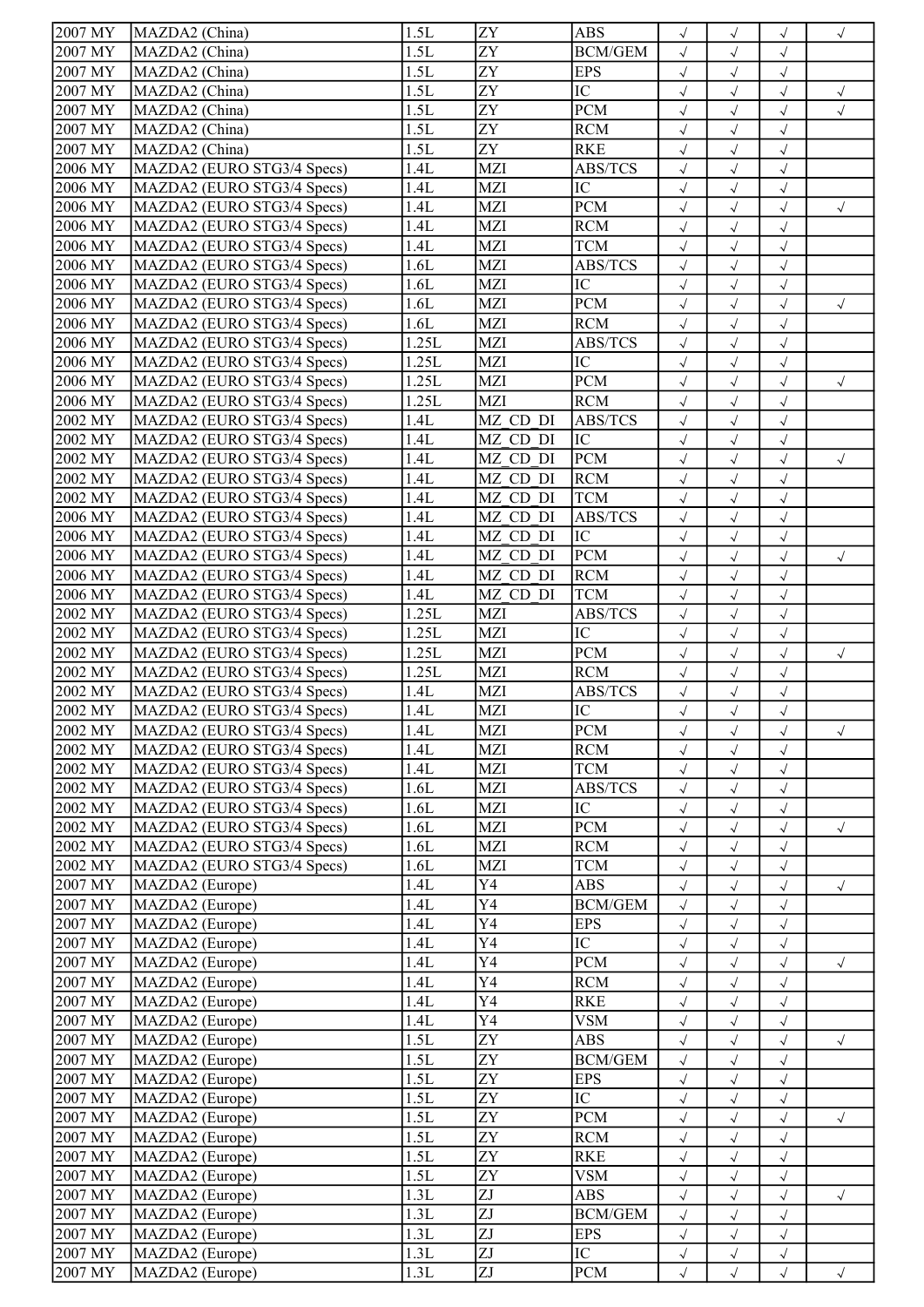| 2007 MY | MAZDA2 (China)             | 1.5L  | ZY              | <b>ABS</b>     | $\sqrt{ }$               | $\sqrt{}$  | $\sqrt{ }$               | $\sqrt{ }$ |
|---------|----------------------------|-------|-----------------|----------------|--------------------------|------------|--------------------------|------------|
| 2007 MY | MAZDA2 (China)             | 1.5L  | ZY              | <b>BCM/GEM</b> | $\sqrt{ }$               | $\sqrt{}$  | $\sqrt{ }$               |            |
| 2007 MY | MAZDA2 (China)             | 1.5L  | ZY              | <b>EPS</b>     | $\sqrt{ }$               | $\sqrt{ }$ | $\sqrt{ }$               |            |
| 2007 MY | MAZDA2 (China)             | 1.5L  | ZY              | IC             | $\sqrt{ }$               | $\sqrt{ }$ | $\sqrt{ }$               | $\sqrt{}$  |
| 2007 MY | MAZDA2 (China)             | 1.5L  | ZY              | <b>PCM</b>     | $\sqrt{ }$               | $\sqrt{}$  | $\sqrt{ }$               | $\sqrt{ }$ |
| 2007 MY | MAZDA2 (China)             | 1.5L  | ZY              | <b>RCM</b>     | $\sqrt{ }$               | $\sqrt{ }$ | $\sqrt{ }$               |            |
| 2007 MY | MAZDA2 (China)             | 1.5L  | ZY              | <b>RKE</b>     | $\sqrt{ }$               | $\sqrt{}$  | $\checkmark$             |            |
| 2006 MY | MAZDA2 (EURO STG3/4 Specs) | 1.4L  | MZI             | <b>ABS/TCS</b> | $\sqrt{ }$               | $\sqrt{}$  | $\checkmark$             |            |
| 2006 MY | MAZDA2 (EURO STG3/4 Specs) | 1.4L  | <b>MZI</b>      | IC             | $\sqrt{ }$               | $\sqrt{ }$ | $\sqrt{ }$               |            |
| 2006 MY | MAZDA2 (EURO STG3/4 Specs) | 1.4L  | MZI             | <b>PCM</b>     | $\sqrt{ }$               | $\sqrt{ }$ | $\checkmark$             | $\sqrt{ }$ |
| 2006 MY | MAZDA2 (EURO STG3/4 Specs) | 1.4L  | <b>MZI</b>      | <b>RCM</b>     | $\sqrt{ }$               | $\sqrt{2}$ | $\sqrt{}$                |            |
| 2006 MY | MAZDA2 (EURO STG3/4 Specs) | 1.4L  | MZI             | <b>TCM</b>     | $\sqrt{ }$               | $\sqrt{}$  | $\sqrt{ }$               |            |
| 2006 MY | MAZDA2 (EURO STG3/4 Specs) | 1.6L  | MZI             | ABS/TCS        | $\sqrt{ }$               | $\sqrt{2}$ | $\sqrt{ }$               |            |
| 2006 MY | MAZDA2 (EURO STG3/4 Specs) | 1.6L  | MZI             | IC             | $\checkmark$             |            | $\checkmark$             |            |
| 2006 MY |                            | 1.6L  | MZI             | <b>PCM</b>     |                          | $\sqrt{}$  |                          |            |
|         | MAZDA2 (EURO STG3/4 Specs) |       |                 |                | $\checkmark$             | $\sqrt{ }$ | $\sqrt{ }$               | $\sqrt{}$  |
| 2006 MY | MAZDA2 (EURO STG3/4 Specs) | 1.6L  | MZI             | <b>RCM</b>     | $\sqrt{ }$               | $\sqrt{ }$ | $\sqrt{ }$               |            |
| 2006 MY | MAZDA2 (EURO STG3/4 Specs) | 1.25L | <b>MZI</b>      | ABS/TCS        | $\sqrt{ }$               | $\sqrt{ }$ | $\sqrt{ }$               |            |
| 2006 MY | MAZDA2 (EURO STG3/4 Specs) | 1.25L | <b>MZI</b>      | IC             | $\sqrt{ }$               | $\sqrt{ }$ | $\sqrt{ }$               |            |
| 2006 MY | MAZDA2 (EURO STG3/4 Specs) | 1.25L | MZI             | <b>PCM</b>     | $\sqrt{ }$               | $\sqrt{ }$ | $\checkmark$             | $\sqrt{}$  |
| 2006 MY | MAZDA2 (EURO STG3/4 Specs) | 1.25L | <b>MZI</b>      | <b>RCM</b>     | $\sqrt{ }$               | $\sqrt{2}$ | $\checkmark$             |            |
| 2002 MY | MAZDA2 (EURO STG3/4 Specs) | 1.4L  | MZ CD DI        | ABS/TCS        | $\sqrt{ }$               | $\sqrt{ }$ | $\sqrt{ }$               |            |
| 2002 MY | MAZDA2 (EURO STG3/4 Specs) | 1.4L  | MZ CD DI        | IC             | $\sqrt{ }$               | $\sqrt{ }$ | $\checkmark$             |            |
| 2002 MY | MAZDA2 (EURO STG3/4 Specs) | 1.4L  | MZ CD DI        | PCM            | $\sqrt{ }$               | $\sqrt{ }$ | $\checkmark$             | $\sqrt{ }$ |
| 2002 MY | MAZDA2 (EURO STG3/4 Specs) | 1.4L  | MZ CD DI        | <b>RCM</b>     | $\sqrt{ }$               | $\sqrt{}$  | $\sqrt{ }$               |            |
| 2002 MY | MAZDA2 (EURO STG3/4 Specs) | 1.4L  | MZ CD DI        | <b>TCM</b>     | $\sqrt{ }$               | $\sqrt{2}$ | $\checkmark$             |            |
| 2006 MY | MAZDA2 (EURO STG3/4 Specs) | 1.4L  | MZ CD DI        | ABS/TCS        | $\sqrt{ }$               | $\sqrt{}$  | $\checkmark$             |            |
| 2006 MY | MAZDA2 (EURO STG3/4 Specs) | 1.4L  | MZ CD DI        | IC             | $\sqrt{ }$               | $\sqrt{ }$ | $\sqrt$                  |            |
| 2006 MY | MAZDA2 (EURO STG3/4 Specs) | 1.4L  | MZ CD DI        | PCM            | $\sqrt{ }$               | $\sqrt{ }$ | $\sqrt{\phantom{a}}$     | $\sqrt{ }$ |
| 2006 MY | MAZDA2 (EURO STG3/4 Specs) | 1.4L  | MZ CD DI        | <b>RCM</b>     | $\sqrt{ }$               | $\sqrt{ }$ | $\sqrt{ }$               |            |
| 2006 MY | MAZDA2 (EURO STG3/4 Specs) | 1.4L  | MZ CD DI        | <b>TCM</b>     | $\sqrt{ }$               | $\sqrt{}$  | $\sqrt{ }$               |            |
| 2002 MY | MAZDA2 (EURO STG3/4 Specs) | 1.25L | <b>MZI</b>      | ABS/TCS        | $\sqrt{ }$               | $\sqrt{ }$ | $\sqrt{ }$               |            |
| 2002 MY | MAZDA2 (EURO STG3/4 Specs) | 1.25L | MZI             | IC             | $\sqrt{ }$               | $\sqrt{ }$ | $\sqrt{ }$               |            |
| 2002 MY | MAZDA2 (EURO STG3/4 Specs) | 1.25L | <b>MZI</b>      | <b>PCM</b>     | $\sqrt{ }$               | $\sqrt{}$  | $\sqrt{ }$               | $\sqrt{ }$ |
| 2002 MY | MAZDA2 (EURO STG3/4 Specs) | 1.25L | MZI             | <b>RCM</b>     | $\sqrt{ }$               | $\sqrt{ }$ | $\checkmark$             |            |
| 2002 MY | MAZDA2 (EURO STG3/4 Specs) | 1.4L  | MZI             | ABS/TCS        | $\sqrt{ }$               | $\sqrt{}$  | $\checkmark$             |            |
| 2002 MY | MAZDA2 (EURO STG3/4 Specs) | 1.4L  | <b>MZI</b>      | IC             | $\sqrt{2}$               | $\sqrt{2}$ | $\sqrt{ }$               |            |
|         |                            |       |                 |                |                          |            |                          |            |
| 2002 MY | MAZDA2 (EURO STG3/4 Specs) | 1.4L  | <b>MZI</b>      | PCM            | $\sqrt{ }$               | $\sqrt{}$  | $\sqrt{}$                | $\sqrt{ }$ |
| 2002 MY | MAZDA2 (EURO STG3/4 Specs) | 1.4L  | MZI             | RCM            | $\sqrt{ }$               | $\sqrt{}$  | $\checkmark$             |            |
| 2002 MY | MAZDA2 (EURO STG3/4 Specs) | 1.4L  | MZI             | <b>TCM</b>     | $\sqrt{ }$               | $\sqrt{ }$ | $\sqrt{ }$               |            |
| 2002 MY | MAZDA2 (EURO STG3/4 Specs) | 1.6L  | MZI             | ABS/TCS        | $\sqrt{ }$               | $\sqrt{ }$ | $\sqrt{ }$               |            |
| 2002 MY | MAZDA2 (EURO STG3/4 Specs) | 1.6L  | MZI             | IC             | $\sqrt{ }$               | $\sqrt{ }$ | $\sqrt{ }$               |            |
| 2002 MY | MAZDA2 (EURO STG3/4 Specs) | 1.6L  | MZI             | <b>PCM</b>     | $\sqrt{ }$               | $\sqrt{}$  | $\sqrt{ }$               | $\sqrt{ }$ |
| 2002 MY | MAZDA2 (EURO STG3/4 Specs) | 1.6L  | MZI             | <b>RCM</b>     | $\sqrt{ }$               | $\sqrt{}$  | $\sqrt{ }$               |            |
| 2002 MY | MAZDA2 (EURO STG3/4 Specs) | 1.6L  | MZI             | <b>TCM</b>     | $\sqrt{ }$               | $\sqrt{}$  | $\checkmark$             |            |
| 2007 MY | MAZDA2 (Europe)            | 1.4L  | Y4              | <b>ABS</b>     | $\sqrt{ }$               | $\sqrt{}$  | $\sqrt{ }$               | $\sqrt{}$  |
| 2007 MY | MAZDA2 (Europe)            | 1.4L  | Y4              | <b>BCM/GEM</b> | $\sqrt{ }$               | $\sqrt{}$  | $\sqrt{ }$               |            |
| 2007 MY | MAZDA2 (Europe)            | 1.4L  | Y4              | <b>EPS</b>     | $\sqrt{ }$               | $\sqrt{2}$ | $\sqrt{ }$               |            |
| 2007 MY | MAZDA2 (Europe)            | 1.4L  | Y <sub>4</sub>  | IC             | $\sqrt{ }$               | $\sqrt{2}$ | $\sqrt{2}$               |            |
| 2007 MY | MAZDA2 (Europe)            | 1.4L  | Y <sub>4</sub>  | PCM            | $\sqrt{ }$               | $\sqrt{}$  | $\sqrt{}$                | $\sqrt{ }$ |
| 2007 MY | MAZDA2 (Europe)            | 1.4L  | Y4              | RCM            | $\checkmark$             | $\sqrt{}$  | $\sqrt{2}$               |            |
| 2007 MY | MAZDA2 (Europe)            | 1.4L  | Y <sub>4</sub>  | <b>RKE</b>     | $\sqrt{ }$               | $\sqrt{}$  | $\sqrt{ }$               |            |
| 2007 MY | MAZDA2 (Europe)            | 1.4L  | Y4              | VSM            | $\sqrt{ }$               | $\sqrt{}$  | $\sqrt{}$                |            |
| 2007 MY | MAZDA2 (Europe)            | 1.5L  | ZY              | <b>ABS</b>     | $\sqrt{ }$               | $\sqrt{}$  | $\sqrt{}$                | $\sqrt{ }$ |
| 2007 MY | MAZDA2 (Europe)            | 1.5L  | ZY              | <b>BCM/GEM</b> | $\sqrt{ }$               | $\sqrt{}$  | $\sqrt{ }$               |            |
| 2007 MY | MAZDA2 (Europe)            | 1.5L  | ZY              | <b>EPS</b>     |                          |            |                          |            |
| 2007 MY | MAZDA2 (Europe)            | 1.5L  | ZY              | IC             | $\sqrt{ }$<br>$\sqrt{ }$ | $\sqrt{}$  | $\sqrt{ }$<br>$\sqrt{ }$ |            |
|         |                            |       |                 |                |                          | $\sqrt{ }$ |                          |            |
| 2007 MY | MAZDA2 (Europe)            | 1.5L  | ZY              | <b>PCM</b>     | $\sqrt{ }$               | $\sqrt{ }$ | $\sqrt{ }$               | $\sqrt{ }$ |
| 2007 MY | MAZDA2 (Europe)            | 1.5L  | ZY              | RCM            | $\sqrt{ }$               | $\sqrt{}$  | $\checkmark$             |            |
| 2007 MY | MAZDA2 (Europe)            | 1.5L  | $\overline{ZY}$ | <b>RKE</b>     | $\sqrt{ }$               | $\sqrt{}$  | $\sqrt{ }$               |            |
| 2007 MY | MAZDA2 (Europe)            | 1.5L  | ZY              | <b>VSM</b>     | $\sqrt{ }$               | $\sqrt{ }$ | $\sqrt{ }$               |            |
| 2007 MY | MAZDA2 (Europe)            | 1.3L  | ZJ              | <b>ABS</b>     | $\sqrt{ }$               | $\sqrt{}$  | $\sqrt{ }$               | $\sqrt{}$  |
| 2007 MY | MAZDA2 (Europe)            | 1.3L  | $\overline{ZJ}$ | <b>BCM/GEM</b> | $\sqrt{2}$               | $\sqrt{ }$ | $\sqrt{ }$               |            |
| 2007 MY | MAZDA2 (Europe)            | 1.3L  | $\overline{ZJ}$ | <b>EPS</b>     | $\sqrt{ }$               | $\sqrt{ }$ | $\sqrt{ }$               |            |
| 2007 MY | MAZDA2 (Europe)            | 1.3L  | ZJ              | IC             | $\sqrt{\phantom{a}}$     | $\sqrt{}$  | $\sqrt{ }$               |            |
| 2007 MY | MAZDA2 (Europe)            | 1.3L  | ${\rm ZJ}$      | <b>PCM</b>     | $\sqrt{ }$               | $\sqrt{}$  | $\checkmark$             | $\sqrt{ }$ |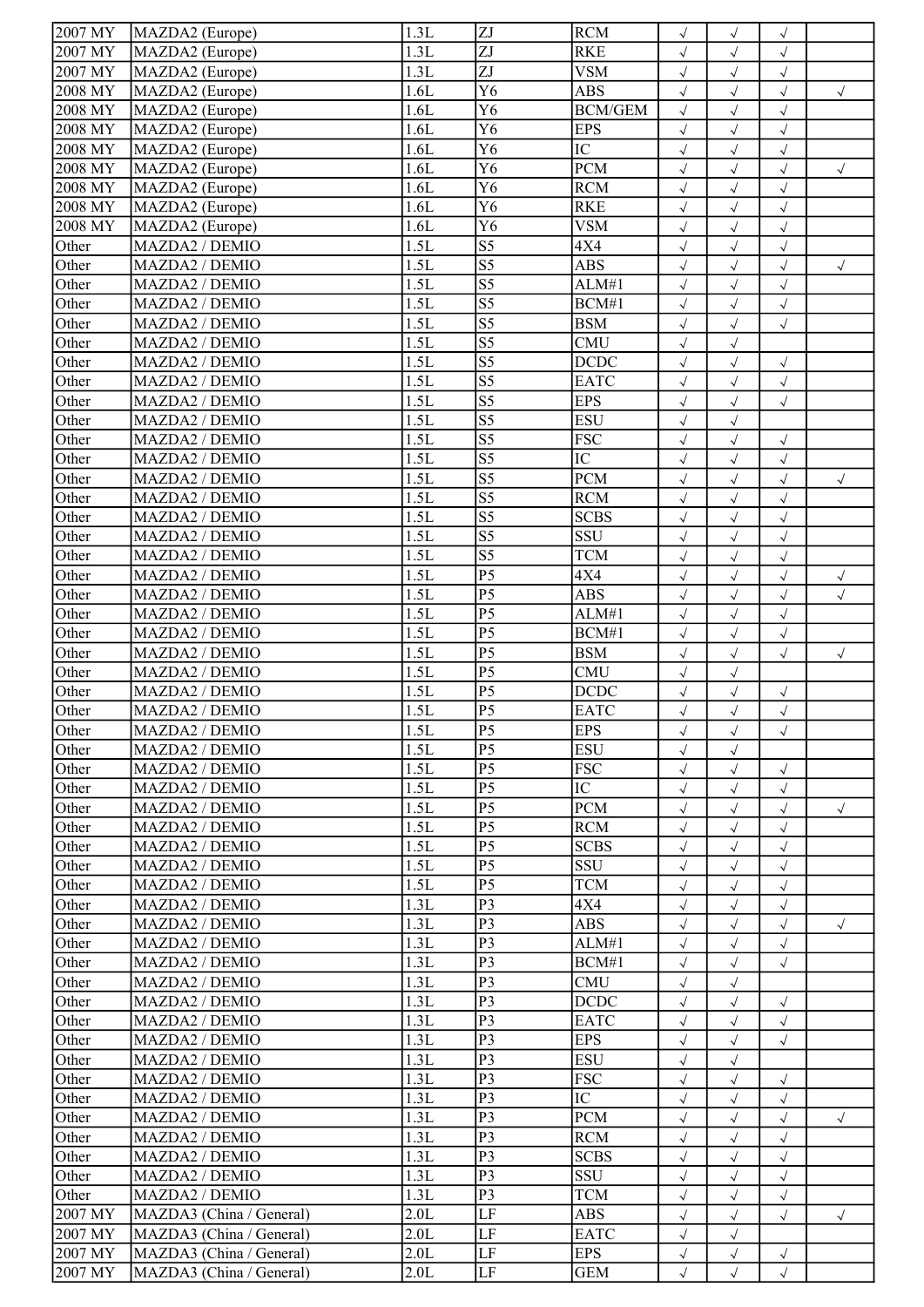| 2007 MY | MAZDA2 (Europe)          | 1.3L   | ZJ                     | <b>RCM</b>     | $\sqrt{}$    | $\sqrt{}$            | $\sqrt{\phantom{a}}$ |            |
|---------|--------------------------|--------|------------------------|----------------|--------------|----------------------|----------------------|------------|
| 2007 MY | MAZDA2 (Europe)          | 1.3L   | ZJ                     | <b>RKE</b>     | $\sqrt{ }$   | $\sqrt{}$            | $\sqrt{ }$           |            |
| 2007 MY | MAZDA2 (Europe)          | 1.3L   | ZJ                     | <b>VSM</b>     | $\sqrt{ }$   | $\sqrt{}$            | $\sqrt{ }$           |            |
| 2008 MY | MAZDA2 (Europe)          | 1.6L   | Y6                     | <b>ABS</b>     | $\sqrt{ }$   | $\sqrt{\phantom{a}}$ | $\sqrt{ }$           | $\sqrt{ }$ |
| 2008 MY | MAZDA2 (Europe)          | 1.6L   | Y6                     | <b>BCM/GEM</b> | $\sqrt{ }$   | $\sqrt{ }$           | $\sqrt{ }$           |            |
| 2008 MY | MAZDA2 (Europe)          | 1.6L   | Y <sub>6</sub>         | <b>EPS</b>     | $\sqrt{ }$   | $\sqrt{ }$           | $\sqrt{ }$           |            |
| 2008 MY | MAZDA2 (Europe)          | 1.6L   | Y <sub>6</sub>         | IC             | $\checkmark$ | $\sqrt{ }$           | $\sqrt{ }$           |            |
| 2008 MY | MAZDA2 (Europe)          | 1.6L   | Y <sub>6</sub>         | PCM            | $\sqrt{ }$   | $\sqrt{}$            | $\sqrt{ }$           | $\sqrt{}$  |
| 2008 MY | MAZDA2 (Europe)          | 1.6L   | Y <sub>6</sub>         | <b>RCM</b>     | $\sqrt{ }$   | $\sqrt{ }$           | $\sqrt{ }$           |            |
| 2008 MY | MAZDA2 (Europe)          | 1.6L   | Y <sub>6</sub>         | <b>RKE</b>     | $\sqrt{ }$   | $\sqrt{ }$           | $\sqrt{ }$           |            |
| 2008 MY | MAZDA2 (Europe)          | 1.6L   | $\overline{Y6}$        | <b>VSM</b>     | $\sqrt{ }$   | $\sqrt{2}$           | $\sqrt{ }$           |            |
| Other   | MAZDA2 / DEMIO           | 1.5L   | S <sub>5</sub>         | 4X4            | $\checkmark$ | $\sqrt{ }$           | $\sqrt{ }$           |            |
| Other   | MAZDA2 / DEMIO           | 1.5L   | $\overline{\text{S5}}$ | ABS            | $\sqrt{2}$   | $\sqrt{2}$           | $\sqrt{ }$           | $\sqrt{ }$ |
| Other   | MAZDA2 / DEMIO           | 1.5L   | S <sub>5</sub>         | ALM#1          | $\checkmark$ | $\sqrt{}$            | $\checkmark$         |            |
| Other   | MAZDA2 / DEMIO           | 1.5L   | $\overline{S5}$        | BCM#1          | $\checkmark$ | $\sqrt{ }$           | $\sqrt{ }$           |            |
| Other   | MAZDA2 / DEMIO           | 1.5L   | S <sub>5</sub>         | <b>BSM</b>     | $\sqrt{ }$   | $\sqrt{}$            | $\sqrt{ }$           |            |
| Other   | MAZDA2 / DEMIO           | 1.5L   | S <sub>5</sub>         | <b>CMU</b>     | $\sqrt{ }$   | $\sqrt{ }$           |                      |            |
| Other   | MAZDA2 / DEMIO           | 1.5L   | S <sub>5</sub>         | DCDC           | $\sqrt{ }$   | $\sqrt{ }$           | $\sqrt{ }$           |            |
| Other   |                          | 1.5L   | S <sub>5</sub>         | <b>EATC</b>    | $\checkmark$ |                      | $\sqrt{ }$           |            |
|         | MAZDA2 / DEMIO           |        | S <sub>5</sub>         |                |              | $\sqrt{ }$           |                      |            |
| Other   | MAZDA2 / DEMIO           | 1.5L   |                        | <b>EPS</b>     | $\checkmark$ | $\sqrt{ }$           | $\sqrt{ }$           |            |
| Other   | MAZDA2 / DEMIO           | 1.5L   | S <sub>5</sub>         | <b>ESU</b>     | $\sqrt{ }$   | $\sqrt{ }$           |                      |            |
| Other   | MAZDA2 / DEMIO           | 1.5L   | $\overline{\text{S5}}$ | <b>FSC</b>     | $\checkmark$ | $\sqrt{ }$           | $\sqrt{ }$           |            |
| Other   | MAZDA2 / DEMIO           | 1.5L   | $\overline{\text{S5}}$ | IC             | $\sqrt{ }$   | $\sqrt{ }$           | $\sqrt{ }$           |            |
| Other   | MAZDA2 / DEMIO           | 1.5L   | S <sub>5</sub>         | PCM            | $\sqrt{ }$   | $\sqrt{ }$           | $\sqrt{ }$           | $\sqrt{ }$ |
| Other   | MAZDA2 / DEMIO           | 1.5L   | $\overline{\text{S5}}$ | <b>RCM</b>     | $\sqrt{ }$   | $\checkmark$         | $\sqrt{ }$           |            |
| Other   | MAZDA2 / DEMIO           | 1.5L   | S5                     | <b>SCBS</b>    | $\checkmark$ | $\sqrt{}$            | $\sqrt{ }$           |            |
| Other   | MAZDA2 / DEMIO           | 1.5L   | S5                     | SSU            | $\checkmark$ | $\sqrt{}$            | $\sqrt{ }$           |            |
| Other   | MAZDA2 / DEMIO           | 1.5L   | $\overline{\text{S5}}$ | <b>TCM</b>     | $\sqrt{ }$   | $\sqrt{ }$           | $\sqrt{ }$           |            |
| Other   | MAZDA2 / DEMIO           | 1.5L   | P <sub>5</sub>         | 4X4            | $\sqrt{ }$   | $\sqrt{\phantom{a}}$ | $\sqrt{ }$           | $\sqrt{ }$ |
| Other   | MAZDA2 / DEMIO           | 1.5L   | P <sub>5</sub>         | <b>ABS</b>     | $\checkmark$ | $\sqrt{ }$           | $\sqrt{ }$           | $\sqrt{ }$ |
| Other   | MAZDA2 / DEMIO           | 1.5L   | P <sub>5</sub>         | ALM#1          | $\sqrt{ }$   | $\sqrt{ }$           | $\sqrt{ }$           |            |
| Other   | MAZDA2 / DEMIO           | 1.5L   | P <sub>5</sub>         | BCM#1          | $\checkmark$ | $\sqrt{ }$           | $\sqrt{ }$           |            |
| Other   | MAZDA2 / DEMIO           | 1.5L   | P <sub>5</sub>         | <b>BSM</b>     | $\checkmark$ | $\sqrt{ }$           | $\sqrt{ }$           | $\sqrt{ }$ |
| Other   | MAZDA2 / DEMIO           | 1.5L   | P <sub>5</sub>         | <b>CMU</b>     | $\sqrt{ }$   | $\sqrt{ }$           |                      |            |
| Other   | MAZDA2 / DEMIO           | 1.5L   | P <sub>5</sub>         | <b>DCDC</b>    | $\sqrt{ }$   | $\sqrt{ }$           | $\sqrt{ }$           |            |
| Other   | MAZDA2 / DEMIO           | 1.5L   | P <sub>5</sub>         | <b>EATC</b>    | $\sqrt{ }$   | $\sqrt{2}$           | $\sqrt{ }$           |            |
| Other   | MAZDA2 / DEMIO           | 1.5L   | P <sub>5</sub>         | <b>EPS</b>     | $\sqrt{ }$   | $\sqrt{ }$           | $\sqrt{ }$           |            |
| Other   | MAZDA2 / DEMIO           | 1.5L   | P <sub>5</sub>         | <b>ESU</b>     | $\sqrt{ }$   | $\sqrt{}$            |                      |            |
| Other   | MAZDA2 / DEMIO           | 1.5L   | P <sub>5</sub>         | <b>FSC</b>     | $\sqrt{ }$   | $\sqrt{}$            | $\sqrt{}$            |            |
| Other   | <b>MAZDA2 / DEMIO</b>    | 1.5L   | P <sub>5</sub>         | IC             | $\sqrt{ }$   | $\sqrt{ }$           | $\sqrt{ }$           |            |
| Other   | MAZDA2 / DEMIO           | 1.5L   | P <sub>5</sub>         | PCM            | $\sqrt{ }$   | $\sqrt{ }$           | $\sqrt{ }$           | $\sqrt{ }$ |
| Other   | MAZDA2 / DEMIO           | 1.5L   | P <sub>5</sub>         | <b>RCM</b>     | $\sqrt{ }$   | $\sqrt{ }$           | $\sqrt{ }$           |            |
| Other   | MAZDA2 / DEMIO           | 1.5L   | P <sub>5</sub>         | <b>SCBS</b>    | $\sqrt{ }$   |                      | $\sqrt{ }$           |            |
| Other   | MAZDA2 / DEMIO           |        | P <sub>5</sub>         | SSU            |              | $\sqrt{ }$           |                      |            |
|         |                          | 1.5L   |                        |                | $\sqrt{ }$   | $\sqrt{ }$           | $\sqrt{ }$           |            |
| Other   | MAZDA2 / DEMIO           | 1.5L   | P <sub>5</sub>         | <b>TCM</b>     | $\sqrt{ }$   | $\sqrt{}$            | $\sqrt{ }$           |            |
| Other   | MAZDA2 / DEMIO           | 1.3L   | P <sub>3</sub>         | 4X4            | $\sqrt{ }$   | $\sqrt{ }$           | $\sqrt{ }$           |            |
| Other   | MAZDA2 / DEMIO           | 1.3L   | P <sub>3</sub>         | <b>ABS</b>     | $\sqrt{ }$   | $\sqrt{ }$           | $\sqrt{ }$           | $\sqrt{ }$ |
| Other   | MAZDA2 / DEMIO           | 1.3L   | P <sub>3</sub>         | ALM#1          | $\sqrt{ }$   | $\sqrt{}$            | $\sqrt{ }$           |            |
| Other   | MAZDA2 / DEMIO           | 1.3L   | P <sub>3</sub>         | BCM#1          | $\sqrt{ }$   | $\sqrt{}$            | $\sqrt{\phantom{a}}$ |            |
| Other   | MAZDA2 / DEMIO           | 1.3L   | P <sub>3</sub>         | CMU            | $\sqrt{ }$   | $\sqrt{}$            |                      |            |
| Other   | MAZDA2 / DEMIO           | 1.3L   | P <sub>3</sub>         | <b>DCDC</b>    | $\sqrt{ }$   | $\sqrt{}$            | $\sqrt{\phantom{a}}$ |            |
| Other   | MAZDA2 / DEMIO           | 1.3L   | P <sub>3</sub>         | <b>EATC</b>    | $\sqrt{ }$   | $\sqrt{ }$           | $\sqrt{ }$           |            |
| Other   | <b>MAZDA2 / DEMIO</b>    | 1.3L   | P3                     | <b>EPS</b>     | $\sqrt{ }$   | $\sqrt{ }$           | $\sqrt{ }$           |            |
| Other   | MAZDA2 / DEMIO           | 1.3L   | P3                     | <b>ESU</b>     | $\sqrt{ }$   | $\sqrt{ }$           |                      |            |
| Other   | MAZDA2 / DEMIO           | 1.3L   | P <sub>3</sub>         | <b>FSC</b>     | $\sqrt{ }$   | $\sqrt{ }$           | $\sqrt{ }$           |            |
| Other   | MAZDA2 / DEMIO           | 1.3L   | P <sub>3</sub>         | IC             | $\checkmark$ | $\sqrt{}$            | $\sqrt{ }$           |            |
| Other   | MAZDA2 / DEMIO           | 1.3L   | P <sub>3</sub>         | PCM            | $\sqrt{ }$   | $\sqrt{ }$           | $\sqrt{ }$           | $\sqrt{ }$ |
| Other   | MAZDA2 / DEMIO           | 1.3L   | P <sub>3</sub>         | <b>RCM</b>     | $\sqrt{ }$   | $\sqrt{}$            | $\sqrt{ }$           |            |
| Other   | MAZDA2 / DEMIO           | 1.3L   | P <sub>3</sub>         | <b>SCBS</b>    | $\sqrt{ }$   | $\sqrt{ }$           | $\sqrt{ }$           |            |
| Other   | MAZDA2 / DEMIO           | 1.3L   | P <sub>3</sub>         | <b>SSU</b>     | $\sqrt{ }$   | $\sqrt{ }$           | $\sqrt{ }$           |            |
| Other   | MAZDA2 / DEMIO           | 1.3L   | P <sub>3</sub>         | <b>TCM</b>     | $\sqrt{ }$   | $\sqrt{}$            | $\sqrt{ }$           |            |
| 2007 MY | MAZDA3 (China / General) | 2.0L   | LF                     | <b>ABS</b>     | $\sqrt{ }$   | $\sqrt{}$            | $\sqrt{}$            | $\sqrt{ }$ |
| 2007 MY | MAZDA3 (China / General) | 2.0L   | $\rm LF$               | <b>EATC</b>    | $\sqrt{ }$   | $\sqrt{ }$           |                      |            |
| 2007 MY | MAZDA3 (China / General) | 2.0L   | $\rm LF$               | <b>EPS</b>     | $\sqrt{ }$   | $\sqrt{}$            | $\sqrt{ }$           |            |
| 2007 MY | MAZDA3 (China / General) | $2.0L$ | $\rm LF$               | <b>GEM</b>     | $\sqrt{ }$   | $\sqrt{ }$           | $\sqrt{ }$           |            |
|         |                          |        |                        |                |              |                      |                      |            |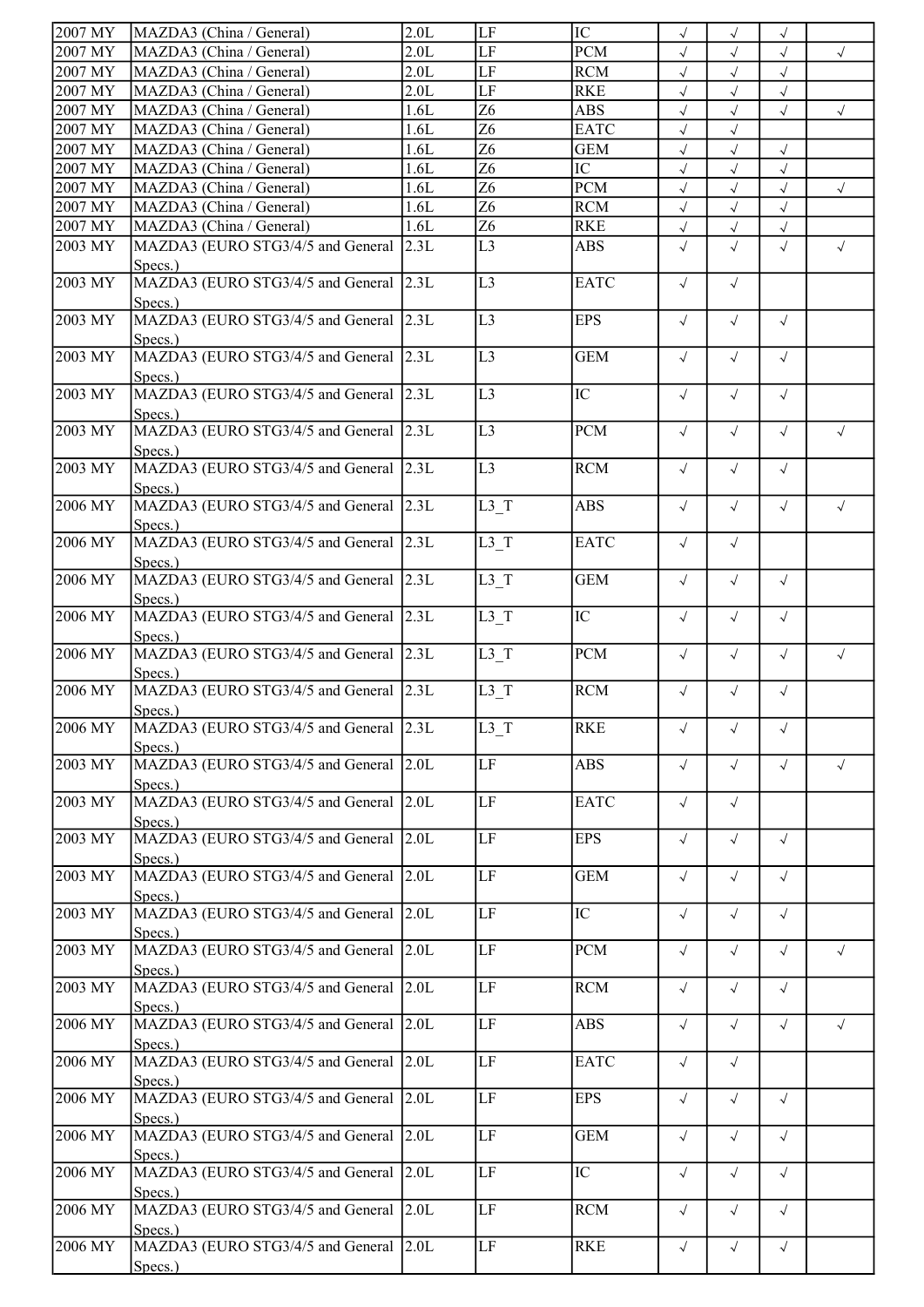| $\checkmark$<br>$\sqrt{ }$<br>$\sqrt{}$<br>$\sqrt{ }$<br>2.0L<br>LF<br>$\sqrt{ }$<br>2007 MY<br>MAZDA3 (China / General)<br><b>RCM</b><br>$\sqrt{ }$<br>$\sqrt{ }$<br>LF<br>2.0L<br>2007 MY<br>MAZDA3 (China / General)<br><b>RKE</b><br>$\sqrt{ }$<br>$\sqrt{ }$<br>$\sqrt{ }$<br>Z <sub>6</sub><br>2007 MY<br>MAZDA3 (China / General)<br>1.6L<br><b>ABS</b><br>$\sqrt{ }$<br>$\sqrt{}$<br>$\sqrt{ }$<br>$\sqrt{ }$<br>Z <sub>6</sub><br><b>EATC</b><br>2007 MY<br>MAZDA3 (China / General)<br>1.6L<br>$\sqrt{ }$<br>$\sqrt{}$<br>Z <sub>6</sub><br><b>GEM</b><br>2007 MY<br>MAZDA3 (China / General)<br>1.6L<br>$\sqrt{ }$<br>$\sqrt{}$<br>$\sqrt{ }$<br>Z <sub>6</sub><br>IC<br>2007 MY<br>MAZDA3 (China / General)<br>1.6L<br>$\sqrt{ }$<br>$\checkmark$<br>$\sqrt{}$<br>2007 MY<br>MAZDA3 (China / General)<br>Z <sub>6</sub><br><b>PCM</b><br>$\sqrt{ }$<br>$\checkmark$<br>1.6L<br>$\sqrt{}$<br>$\sqrt{}$<br>Z <sub>6</sub><br>2007 MY<br>1.6L<br>MAZDA3 (China / General)<br>$\sqrt{ }$<br>$\sqrt{ }$<br><b>RCM</b><br>$\sqrt{}$<br>$\overline{26}$<br>MAZDA3 (China / General)<br>$\sqrt{2}$<br>2007 MY<br>1.6L<br><b>RKE</b><br>$\sqrt{}$<br>$\sqrt{2}$<br>L <sub>3</sub><br>2003 MY<br>MAZDA3 (EURO STG3/4/5 and General<br>2.3L<br>$\sqrt{ }$<br>$\sqrt{ }$<br>$\sqrt{ }$<br>$\rm{ABS}$<br>$\sqrt{}$<br>Specs.)<br>MAZDA3 (EURO STG3/4/5 and General 2.3L<br>L3<br>2003 MY<br><b>EATC</b><br>$\sqrt{ }$<br>$\sqrt{ }$<br>Specs.)<br>MAZDA3 (EURO STG3/4/5 and General 2.3L<br>L <sub>3</sub><br>2003 MY<br><b>EPS</b><br>$\sqrt{ }$<br>$\sqrt{ }$<br>$\sqrt{}$<br>Specs.)<br>MAZDA3 (EURO STG3/4/5 and General 2.3L<br>L3<br>2003 MY<br><b>GEM</b><br>$\sqrt{ }$<br>$\sqrt{}$<br>$\sqrt{ }$<br>Specs.)<br>2003 MY<br>MAZDA3 (EURO STG3/4/5 and General 2.3L)<br>$\overline{L3}$<br>IC<br>$\sqrt{ }$<br>$\sqrt{}$<br>$\sqrt{ }$<br>Specs.)<br>MAZDA3 (EURO STG3/4/5 and General 2.3L)<br>L3<br>2003 MY<br>PCM<br>$\sqrt{ }$<br>$\sqrt{ }$<br>$\sqrt{ }$<br>$\sqrt{ }$<br>Specs.)<br>MAZDA3 (EURO STG3/4/5 and General<br>L3<br>2003 MY<br>2.3L<br><b>RCM</b><br>$\sqrt{ }$<br>$\sqrt{}$<br>$\sqrt{ }$<br>Specs.)<br>MAZDA3 (EURO STG3/4/5 and General<br>2006 MY<br>L3T<br>2.3L<br><b>ABS</b><br>$\sqrt{ }$<br>$\sqrt{ }$<br>$\sqrt{}$<br>$\sqrt{ }$<br>Specs.)<br>MAZDA3 (EURO STG3/4/5 and General<br>L3T<br><b>EATC</b><br>2006 MY<br>2.3L<br>$\sqrt{ }$<br>$\sqrt{}$<br>Specs.)<br>MAZDA3 (EURO STG3/4/5 and General<br>L3T<br>2006 MY<br>2.3L<br><b>GEM</b><br>$\sqrt{ }$<br>$\sqrt{ }$<br>$\sqrt{}$<br>Specs.)<br>$L3$ <sub>T</sub><br>MAZDA3 (EURO STG3/4/5 and General<br>2006 MY<br>2.3L<br>IC<br>$\sqrt{ }$<br>$\sqrt{ }$<br>$\sqrt{}$<br>Specs.)<br>MAZDA3 (EURO STG3/4/5 and General<br>L3T<br>2006 MY<br>2.3L<br>PCM<br>$\sqrt{ }$<br>$\sqrt{ }$<br>$\sqrt{ }$<br>$\sqrt{ }$<br>Specs.)<br>MAZDA3 (EURO STG3/4/5 and General<br>2006 MY<br>2.3L<br>$L3$ <sup>T</sup><br><b>RCM</b><br>$\sqrt{ }$<br>$\sqrt{ }$<br>$\sqrt{ }$<br>Specs.)<br>MAZDA3 (EURO STG3/4/5 and General 2.3L)<br>2006 MY<br><b>RKE</b><br>L3 T<br>$\sqrt{ }$<br>$\sqrt{ }$<br>$\sqrt{ }$<br>Specs.)<br>MAZDA3 (EURO STG3/4/5 and General<br>LF<br>2003 MY<br>2.0 <sub>L</sub><br><b>ABS</b><br>$\sqrt{ }$<br>$\sqrt{ }$<br>$\sqrt{ }$<br>$\sqrt{ }$<br>Specs.)<br>MAZDA3 (EURO STG3/4/5 and General<br>LF<br>2003 MY<br>2.0 <sub>L</sub><br><b>EATC</b><br>$\sqrt{ }$<br>$\sqrt{ }$<br>Specs.)<br>MAZDA3 (EURO STG3/4/5 and General<br>LF<br>2003 MY<br>2.0 <sub>L</sub><br><b>EPS</b><br>$\sqrt{ }$<br>$\sqrt{ }$<br>$\sqrt{ }$<br>Specs.)<br>MAZDA3 (EURO STG3/4/5 and General<br>LF<br>2003 MY<br>2.0 <sub>L</sub><br><b>GEM</b><br>$\sqrt{ }$<br>$\sqrt{ }$<br>$\sqrt{ }$<br>Specs.)<br>MAZDA3 (EURO STG3/4/5 and General<br>LF<br>IC<br>2003 MY<br>2.0 <sub>L</sub><br>$\sqrt{ }$<br>$\sqrt{ }$<br>$\sqrt{ }$<br>Specs.)<br>MAZDA3 (EURO STG3/4/5 and General<br>LF<br>PCM<br>2003 MY<br>2.0L<br>$\sqrt{ }$<br>$\sqrt{ }$<br>$\sqrt{ }$<br>$\sqrt{ }$<br>Specs.)<br>MAZDA3 (EURO STG3/4/5 and General<br>LF<br>2003 MY<br><b>RCM</b><br>2.0L<br>$\sqrt{ }$<br>$\sqrt{ }$<br>$\sqrt{ }$<br>Specs.)<br>MAZDA3 (EURO STG3/4/5 and General<br>LF<br>2006 MY<br>2.0 <sub>L</sub><br><b>ABS</b><br>$\sqrt{ }$<br>$\sqrt{ }$<br>$\sqrt{ }$<br>$\sqrt{ }$<br>Specs.)<br>MAZDA3 (EURO STG3/4/5 and General<br>LF<br>2006 MY<br>2.0 <sub>L</sub><br><b>EATC</b><br>$\sqrt{ }$<br>$\sqrt{ }$<br>Specs.)<br>LF<br>MAZDA3 (EURO STG3/4/5 and General<br><b>EPS</b><br>2006 MY<br>2.0 <sub>L</sub><br>$\sqrt{ }$<br>$\sqrt{ }$<br>$\sqrt{ }$<br>Specs.)<br>LF<br>MAZDA3 (EURO STG3/4/5 and General<br>2006 MY<br>2.0 <sub>L</sub><br><b>GEM</b><br>$\sqrt{}$<br>$\sqrt{ }$<br>$\sqrt{ }$<br>Specs.)<br>MAZDA3 (EURO STG3/4/5 and General 2.0L<br>LF<br>IC<br>2006 MY<br>$\sqrt{ }$<br>$\sqrt{ }$<br>$\sqrt{ }$<br>Specs.)<br>MAZDA3 (EURO STG3/4/5 and General 2.0L<br>LF<br><b>RCM</b><br>2006 MY<br>$\sqrt{ }$<br>$\sqrt{ }$<br>$\sqrt{ }$<br>Specs.)<br>MAZDA3 (EURO STG3/4/5 and General 2.0L<br>LF<br><b>RKE</b><br>2006 MY<br>$\sqrt{ }$<br>$\sqrt{ }$<br>$\sqrt{ }$ | 2007 MY | MAZDA3 (China / General) | 2.0L | $\rm LF$ | IC         | $\sqrt{ }$ | $\sqrt{}$ | $\sqrt{}$ |  |
|-----------------------------------------------------------------------------------------------------------------------------------------------------------------------------------------------------------------------------------------------------------------------------------------------------------------------------------------------------------------------------------------------------------------------------------------------------------------------------------------------------------------------------------------------------------------------------------------------------------------------------------------------------------------------------------------------------------------------------------------------------------------------------------------------------------------------------------------------------------------------------------------------------------------------------------------------------------------------------------------------------------------------------------------------------------------------------------------------------------------------------------------------------------------------------------------------------------------------------------------------------------------------------------------------------------------------------------------------------------------------------------------------------------------------------------------------------------------------------------------------------------------------------------------------------------------------------------------------------------------------------------------------------------------------------------------------------------------------------------------------------------------------------------------------------------------------------------------------------------------------------------------------------------------------------------------------------------------------------------------------------------------------------------------------------------------------------------------------------------------------------------------------------------------------------------------------------------------------------------------------------------------------------------------------------------------------------------------------------------------------------------------------------------------------------------------------------------------------------------------------------------------------------------------------------------------------------------------------------------------------------------------------------------------------------------------------------------------------------------------------------------------------------------------------------------------------------------------------------------------------------------------------------------------------------------------------------------------------------------------------------------------------------------------------------------------------------------------------------------------------------------------------------------------------------------------------------------------------------------------------------------------------------------------------------------------------------------------------------------------------------------------------------------------------------------------------------------------------------------------------------------------------------------------------------------------------------------------------------------------------------------------------------------------------------------------------------------------------------------------------------------------------------------------------------------------------------------------------------------------------------------------------------------------------------------------------------------------------------------------------------------------------------------------------------------------------------------------------------------------------------------------------------------------------------------------------------------------------------------------------------------------------------------------------------------------------------------------------------------------------------------------------------------------------------------------------------------------------------------------------------------------------------------------------------------------------------------------------------------------------------------------------------------------------------------------------------------------------------------------------------------------------------------------------------------------------------------------------------------------------------------------------------------------------------------------------------------------------------------------------------------------------------------------------------------------|---------|--------------------------|------|----------|------------|------------|-----------|-----------|--|
|                                                                                                                                                                                                                                                                                                                                                                                                                                                                                                                                                                                                                                                                                                                                                                                                                                                                                                                                                                                                                                                                                                                                                                                                                                                                                                                                                                                                                                                                                                                                                                                                                                                                                                                                                                                                                                                                                                                                                                                                                                                                                                                                                                                                                                                                                                                                                                                                                                                                                                                                                                                                                                                                                                                                                                                                                                                                                                                                                                                                                                                                                                                                                                                                                                                                                                                                                                                                                                                                                                                                                                                                                                                                                                                                                                                                                                                                                                                                                                                                                                                                                                                                                                                                                                                                                                                                                                                                                                                                                                                                                                                                                                                                                                                                                                                                                                                                                                                                                                                                                                                                 | 2007 MY | MAZDA3 (China / General) | 2.0L | LF       | <b>PCM</b> |            |           |           |  |
|                                                                                                                                                                                                                                                                                                                                                                                                                                                                                                                                                                                                                                                                                                                                                                                                                                                                                                                                                                                                                                                                                                                                                                                                                                                                                                                                                                                                                                                                                                                                                                                                                                                                                                                                                                                                                                                                                                                                                                                                                                                                                                                                                                                                                                                                                                                                                                                                                                                                                                                                                                                                                                                                                                                                                                                                                                                                                                                                                                                                                                                                                                                                                                                                                                                                                                                                                                                                                                                                                                                                                                                                                                                                                                                                                                                                                                                                                                                                                                                                                                                                                                                                                                                                                                                                                                                                                                                                                                                                                                                                                                                                                                                                                                                                                                                                                                                                                                                                                                                                                                                                 |         |                          |      |          |            |            |           |           |  |
|                                                                                                                                                                                                                                                                                                                                                                                                                                                                                                                                                                                                                                                                                                                                                                                                                                                                                                                                                                                                                                                                                                                                                                                                                                                                                                                                                                                                                                                                                                                                                                                                                                                                                                                                                                                                                                                                                                                                                                                                                                                                                                                                                                                                                                                                                                                                                                                                                                                                                                                                                                                                                                                                                                                                                                                                                                                                                                                                                                                                                                                                                                                                                                                                                                                                                                                                                                                                                                                                                                                                                                                                                                                                                                                                                                                                                                                                                                                                                                                                                                                                                                                                                                                                                                                                                                                                                                                                                                                                                                                                                                                                                                                                                                                                                                                                                                                                                                                                                                                                                                                                 |         |                          |      |          |            |            |           |           |  |
|                                                                                                                                                                                                                                                                                                                                                                                                                                                                                                                                                                                                                                                                                                                                                                                                                                                                                                                                                                                                                                                                                                                                                                                                                                                                                                                                                                                                                                                                                                                                                                                                                                                                                                                                                                                                                                                                                                                                                                                                                                                                                                                                                                                                                                                                                                                                                                                                                                                                                                                                                                                                                                                                                                                                                                                                                                                                                                                                                                                                                                                                                                                                                                                                                                                                                                                                                                                                                                                                                                                                                                                                                                                                                                                                                                                                                                                                                                                                                                                                                                                                                                                                                                                                                                                                                                                                                                                                                                                                                                                                                                                                                                                                                                                                                                                                                                                                                                                                                                                                                                                                 |         |                          |      |          |            |            |           |           |  |
|                                                                                                                                                                                                                                                                                                                                                                                                                                                                                                                                                                                                                                                                                                                                                                                                                                                                                                                                                                                                                                                                                                                                                                                                                                                                                                                                                                                                                                                                                                                                                                                                                                                                                                                                                                                                                                                                                                                                                                                                                                                                                                                                                                                                                                                                                                                                                                                                                                                                                                                                                                                                                                                                                                                                                                                                                                                                                                                                                                                                                                                                                                                                                                                                                                                                                                                                                                                                                                                                                                                                                                                                                                                                                                                                                                                                                                                                                                                                                                                                                                                                                                                                                                                                                                                                                                                                                                                                                                                                                                                                                                                                                                                                                                                                                                                                                                                                                                                                                                                                                                                                 |         |                          |      |          |            |            |           |           |  |
|                                                                                                                                                                                                                                                                                                                                                                                                                                                                                                                                                                                                                                                                                                                                                                                                                                                                                                                                                                                                                                                                                                                                                                                                                                                                                                                                                                                                                                                                                                                                                                                                                                                                                                                                                                                                                                                                                                                                                                                                                                                                                                                                                                                                                                                                                                                                                                                                                                                                                                                                                                                                                                                                                                                                                                                                                                                                                                                                                                                                                                                                                                                                                                                                                                                                                                                                                                                                                                                                                                                                                                                                                                                                                                                                                                                                                                                                                                                                                                                                                                                                                                                                                                                                                                                                                                                                                                                                                                                                                                                                                                                                                                                                                                                                                                                                                                                                                                                                                                                                                                                                 |         |                          |      |          |            |            |           |           |  |
|                                                                                                                                                                                                                                                                                                                                                                                                                                                                                                                                                                                                                                                                                                                                                                                                                                                                                                                                                                                                                                                                                                                                                                                                                                                                                                                                                                                                                                                                                                                                                                                                                                                                                                                                                                                                                                                                                                                                                                                                                                                                                                                                                                                                                                                                                                                                                                                                                                                                                                                                                                                                                                                                                                                                                                                                                                                                                                                                                                                                                                                                                                                                                                                                                                                                                                                                                                                                                                                                                                                                                                                                                                                                                                                                                                                                                                                                                                                                                                                                                                                                                                                                                                                                                                                                                                                                                                                                                                                                                                                                                                                                                                                                                                                                                                                                                                                                                                                                                                                                                                                                 |         |                          |      |          |            |            |           |           |  |
|                                                                                                                                                                                                                                                                                                                                                                                                                                                                                                                                                                                                                                                                                                                                                                                                                                                                                                                                                                                                                                                                                                                                                                                                                                                                                                                                                                                                                                                                                                                                                                                                                                                                                                                                                                                                                                                                                                                                                                                                                                                                                                                                                                                                                                                                                                                                                                                                                                                                                                                                                                                                                                                                                                                                                                                                                                                                                                                                                                                                                                                                                                                                                                                                                                                                                                                                                                                                                                                                                                                                                                                                                                                                                                                                                                                                                                                                                                                                                                                                                                                                                                                                                                                                                                                                                                                                                                                                                                                                                                                                                                                                                                                                                                                                                                                                                                                                                                                                                                                                                                                                 |         |                          |      |          |            |            |           |           |  |
|                                                                                                                                                                                                                                                                                                                                                                                                                                                                                                                                                                                                                                                                                                                                                                                                                                                                                                                                                                                                                                                                                                                                                                                                                                                                                                                                                                                                                                                                                                                                                                                                                                                                                                                                                                                                                                                                                                                                                                                                                                                                                                                                                                                                                                                                                                                                                                                                                                                                                                                                                                                                                                                                                                                                                                                                                                                                                                                                                                                                                                                                                                                                                                                                                                                                                                                                                                                                                                                                                                                                                                                                                                                                                                                                                                                                                                                                                                                                                                                                                                                                                                                                                                                                                                                                                                                                                                                                                                                                                                                                                                                                                                                                                                                                                                                                                                                                                                                                                                                                                                                                 |         |                          |      |          |            |            |           |           |  |
|                                                                                                                                                                                                                                                                                                                                                                                                                                                                                                                                                                                                                                                                                                                                                                                                                                                                                                                                                                                                                                                                                                                                                                                                                                                                                                                                                                                                                                                                                                                                                                                                                                                                                                                                                                                                                                                                                                                                                                                                                                                                                                                                                                                                                                                                                                                                                                                                                                                                                                                                                                                                                                                                                                                                                                                                                                                                                                                                                                                                                                                                                                                                                                                                                                                                                                                                                                                                                                                                                                                                                                                                                                                                                                                                                                                                                                                                                                                                                                                                                                                                                                                                                                                                                                                                                                                                                                                                                                                                                                                                                                                                                                                                                                                                                                                                                                                                                                                                                                                                                                                                 |         |                          |      |          |            |            |           |           |  |
|                                                                                                                                                                                                                                                                                                                                                                                                                                                                                                                                                                                                                                                                                                                                                                                                                                                                                                                                                                                                                                                                                                                                                                                                                                                                                                                                                                                                                                                                                                                                                                                                                                                                                                                                                                                                                                                                                                                                                                                                                                                                                                                                                                                                                                                                                                                                                                                                                                                                                                                                                                                                                                                                                                                                                                                                                                                                                                                                                                                                                                                                                                                                                                                                                                                                                                                                                                                                                                                                                                                                                                                                                                                                                                                                                                                                                                                                                                                                                                                                                                                                                                                                                                                                                                                                                                                                                                                                                                                                                                                                                                                                                                                                                                                                                                                                                                                                                                                                                                                                                                                                 |         |                          |      |          |            |            |           |           |  |
|                                                                                                                                                                                                                                                                                                                                                                                                                                                                                                                                                                                                                                                                                                                                                                                                                                                                                                                                                                                                                                                                                                                                                                                                                                                                                                                                                                                                                                                                                                                                                                                                                                                                                                                                                                                                                                                                                                                                                                                                                                                                                                                                                                                                                                                                                                                                                                                                                                                                                                                                                                                                                                                                                                                                                                                                                                                                                                                                                                                                                                                                                                                                                                                                                                                                                                                                                                                                                                                                                                                                                                                                                                                                                                                                                                                                                                                                                                                                                                                                                                                                                                                                                                                                                                                                                                                                                                                                                                                                                                                                                                                                                                                                                                                                                                                                                                                                                                                                                                                                                                                                 |         |                          |      |          |            |            |           |           |  |
|                                                                                                                                                                                                                                                                                                                                                                                                                                                                                                                                                                                                                                                                                                                                                                                                                                                                                                                                                                                                                                                                                                                                                                                                                                                                                                                                                                                                                                                                                                                                                                                                                                                                                                                                                                                                                                                                                                                                                                                                                                                                                                                                                                                                                                                                                                                                                                                                                                                                                                                                                                                                                                                                                                                                                                                                                                                                                                                                                                                                                                                                                                                                                                                                                                                                                                                                                                                                                                                                                                                                                                                                                                                                                                                                                                                                                                                                                                                                                                                                                                                                                                                                                                                                                                                                                                                                                                                                                                                                                                                                                                                                                                                                                                                                                                                                                                                                                                                                                                                                                                                                 |         |                          |      |          |            |            |           |           |  |
|                                                                                                                                                                                                                                                                                                                                                                                                                                                                                                                                                                                                                                                                                                                                                                                                                                                                                                                                                                                                                                                                                                                                                                                                                                                                                                                                                                                                                                                                                                                                                                                                                                                                                                                                                                                                                                                                                                                                                                                                                                                                                                                                                                                                                                                                                                                                                                                                                                                                                                                                                                                                                                                                                                                                                                                                                                                                                                                                                                                                                                                                                                                                                                                                                                                                                                                                                                                                                                                                                                                                                                                                                                                                                                                                                                                                                                                                                                                                                                                                                                                                                                                                                                                                                                                                                                                                                                                                                                                                                                                                                                                                                                                                                                                                                                                                                                                                                                                                                                                                                                                                 |         |                          |      |          |            |            |           |           |  |
|                                                                                                                                                                                                                                                                                                                                                                                                                                                                                                                                                                                                                                                                                                                                                                                                                                                                                                                                                                                                                                                                                                                                                                                                                                                                                                                                                                                                                                                                                                                                                                                                                                                                                                                                                                                                                                                                                                                                                                                                                                                                                                                                                                                                                                                                                                                                                                                                                                                                                                                                                                                                                                                                                                                                                                                                                                                                                                                                                                                                                                                                                                                                                                                                                                                                                                                                                                                                                                                                                                                                                                                                                                                                                                                                                                                                                                                                                                                                                                                                                                                                                                                                                                                                                                                                                                                                                                                                                                                                                                                                                                                                                                                                                                                                                                                                                                                                                                                                                                                                                                                                 |         |                          |      |          |            |            |           |           |  |
|                                                                                                                                                                                                                                                                                                                                                                                                                                                                                                                                                                                                                                                                                                                                                                                                                                                                                                                                                                                                                                                                                                                                                                                                                                                                                                                                                                                                                                                                                                                                                                                                                                                                                                                                                                                                                                                                                                                                                                                                                                                                                                                                                                                                                                                                                                                                                                                                                                                                                                                                                                                                                                                                                                                                                                                                                                                                                                                                                                                                                                                                                                                                                                                                                                                                                                                                                                                                                                                                                                                                                                                                                                                                                                                                                                                                                                                                                                                                                                                                                                                                                                                                                                                                                                                                                                                                                                                                                                                                                                                                                                                                                                                                                                                                                                                                                                                                                                                                                                                                                                                                 |         |                          |      |          |            |            |           |           |  |
|                                                                                                                                                                                                                                                                                                                                                                                                                                                                                                                                                                                                                                                                                                                                                                                                                                                                                                                                                                                                                                                                                                                                                                                                                                                                                                                                                                                                                                                                                                                                                                                                                                                                                                                                                                                                                                                                                                                                                                                                                                                                                                                                                                                                                                                                                                                                                                                                                                                                                                                                                                                                                                                                                                                                                                                                                                                                                                                                                                                                                                                                                                                                                                                                                                                                                                                                                                                                                                                                                                                                                                                                                                                                                                                                                                                                                                                                                                                                                                                                                                                                                                                                                                                                                                                                                                                                                                                                                                                                                                                                                                                                                                                                                                                                                                                                                                                                                                                                                                                                                                                                 |         |                          |      |          |            |            |           |           |  |
|                                                                                                                                                                                                                                                                                                                                                                                                                                                                                                                                                                                                                                                                                                                                                                                                                                                                                                                                                                                                                                                                                                                                                                                                                                                                                                                                                                                                                                                                                                                                                                                                                                                                                                                                                                                                                                                                                                                                                                                                                                                                                                                                                                                                                                                                                                                                                                                                                                                                                                                                                                                                                                                                                                                                                                                                                                                                                                                                                                                                                                                                                                                                                                                                                                                                                                                                                                                                                                                                                                                                                                                                                                                                                                                                                                                                                                                                                                                                                                                                                                                                                                                                                                                                                                                                                                                                                                                                                                                                                                                                                                                                                                                                                                                                                                                                                                                                                                                                                                                                                                                                 |         |                          |      |          |            |            |           |           |  |
|                                                                                                                                                                                                                                                                                                                                                                                                                                                                                                                                                                                                                                                                                                                                                                                                                                                                                                                                                                                                                                                                                                                                                                                                                                                                                                                                                                                                                                                                                                                                                                                                                                                                                                                                                                                                                                                                                                                                                                                                                                                                                                                                                                                                                                                                                                                                                                                                                                                                                                                                                                                                                                                                                                                                                                                                                                                                                                                                                                                                                                                                                                                                                                                                                                                                                                                                                                                                                                                                                                                                                                                                                                                                                                                                                                                                                                                                                                                                                                                                                                                                                                                                                                                                                                                                                                                                                                                                                                                                                                                                                                                                                                                                                                                                                                                                                                                                                                                                                                                                                                                                 |         |                          |      |          |            |            |           |           |  |
|                                                                                                                                                                                                                                                                                                                                                                                                                                                                                                                                                                                                                                                                                                                                                                                                                                                                                                                                                                                                                                                                                                                                                                                                                                                                                                                                                                                                                                                                                                                                                                                                                                                                                                                                                                                                                                                                                                                                                                                                                                                                                                                                                                                                                                                                                                                                                                                                                                                                                                                                                                                                                                                                                                                                                                                                                                                                                                                                                                                                                                                                                                                                                                                                                                                                                                                                                                                                                                                                                                                                                                                                                                                                                                                                                                                                                                                                                                                                                                                                                                                                                                                                                                                                                                                                                                                                                                                                                                                                                                                                                                                                                                                                                                                                                                                                                                                                                                                                                                                                                                                                 |         |                          |      |          |            |            |           |           |  |
|                                                                                                                                                                                                                                                                                                                                                                                                                                                                                                                                                                                                                                                                                                                                                                                                                                                                                                                                                                                                                                                                                                                                                                                                                                                                                                                                                                                                                                                                                                                                                                                                                                                                                                                                                                                                                                                                                                                                                                                                                                                                                                                                                                                                                                                                                                                                                                                                                                                                                                                                                                                                                                                                                                                                                                                                                                                                                                                                                                                                                                                                                                                                                                                                                                                                                                                                                                                                                                                                                                                                                                                                                                                                                                                                                                                                                                                                                                                                                                                                                                                                                                                                                                                                                                                                                                                                                                                                                                                                                                                                                                                                                                                                                                                                                                                                                                                                                                                                                                                                                                                                 |         |                          |      |          |            |            |           |           |  |
|                                                                                                                                                                                                                                                                                                                                                                                                                                                                                                                                                                                                                                                                                                                                                                                                                                                                                                                                                                                                                                                                                                                                                                                                                                                                                                                                                                                                                                                                                                                                                                                                                                                                                                                                                                                                                                                                                                                                                                                                                                                                                                                                                                                                                                                                                                                                                                                                                                                                                                                                                                                                                                                                                                                                                                                                                                                                                                                                                                                                                                                                                                                                                                                                                                                                                                                                                                                                                                                                                                                                                                                                                                                                                                                                                                                                                                                                                                                                                                                                                                                                                                                                                                                                                                                                                                                                                                                                                                                                                                                                                                                                                                                                                                                                                                                                                                                                                                                                                                                                                                                                 |         |                          |      |          |            |            |           |           |  |
|                                                                                                                                                                                                                                                                                                                                                                                                                                                                                                                                                                                                                                                                                                                                                                                                                                                                                                                                                                                                                                                                                                                                                                                                                                                                                                                                                                                                                                                                                                                                                                                                                                                                                                                                                                                                                                                                                                                                                                                                                                                                                                                                                                                                                                                                                                                                                                                                                                                                                                                                                                                                                                                                                                                                                                                                                                                                                                                                                                                                                                                                                                                                                                                                                                                                                                                                                                                                                                                                                                                                                                                                                                                                                                                                                                                                                                                                                                                                                                                                                                                                                                                                                                                                                                                                                                                                                                                                                                                                                                                                                                                                                                                                                                                                                                                                                                                                                                                                                                                                                                                                 |         |                          |      |          |            |            |           |           |  |
|                                                                                                                                                                                                                                                                                                                                                                                                                                                                                                                                                                                                                                                                                                                                                                                                                                                                                                                                                                                                                                                                                                                                                                                                                                                                                                                                                                                                                                                                                                                                                                                                                                                                                                                                                                                                                                                                                                                                                                                                                                                                                                                                                                                                                                                                                                                                                                                                                                                                                                                                                                                                                                                                                                                                                                                                                                                                                                                                                                                                                                                                                                                                                                                                                                                                                                                                                                                                                                                                                                                                                                                                                                                                                                                                                                                                                                                                                                                                                                                                                                                                                                                                                                                                                                                                                                                                                                                                                                                                                                                                                                                                                                                                                                                                                                                                                                                                                                                                                                                                                                                                 |         |                          |      |          |            |            |           |           |  |
|                                                                                                                                                                                                                                                                                                                                                                                                                                                                                                                                                                                                                                                                                                                                                                                                                                                                                                                                                                                                                                                                                                                                                                                                                                                                                                                                                                                                                                                                                                                                                                                                                                                                                                                                                                                                                                                                                                                                                                                                                                                                                                                                                                                                                                                                                                                                                                                                                                                                                                                                                                                                                                                                                                                                                                                                                                                                                                                                                                                                                                                                                                                                                                                                                                                                                                                                                                                                                                                                                                                                                                                                                                                                                                                                                                                                                                                                                                                                                                                                                                                                                                                                                                                                                                                                                                                                                                                                                                                                                                                                                                                                                                                                                                                                                                                                                                                                                                                                                                                                                                                                 |         |                          |      |          |            |            |           |           |  |
|                                                                                                                                                                                                                                                                                                                                                                                                                                                                                                                                                                                                                                                                                                                                                                                                                                                                                                                                                                                                                                                                                                                                                                                                                                                                                                                                                                                                                                                                                                                                                                                                                                                                                                                                                                                                                                                                                                                                                                                                                                                                                                                                                                                                                                                                                                                                                                                                                                                                                                                                                                                                                                                                                                                                                                                                                                                                                                                                                                                                                                                                                                                                                                                                                                                                                                                                                                                                                                                                                                                                                                                                                                                                                                                                                                                                                                                                                                                                                                                                                                                                                                                                                                                                                                                                                                                                                                                                                                                                                                                                                                                                                                                                                                                                                                                                                                                                                                                                                                                                                                                                 |         |                          |      |          |            |            |           |           |  |
|                                                                                                                                                                                                                                                                                                                                                                                                                                                                                                                                                                                                                                                                                                                                                                                                                                                                                                                                                                                                                                                                                                                                                                                                                                                                                                                                                                                                                                                                                                                                                                                                                                                                                                                                                                                                                                                                                                                                                                                                                                                                                                                                                                                                                                                                                                                                                                                                                                                                                                                                                                                                                                                                                                                                                                                                                                                                                                                                                                                                                                                                                                                                                                                                                                                                                                                                                                                                                                                                                                                                                                                                                                                                                                                                                                                                                                                                                                                                                                                                                                                                                                                                                                                                                                                                                                                                                                                                                                                                                                                                                                                                                                                                                                                                                                                                                                                                                                                                                                                                                                                                 |         |                          |      |          |            |            |           |           |  |
|                                                                                                                                                                                                                                                                                                                                                                                                                                                                                                                                                                                                                                                                                                                                                                                                                                                                                                                                                                                                                                                                                                                                                                                                                                                                                                                                                                                                                                                                                                                                                                                                                                                                                                                                                                                                                                                                                                                                                                                                                                                                                                                                                                                                                                                                                                                                                                                                                                                                                                                                                                                                                                                                                                                                                                                                                                                                                                                                                                                                                                                                                                                                                                                                                                                                                                                                                                                                                                                                                                                                                                                                                                                                                                                                                                                                                                                                                                                                                                                                                                                                                                                                                                                                                                                                                                                                                                                                                                                                                                                                                                                                                                                                                                                                                                                                                                                                                                                                                                                                                                                                 |         |                          |      |          |            |            |           |           |  |
|                                                                                                                                                                                                                                                                                                                                                                                                                                                                                                                                                                                                                                                                                                                                                                                                                                                                                                                                                                                                                                                                                                                                                                                                                                                                                                                                                                                                                                                                                                                                                                                                                                                                                                                                                                                                                                                                                                                                                                                                                                                                                                                                                                                                                                                                                                                                                                                                                                                                                                                                                                                                                                                                                                                                                                                                                                                                                                                                                                                                                                                                                                                                                                                                                                                                                                                                                                                                                                                                                                                                                                                                                                                                                                                                                                                                                                                                                                                                                                                                                                                                                                                                                                                                                                                                                                                                                                                                                                                                                                                                                                                                                                                                                                                                                                                                                                                                                                                                                                                                                                                                 |         |                          |      |          |            |            |           |           |  |
|                                                                                                                                                                                                                                                                                                                                                                                                                                                                                                                                                                                                                                                                                                                                                                                                                                                                                                                                                                                                                                                                                                                                                                                                                                                                                                                                                                                                                                                                                                                                                                                                                                                                                                                                                                                                                                                                                                                                                                                                                                                                                                                                                                                                                                                                                                                                                                                                                                                                                                                                                                                                                                                                                                                                                                                                                                                                                                                                                                                                                                                                                                                                                                                                                                                                                                                                                                                                                                                                                                                                                                                                                                                                                                                                                                                                                                                                                                                                                                                                                                                                                                                                                                                                                                                                                                                                                                                                                                                                                                                                                                                                                                                                                                                                                                                                                                                                                                                                                                                                                                                                 |         |                          |      |          |            |            |           |           |  |
|                                                                                                                                                                                                                                                                                                                                                                                                                                                                                                                                                                                                                                                                                                                                                                                                                                                                                                                                                                                                                                                                                                                                                                                                                                                                                                                                                                                                                                                                                                                                                                                                                                                                                                                                                                                                                                                                                                                                                                                                                                                                                                                                                                                                                                                                                                                                                                                                                                                                                                                                                                                                                                                                                                                                                                                                                                                                                                                                                                                                                                                                                                                                                                                                                                                                                                                                                                                                                                                                                                                                                                                                                                                                                                                                                                                                                                                                                                                                                                                                                                                                                                                                                                                                                                                                                                                                                                                                                                                                                                                                                                                                                                                                                                                                                                                                                                                                                                                                                                                                                                                                 |         |                          |      |          |            |            |           |           |  |
|                                                                                                                                                                                                                                                                                                                                                                                                                                                                                                                                                                                                                                                                                                                                                                                                                                                                                                                                                                                                                                                                                                                                                                                                                                                                                                                                                                                                                                                                                                                                                                                                                                                                                                                                                                                                                                                                                                                                                                                                                                                                                                                                                                                                                                                                                                                                                                                                                                                                                                                                                                                                                                                                                                                                                                                                                                                                                                                                                                                                                                                                                                                                                                                                                                                                                                                                                                                                                                                                                                                                                                                                                                                                                                                                                                                                                                                                                                                                                                                                                                                                                                                                                                                                                                                                                                                                                                                                                                                                                                                                                                                                                                                                                                                                                                                                                                                                                                                                                                                                                                                                 |         |                          |      |          |            |            |           |           |  |
|                                                                                                                                                                                                                                                                                                                                                                                                                                                                                                                                                                                                                                                                                                                                                                                                                                                                                                                                                                                                                                                                                                                                                                                                                                                                                                                                                                                                                                                                                                                                                                                                                                                                                                                                                                                                                                                                                                                                                                                                                                                                                                                                                                                                                                                                                                                                                                                                                                                                                                                                                                                                                                                                                                                                                                                                                                                                                                                                                                                                                                                                                                                                                                                                                                                                                                                                                                                                                                                                                                                                                                                                                                                                                                                                                                                                                                                                                                                                                                                                                                                                                                                                                                                                                                                                                                                                                                                                                                                                                                                                                                                                                                                                                                                                                                                                                                                                                                                                                                                                                                                                 |         |                          |      |          |            |            |           |           |  |
|                                                                                                                                                                                                                                                                                                                                                                                                                                                                                                                                                                                                                                                                                                                                                                                                                                                                                                                                                                                                                                                                                                                                                                                                                                                                                                                                                                                                                                                                                                                                                                                                                                                                                                                                                                                                                                                                                                                                                                                                                                                                                                                                                                                                                                                                                                                                                                                                                                                                                                                                                                                                                                                                                                                                                                                                                                                                                                                                                                                                                                                                                                                                                                                                                                                                                                                                                                                                                                                                                                                                                                                                                                                                                                                                                                                                                                                                                                                                                                                                                                                                                                                                                                                                                                                                                                                                                                                                                                                                                                                                                                                                                                                                                                                                                                                                                                                                                                                                                                                                                                                                 |         |                          |      |          |            |            |           |           |  |
|                                                                                                                                                                                                                                                                                                                                                                                                                                                                                                                                                                                                                                                                                                                                                                                                                                                                                                                                                                                                                                                                                                                                                                                                                                                                                                                                                                                                                                                                                                                                                                                                                                                                                                                                                                                                                                                                                                                                                                                                                                                                                                                                                                                                                                                                                                                                                                                                                                                                                                                                                                                                                                                                                                                                                                                                                                                                                                                                                                                                                                                                                                                                                                                                                                                                                                                                                                                                                                                                                                                                                                                                                                                                                                                                                                                                                                                                                                                                                                                                                                                                                                                                                                                                                                                                                                                                                                                                                                                                                                                                                                                                                                                                                                                                                                                                                                                                                                                                                                                                                                                                 |         |                          |      |          |            |            |           |           |  |
|                                                                                                                                                                                                                                                                                                                                                                                                                                                                                                                                                                                                                                                                                                                                                                                                                                                                                                                                                                                                                                                                                                                                                                                                                                                                                                                                                                                                                                                                                                                                                                                                                                                                                                                                                                                                                                                                                                                                                                                                                                                                                                                                                                                                                                                                                                                                                                                                                                                                                                                                                                                                                                                                                                                                                                                                                                                                                                                                                                                                                                                                                                                                                                                                                                                                                                                                                                                                                                                                                                                                                                                                                                                                                                                                                                                                                                                                                                                                                                                                                                                                                                                                                                                                                                                                                                                                                                                                                                                                                                                                                                                                                                                                                                                                                                                                                                                                                                                                                                                                                                                                 |         |                          |      |          |            |            |           |           |  |
|                                                                                                                                                                                                                                                                                                                                                                                                                                                                                                                                                                                                                                                                                                                                                                                                                                                                                                                                                                                                                                                                                                                                                                                                                                                                                                                                                                                                                                                                                                                                                                                                                                                                                                                                                                                                                                                                                                                                                                                                                                                                                                                                                                                                                                                                                                                                                                                                                                                                                                                                                                                                                                                                                                                                                                                                                                                                                                                                                                                                                                                                                                                                                                                                                                                                                                                                                                                                                                                                                                                                                                                                                                                                                                                                                                                                                                                                                                                                                                                                                                                                                                                                                                                                                                                                                                                                                                                                                                                                                                                                                                                                                                                                                                                                                                                                                                                                                                                                                                                                                                                                 |         |                          |      |          |            |            |           |           |  |
|                                                                                                                                                                                                                                                                                                                                                                                                                                                                                                                                                                                                                                                                                                                                                                                                                                                                                                                                                                                                                                                                                                                                                                                                                                                                                                                                                                                                                                                                                                                                                                                                                                                                                                                                                                                                                                                                                                                                                                                                                                                                                                                                                                                                                                                                                                                                                                                                                                                                                                                                                                                                                                                                                                                                                                                                                                                                                                                                                                                                                                                                                                                                                                                                                                                                                                                                                                                                                                                                                                                                                                                                                                                                                                                                                                                                                                                                                                                                                                                                                                                                                                                                                                                                                                                                                                                                                                                                                                                                                                                                                                                                                                                                                                                                                                                                                                                                                                                                                                                                                                                                 |         | Specs.)                  |      |          |            |            |           |           |  |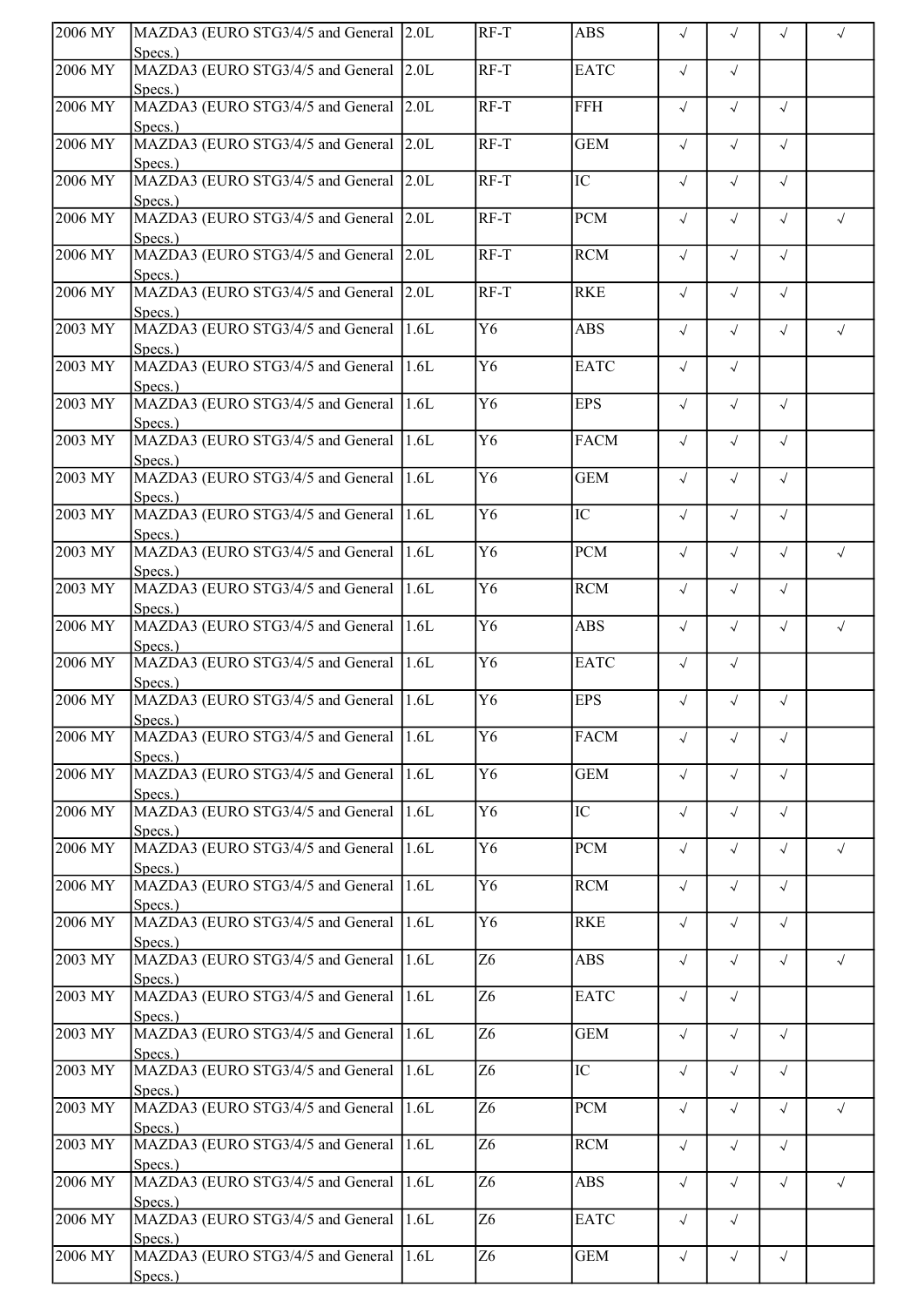| 2006 MY | MAZDA3 (EURO STG3/4/5 and General 2.0L<br>Specs.)  |      | $RF-T$          | <b>ABS</b>  | $\sqrt{ }$ | $\sqrt{}$  | $\sqrt{}$  | $\sqrt{ }$ |
|---------|----------------------------------------------------|------|-----------------|-------------|------------|------------|------------|------------|
| 2006 MY | MAZDA3 (EURO STG3/4/5 and General 2.0L<br>Specs.)  |      | $RF-T$          | EATC        | $\sqrt{ }$ | $\sqrt{}$  |            |            |
| 2006 MY | MAZDA3 (EURO STG3/4/5 and General 2.0L<br>Specs.)  |      | $RF-T$          | <b>FFH</b>  | $\sqrt{ }$ | $\sqrt{}$  | $\sqrt{ }$ |            |
| 2006 MY | MAZDA3 (EURO STG3/4/5 and General<br>Specs.)       | 2.0L | $RF-T$          | <b>GEM</b>  | $\sqrt{ }$ | $\sqrt{ }$ | $\sqrt{ }$ |            |
| 2006 MY | MAZDA3 (EURO STG3/4/5 and General<br>Specs.)       | 2.0L | $RF-T$          | IC          | $\sqrt{ }$ | $\sqrt{ }$ | $\sqrt{ }$ |            |
| 2006 MY | MAZDA3 (EURO STG3/4/5 and General<br>Specs.)       | 2.0L | $RF-T$          | PCM         | $\sqrt{ }$ | $\sqrt{ }$ | $\sqrt{}$  | $\sqrt{ }$ |
| 2006 MY | MAZDA3 (EURO STG3/4/5 and General<br>Specs.)       | 2.0L | $RF-T$          | <b>RCM</b>  | $\sqrt{ }$ | $\sqrt{ }$ | $\sqrt{ }$ |            |
| 2006 MY | MAZDA3 (EURO STG3/4/5 and General<br>Specs.)       | 2.0L | $RF-T$          | <b>RKE</b>  | $\sqrt{ }$ | $\sqrt{ }$ | $\sqrt{ }$ |            |
| 2003 MY | MAZDA3 (EURO STG3/4/5 and General 1.6L)<br>Specs.  |      | Y <sub>6</sub>  | <b>ABS</b>  | $\sqrt{ }$ | $\sqrt{ }$ | $\sqrt{ }$ | $\sqrt{ }$ |
| 2003 MY | MAZDA3 (EURO STG3/4/5 and General 1.6L)<br>Specs.) |      | Y <sub>6</sub>  | <b>EATC</b> | $\sqrt{ }$ | $\sqrt{ }$ |            |            |
| 2003 MY | MAZDA3 (EURO STG3/4/5 and General 1.6L)<br>Specs.) |      | Y <sub>6</sub>  | <b>EPS</b>  | $\sqrt{ }$ | $\sqrt{ }$ | $\sqrt{ }$ |            |
| 2003 MY | MAZDA3 (EURO STG3/4/5 and General 1.6L)<br>Specs.) |      | Y <sub>6</sub>  | FACM        | $\sqrt{ }$ | $\sqrt{ }$ | $\sqrt{ }$ |            |
| 2003 MY | MAZDA3 (EURO STG3/4/5 and General 1.6L)<br>Specs.) |      | Y <sub>6</sub>  | <b>GEM</b>  | $\sqrt{ }$ | $\sqrt{ }$ | $\sqrt{ }$ |            |
| 2003 MY | MAZDA3 (EURO STG3/4/5 and General 1.6L)<br>Specs.) |      | Y <sub>6</sub>  | IC          | $\sqrt{ }$ | $\sqrt{ }$ | $\sqrt{ }$ |            |
| 2003 MY | MAZDA3 (EURO STG3/4/5 and General 1.6L)<br>Specs.) |      | Y <sub>6</sub>  | PCM         | $\sqrt{}$  | $\sqrt{ }$ | $\sqrt{}$  | $\sqrt{ }$ |
| 2003 MY | MAZDA3 (EURO STG3/4/5 and General 1.6L)<br>Specs.) |      | Y <sub>6</sub>  | <b>RCM</b>  | $\sqrt{}$  | $\sqrt{ }$ | $\sqrt{ }$ |            |
| 2006 MY | MAZDA3 (EURO STG3/4/5 and General 1.6L<br>Specs.)  |      | Y <sub>6</sub>  | <b>ABS</b>  | $\sqrt{}$  | $\sqrt{ }$ | $\sqrt{ }$ | $\sqrt{ }$ |
| 2006 MY | MAZDA3 (EURO STG3/4/5 and General 1.6L)<br>Specs.) |      | Y <sub>6</sub>  | <b>EATC</b> | $\sqrt{}$  | $\sqrt{ }$ |            |            |
| 2006 MY | MAZDA3 (EURO STG3/4/5 and General 1.6L<br>Specs.)  |      | Y <sub>6</sub>  | <b>EPS</b>  | $\sqrt{ }$ | $\sqrt{}$  | $\sqrt{}$  |            |
| 2006 MY | MAZDA3 (EURO STG3/4/5 and General 1.6L)<br>Specs.) |      | Y <sub>6</sub>  | FACM        | $\sqrt{}$  | $\sqrt{}$  | $\sqrt{ }$ |            |
| 2006 MY | MAZDA3 (EURO STG3/4/5 and General 1.6L)<br>Specs.) |      | $\overline{Y6}$ | <b>GEM</b>  | $\sqrt{ }$ | $\sqrt{ }$ | $\sqrt{ }$ |            |
| 2006 MY | MAZDA3 (EURO STG3/4/5 and General 1.6L)<br>Specs.) |      | Y <sub>6</sub>  | IC          | $\sqrt{}$  | $\sqrt{ }$ | $\sqrt{ }$ |            |
| 2006 MY | MAZDA3 (EURO STG3/4/5 and General<br>Specs.)       | 1.6L | Y <sub>6</sub>  | PCM         | $\sqrt{ }$ | $\sqrt{}$  | $\sqrt{ }$ | $\sqrt{ }$ |
| 2006 MY | MAZDA3 (EURO STG3/4/5 and General 1.6L)<br>Specs.) |      | Y <sub>6</sub>  | <b>RCM</b>  | $\sqrt{ }$ | $\sqrt{}$  | $\sqrt{ }$ |            |
| 2006 MY | MAZDA3 (EURO STG3/4/5 and General 1.6L)<br>Specs.) |      | $\overline{Y6}$ | <b>RKE</b>  | $\sqrt{ }$ | $\sqrt{}$  | $\sqrt{ }$ |            |
| 2003 MY | MAZDA3 (EURO STG3/4/5 and General 1.6L)<br>Specs.) |      | Z <sub>6</sub>  | <b>ABS</b>  | $\sqrt{ }$ | $\sqrt{}$  | $\sqrt{ }$ | $\sqrt{ }$ |
| 2003 MY | MAZDA3 (EURO STG3/4/5 and General 1.6L)<br>Specs.) |      | Z <sub>6</sub>  | <b>EATC</b> | $\sqrt{ }$ | $\sqrt{}$  |            |            |
| 2003 MY | MAZDA3 (EURO STG3/4/5 and General<br>Specs.)       | 1.6L | Z <sub>6</sub>  | <b>GEM</b>  | $\sqrt{ }$ | $\sqrt{ }$ | $\sqrt{ }$ |            |
| 2003 MY | MAZDA3 (EURO STG3/4/5 and General 1.6L)<br>Specs.) |      | Z <sub>6</sub>  | IC          | $\sqrt{ }$ | $\sqrt{ }$ | $\sqrt{ }$ |            |
| 2003 MY | MAZDA3 (EURO STG3/4/5 and General 1.6L)<br>Specs.) |      | Z <sub>6</sub>  | PCM         | $\sqrt{}$  | $\sqrt{}$  | $\sqrt{ }$ | $\sqrt{ }$ |
| 2003 MY | MAZDA3 (EURO STG3/4/5 and General 1.6L)<br>Specs.) |      | Z <sub>6</sub>  | <b>RCM</b>  | $\sqrt{}$  | $\sqrt{ }$ | $\sqrt{ }$ |            |
| 2006 MY | MAZDA3 (EURO STG3/4/5 and General 1.6L)<br>Specs.) |      | Z <sub>6</sub>  | <b>ABS</b>  | $\sqrt{ }$ | $\sqrt{ }$ | $\sqrt{ }$ | $\sqrt{ }$ |
| 2006 MY | MAZDA3 (EURO STG3/4/5 and General 1.6L)<br>Specs.) |      | Z <sub>6</sub>  | <b>EATC</b> | $\sqrt{ }$ | $\sqrt{ }$ |            |            |
| 2006 MY | MAZDA3 (EURO STG3/4/5 and General 1.6L)<br>Specs.) |      | Z <sub>6</sub>  | <b>GEM</b>  | $\sqrt{ }$ | $\sqrt{}$  | $\sqrt{}$  |            |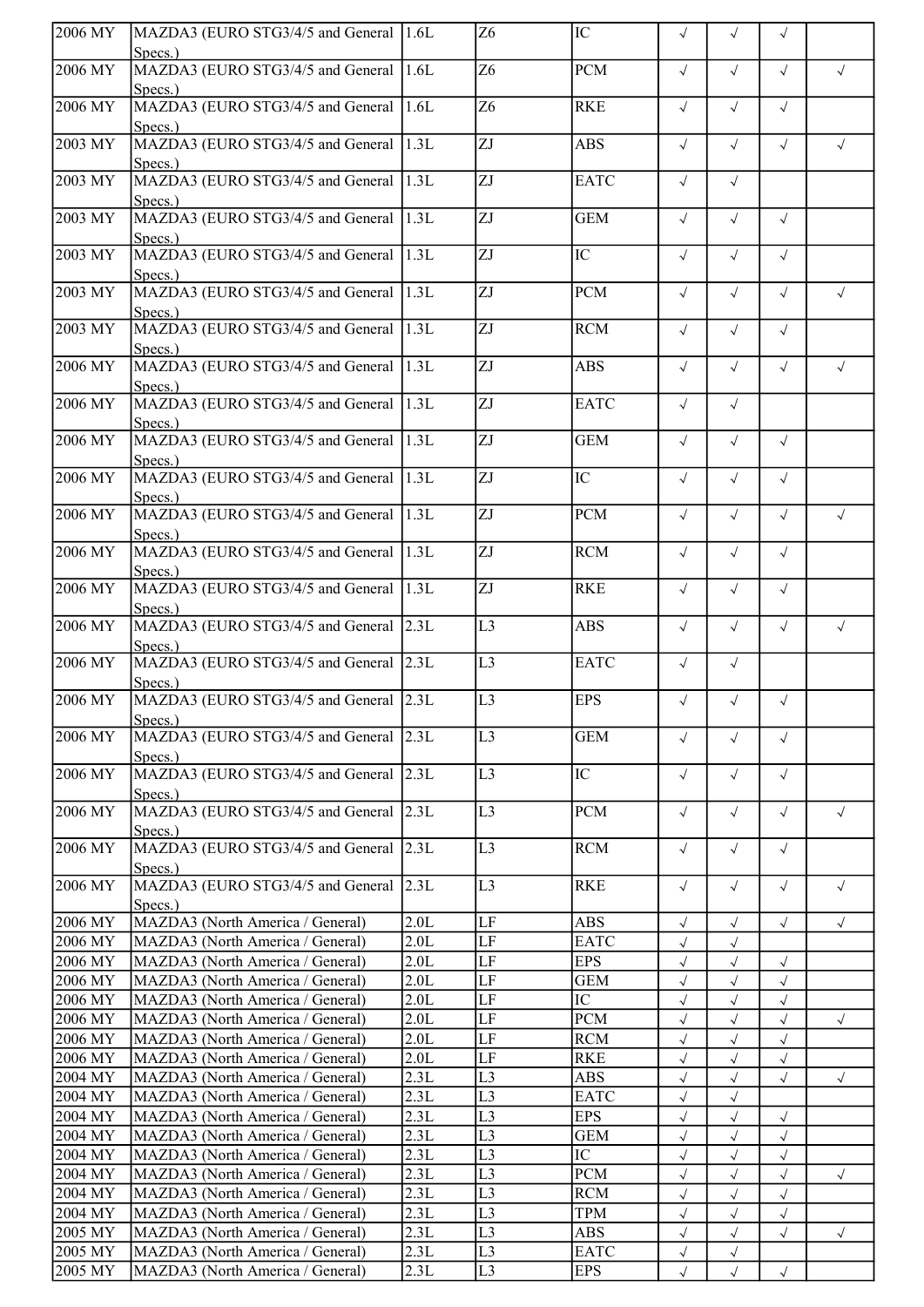| 2006 MY | MAZDA3 (EURO STG3/4/5 and General 1.6L)                       |      | Z <sub>6</sub>  | IC          | $\sqrt{ }$   | $\sqrt{ }$ | $\sqrt{ }$           |            |
|---------|---------------------------------------------------------------|------|-----------------|-------------|--------------|------------|----------------------|------------|
| 2006 MY | Specs.)<br>MAZDA3 (EURO STG3/4/5 and General 1.6L)<br>Specs.) |      | Z <sub>6</sub>  | <b>PCM</b>  | $\sqrt{ }$   | $\sqrt{ }$ | $\sqrt{ }$           | $\sqrt{ }$ |
| 2006 MY | MAZDA3 (EURO STG3/4/5 and General 1.6L<br>Specs.)             |      | Z <sub>6</sub>  | <b>RKE</b>  | $\sqrt{ }$   | $\sqrt{ }$ | $\sqrt{ }$           |            |
| 2003 MY | MAZDA3 (EURO STG3/4/5 and General<br>Specs.)                  | 1.3L | ZJ              | <b>ABS</b>  | $\sqrt{ }$   | $\sqrt{ }$ | $\sqrt{ }$           | $\sqrt{ }$ |
| 2003 MY | MAZDA3 (EURO STG3/4/5 and General                             | 1.3L | ZJ              | <b>EATC</b> | $\sqrt{ }$   | $\sqrt{ }$ |                      |            |
| 2003 MY | Specs.)<br>MAZDA3 (EURO STG3/4/5 and General                  | 1.3L | ZJ              | <b>GEM</b>  | $\sqrt{ }$   | $\sqrt{}$  | $\sqrt{ }$           |            |
| 2003 MY | Specs.)<br>MAZDA3 (EURO STG3/4/5 and General<br>Specs.)       | 1.3L | ZJ              | IC          | $\sqrt{ }$   | $\sqrt{2}$ | $\sqrt{ }$           |            |
| 2003 MY | MAZDA3 (EURO STG3/4/5 and General 1.3L)<br>Specs.)            |      | ZJ              | PCM         | $\sqrt{ }$   | $\sqrt{ }$ | $\sqrt{ }$           | $\sqrt{ }$ |
| 2003 MY | MAZDA3 (EURO STG3/4/5 and General 1.3L)<br>Specs.)            |      | ZJ              | <b>RCM</b>  | $\sqrt{ }$   | $\sqrt{ }$ | $\sqrt{ }$           |            |
| 2006 MY | MAZDA3 (EURO STG3/4/5 and General 1.3L)<br>Specs.)            |      | ZJ              | <b>ABS</b>  | $\sqrt{ }$   | $\sqrt{ }$ | $\sqrt{ }$           | $\sqrt{ }$ |
| 2006 MY | MAZDA3 (EURO STG3/4/5 and General 1.3L)<br>Specs.)            |      | $\overline{ZJ}$ | <b>EATC</b> | $\sqrt{ }$   | $\sqrt{ }$ |                      |            |
| 2006 MY | MAZDA3 (EURO STG3/4/5 and General 1.3L<br>Specs.)             |      | ZJ              | <b>GEM</b>  | $\sqrt{ }$   | $\sqrt{ }$ | $\sqrt{ }$           |            |
| 2006 MY | MAZDA3 (EURO STG3/4/5 and General 1.3L<br>Specs.)             |      | ZJ              | IC          | $\sqrt{ }$   | $\sqrt{ }$ | $\sqrt{ }$           |            |
| 2006 MY | MAZDA3 (EURO STG3/4/5 and General 1.3L<br>Specs.)             |      | ZJ              | PCM         | $\sqrt{ }$   | $\sqrt{ }$ | $\sqrt{ }$           | $\sqrt{ }$ |
| 2006 MY | MAZDA3 (EURO STG3/4/5 and General 1.3L<br>Specs.)             |      | ZJ              | <b>RCM</b>  | $\sqrt{ }$   | $\sqrt{ }$ | $\sqrt{ }$           |            |
| 2006 MY | MAZDA3 (EURO STG3/4/5 and General 1.3L<br>Specs.)             |      | ZJ              | <b>RKE</b>  | $\sqrt{ }$   | $\sqrt{}$  | $\sqrt{ }$           |            |
| 2006 MY | MAZDA3 (EURO STG3/4/5 and General 2.3L<br>Specs.)             |      | L <sub>3</sub>  | <b>ABS</b>  | $\sqrt{ }$   | $\sqrt{}$  | $\sqrt{ }$           | $\sqrt{ }$ |
| 2006 MY | MAZDA3 (EURO STG3/4/5 and General 2.3L<br>Specs.)             |      | L <sub>3</sub>  | <b>EATC</b> | $\sqrt{ }$   | $\sqrt{ }$ |                      |            |
| 2006 MY | MAZDA3 (EURO STG3/4/5 and General 2.3L<br>Specs.)             |      | L <sub>3</sub>  | <b>EPS</b>  | $\sqrt{ }$   | $\sqrt{}$  | $\sqrt{2}$           |            |
| 2006 MY | MAZDA3 (EURO STG3/4/5 and General 2.3L)<br>Specs.)            |      | L <sub>3</sub>  | <b>GEM</b>  | $\sqrt{ }$   | $\sqrt{ }$ | $\sqrt{ }$           |            |
| 2006 MY | MAZDA3 (EURO STG3/4/5 and General 2.3L)<br>Specs.)            |      | L <sub>3</sub>  | IC          | $\sqrt{ }$   | $\sqrt{}$  | $\sqrt{ }$           |            |
| 2006 MY | MAZDA3 (EURO STG3/4/5 and General 2.3L)<br>Specs.)            |      | L <sub>3</sub>  | <b>PCM</b>  | $\sqrt{ }$   | $\sqrt{ }$ | $\sqrt{ }$           | $\sqrt{ }$ |
| 2006 MY | MAZDA3 (EURO STG3/4/5 and General 2.3L)<br>Specs.)            |      | L <sub>3</sub>  | <b>RCM</b>  | $\sqrt{ }$   | $\sqrt{ }$ | $\sqrt{ }$           |            |
| 2006 MY | MAZDA3 (EURO STG3/4/5 and General 2.3L)<br>Specs.)            |      | L <sub>3</sub>  | <b>RKE</b>  | $\sqrt{ }$   | $\sqrt{}$  | $\sqrt{ }$           | $\sqrt{ }$ |
| 2006 MY | MAZDA3 (North America / General)                              | 2.0L | LF              | <b>ABS</b>  | $\sqrt{ }$   | $\sqrt{}$  | $\sqrt{ }$           | $\sqrt{ }$ |
| 2006 MY | MAZDA3 (North America / General)                              | 2.0L | LF              | <b>EATC</b> | $\sqrt{ }$   | $\sqrt{}$  |                      |            |
| 2006 MY | MAZDA3 (North America / General)                              | 2.0L | LF              | <b>EPS</b>  | $\checkmark$ | $\sqrt{}$  | $\sqrt{}$            |            |
| 2006 MY | MAZDA3 (North America / General)                              | 2.0L | LF              | <b>GEM</b>  | $\sqrt{ }$   | $\sqrt{}$  | $\sqrt{2}$           |            |
| 2006 MY | MAZDA3 (North America / General)                              | 2.0L | LF              | IC          | $\sqrt{ }$   | $\sqrt{}$  | $\sqrt{}$            |            |
| 2006 MY | MAZDA3 (North America / General)                              | 2.0L | LF              | <b>PCM</b>  | $\sqrt{ }$   | $\sqrt{}$  | $\sqrt{}$            | $\sqrt{ }$ |
| 2006 MY | MAZDA3 (North America / General)                              | 2.0L | LF              | <b>RCM</b>  | $\sqrt{ }$   | $\sqrt{ }$ | $\sqrt{ }$           |            |
| 2006 MY | MAZDA3 (North America / General)                              | 2.0L | LF              | <b>RKE</b>  | $\sqrt{ }$   | $\sqrt{ }$ | $\sqrt{\phantom{a}}$ |            |
| 2004 MY | MAZDA3 (North America / General)                              | 2.3L | L <sub>3</sub>  | <b>ABS</b>  | $\checkmark$ | $\sqrt{ }$ | $\sqrt{\phantom{a}}$ | $\sqrt{}$  |
| 2004 MY | MAZDA3 (North America / General)                              | 2.3L | L <sub>3</sub>  | <b>EATC</b> | $\sqrt{ }$   | $\sqrt{}$  |                      |            |
| 2004 MY | MAZDA3 (North America / General)                              | 2.3L | L <sub>3</sub>  | <b>EPS</b>  | $\sqrt{ }$   | $\sqrt{}$  | $\sqrt{\phantom{a}}$ |            |
| 2004 MY | MAZDA3 (North America / General)                              | 2.3L | L <sub>3</sub>  | <b>GEM</b>  | $\sqrt{ }$   | $\sqrt{}$  | $\sqrt{}$            |            |
| 2004 MY | MAZDA3 (North America / General)                              | 2.3L | L <sub>3</sub>  | IC          | $\checkmark$ | $\sqrt{}$  | $\checkmark$         |            |
| 2004 MY | MAZDA3 (North America / General)                              | 2.3L | L <sub>3</sub>  | <b>PCM</b>  | $\sqrt{ }$   | $\sqrt{ }$ | $\sqrt{\phantom{a}}$ | $\sqrt{ }$ |
| 2004 MY | MAZDA3 (North America / General)                              | 2.3L | L <sub>3</sub>  | <b>RCM</b>  | $\sqrt{ }$   | $\sqrt{}$  | $\sqrt{2}$           |            |
| 2004 MY | MAZDA3 (North America / General)                              | 2.3L | L <sub>3</sub>  | <b>TPM</b>  | $\sqrt{ }$   | $\sqrt{}$  | $\sqrt{\phantom{a}}$ |            |
| 2005 MY | MAZDA3 (North America / General)                              | 2.3L | L <sub>3</sub>  | <b>ABS</b>  | $\sqrt{ }$   | $\sqrt{}$  | $\sqrt{2}$           | $\sqrt{ }$ |
| 2005 MY | MAZDA3 (North America / General)                              | 2.3L | L3              | <b>EATC</b> | $\sqrt{}$    | $\sqrt{ }$ |                      |            |
| 2005 MY | MAZDA3 (North America / General)                              | 2.3L | L <sub>3</sub>  | <b>EPS</b>  | $\checkmark$ | $\sqrt{}$  | $\sqrt{ }$           |            |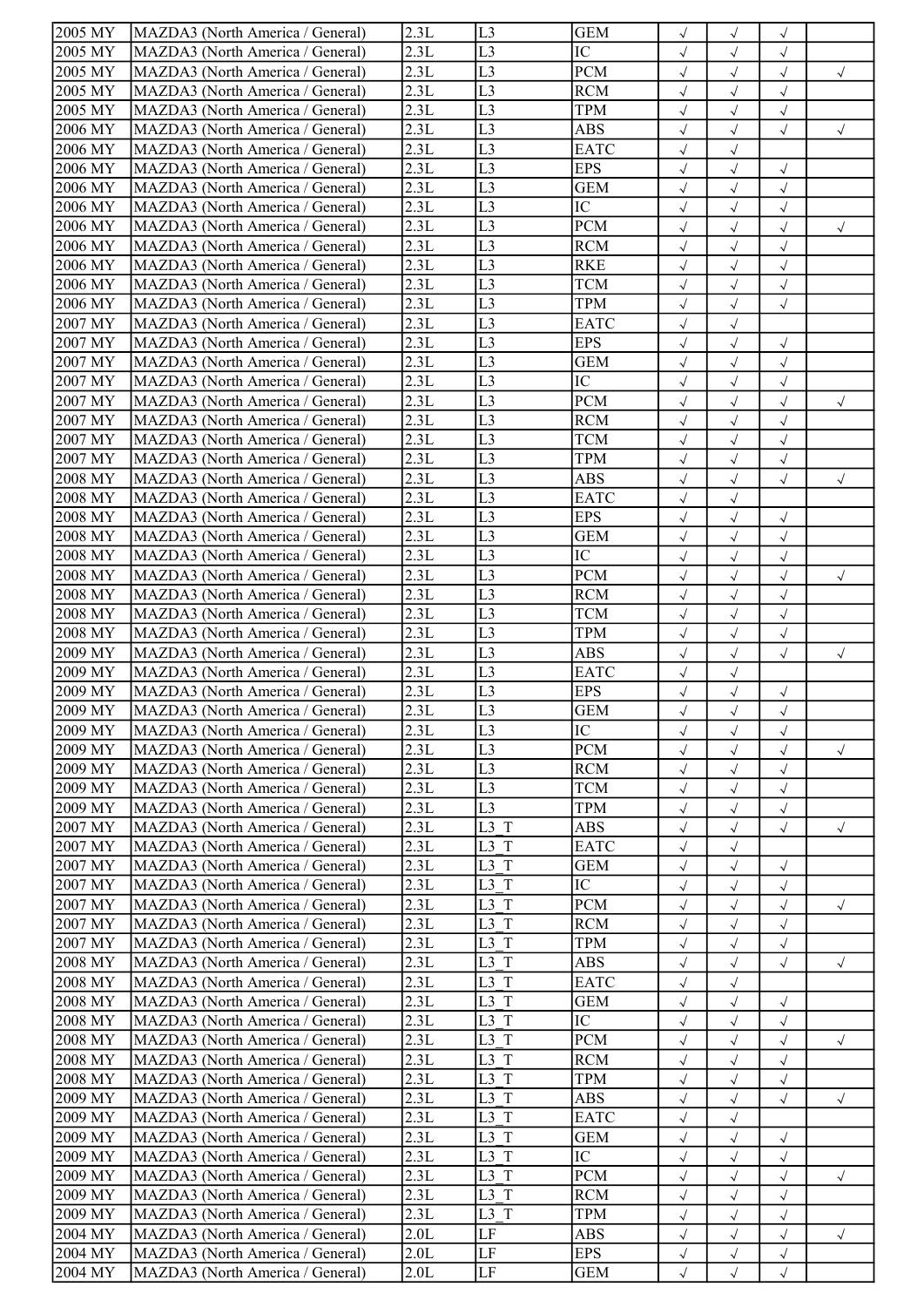| 2005 MY | MAZDA3 (North America / General) | 2.3L             | L <sub>3</sub> | GEM         | $\sqrt{ }$ | $\sqrt{ }$   | $\sqrt{ }$           |            |
|---------|----------------------------------|------------------|----------------|-------------|------------|--------------|----------------------|------------|
| 2005 MY | MAZDA3 (North America / General) | 2.3L             | L <sub>3</sub> | IC          | $\sqrt{}$  | $\sqrt{}$    | $\sqrt{ }$           |            |
| 2005 MY | MAZDA3 (North America / General) | 2.3L             | L <sub>3</sub> | <b>PCM</b>  | $\sqrt{ }$ | $\sqrt{ }$   | $\sqrt{ }$           | $\sqrt{ }$ |
| 2005 MY | MAZDA3 (North America / General) | 2.3L             | L3             | <b>RCM</b>  | $\sqrt{ }$ | $\sqrt{ }$   | $\sqrt{ }$           |            |
| 2005 MY | MAZDA3 (North America / General) | 2.3L             | L <sub>3</sub> | TPM         | $\sqrt{}$  | $\sqrt{}$    | $\sqrt{ }$           |            |
| 2006 MY | MAZDA3 (North America / General) | 2.3L             | L <sub>3</sub> | <b>ABS</b>  | $\sqrt{}$  | $\sqrt{ }$   | $\sqrt{ }$           | $\sqrt{ }$ |
| 2006 MY | MAZDA3 (North America / General) | 2.3L             | L <sub>3</sub> | <b>EATC</b> | $\sqrt{ }$ | $\sqrt{ }$   |                      |            |
| 2006 MY | MAZDA3 (North America / General) | 2.3L             | L <sub>3</sub> | <b>EPS</b>  | $\sqrt{ }$ | $\sqrt{ }$   | $\sqrt{ }$           |            |
| 2006 MY | MAZDA3 (North America / General) | 2.3L             | L <sub>3</sub> | <b>GEM</b>  | $\sqrt{}$  | $\sqrt{ }$   | $\sqrt{ }$           |            |
| 2006 MY | MAZDA3 (North America / General) | 2.3L             | L <sub>3</sub> | IC          | $\sqrt{ }$ | $\sqrt{}$    | $\sqrt{ }$           |            |
| 2006 MY | MAZDA3 (North America / General) | 2.3L             | L <sub>3</sub> | <b>PCM</b>  | $\sqrt{2}$ | $\sqrt{}$    | $\sqrt{}$            | $\sqrt{ }$ |
| 2006 MY | MAZDA3 (North America / General) | 2.3L             | L <sub>3</sub> | <b>RCM</b>  | $\sqrt{}$  | $\sqrt{}$    | $\sqrt{}$            |            |
| 2006 MY | MAZDA3 (North America / General) | 2.3L             | L <sub>3</sub> | <b>RKE</b>  | $\sqrt{2}$ | $\checkmark$ | $\checkmark$         |            |
| 2006 MY | MAZDA3 (North America / General) | 2.3L             | L <sub>3</sub> | TCM         | $\sqrt{}$  | $\sqrt{}$    | $\sqrt{ }$           |            |
| 2006 MY | MAZDA3 (North America / General) | 2.3L             | L3             | TPM         | $\sqrt{}$  | $\sqrt{ }$   | $\sqrt{ }$           |            |
| 2007 MY | MAZDA3 (North America / General) | 2.3L             | L <sub>3</sub> | EATC        | $\sqrt{}$  | $\sqrt{ }$   |                      |            |
| 2007 MY | MAZDA3 (North America / General) | 2.3L             | L <sub>3</sub> | <b>EPS</b>  | $\sqrt{}$  | $\sqrt{}$    | $\sqrt{ }$           |            |
| 2007 MY | MAZDA3 (North America / General) | 2.3L             | L <sub>3</sub> | GEM         | $\sqrt{}$  | $\sqrt{}$    | $\sqrt{ }$           |            |
| 2007 MY | MAZDA3 (North America / General) | 2.3L             | L <sub>3</sub> | IC          | $\sqrt{ }$ | $\sqrt{}$    | $\sqrt{ }$           |            |
| 2007 MY |                                  | 2.3L             | L <sub>3</sub> |             | $\sqrt{ }$ |              |                      | $\sqrt{ }$ |
|         | MAZDA3 (North America / General) |                  | L <sub>3</sub> | <b>PCM</b>  |            | $\sqrt{ }$   | $\sqrt{ }$           |            |
| 2007 MY | MAZDA3 (North America / General) | 2.3L             |                | <b>RCM</b>  | $\sqrt{}$  | $\sqrt{}$    | $\sqrt{ }$           |            |
| 2007 MY | MAZDA3 (North America / General) | 2.3L             | L <sub>3</sub> | <b>TCM</b>  | $\sqrt{ }$ | $\sqrt{ }$   | $\checkmark$         |            |
| 2007 MY | MAZDA3 (North America / General) | 2.3L             | L <sub>3</sub> | TPM         | $\sqrt{ }$ | $\sqrt{}$    | $\sqrt{\phantom{a}}$ |            |
| 2008 MY | MAZDA3 (North America / General) | 2.3L             | L <sub>3</sub> | ABS         | $\sqrt{}$  | $\sqrt{}$    | $\sqrt{ }$           | $\sqrt{}$  |
| 2008 MY | MAZDA3 (North America / General) | 2.3L             | L <sub>3</sub> | <b>EATC</b> | $\sqrt{2}$ | $\checkmark$ |                      |            |
| 2008 MY | MAZDA3 (North America / General) | 2.3L             | L <sub>3</sub> | EPS         | $\sqrt{ }$ | $\sqrt{}$    | $\sqrt{}$            |            |
| 2008 MY | MAZDA3 (North America / General) | 2.3L             | L <sub>3</sub> | GEM         | $\sqrt{}$  | $\sqrt{}$    | $\sqrt{ }$           |            |
| 2008 MY | MAZDA3 (North America / General) | 2.3L             | L <sub>3</sub> | IC          | $\sqrt{}$  | $\sqrt{ }$   | $\sqrt{ }$           |            |
| 2008 MY | MAZDA3 (North America / General) | 2.3L             | L <sub>3</sub> | <b>PCM</b>  | $\sqrt{}$  | $\sqrt{ }$   | $\sqrt{ }$           | $\sqrt{ }$ |
| 2008 MY | MAZDA3 (North America / General) | 2.3L             | L <sub>3</sub> | <b>RCM</b>  | $\sqrt{}$  | $\sqrt{}$    | $\sqrt{ }$           |            |
| 2008 MY | MAZDA3 (North America / General) | 2.3L             | L <sub>3</sub> | <b>TCM</b>  | $\sqrt{ }$ | $\sqrt{ }$   | $\sqrt{\phantom{a}}$ |            |
| 2008 MY | MAZDA3 (North America / General) | 2.3L             | L <sub>3</sub> | TPM         | $\sqrt{ }$ | $\sqrt{ }$   | $\sqrt{ }$           |            |
| 2009 MY | MAZDA3 (North America / General) | 2.3L             | L <sub>3</sub> | ABS         | $\sqrt{ }$ | $\sqrt{ }$   | $\sqrt{ }$           | $\sqrt{ }$ |
| 2009 MY | MAZDA3 (North America / General) | 2.3L             | L <sub>3</sub> | <b>EATC</b> | $\sqrt{ }$ | $\sqrt{ }$   |                      |            |
| 2009 MY | MAZDA3 (North America / General) | 2.3L             | L <sub>3</sub> | <b>EPS</b>  | $\sqrt{ }$ | $\sqrt{}$    | $\sqrt{}$            |            |
| 2009 MY | MAZDA3 (North America / General) | 2.3L             | L <sub>3</sub> | <b>GEM</b>  | $\sqrt{2}$ | $\sqrt{ }$   | $\sqrt{2}$           |            |
| 2009 MY | MAZDA3 (North America / General) | 2.3L             | L <sub>3</sub> | IC          | $\sqrt{ }$ | $\sqrt{ }$   | $\sqrt{ }$           |            |
| 2009 MY | MAZDA3 (North America / General) | 2.3L             | L <sub>3</sub> | <b>PCM</b>  | $\sqrt{ }$ |              | $\sqrt{ }$           | $\sqrt{ }$ |
| 2009 MY | MAZDA3 (North America / General) | 2.3L             | L <sub>3</sub> | <b>RCM</b>  | $\sqrt{}$  | $\sqrt{}$    | $\sqrt{ }$           |            |
| 2009 MY | MAZDA3 (North America / General) | 2.3L             | L3             | TCM         | $\sqrt{}$  | $\sqrt{ }$   | $\sqrt{ }$           |            |
| 2009 MY | MAZDA3 (North America / General) | 2.3L             | L <sub>3</sub> | TPM         | $\sqrt{}$  | $\sqrt{ }$   | $\sqrt{\phantom{a}}$ |            |
| 2007 MY | MAZDA3 (North America / General) | 2.3L             | L3 T           | <b>ABS</b>  | $\sqrt{}$  | $\sqrt{ }$   | $\sqrt{ }$           | $\sqrt{ }$ |
| 2007 MY | MAZDA3 (North America / General) | 2.3L             | L3 T           | <b>EATC</b> | $\sqrt{}$  | $\sqrt{ }$   |                      |            |
| 2007 MY | MAZDA3 (North America / General) | 2.3L             | L3 T           | <b>GEM</b>  | $\sqrt{ }$ | $\sqrt{ }$   | $\sqrt{ }$           |            |
| 2007 MY | MAZDA3 (North America / General) | 2.3L             | L3 T           | IC          | $\sqrt{ }$ | $\sqrt{ }$   | $\sqrt{ }$           |            |
| 2007 MY | MAZDA3 (North America / General) | 2.3L             | L3 T           | <b>PCM</b>  | $\sqrt{}$  | $\sqrt{ }$   | $\sqrt{ }$           | $\sqrt{ }$ |
| 2007 MY | MAZDA3 (North America / General) | 2.3L             | L3 T           | <b>RCM</b>  | $\sqrt{ }$ | $\sqrt{ }$   | $\checkmark$         |            |
| 2007 MY | MAZDA3 (North America / General) | 2.3L             | L3 T           | TPM         | $\sqrt{}$  | $\sqrt{}$    | $\sqrt{}$            |            |
| 2008 MY | MAZDA3 (North America / General) | 2.3L             | L3 T           | ABS         | $\sqrt{}$  | $\sqrt{}$    | $\sqrt{ }$           | $\sqrt{ }$ |
| 2008 MY | MAZDA3 (North America / General) | 2.3L             | L3 T           | <b>EATC</b> | $\sqrt{}$  |              |                      |            |
| 2008 MY | MAZDA3 (North America / General) | 2.3L             | L3 T           | <b>GEM</b>  | $\sqrt{}$  | $\sqrt{}$    | $\sqrt{}$            |            |
| 2008 MY | MAZDA3 (North America / General) | 2.3L             | L3 T           | IC          | $\sqrt{}$  | $\sqrt{}$    | $\sqrt{}$            |            |
| 2008 MY | MAZDA3 (North America / General) | 2.3L             | L3 T           | <b>PCM</b>  | $\sqrt{}$  | $\sqrt{ }$   | $\sqrt{ }$           | $\sqrt{ }$ |
| 2008 MY | MAZDA3 (North America / General) | 2.3L             | L3 T           | <b>RCM</b>  | $\sqrt{}$  | $\sqrt{ }$   | $\sqrt{\phantom{a}}$ |            |
| 2008 MY | MAZDA3 (North America / General) | 2.3L             | L3 T           | TPM         | $\sqrt{ }$ | $\sqrt{ }$   | $\sqrt{ }$           |            |
| 2009 MY | MAZDA3 (North America / General) | 2.3L             | L3 T           | <b>ABS</b>  | $\sqrt{ }$ |              |                      | $\sqrt{ }$ |
|         |                                  |                  | L3 T           | <b>EATC</b> |            | $\sqrt{ }$   | $\sqrt{ }$           |            |
| 2009 MY | MAZDA3 (North America / General) | 2.3L             |                |             | $\sqrt{ }$ | $\sqrt{ }$   |                      |            |
| 2009 MY | MAZDA3 (North America / General) | 2.3L             | L3 T           | GEM         | $\sqrt{}$  | $\sqrt{ }$   | $\sqrt{ }$           |            |
| 2009 MY | MAZDA3 (North America / General) | 2.3L             | L3 T           | IC          | $\sqrt{ }$ | $\sqrt{ }$   | $\sqrt{ }$           |            |
| 2009 MY | MAZDA3 (North America / General) | 2.3L             | L3 T           | <b>PCM</b>  | $\sqrt{ }$ | $\sqrt{ }$   | $\sqrt{ }$           | $\sqrt{ }$ |
| 2009 MY | MAZDA3 (North America / General) | 2.3L             | L3 T           | <b>RCM</b>  | $\sqrt{ }$ | $\sqrt{}$    | $\sqrt{}$            |            |
| 2009 MY | MAZDA3 (North America / General) | 2.3L             | L3 T           | TPM         | $\sqrt{}$  |              | $\checkmark$         |            |
| 2004 MY | MAZDA3 (North America / General) | 2.0L             | LF             | ABS         | $\sqrt{ }$ | $\sqrt{ }$   | $\sqrt{ }$           | $\sqrt{ }$ |
| 2004 MY | MAZDA3 (North America / General) | 2.0 <sub>L</sub> | LF             | <b>EPS</b>  | $\sqrt{ }$ | $\sqrt{ }$   | $\sqrt{ }$           |            |
| 2004 MY | MAZDA3 (North America / General) | 2.0 <sub>L</sub> | LF             | GEM         | $\sqrt{}$  | $\sqrt{ }$   | $\sqrt{ }$           |            |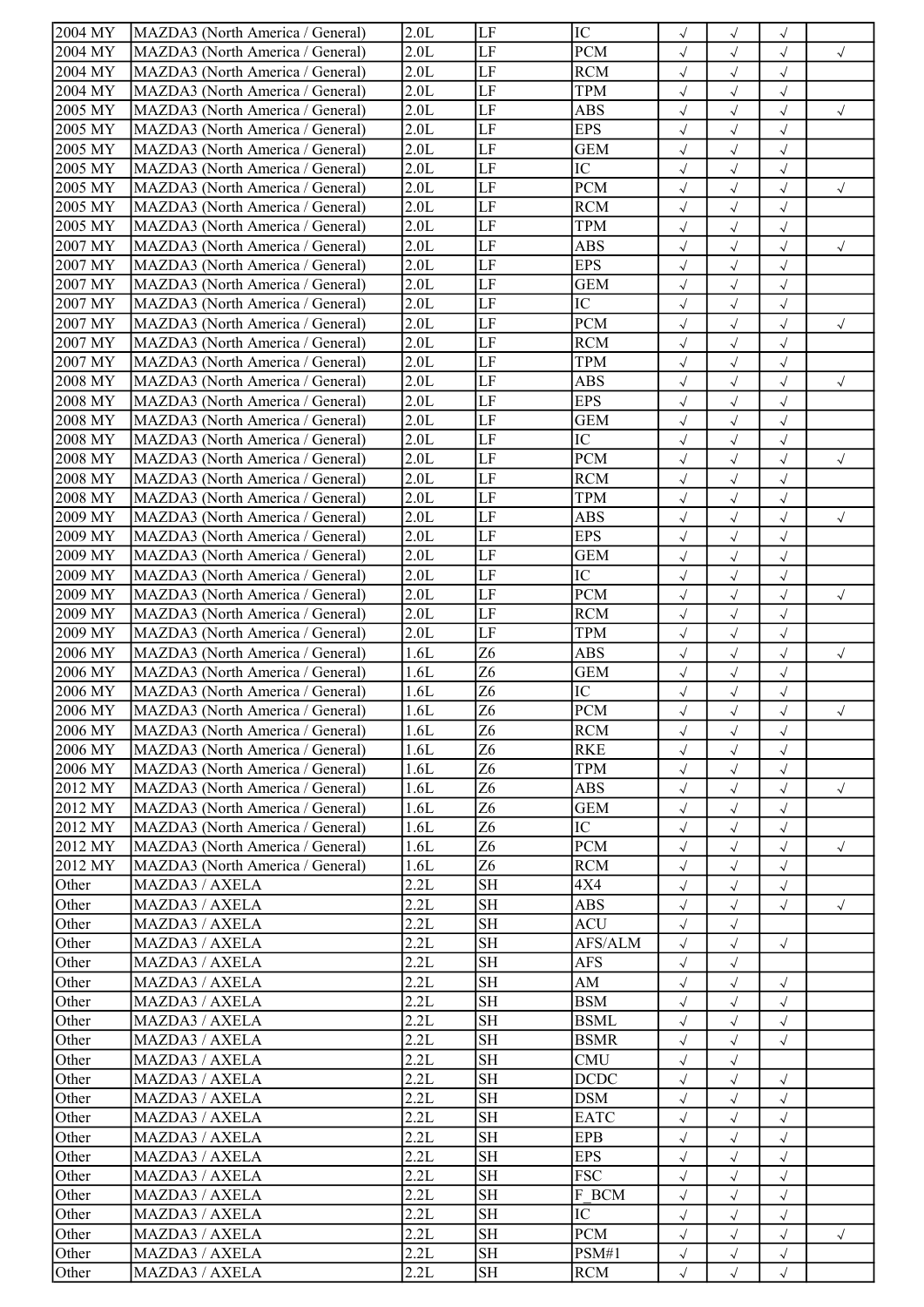| 2004 MY | MAZDA3 (North America / General) | 2.0 <sub>L</sub> | LF                  | IC          | $\sqrt{ }$               | $\sqrt{}$  | $\sqrt{ }$           |            |
|---------|----------------------------------|------------------|---------------------|-------------|--------------------------|------------|----------------------|------------|
| 2004 MY | MAZDA3 (North America / General) | 2.0 <sub>L</sub> | LF                  | <b>PCM</b>  | $\sqrt{ }$               | $\sqrt{}$  | $\sqrt{ }$           | $\sqrt{}$  |
| 2004 MY | MAZDA3 (North America / General) | 2.0 <sub>L</sub> | LF                  | <b>RCM</b>  | $\sqrt{}$                | $\sqrt{ }$ | $\sqrt{ }$           |            |
| 2004 MY | MAZDA3 (North America / General) | 2.0 <sub>L</sub> | LF                  | TPM         | $\sqrt{ }$               | $\sqrt{ }$ | $\sqrt{ }$           |            |
| 2005 MY | MAZDA3 (North America / General) | 2.0 <sub>L</sub> | LF                  | <b>ABS</b>  | $\sqrt{}$                | $\sqrt{ }$ | $\sqrt{ }$           | $\sqrt{ }$ |
| 2005 MY | MAZDA3 (North America / General) | 2.0L             | LF                  | <b>EPS</b>  | $\sqrt{ }$               | $\sqrt{ }$ | $\sqrt{ }$           |            |
| 2005 MY |                                  | 2.0L             | LF                  | <b>GEM</b>  | $\sqrt{ }$               |            |                      |            |
|         | MAZDA3 (North America / General) |                  |                     |             |                          | $\sqrt{}$  | $\sqrt{ }$           |            |
| 2005 MY | MAZDA3 (North America / General) | 2.0 <sub>L</sub> | LF                  | IC          | $\sqrt{ }$               | $\sqrt{}$  | $\sqrt{ }$           |            |
| 2005 MY | MAZDA3 (North America / General) | 2.0 <sub>L</sub> | LF                  | <b>PCM</b>  | $\sqrt{ }$               | $\sqrt{}$  | $\sqrt{}$            | $\sqrt{ }$ |
| 2005 MY | MAZDA3 (North America / General) | 2.0L             | LF                  | <b>RCM</b>  | $\sqrt{ }$               | $\sqrt{}$  | $\sqrt{ }$           |            |
| 2005 MY | MAZDA3 (North America / General) | 2.0L             | LF                  | <b>TPM</b>  | $\sqrt{ }$               | $\sqrt{}$  | $\sqrt{ }$           |            |
| 2007 MY | MAZDA3 (North America / General) | 2.0 <sub>L</sub> | LF                  | ABS         | $\sqrt{ }$               | $\sqrt{}$  | $\sqrt{ }$           | $\sqrt{ }$ |
| 2007 MY | MAZDA3 (North America / General) | 2.0L             | LF                  | <b>EPS</b>  | $\sqrt{2}$               | $\sqrt{}$  | $\sqrt{2}$           |            |
| 2007 MY | MAZDA3 (North America / General) | 2.0L             | LF                  | GEM         | $\sqrt{}$                | $\sqrt{}$  | $\sqrt{ }$           |            |
| 2007 MY | MAZDA3 (North America / General) | 2.0 <sub>L</sub> | LF                  | IC          | $\sqrt{}$                | $\sqrt{ }$ | $\sqrt{ }$           |            |
| 2007 MY | MAZDA3 (North America / General) | 2.0 <sub>L</sub> | LF                  | <b>PCM</b>  | $\sqrt{ }$               | $\sqrt{ }$ | $\sqrt{ }$           | $\sqrt{ }$ |
| 2007 MY | MAZDA3 (North America / General) | 2.0 <sub>L</sub> | LF                  | <b>RCM</b>  | $\sqrt{ }$               | $\sqrt{}$  | $\sqrt{ }$           |            |
| 2007 MY | MAZDA3 (North America / General) | 2.0 <sub>L</sub> | LF                  | TPM         | $\sqrt{}$                | $\sqrt{}$  | $\sqrt{}$            |            |
| 2008 MY | MAZDA3 (North America / General) | 2.0L             | LF                  | ABS         | $\sqrt{ }$               | $\sqrt{}$  | $\sqrt{ }$           | $\sqrt{ }$ |
| 2008 MY | MAZDA3 (North America / General) | 2.0L             | LF                  | <b>EPS</b>  | $\sqrt{ }$               | $\sqrt{}$  | $\sqrt{ }$           |            |
| 2008 MY | MAZDA3 (North America / General) | 2.0 <sub>L</sub> | LF                  | <b>GEM</b>  | $\sqrt{ }$               | $\sqrt{}$  | $\sqrt{ }$           |            |
| 2008 MY | MAZDA3 (North America / General) | 2.0L             | LF                  | IC          | $\sqrt{ }$               | $\sqrt{}$  | $\checkmark$         |            |
| 2008 MY | MAZDA3 (North America / General) | 2.0L             | LF                  | <b>PCM</b>  | $\sqrt{ }$               | $\sqrt{}$  | $\sqrt{ }$           | $\sqrt{ }$ |
|         |                                  |                  |                     |             |                          |            |                      |            |
| 2008 MY | MAZDA3 (North America / General) | 2.0L             | LF                  | <b>RCM</b>  | $\sqrt{ }$               | $\sqrt{}$  | $\sqrt{ }$           |            |
| 2008 MY | MAZDA3 (North America / General) | 2.0L             | LF                  | TPM         | $\sqrt{}$                | $\sqrt{}$  | $\checkmark$         |            |
| 2009 MY | MAZDA3 (North America / General) | 2.0L             | LF                  | ABS         | $\sqrt{ }$               | $\sqrt{}$  | $\sqrt{ }$           | $\sqrt{ }$ |
| 2009 MY | MAZDA3 (North America / General) | 2.0 <sub>L</sub> | LF                  | <b>EPS</b>  | $\sqrt{ }$               | $\sqrt{ }$ | $\sqrt{ }$           |            |
| 2009 MY | MAZDA3 (North America / General) | 2.0 <sub>L</sub> | LF                  | GEM         | $\sqrt{ }$               | $\sqrt{ }$ | $\sqrt{ }$           |            |
| 2009 MY | MAZDA3 (North America / General) | 2.0 <sub>L</sub> | LF                  | IC          | $\sqrt{ }$               | $\sqrt{ }$ | $\sqrt{ }$           |            |
| 2009 MY | MAZDA3 (North America / General) | 2.0 <sub>L</sub> | LF                  | <b>PCM</b>  | $\sqrt{}$                | $\sqrt{}$  | $\sqrt{ }$           | $\sqrt{ }$ |
| 2009 MY | MAZDA3 (North America / General) | 2.0 <sub>L</sub> | LF                  | <b>RCM</b>  | $\sqrt{ }$               | $\sqrt{ }$ | $\sqrt{ }$           |            |
| 2009 MY | MAZDA3 (North America / General) | 2.0L             | LF                  | TPM         | $\sqrt{ }$               | $\sqrt{ }$ | $\sqrt{ }$           |            |
| 2006 MY | MAZDA3 (North America / General) | 1.6L             | Z6                  | ABS         | $\sqrt{ }$               | $\sqrt{ }$ | $\sqrt{ }$           | $\sqrt{}$  |
| 2006 MY | MAZDA3 (North America / General) | 1.6L             | Z6                  | <b>GEM</b>  | $\sqrt{ }$               | $\sqrt{ }$ | $\sqrt{ }$           |            |
| 2006 MY | MAZDA3 (North America / General) | 1.6L             | Z <sub>6</sub>      | IC          | $\sqrt{ }$               | $\sqrt{}$  | $\sqrt{ }$           |            |
| 2006 MY | MAZDA3 (North America / General) | 1.6L             | Z <sub>6</sub>      | <b>PCM</b>  | $\sqrt{ }$               | $\sqrt{}$  | $\sqrt{2}$           | $\sqrt{ }$ |
| 2006 MY | MAZDA3 (North America / General) | 1.6L             | Z6                  | <b>RCM</b>  | $\sqrt{ }$               | $\sqrt{ }$ | $\sqrt{ }$           |            |
| 2006 MY | MAZDA3 (North America / General) | 1.6L             | Z <sub>6</sub>      | <b>RKE</b>  | $\sqrt{ }$               |            | $\sqrt{ }$           |            |
| 2006 MY | MAZDA3 (North America / General) | 1.6L             | Z <sub>6</sub>      | <b>TPM</b>  | $\sqrt{}$                |            | $\sqrt{ }$           |            |
| 2012 MY | MAZDA3 (North America / General) | 1.6L             | Z6                  | ABS         | $\sqrt{ }$               | $\sqrt{ }$ | $\sqrt{ }$           | $\sqrt{ }$ |
| 2012 MY | MAZDA3 (North America / General) | 1.6L             | Z6                  | <b>GEM</b>  | $\sqrt{ }$               | $\sqrt{ }$ | $\sqrt{ }$           |            |
| 2012 MY | MAZDA3 (North America / General) | 1.6L             | Z6                  | IC          | $\sqrt{ }$               | $\sqrt{}$  | $\sqrt{}$            |            |
| 2012 MY | MAZDA3 (North America / General) | 1.6L             | Z <sub>6</sub>      | <b>PCM</b>  | $\sqrt{ }$               | $\sqrt{ }$ | $\sqrt{ }$           | $\sqrt{ }$ |
| 2012 MY | MAZDA3 (North America / General) | 1.6L             | Z6                  | <b>RCM</b>  | $\sqrt{ }$               | $\sqrt{}$  | $\sqrt{ }$           |            |
| Other   | MAZDA3 / AXELA                   | 2.2L             | <b>SH</b>           | 4X4         | $\sqrt{ }$               | $\sqrt{}$  | $\sqrt{ }$           |            |
| Other   | MAZDA3 / AXELA                   | 2.2L             | <b>SH</b>           | ABS         |                          | $\sqrt{}$  |                      |            |
|         |                                  |                  |                     |             | $\sqrt{ }$<br>$\sqrt{ }$ |            | $\sqrt{ }$           | $\sqrt{ }$ |
| Other   | MAZDA3 / AXELA                   | 2.2L             | $\operatorname{SH}$ | <b>ACU</b>  |                          | $\sqrt{}$  |                      |            |
| Other   | MAZDA3 / AXELA                   | 2.2L             | <b>SH</b>           | AFS/ALM     | $\sqrt{ }$               | $\sqrt{}$  | $\sqrt{\phantom{a}}$ |            |
| Other   | MAZDA3 / AXELA                   | 2.2L             | <b>SH</b>           | <b>AFS</b>  | $\sqrt{ }$               | $\sqrt{}$  |                      |            |
| Other   | MAZDA3 / AXELA                   | 2.2L             | $\operatorname{SH}$ | AM          | $\sqrt{2}$               | $\sqrt{}$  | $\sqrt{ }$           |            |
| Other   | <b>MAZDA3 / AXELA</b>            | 2.2L             | $\operatorname{SH}$ | <b>BSM</b>  | $\sqrt{ }$               | $\sqrt{}$  | $\sqrt{ }$           |            |
| Other   | <b>MAZDA3 / AXELA</b>            | 2.2L             | $\operatorname{SH}$ | <b>BSML</b> | $\sqrt{}$                | $\sqrt{}$  | $\sqrt{ }$           |            |
| Other   | MAZDA3 / AXELA                   | 2.2L             | <b>SH</b>           | <b>BSMR</b> | $\sqrt{ }$               | $\sqrt{ }$ | $\sqrt{ }$           |            |
| Other   | MAZDA3 / AXELA                   | 2.2L             | <b>SH</b>           | CMU         | $\sqrt{ }$               | $\sqrt{ }$ |                      |            |
| Other   | MAZDA3 / AXELA                   | 2.2L             | <b>SH</b>           | <b>DCDC</b> | $\sqrt{}$                | $\sqrt{ }$ | $\sqrt{}$            |            |
| Other   | MAZDA3 / AXELA                   | 2.2L             | <b>SH</b>           | <b>DSM</b>  | $\sqrt{ }$               | $\sqrt{}$  | $\sqrt{ }$           |            |
| Other   | MAZDA3 / AXELA                   | 2.2L             | <b>SH</b>           | <b>EATC</b> | $\sqrt{ }$               | $\sqrt{}$  | $\sqrt{ }$           |            |
| Other   | MAZDA3 / AXELA                   | 2.2L             | <b>SH</b>           | <b>EPB</b>  | $\sqrt{ }$               | $\sqrt{}$  | $\sqrt{ }$           |            |
| Other   | MAZDA3 / AXELA                   | 2.2L             | <b>SH</b>           | <b>EPS</b>  | $\sqrt{ }$               | $\sqrt{ }$ | $\sqrt{ }$           |            |
| Other   | MAZDA3 / AXELA                   | 2.2L             | <b>SH</b>           | <b>FSC</b>  | $\sqrt{ }$               | $\sqrt{ }$ | $\sqrt{ }$           |            |
| Other   | MAZDA3 / AXELA                   | 2.2L             | <b>SH</b>           | F BCM       | $\sqrt{ }$               | $\sqrt{}$  | $\sqrt{ }$           |            |
| Other   | MAZDA3 / AXELA                   | 2.2L             | <b>SH</b>           | IC          | $\sqrt{ }$               | $\sqrt{}$  | $\checkmark$         |            |
| Other   | MAZDA3 / AXELA                   | 2.2L             | $\operatorname{SH}$ | PCM         | $\sqrt{ }$               | $\sqrt{ }$ | $\sqrt{ }$           | $\sqrt{ }$ |
| Other   | MAZDA3 / AXELA                   | 2.2L             | SH                  | PSM#1       | $\sqrt{ }$               | $\sqrt{ }$ | $\sqrt{ }$           |            |
| Other   | MAZDA3 / AXELA                   | 2.2L             | <b>SH</b>           | RCM         | $\sqrt{ }$               |            |                      |            |
|         |                                  |                  |                     |             |                          | $\sqrt{}$  | $\sqrt{ }$           |            |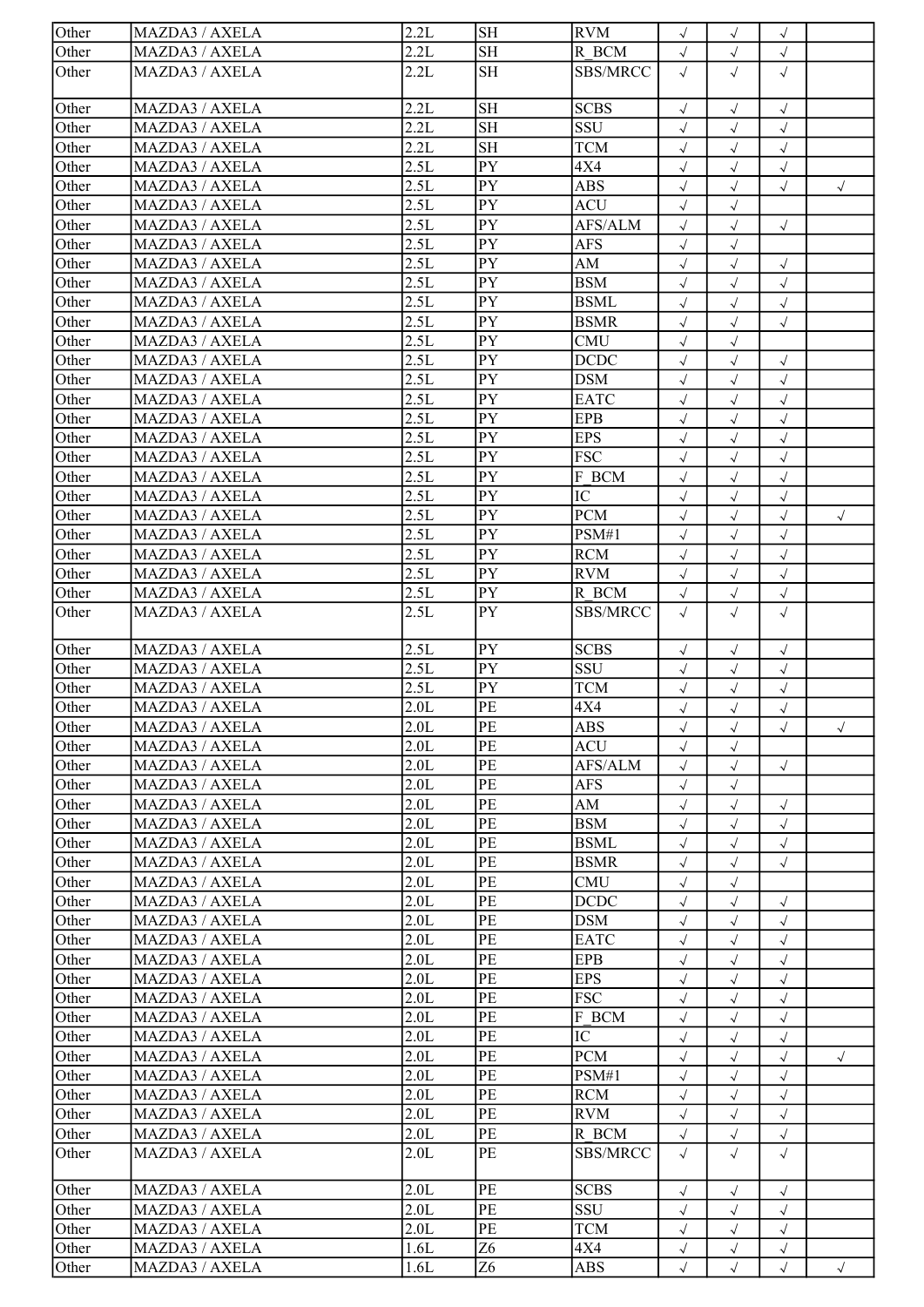| Other | MAZDA3 / AXELA        | 2.2L | <b>SH</b>       | <b>RVM</b>  | $\sqrt{ }$           | $\sqrt{ }$ | $\sqrt{ }$           |            |
|-------|-----------------------|------|-----------------|-------------|----------------------|------------|----------------------|------------|
| Other | MAZDA3 / AXELA        | 2.2L | <b>SH</b>       | R BCM       | $\sqrt{ }$           | $\sqrt{}$  | $\sqrt{ }$           |            |
| Other | <b>MAZDA3 / AXELA</b> | 2.2L | SH              | SBS/MRCC    | $\sqrt{ }$           | $\sqrt{ }$ | $\sqrt{ }$           |            |
|       |                       |      |                 |             |                      |            |                      |            |
| Other | MAZDA3 / AXELA        | 2.2L | <b>SH</b>       | <b>SCBS</b> | $\sqrt{ }$           | $\sqrt{ }$ | $\sqrt{ }$           |            |
| Other | MAZDA3 / AXELA        | 2.2L | <b>SH</b>       | SSU         | $\sqrt{ }$           | $\sqrt{ }$ | $\sqrt{ }$           |            |
| Other | MAZDA3 / AXELA        | 2.2L | <b>SH</b>       | <b>TCM</b>  | $\sqrt{ }$           | $\sqrt{ }$ | $\sqrt{ }$           |            |
| Other | MAZDA3 / AXELA        | 2.5L | PY              | 4X4         | $\sqrt{ }$           | $\sqrt{}$  | $\sqrt{ }$           |            |
| Other | MAZDA3 / AXELA        | 2.5L | PY              | <b>ABS</b>  | $\sqrt{ }$           | $\sqrt{ }$ | $\sqrt{ }$           | $\sqrt{}$  |
| Other | MAZDA3 / AXELA        | 2.5L | PY              | <b>ACU</b>  | $\sqrt{}$            | $\sqrt{ }$ |                      |            |
| Other | MAZDA3 / AXELA        | 2.5L | PY              | AFS/ALM     | $\sqrt{ }$           | $\sqrt{}$  | $\sqrt{ }$           |            |
| Other | MAZDA3 / AXELA        | 2.5L | PY              | <b>AFS</b>  | $\sqrt{ }$           | $\sqrt{ }$ |                      |            |
|       |                       |      | PY              |             |                      |            |                      |            |
| Other | MAZDA3 / AXELA        | 2.5L |                 | AM          | $\sqrt{ }$           | $\sqrt{ }$ | $\sqrt{ }$           |            |
| Other | MAZDA3 / AXELA        | 2.5L | PY              | <b>BSM</b>  | $\sqrt{ }$           | $\sqrt{}$  | $\sqrt{ }$           |            |
| Other | MAZDA3 / AXELA        | 2.5L | $\overline{PY}$ | <b>BSML</b> | $\sqrt{ }$           | $\sqrt{2}$ | $\checkmark$         |            |
| Other | MAZDA3 / AXELA        | 2.5L | PY              | <b>BSMR</b> | $\sqrt{ }$           | $\sqrt{}$  | $\sqrt{ }$           |            |
| Other | MAZDA3 / AXELA        | 2.5L | PY              | CMU         | $\sqrt{\phantom{a}}$ | $\sqrt{}$  |                      |            |
| Other | <b>MAZDA3 / AXELA</b> | 2.5L | PY              | <b>DCDC</b> | $\sqrt{ }$           | $\sqrt{}$  | $\sqrt{ }$           |            |
| Other | MAZDA3 / AXELA        | 2.5L | PY              | <b>DSM</b>  | $\sqrt{ }$           | $\sqrt{ }$ | $\sqrt{ }$           |            |
| Other | MAZDA3 / AXELA        | 2.5L | <b>PY</b>       | <b>EATC</b> | $\sqrt{ }$           | $\sqrt{}$  | $\sqrt{ }$           |            |
| Other | MAZDA3 / AXELA        | 2.5L | PY              | <b>EPB</b>  | $\sqrt{ }$           | $\sqrt{}$  | $\sqrt{ }$           |            |
| Other | MAZDA3 / AXELA        | 2.5L | PY              | <b>EPS</b>  | $\sqrt{ }$           | $\sqrt{}$  | $\sqrt{ }$           |            |
| Other | MAZDA3 / AXELA        | 2.5L | PY              | <b>FSC</b>  | $\sqrt{}$            | $\sqrt{}$  | $\sqrt{ }$           |            |
| Other | MAZDA3 / AXELA        | 2.5L | PY              | F BCM       | $\sqrt{ }$           | $\sqrt{ }$ | $\sqrt{ }$           |            |
| Other | MAZDA3 / AXELA        | 2.5L | PY              | IC          | $\sqrt{ }$           | $\sqrt{ }$ | $\sqrt{ }$           |            |
|       |                       |      |                 |             |                      |            |                      |            |
| Other | MAZDA3 / AXELA        | 2.5L | PY              | <b>PCM</b>  | $\sqrt{}$            | $\sqrt{ }$ | $\sqrt{ }$           | $\sqrt{ }$ |
| Other | MAZDA3 / AXELA        | 2.5L | PY              | PSM#1       | $\sqrt{ }$           | $\sqrt{2}$ | $\sqrt{ }$           |            |
| Other | MAZDA3 / AXELA        | 2.5L | <b>PY</b>       | <b>RCM</b>  | $\sqrt{ }$           | $\sqrt{}$  | $\sqrt{ }$           |            |
| Other | MAZDA3 / AXELA        | 2.5L | PY              | <b>RVM</b>  | $\sqrt{ }$           | $\sqrt{}$  | $\sqrt{ }$           |            |
| Other | MAZDA3 / AXELA        | 2.5L | PY              | R BCM       | $\sqrt{ }$           | $\sqrt{}$  | $\sqrt{ }$           |            |
| Other | MAZDA3 / AXELA        | 2.5L | PY              | SBS/MRCC    | $\sqrt{ }$           | $\sqrt{}$  | $\sqrt{ }$           |            |
|       |                       |      |                 |             |                      |            |                      |            |
| Other | MAZDA3 / AXELA        | 2.5L | PY              | <b>SCBS</b> | $\sqrt{ }$           | $\sqrt{ }$ | $\sqrt{\phantom{a}}$ |            |
| Other | MAZDA3 / AXELA        | 2.5L | PY <sup>1</sup> | <b>SSU</b>  | $\sqrt{}$            | $\sqrt{}$  | $\sqrt{\phantom{a}}$ |            |
| Other | MAZDA3 / AXELA        | 2.5L | PY              | <b>TCM</b>  | $\sqrt{ }$           | $\sqrt{ }$ | $\sqrt{ }$           |            |
| Other | MAZDA3 / AXELA        | 2.0L | PE              | 4X4         | $\sqrt{ }$           | $\sqrt{ }$ | $\sqrt{ }$           |            |
| Other | MAZDA3 / AXELA        | 2.0L | PE              | <b>ABS</b>  | $\sqrt{ }$           | $\sqrt{ }$ | $\sqrt{ }$           | $\sqrt{ }$ |
| Other | MAZDA3 / AXELA        | 2.0L | PE              | <b>ACU</b>  | $\sqrt{}$            | $\sqrt{ }$ |                      |            |
| Other | MAZDA3 / AXELA        | 2.0L | PE              | AFS/ALM     | $\sqrt{}$            | $\sqrt{ }$ | $\sqrt{ }$           |            |
| Other | MAZDA3 / AXELA        | 2.0L | PE              | <b>AFS</b>  | $\sqrt{}$            |            |                      |            |
|       |                       |      | PE              |             |                      | $\sqrt{}$  |                      |            |
| Other | <b>MAZDA3 / AXELA</b> | 2.0L |                 | AM          | $\sqrt{ }$           |            | $\sqrt{ }$           |            |
| Other | MAZDA3 / AXELA        | 2.0L | PE              | <b>BSM</b>  | $\sqrt{ }$           | $\sqrt{}$  | $\sqrt{ }$           |            |
| Other | MAZDA3 / AXELA        | 2.0L | PE              | <b>BSML</b> | $\sqrt{ }$           | $\sqrt{}$  | $\sqrt{ }$           |            |
| Other | MAZDA3 / AXELA        | 2.0L | PE              | <b>BSMR</b> | $\sqrt{ }$           | $\sqrt{ }$ | $\sqrt{ }$           |            |
| Other | <b>MAZDA3 / AXELA</b> | 2.0L | PE              | CMU         | $\sqrt{ }$           | $\sqrt{ }$ |                      |            |
| Other | MAZDA3 / AXELA        | 2.0L | PE              | <b>DCDC</b> | $\sqrt{ }$           | $\sqrt{ }$ | $\sqrt{ }$           |            |
| Other | MAZDA3 / AXELA        | 2.0L | PE              | <b>DSM</b>  | $\sqrt{ }$           | $\sqrt{ }$ | $\sqrt{ }$           |            |
| Other | MAZDA3 / AXELA        | 2.0L | PE              | <b>EATC</b> | $\sqrt{ }$           | $\sqrt{ }$ | $\sqrt{ }$           |            |
| Other | MAZDA3 / AXELA        | 2.0L | PE              | <b>EPB</b>  | $\sqrt{ }$           | $\sqrt{}$  | $\sqrt{ }$           |            |
| Other | MAZDA3 / AXELA        | 2.0L | PE              | <b>EPS</b>  | $\sqrt{ }$           | $\sqrt{ }$ | $\sqrt{ }$           |            |
| Other | MAZDA3 / AXELA        | 2.0L | PE              | <b>FSC</b>  | $\sqrt{}$            | $\sqrt{}$  | $\sqrt{ }$           |            |
| Other | MAZDA3 / AXELA        | 2.0L | PE              | F BCM       | $\sqrt{}$            | $\sqrt{ }$ | $\sqrt{ }$           |            |
| Other | MAZDA3 / AXELA        | 2.0L | PE              | IC          | $\sqrt{}$            | $\sqrt{ }$ | $\sqrt{ }$           |            |
| Other | MAZDA3 / AXELA        | 2.0L | PE              | PCM         | $\sqrt{ }$           | $\sqrt{}$  | $\sqrt{ }$           | $\sqrt{ }$ |
|       |                       |      |                 |             |                      |            |                      |            |
| Other | MAZDA3 / AXELA        | 2.0L | PE              | PSM#1       | $\sqrt{ }$           | $\sqrt{}$  | $\sqrt{ }$           |            |
| Other | <b>MAZDA3 / AXELA</b> | 2.0L | PE              | <b>RCM</b>  | $\sqrt{ }$           | $\sqrt{ }$ | $\sqrt{ }$           |            |
| Other | <b>MAZDA3 / AXELA</b> | 2.0L | PE              | <b>RVM</b>  | $\sqrt{ }$           | $\sqrt{ }$ | $\sqrt{ }$           |            |
| Other | <b>MAZDA3 / AXELA</b> | 2.0L | PE              | R BCM       | $\sqrt{ }$           | $\sqrt{ }$ | $\sqrt{ }$           |            |
| Other | MAZDA3 / AXELA        | 2.0L | PE              | SBS/MRCC    | $\sqrt{ }$           | $\sqrt{ }$ | $\sqrt{ }$           |            |
| Other | <b>MAZDA3 / AXELA</b> | 2.0L | PE              | <b>SCBS</b> | $\sqrt{ }$           | $\sqrt{ }$ | $\sqrt{ }$           |            |
| Other | <b>MAZDA3 / AXELA</b> | 2.0L | PE              | SSU         | $\sqrt{ }$           | $\sqrt{ }$ | $\sqrt{ }$           |            |
| Other | MAZDA3 / AXELA        | 2.0L | PE              | <b>TCM</b>  | $\sqrt{}$            | $\sqrt{ }$ | $\sqrt{ }$           |            |
| Other |                       |      | Z <sub>6</sub>  |             |                      |            |                      |            |
|       | MAZDA3 / AXELA        | 1.6L |                 | 4X4         | $\sqrt{ }$           | $\sqrt{}$  | $\sqrt{ }$           |            |
| Other | MAZDA3 / AXELA        | 1.6L | Z <sub>6</sub>  | ABS         | $\sqrt{ }$           | $\sqrt{}$  | $\sqrt{ }$           | $\sqrt{ }$ |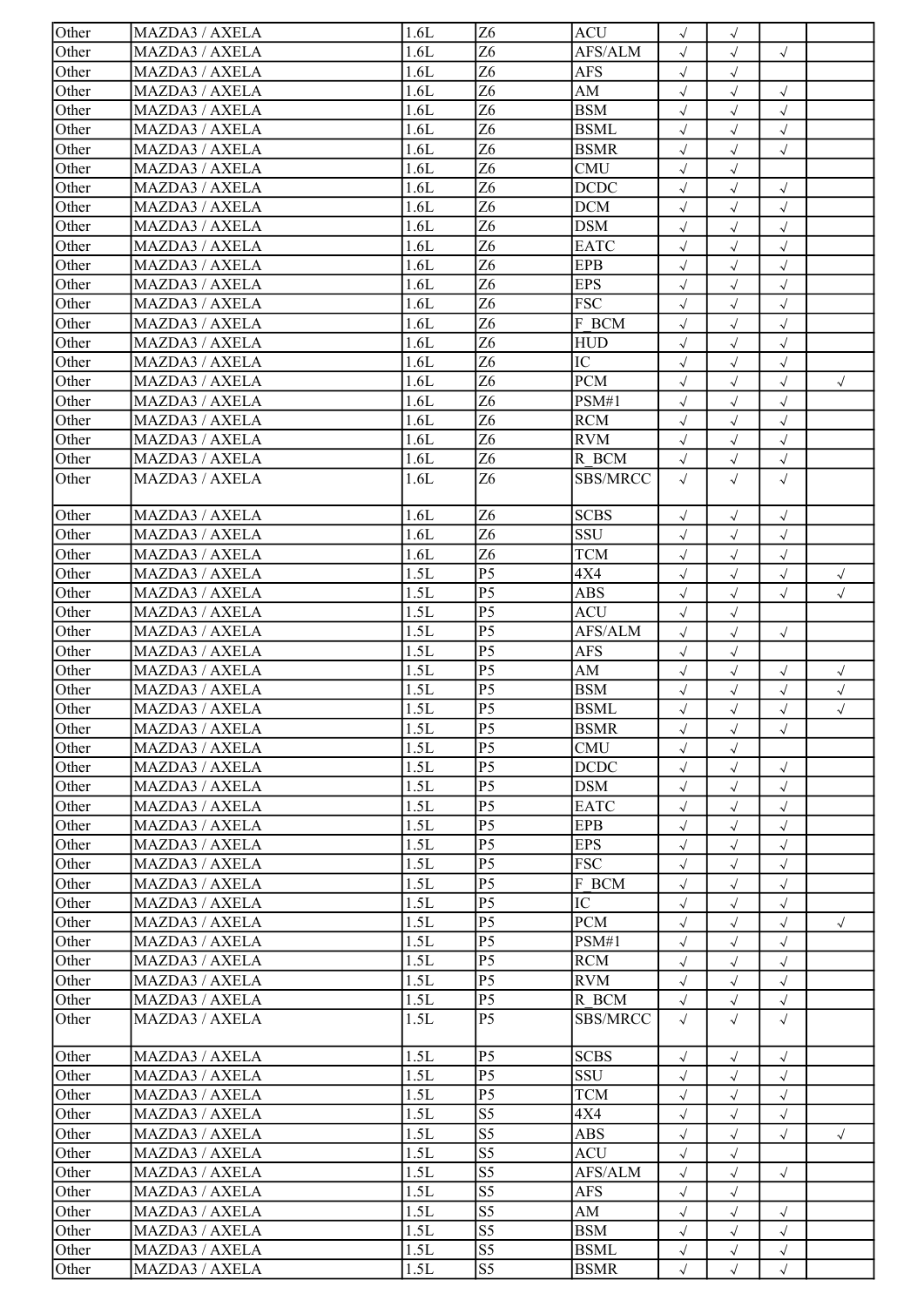| Other | MAZDA3 / AXELA        | 1.6L | Z <sub>6</sub>  | <b>ACU</b>  | $\sqrt{ }$ | $\sqrt{}$  |              |                      |
|-------|-----------------------|------|-----------------|-------------|------------|------------|--------------|----------------------|
| Other | MAZDA3 / AXELA        | 1.6L | Z <sub>6</sub>  | AFS/ALM     | $\sqrt{ }$ | $\sqrt{ }$ | $\sqrt{ }$   |                      |
| Other | <b>MAZDA3 / AXELA</b> | 1.6L | Z <sub>6</sub>  | <b>AFS</b>  | $\sqrt{ }$ | $\sqrt{ }$ |              |                      |
| Other | <b>MAZDA3 / AXELA</b> | 1.6L | Z <sub>6</sub>  | AM          | $\sqrt{ }$ | $\sqrt{ }$ | $\sqrt{ }$   |                      |
| Other | MAZDA3 / AXELA        | 1.6L | Z <sub>6</sub>  | <b>BSM</b>  | $\sqrt{ }$ | $\sqrt{ }$ | $\sqrt{ }$   |                      |
| Other | MAZDA3 / AXELA        | 1.6L | Z <sub>6</sub>  | <b>BSML</b> | $\sqrt{ }$ | $\sqrt{ }$ | $\sqrt{ }$   |                      |
| Other | MAZDA3 / AXELA        | 1.6L | Z <sub>6</sub>  | <b>BSMR</b> | $\sqrt{}$  | $\sqrt{}$  | $\sqrt{ }$   |                      |
| Other | MAZDA3 / AXELA        | 1.6L | Z <sub>6</sub>  | <b>CMU</b>  | $\sqrt{}$  | $\sqrt{}$  |              |                      |
| Other | MAZDA3 / AXELA        | 1.6L | Z <sub>6</sub>  | <b>DCDC</b> | $\sqrt{ }$ | $\sqrt{ }$ | $\sqrt{ }$   |                      |
| Other | MAZDA3 / AXELA        | 1.6L | Z <sub>6</sub>  | <b>DCM</b>  | $\sqrt{ }$ | $\sqrt{ }$ | $\sqrt{ }$   |                      |
| Other | MAZDA3 / AXELA        | 1.6L | Z <sub>6</sub>  | <b>DSM</b>  | $\sqrt{ }$ | $\sqrt{ }$ | $\sqrt{ }$   |                      |
| Other | MAZDA3 / AXELA        | 1.6L | Z <sub>6</sub>  | <b>EATC</b> | $\sqrt{ }$ | $\sqrt{}$  | $\sqrt{ }$   |                      |
| Other | MAZDA3 / AXELA        | 1.6L | Z <sub>6</sub>  | <b>EPB</b>  | $\sqrt{ }$ | $\sqrt{2}$ | $\checkmark$ |                      |
| Other | MAZDA3 / AXELA        | 1.6L | Z <sub>6</sub>  | <b>EPS</b>  | $\sqrt{ }$ | $\sqrt{}$  | $\sqrt{ }$   |                      |
| Other | MAZDA3 / AXELA        | 1.6L | Z <sub>6</sub>  | <b>FSC</b>  | $\sqrt{ }$ | $\sqrt{}$  | $\sqrt{ }$   |                      |
| Other | <b>MAZDA3 / AXELA</b> | 1.6L | Z <sub>6</sub>  | F BCM       | $\sqrt{ }$ | $\sqrt{}$  | $\sqrt{ }$   |                      |
| Other | MAZDA3 / AXELA        | 1.6L | Z <sub>6</sub>  | <b>HUD</b>  | $\sqrt{ }$ | $\sqrt{ }$ | $\sqrt{ }$   |                      |
| Other | <b>MAZDA3 / AXELA</b> | 1.6L | Z <sub>6</sub>  | IC          | $\sqrt{ }$ | $\sqrt{}$  | $\sqrt{ }$   |                      |
| Other | MAZDA3 / AXELA        | 1.6L | Z <sub>6</sub>  | <b>PCM</b>  | $\sqrt{ }$ | $\sqrt{ }$ | $\sqrt{ }$   | $\sqrt{}$            |
| Other | MAZDA3 / AXELA        | 1.6L | Z <sub>6</sub>  | PSM#1       | $\sqrt{ }$ | $\sqrt{}$  | $\checkmark$ |                      |
| Other | MAZDA3 / AXELA        | 1.6L | Z <sub>6</sub>  | <b>RCM</b>  | $\sqrt{ }$ | $\sqrt{ }$ | $\sqrt{ }$   |                      |
| Other | MAZDA3 / AXELA        | 1.6L | Z <sub>6</sub>  | <b>RVM</b>  | $\sqrt{ }$ | $\sqrt{}$  | $\sqrt{ }$   |                      |
| Other | MAZDA3 / AXELA        | 1.6L | Z <sub>6</sub>  | R BCM       | $\sqrt{ }$ | $\sqrt{ }$ | $\sqrt{ }$   |                      |
| Other | MAZDA3 / AXELA        | 1.6L | Z <sub>6</sub>  | SBS/MRCC    | $\sqrt{ }$ | $\sqrt{}$  | $\sqrt{ }$   |                      |
|       |                       |      |                 |             |            |            |              |                      |
| Other | MAZDA3 / AXELA        | 1.6L | Z <sub>6</sub>  | <b>SCBS</b> | $\sqrt{ }$ | $\sqrt{ }$ | $\sqrt{ }$   |                      |
| Other | MAZDA3 / AXELA        | 1.6L | $\overline{Z6}$ | <b>SSU</b>  | $\sqrt{ }$ | $\sqrt{}$  | $\sqrt{ }$   |                      |
| Other | MAZDA3 / AXELA        | 1.6L | Z <sub>6</sub>  | <b>TCM</b>  | $\sqrt{ }$ | $\sqrt{}$  | $\checkmark$ |                      |
| Other | MAZDA3 / AXELA        | 1.5L | P <sub>5</sub>  | 4X4         | $\sqrt{ }$ | $\sqrt{ }$ | $\sqrt{ }$   | $\sqrt{ }$           |
| Other | MAZDA3 / AXELA        | 1.5L | P <sub>5</sub>  | <b>ABS</b>  | $\sqrt{ }$ | $\sqrt{ }$ | $\sqrt{ }$   | $\sqrt{ }$           |
| Other | MAZDA3 / AXELA        | 1.5L | P <sub>5</sub>  | <b>ACU</b>  | $\sqrt{ }$ | $\sqrt{ }$ |              |                      |
| Other | MAZDA3 / AXELA        | 1.5L | P <sub>5</sub>  | AFS/ALM     | $\sqrt{ }$ | $\sqrt{}$  | $\sqrt{ }$   |                      |
| Other | MAZDA3 / AXELA        | 1.5L | P <sub>5</sub>  | <b>AFS</b>  | $\sqrt{ }$ | $\sqrt{}$  |              |                      |
| Other | MAZDA3 / AXELA        | 1.5L | P <sub>5</sub>  | AM          | $\sqrt{}$  | $\sqrt{}$  | $\sqrt{ }$   | $\sqrt{ }$           |
| Other | MAZDA3 / AXELA        | 1.5L | P <sub>5</sub>  | <b>BSM</b>  | $\sqrt{ }$ | $\sqrt{ }$ | $\sqrt{ }$   | $\sqrt{\phantom{a}}$ |
| Other | <b>MAZDA3 / AXELA</b> | 1.5L | <b>P5</b>       | <b>BSML</b> | $\sqrt{ }$ | $\sqrt{ }$ | $\checkmark$ | $\sqrt{}$            |
| Other | MAZDA3 / AXELA        | 1.5L | P <sub>5</sub>  | <b>BSMR</b> | $\sqrt{ }$ | $\sqrt{ }$ | $\sqrt{ }$   |                      |
| Other | MAZDA3 / AXELA        | 1.5L | P <sub>5</sub>  | <b>CMU</b>  | $\sqrt{ }$ | $\sqrt{2}$ |              |                      |
| Other | MAZDA3 / AXELA        | 1.5L | P <sub>5</sub>  | <b>DCDC</b> | $\sqrt{ }$ | $\sqrt{}$  | $\sqrt{ }$   |                      |
| Other | MAZDA3 / AXELA        | 1.5L | P <sub>5</sub>  | <b>DSM</b>  | $\sqrt{2}$ | $\sqrt{}$  | $\sqrt{ }$   |                      |
| Other | MAZDA3 / AXELA        | 1.5L | P <sub>5</sub>  | <b>EATC</b> | $\sqrt{ }$ | $\sqrt{}$  | $\sqrt{ }$   |                      |
| Other | MAZDA3 / AXELA        | 1.5L | P <sub>5</sub>  | <b>EPB</b>  | $\sqrt{ }$ | $\sqrt{ }$ | $\sqrt{ }$   |                      |
| Other | <b>MAZDA3 / AXELA</b> | 1.5L | P <sub>5</sub>  | <b>EPS</b>  | $\sqrt{ }$ | $\sqrt{ }$ | $\sqrt{ }$   |                      |
| Other | MAZDA3 / AXELA        | 1.5L | P <sub>5</sub>  | <b>FSC</b>  | $\sqrt{ }$ | $\sqrt{ }$ | $\sqrt{ }$   |                      |
| Other | MAZDA3 / AXELA        | 1.5L | P <sub>5</sub>  | F BCM       | $\sqrt{ }$ | $\sqrt{ }$ | $\sqrt{ }$   |                      |
| Other | MAZDA3 / AXELA        | 1.5L | P <sub>5</sub>  | IC          | $\sqrt{ }$ | $\sqrt{ }$ | $\sqrt{ }$   |                      |
| Other | MAZDA3 / AXELA        | 1.5L | P <sub>5</sub>  | PCM         | $\sqrt{ }$ | $\sqrt{}$  | $\sqrt{ }$   | $\sqrt{ }$           |
| Other | MAZDA3 / AXELA        | 1.5L | P <sub>5</sub>  | PSM#1       | $\sqrt{ }$ | $\sqrt{ }$ | $\sqrt{ }$   |                      |
| Other | MAZDA3 / AXELA        | 1.5L | P <sub>5</sub>  | <b>RCM</b>  | $\sqrt{}$  | $\sqrt{}$  | $\sqrt{ }$   |                      |
| Other | MAZDA3 / AXELA        | 1.5L | P <sub>5</sub>  | <b>RVM</b>  | $\sqrt{}$  | $\sqrt{}$  | $\sqrt{ }$   |                      |
| Other | MAZDA3 / AXELA        | 1.5L | P <sub>5</sub>  | R BCM       | $\sqrt{ }$ | $\sqrt{}$  | $\sqrt{}$    |                      |
| Other | MAZDA3 / AXELA        | 1.5L | $\overline{P5}$ | SBS/MRCC    | $\sqrt{ }$ | $\sqrt{ }$ | $\sqrt{2}$   |                      |
| Other | MAZDA3 / AXELA        | 1.5L | P <sub>5</sub>  | <b>SCBS</b> | $\sqrt{ }$ | $\sqrt{}$  | $\sqrt{ }$   |                      |
| Other | MAZDA3 / AXELA        | 1.5L | P <sub>5</sub>  | SSU         | $\sqrt{ }$ | $\sqrt{}$  | $\sqrt{ }$   |                      |
| Other | <b>MAZDA3 / AXELA</b> | 1.5L | P <sub>5</sub>  | TCM         | $\sqrt{ }$ | $\sqrt{ }$ | $\sqrt{ }$   |                      |
| Other | MAZDA3 / AXELA        | 1.5L | S <sub>5</sub>  | 4X4         | $\sqrt{ }$ | $\sqrt{ }$ | $\sqrt{ }$   |                      |
| Other | MAZDA3 / AXELA        | 1.5L | S <sub>5</sub>  | ABS         | $\sqrt{ }$ | $\sqrt{ }$ | $\sqrt{ }$   | $\sqrt{ }$           |
| Other | MAZDA3 / AXELA        | 1.5L | S <sub>5</sub>  | <b>ACU</b>  | $\sqrt{ }$ | $\sqrt{}$  |              |                      |
| Other | MAZDA3 / AXELA        | 1.5L | S <sub>5</sub>  | AFS/ALM     | $\sqrt{ }$ | $\sqrt{ }$ | $\sqrt{ }$   |                      |
| Other | MAZDA3 / AXELA        | 1.5L | S <sub>5</sub>  | <b>AFS</b>  | $\sqrt{ }$ | $\sqrt{}$  |              |                      |
| Other | MAZDA3 / AXELA        | 1.5L | S <sub>5</sub>  | AM          | $\sqrt{ }$ | $\sqrt{ }$ | $\sqrt{ }$   |                      |
| Other | MAZDA3 / AXELA        | 1.5L | S <sub>5</sub>  | <b>BSM</b>  | $\sqrt{ }$ | $\sqrt{ }$ | $\sqrt{}$    |                      |
| Other | MAZDA3 / AXELA        | 1.5L | S <sub>5</sub>  | <b>BSML</b> | $\sqrt{ }$ | $\sqrt{ }$ | $\sqrt{ }$   |                      |
| Other | MAZDA3 / AXELA        | 1.5L | S <sub>5</sub>  | <b>BSMR</b> | $\sqrt{ }$ | $\sqrt{}$  | $\sqrt{ }$   |                      |
|       |                       |      |                 |             |            |            |              |                      |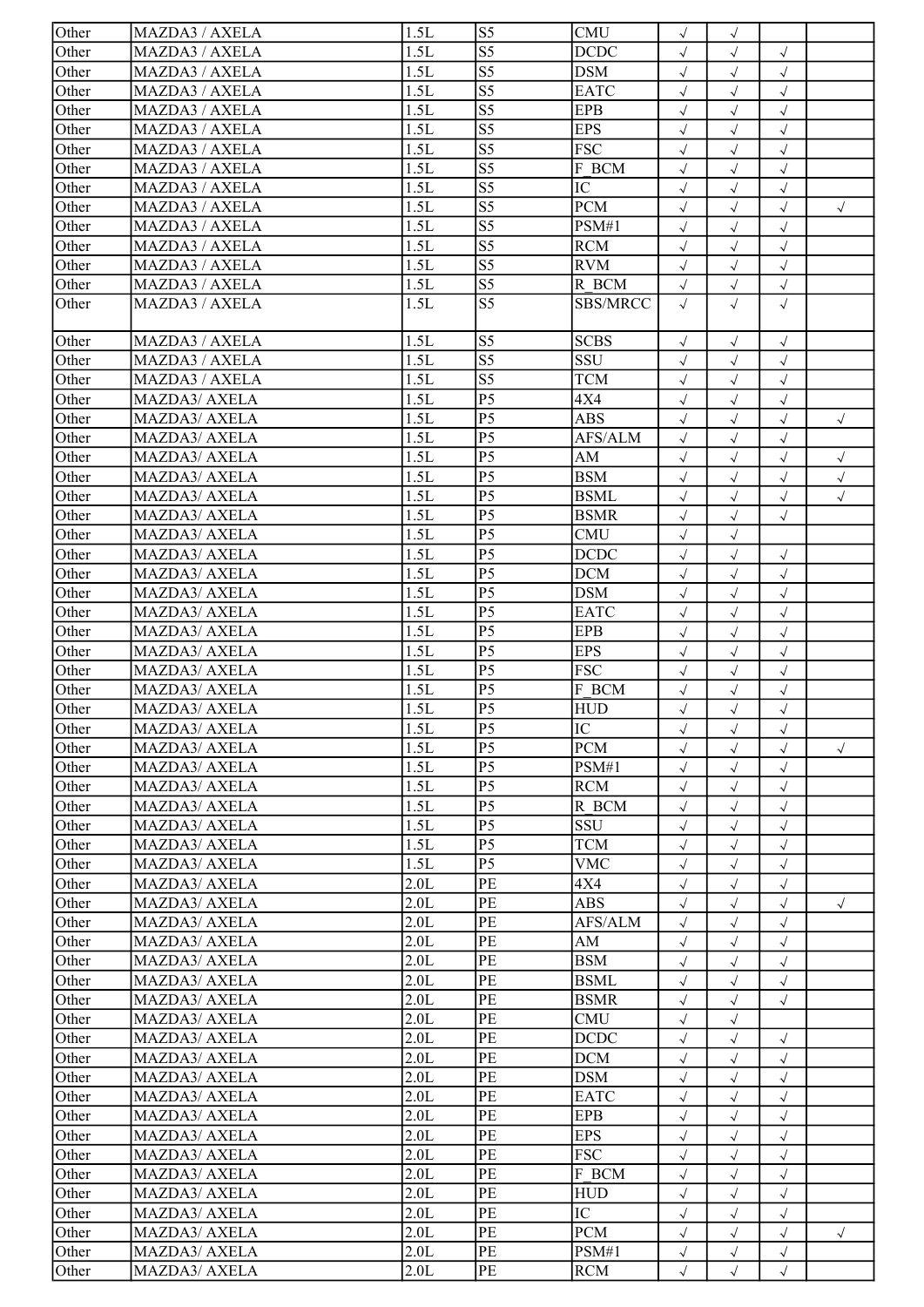| Other | MAZDA3 / AXELA        | 1.5L | S <sub>5</sub>         | <b>CMU</b>  | $\sqrt{ }$ | $\sqrt{ }$ |                      |            |
|-------|-----------------------|------|------------------------|-------------|------------|------------|----------------------|------------|
| Other | MAZDA3 / AXELA        | 1.5L | S <sub>5</sub>         | <b>DCDC</b> | $\sqrt{ }$ | $\sqrt{}$  | $\sqrt{ }$           |            |
| Other | <b>MAZDA3 / AXELA</b> | 1.5L | S <sub>5</sub>         | <b>DSM</b>  | $\sqrt{ }$ | $\sqrt{ }$ | $\sqrt{ }$           |            |
| Other | <b>MAZDA3 / AXELA</b> | 1.5L | S5                     | <b>EATC</b> | $\sqrt{ }$ | $\sqrt{ }$ | $\sqrt{ }$           |            |
| Other | MAZDA3 / AXELA        | 1.5L | S <sub>5</sub>         | <b>EPB</b>  | $\sqrt{ }$ | $\sqrt{}$  | $\sqrt{ }$           |            |
| Other | MAZDA3 / AXELA        | 1.5L | S <sub>5</sub>         | <b>EPS</b>  | $\sqrt{ }$ | $\sqrt{}$  | $\sqrt{ }$           |            |
| Other | MAZDA3 / AXELA        | 1.5L | S <sub>5</sub>         | <b>FSC</b>  | $\sqrt{ }$ | $\sqrt{}$  | $\sqrt{ }$           |            |
| Other | MAZDA3 / AXELA        | 1.5L | S <sub>5</sub>         | F BCM       | $\sqrt{ }$ | $\sqrt{}$  | $\checkmark$         |            |
| Other | MAZDA3 / AXELA        | 1.5L | S <sub>5</sub>         | IC          | $\sqrt{ }$ | $\sqrt{}$  | $\sqrt{ }$           |            |
| Other | MAZDA3 / AXELA        | 1.5L | S <sub>5</sub>         | PCM         | $\sqrt{ }$ | $\sqrt{ }$ | $\sqrt{ }$           | $\sqrt{ }$ |
| Other | MAZDA3 / AXELA        | 1.5L | $\overline{S5}$        | PSM#1       | $\sqrt{ }$ | $\sqrt{ }$ | $\sqrt{ }$           |            |
| Other | MAZDA3 / AXELA        | 1.5L | S <sub>5</sub>         | <b>RCM</b>  | $\sqrt{}$  | $\sqrt{}$  | $\sqrt{ }$           |            |
| Other | MAZDA3 / AXELA        | 1.5L | $\overline{\text{S5}}$ | <b>RVM</b>  | $\sqrt{ }$ | $\sqrt{2}$ | $\sqrt{ }$           |            |
| Other | MAZDA3 / AXELA        | 1.5L | S <sub>5</sub>         | R BCM       | $\sqrt{}$  | $\sqrt{}$  | $\sqrt{ }$           |            |
| Other | <b>MAZDA3 / AXELA</b> | 1.5L | S <sub>5</sub>         | SBS/MRCC    | $\sqrt{ }$ | $\sqrt{ }$ | $\sqrt{ }$           |            |
|       |                       |      |                        |             |            |            |                      |            |
| Other | MAZDA3 / AXELA        | 1.5L | S <sub>5</sub>         | <b>SCBS</b> | $\sqrt{ }$ | $\sqrt{ }$ | $\sqrt{ }$           |            |
| Other | <b>MAZDA3 / AXELA</b> | 1.5L | $\overline{S5}$        | <b>SSU</b>  | $\sqrt{ }$ | $\sqrt{ }$ | $\sqrt{ }$           |            |
| Other | MAZDA3 / AXELA        | 1.5L | S <sub>5</sub>         | <b>TCM</b>  | $\sqrt{ }$ | $\sqrt{ }$ | $\sqrt{ }$           |            |
| Other | MAZDA3/ AXELA         | 1.5L | P <sub>5</sub>         | 4X4         | $\sqrt{ }$ | $\sqrt{}$  | $\sqrt{ }$           |            |
| Other | MAZDA3/ AXELA         | 1.5L | $\overline{P5}$        | <b>ABS</b>  | $\sqrt{ }$ | $\sqrt{}$  | $\sqrt{ }$           | $\sqrt{}$  |
| Other | MAZDA3/ AXELA         | 1.5L | P <sub>5</sub>         | AFS/ALM     | $\sqrt{ }$ | $\sqrt{}$  | $\sqrt{ }$           |            |
| Other | MAZDA3/ AXELA         | 1.5L | P <sub>5</sub>         | AM          | $\sqrt{ }$ | $\sqrt{}$  | $\sqrt{ }$           | $\sqrt{ }$ |
| Other | MAZDA3/ AXELA         | 1.5L | P <sub>5</sub>         | <b>BSM</b>  | $\sqrt{ }$ | $\sqrt{ }$ | $\sqrt{ }$           | $\sqrt{ }$ |
| Other | MAZDA3/ AXELA         | 1.5L | P <sub>5</sub>         | <b>BSML</b> | $\sqrt{ }$ | $\sqrt{ }$ | $\sqrt{ }$           | $\sqrt{ }$ |
| Other | MAZDA3/ AXELA         | 1.5L | P <sub>5</sub>         | <b>BSMR</b> | $\sqrt{ }$ | $\sqrt{ }$ | $\checkmark$         |            |
| Other | MAZDA3/ AXELA         | 1.5L | $\overline{P5}$        | <b>CMU</b>  | $\sqrt{ }$ | $\sqrt{2}$ |                      |            |
| Other | MAZDA3/ AXELA         | 1.5L | P <sub>5</sub>         | <b>DCDC</b> | $\sqrt{ }$ | $\sqrt{}$  | $\sqrt{ }$           |            |
| Other | MAZDA3/ AXELA         | 1.5L | P <sub>5</sub>         | <b>DCM</b>  | $\sqrt{ }$ | $\sqrt{ }$ | $\sqrt{ }$           |            |
| Other | MAZDA3/ AXELA         | 1.5L | P <sub>5</sub>         | <b>DSM</b>  | $\sqrt{ }$ | $\sqrt{}$  | $\sqrt{ }$           |            |
| Other | MAZDA3/ AXELA         | 1.5L | P <sub>5</sub>         | <b>EATC</b> | $\sqrt{ }$ | $\sqrt{ }$ | $\sqrt{\phantom{a}}$ |            |
| Other | MAZDA3/ AXELA         | 1.5L | P <sub>5</sub>         | <b>EPB</b>  | $\sqrt{ }$ | $\sqrt{}$  | $\sqrt{ }$           |            |
| Other | MAZDA3/ AXELA         | 1.5L | P <sub>5</sub>         | <b>EPS</b>  | $\sqrt{ }$ | $\sqrt{}$  | $\sqrt{ }$           |            |
| Other | MAZDA3/ AXELA         | 1.5L | P <sub>5</sub>         | <b>FSC</b>  | $\sqrt{}$  | $\sqrt{}$  | $\sqrt{ }$           |            |
| Other | MAZDA3/ AXELA         | 1.5L | P <sub>5</sub>         | F BCM       | $\sqrt{ }$ | $\sqrt{}$  | $\sqrt{ }$           |            |
| Other | MAZDA3/ AXELA         | 1.5L | <b>P5</b>              | <b>HUD</b>  | $\sqrt{ }$ | $\sqrt{ }$ | $\checkmark$         |            |
| Other | MAZDA3/ AXELA         | 1.5L | P <sub>5</sub>         | IC          | $\sqrt{ }$ | $\sqrt{ }$ | $\sqrt{ }$           |            |
| Other | MAZDA3/ AXELA         | 1.5L | P <sub>5</sub>         | PCM         | $\sqrt{ }$ | $\sqrt{2}$ | $\sqrt{ }$           | $\sqrt{ }$ |
| Other | MAZDA3/ AXELA         | 1.5L | P <sub>5</sub>         | PSM#1       | $\sqrt{ }$ | $\sqrt{}$  | $\sqrt{ }$           |            |
| Other | MAZDA3/ AXELA         | 1.5L | P <sub>5</sub>         | <b>RCM</b>  | $\sqrt{2}$ |            | $\sqrt{}$            |            |
| Other | MAZDA3/ AXELA         | 1.5L | P <sub>5</sub>         | R BCM       | $\sqrt{ }$ | $\sqrt{}$  | $\sqrt{ }$           |            |
| Other | <b>MAZDA3/ AXELA</b>  | 1.5L | P <sub>5</sub>         | SSU         | $\sqrt{ }$ | $\sqrt{ }$ | $\sqrt{ }$           |            |
| Other | <b>MAZDA3/ AXELA</b>  | 1.5L | P <sub>5</sub>         | <b>TCM</b>  | $\sqrt{ }$ | $\sqrt{ }$ | $\sqrt{ }$           |            |
| Other | MAZDA3/ AXELA         | 1.5L | P <sub>5</sub>         | <b>VMC</b>  | $\sqrt{ }$ | $\sqrt{ }$ | $\sqrt{ }$           |            |
| Other | MAZDA3/ AXELA         | 2.0L | PE                     | 4X4         | $\sqrt{ }$ | $\sqrt{ }$ | $\sqrt{ }$           |            |
| Other | MAZDA3/ AXELA         | 2.0L | PE                     | <b>ABS</b>  | $\sqrt{ }$ | $\sqrt{ }$ | $\sqrt{ }$           | $\sqrt{ }$ |
| Other | MAZDA3/ AXELA         | 2.0L | PE                     | AFS/ALM     | $\sqrt{}$  | $\sqrt{}$  | $\sqrt{ }$           |            |
| Other | MAZDA3/ AXELA         | 2.0L | PE                     | AM          | $\sqrt{ }$ | $\sqrt{ }$ | $\sqrt{ }$           |            |
| Other | MAZDA3/ AXELA         | 2.0L | PE                     | <b>BSM</b>  | $\sqrt{}$  | $\sqrt{ }$ | $\sqrt{ }$           |            |
| Other | MAZDA3/ AXELA         | 2.0L | PE                     | <b>BSML</b> | $\sqrt{}$  | $\sqrt{ }$ | $\sqrt{ }$           |            |
| Other | MAZDA3/ AXELA         | 2.0L | PE                     | <b>BSMR</b> | $\sqrt{ }$ | $\sqrt{}$  | $\sqrt{ }$           |            |
| Other | MAZDA3/ AXELA         | 2.0L | PE                     | <b>CMU</b>  | $\sqrt{ }$ | $\sqrt{}$  |                      |            |
| Other | MAZDA3/ AXELA         | 2.0L | PE                     | <b>DCDC</b> | $\sqrt{ }$ | $\sqrt{}$  | $\sqrt{\phantom{a}}$ |            |
| Other | MAZDA3/ AXELA         | 2.0L | PE                     | <b>DCM</b>  | $\sqrt{ }$ | $\sqrt{ }$ | $\sqrt{ }$           |            |
| Other | <b>MAZDA3/ AXELA</b>  | 2.0L | PE                     | <b>DSM</b>  | $\sqrt{ }$ | $\sqrt{ }$ | $\sqrt{ }$           |            |
| Other | MAZDA3/ AXELA         | 2.0L | PE                     | <b>EATC</b> | $\sqrt{ }$ | $\sqrt{ }$ | $\sqrt{ }$           |            |
| Other | MAZDA3/ AXELA         | 2.0L | PE                     | EPB         | $\sqrt{ }$ | $\sqrt{ }$ | $\sqrt{ }$           |            |
| Other | MAZDA3/ AXELA         | 2.0L | PE                     | <b>EPS</b>  | $\sqrt{}$  | $\sqrt{ }$ | $\sqrt{ }$           |            |
| Other | MAZDA3/ AXELA         | 2.0L | PE                     | <b>FSC</b>  | $\sqrt{ }$ | $\sqrt{ }$ | $\sqrt{}$            |            |
| Other | MAZDA3/ AXELA         | 2.0L | PE                     | F BCM       | $\sqrt{ }$ | $\sqrt{ }$ | $\sqrt{ }$           |            |
| Other | MAZDA3/ AXELA         | 2.0L | PE                     | <b>HUD</b>  | $\sqrt{ }$ | $\sqrt{ }$ | $\sqrt{ }$           |            |
| Other | MAZDA3/ AXELA         | 2.0L | PE                     | IC          | $\sqrt{}$  | $\sqrt{ }$ | $\sqrt{ }$           |            |
| Other | MAZDA3/ AXELA         | 2.0L | PE                     | PCM         | $\sqrt{}$  | $\sqrt{ }$ | $\sqrt{ }$           | $\sqrt{ }$ |
| Other | MAZDA3/ AXELA         | 2.0L | PE                     | PSM#1       | $\sqrt{ }$ | $\sqrt{}$  | $\sqrt{ }$           |            |
| Other | MAZDA3/ AXELA         | 2.0L | PE                     | <b>RCM</b>  | $\sqrt{ }$ | $\sqrt{}$  | $\sqrt{}$            |            |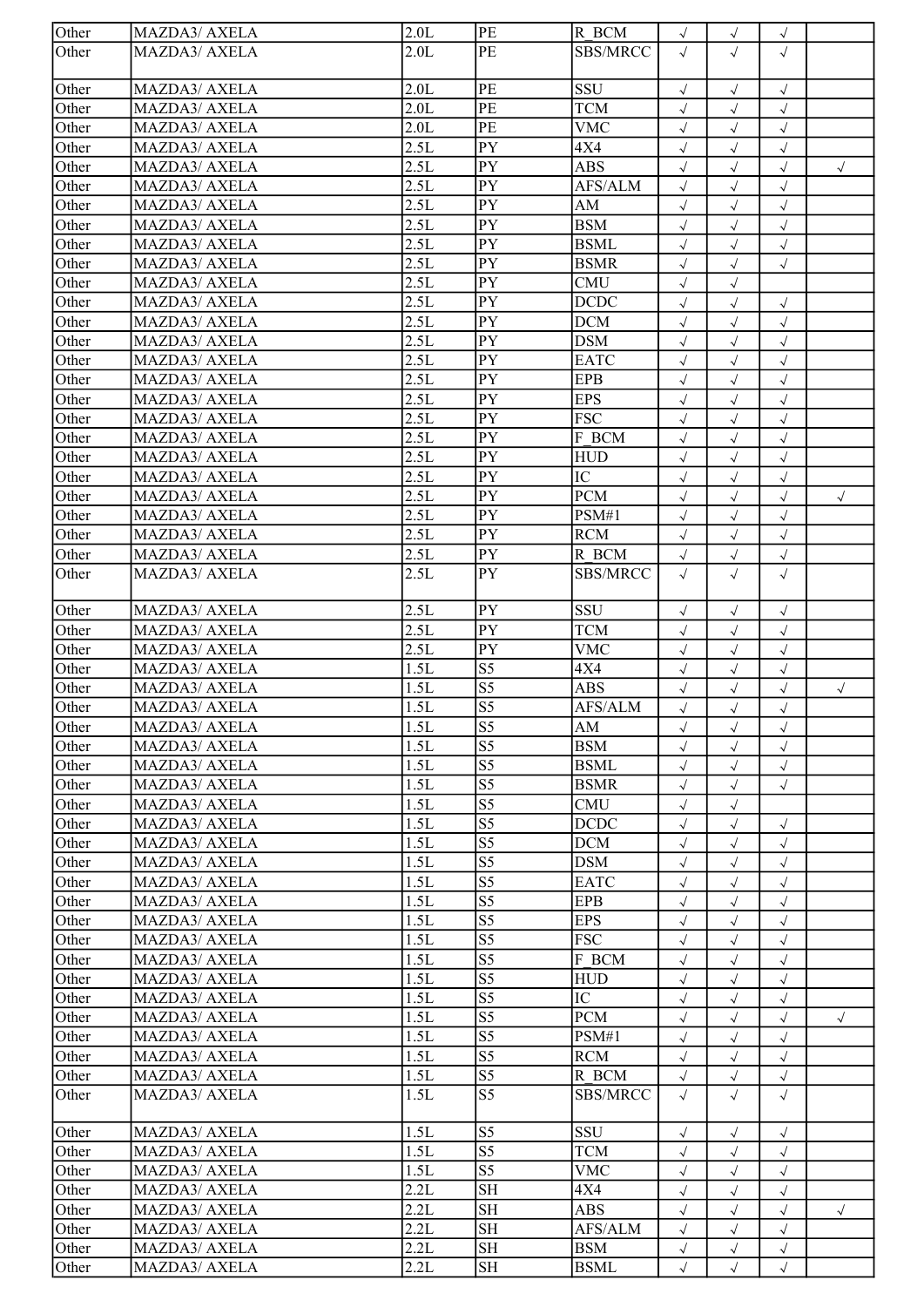| Other | MAZDA3/ AXELA        | 2.0L | $\ensuremath{\mathop{\mathrm{PE}}}\xspace$ | R BCM             | $\sqrt{ }$           | $\sqrt{ }$              | $\sqrt{ }$           |            |
|-------|----------------------|------|--------------------------------------------|-------------------|----------------------|-------------------------|----------------------|------------|
| Other | MAZDA3/ AXELA        | 2.0L | PE                                         | SBS/MRCC          | $\sqrt{ }$           | $\sqrt{}$               | $\sqrt{ }$           |            |
|       |                      |      |                                            |                   |                      |                         |                      |            |
| Other | MAZDA3/ AXELA        | 2.0L | PE                                         | SSU               | $\sqrt{ }$           | $\sqrt{ }$              | $\sqrt{ }$           |            |
| Other | MAZDA3/ AXELA        | 2.0L | PE                                         | <b>TCM</b>        | $\sqrt{ }$           | $\sqrt{ }$              | $\sqrt{ }$           |            |
| Other | MAZDA3/ AXELA        | 2.0L | PE                                         | <b>VMC</b>        | $\sqrt{ }$           | $\sqrt{ }$              | $\sqrt{ }$           |            |
| Other | MAZDA3/ AXELA        | 2.5L | $\overline{PY}$                            | 4X4               | $\sqrt{ }$           | $\sqrt{ }$              | $\sqrt{ }$           |            |
| Other | MAZDA3/ AXELA        | 2.5L | PY                                         | <b>ABS</b>        | $\sqrt{ }$           | $\sqrt{}$               | $\sqrt{ }$           | $\sqrt{ }$ |
| Other | MAZDA3/ AXELA        | 2.5L | PY                                         | AFS/ALM           | $\sqrt{ }$           | $\sqrt{ }$              | $\checkmark$         |            |
| Other | MAZDA3/ AXELA        | 2.5L | PY                                         | AM                | $\sqrt{ }$           | $\sqrt{}$               | $\checkmark$         |            |
| Other | MAZDA3/ AXELA        | 2.5L | PY                                         | <b>BSM</b>        | $\sqrt{ }$           | $\sqrt{ }$              | $\sqrt{ }$           |            |
| Other | MAZDA3/ AXELA        | 2.5L | PY                                         | <b>BSML</b>       | $\sqrt{ }$           | $\sqrt{ }$              | $\checkmark$         |            |
| Other | MAZDA3/ AXELA        | 2.5L | PY                                         | <b>BSMR</b>       | $\sqrt{ }$           | $\sqrt{ }$              | $\sqrt{ }$           |            |
| Other | MAZDA3/ AXELA        | 2.5L | <b>PY</b>                                  | <b>CMU</b>        | $\sqrt{ }$           | $\sqrt{ }$              |                      |            |
| Other | MAZDA3/ AXELA        | 2.5L | $\overline{PY}$                            | <b>DCDC</b>       | $\sqrt{ }$           | $\sqrt{2}$              | $\sqrt{ }$           |            |
| Other | MAZDA3/ AXELA        | 2.5L | PY                                         | <b>DCM</b>        | $\sqrt{ }$           | $\sqrt{}$               | $\checkmark$         |            |
| Other | MAZDA3/ AXELA        | 2.5L | PY                                         | <b>DSM</b>        | $\sqrt{\phantom{a}}$ | $\sqrt{}$               | $\sqrt{ }$           |            |
| Other | <b>MAZDA3/ AXELA</b> | 2.5L | PY                                         | <b>EATC</b>       | $\sqrt{ }$           | $\sqrt{ }$              | $\sqrt{ }$           |            |
| Other | MAZDA3/ AXELA        | 2.5L | PY                                         | <b>EPB</b>        | $\sqrt{ }$           | $\sqrt{}$               | $\sqrt{\phantom{a}}$ |            |
| Other | MAZDA3/ AXELA        | 2.5L | PY                                         | <b>EPS</b>        | $\sqrt{ }$           |                         | $\sqrt{ }$           |            |
| Other | MAZDA3/ AXELA        | 2.5L | PY                                         | <b>FSC</b>        | $\sqrt{ }$           | $\sqrt{}$<br>$\sqrt{ }$ | $\sqrt{ }$           |            |
| Other |                      |      | PY                                         | F BCM             | $\sqrt{ }$           | $\sqrt{}$               | $\sqrt{ }$           |            |
|       | MAZDA3/ AXELA        | 2.5L |                                            |                   |                      |                         |                      |            |
| Other | MAZDA3/ AXELA        | 2.5L | PY                                         | <b>HUD</b>        | $\sqrt{ }$           | $\sqrt{}$               | $\sqrt{ }$           |            |
| Other | MAZDA3/ AXELA        | 2.5L | $\overline{PY}$                            | IC                | $\sqrt{ }$           | $\sqrt{ }$              | $\sqrt{ }$           |            |
| Other | MAZDA3/ AXELA        | 2.5L | PY                                         | <b>PCM</b>        | $\sqrt{ }$           | $\sqrt{ }$              | $\sqrt{ }$           | $\sqrt{ }$ |
| Other | MAZDA3/ AXELA        | 2.5L | PY                                         | PSM#1             | $\sqrt{}$            | $\sqrt{ }$              | $\checkmark$         |            |
| Other | MAZDA3/ AXELA        | 2.5L | PY                                         | <b>RCM</b>        | $\sqrt{ }$           | $\sqrt{2}$              | $\checkmark$         |            |
| Other | MAZDA3/ AXELA        | 2.5L | <b>PY</b>                                  | R BCM             | $\checkmark$         | $\sqrt{}$               | $\sqrt{ }$           |            |
| Other | MAZDA3/ AXELA        | 2.5L | PY                                         | SBS/MRCC          | $\sqrt{ }$           | $\sqrt{2}$              | $\sqrt{ }$           |            |
| Other | MAZDA3/ AXELA        | 2.5L | PY                                         | SSU               | $\sqrt{ }$           | $\sqrt{ }$              | $\sqrt{ }$           |            |
| Other | <b>MAZDA3/ AXELA</b> | 2.5L | PY                                         | <b>TCM</b>        | $\sqrt{ }$           | $\sqrt{ }$              | $\sqrt{ }$           |            |
| Other | MAZDA3/ AXELA        | 2.5L | PY                                         | <b>VMC</b>        | $\sqrt{ }$           | $\sqrt{ }$              | $\sqrt{ }$           |            |
| Other | MAZDA3/ AXELA        | 1.5L | S <sub>5</sub>                             | 4X4               | $\sqrt{ }$           | $\sqrt{}$               | $\sqrt{ }$           |            |
| Other | MAZDA3/ AXELA        | 1.5L | S5                                         | <b>ABS</b>        | $\sqrt{ }$           | $\sqrt{}$               | $\sqrt{ }$           | $\sqrt{}$  |
| Other | MAZDA3/ AXELA        | 1.5L | S <sub>5</sub>                             | AFS/ALM           | $\sqrt{ }$           | $\sqrt{ }$              | $\sqrt{ }$           |            |
| Other | MAZDA3/ AXELA        | 1.5L | S <sub>5</sub>                             | AM                | $\sqrt{ }$           | $\sqrt{ }$              | $\sqrt{ }$           |            |
| Other | MAZDA3/ AXELA        | 1.5L | S <sub>5</sub>                             | <b>BSM</b>        | $\sqrt{}$            | $\sqrt{}$               | $\sqrt{ }$           |            |
| Other | <b>MAZDA3/ AXELA</b> | 1.5L | S <sub>5</sub>                             | <b>BSML</b>       | $\sqrt{}$            | $\sqrt{}$               | $\sqrt{ }$           |            |
| Other | MAZDA3/ AXELA        | 1.5L | S <sub>5</sub>                             | <b>BSMR</b>       | $\sqrt{}$            | $\sqrt{}$               | $\sqrt{ }$           |            |
| Other | <b>MAZDA3/ AXELA</b> | 1.5L | S <sub>5</sub>                             | <b>CMU</b>        | $\sqrt{ }$           | $\sqrt{}$               |                      |            |
| Other | MAZDA3/ AXELA        | 1.5L | S <sub>5</sub>                             | <b>DCDC</b>       | $\sqrt{ }$           | $\sqrt{}$               | $\sqrt{ }$           |            |
| Other | MAZDA3/ AXELA        | 1.5L | S <sub>5</sub>                             | <b>DCM</b>        | $\sqrt{ }$           | $\sqrt{}$               | $\sqrt{ }$           |            |
| Other | <b>MAZDA3/ AXELA</b> | 1.5L | S <sub>5</sub>                             | <b>DSM</b>        |                      |                         |                      |            |
|       | <b>MAZDA3/ AXELA</b> | 1.5L | S <sub>5</sub>                             | <b>EATC</b>       | $\sqrt{ }$           | $\sqrt{ }$              | $\sqrt{ }$           |            |
| Other | MAZDA3/ AXELA        |      |                                            |                   | $\sqrt{ }$           | $\sqrt{ }$              | $\sqrt{ }$           |            |
| Other |                      | 1.5L | S <sub>5</sub>                             | <b>EPB</b>        | $\sqrt{ }$           | $\sqrt{ }$              | $\sqrt{ }$           |            |
| Other | MAZDA3/ AXELA        | 1.5L | S <sub>5</sub><br>S <sub>5</sub>           | EPS<br><b>FSC</b> | $\sqrt{ }$           | $\sqrt{ }$              | $\sqrt{ }$           |            |
| Other | MAZDA3/ AXELA        | 1.5L |                                            |                   | $\sqrt{ }$           | $\sqrt{ }$              | $\sqrt{ }$           |            |
| Other | MAZDA3/ AXELA        | 1.5L | S <sub>5</sub>                             | F BCM             | $\sqrt{ }$           | $\sqrt{}$               | $\sqrt{ }$           |            |
| Other | MAZDA3/ AXELA        | 1.5L | S <sub>5</sub>                             | <b>HUD</b>        | $\sqrt{ }$           | $\sqrt{ }$              | $\sqrt{ }$           |            |
| Other | MAZDA3/ AXELA        | 1.5L | S <sub>5</sub>                             | IC                | $\sqrt{ }$           | $\sqrt{}$               | $\sqrt{ }$           |            |
| Other | MAZDA3/ AXELA        | 1.5L | S <sub>5</sub>                             | PCM               | $\sqrt{}$            | $\sqrt{ }$              | $\sqrt{ }$           | $\sqrt{ }$ |
| Other | MAZDA3/ AXELA        | 1.5L | S <sub>5</sub>                             | PSM#1             | $\sqrt{ }$           | $\sqrt{ }$              | $\sqrt{ }$           |            |
| Other | MAZDA3/ AXELA        | 1.5L | S <sub>5</sub>                             | <b>RCM</b>        | $\sqrt{ }$           | $\sqrt{}$               | $\sqrt{ }$           |            |
| Other | MAZDA3/ AXELA        | 1.5L | S <sub>5</sub>                             | R BCM             | $\sqrt{ }$           | $\sqrt{ }$              | $\sqrt{ }$           |            |
| Other | <b>MAZDA3/ AXELA</b> | 1.5L | S <sub>5</sub>                             | SBS/MRCC          | $\sqrt{ }$           | $\sqrt{2}$              | $\sqrt{ }$           |            |
| Other | MAZDA3/ AXELA        | 1.5L | S <sub>5</sub>                             | SSU               | $\sqrt{ }$           | $\sqrt{ }$              | $\sqrt{ }$           |            |
| Other | <b>MAZDA3/ AXELA</b> | 1.5L | S <sub>5</sub>                             | <b>TCM</b>        | $\sqrt{ }$           | $\sqrt{ }$              | $\sqrt{ }$           |            |
| Other | <b>MAZDA3/ AXELA</b> | 1.5L | S <sub>5</sub>                             | VMC               | $\sqrt{ }$           | $\sqrt{ }$              | $\sqrt{ }$           |            |
| Other | MAZDA3/ AXELA        | 2.2L | <b>SH</b>                                  | 4X4               | $\sqrt{ }$           | $\sqrt{}$               | $\sqrt{ }$           |            |
| Other | MAZDA3/ AXELA        | 2.2L | <b>SH</b>                                  | <b>ABS</b>        | $\sqrt{ }$           | $\sqrt{ }$              | $\sqrt{\phantom{a}}$ | $\sqrt{ }$ |
| Other | MAZDA3/ AXELA        | 2.2L | <b>SH</b>                                  | AFS/ALM           | $\sqrt{ }$           | $\sqrt{}$               | $\sqrt{ }$           |            |
| Other | MAZDA3/ AXELA        | 2.2L | <b>SH</b>                                  | <b>BSM</b>        | $\sqrt{ }$           | $\sqrt{}$               | $\sqrt{ }$           |            |
| Other | MAZDA3/ AXELA        | 2.2L | SH                                         | <b>BSML</b>       | $\sqrt{ }$           | $\sqrt{}$               | $\sqrt{ }$           |            |
|       |                      |      |                                            |                   |                      |                         |                      |            |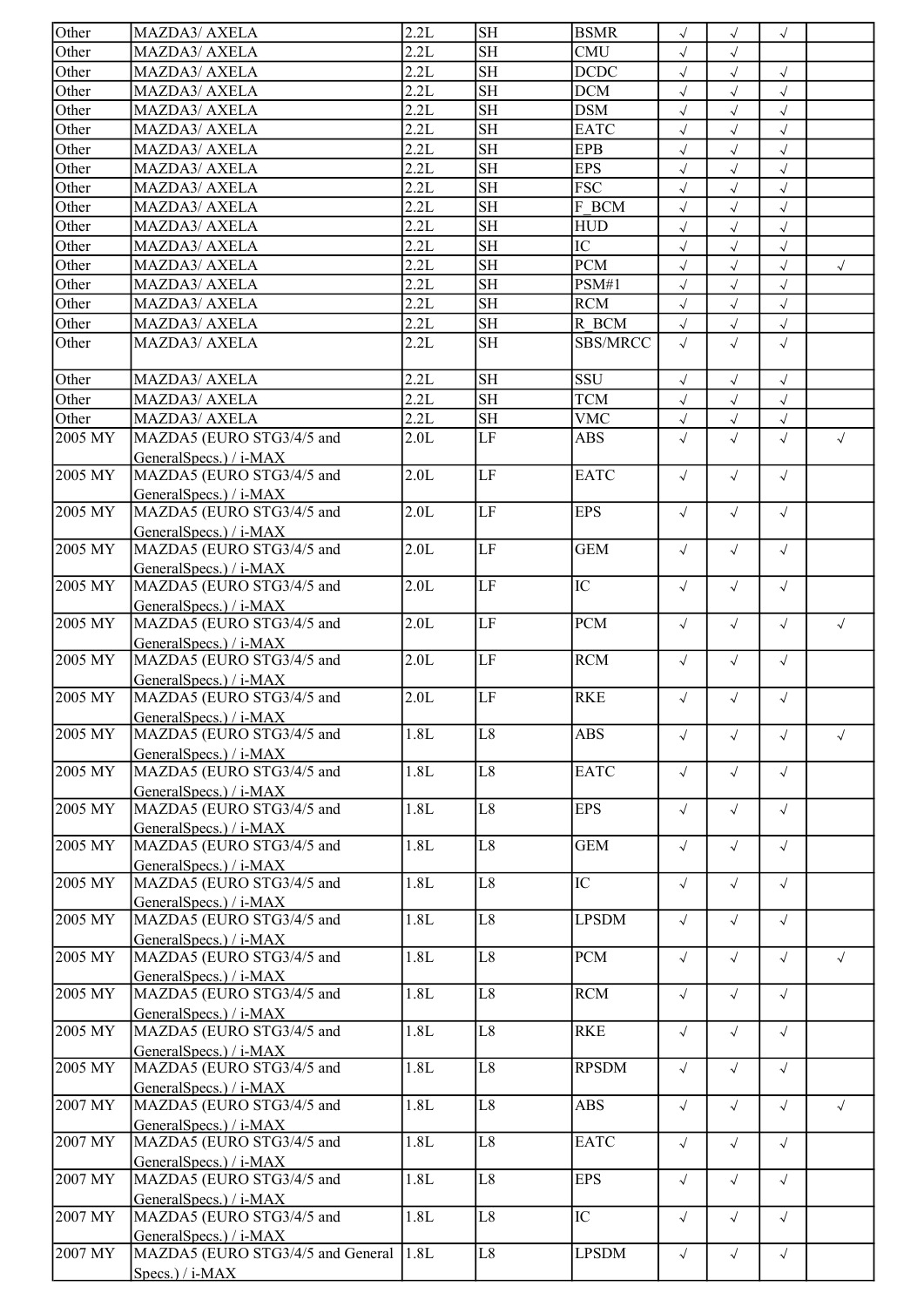| Other   | MAZDA3/ AXELA                                       | 2.2L | $\operatorname{SH}$    | <b>BSMR</b>            | $\sqrt{}$            | $\sqrt{}$  | $\sqrt{ }$               |            |
|---------|-----------------------------------------------------|------|------------------------|------------------------|----------------------|------------|--------------------------|------------|
| Other   | MAZDA3/ AXELA                                       | 2.2L | <b>SH</b>              | <b>CMU</b>             | $\checkmark$         | $\sqrt{}$  |                          |            |
| Other   | MAZDA3/ AXELA                                       | 2.2L | <b>SH</b>              | <b>DCDC</b>            | $\sqrt{ }$           | $\sqrt{}$  | $\sqrt{\phantom{a}}$     |            |
| Other   | MAZDA3/ AXELA                                       | 2.2L | <b>SH</b>              | DCM                    | $\sqrt{ }$           | $\sqrt{}$  | $\sqrt{ }$               |            |
| Other   | MAZDA3/ AXELA                                       | 2.2L | <b>SH</b>              | <b>DSM</b>             | $\sqrt{ }$           | $\sqrt{}$  | $\sqrt{ }$               |            |
| Other   | MAZDA3/ AXELA                                       | 2.2L | <b>SH</b>              | <b>EATC</b>            | $\sqrt{ }$           | $\sqrt{}$  | $\sqrt{ }$               |            |
| Other   | MAZDA3/ AXELA                                       | 2.2L | <b>SH</b>              | <b>EPB</b>             | $\sqrt{ }$           | $\sqrt{2}$ | $\checkmark$             |            |
| Other   | MAZDA3/ AXELA                                       | 2.2L | <b>SH</b>              | <b>EPS</b>             | $\sqrt{ }$           | $\sqrt{}$  | $\checkmark$             |            |
| Other   | MAZDA3/ AXELA                                       | 2.2L | <b>SH</b>              | <b>FSC</b>             | $\sqrt{ }$           | $\sqrt{}$  | $\sqrt{ }$               |            |
| Other   | MAZDA3/ AXELA                                       | 2.2L | <b>SH</b>              | F BCM                  | $\sqrt{ }$           | $\sqrt{ }$ | $\checkmark$             |            |
| Other   | MAZDA3/ AXELA                                       | 2.2L | SH                     | <b>HUD</b>             | $\sqrt{2}$           | $\sqrt{}$  | $\sqrt{ }$               |            |
| Other   | MAZDA3/ AXELA                                       | 2.2L | <b>SH</b>              | IC                     | $\sqrt{ }$           | $\sqrt{}$  | $\sqrt{ }$               |            |
| Other   | MAZDA3/ AXELA                                       | 2.2L | $\overline{\text{SH}}$ | <b>PCM</b>             | $\sqrt{ }$           | $\sqrt{2}$ | $\sqrt{ }$               | $\sqrt{ }$ |
| Other   | MAZDA3/ AXELA                                       | 2.2L | <b>SH</b>              | PSM#1                  | $\checkmark$         | $\sqrt{}$  | $\checkmark$             |            |
| Other   | MAZDA3/ AXELA                                       | 2.2L | $\overline{\text{SH}}$ | <b>RCM</b>             | $\sqrt{ }$           | $\sqrt{}$  | $\sqrt{ }$               |            |
| Other   | MAZDA3/ AXELA                                       | 2.2L | $\operatorname{SH}$    | R BCM                  | $\sqrt{ }$           | $\sqrt{}$  | $\sqrt{ }$               |            |
| Other   | MAZDA3/ AXELA                                       | 2.2L | <b>SH</b>              | <b>SBS/MRCC</b>        | $\sqrt{ }$           | $\sqrt{}$  | $\sqrt{ }$               |            |
|         |                                                     |      |                        |                        |                      |            |                          |            |
| Other   | MAZDA3/ AXELA                                       | 2.2L | <b>SH</b>              | SSU                    | $\sqrt{\phantom{a}}$ | $\sqrt{}$  | $\sqrt{ }$               |            |
| Other   | MAZDA3/ AXELA                                       | 2.2L | <b>SH</b>              | <b>TCM</b>             |                      |            |                          |            |
| Other   | MAZDA3/ AXELA                                       | 2.2L | <b>SH</b>              | <b>VMC</b>             | $\sqrt{ }$           | $\sqrt{}$  | $\sqrt{ }$<br>$\sqrt{ }$ |            |
|         |                                                     |      |                        |                        | $\checkmark$         | $\sqrt{}$  |                          |            |
| 2005 MY | MAZDA5 (EURO STG3/4/5 and                           | 2.0L | $\rm LF$               | <b>ABS</b>             | $\sqrt{ }$           | $\sqrt{ }$ | $\sqrt{ }$               | $\sqrt{ }$ |
|         | General Specs.) / i-MAX                             |      |                        |                        |                      |            |                          |            |
| 2005 MY | MAZDA5 (EURO STG3/4/5 and                           | 2.0L | $\rm LF$               | <b>EATC</b>            | $\sqrt{ }$           | $\sqrt{ }$ | $\sqrt{ }$               |            |
|         | GeneralSpecs.) / i-MAX                              |      |                        |                        |                      |            |                          |            |
| 2005 MY | MAZDA5 (EURO STG3/4/5 and                           | 2.0L | $\rm LF$               | <b>EPS</b>             | $\sqrt{ }$           | $\sqrt{ }$ | $\sqrt{ }$               |            |
|         | GeneralSpecs.) / i-MAX                              |      |                        |                        |                      |            |                          |            |
| 2005 MY | MAZDA5 (EURO STG3/4/5 and                           | 2.0L | $\rm LF$               | <b>GEM</b>             | $\sqrt{ }$           | $\sqrt{}$  | $\sqrt{ }$               |            |
|         | GeneralSpecs.) / i-MAX                              |      |                        |                        |                      |            |                          |            |
| 2005 MY | MAZDA5 (EURO STG3/4/5 and                           | 2.0L | LF                     | $\overline{\text{IC}}$ | $\sqrt{ }$           | $\sqrt{}$  | $\sqrt{ }$               |            |
|         | GeneralSpecs.) / i-MAX                              |      |                        |                        |                      |            |                          |            |
| 2005 MY | MAZDA5 (EURO STG3/4/5 and                           | 2.0L | LF                     | <b>PCM</b>             | $\sqrt{ }$           | $\sqrt{}$  | $\sqrt{ }$               | $\sqrt{ }$ |
|         | GeneralSpecs.) / i-MAX                              |      |                        |                        |                      |            |                          |            |
| 2005 MY | MAZDA5 (EURO STG3/4/5 and                           | 2.0L | $\rm LF$               | <b>RCM</b>             | $\sqrt{ }$           | $\sqrt{}$  | $\sqrt{\phantom{a}}$     |            |
|         | GeneralSpecs.) / i-MAX                              |      |                        |                        |                      |            |                          |            |
| 2005 MY | MAZDA5 (EURO STG3/4/5 and                           | 2.0L | LF                     | <b>RKE</b>             | $\sqrt{ }$           | $\sqrt{ }$ | $\sqrt{ }$               |            |
| 2005 MY | General Specs.) / i-MAX                             | 1.8L | L8                     | <b>ABS</b>             |                      |            |                          |            |
|         | MAZDA5 (EURO STG3/4/5 and                           |      |                        |                        | $\sqrt{ }$           | $\sqrt{ }$ | $\sqrt{ }$               | $\sqrt{ }$ |
| 2005 MY | GeneralSpecs.) / i-MAX<br>MAZDA5 (EURO STG3/4/5 and | 1.8L | L8                     | <b>EATC</b>            | $\sqrt{ }$           | $\sqrt{}$  | $\sqrt{\phantom{a}}$     |            |
|         | General Specs.) / i-MAX                             |      |                        |                        |                      |            |                          |            |
| 2005 MY | MAZDA5 (EURO STG3/4/5 and                           | 1.8L | L8                     | <b>EPS</b>             | $\sqrt{ }$           | $\sqrt{}$  | $\sqrt{\phantom{a}}$     |            |
|         |                                                     |      |                        |                        |                      |            |                          |            |
| 2005 MY | GeneralSpecs.) / i-MAX<br>MAZDA5 (EURO STG3/4/5 and | 1.8L | L8                     | <b>GEM</b>             | $\sqrt{}$            | $\sqrt{}$  | $\sqrt{\phantom{a}}$     |            |
|         |                                                     |      |                        |                        |                      |            |                          |            |
| 2005 MY | GeneralSpecs.) / i-MAX<br>MAZDA5 (EURO STG3/4/5 and | 1.8L | L8                     | IC                     | $\sqrt{ }$           | $\sqrt{}$  | $\sqrt{\phantom{a}}$     |            |
|         | General Specs.) / i-MAX                             |      |                        |                        |                      |            |                          |            |
| 2005 MY | MAZDA5 (EURO STG3/4/5 and                           | 1.8L | L8                     | <b>LPSDM</b>           | $\sqrt{ }$           | $\sqrt{ }$ | $\sqrt{\phantom{a}}$     |            |
|         | GeneralSpecs.) / i-MAX                              |      |                        |                        |                      |            |                          |            |
| 2005 MY | MAZDA5 (EURO STG3/4/5 and                           | 1.8L | L8                     | <b>PCM</b>             | $\sqrt{ }$           | $\sqrt{ }$ | $\sqrt{ }$               | $\sqrt{ }$ |
|         | GeneralSpecs.) / i-MAX                              |      |                        |                        |                      |            |                          |            |
| 2005 MY | MAZDA5 (EURO STG3/4/5 and                           | 1.8L | L8                     | <b>RCM</b>             | $\sqrt{ }$           | $\sqrt{ }$ | $\sqrt{ }$               |            |
|         | GeneralSpecs.) / i-MAX                              |      |                        |                        |                      |            |                          |            |
| 2005 MY | MAZDA5 (EURO STG3/4/5 and                           | 1.8L | L8                     | <b>RKE</b>             | $\sqrt{\phantom{a}}$ | $\sqrt{ }$ | $\sqrt{ }$               |            |
|         | GeneralSpecs.) / i-MAX                              |      |                        |                        |                      |            |                          |            |
| 2005 MY | MAZDA5 (EURO STG3/4/5 and                           | 1.8L | L8                     | <b>RPSDM</b>           | $\sqrt{\phantom{a}}$ | $\sqrt{ }$ | $\sqrt{ }$               |            |
|         | GeneralSpecs.) / i-MAX                              |      |                        |                        |                      |            |                          |            |
| 2007 MY | MAZDA5 (EURO STG3/4/5 and                           | 1.8L | L8                     | <b>ABS</b>             | $\sqrt{ }$           | $\sqrt{ }$ | $\sqrt{ }$               | $\sqrt{ }$ |
|         | GeneralSpecs.) / i-MAX                              |      |                        |                        |                      |            |                          |            |
| 2007 MY | MAZDA5 (EURO STG3/4/5 and                           | 1.8L | L8                     | <b>EATC</b>            | $\sqrt{\phantom{a}}$ | $\sqrt{ }$ | $\sqrt{ }$               |            |
|         | GeneralSpecs.) / i-MAX                              |      |                        |                        |                      |            |                          |            |
| 2007 MY | MAZDA5 (EURO STG3/4/5 and                           | 1.8L | L8                     | <b>EPS</b>             | $\sqrt{\phantom{a}}$ | $\sqrt{ }$ | $\sqrt{ }$               |            |
|         | GeneralSpecs.) / i-MAX                              |      |                        |                        |                      |            |                          |            |
| 2007 MY | MAZDA5 (EURO STG3/4/5 and                           | 1.8L | L8                     | IC                     | $\sqrt{\phantom{a}}$ | $\sqrt{ }$ | $\sqrt{ }$               |            |
|         | GeneralSpecs.) / i-MAX                              |      |                        |                        |                      |            |                          |            |
| 2007 MY | MAZDA5 (EURO STG3/4/5 and General                   | 1.8L | L8                     | <b>LPSDM</b>           | $\sqrt{ }$           | $\sqrt{ }$ | $\sqrt{}$                |            |
|         | $\text{Specs.}$ ) / i-MAX                           |      |                        |                        |                      |            |                          |            |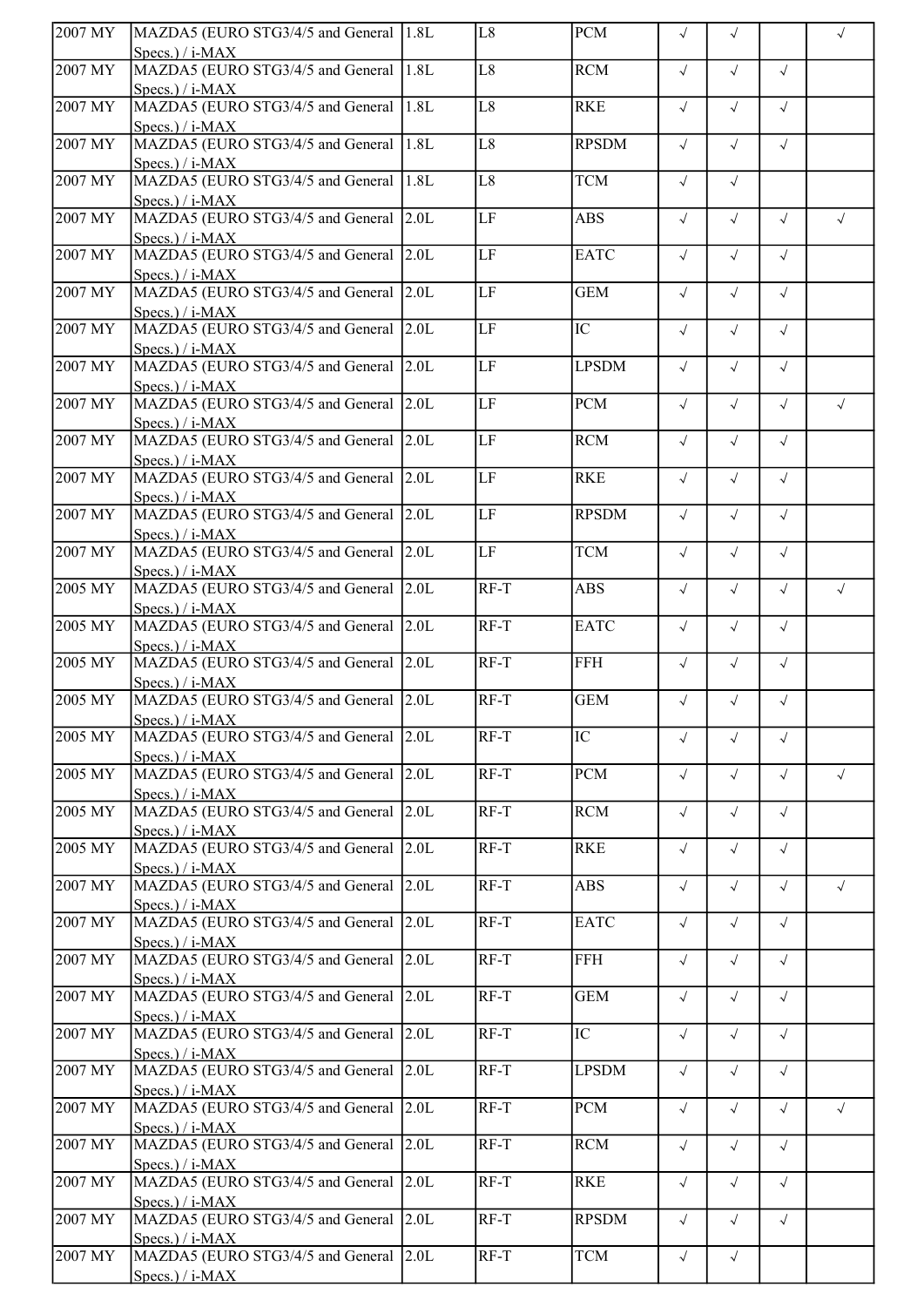| MAZDA5 (EURO STG3/4/5 and General 1.8L)<br>L8<br>2007 MY<br><b>RCM</b><br>$\sqrt{ }$<br>$\sqrt{ }$<br>$\sqrt{ }$<br>$Specs.)/i-MAX$<br>MAZDA5 (EURO STG3/4/5 and General 1.8L)<br>L8<br>2007 MY<br>$\sqrt{ }$<br><b>RKE</b><br>$\sqrt{}$<br>$\sqrt{ }$<br>$Specs.)/i-MAX$<br>MAZDA5 (EURO STG3/4/5 and General 1.8L)<br>$\overline{L8}$<br>2007 MY<br><b>RPSDM</b><br>$\sqrt{2}$<br>$\sqrt{2}$<br>$\sqrt{ }$<br>$Specs.)/i-MAX$<br>MAZDA5 (EURO STG3/4/5 and General 1.8L)<br>L8<br>2007 MY<br><b>TCM</b><br>$\sqrt{2}$<br>$\sqrt{ }$<br>$\text{Specs.}$ ) / i-MAX<br>MAZDA5 (EURO STG3/4/5 and General 2.0L<br>LF<br>2007 MY<br>$\sqrt{ }$<br>$\sqrt{}$<br>ABS<br>$\sqrt{ }$<br>$\sqrt{ }$<br>$\text{Specs.}$ ) / i-MAX<br>MAZDA5 (EURO STG3/4/5 and General 2.0L<br>LF<br>2007 MY<br>$\sqrt{ }$<br><b>EATC</b><br>$\sqrt{ }$<br>$\sqrt{ }$<br>$\text{Specs.}$ ) / i-MAX<br>MAZDA5 (EURO STG3/4/5 and General 2.0L<br>LF<br>2007 MY<br><b>GEM</b><br>$\sqrt{ }$<br>$\sqrt{ }$<br>$\sqrt{ }$<br>$\text{Specs.}$ ) / i-MAX<br>MAZDA5 (EURO STG3/4/5 and General 2.0L<br>LF<br>IC<br>2007 MY<br>$\sqrt{ }$<br>$\sqrt{ }$<br>$\sqrt{ }$<br>$\text{Specs.}$ ) / i-MAX<br>MAZDA5 (EURO STG3/4/5 and General 2.0L<br>LF<br>2007 MY<br>$\sqrt{ }$<br><b>LPSDM</b><br>$\sqrt{ }$<br>$\sqrt{ }$<br>$\text{Specs.}$ ) / i-MAX<br>MAZDA5 (EURO STG3/4/5 and General 2.0L<br>LF<br>2007 MY<br><b>PCM</b><br>$\sqrt{2}$<br>$\sqrt{ }$<br>$\sqrt{ }$<br>$\sqrt{ }$<br>$\text{Specs.}$ ) / i-MAX<br>MAZDA5 (EURO STG3/4/5 and General 2.0L<br>LF<br>2007 MY<br>$\sqrt{2}$<br><b>RCM</b><br>$\sqrt{ }$<br>$\sqrt{ }$<br>$\text{Specs.}$ ) / i-MAX<br>MAZDA5 (EURO STG3/4/5 and General 2.0L<br>LF<br>2007 MY<br>$\sqrt{ }$<br><b>RKE</b><br>$\sqrt{ }$<br>$\sqrt{ }$<br>$\text{Specs.}$ ) / i-MAX<br>MAZDA5 (EURO STG3/4/5 and General 2.0L<br>LF<br>2007 MY<br><b>RPSDM</b><br>$\sqrt{ }$<br>$\sqrt{ }$<br>$\sqrt{ }$<br>$\text{Specs.}$ ) / i-MAX<br>MAZDA5 (EURO STG3/4/5 and General 2.0L<br>LF<br>2007 MY<br><b>TCM</b><br>$\sqrt{ }$<br>$\sqrt{ }$<br>$\sqrt{ }$<br>$\text{Specs.}$ ) / i-MAX<br>MAZDA5 (EURO STG3/4/5 and General 2.0L<br>2005 MY<br>$RF-T$<br>$\sqrt{ }$<br>$\sqrt{ }$<br><b>ABS</b><br>$\sqrt{ }$<br>$\sqrt{ }$<br>$\text{Specs.}$ ) / i-MAX<br>MAZDA5 (EURO STG3/4/5 and General 2.0L<br>$\sqrt{ }$<br>2005 MY<br>$RF-T$<br><b>EATC</b><br>$\sqrt{ }$<br>$\sqrt{ }$<br>$\text{Specs.}$ ) / i-MAX<br>MAZDA5 (EURO STG3/4/5 and General 2.0L<br>2005 MY<br>$RF-T$<br>FFH<br>$\sqrt{ }$<br>$\sqrt{ }$<br>$\sqrt{ }$<br>$\text{Specs.}$ ) / i-MAX<br>MAZDA5 (EURO STG3/4/5 and General 2.0L<br>2005 MY<br>$RF-T$<br><b>GEM</b><br>$\sqrt{ }$<br>$\sqrt{ }$<br>$\sqrt{ }$<br>$\text{Specs.}$ ) / i-MAX<br>2005 MY<br>IC<br>MAZDA5 (EURO STG3/4/5 and General 2.0L<br>$RF-T$<br>$\sqrt{ }$<br>$\sqrt{}$<br>$\sqrt{ }$<br>$\text{Specs.}$ ) / i-MAX<br>MAZDA5 (EURO STG3/4/5 and General 2.0L<br>2005 MY<br>$RF-T$<br><b>PCM</b><br>$\sqrt{ }$<br>$\sqrt{ }$<br>$\sqrt{ }$<br>$\sqrt{ }$<br>$\text{Specs.}$ ) / i-MAX<br>2005 MY<br>MAZDA5 (EURO STG3/4/5 and General 2.0L<br>$RF-T$<br><b>RCM</b><br>$\sqrt{}$<br>$\sqrt{}$<br>$\sqrt{ }$<br>$\text{Specs.}$ ) / i-MAX<br>2005 MY<br>MAZDA5 (EURO STG3/4/5 and General 2.0L<br>$RF-T$<br><b>RKE</b><br>$\sqrt{}$<br>$\sqrt{}$<br>$\sqrt{ }$<br>$\text{Specs.}$ ) / i-MAX<br>2007 MY<br>MAZDA5 (EURO STG3/4/5 and General 2.0L<br>$RF-T$<br><b>ABS</b><br>$\sqrt{ }$<br>$\sqrt{ }$<br>$\sqrt{ }$<br>$\sqrt{ }$<br>$\text{Specs.}$ ) / i-MAX<br>2007 MY<br>MAZDA5 (EURO STG3/4/5 and General 2.0L<br>$RF-T$<br><b>EATC</b><br>$\sqrt{ }$<br>$\sqrt{ }$<br>$\sqrt{ }$<br>$\text{Specs.}$ ) / i-MAX<br>2007 MY<br>MAZDA5 (EURO STG3/4/5 and General 2.0L<br>$RF-T$<br>FFH<br>$\sqrt{}$<br>$\sqrt{ }$<br>$\sqrt{ }$<br>$\text{Specs.}$ ) / i-MAX<br>$RF-T$<br>2007 MY<br>MAZDA5 (EURO STG3/4/5 and General 2.0L<br><b>GEM</b><br>$\sqrt{ }$<br>$\sqrt{}$<br>$\sqrt{ }$<br>$\text{Specs.}$ ) / i-MAX<br>MAZDA5 (EURO STG3/4/5 and General<br>$RF-T$<br>2007 MY<br>IC<br>2.0 <sub>L</sub><br>$\sqrt{ }$<br>$\sqrt{ }$<br>$\sqrt{}$<br>Specs.) / i-MAX<br>2007 MY<br>MAZDA5 (EURO STG3/4/5 and General<br>$RF-T$<br><b>LPSDM</b><br>2.0 <sub>L</sub><br>$\sqrt{ }$<br>$\sqrt{}$<br>$\sqrt{ }$<br>Specs.) / i-MAX<br>2007 MY<br>MAZDA5 (EURO STG3/4/5 and General<br>$RF-T$<br><b>PCM</b><br>2.0 <sub>L</sub><br>$\sqrt{ }$<br>$\sqrt{}$<br>$\sqrt{ }$<br>$\sqrt{ }$<br>$\text{Specs.}$ ) / i-MAX<br>2007 MY<br>MAZDA5 (EURO STG3/4/5 and General<br>$RF-T$<br>2.0 <sub>L</sub><br><b>RCM</b><br>$\sqrt{ }$<br>$\sqrt{}$<br>$\sqrt{}$<br>$\text{Specs.}$ ) / i-MAX<br>2007 MY<br>$RF-T$<br>MAZDA5 (EURO STG3/4/5 and General<br>2.0 <sub>L</sub><br><b>RKE</b><br>$\sqrt{ }$<br>$\sqrt{}$<br>$\sqrt{}$<br>Specs.) / i-MAX<br>2007 MY<br>MAZDA5 (EURO STG3/4/5 and General<br>$RF-T$<br><b>RPSDM</b><br>2.0 <sub>L</sub><br>$\sqrt{ }$<br>$\sqrt{ }$<br>$\sqrt{ }$<br>$\text{Specs.}$ ) / i-MAX<br>MAZDA5 (EURO STG3/4/5 and General 2.0L<br>$RF-T$<br>2007 MY<br><b>TCM</b><br>$\sqrt{}$<br>$\sqrt{ }$<br>$Specs.)/i-MAX$ | 2007 MY | MAZDA5 (EURO STG3/4/5 and General 1.8L)<br>$\text{Specs.}$ ) / i-MAX | L8 | <b>PCM</b> | $\sqrt{ }$ | $\sqrt{ }$ | $\sqrt{ }$ |
|----------------------------------------------------------------------------------------------------------------------------------------------------------------------------------------------------------------------------------------------------------------------------------------------------------------------------------------------------------------------------------------------------------------------------------------------------------------------------------------------------------------------------------------------------------------------------------------------------------------------------------------------------------------------------------------------------------------------------------------------------------------------------------------------------------------------------------------------------------------------------------------------------------------------------------------------------------------------------------------------------------------------------------------------------------------------------------------------------------------------------------------------------------------------------------------------------------------------------------------------------------------------------------------------------------------------------------------------------------------------------------------------------------------------------------------------------------------------------------------------------------------------------------------------------------------------------------------------------------------------------------------------------------------------------------------------------------------------------------------------------------------------------------------------------------------------------------------------------------------------------------------------------------------------------------------------------------------------------------------------------------------------------------------------------------------------------------------------------------------------------------------------------------------------------------------------------------------------------------------------------------------------------------------------------------------------------------------------------------------------------------------------------------------------------------------------------------------------------------------------------------------------------------------------------------------------------------------------------------------------------------------------------------------------------------------------------------------------------------------------------------------------------------------------------------------------------------------------------------------------------------------------------------------------------------------------------------------------------------------------------------------------------------------------------------------------------------------------------------------------------------------------------------------------------------------------------------------------------------------------------------------------------------------------------------------------------------------------------------------------------------------------------------------------------------------------------------------------------------------------------------------------------------------------------------------------------------------------------------------------------------------------------------------------------------------------------------------------------------------------------------------------------------------------------------------------------------------------------------------------------------------------------------------------------------------------------------------------------------------------------------------------------------------------------------------------------------------------------------------------------------------------------------------------------------------------------------------------------------------------------------------------------------------------------------------------------------------------------------------------------------------------------------------------------------------------------------------------------------------------------------------------------------------------------------------------------------------------------------------------------------------------------------------------------------------------------------------------------------------------------------------------------------------------------------------------------------------------------------------------------------------------------------------------------------------------------------------------------------------------------------------------------------------------------------------------|---------|----------------------------------------------------------------------|----|------------|------------|------------|------------|
|                                                                                                                                                                                                                                                                                                                                                                                                                                                                                                                                                                                                                                                                                                                                                                                                                                                                                                                                                                                                                                                                                                                                                                                                                                                                                                                                                                                                                                                                                                                                                                                                                                                                                                                                                                                                                                                                                                                                                                                                                                                                                                                                                                                                                                                                                                                                                                                                                                                                                                                                                                                                                                                                                                                                                                                                                                                                                                                                                                                                                                                                                                                                                                                                                                                                                                                                                                                                                                                                                                                                                                                                                                                                                                                                                                                                                                                                                                                                                                                                                                                                                                                                                                                                                                                                                                                                                                                                                                                                                                                                                                                                                                                                                                                                                                                                                                                                                                                                                                                                                                                                      |         |                                                                      |    |            |            |            |            |
|                                                                                                                                                                                                                                                                                                                                                                                                                                                                                                                                                                                                                                                                                                                                                                                                                                                                                                                                                                                                                                                                                                                                                                                                                                                                                                                                                                                                                                                                                                                                                                                                                                                                                                                                                                                                                                                                                                                                                                                                                                                                                                                                                                                                                                                                                                                                                                                                                                                                                                                                                                                                                                                                                                                                                                                                                                                                                                                                                                                                                                                                                                                                                                                                                                                                                                                                                                                                                                                                                                                                                                                                                                                                                                                                                                                                                                                                                                                                                                                                                                                                                                                                                                                                                                                                                                                                                                                                                                                                                                                                                                                                                                                                                                                                                                                                                                                                                                                                                                                                                                                                      |         |                                                                      |    |            |            |            |            |
|                                                                                                                                                                                                                                                                                                                                                                                                                                                                                                                                                                                                                                                                                                                                                                                                                                                                                                                                                                                                                                                                                                                                                                                                                                                                                                                                                                                                                                                                                                                                                                                                                                                                                                                                                                                                                                                                                                                                                                                                                                                                                                                                                                                                                                                                                                                                                                                                                                                                                                                                                                                                                                                                                                                                                                                                                                                                                                                                                                                                                                                                                                                                                                                                                                                                                                                                                                                                                                                                                                                                                                                                                                                                                                                                                                                                                                                                                                                                                                                                                                                                                                                                                                                                                                                                                                                                                                                                                                                                                                                                                                                                                                                                                                                                                                                                                                                                                                                                                                                                                                                                      |         |                                                                      |    |            |            |            |            |
|                                                                                                                                                                                                                                                                                                                                                                                                                                                                                                                                                                                                                                                                                                                                                                                                                                                                                                                                                                                                                                                                                                                                                                                                                                                                                                                                                                                                                                                                                                                                                                                                                                                                                                                                                                                                                                                                                                                                                                                                                                                                                                                                                                                                                                                                                                                                                                                                                                                                                                                                                                                                                                                                                                                                                                                                                                                                                                                                                                                                                                                                                                                                                                                                                                                                                                                                                                                                                                                                                                                                                                                                                                                                                                                                                                                                                                                                                                                                                                                                                                                                                                                                                                                                                                                                                                                                                                                                                                                                                                                                                                                                                                                                                                                                                                                                                                                                                                                                                                                                                                                                      |         |                                                                      |    |            |            |            |            |
|                                                                                                                                                                                                                                                                                                                                                                                                                                                                                                                                                                                                                                                                                                                                                                                                                                                                                                                                                                                                                                                                                                                                                                                                                                                                                                                                                                                                                                                                                                                                                                                                                                                                                                                                                                                                                                                                                                                                                                                                                                                                                                                                                                                                                                                                                                                                                                                                                                                                                                                                                                                                                                                                                                                                                                                                                                                                                                                                                                                                                                                                                                                                                                                                                                                                                                                                                                                                                                                                                                                                                                                                                                                                                                                                                                                                                                                                                                                                                                                                                                                                                                                                                                                                                                                                                                                                                                                                                                                                                                                                                                                                                                                                                                                                                                                                                                                                                                                                                                                                                                                                      |         |                                                                      |    |            |            |            |            |
|                                                                                                                                                                                                                                                                                                                                                                                                                                                                                                                                                                                                                                                                                                                                                                                                                                                                                                                                                                                                                                                                                                                                                                                                                                                                                                                                                                                                                                                                                                                                                                                                                                                                                                                                                                                                                                                                                                                                                                                                                                                                                                                                                                                                                                                                                                                                                                                                                                                                                                                                                                                                                                                                                                                                                                                                                                                                                                                                                                                                                                                                                                                                                                                                                                                                                                                                                                                                                                                                                                                                                                                                                                                                                                                                                                                                                                                                                                                                                                                                                                                                                                                                                                                                                                                                                                                                                                                                                                                                                                                                                                                                                                                                                                                                                                                                                                                                                                                                                                                                                                                                      |         |                                                                      |    |            |            |            |            |
|                                                                                                                                                                                                                                                                                                                                                                                                                                                                                                                                                                                                                                                                                                                                                                                                                                                                                                                                                                                                                                                                                                                                                                                                                                                                                                                                                                                                                                                                                                                                                                                                                                                                                                                                                                                                                                                                                                                                                                                                                                                                                                                                                                                                                                                                                                                                                                                                                                                                                                                                                                                                                                                                                                                                                                                                                                                                                                                                                                                                                                                                                                                                                                                                                                                                                                                                                                                                                                                                                                                                                                                                                                                                                                                                                                                                                                                                                                                                                                                                                                                                                                                                                                                                                                                                                                                                                                                                                                                                                                                                                                                                                                                                                                                                                                                                                                                                                                                                                                                                                                                                      |         |                                                                      |    |            |            |            |            |
|                                                                                                                                                                                                                                                                                                                                                                                                                                                                                                                                                                                                                                                                                                                                                                                                                                                                                                                                                                                                                                                                                                                                                                                                                                                                                                                                                                                                                                                                                                                                                                                                                                                                                                                                                                                                                                                                                                                                                                                                                                                                                                                                                                                                                                                                                                                                                                                                                                                                                                                                                                                                                                                                                                                                                                                                                                                                                                                                                                                                                                                                                                                                                                                                                                                                                                                                                                                                                                                                                                                                                                                                                                                                                                                                                                                                                                                                                                                                                                                                                                                                                                                                                                                                                                                                                                                                                                                                                                                                                                                                                                                                                                                                                                                                                                                                                                                                                                                                                                                                                                                                      |         |                                                                      |    |            |            |            |            |
|                                                                                                                                                                                                                                                                                                                                                                                                                                                                                                                                                                                                                                                                                                                                                                                                                                                                                                                                                                                                                                                                                                                                                                                                                                                                                                                                                                                                                                                                                                                                                                                                                                                                                                                                                                                                                                                                                                                                                                                                                                                                                                                                                                                                                                                                                                                                                                                                                                                                                                                                                                                                                                                                                                                                                                                                                                                                                                                                                                                                                                                                                                                                                                                                                                                                                                                                                                                                                                                                                                                                                                                                                                                                                                                                                                                                                                                                                                                                                                                                                                                                                                                                                                                                                                                                                                                                                                                                                                                                                                                                                                                                                                                                                                                                                                                                                                                                                                                                                                                                                                                                      |         |                                                                      |    |            |            |            |            |
|                                                                                                                                                                                                                                                                                                                                                                                                                                                                                                                                                                                                                                                                                                                                                                                                                                                                                                                                                                                                                                                                                                                                                                                                                                                                                                                                                                                                                                                                                                                                                                                                                                                                                                                                                                                                                                                                                                                                                                                                                                                                                                                                                                                                                                                                                                                                                                                                                                                                                                                                                                                                                                                                                                                                                                                                                                                                                                                                                                                                                                                                                                                                                                                                                                                                                                                                                                                                                                                                                                                                                                                                                                                                                                                                                                                                                                                                                                                                                                                                                                                                                                                                                                                                                                                                                                                                                                                                                                                                                                                                                                                                                                                                                                                                                                                                                                                                                                                                                                                                                                                                      |         |                                                                      |    |            |            |            |            |
|                                                                                                                                                                                                                                                                                                                                                                                                                                                                                                                                                                                                                                                                                                                                                                                                                                                                                                                                                                                                                                                                                                                                                                                                                                                                                                                                                                                                                                                                                                                                                                                                                                                                                                                                                                                                                                                                                                                                                                                                                                                                                                                                                                                                                                                                                                                                                                                                                                                                                                                                                                                                                                                                                                                                                                                                                                                                                                                                                                                                                                                                                                                                                                                                                                                                                                                                                                                                                                                                                                                                                                                                                                                                                                                                                                                                                                                                                                                                                                                                                                                                                                                                                                                                                                                                                                                                                                                                                                                                                                                                                                                                                                                                                                                                                                                                                                                                                                                                                                                                                                                                      |         |                                                                      |    |            |            |            |            |
|                                                                                                                                                                                                                                                                                                                                                                                                                                                                                                                                                                                                                                                                                                                                                                                                                                                                                                                                                                                                                                                                                                                                                                                                                                                                                                                                                                                                                                                                                                                                                                                                                                                                                                                                                                                                                                                                                                                                                                                                                                                                                                                                                                                                                                                                                                                                                                                                                                                                                                                                                                                                                                                                                                                                                                                                                                                                                                                                                                                                                                                                                                                                                                                                                                                                                                                                                                                                                                                                                                                                                                                                                                                                                                                                                                                                                                                                                                                                                                                                                                                                                                                                                                                                                                                                                                                                                                                                                                                                                                                                                                                                                                                                                                                                                                                                                                                                                                                                                                                                                                                                      |         |                                                                      |    |            |            |            |            |
|                                                                                                                                                                                                                                                                                                                                                                                                                                                                                                                                                                                                                                                                                                                                                                                                                                                                                                                                                                                                                                                                                                                                                                                                                                                                                                                                                                                                                                                                                                                                                                                                                                                                                                                                                                                                                                                                                                                                                                                                                                                                                                                                                                                                                                                                                                                                                                                                                                                                                                                                                                                                                                                                                                                                                                                                                                                                                                                                                                                                                                                                                                                                                                                                                                                                                                                                                                                                                                                                                                                                                                                                                                                                                                                                                                                                                                                                                                                                                                                                                                                                                                                                                                                                                                                                                                                                                                                                                                                                                                                                                                                                                                                                                                                                                                                                                                                                                                                                                                                                                                                                      |         |                                                                      |    |            |            |            |            |
|                                                                                                                                                                                                                                                                                                                                                                                                                                                                                                                                                                                                                                                                                                                                                                                                                                                                                                                                                                                                                                                                                                                                                                                                                                                                                                                                                                                                                                                                                                                                                                                                                                                                                                                                                                                                                                                                                                                                                                                                                                                                                                                                                                                                                                                                                                                                                                                                                                                                                                                                                                                                                                                                                                                                                                                                                                                                                                                                                                                                                                                                                                                                                                                                                                                                                                                                                                                                                                                                                                                                                                                                                                                                                                                                                                                                                                                                                                                                                                                                                                                                                                                                                                                                                                                                                                                                                                                                                                                                                                                                                                                                                                                                                                                                                                                                                                                                                                                                                                                                                                                                      |         |                                                                      |    |            |            |            |            |
|                                                                                                                                                                                                                                                                                                                                                                                                                                                                                                                                                                                                                                                                                                                                                                                                                                                                                                                                                                                                                                                                                                                                                                                                                                                                                                                                                                                                                                                                                                                                                                                                                                                                                                                                                                                                                                                                                                                                                                                                                                                                                                                                                                                                                                                                                                                                                                                                                                                                                                                                                                                                                                                                                                                                                                                                                                                                                                                                                                                                                                                                                                                                                                                                                                                                                                                                                                                                                                                                                                                                                                                                                                                                                                                                                                                                                                                                                                                                                                                                                                                                                                                                                                                                                                                                                                                                                                                                                                                                                                                                                                                                                                                                                                                                                                                                                                                                                                                                                                                                                                                                      |         |                                                                      |    |            |            |            |            |
|                                                                                                                                                                                                                                                                                                                                                                                                                                                                                                                                                                                                                                                                                                                                                                                                                                                                                                                                                                                                                                                                                                                                                                                                                                                                                                                                                                                                                                                                                                                                                                                                                                                                                                                                                                                                                                                                                                                                                                                                                                                                                                                                                                                                                                                                                                                                                                                                                                                                                                                                                                                                                                                                                                                                                                                                                                                                                                                                                                                                                                                                                                                                                                                                                                                                                                                                                                                                                                                                                                                                                                                                                                                                                                                                                                                                                                                                                                                                                                                                                                                                                                                                                                                                                                                                                                                                                                                                                                                                                                                                                                                                                                                                                                                                                                                                                                                                                                                                                                                                                                                                      |         |                                                                      |    |            |            |            |            |
|                                                                                                                                                                                                                                                                                                                                                                                                                                                                                                                                                                                                                                                                                                                                                                                                                                                                                                                                                                                                                                                                                                                                                                                                                                                                                                                                                                                                                                                                                                                                                                                                                                                                                                                                                                                                                                                                                                                                                                                                                                                                                                                                                                                                                                                                                                                                                                                                                                                                                                                                                                                                                                                                                                                                                                                                                                                                                                                                                                                                                                                                                                                                                                                                                                                                                                                                                                                                                                                                                                                                                                                                                                                                                                                                                                                                                                                                                                                                                                                                                                                                                                                                                                                                                                                                                                                                                                                                                                                                                                                                                                                                                                                                                                                                                                                                                                                                                                                                                                                                                                                                      |         |                                                                      |    |            |            |            |            |
|                                                                                                                                                                                                                                                                                                                                                                                                                                                                                                                                                                                                                                                                                                                                                                                                                                                                                                                                                                                                                                                                                                                                                                                                                                                                                                                                                                                                                                                                                                                                                                                                                                                                                                                                                                                                                                                                                                                                                                                                                                                                                                                                                                                                                                                                                                                                                                                                                                                                                                                                                                                                                                                                                                                                                                                                                                                                                                                                                                                                                                                                                                                                                                                                                                                                                                                                                                                                                                                                                                                                                                                                                                                                                                                                                                                                                                                                                                                                                                                                                                                                                                                                                                                                                                                                                                                                                                                                                                                                                                                                                                                                                                                                                                                                                                                                                                                                                                                                                                                                                                                                      |         |                                                                      |    |            |            |            |            |
|                                                                                                                                                                                                                                                                                                                                                                                                                                                                                                                                                                                                                                                                                                                                                                                                                                                                                                                                                                                                                                                                                                                                                                                                                                                                                                                                                                                                                                                                                                                                                                                                                                                                                                                                                                                                                                                                                                                                                                                                                                                                                                                                                                                                                                                                                                                                                                                                                                                                                                                                                                                                                                                                                                                                                                                                                                                                                                                                                                                                                                                                                                                                                                                                                                                                                                                                                                                                                                                                                                                                                                                                                                                                                                                                                                                                                                                                                                                                                                                                                                                                                                                                                                                                                                                                                                                                                                                                                                                                                                                                                                                                                                                                                                                                                                                                                                                                                                                                                                                                                                                                      |         |                                                                      |    |            |            |            |            |
|                                                                                                                                                                                                                                                                                                                                                                                                                                                                                                                                                                                                                                                                                                                                                                                                                                                                                                                                                                                                                                                                                                                                                                                                                                                                                                                                                                                                                                                                                                                                                                                                                                                                                                                                                                                                                                                                                                                                                                                                                                                                                                                                                                                                                                                                                                                                                                                                                                                                                                                                                                                                                                                                                                                                                                                                                                                                                                                                                                                                                                                                                                                                                                                                                                                                                                                                                                                                                                                                                                                                                                                                                                                                                                                                                                                                                                                                                                                                                                                                                                                                                                                                                                                                                                                                                                                                                                                                                                                                                                                                                                                                                                                                                                                                                                                                                                                                                                                                                                                                                                                                      |         |                                                                      |    |            |            |            |            |
|                                                                                                                                                                                                                                                                                                                                                                                                                                                                                                                                                                                                                                                                                                                                                                                                                                                                                                                                                                                                                                                                                                                                                                                                                                                                                                                                                                                                                                                                                                                                                                                                                                                                                                                                                                                                                                                                                                                                                                                                                                                                                                                                                                                                                                                                                                                                                                                                                                                                                                                                                                                                                                                                                                                                                                                                                                                                                                                                                                                                                                                                                                                                                                                                                                                                                                                                                                                                                                                                                                                                                                                                                                                                                                                                                                                                                                                                                                                                                                                                                                                                                                                                                                                                                                                                                                                                                                                                                                                                                                                                                                                                                                                                                                                                                                                                                                                                                                                                                                                                                                                                      |         |                                                                      |    |            |            |            |            |
|                                                                                                                                                                                                                                                                                                                                                                                                                                                                                                                                                                                                                                                                                                                                                                                                                                                                                                                                                                                                                                                                                                                                                                                                                                                                                                                                                                                                                                                                                                                                                                                                                                                                                                                                                                                                                                                                                                                                                                                                                                                                                                                                                                                                                                                                                                                                                                                                                                                                                                                                                                                                                                                                                                                                                                                                                                                                                                                                                                                                                                                                                                                                                                                                                                                                                                                                                                                                                                                                                                                                                                                                                                                                                                                                                                                                                                                                                                                                                                                                                                                                                                                                                                                                                                                                                                                                                                                                                                                                                                                                                                                                                                                                                                                                                                                                                                                                                                                                                                                                                                                                      |         |                                                                      |    |            |            |            |            |
|                                                                                                                                                                                                                                                                                                                                                                                                                                                                                                                                                                                                                                                                                                                                                                                                                                                                                                                                                                                                                                                                                                                                                                                                                                                                                                                                                                                                                                                                                                                                                                                                                                                                                                                                                                                                                                                                                                                                                                                                                                                                                                                                                                                                                                                                                                                                                                                                                                                                                                                                                                                                                                                                                                                                                                                                                                                                                                                                                                                                                                                                                                                                                                                                                                                                                                                                                                                                                                                                                                                                                                                                                                                                                                                                                                                                                                                                                                                                                                                                                                                                                                                                                                                                                                                                                                                                                                                                                                                                                                                                                                                                                                                                                                                                                                                                                                                                                                                                                                                                                                                                      |         |                                                                      |    |            |            |            |            |
|                                                                                                                                                                                                                                                                                                                                                                                                                                                                                                                                                                                                                                                                                                                                                                                                                                                                                                                                                                                                                                                                                                                                                                                                                                                                                                                                                                                                                                                                                                                                                                                                                                                                                                                                                                                                                                                                                                                                                                                                                                                                                                                                                                                                                                                                                                                                                                                                                                                                                                                                                                                                                                                                                                                                                                                                                                                                                                                                                                                                                                                                                                                                                                                                                                                                                                                                                                                                                                                                                                                                                                                                                                                                                                                                                                                                                                                                                                                                                                                                                                                                                                                                                                                                                                                                                                                                                                                                                                                                                                                                                                                                                                                                                                                                                                                                                                                                                                                                                                                                                                                                      |         |                                                                      |    |            |            |            |            |
|                                                                                                                                                                                                                                                                                                                                                                                                                                                                                                                                                                                                                                                                                                                                                                                                                                                                                                                                                                                                                                                                                                                                                                                                                                                                                                                                                                                                                                                                                                                                                                                                                                                                                                                                                                                                                                                                                                                                                                                                                                                                                                                                                                                                                                                                                                                                                                                                                                                                                                                                                                                                                                                                                                                                                                                                                                                                                                                                                                                                                                                                                                                                                                                                                                                                                                                                                                                                                                                                                                                                                                                                                                                                                                                                                                                                                                                                                                                                                                                                                                                                                                                                                                                                                                                                                                                                                                                                                                                                                                                                                                                                                                                                                                                                                                                                                                                                                                                                                                                                                                                                      |         |                                                                      |    |            |            |            |            |
|                                                                                                                                                                                                                                                                                                                                                                                                                                                                                                                                                                                                                                                                                                                                                                                                                                                                                                                                                                                                                                                                                                                                                                                                                                                                                                                                                                                                                                                                                                                                                                                                                                                                                                                                                                                                                                                                                                                                                                                                                                                                                                                                                                                                                                                                                                                                                                                                                                                                                                                                                                                                                                                                                                                                                                                                                                                                                                                                                                                                                                                                                                                                                                                                                                                                                                                                                                                                                                                                                                                                                                                                                                                                                                                                                                                                                                                                                                                                                                                                                                                                                                                                                                                                                                                                                                                                                                                                                                                                                                                                                                                                                                                                                                                                                                                                                                                                                                                                                                                                                                                                      |         |                                                                      |    |            |            |            |            |
|                                                                                                                                                                                                                                                                                                                                                                                                                                                                                                                                                                                                                                                                                                                                                                                                                                                                                                                                                                                                                                                                                                                                                                                                                                                                                                                                                                                                                                                                                                                                                                                                                                                                                                                                                                                                                                                                                                                                                                                                                                                                                                                                                                                                                                                                                                                                                                                                                                                                                                                                                                                                                                                                                                                                                                                                                                                                                                                                                                                                                                                                                                                                                                                                                                                                                                                                                                                                                                                                                                                                                                                                                                                                                                                                                                                                                                                                                                                                                                                                                                                                                                                                                                                                                                                                                                                                                                                                                                                                                                                                                                                                                                                                                                                                                                                                                                                                                                                                                                                                                                                                      |         |                                                                      |    |            |            |            |            |
|                                                                                                                                                                                                                                                                                                                                                                                                                                                                                                                                                                                                                                                                                                                                                                                                                                                                                                                                                                                                                                                                                                                                                                                                                                                                                                                                                                                                                                                                                                                                                                                                                                                                                                                                                                                                                                                                                                                                                                                                                                                                                                                                                                                                                                                                                                                                                                                                                                                                                                                                                                                                                                                                                                                                                                                                                                                                                                                                                                                                                                                                                                                                                                                                                                                                                                                                                                                                                                                                                                                                                                                                                                                                                                                                                                                                                                                                                                                                                                                                                                                                                                                                                                                                                                                                                                                                                                                                                                                                                                                                                                                                                                                                                                                                                                                                                                                                                                                                                                                                                                                                      |         |                                                                      |    |            |            |            |            |
|                                                                                                                                                                                                                                                                                                                                                                                                                                                                                                                                                                                                                                                                                                                                                                                                                                                                                                                                                                                                                                                                                                                                                                                                                                                                                                                                                                                                                                                                                                                                                                                                                                                                                                                                                                                                                                                                                                                                                                                                                                                                                                                                                                                                                                                                                                                                                                                                                                                                                                                                                                                                                                                                                                                                                                                                                                                                                                                                                                                                                                                                                                                                                                                                                                                                                                                                                                                                                                                                                                                                                                                                                                                                                                                                                                                                                                                                                                                                                                                                                                                                                                                                                                                                                                                                                                                                                                                                                                                                                                                                                                                                                                                                                                                                                                                                                                                                                                                                                                                                                                                                      |         |                                                                      |    |            |            |            |            |
|                                                                                                                                                                                                                                                                                                                                                                                                                                                                                                                                                                                                                                                                                                                                                                                                                                                                                                                                                                                                                                                                                                                                                                                                                                                                                                                                                                                                                                                                                                                                                                                                                                                                                                                                                                                                                                                                                                                                                                                                                                                                                                                                                                                                                                                                                                                                                                                                                                                                                                                                                                                                                                                                                                                                                                                                                                                                                                                                                                                                                                                                                                                                                                                                                                                                                                                                                                                                                                                                                                                                                                                                                                                                                                                                                                                                                                                                                                                                                                                                                                                                                                                                                                                                                                                                                                                                                                                                                                                                                                                                                                                                                                                                                                                                                                                                                                                                                                                                                                                                                                                                      |         |                                                                      |    |            |            |            |            |
|                                                                                                                                                                                                                                                                                                                                                                                                                                                                                                                                                                                                                                                                                                                                                                                                                                                                                                                                                                                                                                                                                                                                                                                                                                                                                                                                                                                                                                                                                                                                                                                                                                                                                                                                                                                                                                                                                                                                                                                                                                                                                                                                                                                                                                                                                                                                                                                                                                                                                                                                                                                                                                                                                                                                                                                                                                                                                                                                                                                                                                                                                                                                                                                                                                                                                                                                                                                                                                                                                                                                                                                                                                                                                                                                                                                                                                                                                                                                                                                                                                                                                                                                                                                                                                                                                                                                                                                                                                                                                                                                                                                                                                                                                                                                                                                                                                                                                                                                                                                                                                                                      |         |                                                                      |    |            |            |            |            |
|                                                                                                                                                                                                                                                                                                                                                                                                                                                                                                                                                                                                                                                                                                                                                                                                                                                                                                                                                                                                                                                                                                                                                                                                                                                                                                                                                                                                                                                                                                                                                                                                                                                                                                                                                                                                                                                                                                                                                                                                                                                                                                                                                                                                                                                                                                                                                                                                                                                                                                                                                                                                                                                                                                                                                                                                                                                                                                                                                                                                                                                                                                                                                                                                                                                                                                                                                                                                                                                                                                                                                                                                                                                                                                                                                                                                                                                                                                                                                                                                                                                                                                                                                                                                                                                                                                                                                                                                                                                                                                                                                                                                                                                                                                                                                                                                                                                                                                                                                                                                                                                                      |         |                                                                      |    |            |            |            |            |
|                                                                                                                                                                                                                                                                                                                                                                                                                                                                                                                                                                                                                                                                                                                                                                                                                                                                                                                                                                                                                                                                                                                                                                                                                                                                                                                                                                                                                                                                                                                                                                                                                                                                                                                                                                                                                                                                                                                                                                                                                                                                                                                                                                                                                                                                                                                                                                                                                                                                                                                                                                                                                                                                                                                                                                                                                                                                                                                                                                                                                                                                                                                                                                                                                                                                                                                                                                                                                                                                                                                                                                                                                                                                                                                                                                                                                                                                                                                                                                                                                                                                                                                                                                                                                                                                                                                                                                                                                                                                                                                                                                                                                                                                                                                                                                                                                                                                                                                                                                                                                                                                      |         |                                                                      |    |            |            |            |            |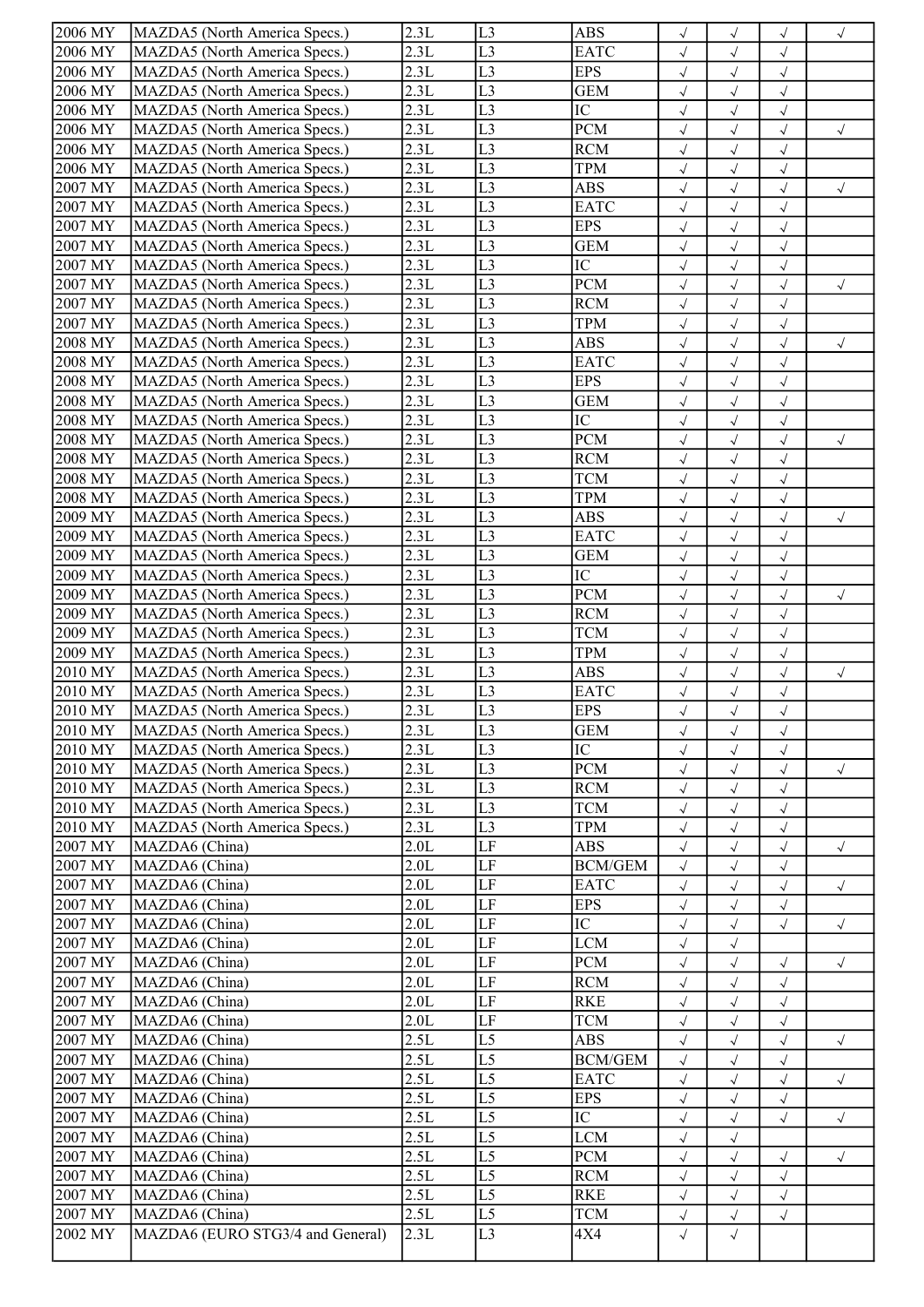| 2006 MY            | MAZDA5 (North America Specs.)    | 2.3L         | L3                                | ABS                      | $\sqrt{ }$               | $\sqrt{}$               | $\sqrt{}$                | $\sqrt{ }$ |
|--------------------|----------------------------------|--------------|-----------------------------------|--------------------------|--------------------------|-------------------------|--------------------------|------------|
| 2006 MY            | MAZDA5 (North America Specs.)    | 2.3L         | L <sub>3</sub>                    | <b>EATC</b>              | $\sqrt{}$                | $\sqrt{}$               | $\sqrt{ }$               |            |
| 2006 MY            | MAZDA5 (North America Specs.)    | 2.3L         | L <sub>3</sub>                    | <b>EPS</b>               | $\checkmark$             | $\sqrt{ }$              | $\sqrt{ }$               |            |
| 2006 MY            | MAZDA5 (North America Specs.)    | 2.3L         | L <sub>3</sub>                    | GEM                      | $\sqrt{\phantom{a}}$     | $\sqrt{ }$              | $\sqrt{ }$               |            |
| 2006 MY            | MAZDA5 (North America Specs.)    | 2.3L         | L <sub>3</sub>                    | IC                       | $\sqrt{ }$               | $\sqrt{}$               | $\sqrt{ }$               |            |
| 2006 MY            | MAZDA5 (North America Specs.)    | 2.3L         | L <sub>3</sub>                    | <b>PCM</b>               | $\sqrt{ }$               | $\sqrt{ }$              | $\sqrt{ }$               | $\sqrt{ }$ |
| 2006 MY            | MAZDA5 (North America Specs.)    | 2.3L         | L <sub>3</sub>                    | <b>RCM</b>               | $\sqrt{ }$               | $\sqrt{}$               | $\sqrt{ }$               |            |
| 2006 MY            | MAZDA5 (North America Specs.)    | 2.3L         | L <sub>3</sub>                    | <b>TPM</b>               | $\sqrt{ }$               | $\sqrt{}$               | $\sqrt{ }$               |            |
| 2007 MY            | MAZDA5 (North America Specs.)    | 2.3L         | L <sub>3</sub>                    | ABS                      | $\sqrt{ }$               | $\sqrt{}$               | $\sqrt{ }$               | $\sqrt{ }$ |
| 2007 MY            | MAZDA5 (North America Specs.)    | 2.3L         | L <sub>3</sub>                    | <b>EATC</b>              | $\sqrt{ }$               | $\sqrt{}$               | $\checkmark$             |            |
| 2007 MY            | MAZDA5 (North America Specs.)    | 2.3L         | L <sub>3</sub>                    | <b>EPS</b>               | $\sqrt{}$                | $\sqrt{2}$              | $\checkmark$             |            |
| 2007 MY            | MAZDA5 (North America Specs.)    | 2.3L         | L <sub>3</sub>                    | GEM                      | $\sqrt{ }$               | $\sqrt{}$               | $\sqrt{}$                |            |
| 2007 MY            | MAZDA5 (North America Specs.)    | 2.3L         | L <sub>3</sub>                    | IC                       | $\sqrt{ }$               | $\sqrt{}$               | $\sqrt{2}$               |            |
| 2007 MY            | MAZDA5 (North America Specs.)    | 2.3L         | L <sub>3</sub>                    | <b>PCM</b>               | $\sqrt{ }$               | $\sqrt{}$               | $\checkmark$             | $\sqrt{ }$ |
| 2007 MY            | MAZDA5 (North America Specs.)    | 2.3L         | L <sub>3</sub>                    | <b>RCM</b>               | $\sqrt{}$                | $\sqrt{}$               | $\sqrt{ }$               |            |
| 2007 MY            | MAZDA5 (North America Specs.)    | 2.3L         | L3                                | TPM                      | $\sqrt{ }$               | $\sqrt{ }$              | $\sqrt{}$                |            |
| 2008 MY            | MAZDA5 (North America Specs.)    | 2.3L         | L <sub>3</sub>                    | <b>ABS</b>               | $\sqrt{ }$               | $\sqrt{}$               | $\sqrt{ }$               | $\sqrt{ }$ |
| 2008 MY            | MAZDA5 (North America Specs.)    | 2.3L         | L3                                | EATC                     | $\sqrt{ }$               | $\sqrt{}$               | $\sqrt{ }$               |            |
| 2008 MY            | MAZDA5 (North America Specs.)    | 2.3L         | L <sub>3</sub>                    | <b>EPS</b>               | $\checkmark$             | $\sqrt{}$               | $\checkmark$             |            |
| 2008 MY            | MAZDA5 (North America Specs.)    | 2.3L         | L <sub>3</sub>                    | <b>GEM</b>               | $\sqrt{ }$               | $\sqrt{}$               | $\checkmark$             |            |
| 2008 MY            | MAZDA5 (North America Specs.)    | 2.3L         | L <sub>3</sub>                    | IC                       | $\sqrt{\phantom{a}}$     | $\sqrt{}$               | $\checkmark$             |            |
| 2008 MY            | MAZDA5 (North America Specs.)    | 2.3L         | L <sub>3</sub>                    | <b>PCM</b>               | $\checkmark$             | $\sqrt{}$               | $\checkmark$             | $\sqrt{ }$ |
| 2008 MY            | MAZDA5 (North America Specs.)    | 2.3L         | L <sub>3</sub>                    | <b>RCM</b>               | $\sqrt{ }$               | $\sqrt{2}$              | $\checkmark$             |            |
| 2008 MY            | MAZDA5 (North America Specs.)    | 2.3L         | L <sub>3</sub>                    | <b>TCM</b>               | $\checkmark$             | $\sqrt{}$               | $\checkmark$             |            |
| 2008 MY            | MAZDA5 (North America Specs.)    | 2.3L         | $\overline{L3}$                   | <b>TPM</b>               | $\sqrt{2}$               | $\sqrt{}$               | $\checkmark$             |            |
| 2009 MY            | MAZDA5 (North America Specs.)    | 2.3L         | L <sub>3</sub>                    | ABS                      | $\sqrt{ }$               | $\sqrt{}$               | $\sqrt{ }$               | $\sqrt{ }$ |
| 2009 MY            | MAZDA5 (North America Specs.)    | 2.3L         | L3                                | EATC                     | $\sqrt{}$                | $\sqrt{ }$              | $\sqrt{ }$               |            |
| 2009 MY            | MAZDA5 (North America Specs.)    | 2.3L         | L <sub>3</sub>                    | <b>GEM</b>               | $\sqrt{}$                | $\sqrt{}$               | $\sqrt{}$                |            |
| 2009 MY            | MAZDA5 (North America Specs.)    | 2.3L         | L <sub>3</sub>                    | IC                       | $\sqrt{ }$               | $\sqrt{ }$              | $\sqrt{ }$               |            |
| 2009 MY            | MAZDA5 (North America Specs.)    | 2.3L         | L3                                | <b>PCM</b>               | $\sqrt{ }$               | $\sqrt{}$               | $\sqrt{}$                | $\sqrt{ }$ |
| 2009 MY            | MAZDA5 (North America Specs.)    | 2.3L         | L <sub>3</sub>                    | <b>RCM</b>               | $\sqrt{ }$               | $\sqrt{ }$              | $\checkmark$             |            |
| 2009 MY            | MAZDA5 (North America Specs.)    | 2.3L         | L <sub>3</sub>                    | <b>TCM</b>               | $\sqrt{ }$               | $\sqrt{}$               | $\checkmark$             |            |
| 2009 MY            | MAZDA5 (North America Specs.)    | 2.3L         | L <sub>3</sub>                    | <b>TPM</b>               | $\sqrt{ }$               | $\sqrt{}$               | $\sqrt{ }$               |            |
| 2010 MY            | MAZDA5 (North America Specs.)    | 2.3L         | L <sub>3</sub>                    | <b>ABS</b>               | $\sqrt{ }$               | $\sqrt{ }$              | $\checkmark$             | $\sqrt{ }$ |
| 2010 MY            | MAZDA5 (North America Specs.)    | 2.3L         | L <sub>3</sub>                    | <b>EATC</b>              | $\sqrt{ }$               | $\sqrt{}$               | $\checkmark$             |            |
| 2010 MY            | MAZDA5 (North America Specs.)    | 2.3L         | L <sub>3</sub>                    | <b>EPS</b>               | $\sqrt{2}$               | $\sqrt{2}$              | $\sqrt{}$                |            |
| 2010 MY            | MAZDA5 (North America Specs.)    | 2.3L         | L <sub>3</sub>                    | <b>GEM</b>               | $\sqrt{}$                | $\sqrt{}$               | $\sqrt{}$                |            |
| 2010 MY            | MAZDA5 (North America Specs.)    | 2.3L         | L <sub>3</sub>                    | IC                       | $\checkmark$             | $\sqrt{}$               | $\checkmark$             |            |
| 2010 MY            | MAZDA5 (North America Specs.)    | 2.3L         | L3                                | <b>PCM</b>               | $\sqrt{ }$               | $\sqrt{}$               | $\sqrt{ }$               | $\sqrt{ }$ |
| 2010 MY            | MAZDA5 (North America Specs.)    | 2.3L         | L <sub>3</sub>                    | <b>RCM</b>               | $\sqrt{ }$               | $\sqrt{ }$              | $\sqrt{ }$               |            |
| 2010 MY            | MAZDA5 (North America Specs.)    | 2.3L         | L3                                | <b>TCM</b>               | $\sqrt{\phantom{a}}$     | $\sqrt{ }$              | $\sqrt{\phantom{a}}$     |            |
| 2010 MY            | MAZDA5 (North America Specs.)    | 2.3L         | L <sub>3</sub>                    | <b>TPM</b>               | $\sqrt{ }$               | $\sqrt{}$               | $\sqrt{ }$               |            |
| 2007 MY            | MAZDA6 (China)                   | 2.0L         | $\rm LF$                          | ABS                      | $\sqrt{\phantom{a}}$     | $\sqrt{}$               | $\sqrt{ }$               | $\sqrt{ }$ |
| 2007 MY            | MAZDA6 (China)                   | 2.0L         | LF                                | <b>BCM/GEM</b>           | $\sqrt{ }$               | $\sqrt{}$               | $\sqrt{ }$               |            |
| 2007 MY            | MAZDA6 (China)                   | 2.0L         | LF                                | <b>EATC</b>              | $\sqrt{ }$               | $\sqrt{}$               | $\sqrt{ }$               | $\sqrt{ }$ |
| 2007 MY            | MAZDA6 (China)                   | 2.0L         | LF                                | <b>EPS</b>               | $\sqrt{ }$               | $\sqrt{}$               | $\sqrt{ }$               |            |
| 2007 MY            | MAZDA6 (China)                   | 2.0L         | $\rm LF$                          | IC                       | $\sqrt{ }$               | $\sqrt{2}$              | $\sqrt{ }$               | $\sqrt{ }$ |
| 2007 MY            | MAZDA6 (China)                   | 2.0L         | LF                                | <b>LCM</b>               | $\sqrt{ }$               | $\sqrt{2}$              |                          |            |
| 2007 MY            | MAZDA6 (China)                   | 2.0L         | LF                                | PCM                      | $\sqrt{ }$               | $\sqrt{}$               | $\sqrt{ }$               | $\sqrt{ }$ |
| 2007 MY            | MAZDA6 (China)                   | 2.0L         | LF                                | RCM                      | $\checkmark$             | $\sqrt{}$               | $\sqrt{2}$               |            |
| 2007 MY            | MAZDA6 (China)                   | 2.0L         | LF                                | <b>RKE</b>               | $\sqrt{\ }$              | $\sqrt{}$               | $\sqrt{}$                |            |
| 2007 MY            | MAZDA6 (China)                   | 2.0L         | LF                                | <b>TCM</b>               | $\sqrt{ }$               | $\checkmark$            | $\sqrt{}$                |            |
| 2007 MY            | MAZDA6 (China)                   | 2.5L         | L5                                | <b>ABS</b>               | $\sqrt{ }$               | $\sqrt{}$               | $\sqrt{}$                | $\sqrt{ }$ |
| 2007 MY            | MAZDA6 (China)                   | 2.5L         | L5                                | <b>BCM/GEM</b>           | $\sqrt{\phantom{a}}$     | $\sqrt{}$               | $\sqrt{ }$               |            |
| 2007 MY            | MAZDA6 (China)                   | 2.5L         | L5                                | <b>EATC</b>              | $\sqrt{ }$               | $\sqrt{}$               | $\sqrt{ }$               | $\sqrt{ }$ |
| 2007 MY            | MAZDA6 (China)                   | 2.5L         | L <sub>5</sub>                    | <b>EPS</b>               | $\sqrt{ }$               | $\sqrt{ }$              | $\sqrt{ }$               |            |
| 2007 MY            | MAZDA6 (China)                   | 2.5L         | L5                                | IC                       | $\sqrt{ }$               | $\sqrt{ }$              | $\sqrt{ }$               | $\sqrt{ }$ |
| 2007 MY            | MAZDA6 (China)                   | 2.5L         | L <sub>5</sub><br>$\overline{L5}$ | LCM                      | $\sqrt{ }$               | $\sqrt{}$               |                          |            |
| 2007 MY            | MAZDA6 (China)                   | 2.5L         | L <sub>5</sub>                    | <b>PCM</b>               | $\sqrt{ }$<br>$\sqrt{ }$ | $\sqrt{ }$              | $\sqrt{ }$               | $\sqrt{}$  |
| 2007 MY            | MAZDA6 (China)                   | 2.5L<br>2.5L | L5                                | <b>RCM</b>               | $\sqrt{ }$               | $\sqrt{2}$              | $\sqrt{ }$               |            |
| 2007 MY<br>2007 MY | MAZDA6 (China)<br>MAZDA6 (China) | 2.5L         | $\overline{L5}$                   | <b>RKE</b><br><b>TCM</b> | $\sqrt{ }$               | $\sqrt{}$               | $\sqrt{ }$<br>$\sqrt{ }$ |            |
| 2002 MY            | MAZDA6 (EURO STG3/4 and General) | 2.3L         | L <sub>3</sub>                    | 4X4                      | $\sqrt{}$                | $\sqrt{}$<br>$\sqrt{ }$ |                          |            |
|                    |                                  |              |                                   |                          |                          |                         |                          |            |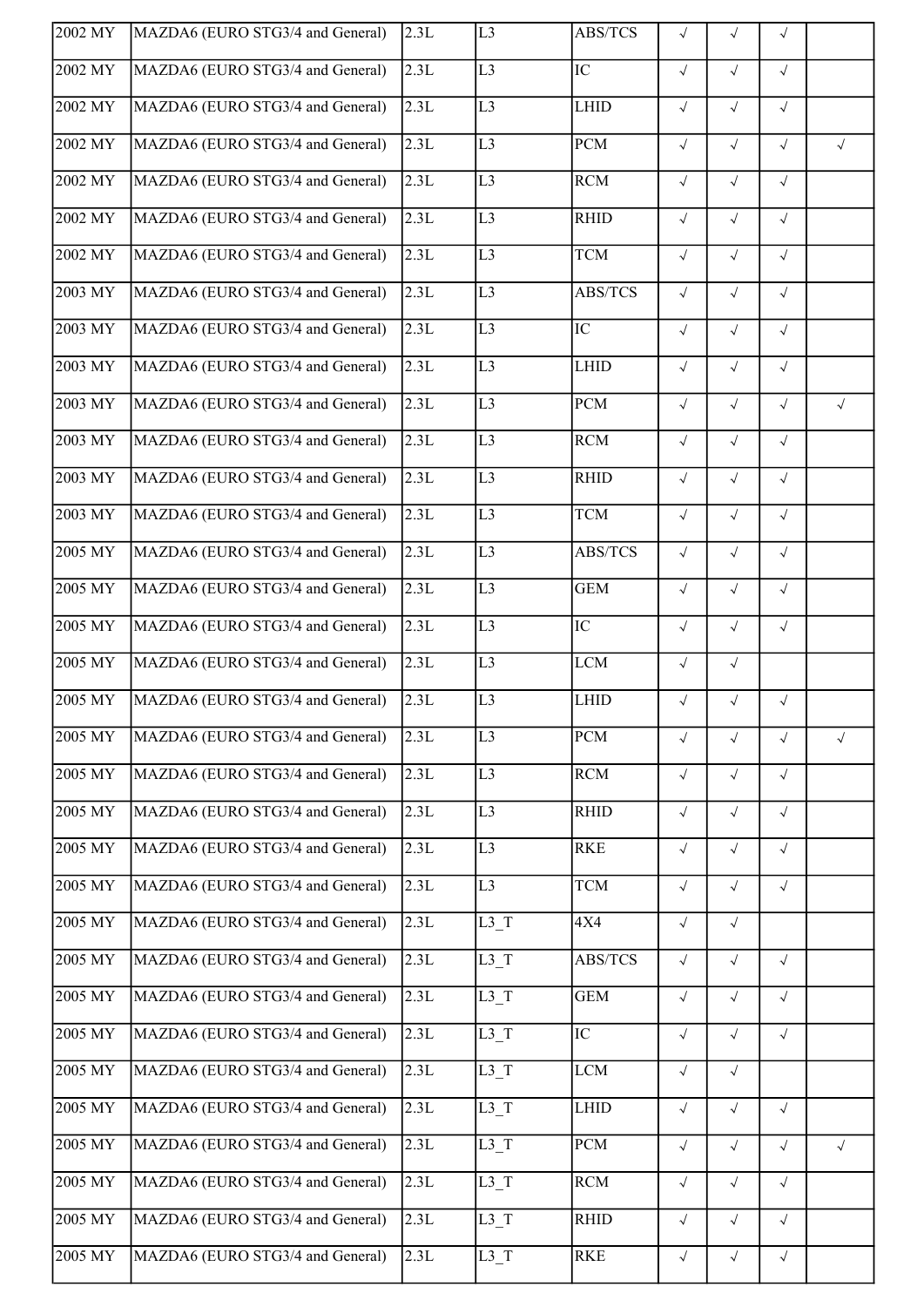| 2002 MY | MAZDA6 (EURO STG3/4 and General) | 2.3L | L <sub>3</sub>    | ABS/TCS     | $\sqrt{}$    | $\sqrt{ }$ | $\sqrt{ }$           |            |
|---------|----------------------------------|------|-------------------|-------------|--------------|------------|----------------------|------------|
| 2002 MY | MAZDA6 (EURO STG3/4 and General) | 2.3L | L <sub>3</sub>    | IC          | $\sqrt{ }$   | $\sqrt{ }$ | $\sqrt{ }$           |            |
| 2002 MY | MAZDA6 (EURO STG3/4 and General) | 2.3L | L <sub>3</sub>    | <b>LHID</b> | $\sqrt{ }$   | $\sqrt{}$  | $\sqrt{ }$           |            |
| 2002 MY | MAZDA6 (EURO STG3/4 and General) | 2.3L | L <sub>3</sub>    | <b>PCM</b>  | $\sqrt{ }$   | $\sqrt{}$  | $\sqrt{ }$           | $\sqrt{ }$ |
| 2002 MY | MAZDA6 (EURO STG3/4 and General) | 2.3L | L <sub>3</sub>    | RCM         | $\sqrt{ }$   | $\sqrt{}$  | $\sqrt{ }$           |            |
| 2002 MY | MAZDA6 (EURO STG3/4 and General) | 2.3L | L <sub>3</sub>    | <b>RHID</b> | $\sqrt{ }$   | $\sqrt{}$  | $\sqrt{ }$           |            |
| 2002 MY | MAZDA6 (EURO STG3/4 and General) | 2.3L | L <sub>3</sub>    | <b>TCM</b>  | $\sqrt{ }$   | $\sqrt{}$  | $\sqrt{ }$           |            |
| 2003 MY | MAZDA6 (EURO STG3/4 and General) | 2.3L | L <sub>3</sub>    | ABS/TCS     | $\sqrt{ }$   | $\sqrt{}$  | $\sqrt{ }$           |            |
| 2003 MY | MAZDA6 (EURO STG3/4 and General) | 2.3L | L <sub>3</sub>    | IC          | $\sqrt{ }$   | $\sqrt{}$  | $\sqrt{ }$           |            |
| 2003 MY | MAZDA6 (EURO STG3/4 and General) | 2.3L | L <sub>3</sub>    | <b>LHID</b> | $\sqrt{}$    | $\sqrt{ }$ | $\sqrt{ }$           |            |
| 2003 MY | MAZDA6 (EURO STG3/4 and General) | 2.3L | L <sub>3</sub>    | PCM         | $\sqrt{ }$   | $\sqrt{}$  | $\sqrt{}$            | $\sqrt{ }$ |
| 2003 MY | MAZDA6 (EURO STG3/4 and General) | 2.3L | L <sub>3</sub>    | RCM         | $\sqrt{ }$   | $\sqrt{}$  | $\sqrt{ }$           |            |
| 2003 MY | MAZDA6 (EURO STG3/4 and General) | 2.3L | L <sub>3</sub>    | <b>RHID</b> | $\sqrt{ }$   | $\sqrt{}$  | $\sqrt{ }$           |            |
| 2003 MY | MAZDA6 (EURO STG3/4 and General) | 2.3L | $\overline{L3}$   | <b>TCM</b>  | $\sqrt{ }$   | $\sqrt{}$  | $\sqrt{ }$           |            |
| 2005 MY | MAZDA6 (EURO STG3/4 and General) | 2.3L | $\overline{L3}$   | ABS/TCS     | $\sqrt{}$    | $\sqrt{ }$ | $\sqrt{ }$           |            |
| 2005 MY | MAZDA6 (EURO STG3/4 and General) | 2.3L | $\overline{L3}$   | <b>GEM</b>  | $\sqrt{ }$   | $\sqrt{ }$ | $\sqrt{ }$           |            |
| 2005 MY | MAZDA6 (EURO STG3/4 and General) | 2.3L | $\overline{L3}$   | IC          | $\sqrt{ }$   | $\sqrt{}$  | $\sqrt{ }$           |            |
| 2005 MY | MAZDA6 (EURO STG3/4 and General) | 2.3L | $\overline{L3}$   | <b>LCM</b>  | $\sqrt{ }$   | $\sqrt{}$  |                      |            |
| 2005 MY | MAZDA6 (EURO STG3/4 and General) | 2.3L | $\overline{L3}$   | <b>LHID</b> | $\checkmark$ | $\sqrt{}$  | $\sqrt{ }$           |            |
| 2005 MY | MAZDA6 (EURO STG3/4 and General) | 2.3L | L <sub>3</sub>    | <b>PCM</b>  | $\sqrt{ }$   | $\sqrt{}$  | $\sqrt{ }$           | $\sqrt{ }$ |
| 2005 MY | MAZDA6 (EURO STG3/4 and General) | 2.3L | $\overline{L3}$   | <b>RCM</b>  | $\sqrt{ }$   | $\sqrt{2}$ | $\sqrt{ }$           |            |
| 2005 MY | MAZDA6 (EURO STG3/4 and General) | 2.3L | L3                | <b>RHID</b> | $\sqrt{ }$   | $\sqrt{}$  | $\sqrt{\phantom{a}}$ |            |
| 2005 MY | MAZDA6 (EURO STG3/4 and General) | 2.3L | L <sub>3</sub>    | <b>RKE</b>  | $\sqrt{ }$   | $\sqrt{ }$ | $\sqrt{\phantom{a}}$ |            |
| 2005 MY | MAZDA6 (EURO STG3/4 and General) | 2.3L | L <sub>3</sub>    | <b>TCM</b>  | $\sqrt{ }$   | $\sqrt{ }$ | $\sqrt{ }$           |            |
| 2005 MY | MAZDA6 (EURO STG3/4 and General) | 2.3L | $L3$ <sub>T</sub> | 4X4         | $\sqrt{ }$   | $\sqrt{}$  |                      |            |
| 2005 MY | MAZDA6 (EURO STG3/4 and General) | 2.3L | $L3$ <sub>T</sub> | ABS/TCS     | $\checkmark$ | $\sqrt{ }$ | $\sqrt{ }$           |            |
| 2005 MY | MAZDA6 (EURO STG3/4 and General) | 2.3L | $L3$ <sub>T</sub> | <b>GEM</b>  | $\sqrt{ }$   | $\sqrt{ }$ | $\sqrt{ }$           |            |
| 2005 MY | MAZDA6 (EURO STG3/4 and General) | 2.3L | L3T               | IC          | $\sqrt{ }$   | $\sqrt{ }$ | $\sqrt{ }$           |            |
| 2005 MY | MAZDA6 (EURO STG3/4 and General) | 2.3L | $L3$ <sub>T</sub> | <b>LCM</b>  | $\sqrt{ }$   | $\sqrt{ }$ |                      |            |
| 2005 MY | MAZDA6 (EURO STG3/4 and General) | 2.3L | L3T               | LHID        | $\sqrt{ }$   | $\sqrt{ }$ | $\sqrt{ }$           |            |
| 2005 MY | MAZDA6 (EURO STG3/4 and General) | 2.3L | L3 T              | PCM         | $\sqrt{ }$   | $\sqrt{}$  | $\sqrt{ }$           | $\sqrt{ }$ |
| 2005 MY | MAZDA6 (EURO STG3/4 and General) | 2.3L | L3 T              | <b>RCM</b>  | $\sqrt{ }$   | $\sqrt{ }$ | $\sqrt{ }$           |            |
| 2005 MY | MAZDA6 (EURO STG3/4 and General) | 2.3L | L3 T              | <b>RHID</b> | $\sqrt{ }$   | $\sqrt{}$  | $\sqrt{ }$           |            |
| 2005 MY | MAZDA6 (EURO STG3/4 and General) | 2.3L | $L3$ <sup>T</sup> | <b>RKE</b>  | $\sqrt{ }$   | $\sqrt{ }$ | $\sqrt{ }$           |            |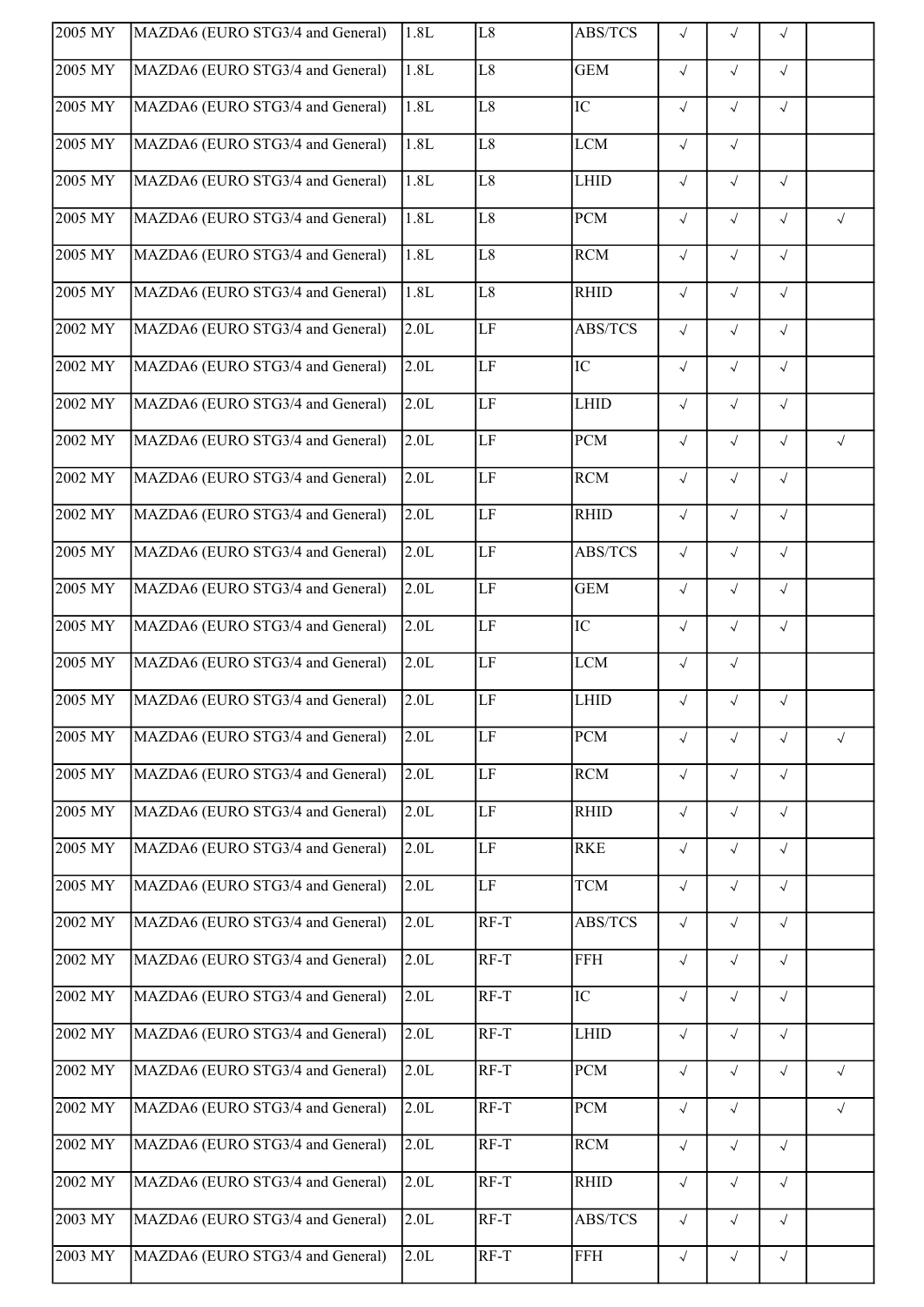| 2005 MY | MAZDA6 (EURO STG3/4 and General) | 1.8L | L8              | ABS/TCS        | $\sqrt{ }$           | $\sqrt{ }$ | $\sqrt{ }$           |              |
|---------|----------------------------------|------|-----------------|----------------|----------------------|------------|----------------------|--------------|
| 2005 MY | MAZDA6 (EURO STG3/4 and General) | 1.8L | L8              | <b>GEM</b>     | $\sqrt{ }$           | $\sqrt{}$  | $\sqrt{\phantom{a}}$ |              |
| 2005 MY | MAZDA6 (EURO STG3/4 and General) | 1.8L | L8              | IC             | $\sqrt{\phantom{a}}$ | $\sqrt{}$  | $\sqrt{ }$           |              |
| 2005 MY | MAZDA6 (EURO STG3/4 and General) | 1.8L | L8              | LCM            | $\sqrt{\phantom{a}}$ | $\sqrt{ }$ |                      |              |
| 2005 MY | MAZDA6 (EURO STG3/4 and General) | 1.8L | L8              | <b>LHID</b>    | $\sqrt{\phantom{a}}$ | $\sqrt{ }$ | $\sqrt{ }$           |              |
| 2005 MY | MAZDA6 (EURO STG3/4 and General) | 1.8L | L8              | <b>PCM</b>     | $\sqrt{ }$           | $\sqrt{ }$ | $\sqrt{ }$           | $\sqrt{ }$   |
| 2005 MY | MAZDA6 (EURO STG3/4 and General) | 1.8L | L8              | RCM            | $\sqrt{ }$           | $\sqrt{ }$ | $\sqrt{ }$           |              |
| 2005 MY | MAZDA6 (EURO STG3/4 and General) | 1.8L | L8              | <b>RHID</b>    | $\sqrt{\phantom{a}}$ | $\sqrt{ }$ | $\sqrt{ }$           |              |
| 2002 MY | MAZDA6 (EURO STG3/4 and General) | 2.0L | $\rm LF$        | <b>ABS/TCS</b> | $\sqrt{\phantom{a}}$ | $\sqrt{}$  | $\sqrt{ }$           |              |
| 2002 MY | MAZDA6 (EURO STG3/4 and General) | 2.0L | $\rm LF$        | IC             | $\sqrt{\phantom{a}}$ | $\sqrt{}$  | $\sqrt{ }$           |              |
| 2002 MY | MAZDA6 (EURO STG3/4 and General) | 2.0L | LF              | <b>LHID</b>    | $\sqrt{ }$           | $\sqrt{}$  | $\sqrt{ }$           |              |
| 2002 MY | MAZDA6 (EURO STG3/4 and General) | 2.0L | LF              | <b>PCM</b>     | $\sqrt{\phantom{a}}$ | $\sqrt{}$  | $\sqrt{ }$           | $\sqrt{ }$   |
| 2002 MY | MAZDA6 (EURO STG3/4 and General) | 2.0L | $\rm LF$        | RCM            | $\sqrt{}$            | $\sqrt{}$  | $\sqrt{ }$           |              |
| 2002 MY | MAZDA6 (EURO STG3/4 and General) | 2.0L | $\rm LF$        | <b>RHID</b>    | $\sqrt{\phantom{a}}$ | $\sqrt{ }$ | $\sqrt{ }$           |              |
| 2005 MY | MAZDA6 (EURO STG3/4 and General) | 2.0L | LF              | ABS/TCS        | $\sqrt{\phantom{a}}$ | $\sqrt{}$  | $\sqrt{ }$           |              |
| 2005 MY | MAZDA6 (EURO STG3/4 and General) | 2.0L | $\rm LF$        | <b>GEM</b>     | $\sqrt{ }$           | $\sqrt{}$  | $\sqrt{ }$           |              |
| 2005 MY | MAZDA6 (EURO STG3/4 and General) | 2.0L | $\rm LF$        | IC             | $\sqrt{\phantom{a}}$ | $\sqrt{}$  | $\sqrt{\phantom{a}}$ |              |
| 2005 MY | MAZDA6 (EURO STG3/4 and General) | 2.0L | $\overline{LF}$ | <b>LCM</b>     | $\sqrt{ }$           | $\sqrt{}$  |                      |              |
| 2005 MY | MAZDA6 (EURO STG3/4 and General) | 2.0L | $\overline{LF}$ | <b>LHID</b>    | $\sqrt{ }$           | $\sqrt{}$  | $\sqrt{ }$           |              |
| 2005 MY | MAZDA6 (EURO STG3/4 and General) | 2.0L | LF              | <b>PCM</b>     | $\sqrt{ }$           | $\sqrt{}$  | $\sqrt{ }$           | $\checkmark$ |
| 2005 MY | MAZDA6 (EURO STG3/4 and General) | 2.0L | $\overline{LF}$ | <b>RCM</b>     | $\sqrt{ }$           | $\sqrt{ }$ | $\sqrt{}$            |              |
| 2005 MY | MAZDA6 (EURO STG3/4 and General) | 2.0L | $\overline{LF}$ | <b>RHID</b>    | $\sqrt{}$            | $\sqrt{2}$ | $\sqrt{ }$           |              |
| 2005 MY | MAZDA6 (EURO STG3/4 and General) | 2.0L | LF              | <b>RKE</b>     | $\sqrt{ }$           | $\sqrt{}$  | $\sqrt{\phantom{a}}$ |              |
| 2005 MY | MAZDA6 (EURO STG3/4 and General) | 2.0L | LF              | <b>TCM</b>     | $\sqrt{ }$           | $\sqrt{}$  | $\sqrt{\phantom{a}}$ |              |
| 2002 MY | MAZDA6 (EURO STG3/4 and General) | 2.0L | $RF-T$          | ABS/TCS        | $\sqrt{ }$           | $\sqrt{}$  | $\sqrt{\phantom{a}}$ |              |
| 2002 MY | MAZDA6 (EURO STG3/4 and General) | 2.0L | $RF-T$          | FFH            | $\sqrt{ }$           | $\sqrt{}$  | $\sqrt{\phantom{a}}$ |              |
| 2002 MY | MAZDA6 (EURO STG3/4 and General) | 2.0L | $RF-T$          | IC             | $\sqrt{ }$           | $\sqrt{ }$ | $\sqrt{ }$           |              |
| 2002 MY | MAZDA6 (EURO STG3/4 and General) | 2.0L | $RF-T$          | LHID           | $\sqrt{ }$           | $\sqrt{ }$ | $\sqrt{ }$           |              |
| 2002 MY | MAZDA6 (EURO STG3/4 and General) | 2.0L | $RF-T$          | PCM            | $\checkmark$         | $\sqrt{ }$ | $\sqrt{ }$           | $\checkmark$ |
| 2002 MY | MAZDA6 (EURO STG3/4 and General) | 2.0L | $RF-T$          | PCM            | $\sqrt{ }$           | $\sqrt{}$  |                      | $\sqrt{ }$   |
| 2002 MY | MAZDA6 (EURO STG3/4 and General) | 2.0L | $RF-T$          | <b>RCM</b>     | $\sqrt{ }$           | $\sqrt{ }$ | $\sqrt{ }$           |              |
| 2002 MY | MAZDA6 (EURO STG3/4 and General) | 2.0L | $RF-T$          | <b>RHID</b>    | $\sqrt{ }$           | $\sqrt{ }$ | $\sqrt{ }$           |              |
| 2003 MY | MAZDA6 (EURO STG3/4 and General) | 2.0L | $RF-T$          | ABS/TCS        | $\sqrt{ }$           | $\sqrt{}$  | $\sqrt{ }$           |              |
| 2003 MY | MAZDA6 (EURO STG3/4 and General) | 2.0L | $RF-T$          | FFH            | $\sqrt{ }$           | $\sqrt{ }$ | $\sqrt{}$            |              |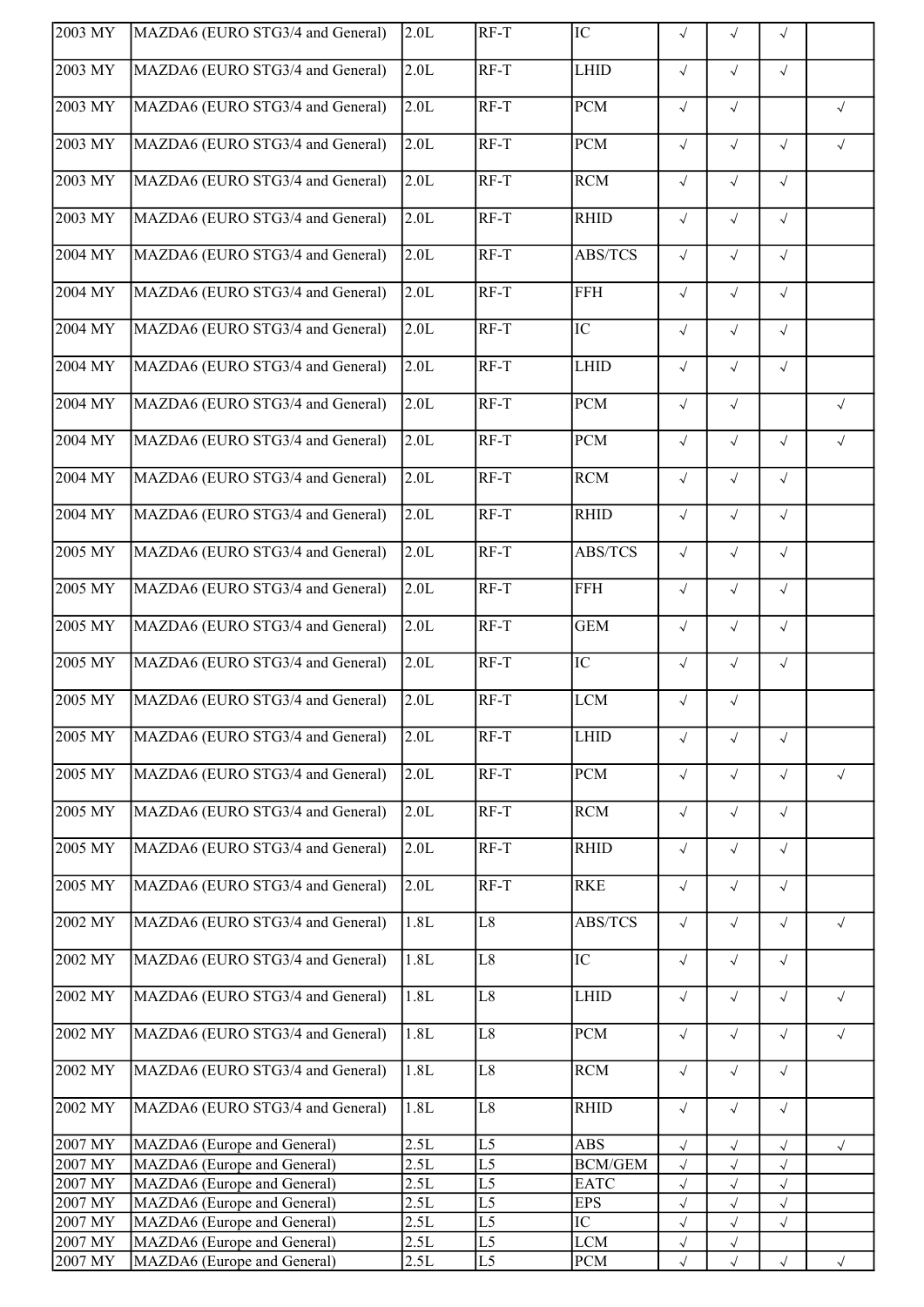| 2003 MY | MAZDA6 (EURO STG3/4 and General) | 2.0L               | $RF-T$          | IC             | $\sqrt{}$    | $\sqrt{}$  | $\sqrt{}$            |            |
|---------|----------------------------------|--------------------|-----------------|----------------|--------------|------------|----------------------|------------|
| 2003 MY | MAZDA6 (EURO STG3/4 and General) | 2.0L               | $RF-T$          | <b>LHID</b>    | $\sqrt{ }$   | $\sqrt{ }$ | $\sqrt{ }$           |            |
| 2003 MY | MAZDA6 (EURO STG3/4 and General) | 2.0L               | $RF-T$          | <b>PCM</b>     | $\sqrt{ }$   | $\sqrt{}$  |                      | $\sqrt{ }$ |
| 2003 MY | MAZDA6 (EURO STG3/4 and General) | 2.0L               | $RF-T$          | <b>PCM</b>     | $\sqrt{}$    | $\sqrt{ }$ | $\sqrt{ }$           | $\sqrt{ }$ |
| 2003 MY | MAZDA6 (EURO STG3/4 and General) | 2.0L               | $RF-T$          | RCM            | $\sqrt{ }$   | $\sqrt{ }$ | $\sqrt{ }$           |            |
| 2003 MY | MAZDA6 (EURO STG3/4 and General) | 2.0L               | $RF-T$          | <b>RHID</b>    | $\sqrt{ }$   | $\sqrt{ }$ | $\sqrt{ }$           |            |
| 2004 MY | MAZDA6 (EURO STG3/4 and General) | 2.0L               | $RF-T$          | ABS/TCS        | $\sqrt{ }$   | $\sqrt{ }$ | $\sqrt{ }$           |            |
| 2004 MY | MAZDA6 (EURO STG3/4 and General) | 2.0L               | $RF-T$          | FFH            | $\checkmark$ | $\sqrt{ }$ | $\sqrt{ }$           |            |
| 2004 MY | MAZDA6 (EURO STG3/4 and General) | 2.0L               | $RF-T$          | IC             | $\checkmark$ | $\sqrt{ }$ | $\sqrt{ }$           |            |
| 2004 MY | MAZDA6 (EURO STG3/4 and General) | $\overline{2.0}$ L | $RF-T$          | <b>LHID</b>    | $\sqrt{ }$   | $\sqrt{ }$ | $\sqrt{ }$           |            |
| 2004 MY | MAZDA6 (EURO STG3/4 and General) | 2.0L               | $RF-T$          | PCM            | $\sqrt{ }$   | $\sqrt{}$  |                      | $\sqrt{ }$ |
| 2004 MY | MAZDA6 (EURO STG3/4 and General) | 2.0L               | $RF-T$          | PCM            | $\sqrt{ }$   | $\sqrt{ }$ | $\sqrt{ }$           | $\sqrt{ }$ |
| 2004 MY | MAZDA6 (EURO STG3/4 and General) | 2.0L               | $RF-T$          | <b>RCM</b>     | $\sqrt{ }$   | $\sqrt{ }$ | $\sqrt{ }$           |            |
| 2004 MY | MAZDA6 (EURO STG3/4 and General) | 2.0L               | $RF-T$          | <b>RHID</b>    | $\sqrt{ }$   | $\sqrt{ }$ | $\sqrt{ }$           |            |
| 2005 MY | MAZDA6 (EURO STG3/4 and General) | 2.0L               | $RF-T$          | <b>ABS/TCS</b> | $\sqrt{ }$   | $\sqrt{}$  | $\sqrt{ }$           |            |
| 2005 MY | MAZDA6 (EURO STG3/4 and General) | 2.0L               | $RF-T$          | FFH            | $\sqrt{ }$   | $\sqrt{ }$ | $\sqrt{ }$           |            |
| 2005 MY | MAZDA6 (EURO STG3/4 and General) | 2.0L               | $RF-T$          | <b>GEM</b>     | $\sqrt{ }$   | $\sqrt{ }$ | $\sqrt{ }$           |            |
| 2005 MY | MAZDA6 (EURO STG3/4 and General) | 2.0L               | $RF-T$          | IC             | $\sqrt{ }$   | $\sqrt{ }$ | $\sqrt{ }$           |            |
| 2005 MY | MAZDA6 (EURO STG3/4 and General) | 2.0L               | $RF-T$          | <b>LCM</b>     | $\sqrt{ }$   | $\sqrt{ }$ |                      |            |
| 2005 MY | MAZDA6 (EURO STG3/4 and General) | 2.0L               | $RF-T$          | LHID           | $\sqrt{ }$   | $\sqrt{ }$ | $\sqrt{ }$           |            |
| 2005 MY | MAZDA6 (EURO STG3/4 and General) | 2.0L               | $RF-T$          | PCM            | $\sqrt{ }$   | $\sqrt{}$  | $\sqrt{ }$           | $\sqrt{ }$ |
| 2005 MY | MAZDA6 (EURO STG3/4 and General) | 2.0L               | $RF-T$          | <b>RCM</b>     | $\sqrt{ }$   | $\sqrt{}$  | $\sqrt{ }$           |            |
| 2005 MY | MAZDA6 (EURO STG3/4 and General) | 2.0L               | $RF-T$          | <b>RHID</b>    | $\sqrt{ }$   | $\sqrt{}$  | $\sqrt{ }$           |            |
| 2005 MY | MAZDA6 (EURO STG3/4 and General) | 2.0L               | $RF-T$          | <b>RKE</b>     | $\sqrt{ }$   | $\sqrt{}$  | $\sqrt{ }$           |            |
| 2002 MY | MAZDA6 (EURO STG3/4 and General) | 1.8L               | L8              | <b>ABS/TCS</b> | $\sqrt{ }$   | $\sqrt{}$  | $\sqrt{ }$           | $\sqrt{}$  |
| 2002 MY | MAZDA6 (EURO STG3/4 and General) | 1.8L               | L8              | IC             | $\sqrt{ }$   | $\sqrt{}$  | $\sqrt{\phantom{a}}$ |            |
| 2002 MY | MAZDA6 (EURO STG3/4 and General) | 1.8L               | L8              | <b>LHID</b>    | $\sqrt{ }$   | $\sqrt{}$  | $\sqrt{ }$           | $\sqrt{}$  |
| 2002 MY | MAZDA6 (EURO STG3/4 and General) | 1.8L               | L8              | PCM            | $\sqrt{ }$   | $\sqrt{}$  | $\sqrt{ }$           | $\sqrt{ }$ |
| 2002 MY | MAZDA6 (EURO STG3/4 and General) | 1.8L               | L8              | <b>RCM</b>     | $\sqrt{ }$   | $\sqrt{}$  | $\sqrt{ }$           |            |
| 2002 MY | MAZDA6 (EURO STG3/4 and General) | 1.8L               | L8              | <b>RHID</b>    | $\sqrt{ }$   | $\sqrt{}$  | $\sqrt{ }$           |            |
| 2007 MY | MAZDA6 (Europe and General)      | 2.5L               | L5              | <b>ABS</b>     | $\sqrt{ }$   | $\sqrt{ }$ | $\checkmark$         | $\sqrt{ }$ |
| 2007 MY | MAZDA6 (Europe and General)      | 2.5L               | L5              | <b>BCM/GEM</b> | $\checkmark$ | $\sqrt{}$  | $\sqrt{}$            |            |
| 2007 MY | MAZDA6 (Europe and General)      | 2.5L               | L5              | <b>EATC</b>    | $\sqrt{ }$   | $\sqrt{}$  | $\checkmark$         |            |
| 2007 MY | MAZDA6 (Europe and General)      | 2.5L               | $\overline{L5}$ | <b>EPS</b>     | $\sqrt{ }$   | $\sqrt{}$  | $\checkmark$         |            |
| 2007 MY | MAZDA6 (Europe and General)      | 2.5L               | L5              | IC             | $\checkmark$ | $\sqrt{}$  | $\checkmark$         |            |
| 2007 MY | MAZDA6 (Europe and General)      | 2.5L               | L5              | <b>LCM</b>     | $\checkmark$ | $\sqrt{}$  |                      |            |
| 2007 MY | MAZDA6 (Europe and General)      | 2.5L               | L5              | <b>PCM</b>     | $\sqrt{2}$   | $\sqrt{}$  | $\sqrt{ }$           | $\sqrt{ }$ |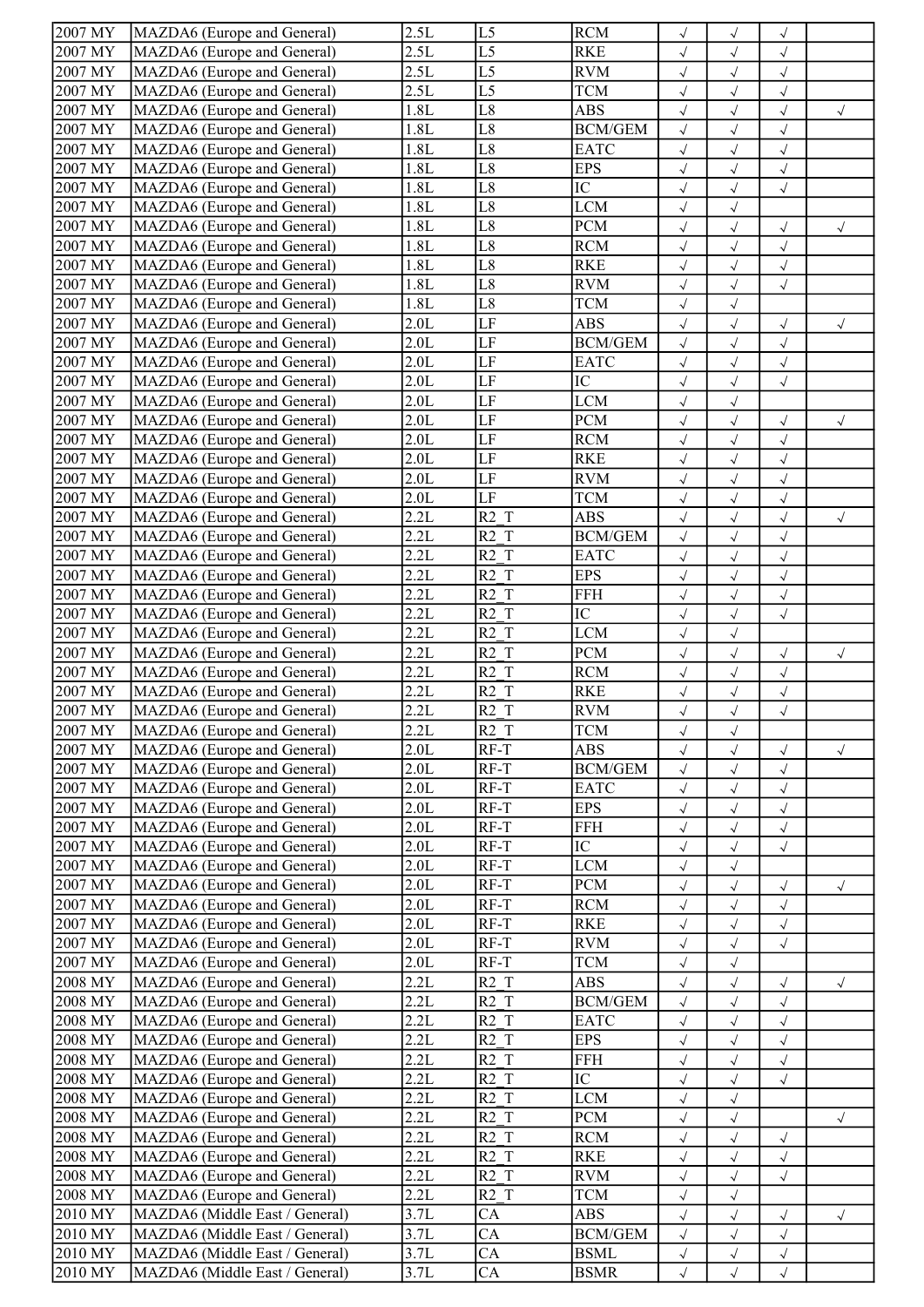| 2007 MY            | MAZDA6 (Europe and General)    | 2.5L              | L <sub>5</sub>   | <b>RCM</b>     | $\sqrt{}$               | $\checkmark$             | $\sqrt{ }$           |            |
|--------------------|--------------------------------|-------------------|------------------|----------------|-------------------------|--------------------------|----------------------|------------|
| 2007 MY            | MAZDA6 (Europe and General)    | 2.5L              | L <sub>5</sub>   | <b>RKE</b>     | $\sqrt{ }$              | $\checkmark$             | $\sqrt{\phantom{a}}$ |            |
| 2007 MY            | MAZDA6 (Europe and General)    | 2.5L              | L <sub>5</sub>   | <b>RVM</b>     | $\sqrt{ }$              | $\sqrt{}$                | $\sqrt{ }$           |            |
| 2007 MY            | MAZDA6 (Europe and General)    | 2.5L              | L <sub>5</sub>   | <b>TCM</b>     | $\sqrt{ }$              | $\sqrt{}$                | $\sqrt{ }$           |            |
| 2007 MY            | MAZDA6 (Europe and General)    | 1.8L              | L <sub>8</sub>   | <b>ABS</b>     | $\sqrt{ }$              | $\checkmark$             | $\sqrt{ }$           | $\sqrt{ }$ |
| 2007 MY            | MAZDA6 (Europe and General)    | 1.8L              | L <sub>8</sub>   | <b>BCM/GEM</b> | $\sqrt{ }$              | $\checkmark$             | $\sqrt{ }$           |            |
| 2007 MY            | MAZDA6 (Europe and General)    | 1.8L              | L8               | <b>EATC</b>    | $\sqrt{ }$              | $\sqrt{ }$               | $\sqrt{ }$           |            |
| 2007 MY            | MAZDA6 (Europe and General)    | 1.8L              | L <sub>8</sub>   | <b>EPS</b>     | $\sqrt{ }$              | $\sqrt{ }$               | $\checkmark$         |            |
| 2007 MY            | MAZDA6 (Europe and General)    | 1.8L              | L8               | IC             | $\sqrt{}$               | $\sqrt{ }$               | $\checkmark$         |            |
| 2007 MY            | MAZDA6 (Europe and General)    | 1.8L              | L8               | <b>LCM</b>     | $\sqrt{ }$              | $\sqrt{ }$               |                      |            |
| 2007 MY            | MAZDA6 (Europe and General)    | 1.8L              | $\overline{L8}$  | <b>PCM</b>     | $\sqrt{}$               | $\checkmark$             | $\checkmark$         | $\sqrt{}$  |
| 2007 MY            | MAZDA6 (Europe and General)    | 1.8L              | L8               | <b>RCM</b>     | $\sqrt{ }$              | $\checkmark$             | $\sqrt{}$            |            |
| 2007 MY            | MAZDA6 (Europe and General)    | 1.8L              | L8               | <b>RKE</b>     | $\sqrt{2}$              | $\sqrt{2}$               | $\sqrt{2}$           |            |
| 2007 MY            | MAZDA6 (Europe and General)    | 1.8L              | L8               | <b>RVM</b>     | $\sqrt{}$               | $\checkmark$             | $\checkmark$         |            |
| 2007 MY            | MAZDA6 (Europe and General)    | 1.8L              | L8               | <b>TCM</b>     | $\checkmark$            | $\sqrt{}$                |                      |            |
| 2007 MY            | MAZDA6 (Europe and General)    | 2.0L              | LF               | <b>ABS</b>     | $\sqrt{ }$              | $\sqrt{ }$               | $\sqrt{}$            | $\sqrt{ }$ |
| 2007 MY            | MAZDA6 (Europe and General)    | 2.0L              | LF               | <b>BCM/GEM</b> | $\sqrt{ }$              | $\checkmark$             | $\sqrt{ }$           |            |
| 2007 MY            | MAZDA6 (Europe and General)    | 2.0L              | LF               | <b>EATC</b>    | $\sqrt{ }$              | $\checkmark$             | $\sqrt{ }$           |            |
| 2007 MY            | MAZDA6 (Europe and General)    | 2.0L              | LF               | IC             | $\sqrt{ }$              | $\checkmark$             | $\checkmark$         |            |
| 2007 MY            | MAZDA6 (Europe and General)    | 2.0L              | LF               | <b>LCM</b>     | $\sqrt{ }$              | $\checkmark$             |                      |            |
| 2007 MY            | MAZDA6 (Europe and General)    | 2.0L              | LF               | <b>PCM</b>     | $\checkmark$            | $\sqrt{ }$               | $\sqrt{\phantom{a}}$ | $\sqrt{}$  |
| 2007 MY            | MAZDA6 (Europe and General)    | 2.0L              | $\overline{LF}$  | <b>RCM</b>     | $\sqrt{ }$              | $\checkmark$             | $\checkmark$         |            |
| 2007 MY            | MAZDA6 (Europe and General)    | 2.0L              | LF               | <b>RKE</b>     | $\sqrt{ }$              | $\checkmark$             | $\checkmark$         |            |
| 2007 MY            | MAZDA6 (Europe and General)    | 2.0L              | LF               | <b>RVM</b>     | $\sqrt{ }$              | $\checkmark$             | $\sqrt$              |            |
| 2007 MY            | MAZDA6 (Europe and General)    | 2.0L              | $\overline{LF}$  | <b>TCM</b>     | $\sqrt{2}$              |                          | $\sqrt{2}$           |            |
| 2007 MY            | MAZDA6 (Europe and General)    | 2.2L              | R <sub>2</sub> T | <b>ABS</b>     | $\sqrt{ }$              | $\checkmark$             | $\checkmark$         | $\sqrt{ }$ |
| 2007 MY            | MAZDA6 (Europe and General)    | 2.2L              | R <sub>2</sub> T | <b>BCM/GEM</b> | $\sqrt{ }$              | $\sqrt{}$                | $\sqrt{}$            |            |
| 2007 MY            | MAZDA6 (Europe and General)    | 2.2L              | R2T              | <b>EATC</b>    | $\sqrt{}$               | $\sqrt{ }$               | $\sqrt{}$            |            |
| 2007 MY            | MAZDA6 (Europe and General)    | 2.2L              | R2T              | <b>EPS</b>     | $\sqrt{ }$              | $\sqrt{ }$               | $\sqrt{ }$           |            |
| 2007 MY            | MAZDA6 (Europe and General)    | 2.2L              | R2T              | <b>FFH</b>     | $\sqrt{ }$              | $\sqrt{ }$               | $\sqrt{ }$           |            |
| 2007 MY            | MAZDA6 (Europe and General)    | 2.2L              | R2T              | IC             | $\sqrt{ }$              | $\sqrt{ }$               | $\checkmark$         |            |
| 2007 MY            | MAZDA6 (Europe and General)    | 2.2L              | R2T              | <b>LCM</b>     | $\sqrt{ }$              | $\sqrt{ }$               |                      |            |
| 2007 MY            | MAZDA6 (Europe and General)    | 2.2L              | R2T              | <b>PCM</b>     | $\sqrt{ }$              | $\sqrt{ }$               | $\sqrt{}$            | $\sqrt{ }$ |
| 2007 MY            | MAZDA6 (Europe and General)    | 2.2L              | R2T              | <b>RCM</b>     | $\sqrt{ }$              | $\checkmark$             | $\checkmark$         |            |
| 2007 MY            | MAZDA6 (Europe and General)    | 2.2L              | R2T              | <b>RKE</b>     | $\sqrt{ }$              |                          | $\sqrt{ }$           |            |
| 2007 MY            | MAZDA6 (Europe and General)    | 2.2L              | R2T              | <b>RVM</b>     | $\sqrt{2}$              | $\sqrt{ }$<br>$\sqrt{2}$ | $\sqrt{}$            |            |
|                    | MAZDA6 (Europe and General)    | 2.2L              | R <sub>2</sub> T | <b>TCM</b>     |                         |                          |                      |            |
| 2007 MY<br>2007 MY | MAZDA6 (Europe and General)    | 2.0L              | $RF-T$           | <b>ABS</b>     | $\sqrt{}$<br>$\sqrt{2}$ | $\sqrt{ }$               |                      |            |
|                    | MAZDA6 (Europe and General)    | 2.0L              | $RF-T$           |                |                         | $\checkmark$             | $\sqrt{ }$           | $\sqrt{}$  |
| 2007 MY            |                                |                   |                  | <b>BCM/GEM</b> | $\sqrt{ }$              | $\sqrt{}$                | $\sqrt{ }$           |            |
| 2007 MY            | MAZDA6 (Europe and General)    | 2.0L              | $RF-T$           | <b>EATC</b>    | $\sqrt{ }$              | $\sqrt{ }$               | $\sqrt{ }$           |            |
| 2007 MY            | MAZDA6 (Europe and General)    | 2.0L              | $RF-T$           | <b>EPS</b>     | $\sqrt{ }$              | $\sqrt{ }$               | $\sqrt{\phantom{a}}$ |            |
| 2007 MY            | MAZDA6 (Europe and General)    | 2.0L              | $RF-T$           | <b>FFH</b>     | $\sqrt{ }$              | $\sqrt{ }$               | $\sqrt{ }$           |            |
| 2007 MY            | MAZDA6 (Europe and General)    | 2.0L              | $RF-T$           | IC             | $\sqrt{ }$              | $\sqrt{}$                | $\sqrt{ }$           |            |
| 2007 MY            | MAZDA6 (Europe and General)    | $2.0L$            | $RF-T$           | <b>LCM</b>     | $\sqrt{ }$              | $\sqrt{ }$               |                      |            |
| 2007 MY            | MAZDA6 (Europe and General)    | $2.0L$            | $RF-T$           | <b>PCM</b>     | $\sqrt{ }$              | $\sqrt{}$                | $\sqrt{}$            | $\sqrt{ }$ |
| 2007 MY            | MAZDA6 (Europe and General)    | 2.0L              | $RF-T$           | <b>RCM</b>     | $\sqrt{ }$              | $\sqrt{}$                | $\sqrt{ }$           |            |
| 2007 MY            | MAZDA6 (Europe and General)    | 2.0L              | $RF-T$           | <b>RKE</b>     | $\sqrt{ }$              | $\sqrt{ }$               | $\sqrt{ }$           |            |
| 2007 MY            | MAZDA6 (Europe and General)    | 2.0L              | $RF-T$           | <b>RVM</b>     | $\sqrt{ }$              | $\sqrt{2}$               | $\sqrt{ }$           |            |
| 2007 MY            | MAZDA6 (Europe and General)    | $2.0L$            | $RF-T$           | <b>TCM</b>     | $\sqrt{ }$              | $\checkmark$             |                      |            |
| 2008 MY            | MAZDA6 (Europe and General)    | $2.2\overline{L}$ | R2T              | <b>ABS</b>     | $\sqrt{ }$              | $\sqrt{}$                | $\sqrt{ }$           | $\sqrt{ }$ |
| 2008 MY            | MAZDA6 (Europe and General)    | 2.2L              | R2T              | <b>BCM/GEM</b> | $\sqrt{ }$              | $\sqrt{}$                | $\sqrt{}$            |            |
| 2008 MY            | MAZDA6 (Europe and General)    | 2.2L              | R <sub>2</sub> T | <b>EATC</b>    | $\sqrt{}$               | $\sqrt{}$                | $\sqrt{}$            |            |
| 2008 MY            | MAZDA6 (Europe and General)    | 2.2L              | R <sub>2</sub> T | <b>EPS</b>     | $\sqrt{}$               | $\sqrt{ }$               | $\sqrt{}$            |            |
| 2008 MY            | MAZDA6 (Europe and General)    | 2.2L              | R2T              | <b>FFH</b>     | $\sqrt{ }$              | $\sqrt{}$                | $\sqrt{\phantom{a}}$ |            |
| 2008 MY            | MAZDA6 (Europe and General)    | 2.2L              | R2T              | IC             | $\sqrt{ }$              | $\sqrt{}$                | $\sqrt{ }$           |            |
| 2008 MY            | MAZDA6 (Europe and General)    | 2.2L              | R2T              | <b>LCM</b>     | $\sqrt{ }$              | $\sqrt{ }$               |                      |            |
| 2008 MY            | MAZDA6 (Europe and General)    | 2.2L              | R2T              | <b>PCM</b>     | $\sqrt{ }$              | $\sqrt{}$                |                      | $\sqrt{ }$ |
| 2008 MY            | MAZDA6 (Europe and General)    | 2.2L              | R2T              | RCM            | $\sqrt{ }$              | $\sqrt{ }$               | $\sqrt{ }$           |            |
| 2008 MY            | MAZDA6 (Europe and General)    | 2.2L              | R2T              | <b>RKE</b>     | $\sqrt{ }$              | $\sqrt{ }$               | $\checkmark$         |            |
| 2008 MY            | MAZDA6 (Europe and General)    | 2.2L              | R2T              | <b>RVM</b>     | $\sqrt{ }$              | $\sqrt{ }$               | $\checkmark$         |            |
| 2008 MY            | MAZDA6 (Europe and General)    | 2.2L              | R2T              | <b>TCM</b>     | $\sqrt{ }$              | $\sqrt{ }$               |                      |            |
| 2010 MY            | MAZDA6 (Middle East / General) | 3.7L              | CA               | <b>ABS</b>     | $\sqrt{ }$              | $\checkmark$             | $\checkmark$         | $\sqrt{ }$ |
| 2010 MY            | MAZDA6 (Middle East / General) | 3.7L              | CA               | <b>BCM/GEM</b> | $\sqrt{ }$              | $\checkmark$             | $\sqrt{ }$           |            |
| 2010 MY            | MAZDA6 (Middle East / General) | 3.7L              | CA               | <b>BSML</b>    | $\sqrt{}$               | $\sqrt{}$                | $\sqrt{}$            |            |
| 2010 MY            | MAZDA6 (Middle East / General) | 3.7L              | CA               | <b>BSMR</b>    | $\sqrt{ }$              | $\sqrt{}$                | $\checkmark$         |            |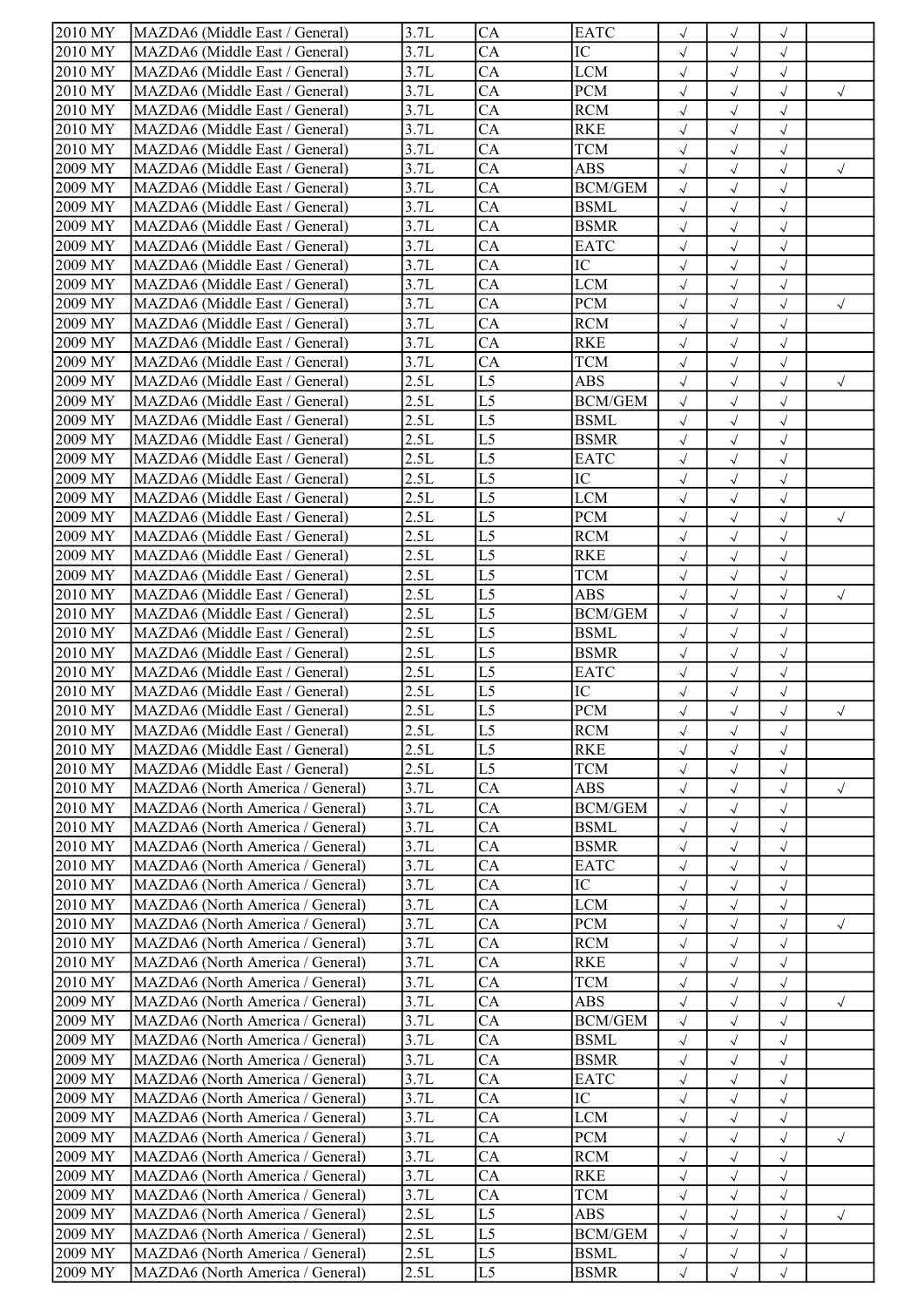| 2010 MY | MAZDA6 (Middle East / General)   | 3.7L | CA              | <b>EATC</b>    | $\sqrt{ }$ | $\sqrt{}$    | $\sqrt{}$    |            |
|---------|----------------------------------|------|-----------------|----------------|------------|--------------|--------------|------------|
| 2010 MY | MAZDA6 (Middle East / General)   | 3.7L | CA              | IC             | $\sqrt{}$  | $\sqrt{}$    | $\sqrt{ }$   |            |
| 2010 MY | MAZDA6 (Middle East / General)   | 3.7L | CA              | LCM            | $\sqrt{ }$ | $\sqrt{ }$   | $\sqrt{ }$   |            |
| 2010 MY | MAZDA6 (Middle East / General)   | 3.7L | CA              | <b>PCM</b>     | $\sqrt{ }$ | $\sqrt{ }$   | $\sqrt{ }$   | $\sqrt{ }$ |
| 2010 MY | MAZDA6 (Middle East / General)   | 3.7L | CA              | <b>RCM</b>     | $\sqrt{}$  | $\sqrt{}$    | $\sqrt{ }$   |            |
| 2010 MY | MAZDA6 (Middle East / General)   | 3.7L | CA              | <b>RKE</b>     | $\sqrt{ }$ | $\sqrt{ }$   | $\sqrt{}$    |            |
|         |                                  |      |                 |                |            |              |              |            |
| 2010 MY | MAZDA6 (Middle East / General)   | 3.7L | CA              | <b>TCM</b>     | $\sqrt{ }$ | $\sqrt{}$    | $\sqrt{ }$   |            |
| 2009 MY | MAZDA6 (Middle East / General)   | 3.7L | CA              | ABS            | $\sqrt{ }$ | $\sqrt{}$    | $\sqrt{ }$   | $\sqrt{ }$ |
| 2009 MY | MAZDA6 (Middle East / General)   | 3.7L | CA              | <b>BCM/GEM</b> | $\sqrt{ }$ | $\sqrt{}$    | $\sqrt{ }$   |            |
| 2009 MY | MAZDA6 (Middle East / General)   | 3.7L | CA              | <b>BSML</b>    | $\sqrt{ }$ | $\sqrt{}$    | $\checkmark$ |            |
| 2009 MY | MAZDA6 (Middle East / General)   | 3.7L | CA              | <b>BSMR</b>    | $\sqrt{ }$ | $\sqrt{}$    | $\sqrt{}$    |            |
| 2009 MY | MAZDA6 (Middle East / General)   | 3.7L | CA              | <b>EATC</b>    | $\sqrt{ }$ | $\sqrt{}$    | $\sqrt{ }$   |            |
| 2009 MY | MAZDA6 (Middle East / General)   | 3.7L | CA              | IC             | $\sqrt{}$  | $\sqrt{}$    | $\sqrt{2}$   |            |
| 2009 MY | MAZDA6 (Middle East / General)   | 3.7L | CA              | LCM            | $\sqrt{ }$ | $\sqrt{}$    | $\sqrt{ }$   |            |
| 2009 MY | MAZDA6 (Middle East / General)   | 3.7L | CA              | <b>PCM</b>     | $\sqrt{ }$ | $\sqrt{}$    | $\sqrt{ }$   | $\sqrt{ }$ |
| 2009 MY | MAZDA6 (Middle East / General)   | 3.7L | CA              | RCM            | $\sqrt{ }$ | $\sqrt{ }$   | $\sqrt{ }$   |            |
| 2009 MY | MAZDA6 (Middle East / General)   | 3.7L | CA              | RKE            | $\sqrt{ }$ | $\sqrt{ }$   | $\sqrt{ }$   |            |
|         |                                  | 3.7L |                 | TCM            |            |              |              |            |
| 2009 MY | MAZDA6 (Middle East / General)   |      | CA              |                | $\sqrt{}$  | $\sqrt{ }$   | $\sqrt{}$    |            |
| 2009 MY | MAZDA6 (Middle East / General)   | 2.5L | L5              | ABS            | $\sqrt{ }$ | $\sqrt{ }$   | $\checkmark$ | $\sqrt{ }$ |
| 2009 MY | MAZDA6 (Middle East / General)   | 2.5L | L5              | <b>BCM/GEM</b> | $\sqrt{ }$ | $\sqrt{ }$   | $\sqrt{ }$   |            |
| 2009 MY | MAZDA6 (Middle East / General)   | 2.5L | L5              | <b>BSML</b>    | $\sqrt{ }$ | $\sqrt{}$    | $\sqrt{ }$   |            |
| 2009 MY | MAZDA6 (Middle East / General)   | 2.5L | L <sub>5</sub>  | <b>BSMR</b>    | $\sqrt{ }$ | $\sqrt{}$    | $\checkmark$ |            |
| 2009 MY | MAZDA6 (Middle East / General)   | 2.5L | L <sub>5</sub>  | <b>EATC</b>    | $\sqrt{ }$ | $\sqrt{}$    | $\checkmark$ |            |
| 2009 MY | MAZDA6 (Middle East / General)   | 2.5L | L5              | IC             | $\sqrt{ }$ | $\sqrt{}$    | $\sqrt{}$    |            |
| 2009 MY | MAZDA6 (Middle East / General)   | 2.5L | $\overline{L5}$ | <b>LCM</b>     | $\sqrt{2}$ | $\sqrt{}$    | $\checkmark$ |            |
| 2009 MY | MAZDA6 (Middle East / General)   | 2.5L | L5              | <b>PCM</b>     | $\sqrt{ }$ | $\sqrt{ }$   | $\sqrt{}$    | $\sqrt{ }$ |
| 2009 MY | MAZDA6 (Middle East / General)   | 2.5L | L5              | RCM            | $\sqrt{ }$ |              |              |            |
|         |                                  | 2.5L | L5              |                |            | $\sqrt{ }$   | $\sqrt{}$    |            |
| 2009 MY | MAZDA6 (Middle East / General)   |      |                 | RKE            | $\sqrt{}$  | $\sqrt{ }$   | $\sqrt{ }$   |            |
| 2009 MY | MAZDA6 (Middle East / General)   | 2.5L | L5              | TCM            | $\sqrt{ }$ | $\sqrt{ }$   | $\sqrt{ }$   |            |
| 2010 MY | MAZDA6 (Middle East / General)   | 2.5L | L5              | ABS.           | $\sqrt{}$  | $\sqrt{}$    | $\sqrt{ }$   | $\sqrt{ }$ |
| 2010 MY | MAZDA6 (Middle East / General)   | 2.5L | L <sub>5</sub>  | <b>BCM/GEM</b> | $\sqrt{ }$ | $\sqrt{ }$   | $\sqrt{ }$   |            |
| 2010 MY | MAZDA6 (Middle East / General)   | 2.5L | L5              | <b>BSML</b>    | $\sqrt{ }$ | $\sqrt{}$    | $\sqrt{ }$   |            |
| 2010 MY | MAZDA6 (Middle East / General)   | 2.5L | L5              | <b>BSMR</b>    | $\sqrt{ }$ | $\sqrt{}$    | $\sqrt{ }$   |            |
| 2010 MY | MAZDA6 (Middle East / General)   | 2.5L | L <sub>5</sub>  | EATC           | $\sqrt{ }$ | $\sqrt{}$    | $\sqrt{ }$   |            |
| 2010 MY | MAZDA6 (Middle East / General)   | 2.5L | L5              | IC             | $\sqrt{ }$ | $\sqrt{}$    | $\sqrt{ }$   |            |
| 2010 MY | MAZDA6 (Middle East / General)   | 2.5L | L <sub>5</sub>  | <b>PCM</b>     | $\sqrt{2}$ | $\sqrt{2}$   | $\sqrt{2}$   | $\sqrt{ }$ |
| 2010 MY | MAZDA6 (Middle East / General)   | 2.5L | L <sub>5</sub>  | <b>RCM</b>     | $\sqrt{ }$ | $\sqrt{ }$   | $\sqrt{ }$   |            |
| 2010 MY | MAZDA6 (Middle East / General)   | 2.5L | L5              | <b>RKE</b>     | $\sqrt{ }$ | $\sqrt{}$    | $\checkmark$ |            |
| 2010 MY | MAZDA6 (Middle East / General)   | 2.5L | L5              | <b>TCM</b>     | $\sqrt{}$  |              | $\sqrt{ }$   |            |
|         |                                  |      |                 |                |            | $\sqrt{}$    |              |            |
| 2010 MY | MAZDA6 (North America / General) | 3.7L | CA              | ABS            | $\sqrt{ }$ | $\sqrt{ }$   | $\sqrt{ }$   | $\sqrt{ }$ |
| 2010 MY | MAZDA6 (North America / General) | 3.7L | CA              | <b>BCM/GEM</b> | $\sqrt{ }$ | $\sqrt{ }$   | $\sqrt{ }$   |            |
| 2010 MY | MAZDA6 (North America / General) | 3.7L | CA              | BSML           | $\sqrt{}$  | $\sqrt{}$    | $\sqrt{}$    |            |
| 2010 MY | MAZDA6 (North America / General) | 3.7L | CA              | <b>BSMR</b>    | $\sqrt{ }$ | $\sqrt{}$    | $\sqrt{}$    |            |
| 2010 MY | MAZDA6 (North America / General) | 3.7L | CA              | <b>EATC</b>    | $\sqrt{ }$ | $\sqrt{}$    | $\sqrt{ }$   |            |
| 2010 MY | MAZDA6 (North America / General) | 3.7L | CA              | IC             | $\sqrt{ }$ | $\sqrt{}$    | $\sqrt{ }$   |            |
| 2010 MY | MAZDA6 (North America / General) | 3.7L | CA              | <b>LCM</b>     | $\sqrt{ }$ | $\sqrt{}$    | $\sqrt{}$    |            |
| 2010 MY | MAZDA6 (North America / General) | 3.7L | CA              | <b>PCM</b>     | $\sqrt{ }$ | $\sqrt{}$    | $\sqrt{ }$   | $\sqrt{ }$ |
| 2010 MY | MAZDA6 (North America / General) | 3.7L | CA              | RCM            | $\sqrt{}$  | $\sqrt{}$    | $\sqrt{}$    |            |
| 2010 MY | MAZDA6 (North America / General) | 3.7L | CA              | <b>RKE</b>     | $\sqrt{}$  | $\sqrt{}$    | $\sqrt{}$    |            |
| 2010 MY | MAZDA6 (North America / General) | 3.7L | CA              | <b>TCM</b>     | $\sqrt{}$  | $\sqrt{}$    | $\checkmark$ |            |
| 2009 MY | MAZDA6 (North America / General) | 3.7L | CA              | ABS            |            |              |              |            |
|         |                                  |      |                 |                | $\sqrt{}$  | $\sqrt{}$    | $\sqrt{}$    | $\sqrt{ }$ |
| 2009 MY | MAZDA6 (North America / General) | 3.7L | CA              | <b>BCM/GEM</b> | $\sqrt{ }$ | $\sqrt{}$    | $\sqrt{}$    |            |
| 2009 MY | MAZDA6 (North America / General) | 3.7L | CA              | <b>BSML</b>    | $\sqrt{ }$ | $\sqrt{}$    | $\sqrt{ }$   |            |
| 2009 MY | MAZDA6 (North America / General) | 3.7L | CA              | <b>BSMR</b>    | $\sqrt{ }$ | $\sqrt{}$    | $\sqrt{ }$   |            |
| 2009 MY | MAZDA6 (North America / General) | 3.7L | CA              | EATC           | $\sqrt{}$  | $\sqrt{}$    | $\sqrt{}$    |            |
| 2009 MY | MAZDA6 (North America / General) | 3.7L | CA              | IС             | $\sqrt{ }$ | $\sqrt{}$    | $\sqrt{ }$   |            |
| 2009 MY | MAZDA6 (North America / General) | 3.7L | CA              | <b>LCM</b>     | $\sqrt{ }$ | $\sqrt{ }$   | $\sqrt{ }$   |            |
| 2009 MY | MAZDA6 (North America / General) | 3.7L | CA              | <b>PCM</b>     | $\sqrt{ }$ | $\sqrt{}$    | $\sqrt{ }$   | $\sqrt{ }$ |
| 2009 MY | MAZDA6 (North America / General) | 3.7L | CA              | <b>RCM</b>     | $\sqrt{ }$ | $\sqrt{ }$   | $\sqrt{ }$   |            |
| 2009 MY | MAZDA6 (North America / General) | 3.7L | CA              | RKE            | $\sqrt{ }$ | $\sqrt{}$    | $\sqrt{ }$   |            |
| 2009 MY | MAZDA6 (North America / General) | 3.7L | CA              | <b>TCM</b>     | $\sqrt{ }$ | $\sqrt{}$    | $\sqrt{}$    |            |
| 2009 MY | MAZDA6 (North America / General) | 2.5L | $\overline{L5}$ | ABS            | $\sqrt{ }$ | $\sqrt{}$    | $\sqrt{}$    |            |
|         |                                  |      | L5              |                |            |              |              | $\sqrt{ }$ |
| 2009 MY | MAZDA6 (North America / General) | 2.5L |                 | <b>BCM/GEM</b> | $\sqrt{ }$ | $\sqrt{}$    | $\sqrt{}$    |            |
| 2009 MY | MAZDA6 (North America / General) | 2.5L | L5              | <b>BSML</b>    | $\sqrt{ }$ | $\checkmark$ | $\sqrt{}$    |            |
| 2009 MY | MAZDA6 (North America / General) | 2.5L | L5              | <b>BSMR</b>    | $\sqrt{ }$ | $\sqrt{ }$   | $\sqrt{ }$   |            |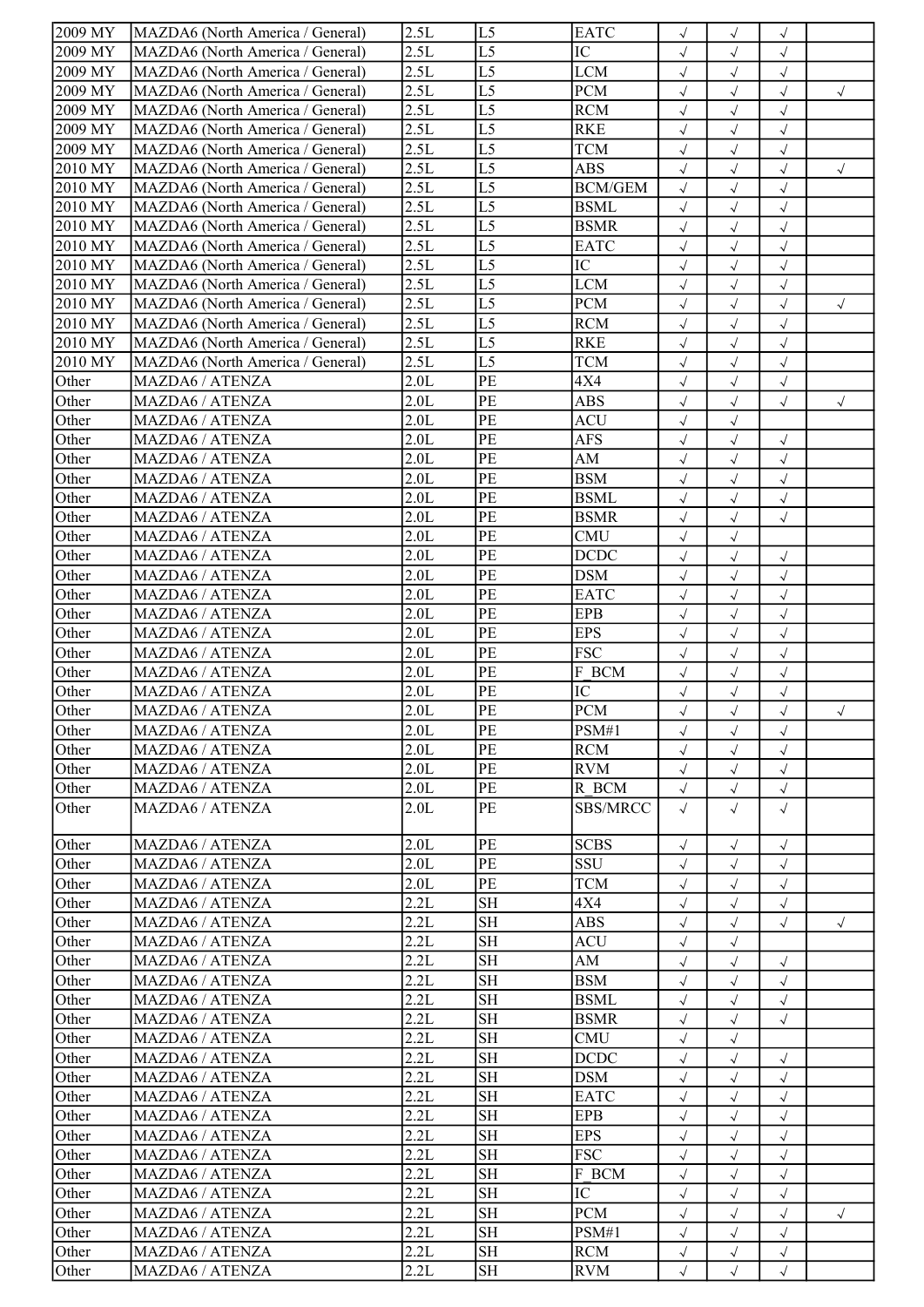| 2009 MY | MAZDA6 (North America / General) | 2.5L             | L <sub>5</sub>  | <b>EATC</b>     | $\sqrt{ }$           | $\sqrt{}$  | $\sqrt{ }$   |            |
|---------|----------------------------------|------------------|-----------------|-----------------|----------------------|------------|--------------|------------|
| 2009 MY | MAZDA6 (North America / General) | 2.5L             | L5              | IC              | $\sqrt{}$            | $\sqrt{}$  | $\sqrt{ }$   |            |
| 2009 MY | MAZDA6 (North America / General) | 2.5L             | L <sub>5</sub>  | <b>LCM</b>      | $\sqrt{ }$           | $\sqrt{ }$ | $\sqrt{ }$   |            |
| 2009 MY | MAZDA6 (North America / General) | 2.5L             | L5              | <b>PCM</b>      | $\sqrt{ }$           | $\sqrt{ }$ | $\sqrt{ }$   | $\sqrt{ }$ |
| 2009 MY | MAZDA6 (North America / General) | 2.5L             | L5              | <b>RCM</b>      | $\sqrt{ }$           | $\sqrt{}$  | $\sqrt{ }$   |            |
| 2009 MY | MAZDA6 (North America / General) | 2.5L             | L5              | <b>RKE</b>      | $\sqrt{ }$           | $\sqrt{ }$ | $\sqrt{ }$   |            |
| 2009 MY | MAZDA6 (North America / General) | 2.5L             | L5              | <b>TCM</b>      | $\sqrt{ }$           | $\sqrt{}$  | $\sqrt{ }$   |            |
| 2010 MY | MAZDA6 (North America / General) | 2.5L             | L5              | ABS             | $\sqrt{ }$           | $\sqrt{}$  | $\sqrt{ }$   | $\sqrt{ }$ |
| 2010 MY | MAZDA6 (North America / General) | 2.5L             | L5              | <b>BCM/GEM</b>  | $\sqrt{ }$           | $\sqrt{ }$ | $\sqrt{ }$   |            |
| 2010 MY | MAZDA6 (North America / General) | 2.5L             | L5              | <b>BSML</b>     | $\sqrt{ }$           | $\sqrt{}$  | $\sqrt{ }$   |            |
| 2010 MY | MAZDA6 (North America / General) | 2.5L             | $\overline{L5}$ | <b>BSMR</b>     | $\sqrt{ }$           | $\sqrt{}$  | $\sqrt{}$    |            |
| 2010 MY | MAZDA6 (North America / General) | 2.5L             | L <sub>5</sub>  | <b>EATC</b>     | $\sqrt{ }$           | $\sqrt{}$  | $\sqrt{ }$   |            |
| 2010 MY | MAZDA6 (North America / General) | 2.5L             | L5              | IC              | $\sqrt{2}$           | $\sqrt{}$  | $\sqrt{2}$   |            |
| 2010 MY |                                  | 2.5L             | L5              | LCM             |                      |            |              |            |
|         | MAZDA6 (North America / General) | 2.5L             | L5              | <b>PCM</b>      | $\sqrt{ }$           | $\sqrt{}$  | $\sqrt{ }$   |            |
| 2010 MY | MAZDA6 (North America / General) |                  |                 |                 | $\sqrt{}$            | $\sqrt{ }$ | $\sqrt{}$    | $\sqrt{ }$ |
| 2010 MY | MAZDA6 (North America / General) | 2.5L             | L <sub>5</sub>  | RCM             | $\sqrt{ }$           | $\sqrt{ }$ | $\sqrt{ }$   |            |
| 2010 MY | MAZDA6 (North America / General) | 2.5L             | L5              | <b>RKE</b>      | $\sqrt{ }$           | $\sqrt{ }$ | $\sqrt{ }$   |            |
| 2010 MY | MAZDA6 (North America / General) | 2.5L             | L <sub>5</sub>  | <b>TCM</b>      | $\sqrt{ }$           | $\sqrt{ }$ | $\sqrt{ }$   |            |
| Other   | MAZDA6 / ATENZA                  | 2.0L             | PE              | 4X4             | $\sqrt{ }$           | $\sqrt{ }$ | $\sqrt{ }$   |            |
| Other   | MAZDA6 / ATENZA                  | 2.0L             | PE              | <b>ABS</b>      | $\sqrt{ }$           | $\sqrt{ }$ | $\sqrt{ }$   | $\sqrt{}$  |
| Other   | <b>MAZDA6 / ATENZA</b>           | 2.0L             | PE              | <b>ACU</b>      | $\sqrt{ }$           | $\sqrt{ }$ |              |            |
| Other   | MAZDA6 / ATENZA                  | 2.0L             | PE              | <b>AFS</b>      | $\sqrt{ }$           | $\sqrt{ }$ | $\sqrt{ }$   |            |
| Other   | <b>MAZDA6 / ATENZA</b>           | 2.0L             | PE              | AM              | $\sqrt{ }$           | $\sqrt{ }$ | $\sqrt{ }$   |            |
| Other   | <b>MAZDA6 / ATENZA</b>           | 2.0L             | PE              | <b>BSM</b>      | $\sqrt{ }$           | $\sqrt{}$  | $\sqrt{}$    |            |
| Other   | MAZDA6 / ATENZA                  | 2.0L             | PE              | <b>BSML</b>     | $\sqrt{2}$           | $\sqrt{}$  | $\checkmark$ |            |
| Other   | <b>MAZDA6 / ATENZA</b>           | 2.0L             | PE              | <b>BSMR</b>     | $\sqrt{}$            | $\sqrt{ }$ | $\sqrt{ }$   |            |
| Other   | <b>MAZDA6 / ATENZA</b>           | 2.0L             | PE              | CMU             | $\sqrt{}$            | $\sqrt{ }$ |              |            |
| Other   | <b>MAZDA6 / ATENZA</b>           | 2.0L             | PE              | <b>DCDC</b>     | $\sqrt{ }$           | $\sqrt{ }$ | $\sqrt{ }$   |            |
| Other   | MAZDA6 / ATENZA                  | 2.0L             | PE              | <b>DSM</b>      | $\sqrt{ }$           | $\sqrt{ }$ | $\sqrt{ }$   |            |
| Other   | MAZDA6 / ATENZA                  | 2.0L             | PE              | <b>EATC</b>     | $\sqrt{}$            | $\sqrt{}$  | $\sqrt{}$    |            |
| Other   | MAZDA6 / ATENZA                  | 2.0L             | PE              | <b>EPB</b>      | $\sqrt{ }$           | $\sqrt{ }$ | $\sqrt{ }$   |            |
| Other   | MAZDA6 / ATENZA                  | 2.0L             | PE              | <b>EPS</b>      | $\sqrt{ }$           | $\sqrt{ }$ | $\sqrt{ }$   |            |
| Other   | MAZDA6 / ATENZA                  | 2.0L             | PE              | <b>FSC</b>      | $\sqrt{ }$           | $\sqrt{}$  | $\sqrt{ }$   |            |
| Other   | MAZDA6 / ATENZA                  | 2.0L             | PE              | F BCM           | $\sqrt{ }$           | $\sqrt{ }$ | $\sqrt{ }$   |            |
| Other   | MAZDA6 / ATENZA                  | 2.0L             | PE              | IC              | $\sqrt{ }$           | $\sqrt{}$  | $\sqrt{ }$   |            |
|         | MAZDA6 / ATENZA                  | 2.0 <sub>L</sub> | PE              |                 | $\sqrt{ }$           | $\sqrt{2}$ | $\sqrt{2}$   |            |
| Other   |                                  |                  |                 | <b>PCM</b>      |                      |            |              | $\sqrt{ }$ |
| Other   | MAZDA6 / ATENZA                  | 2.0L             | PE              | PSM#1           | $\sqrt{ }$           | $\sqrt{ }$ | $\sqrt{ }$   |            |
| Other   | MAZDA6 / ATENZA                  | 2.0L             | PE              | <b>RCM</b>      | $\sqrt{ }$           | $\sqrt{}$  | $\sqrt{ }$   |            |
| Other   | <b>MAZDA6 / ATENZA</b>           | 2.0L             | $\rm PE$        | <b>RVM</b>      | $\sqrt{ }$           | $\sqrt{ }$ | $\sqrt{ }$   |            |
| Other   | <b>MAZDA6 / ATENZA</b>           | 2.0L             | PE              | R BCM           | $\sqrt{ }$           | $\sqrt{ }$ | $\sqrt{ }$   |            |
| Other   | <b>MAZDA6 / ATENZA</b>           | 2.0L             | PE              | <b>SBS/MRCC</b> | $\sqrt{ }$           | $\sqrt{ }$ | $\sqrt{ }$   |            |
| Other   | <b>MAZDA6 / ATENZA</b>           | 2.0L             | PE              | <b>SCBS</b>     | $\sqrt{ }$           | $\sqrt{ }$ | $\sqrt{ }$   |            |
| Other   | <b>MAZDA6 / ATENZA</b>           | 2.0L             | PE              | SSU             | $\sqrt{ }$           | $\sqrt{ }$ | $\sqrt{ }$   |            |
| Other   | <b>MAZDA6 / ATENZA</b>           | 2.0L             | PE              | <b>TCM</b>      | $\sqrt{ }$           | $\sqrt{}$  | $\sqrt{ }$   |            |
| Other   | MAZDA6 / ATENZA                  | 2.2L             | <b>SH</b>       | 4X4             | $\sqrt{ }$           | $\sqrt{ }$ | $\sqrt{ }$   |            |
| Other   | MAZDA6 / ATENZA                  | 2.2L             | <b>SH</b>       | <b>ABS</b>      | $\sqrt{ }$           | $\sqrt{}$  | $\sqrt{ }$   | $\sqrt{ }$ |
| Other   | <b>MAZDA6 / ATENZA</b>           | 2.2L             | <b>SH</b>       | <b>ACU</b>      | $\sqrt{ }$           | $\sqrt{ }$ |              |            |
| Other   | <b>MAZDA6 / ATENZA</b>           | 2.2L             | <b>SH</b>       | AM              | $\sqrt{ }$           | $\sqrt{}$  | $\sqrt{ }$   |            |
| Other   | <b>MAZDA6 / ATENZA</b>           | 2.2L             | <b>SH</b>       | <b>BSM</b>      | $\sqrt{ }$           | $\sqrt{}$  | $\sqrt{ }$   |            |
| Other   | <b>MAZDA6 / ATENZA</b>           | 2.2L             | <b>SH</b>       | <b>BSML</b>     | $\sqrt{ }$           |            | $\sqrt{ }$   |            |
| Other   | MAZDA6 / ATENZA                  | 2.2L             | <b>SH</b>       | <b>BSMR</b>     | $\sqrt{2}$           | $\sqrt{}$  | $\sqrt{ }$   |            |
| Other   | <b>MAZDA6 / ATENZA</b>           | 2.2L             | <b>SH</b>       | <b>CMU</b>      | $\sqrt{ }$           | $\sqrt{}$  |              |            |
| Other   | MAZDA6 / ATENZA                  | 2.2L             | SH              | <b>DCDC</b>     | $\sqrt{ }$           | $\sqrt{}$  | $\sqrt{ }$   |            |
| Other   | <b>MAZDA6 / ATENZA</b>           | 2.2L             | <b>SH</b>       | <b>DSM</b>      | $\sqrt{ }$           |            | $\sqrt{ }$   |            |
|         |                                  |                  |                 |                 |                      | $\sqrt{}$  |              |            |
| Other   | <b>MAZDA6 / ATENZA</b>           | 2.2L             | <b>SH</b>       | <b>EATC</b>     | $\sqrt{ }$           | $\sqrt{ }$ | $\sqrt{ }$   |            |
| Other   | MAZDA6 / ATENZA                  | 2.2L             | <b>SH</b>       | <b>EPB</b>      | $\sqrt{ }$           | $\sqrt{}$  | $\sqrt{ }$   |            |
| Other   | <b>MAZDA6 / ATENZA</b>           | 2.2L             | <b>SH</b>       | <b>EPS</b>      | $\sqrt{ }$           | $\sqrt{ }$ | $\sqrt{ }$   |            |
| Other   | MAZDA6 / ATENZA                  | 2.2L             | <b>SH</b>       | <b>FSC</b>      | $\sqrt{\phantom{a}}$ | $\sqrt{}$  | $\sqrt{ }$   |            |
| Other   | MAZDA6 / ATENZA                  | 2.2L             | SH              | F BCM           | $\sqrt{\phantom{a}}$ | $\sqrt{ }$ | $\sqrt{ }$   |            |
| Other   | <b>MAZDA6 / ATENZA</b>           | 2.2L             | <b>SH</b>       | IC              | $\sqrt{ }$           | $\sqrt{}$  | $\sqrt{ }$   |            |
| Other   | <b>MAZDA6 / ATENZA</b>           | 2.2L             | <b>SH</b>       | PCM             | $\sqrt{ }$           | $\sqrt{ }$ | $\sqrt{ }$   | $\sqrt{ }$ |
| Other   | MAZDA6 / ATENZA                  | 2.2L             | <b>SH</b>       | PSM#1           | $\sqrt{ }$           | $\sqrt{ }$ | $\sqrt{ }$   |            |
| Other   | MAZDA6 / ATENZA                  | 2.2L             | <b>SH</b>       | <b>RCM</b>      | $\sqrt{ }$           | $\sqrt{}$  | $\sqrt{ }$   |            |
| Other   | MAZDA6 / ATENZA                  | 2.2L             | SH              | <b>RVM</b>      | $\sqrt{2}$           | $\sqrt{}$  | $\sqrt{}$    |            |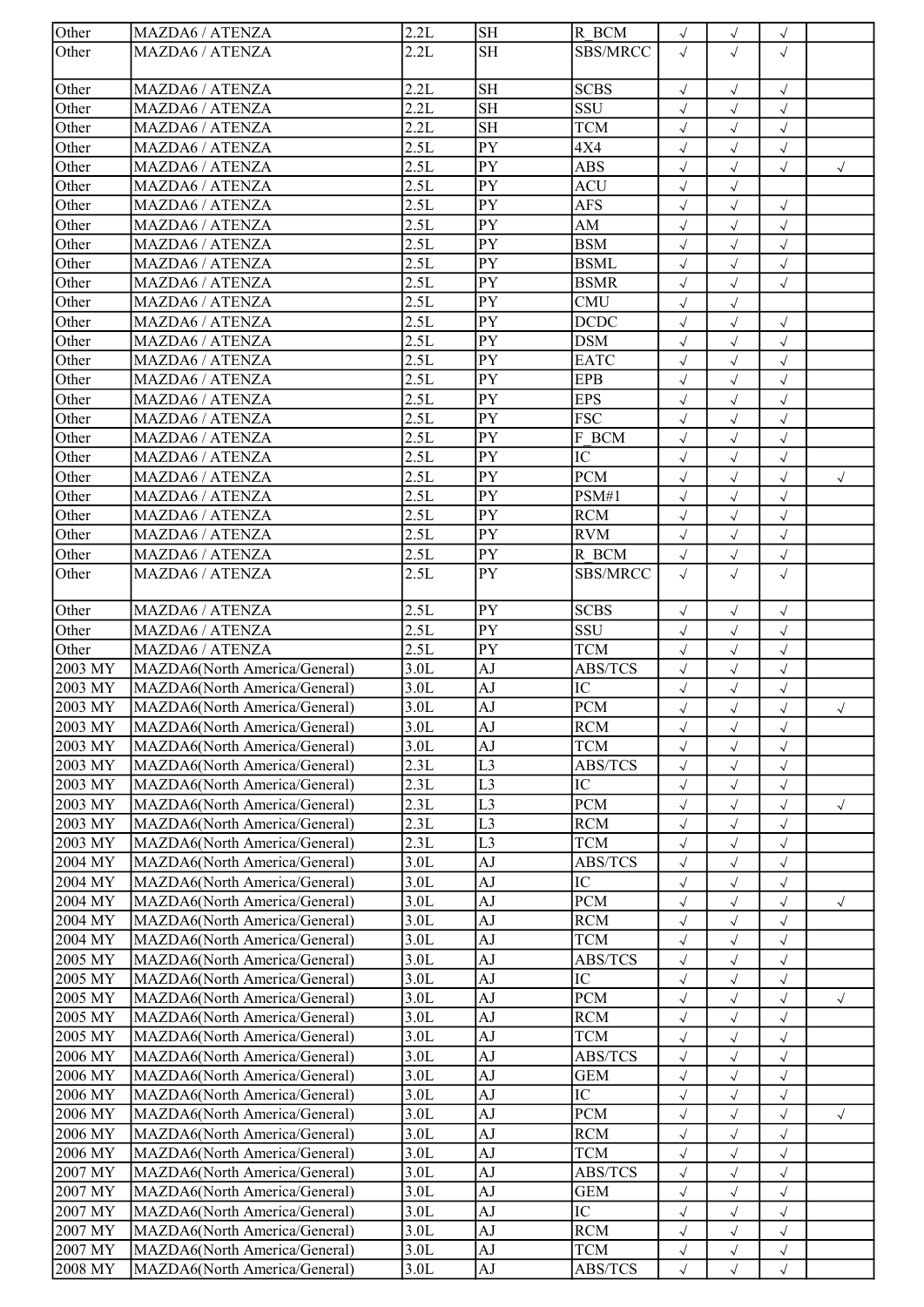| Other   | MAZDA6 / ATENZA               | 2.2L             | <b>SH</b>       | R BCM           | $\sqrt{ }$           | $\sqrt{ }$ | $\sqrt{ }$   |            |
|---------|-------------------------------|------------------|-----------------|-----------------|----------------------|------------|--------------|------------|
| Other   | <b>MAZDA6 / ATENZA</b>        | 2.2L             | <b>SH</b>       | <b>SBS/MRCC</b> | $\sqrt{ }$           | $\sqrt{ }$ | $\sqrt{ }$   |            |
|         |                               |                  |                 |                 |                      |            |              |            |
| Other   | MAZDA6 / ATENZA               | 2.2L             | <b>SH</b>       | <b>SCBS</b>     | $\sqrt{ }$           | $\sqrt{}$  | $\sqrt{ }$   |            |
| Other   | MAZDA6 / ATENZA               | 2.2L             | <b>SH</b>       | SSU             | $\sqrt{ }$           | $\sqrt{ }$ | $\sqrt{ }$   |            |
| Other   | MAZDA6 / ATENZA               | 2.2L             | <b>SH</b>       | <b>TCM</b>      | $\sqrt{\phantom{a}}$ | $\sqrt{ }$ | $\sqrt{ }$   |            |
| Other   | MAZDA6 / ATENZA               | 2.5L             | PY              | 4X4             | $\sqrt{ }$           | $\sqrt{}$  | $\sqrt{ }$   |            |
| Other   | MAZDA6 / ATENZA               | 2.5L             | $\overline{PY}$ | <b>ABS</b>      | $\sqrt{ }$           | $\sqrt{}$  | $\sqrt{ }$   | $\sqrt{}$  |
| Other   | MAZDA6 / ATENZA               | 2.5L             | PY              | <b>ACU</b>      | $\sqrt{ }$           | $\sqrt{}$  |              |            |
|         |                               | 2.5L             | PY              |                 |                      |            |              |            |
| Other   | MAZDA6 / ATENZA               |                  | $\overline{PY}$ | <b>AFS</b>      | $\sqrt{ }$           | $\sqrt{ }$ | $\sqrt{ }$   |            |
| Other   | MAZDA6 / ATENZA               | 2.5L             |                 | AM              | $\sqrt{ }$           | $\sqrt{ }$ | $\checkmark$ |            |
| Other   | MAZDA6 / ATENZA               | 2.5L             | PY              | <b>BSM</b>      | $\sqrt{ }$           | $\sqrt{}$  | $\sqrt{ }$   |            |
| Other   | <b>MAZDA6 / ATENZA</b>        | 2.5L             | PY              | <b>BSML</b>     | $\sqrt{ }$           | $\sqrt{}$  | $\sqrt{}$    |            |
| Other   | MAZDA6 / ATENZA               | 2.5L             | $\overline{PY}$ | <b>BSMR</b>     | $\sqrt{2}$           | $\sqrt{}$  | $\sqrt{ }$   |            |
| Other   | MAZDA6 / ATENZA               | 2.5L             | PY              | <b>CMU</b>      | $\sqrt{ }$           | $\sqrt{}$  |              |            |
| Other   | <b>MAZDA6 / ATENZA</b>        | 2.5L             | PY              | <b>DCDC</b>     | $\sqrt{}$            | $\sqrt{}$  | $\sqrt{ }$   |            |
| Other   | MAZDA6 / ATENZA               | 2.5L             | $\overline{PY}$ | <b>DSM</b>      | $\sqrt{ }$           | $\sqrt{}$  | $\sqrt{ }$   |            |
| Other   | MAZDA6 / ATENZA               | 2.5L             | PY              | <b>EATC</b>     | $\sqrt{ }$           | $\sqrt{}$  | $\sqrt{ }$   |            |
| Other   | MAZDA6 / ATENZA               | 2.5L             | PY              | <b>EPB</b>      | $\sqrt{ }$           | $\sqrt{}$  | $\sqrt{ }$   |            |
| Other   | MAZDA6 / ATENZA               | 2.5L             | PY              | <b>EPS</b>      | $\sqrt{ }$           | $\sqrt{}$  | $\sqrt{ }$   |            |
| Other   | MAZDA6 / ATENZA               | 2.5L             | PY              | <b>FSC</b>      | $\sqrt{ }$           | $\sqrt{}$  | $\sqrt{ }$   |            |
| Other   | MAZDA6 / ATENZA               | 2.5L             | PY              | F BCM           | $\sqrt{ }$           | $\sqrt{}$  | $\checkmark$ |            |
| Other   | <b>MAZDA6 / ATENZA</b>        | 2.5L             | PY              | IC              | $\sqrt{ }$           | $\sqrt{}$  | $\checkmark$ |            |
| Other   | MAZDA6 / ATENZA               | 2.5L             | PY              | <b>PCM</b>      | $\sqrt{ }$           | $\sqrt{ }$ | $\sqrt{ }$   | $\sqrt{ }$ |
| Other   | MAZDA6 / ATENZA               | 2.5L             | $\overline{PY}$ | PSM#1           | $\sqrt{ }$           | $\sqrt{}$  | $\sqrt{ }$   |            |
| Other   | MAZDA6 / ATENZA               | 2.5L             | PY              | <b>RCM</b>      | $\sqrt{ }$           | $\sqrt{ }$ | $\checkmark$ |            |
|         |                               | 2.5L             | $\overline{PY}$ |                 |                      |            |              |            |
| Other   | MAZDA6 / ATENZA               |                  |                 | <b>RVM</b>      | $\sqrt{ }$           | $\sqrt{}$  | $\checkmark$ |            |
| Other   | MAZDA6 / ATENZA               | 2.5L             | PY              | R BCM           | $\sqrt{ }$           | $\sqrt{ }$ | $\sqrt{ }$   |            |
| Other   | <b>MAZDA6 / ATENZA</b>        | 2.5L             | PY              | SBS/MRCC        | $\sqrt{ }$           | $\sqrt{ }$ | $\sqrt{ }$   |            |
| Other   | MAZDA6 / ATENZA               | 2.5L             | PY              | <b>SCBS</b>     | $\sqrt{ }$           | $\sqrt{ }$ | $\sqrt{ }$   |            |
| Other   | MAZDA6 / ATENZA               | 2.5L             | PY              | <b>SSU</b>      | $\sqrt{ }$           | $\sqrt{}$  | $\sqrt{ }$   |            |
| Other   | MAZDA6 / ATENZA               | 2.5L             | PY              | <b>TCM</b>      | $\sqrt{ }$           | $\sqrt{}$  | $\sqrt{ }$   |            |
| 2003 MY | MAZDA6(North America/General) | 3.0 <sub>L</sub> | AJ              | ABS/TCS         | $\sqrt{ }$           | $\sqrt{}$  | $\sqrt{ }$   |            |
| 2003 MY | MAZDA6(North America/General) | 3.0L             | AJ              | IC              | $\sqrt{ }$           | $\sqrt{}$  | $\sqrt{ }$   |            |
| 2003 MY | MAZDA6(North America/General) | 3.0 <sub>L</sub> | AJ              | <b>PCM</b>      | $\sqrt{ }$           | $\sqrt{ }$ | $\sqrt{}$    | $\sqrt{ }$ |
| 2003 MY | MAZDA6(North America/General) | 3.0 <sub>L</sub> | AJ              | <b>RCM</b>      | $\sqrt{ }$           | $\sqrt{ }$ | $\sqrt{ }$   |            |
| 2003 MY | MAZDA6(North America/General) | 3.0 <sub>L</sub> | AJ              | <b>TCM</b>      | $\sqrt{ }$           | $\sqrt{2}$ | $\sqrt{ }$   |            |
| 2003 MY | MAZDA6(North America/General) | 2.3L             | L <sub>3</sub>  | ABS/TCS         | $\sqrt{ }$           | $\sqrt{}$  | $\checkmark$ |            |
| 2003 MY | MAZDA6(North America/General) | 2.3L             | L <sub>3</sub>  | IC              | $\sqrt{ }$           |            | $\sqrt{}$    |            |
| 2003 MY | MAZDA6(North America/General) | 2.3L             | L <sub>3</sub>  | <b>PCM</b>      | $\sqrt{ }$           |            | $\sqrt{}$    | $\sqrt{ }$ |
| 2003 MY | MAZDA6(North America/General) | 2.3L             | L <sub>3</sub>  | <b>RCM</b>      | $\sqrt{ }$           | $\sqrt{}$  | $\sqrt{ }$   |            |
| 2003 MY | MAZDA6(North America/General) | 2.3L             | L <sub>3</sub>  | <b>TCM</b>      | $\sqrt{ }$           |            | $\sqrt{ }$   |            |
| 2004 MY | MAZDA6(North America/General) | 3.0 <sub>L</sub> | AJ              | ABS/TCS         | $\sqrt{ }$           | $\sqrt{}$  | $\sqrt{ }$   |            |
| 2004 MY | MAZDA6(North America/General) | 3.0 <sub>L</sub> | AJ              | IC              | $\sqrt{ }$           | $\sqrt{ }$ | $\sqrt{ }$   |            |
| 2004 MY | MAZDA6(North America/General) | 3.0 <sub>L</sub> | AJ              | <b>PCM</b>      | $\sqrt{ }$           | $\sqrt{}$  | $\sqrt{ }$   | $\sqrt{ }$ |
| 2004 MY | MAZDA6(North America/General) | 3.0L             | AJ              | <b>RCM</b>      | $\sqrt{ }$           | $\sqrt{}$  | $\sqrt{ }$   |            |
| 2004 MY | MAZDA6(North America/General) | 3.0L             | AJ              | <b>TCM</b>      | $\sqrt{ }$           | $\sqrt{}$  | $\sqrt{ }$   |            |
| 2005 MY | MAZDA6(North America/General) | 3.0L             | AJ              | ABS/TCS         | $\sqrt{ }$           | $\sqrt{}$  | $\sqrt{ }$   |            |
| 2005 MY | MAZDA6(North America/General) | 3.0 <sub>L</sub> | AJ              | IC              | $\sqrt{ }$           | $\sqrt{}$  | $\checkmark$ |            |
|         |                               | 3.0 <sub>L</sub> | AJ              | <b>PCM</b>      | $\sqrt{ }$           |            |              |            |
| 2005 MY | MAZDA6(North America/General) |                  |                 |                 |                      | $\sqrt{}$  | $\sqrt{ }$   | $\sqrt{ }$ |
| 2005 MY | MAZDA6(North America/General) | 3.0 <sub>L</sub> | AJ              | <b>RCM</b>      | $\sqrt{ }$           | $\sqrt{}$  | $\sqrt{ }$   |            |
| 2005 MY | MAZDA6(North America/General) | 3.0 <sub>L</sub> | AJ              | <b>TCM</b>      | $\sqrt{ }$           | $\sqrt{}$  | $\sqrt{ }$   |            |
| 2006 MY | MAZDA6(North America/General) | 3.0L             | AJ              | ABS/TCS         | $\sqrt{ }$           |            | $\sqrt{ }$   |            |
| 2006 MY | MAZDA6(North America/General) | 3.0 <sub>L</sub> | AJ              | <b>GEM</b>      | $\sqrt{}$            | $\sqrt{}$  | $\sqrt{ }$   |            |
| 2006 MY | MAZDA6(North America/General) | 3.0 <sub>L</sub> | AJ              | IC              | $\sqrt{ }$           | $\sqrt{ }$ | $\sqrt{ }$   |            |
| 2006 MY | MAZDA6(North America/General) | 3.0 <sub>L</sub> | AJ              | <b>PCM</b>      | $\sqrt{ }$           | $\sqrt{ }$ | $\sqrt{ }$   | $\sqrt{ }$ |
| 2006 MY | MAZDA6(North America/General) | 3.0 <sub>L</sub> | AJ              | <b>RCM</b>      | $\sqrt{}$            | $\sqrt{}$  | $\sqrt{ }$   |            |
| 2006 MY | MAZDA6(North America/General) | 3.0L             | AJ              | TCM             | $\sqrt{}$            | $\sqrt{}$  | $\sqrt{}$    |            |
| 2007 MY | MAZDA6(North America/General) | 3.0L             | AJ              | ABS/TCS         | $\sqrt{ }$           | $\sqrt{}$  | $\checkmark$ |            |
| 2007 MY | MAZDA6(North America/General) | 3.0L             | AJ              | <b>GEM</b>      | $\sqrt{ }$           | $\sqrt{}$  | $\sqrt{ }$   |            |
| 2007 MY | MAZDA6(North America/General) | 3.0 <sub>L</sub> | AJ              | IC              | $\sqrt{ }$           | $\sqrt{}$  | $\sqrt{ }$   |            |
| 2007 MY | MAZDA6(North America/General) | 3.0 <sub>L</sub> | AJ              | <b>RCM</b>      | $\sqrt{ }$           | $\sqrt{}$  | $\checkmark$ |            |
| 2007 MY | MAZDA6(North America/General) | 3.0 <sub>L</sub> | AJ              | <b>TCM</b>      | $\sqrt{ }$           | $\sqrt{}$  | $\sqrt{ }$   |            |
| 2008 MY | MAZDA6(North America/General) | 3.0L             | AJ              | ABS/TCS         | $\sqrt{}$            | $\sqrt{}$  | $\sqrt{}$    |            |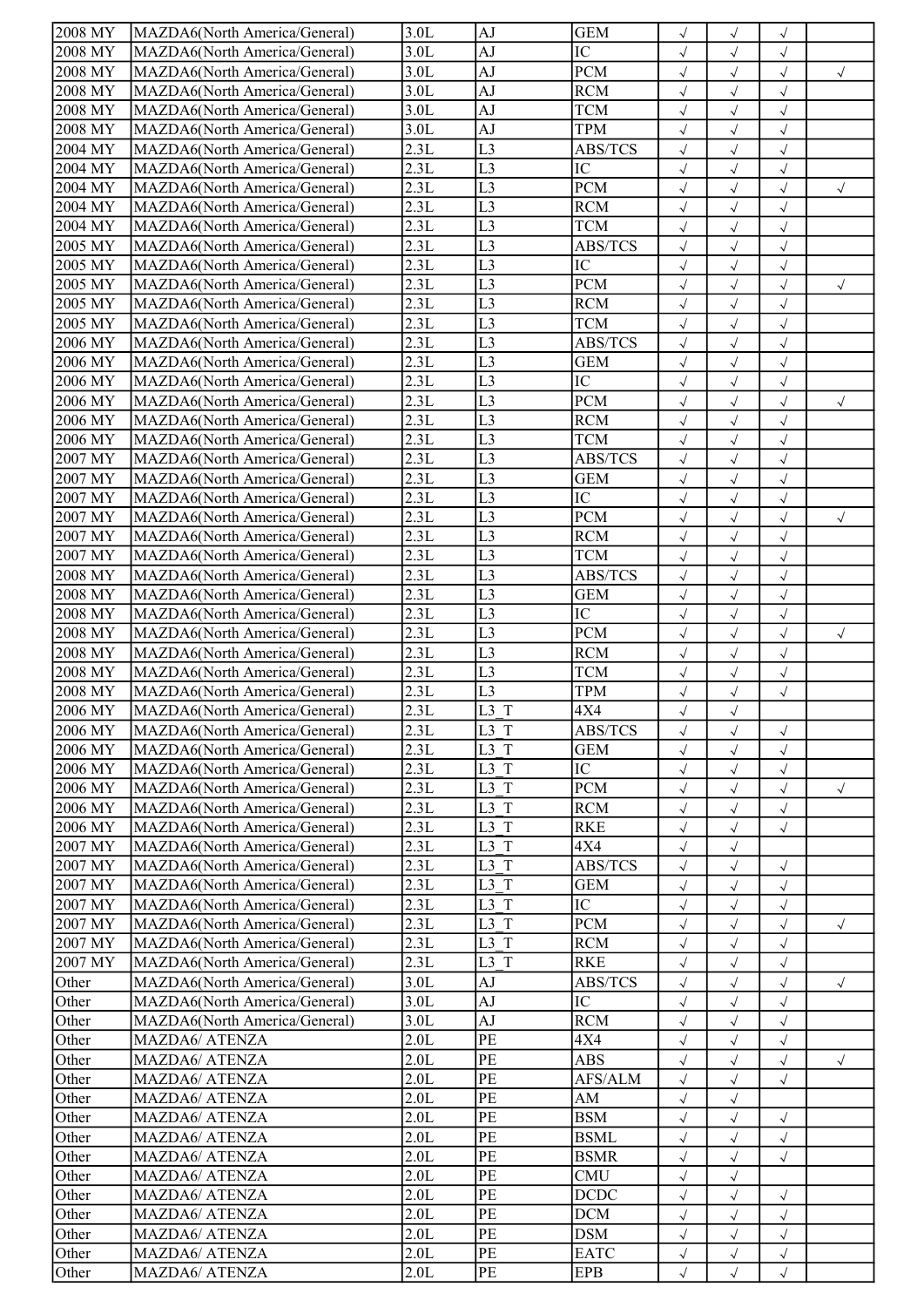| 2008 MY            | MAZDA6(North America/General)                                  | 3.0 <sub>L</sub> | AJ             | <b>GEM</b>       | $\sqrt{ }$              | $\sqrt{}$                | $\sqrt{}$                  |            |
|--------------------|----------------------------------------------------------------|------------------|----------------|------------------|-------------------------|--------------------------|----------------------------|------------|
| 2008 MY            | MAZDA6(North America/General)                                  | 3.0 <sub>L</sub> | AJ             | IC               | $\sqrt{}$               | $\sqrt{}$                | $\sqrt{ }$                 |            |
| 2008 MY            | MAZDA6(North America/General)                                  | 3.0 <sub>L</sub> | AJ             | <b>PCM</b>       | $\sqrt{}$               | $\sqrt{ }$               | $\sqrt{ }$                 | $\sqrt{ }$ |
| 2008 MY            | MAZDA6(North America/General)                                  | 3.0 <sub>L</sub> | AJ             | RCM              | $\sqrt{}$               | $\sqrt{ }$               | $\sqrt{ }$                 |            |
| 2008 MY            | MAZDA6(North America/General)                                  | 3.0 <sub>L</sub> | AJ             | <b>TCM</b>       | $\sqrt{ }$              | $\sqrt{ }$               | $\sqrt{ }$                 |            |
| 2008 MY            | MAZDA6(North America/General)                                  | 3.0L             | AJ             | <b>TPM</b>       | $\sqrt{ }$              | $\sqrt{ }$               | $\sqrt{ }$                 |            |
| 2004 MY            | MAZDA6(North America/General)                                  | 2.3L             | L <sub>3</sub> | ABS/TCS          | $\sqrt{ }$              | $\sqrt{ }$               | $\sqrt{ }$                 |            |
| 2004 MY            | MAZDA6(North America/General)                                  | 2.3L             | L <sub>3</sub> | IC               | $\sqrt{ }$              | $\sqrt{ }$               | $\sqrt{ }$                 |            |
| 2004 MY            | MAZDA6(North America/General)                                  | 2.3L             | L <sub>3</sub> | <b>PCM</b>       | $\sqrt{ }$              | $\sqrt{ }$               | $\sqrt{ }$                 | $\sqrt{ }$ |
| 2004 MY            | MAZDA6(North America/General)                                  | 2.3L             | L <sub>3</sub> | <b>RCM</b>       | $\sqrt{ }$              | $\sqrt{ }$               | $\checkmark$               |            |
| 2004 MY            | MAZDA6(North America/General)                                  | 2.3L             | L <sub>3</sub> | <b>TCM</b>       | $\sqrt{ }$              | $\checkmark$             | $\sqrt{ }$                 |            |
| 2005 MY            | MAZDA6(North America/General)                                  | 2.3L             | L <sub>3</sub> | ABS/TCS          | $\sqrt{ }$              | $\sqrt{}$                | $\sqrt{ }$                 |            |
| 2005 MY            | MAZDA6(North America/General)                                  | 2.3L             | L <sub>3</sub> | IC               | $\sqrt{ }$              | $\checkmark$             | $\checkmark$               |            |
| 2005 MY            | MAZDA6(North America/General)                                  | 2.3L             | L <sub>3</sub> | <b>PCM</b>       | $\sqrt{ }$              | $\sqrt{ }$               | $\sqrt{ }$                 | $\sqrt{ }$ |
| 2005 MY            | MAZDA6(North America/General)                                  | 2.3L             | L <sub>3</sub> | RCM              | $\sqrt{ }$              | $\sqrt{ }$               | $\sqrt{ }$                 |            |
| 2005 MY            | MAZDA6(North America/General)                                  | 2.3L             | L <sub>3</sub> | <b>TCM</b>       | $\sqrt{}$               | $\sqrt{ }$               | $\sqrt{ }$                 |            |
| 2006 MY            | MAZDA6(North America/General)                                  | 2.3L             | L <sub>3</sub> | ABS/TCS          | $\sqrt{ }$              | $\sqrt{ }$               | $\sqrt{ }$                 |            |
| 2006 MY            | MAZDA6(North America/General)                                  | 2.3L             | L <sub>3</sub> | GEM              | $\sqrt{ }$              | $\sqrt{ }$               | $\sqrt{ }$                 |            |
| 2006 MY            | MAZDA6(North America/General)                                  | 2.3L             | L <sub>3</sub> | IC               | $\sqrt{ }$              | $\sqrt{ }$               | $\sqrt{ }$                 |            |
| 2006 MY            | MAZDA6(North America/General)                                  | 2.3L             | L <sub>3</sub> | <b>PCM</b>       | $\sqrt{ }$              | $\sqrt{}$                | $\checkmark$               | $\sqrt{ }$ |
| 2006 MY            | MAZDA6(North America/General)                                  | 2.3L             | L <sub>3</sub> | <b>RCM</b>       | $\sqrt{ }$              | $\sqrt{}$                | $\sqrt{ }$                 |            |
| 2006 MY            | MAZDA6(North America/General)                                  | 2.3L             | L <sub>3</sub> | <b>TCM</b>       | $\sqrt{ }$              | $\sqrt{ }$               | $\checkmark$               |            |
| 2007 MY            | MAZDA6(North America/General)                                  | 2.3L             | L <sub>3</sub> | ABS/TCS          | $\sqrt{ }$              | $\sqrt{ }$               | $\sqrt{ }$                 |            |
| 2007 MY            | MAZDA6(North America/General)                                  | 2.3L             | L <sub>3</sub> | <b>GEM</b>       | $\sqrt{ }$              | $\sqrt{}$                | $\sqrt{ }$                 |            |
| 2007 MY            | MAZDA6(North America/General)                                  | 2.3L             | L <sub>3</sub> | IC               | $\sqrt{}$               |                          | $\checkmark$               |            |
| 2007 MY            | MAZDA6(North America/General)                                  | 2.3L             | L <sub>3</sub> | <b>PCM</b>       | $\sqrt{ }$              | $\sqrt{}$                | $\sqrt{ }$                 | $\sqrt{ }$ |
| 2007 MY            | MAZDA6(North America/General)                                  | 2.3L             | L <sub>3</sub> | RCM              | $\sqrt{}$               | $\sqrt{}$                | $\sqrt{ }$                 |            |
| 2007 MY            | MAZDA6(North America/General)                                  | 2.3L             | L <sub>3</sub> | <b>TCM</b>       | $\sqrt{}$               | $\sqrt{ }$               | $\sqrt{ }$                 |            |
| 2008 MY            | MAZDA6(North America/General)                                  | 2.3L             | L <sub>3</sub> | ABS/TCS          | $\sqrt{}$               | $\sqrt{ }$               | $\sqrt{ }$                 |            |
| 2008 MY            | MAZDA6(North America/General)                                  | 2.3L             | L <sub>3</sub> | <b>GEM</b>       | $\sqrt{}$               | $\sqrt{ }$               | $\sqrt{ }$                 |            |
| 2008 MY            | MAZDA6(North America/General)                                  | 2.3L             | L <sub>3</sub> | IC               | $\sqrt{ }$              | $\sqrt{ }$               | $\sqrt{ }$                 |            |
| 2008 MY            | MAZDA6(North America/General)                                  | 2.3L             | L <sub>3</sub> | <b>PCM</b>       | $\sqrt{ }$              | $\sqrt{}$                | $\sqrt{ }$                 | $\sqrt{ }$ |
| 2008 MY            | MAZDA6(North America/General)                                  | 2.3L             | L <sub>3</sub> | <b>RCM</b>       | $\sqrt{ }$              | $\sqrt{ }$               | $\sqrt{ }$                 |            |
| 2008 MY            | MAZDA6(North America/General)                                  | 2.3L             | L <sub>3</sub> | <b>TCM</b>       | $\sqrt{ }$              | $\sqrt{}$                | $\sqrt{ }$                 |            |
| 2008 MY            | MAZDA6(North America/General)                                  | 2.3L             | L <sub>3</sub> | TPM              | $\sqrt{ }$              | $\sqrt{}$                | $\sqrt{ }$                 |            |
| 2006 MY            | MAZDA6(North America/General)                                  | 2.3L             | L3 T           | 4X4              | $\sqrt{2}$              | $\sqrt{2}$               |                            |            |
| 2006 MY            | MAZDA6(North America/General)                                  | 2.3L             | L3 T           | ABS/TCS          | $\sqrt{ }$              | $\sqrt{ }$               | $\sqrt{ }$                 |            |
| 2006 MY            | MAZDA6(North America/General)                                  | 2.3L             | L3 T           | <b>GEM</b>       | $\sqrt{ }$              |                          | $\checkmark$               |            |
| 2006 MY            | MAZDA6(North America/General)                                  | 2.3L             | L3 T           | IC               | $\sqrt{ }$              | $\sqrt{}$                | $\sqrt{ }$                 |            |
| 2006 MY            | MAZDA6(North America/General)                                  | 2.3L             | L3 T           | <b>PCM</b>       | $\sqrt{}$               | $\sqrt{ }$               | $\sqrt{ }$                 | $\sqrt{ }$ |
| 2006 MY            | MAZDA6(North America/General)                                  | 2.3L             | L3 T           | <b>RCM</b>       | $\sqrt{ }$              | $\sqrt{ }$               | $\sqrt{\phantom{a}}$       |            |
| 2006 MY            | MAZDA6(North America/General)                                  | 2.3L             | L3 T           | <b>RKE</b>       | $\sqrt{ }$              | $\sqrt{ }$               | $\sqrt{ }$                 |            |
| 2007 MY            | MAZDA6(North America/General)                                  | 2.3L             | L3 T           | 4X4              | $\sqrt{ }$              | $\sqrt{ }$               |                            |            |
| 2007 MY            | MAZDA6(North America/General)                                  | 2.3L             | L3 T<br>L3 T   | ABS/TCS          | $\sqrt{ }$              | $\sqrt{ }$               | $\sqrt{ }$                 |            |
| 2007 MY<br>2007 MY | MAZDA6(North America/General)                                  | 2.3L<br>2.3L     | L3 T           | <b>GEM</b><br>IC | $\sqrt{ }$              | $\sqrt{}$                | $\sqrt{ }$                 |            |
|                    | MAZDA6(North America/General)                                  | 2.3L             | L3 T           | PCM              | $\sqrt{}$<br>$\sqrt{ }$ | $\sqrt{ }$<br>$\sqrt{2}$ | $\sqrt{ }$<br>$\checkmark$ |            |
| 2007 MY<br>2007 MY | MAZDA6(North America/General)<br>MAZDA6(North America/General) | 2.3L             | L3 T           | <b>RCM</b>       | $\sqrt{ }$              | $\sqrt{2}$               | $\sqrt{}$                  | $\sqrt{ }$ |
| 2007 MY            | MAZDA6(North America/General)                                  | 2.3L             | L3 T           | <b>RKE</b>       | $\sqrt{ }$              |                          | $\sqrt{ }$                 |            |
| Other              | MAZDA6(North America/General)                                  | 3.0L             | AJ             | ABS/TCS          | $\sqrt{ }$              |                          | $\checkmark$               | $\sqrt{ }$ |
| Other              | MAZDA6(North America/General)                                  | 3.0L             | AJ             | IC               | $\sqrt{ }$              |                          | $\sqrt{ }$                 |            |
| Other              | MAZDA6(North America/General)                                  | 3.0 <sub>L</sub> | AJ             | <b>RCM</b>       | $\sqrt{ }$              | $\sqrt{}$<br>$\sqrt{ }$  | $\sqrt{}$                  |            |
| Other              | <b>MAZDA6/ ATENZA</b>                                          | 2.0L             | PE             | 4X4              | $\sqrt{}$               | $\sqrt{ }$               | $\sqrt{ }$                 |            |
| Other              | <b>MAZDA6/ ATENZA</b>                                          | 2.0L             | PE             | <b>ABS</b>       | $\sqrt{ }$              | $\sqrt{ }$               | $\sqrt{\phantom{a}}$       | $\sqrt{ }$ |
| Other              | <b>MAZDA6/ ATENZA</b>                                          | 2.0L             | PE             | AFS/ALM          | $\sqrt{ }$              | $\sqrt{ }$               | $\sqrt{ }$                 |            |
| Other              | <b>MAZDA6/ ATENZA</b>                                          | 2.0L             | PE             | AM               | $\sqrt{ }$              | $\sqrt{2}$               |                            |            |
| Other              | <b>MAZDA6/ ATENZA</b>                                          | $2.0L$           | PE             | <b>BSM</b>       | $\sqrt{ }$              | $\sqrt{}$                | $\sqrt{\phantom{a}}$       |            |
| Other              | <b>MAZDA6/ ATENZA</b>                                          | 2.0L             | PE             | <b>BSML</b>      | $\sqrt{ }$              | $\sqrt{}$                | $\sqrt{\phantom{a}}$       |            |
| Other              | <b>MAZDA6/ ATENZA</b>                                          | 2.0L             | PE             | <b>BSMR</b>      | $\sqrt{ }$              | $\sqrt{2}$               | $\sqrt{ }$                 |            |
| Other              | <b>MAZDA6/ ATENZA</b>                                          | 2.0L             | PE             | <b>CMU</b>       | $\sqrt{ }$              | $\sqrt{}$                |                            |            |
| Other              | <b>MAZDA6/ ATENZA</b>                                          | 2.0L             | PE             | <b>DCDC</b>      | $\sqrt{ }$              | $\sqrt{ }$               | $\sqrt{}$                  |            |
| Other              | <b>MAZDA6/ ATENZA</b>                                          | 2.0L             | PE             | DCM              | $\sqrt{ }$              |                          | $\checkmark$               |            |
| Other              | <b>MAZDA6/ ATENZA</b>                                          | $2.0L$           | PE             | <b>DSM</b>       | $\sqrt{ }$              | $\sqrt{ }$               | $\sqrt{\phantom{a}}$       |            |
| Other              | <b>MAZDA6/ ATENZA</b>                                          | 2.0L             | PE             | <b>EATC</b>      | $\sqrt{ }$              | $\sqrt{ }$               | $\sqrt{ }$                 |            |
| Other              | <b>MAZDA6/ ATENZA</b>                                          | 2.0 <sub>L</sub> | PE             | EPB              | $\sqrt{}$               | $\sqrt{ }$               | $\sqrt{ }$                 |            |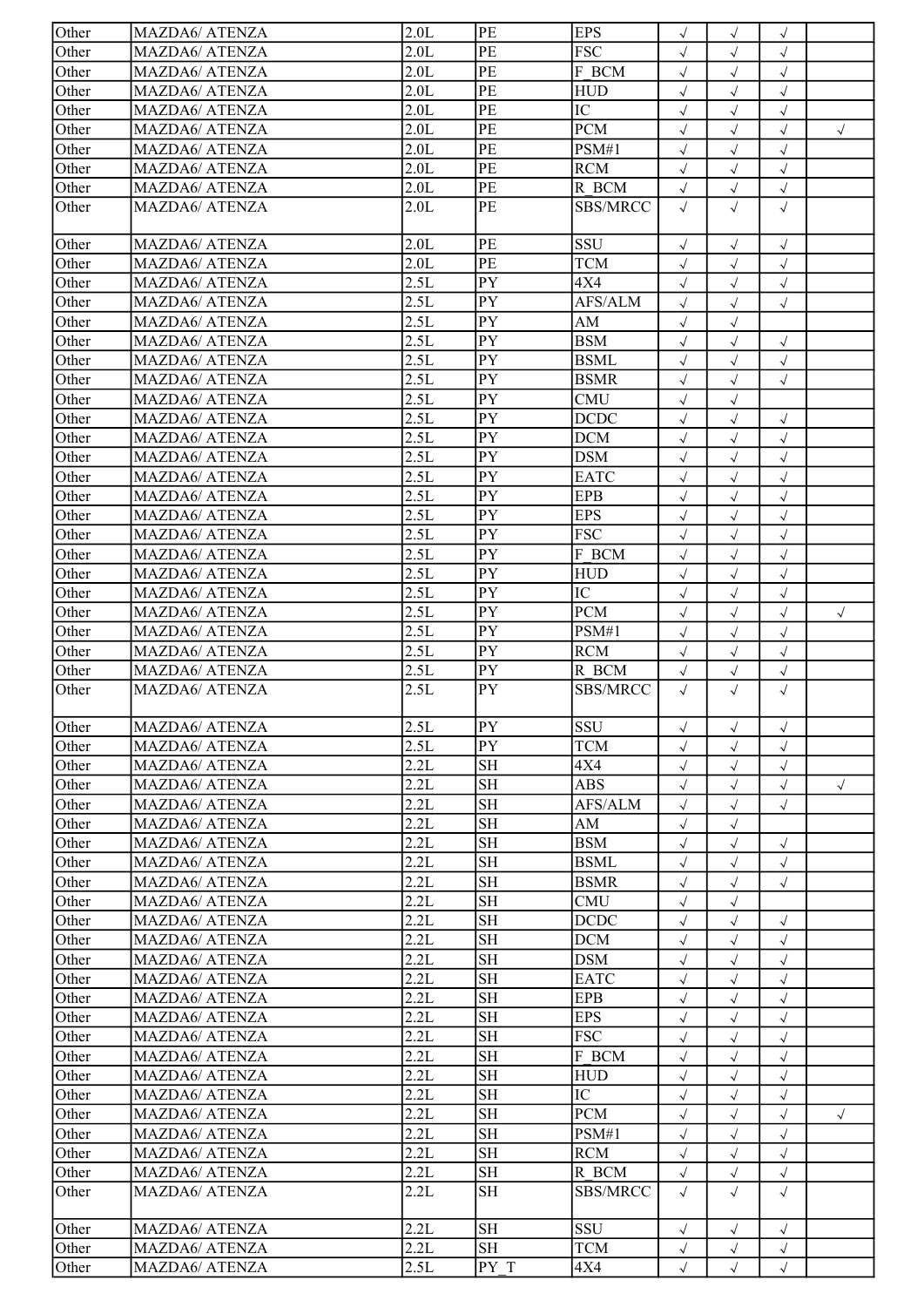| Other | MAZDA6/ ATENZA        | 2.0L | PE              | <b>EPS</b>  | $\sqrt{ }$ | $\sqrt{ }$ | $\sqrt{ }$           |            |
|-------|-----------------------|------|-----------------|-------------|------------|------------|----------------------|------------|
| Other | <b>MAZDA6/ ATENZA</b> | 2.0L | PE              | <b>FSC</b>  | $\sqrt{}$  | $\sqrt{ }$ | $\sqrt{\phantom{a}}$ |            |
| Other | <b>MAZDA6/ ATENZA</b> | 2.0L | PE              | F BCM       | $\sqrt{ }$ | $\sqrt{ }$ | $\sqrt{ }$           |            |
| Other | <b>MAZDA6/ ATENZA</b> | 2.0L | PE              | <b>HUD</b>  | $\sqrt{ }$ | $\sqrt{}$  | $\sqrt{ }$           |            |
| Other | <b>MAZDA6/ ATENZA</b> | 2.0L | PE              | IC          | $\sqrt{ }$ | $\sqrt{}$  | $\sqrt{ }$           |            |
| Other | <b>MAZDA6/ ATENZA</b> | 2.0L | PE              | <b>PCM</b>  | $\sqrt{ }$ | $\sqrt{}$  | $\sqrt{ }$           | $\sqrt{ }$ |
| Other | <b>MAZDA6/ ATENZA</b> | 2.0L | PE              | PSM#1       | $\sqrt{}$  | $\sqrt{}$  | $\sqrt{ }$           |            |
| Other | <b>MAZDA6/ ATENZA</b> | 2.0L | PE              | <b>RCM</b>  | $\sqrt{ }$ | $\sqrt{}$  | $\sqrt{ }$           |            |
|       | <b>MAZDA6/ ATENZA</b> | 2.0L | PE              |             | $\sqrt{ }$ | $\sqrt{}$  | $\sqrt{ }$           |            |
| Other |                       |      | PE              | R BCM       | $\sqrt{ }$ |            |                      |            |
| Other | <b>MAZDA6/ ATENZA</b> | 2.0L |                 | SBS/MRCC    |            | $\sqrt{ }$ | $\sqrt{ }$           |            |
| Other | <b>MAZDA6/ ATENZA</b> | 2.0L | PE              | SSU         | $\sqrt{ }$ | $\sqrt{ }$ | $\sqrt{\phantom{a}}$ |            |
| Other | <b>MAZDA6/ ATENZA</b> | 2.0L | PE              | <b>TCM</b>  | $\sqrt{}$  |            | $\sqrt{ }$           |            |
| Other |                       | 2.5L | $\overline{PY}$ | 4X4         | $\sqrt{ }$ | $\sqrt{}$  |                      |            |
|       | <b>MAZDA6/ ATENZA</b> |      |                 |             |            | $\sqrt{}$  | $\checkmark$         |            |
| Other | <b>MAZDA6/ ATENZA</b> | 2.5L | PY              | AFS/ALM     | $\sqrt{ }$ | $\sqrt{}$  | $\sqrt{ }$           |            |
| Other | <b>MAZDA6/ ATENZA</b> | 2.5L | PY              | AM          | $\sqrt{ }$ | $\sqrt{ }$ |                      |            |
| Other | <b>MAZDA6/ ATENZA</b> | 2.5L | PY              | <b>BSM</b>  | $\sqrt{ }$ | $\sqrt{}$  | $\sqrt{\phantom{a}}$ |            |
| Other | <b>MAZDA6/ ATENZA</b> | 2.5L | PY              | <b>BSML</b> | $\sqrt{ }$ | $\sqrt{ }$ | $\sqrt{ }$           |            |
| Other | <b>MAZDA6/ ATENZA</b> | 2.5L | PY              | <b>BSMR</b> | $\sqrt{ }$ | $\sqrt{}$  | $\sqrt{ }$           |            |
| Other | <b>MAZDA6/ ATENZA</b> | 2.5L | PY              | <b>CMU</b>  | $\sqrt{ }$ | $\sqrt{}$  |                      |            |
| Other | MAZDA6/ ATENZA        | 2.5L | PY              | <b>DCDC</b> | $\sqrt{ }$ | $\sqrt{}$  | $\sqrt{ }$           |            |
| Other | <b>MAZDA6/ ATENZA</b> | 2.5L | PY              | <b>DCM</b>  | $\sqrt{ }$ | $\sqrt{}$  | $\sqrt{ }$           |            |
| Other | <b>MAZDA6/ ATENZA</b> | 2.5L | PY              | <b>DSM</b>  | $\sqrt{ }$ | $\sqrt{}$  | $\sqrt{}$            |            |
| Other | <b>MAZDA6/ ATENZA</b> | 2.5L | PY              | <b>EATC</b> | $\sqrt{ }$ | $\sqrt{ }$ | $\sqrt{ }$           |            |
| Other | <b>MAZDA6/ ATENZA</b> | 2.5L | $\overline{PY}$ | <b>EPB</b>  | $\sqrt{}$  | $\sqrt{}$  | $\sqrt{ }$           |            |
| Other | <b>MAZDA6/ ATENZA</b> | 2.5L | PY              | <b>EPS</b>  | $\sqrt{ }$ | $\sqrt{}$  | $\sqrt{ }$           |            |
| Other | <b>MAZDA6/ ATENZA</b> | 2.5L | PY              | <b>FSC</b>  | $\sqrt{ }$ | $\sqrt{}$  | $\checkmark$         |            |
| Other | <b>MAZDA6/ ATENZA</b> | 2.5L | PY              | F BCM       | $\sqrt{2}$ | $\sqrt{}$  | $\sqrt{ }$           |            |
| Other | <b>MAZDA6/ ATENZA</b> | 2.5L | PY              | <b>HUD</b>  | $\sqrt{ }$ | $\sqrt{ }$ | $\sqrt{ }$           |            |
| Other | MAZDA6/ ATENZA        | 2.5L | PY              | IC          | $\sqrt{ }$ | $\sqrt{ }$ | $\sqrt{ }$           |            |
| Other | MAZDA6/ ATENZA        | 2.5L | PY              | <b>PCM</b>  | $\sqrt{ }$ | $\sqrt{}$  | $\sqrt{ }$           | $\sqrt{ }$ |
| Other | <b>MAZDA6/ ATENZA</b> | 2.5L | PY              | PSM#1       | $\sqrt{ }$ | $\sqrt{}$  | $\sqrt{ }$           |            |
| Other | <b>MAZDA6/ ATENZA</b> | 2.5L | PY              | <b>RCM</b>  | $\sqrt{ }$ | $\sqrt{}$  | $\sqrt{ }$           |            |
| Other | <b>MAZDA6/ ATENZA</b> | 2.5L | PY              | R BCM       | $\sqrt{ }$ | $\sqrt{}$  | $\sqrt{ }$           |            |
| Other | <b>MAZDA6/ ATENZA</b> | 2.5L | PY              | SBS/MRCC    | $\sqrt{ }$ | $\sqrt{ }$ | $\sqrt{ }$           |            |
|       |                       |      |                 |             |            |            |                      |            |
| Other | MAZDA6/ ATENZA        | 2.5L | PY              | <b>SSU</b>  | $\sqrt{ }$ | $\sqrt{ }$ | $\sqrt{ }$           |            |
| Other | <b>MAZDA6/ ATENZA</b> | 2.5L | <b>PY</b>       | <b>TCM</b>  | $\sqrt{ }$ | $\sqrt{}$  | $\sqrt{ }$           |            |
| Other | <b>MAZDA6/ ATENZA</b> | 2.2L | <b>SH</b>       | 4X4         | $\sqrt{ }$ | $\sqrt{}$  | $\sqrt{ }$           |            |
| Other | <b>MAZDA6/ ATENZA</b> | 2.2L | <b>SH</b>       | <b>ABS</b>  | $\sqrt{ }$ | $\sqrt{}$  | $\sqrt{}$            | $\sqrt{ }$ |
| Other | <b>MAZDA6/ ATENZA</b> | 2.2L | <b>SH</b>       | AFS/ALM     | $\sqrt{ }$ | $\sqrt{}$  | $\sqrt{2}$           |            |
| Other | <b>MAZDA6/ ATENZA</b> | 2.2L | <b>SH</b>       | AM          | $\sqrt{ }$ | $\sqrt{ }$ |                      |            |
| Other | <b>MAZDA6/ ATENZA</b> | 2.2L | <b>SH</b>       | <b>BSM</b>  | $\sqrt{ }$ | $\sqrt{ }$ | $\sqrt{ }$           |            |
| Other | <b>MAZDA6/ ATENZA</b> | 2.2L | <b>SH</b>       | <b>BSML</b> | $\sqrt{ }$ | $\sqrt{ }$ | $\sqrt{ }$           |            |
| Other | <b>MAZDA6/ ATENZA</b> | 2.2L | <b>SH</b>       | <b>BSMR</b> | $\sqrt{ }$ | $\sqrt{ }$ | $\sqrt{ }$           |            |
| Other | <b>MAZDA6/ ATENZA</b> | 2.2L | <b>SH</b>       | CMU         | $\sqrt{ }$ | $\sqrt{ }$ |                      |            |
| Other | MAZDA6/ ATENZA        | 2.2L | <b>SH</b>       | <b>DCDC</b> | $\sqrt{ }$ | $\sqrt{}$  | $\sqrt{ }$           |            |
| Other | <b>MAZDA6/ ATENZA</b> | 2.2L | <b>SH</b>       | <b>DCM</b>  | $\sqrt{ }$ | $\sqrt{}$  | $\sqrt{ }$           |            |
| Other | <b>MAZDA6/ ATENZA</b> | 2.2L | <b>SH</b>       | <b>DSM</b>  | $\sqrt{ }$ | $\sqrt{ }$ | $\sqrt{ }$           |            |
| Other | <b>MAZDA6/ ATENZA</b> | 2.2L | <b>SH</b>       | <b>EATC</b> | $\sqrt{ }$ | $\sqrt{ }$ | $\sqrt{ }$           |            |
| Other | <b>MAZDA6/ ATENZA</b> | 2.2L | <b>SH</b>       | <b>EPB</b>  | $\sqrt{ }$ | $\sqrt{}$  | $\sqrt{ }$           |            |
| Other | <b>MAZDA6/ ATENZA</b> | 2.2L | <b>SH</b>       | <b>EPS</b>  | $\sqrt{ }$ | $\sqrt{ }$ | $\sqrt{ }$           |            |
| Other | <b>MAZDA6/ ATENZA</b> | 2.2L | <b>SH</b>       | <b>FSC</b>  | $\sqrt{ }$ | $\sqrt{}$  | $\sqrt{ }$           |            |
| Other | <b>MAZDA6/ ATENZA</b> | 2.2L | <b>SH</b>       | F BCM       | $\sqrt{ }$ | $\sqrt{}$  | $\sqrt{ }$           |            |
| Other | <b>MAZDA6/ ATENZA</b> | 2.2L | <b>SH</b>       | <b>HUD</b>  | $\sqrt{ }$ | $\sqrt{}$  | $\sqrt{ }$           |            |
| Other | <b>MAZDA6/ ATENZA</b> | 2.2L | <b>SH</b>       | IC          | $\sqrt{ }$ | $\sqrt{ }$ | $\sqrt{ }$           |            |
| Other | <b>MAZDA6/ ATENZA</b> | 2.2L | <b>SH</b>       | <b>PCM</b>  | $\sqrt{ }$ | $\sqrt{ }$ | $\sqrt{ }$           | $\sqrt{ }$ |
| Other | <b>MAZDA6/ ATENZA</b> | 2.2L | <b>SH</b>       | PSM#1       | $\sqrt{ }$ | $\sqrt{ }$ | $\sqrt{ }$           |            |
| Other | <b>MAZDA6/ ATENZA</b> | 2.2L | <b>SH</b>       | <b>RCM</b>  | $\sqrt{ }$ | $\sqrt{ }$ | $\sqrt{\phantom{a}}$ |            |
| Other | MAZDA6/ ATENZA        | 2.2L | <b>SH</b>       | R BCM       | $\sqrt{ }$ | $\sqrt{ }$ | $\sqrt{ }$           |            |
| Other | <b>MAZDA6/ ATENZA</b> | 2.2L | <b>SH</b>       | SBS/MRCC    | $\sqrt{ }$ | $\sqrt{ }$ | $\sqrt{ }$           |            |
|       |                       |      |                 |             |            |            |                      |            |
| Other | MAZDA6/ ATENZA        | 2.2L | <b>SH</b>       | SSU         | $\sqrt{ }$ | $\sqrt{ }$ | $\sqrt{ }$           |            |
| Other | <b>MAZDA6/ ATENZA</b> | 2.2L | <b>SH</b>       | <b>TCM</b>  | $\sqrt{ }$ | $\sqrt{ }$ | $\sqrt{ }$           |            |
| Other | <b>MAZDA6/ ATENZA</b> | 2.5L | PY T            | 4X4         | $\sqrt{ }$ | $\sqrt{}$  | $\sqrt{ }$           |            |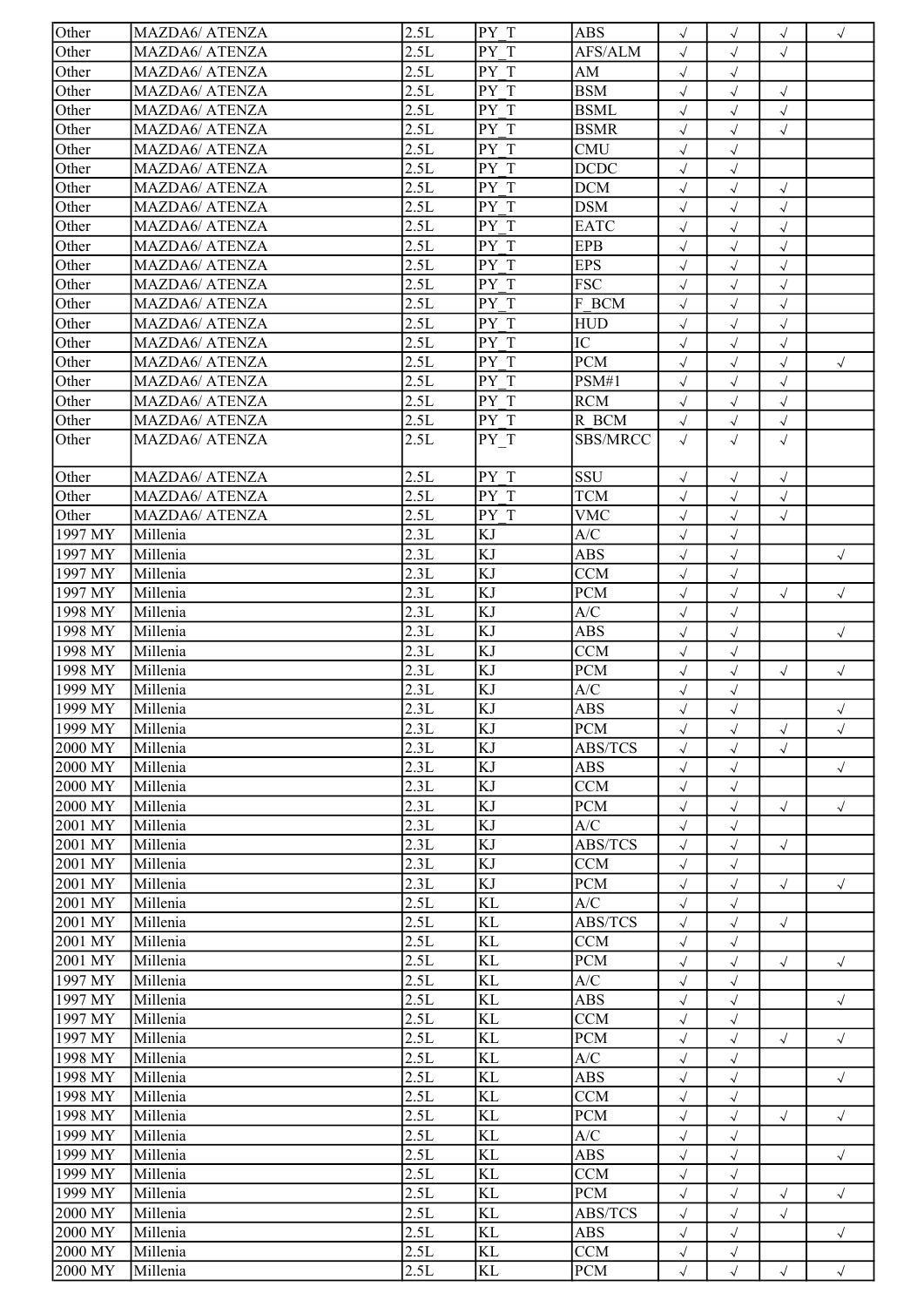| Other   | MAZDA6/ ATENZA        | 2.5L         | PY T          | <b>ABS</b>      | $\sqrt{ }$               | $\sqrt{ }$               | $\sqrt{ }$           | $\sqrt{ }$ |
|---------|-----------------------|--------------|---------------|-----------------|--------------------------|--------------------------|----------------------|------------|
| Other   | <b>MAZDA6/ ATENZA</b> | 2.5L         | PY T          | AFS/ALM         | $\sqrt{ }$               | $\sqrt{ }$               | $\sqrt{ }$           |            |
| Other   | <b>MAZDA6/ ATENZA</b> | 2.5L         | PY T          | AM              | $\sqrt{ }$               | $\sqrt{ }$               |                      |            |
| Other   | MAZDA6/ ATENZA        | 2.5L         | PY T          | <b>BSM</b>      | $\sqrt{ }$               | $\sqrt{ }$               | $\sqrt{ }$           |            |
| Other   | MAZDA6/ ATENZA        | 2.5L         | PY T          | <b>BSML</b>     | $\sqrt{ }$               | $\sqrt{}$                | $\sqrt{\phantom{a}}$ |            |
| Other   | <b>MAZDA6/ ATENZA</b> | 2.5L         | PY T          | <b>BSMR</b>     | $\sqrt{}$                | $\sqrt{}$                | $\sqrt{}$            |            |
| Other   | <b>MAZDA6/ ATENZA</b> | 2.5L         | PY T          | <b>CMU</b>      | $\sqrt{}$                | $\sqrt{}$                |                      |            |
| Other   | <b>MAZDA6/ ATENZA</b> | 2.5L         | PY T          | <b>DCDC</b>     | $\sqrt{}$                | $\sqrt{}$                |                      |            |
| Other   | <b>MAZDA6/ ATENZA</b> | 2.5L         | PY T          | <b>DCM</b>      | $\sqrt{ }$               | $\sqrt{}$                | $\sqrt{\phantom{a}}$ |            |
| Other   | <b>MAZDA6/ ATENZA</b> | 2.5L         | PY T          | <b>DSM</b>      | $\sqrt{ }$               | $\sqrt{ }$               | $\sqrt{ }$           |            |
| Other   | <b>MAZDA6/ ATENZA</b> | 2.5L         | PY T          | <b>EATC</b>     | $\sqrt{2}$               | $\sqrt{ }$               | $\sqrt{ }$           |            |
| Other   | <b>MAZDA6/ ATENZA</b> | 2.5L         | PY T          | <b>EPB</b>      | $\sqrt{ }$               | $\sqrt{}$                | $\sqrt{ }$           |            |
| Other   | <b>MAZDA6/ ATENZA</b> | 2.5L         | PY T          | <b>EPS</b>      | $\sqrt{ }$               | $\sqrt{2}$               | $\sqrt{ }$           |            |
| Other   | MAZDA6/ ATENZA        | 2.5L         | PY T          | <b>FSC</b>      | $\sqrt{ }$               | $\sqrt{}$                | $\sqrt{ }$           |            |
| Other   | <b>MAZDA6/ ATENZA</b> | 2.5L         | PY T          | F BCM           | $\sqrt{ }$               | $\sqrt{ }$               | $\sqrt{ }$           |            |
| Other   | <b>MAZDA6/ ATENZA</b> | 2.5L         | PY T          | <b>HUD</b>      | $\sqrt{ }$               | $\sqrt{ }$               | $\sqrt{ }$           |            |
| Other   | MAZDA6/ ATENZA        | 2.5L         | PY T          | IC              | $\sqrt{ }$               | $\sqrt{}$                | $\sqrt{ }$           |            |
| Other   | MAZDA6/ ATENZA        | 2.5L         | PY T          | <b>PCM</b>      | $\sqrt{ }$               | $\sqrt{}$                | $\sqrt{ }$           | $\sqrt{ }$ |
| Other   | MAZDA6/ ATENZA        | 2.5L         | PY T          | PSM#1           | $\sqrt{ }$               | $\sqrt{ }$               | $\sqrt{ }$           |            |
| Other   | <b>MAZDA6/ ATENZA</b> | 2.5L         | PY T          | <b>RCM</b>      | $\sqrt{}$                | $\sqrt{}$                | $\sqrt{ }$           |            |
| Other   | MAZDA6/ ATENZA        | 2.5L         | PY T          | R BCM           | $\sqrt{ }$               | $\sqrt{}$                | $\sqrt{ }$           |            |
| Other   | <b>MAZDA6/ ATENZA</b> | 2.5L         | $PY_T$        | <b>SBS/MRCC</b> | $\sqrt{ }$               | $\sqrt{ }$               | $\sqrt{ }$           |            |
|         |                       |              |               |                 |                          |                          |                      |            |
| Other   | MAZDA6/ ATENZA        | 2.5L         | PY T          | SSU             | $\sqrt{}$                | $\sqrt{}$                | $\sqrt{\phantom{a}}$ |            |
| Other   | <b>MAZDA6/ ATENZA</b> | 2.5L         | PY T          | <b>TCM</b>      | $\sqrt{ }$               | $\sqrt{ }$               | $\sqrt{ }$           |            |
| Other   | <b>MAZDA6/ ATENZA</b> | 2.5L         | PY T          | <b>VMC</b>      | $\sqrt{}$                | $\sqrt{ }$               | $\sqrt{ }$           |            |
| 1997 MY | Millenia              | 2.3L         | KJ            | A/C             | $\sqrt{ }$               | $\sqrt{}$                |                      |            |
| 1997 MY | Millenia              | 2.3L         | KJ            | <b>ABS</b>      | $\sqrt{ }$               | $\sqrt{ }$               |                      | $\sqrt{ }$ |
| 1997 MY | Millenia              | 2.3L         | KJ            | CCM             | $\sqrt{}$                | $\sqrt{ }$               |                      |            |
| 1997 MY | Millenia              | 2.3L         | KJ            | <b>PCM</b>      | $\sqrt{ }$               | $\sqrt{ }$               | $\sqrt{ }$           | $\sqrt{ }$ |
| 1998 MY | Millenia              | 2.3L         | KJ            | A/C             | $\sqrt{ }$               | $\sqrt{}$                |                      |            |
| 1998 MY | Millenia              | 2.3L         | KJ            | <b>ABS</b>      | $\sqrt{ }$               | $\sqrt{ }$               |                      | $\sqrt{ }$ |
| 1998 MY | Millenia              | 2.3L         | KJ            | CCM             | $\sqrt{ }$               | $\sqrt{ }$               |                      |            |
| 1998 MY | Millenia              | 2.3L         | KJ            | <b>PCM</b>      | $\sqrt{}$                | $\sqrt{}$                | $\sqrt{ }$           | $\sqrt{ }$ |
| 1999 MY | Millenia              | 2.3L         | KJ            | A/C             | $\sqrt{ }$               |                          |                      |            |
| 1999 MY | Millenia              | 2.3L         | KJ            |                 | $\sqrt{ }$               | $\sqrt{ }$<br>$\sqrt{ }$ |                      | $\sqrt{}$  |
|         |                       |              |               | <b>ABS</b>      |                          |                          |                      |            |
| 1999 MY | Millenia              | 2.3L<br>2.3L | KJ<br>KJ      | PCM             | $\sqrt{ }$<br>$\sqrt{2}$ | $\sqrt{ }$               | $\sqrt{ }$           | $\sqrt{ }$ |
| 2000 MY | Millenia              |              |               | ABS/TCS         |                          | $\sqrt{2}$               | $\sqrt{2}$           |            |
| 2000 MY | Millenia              | 2.3L         | KJ            | ABS             | $\sqrt{ }$               | $\sqrt{}$                |                      | $\sqrt{ }$ |
| 2000 MY | Millenia              | 2.3L         | KJ            | CCM             | $\sqrt{ }$               | $\sqrt{ }$               |                      |            |
| 2000 MY | Millenia              | 2.3L         | KJ            | <b>PCM</b>      | $\sqrt{}$                | $\sqrt{}$                | $\sqrt{ }$           | $\sqrt{ }$ |
| 2001 MY | Millenia              | 2.3L         | KJ            | A/C             | $\sqrt{ }$               | $\sqrt{ }$               |                      |            |
| 2001 MY | Millenia              | 2.3L         | KJ            | ABS/TCS         | $\sqrt{ }$               | $\sqrt{ }$               | $\sqrt{ }$           |            |
| 2001 MY | Millenia              | 2.3L         | KJ            | CCM             | $\sqrt{ }$               | $\sqrt{}$                |                      |            |
| 2001 MY | Millenia              | 2.3L         | KJ            | <b>PCM</b>      | $\sqrt{ }$               | $\sqrt{ }$               | $\sqrt{\phantom{a}}$ | $\sqrt{ }$ |
| 2001 MY | Millenia              | 2.5L         | <b>KL</b>     | A/C             | $\sqrt{ }$               | $\sqrt{}$                |                      |            |
| 2001 MY | Millenia              | 2.5L         | KL            | ABS/TCS         | $\sqrt{ }$               | $\sqrt{}$                | $\sqrt{}$            |            |
| 2001 MY | Millenia              | 2.5L         | KL            | <b>CCM</b>      | $\sqrt{ }$               | $\sqrt{}$                |                      |            |
| 2001 MY | Millenia              | 2.5L         | <b>KL</b>     | PCM             | $\sqrt{ }$               | $\sqrt{}$                | $\sqrt{ }$           | $\sqrt{}$  |
| 1997 MY | Millenia              | 2.5L         | <b>KL</b>     | A/C             | $\sqrt{ }$               | $\sqrt{}$                |                      |            |
| 1997 MY | Millenia              | 2.5L         | <b>KL</b>     | <b>ABS</b>      | $\sqrt{ }$               | $\sqrt{}$                |                      | $\sqrt{ }$ |
| 1997 MY | Millenia              | 2.5L         | <b>KL</b>     | <b>CCM</b>      | $\sqrt{ }$               | $\sqrt{2}$               |                      |            |
| 1997 MY | Millenia              | 2.5L         | KL            | <b>PCM</b>      | $\sqrt{ }$               | $\sqrt{}$                | $\sqrt{ }$           | $\sqrt{ }$ |
| 1998 MY | Millenia              | 2.5L         | KL            | A/C             | $\sqrt{ }$               | $\sqrt{ }$               |                      |            |
| 1998 MY | Millenia              | 2.5L         | <b>KL</b>     | <b>ABS</b>      | $\sqrt{ }$               | $\sqrt{ }$               |                      | $\sqrt{ }$ |
| 1998 MY | Millenia              | 2.5L         | KL            | <b>CCM</b>      | $\sqrt{ }$               | $\sqrt{ }$               |                      |            |
| 1998 MY | Millenia              | 2.5L         | <b>KL</b>     | <b>PCM</b>      | $\sqrt{ }$               | $\sqrt{}$                | $\sqrt{ }$           | $\sqrt{ }$ |
| 1999 MY | Millenia              | 2.5L         | <b>KL</b>     | A/C             | $\sqrt{ }$               | $\sqrt{}$                |                      |            |
| 1999 MY | Millenia              | 2.5L         | KL            | <b>ABS</b>      | $\sqrt{ }$               | $\sqrt{}$                |                      | $\sqrt{ }$ |
| 1999 MY | Millenia              | 2.5L         | <b>KL</b>     | <b>CCM</b>      | $\sqrt{ }$               | $\sqrt{}$                |                      |            |
| 1999 MY | Millenia              | 2.5L         | <b>KL</b>     | PCM             | $\sqrt{ }$               | $\sqrt{}$                | $\sqrt{ }$           | $\sqrt{ }$ |
| 2000 MY | Millenia              | 2.5L         | KL            | ABS/TCS         | $\sqrt{ }$               | $\sqrt{ }$               | $\sqrt{ }$           |            |
| 2000 MY | Millenia              | 2.5L         | <b>KL</b>     | <b>ABS</b>      | $\sqrt{ }$               | $\sqrt{ }$               |                      | $\sqrt{}$  |
| 2000 MY | Millenia              | 2.5L         | KL            | <b>CCM</b>      | $\sqrt{ }$               | $\sqrt{}$                |                      |            |
| 2000 MY | Millenia              | 2.5L         | $\mathbf{KL}$ | <b>PCM</b>      | $\sqrt{ }$               | $\sqrt{}$                | $\sqrt{ }$           | $\sqrt{ }$ |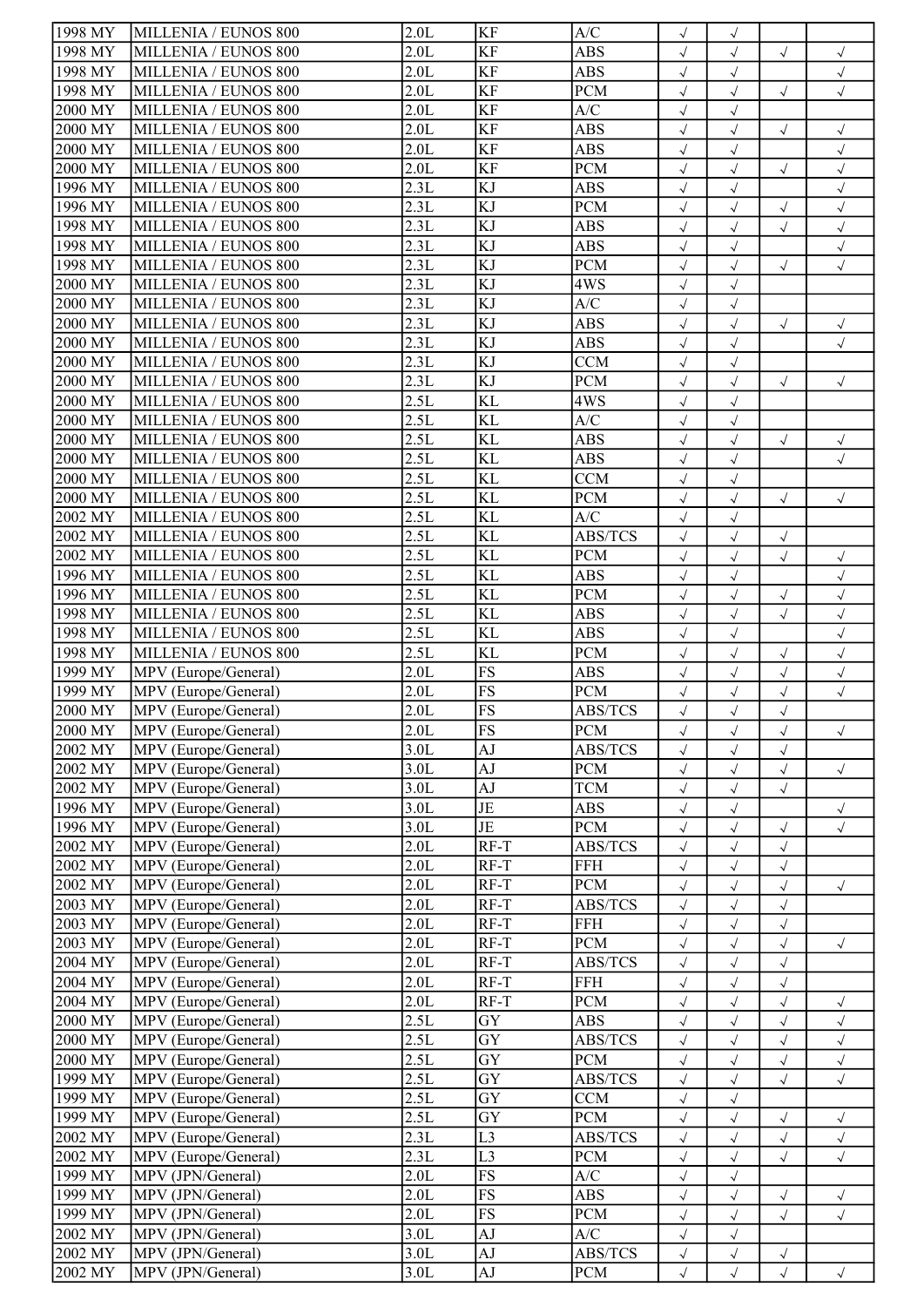| 1998 MY | MILLENIA / EUNOS 800 | 2.0L             | KF                     | A/C                                                               | $\sqrt{}$            | $\sqrt{ }$   |                      |              |
|---------|----------------------|------------------|------------------------|-------------------------------------------------------------------|----------------------|--------------|----------------------|--------------|
| 1998 MY | MILLENIA / EUNOS 800 | 2.0L             | KF                     | <b>ABS</b>                                                        | $\sqrt{ }$           | $\sqrt{}$    | $\sqrt{}$            | $\sqrt{ }$   |
| 1998 MY | MILLENIA / EUNOS 800 | 2.0L             | KF                     | <b>ABS</b>                                                        | $\sqrt{ }$           | $\sqrt{ }$   |                      | $\sqrt{ }$   |
| 1998 MY | MILLENIA / EUNOS 800 | 2.0L             | KF                     | <b>PCM</b>                                                        | $\sqrt{ }$           | $\sqrt{ }$   | $\sqrt{ }$           | $\sqrt{}$    |
| 2000 MY | MILLENIA / EUNOS 800 | 2.0L             | KF                     | A/C                                                               | $\sqrt{ }$           | $\sqrt{}$    |                      |              |
| 2000 MY | MILLENIA / EUNOS 800 | 2.0L             | KF                     | <b>ABS</b>                                                        | $\sqrt{ }$           | $\sqrt{ }$   | $\sqrt{\phantom{a}}$ | $\sqrt{ }$   |
| 2000 MY | MILLENIA / EUNOS 800 | 2.0L             | KF                     | <b>ABS</b>                                                        | $\sqrt{ }$           | $\sqrt{}$    |                      | $\sqrt{ }$   |
| 2000 MY | MILLENIA / EUNOS 800 | 2.0L             | KF                     | <b>PCM</b>                                                        | $\sqrt{ }$           | $\sqrt{}$    | $\sqrt{ }$           | $\sqrt{ }$   |
| 1996 MY | MILLENIA / EUNOS 800 | 2.3L             | KJ                     | ABS                                                               | $\sqrt{ }$           | $\sqrt{}$    |                      | $\sqrt{ }$   |
| 1996 MY | MILLENIA / EUNOS 800 | 2.3L             | KJ                     | <b>PCM</b>                                                        | $\sqrt{ }$           | $\sqrt{}$    | $\sqrt{ }$           | $\sqrt{ }$   |
| 1998 MY | MILLENIA / EUNOS 800 | 2.3L             | KJ                     | <b>ABS</b>                                                        | $\sqrt{2}$           | $\sqrt{2}$   | $\sqrt{ }$           | $\checkmark$ |
|         |                      |                  | KJ                     |                                                                   |                      |              |                      |              |
| 1998 MY | MILLENIA / EUNOS 800 | 2.3L             |                        | ABS                                                               | $\sqrt{ }$           | $\sqrt{}$    |                      | $\sqrt{ }$   |
| 1998 MY | MILLENIA / EUNOS 800 | 2.3L             | KJ                     | <b>PCM</b>                                                        | $\sqrt{2}$           | $\sqrt{2}$   | $\sqrt{ }$           | $\checkmark$ |
| 2000 MY | MILLENIA / EUNOS 800 | 2.3L             | KJ                     | 4WS                                                               | $\checkmark$         | $\sqrt{}$    |                      |              |
| 2000 MY | MILLENIA / EUNOS 800 | 2.3L             | KJ                     | A/C                                                               | $\checkmark$         | $\sqrt{ }$   |                      |              |
| 2000 MY | MILLENIA / EUNOS 800 | 2.3L             | KJ                     | <b>ABS</b>                                                        | $\sqrt{ }$           | $\sqrt{}$    | $\sqrt{\phantom{a}}$ | $\sqrt{ }$   |
| 2000 MY | MILLENIA / EUNOS 800 | 2.3L             | KJ                     | <b>ABS</b>                                                        | $\sqrt{ }$           | $\sqrt{}$    |                      | $\sqrt{}$    |
| 2000 MY | MILLENIA / EUNOS 800 | 2.3L             | KJ                     | <b>CCM</b>                                                        | $\sqrt{ }$           | $\sqrt{}$    |                      |              |
| 2000 MY | MILLENIA / EUNOS 800 | 2.3L             | KJ                     | <b>PCM</b>                                                        | $\checkmark$         | $\sqrt{2}$   | $\sqrt{\phantom{a}}$ | $\sqrt{}$    |
| 2000 MY | MILLENIA / EUNOS 800 | 2.5L             | <b>KL</b>              | 4WS                                                               | $\sqrt{ }$           | $\sqrt{2}$   |                      |              |
| 2000 MY | MILLENIA / EUNOS 800 | 2.5L             | KL                     | A/C                                                               | $\sqrt{ }$           | $\sqrt{ }$   |                      |              |
| 2000 MY | MILLENIA / EUNOS 800 | 2.5L             | KL                     | ABS                                                               | $\sqrt{ }$           | $\sqrt{2}$   | $\sqrt{ }$           | $\sqrt{ }$   |
| 2000 MY | MILLENIA / EUNOS 800 | 2.5L             | <b>KL</b>              | <b>ABS</b>                                                        | $\sqrt{ }$           | $\sqrt{2}$   |                      | $\sqrt{ }$   |
| 2000 MY | MILLENIA / EUNOS 800 | 2.5L             | KL                     | <b>CCM</b>                                                        | $\checkmark$         | $\sqrt{}$    |                      |              |
| 2000 MY | MILLENIA / EUNOS 800 | 2.5L             | $\overline{\text{KL}}$ | <b>PCM</b>                                                        | $\sqrt{ }$           | $\sqrt{2}$   | $\sqrt{ }$           | $\sqrt{ }$   |
|         |                      |                  |                        |                                                                   |                      |              |                      |              |
| 2002 MY | MILLENIA / EUNOS 800 | 2.5L             | KL                     | A/C                                                               | $\sqrt{ }$           | $\sqrt{}$    |                      |              |
| 2002 MY | MILLENIA / EUNOS 800 | 2.5L             | KL                     | ABS/TCS                                                           | $\sqrt{ }$           | $\sqrt{}$    | $\sqrt{ }$           |              |
| 2002 MY | MILLENIA / EUNOS 800 | 2.5L             | <b>KL</b>              | <b>PCM</b>                                                        | $\sqrt{ }$           | $\sqrt{}$    | $\sqrt{ }$           | $\sqrt{ }$   |
| 1996 MY | MILLENIA / EUNOS 800 | 2.5L             | KL                     | <b>ABS</b>                                                        | $\sqrt{\phantom{a}}$ | $\sqrt{ }$   |                      | $\sqrt{ }$   |
| 1996 MY | MILLENIA / EUNOS 800 | 2.5L             | <b>KL</b>              | <b>PCM</b>                                                        | $\sqrt{ }$           | $\sqrt{}$    | $\sqrt{ }$           | $\sqrt{ }$   |
| 1998 MY | MILLENIA / EUNOS 800 | 2.5L             | <b>KL</b>              | <b>ABS</b>                                                        | $\checkmark$         | $\sqrt{}$    | $\sqrt{ }$           | $\sqrt{ }$   |
| 1998 MY | MILLENIA / EUNOS 800 | 2.5L             | KL                     | <b>ABS</b>                                                        | $\sqrt{ }$           | $\sqrt{}$    |                      | $\sqrt{ }$   |
| 1998 MY | MILLENIA / EUNOS 800 | 2.5L             | KL                     | PCM                                                               | $\sqrt{ }$           | $\sqrt{}$    | $\sqrt{ }$           | $\sqrt{ }$   |
| 1999 MY | MPV (Europe/General) | 2.0L             | <b>FS</b>              | <b>ABS</b>                                                        | $\sqrt{ }$           | $\sqrt{2}$   | $\sqrt{ }$           | $\sqrt{ }$   |
| 1999 MY | MPV (Europe/General) | 2.0L             | <b>FS</b>              | <b>PCM</b>                                                        | $\sqrt{ }$           | $\sqrt{}$    | $\sqrt{ }$           | $\sqrt{ }$   |
| 2000 MY | MPV (Europe/General) | 2.0L             | <b>FS</b>              | ABS/TCS                                                           | $\sqrt{2}$           | $\sqrt{ }$   | $\sqrt{2}$           |              |
| 2000 MY | MPV (Europe/General) | 2.0L             | FS                     | PCM                                                               | $\sqrt{}$            | $\sqrt{}$    | $\sqrt{}$            | $\sqrt{ }$   |
| 2002 MY | MPV (Europe/General) | 3.0 <sub>L</sub> | AJ                     | ABS/TCS                                                           | $\checkmark$         | $\checkmark$ | $\sqrt{2}$           |              |
| 2002 MY | MPV (Europe/General) | 3.0L             | AJ                     | <b>PCM</b>                                                        | $\sqrt{ }$           | $\sqrt{}$    |                      |              |
|         | MPV (Europe/General) | 3.0L             |                        | <b>TCM</b>                                                        |                      |              | $\sqrt{ }$           | $\sqrt{}$    |
| 2002 MY |                      |                  | ${\rm AJ}$             |                                                                   | $\sqrt{ }$           | $\sqrt{ }$   | $\sqrt{ }$           |              |
| 1996 MY | MPV (Europe/General) | 3.0L             | JE                     | <b>ABS</b>                                                        | $\sqrt{ }$           | $\sqrt{}$    |                      | $\sqrt{}$    |
| 1996 MY | MPV (Europe/General) | 3.0 <sub>L</sub> | JE                     | <b>PCM</b>                                                        | $\sqrt{ }$           | $\sqrt{}$    | $\sqrt{ }$           | $\sqrt{}$    |
| 2002 MY | MPV (Europe/General) | 2.0L             | $RF-T$                 | ABS/TCS                                                           | $\sqrt{ }$           | $\sqrt{}$    | $\sqrt{ }$           |              |
| 2002 MY | MPV (Europe/General) | 2.0L             | $RF-T$                 | <b>FFH</b>                                                        | $\sqrt{ }$           | $\sqrt{}$    | $\sqrt{ }$           |              |
| 2002 MY | MPV (Europe/General) | 2.0L             | $RF-T$                 | <b>PCM</b>                                                        | $\sqrt{ }$           | $\sqrt{2}$   | $\checkmark$         | $\sqrt{ }$   |
| 2003 MY | MPV (Europe/General) | 2.0L             | $RF-T$                 | ABS/TCS                                                           | $\sqrt{ }$           | $\sqrt{}$    | $\sqrt{ }$           |              |
| 2003 MY | MPV (Europe/General) | 2.0L             | $RF-T$                 | <b>FFH</b>                                                        | $\checkmark$         | $\sqrt{2}$   | $\sqrt{ }$           |              |
| 2003 MY | MPV (Europe/General) | 2.0L             | $RF-T$                 | <b>PCM</b>                                                        | $\sqrt{2}$           | $\sqrt{2}$   | $\sqrt{2}$           | $\sqrt{ }$   |
| 2004 MY | MPV (Europe/General) | 2.0L             | $RF-T$                 | ABS/TCS                                                           | $\sqrt{ }$           | $\sqrt{}$    | $\sqrt{}$            |              |
| 2004 MY | MPV (Europe/General) | 2.0L             | $RF-T$                 | <b>FFH</b>                                                        | $\sqrt{2}$           | $\sqrt{}$    | $\sqrt{2}$           |              |
| 2004 MY | MPV (Europe/General) | 2.0L             | $RF-T$                 | <b>PCM</b>                                                        | $\checkmark$         | $\sqrt{}$    | $\sqrt{ }$           | $\sqrt{}$    |
| 2000 MY | MPV (Europe/General) | 2.5L             | GY                     | <b>ABS</b>                                                        | $\checkmark$         | $\sqrt{}$    | $\sqrt{ }$           | $\sqrt{ }$   |
| 2000 MY | MPV (Europe/General) | 2.5L             | GY                     | ABS/TCS                                                           | $\sqrt{ }$           | $\sqrt{}$    | $\sqrt{ }$           | $\sqrt{}$    |
|         |                      |                  |                        |                                                                   |                      |              |                      |              |
| 2000 MY | MPV (Europe/General) | 2.5L             | GY                     | <b>PCM</b>                                                        | $\sqrt{ }$           | $\sqrt{}$    | $\sqrt{ }$           | $\sqrt{ }$   |
| 1999 MY | MPV (Europe/General) | 2.5L             | GY                     | ABS/TCS                                                           | $\sqrt{ }$           | $\sqrt{}$    | $\sqrt{ }$           | $\sqrt{ }$   |
| 1999 MY | MPV (Europe/General) | 2.5L             | GY                     | CCM                                                               | $\checkmark$         | $\sqrt{}$    |                      |              |
| 1999 MY | MPV (Europe/General) | 2.5L             | GY                     | <b>PCM</b>                                                        | $\sqrt{ }$           | $\sqrt{}$    | $\checkmark$         | $\sqrt{ }$   |
| 2002 MY | MPV (Europe/General) | 2.3L             | L <sub>3</sub>         | ABS/TCS                                                           | $\sqrt{ }$           | $\sqrt{2}$   | $\sqrt{ }$           | $\sqrt{ }$   |
| 2002 MY | MPV (Europe/General) | 2.3L             | $\overline{L3}$        | <b>PCM</b>                                                        | $\sqrt{ }$           | $\sqrt{2}$   | $\sqrt{2}$           | $\checkmark$ |
| 1999 MY | MPV (JPN/General)    | 2.0L             | FS                     | A/C                                                               | $\checkmark$         | $\sqrt{2}$   |                      |              |
| 1999 MY | MPV (JPN/General)    | 2.0L             | FS                     | <b>ABS</b>                                                        | $\checkmark$         | $\sqrt{}$    | $\sqrt{}$            | $\sqrt{}$    |
| 1999 MY | MPV (JPN/General)    | 2.0L             | $\overline{\text{FS}}$ | <b>PCM</b>                                                        | $\sqrt{2}$           | $\sqrt{2}$   | $\sqrt{}$            | $\sqrt{ }$   |
| 2002 MY | MPV (JPN/General)    | 3.0 <sub>L</sub> | ${\rm AJ}$             | $\ensuremath{\mathcal{A}}\xspace/\ensuremath{\mathcal{C}}\xspace$ | $\sqrt{ }$           | $\sqrt{}$    |                      |              |
| 2002 MY | MPV (JPN/General)    | 3.0L             | AJ                     | ABS/TCS                                                           | $\sqrt{ }$           | $\sqrt{}$    | $\sqrt{}$            |              |
| 2002 MY | MPV (JPN/General)    | 3.0 <sub>L</sub> | ${\rm AJ}$             | <b>PCM</b>                                                        | $\sqrt{ }$           | $\sqrt{}$    | $\checkmark$         | $\sqrt{ }$   |
|         |                      |                  |                        |                                                                   |                      |              |                      |              |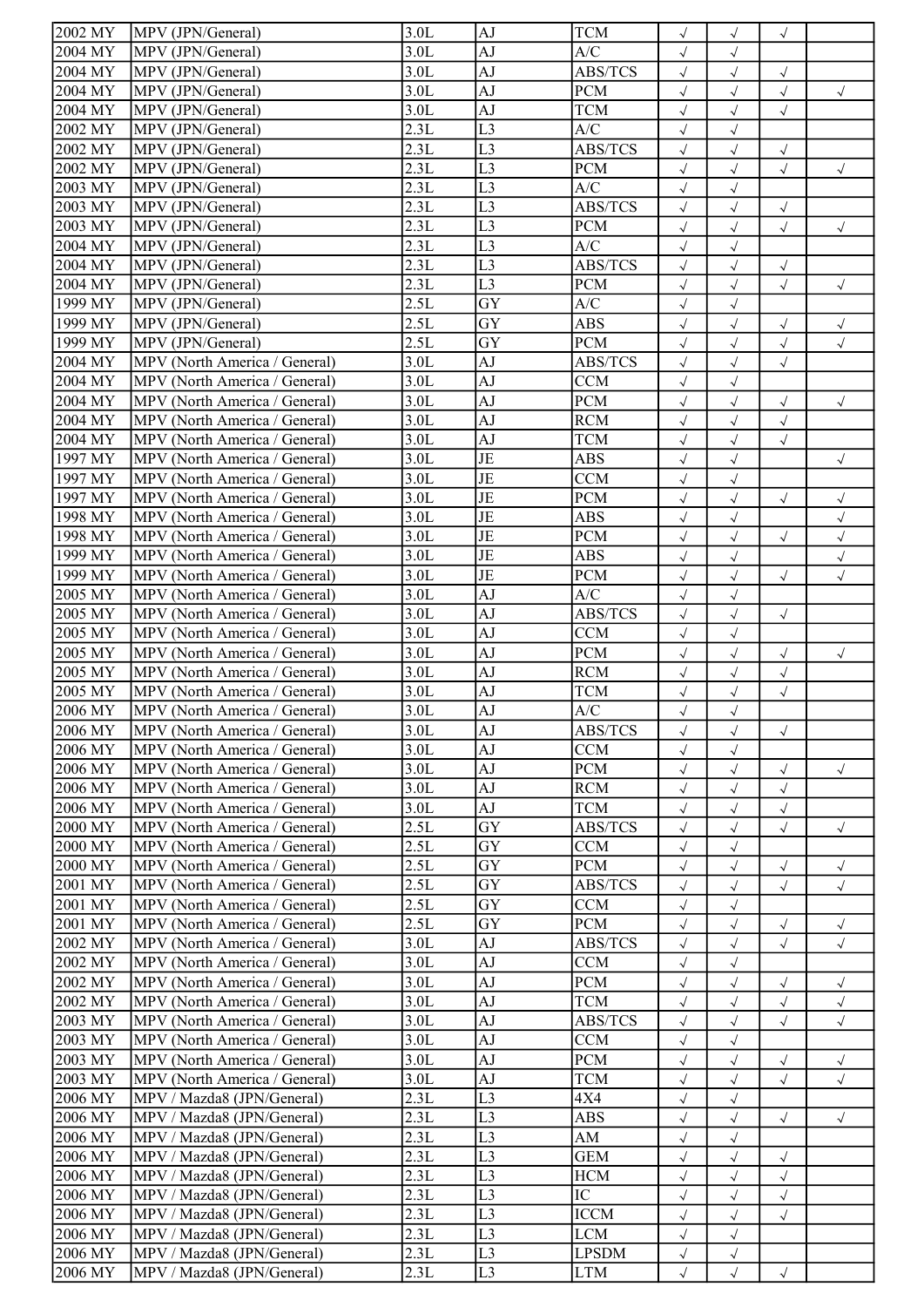| 2002 MY | MPV (JPN/General)             | 3.0 <sub>L</sub> | AJ             | <b>TCM</b>     | $\sqrt{ }$           | $\sqrt{ }$   | $\sqrt{ }$           |              |
|---------|-------------------------------|------------------|----------------|----------------|----------------------|--------------|----------------------|--------------|
| 2004 MY | MPV (JPN/General)             | 3.0 <sub>L</sub> | AJ             | A/C            | $\sqrt{ }$           | $\sqrt{ }$   |                      |              |
| 2004 MY | MPV (JPN/General)             | 3.0 <sub>L</sub> | AJ             | ABS/TCS        | $\sqrt{ }$           | $\sqrt{ }$   | $\sqrt{\phantom{a}}$ |              |
| 2004 MY | MPV (JPN/General)             | 3.0 <sub>L</sub> | AJ             | <b>PCM</b>     | $\sqrt{ }$           | $\sqrt{ }$   | $\sqrt{}$            | $\sqrt{ }$   |
| 2004 MY | MPV (JPN/General)             | 3.0 <sub>L</sub> | AJ             | <b>TCM</b>     | $\sqrt{ }$           | $\sqrt{ }$   | $\sqrt{\phantom{a}}$ |              |
| 2002 MY | MPV (JPN/General)             | 2.3L             | L <sub>3</sub> | A/C            | $\sqrt{ }$           | $\sqrt{ }$   |                      |              |
| 2002 MY | MPV (JPN/General)             | 2.3L             | L <sub>3</sub> | ABS/TCS        | $\sqrt{ }$           | $\sqrt{ }$   | $\sqrt{ }$           |              |
| 2002 MY | MPV (JPN/General)             | 2.3L             | L <sub>3</sub> | <b>PCM</b>     | $\sqrt{ }$           | $\sqrt{ }$   | $\sqrt{ }$           | $\sqrt{}$    |
| 2003 MY | MPV (JPN/General)             | 2.3L             | L <sub>3</sub> | A/C            | $\checkmark$         | $\sqrt{ }$   |                      |              |
| 2003 MY | MPV (JPN/General)             | 2.3L             | L <sub>3</sub> | ABS/TCS        | $\sqrt{ }$           | $\sqrt{ }$   | $\sqrt{ }$           |              |
| 2003 MY | MPV (JPN/General)             | 2.3L             | L <sub>3</sub> | PCM            | $\sqrt{ }$           | $\sqrt{ }$   | $\sqrt{ }$           | $\sqrt{}$    |
| 2004 MY | MPV (JPN/General)             | 2.3L             | L <sub>3</sub> | A/C            | $\sqrt{ }$           | $\sqrt{}$    |                      |              |
| 2004 MY | MPV (JPN/General)             | 2.3L             | L <sub>3</sub> | <b>ABS/TCS</b> | $\sqrt{2}$           | $\checkmark$ | $\sqrt{\phantom{a}}$ |              |
| 2004 MY | MPV (JPN/General)             | 2.3L             | L <sub>3</sub> | <b>PCM</b>     | $\checkmark$         | $\sqrt{}$    | $\sqrt{ }$           | $\sqrt{ }$   |
| 1999 MY | MPV (JPN/General)             | 2.5L             | GY             | A/C            | $\sqrt{\phantom{a}}$ | $\sqrt{ }$   |                      |              |
| 1999 MY | MPV (JPN/General)             | 2.5L             | GY             | <b>ABS</b>     | $\sqrt{\phantom{a}}$ | $\sqrt{ }$   | $\sqrt{\phantom{a}}$ | $\sqrt{}$    |
| 1999 MY | MPV (JPN/General)             | 2.5L             | GY             | <b>PCM</b>     | $\sqrt{ }$           | $\sqrt{ }$   | $\sqrt{\phantom{a}}$ | $\sqrt{ }$   |
| 2004 MY | MPV (North America / General) | 3.0 <sub>L</sub> | AJ             | ABS/TCS        | $\sqrt{ }$           | $\sqrt{ }$   | $\sqrt{ }$           |              |
|         |                               | 3.0L             | AJ             |                | $\sqrt{ }$           | $\sqrt{ }$   |                      |              |
| 2004 MY | MPV (North America / General) |                  |                | <b>CCM</b>     |                      |              |                      |              |
| 2004 MY | MPV (North America / General) | 3.0 <sub>L</sub> | AJ             | <b>PCM</b>     | $\sqrt{ }$           | $\sqrt{ }$   | $\sqrt{ }$           | $\sqrt{ }$   |
| 2004 MY | MPV (North America / General) | 3.0 <sub>L</sub> | AJ             | <b>RCM</b>     | $\sqrt{ }$           | $\sqrt{ }$   | $\sqrt{\phantom{a}}$ |              |
| 2004 MY | MPV (North America / General) | 3.0L             | AJ             | <b>TCM</b>     | $\checkmark$         | $\sqrt{ }$   | $\sqrt{ }$           |              |
| 1997 MY | MPV (North America / General) | 3.0 <sub>L</sub> | JE             | <b>ABS</b>     | $\sqrt{ }$           | $\sqrt{ }$   |                      | $\sqrt{ }$   |
| 1997 MY | MPV (North America / General) | 3.0 <sub>L</sub> | $\rm{JE}$      | <b>CCM</b>     | $\checkmark$         | $\sqrt{ }$   |                      |              |
| 1997 MY | MPV (North America / General) | 3.0L             | JE             | <b>PCM</b>     | $\sqrt{2}$           | $\sqrt{}$    | $\sqrt{\phantom{a}}$ | $\checkmark$ |
| 1998 MY | MPV (North America / General) | 3.0L             | JE             | ABS            | $\checkmark$         | $\sqrt{ }$   |                      | $\checkmark$ |
| 1998 MY | MPV (North America / General) | 3.0 <sub>L</sub> | $\rm{JE}$      | <b>PCM</b>     | $\sqrt{ }$           | $\sqrt{}$    | $\sqrt{ }$           | $\sqrt{ }$   |
| 1999 MY | MPV (North America / General) | 3.0 <sub>L</sub> | $\rm{JE}$      | <b>ABS</b>     | $\sqrt{ }$           | $\sqrt{ }$   |                      | $\sqrt{ }$   |
| 1999 MY | MPV (North America / General) | 3.0 <sub>L</sub> | $\rm{JE}$      | <b>PCM</b>     | $\sqrt{ }$           | $\sqrt{ }$   | $\sqrt{}$            | $\sqrt{ }$   |
| 2005 MY | MPV (North America / General) | 3.0 <sub>L</sub> | AJ             | A/C            | $\sqrt{ }$           | $\sqrt{ }$   |                      |              |
| 2005 MY | MPV (North America / General) | 3.0L             | AJ             | ABS/TCS        | $\sqrt{ }$           | $\sqrt{ }$   | $\sqrt{ }$           |              |
| 2005 MY | MPV (North America / General) | 3.0L             | AJ             | <b>CCM</b>     | $\sqrt{ }$           | $\sqrt{ }$   |                      |              |
| 2005 MY | MPV (North America / General) | 3.0 <sub>L</sub> | AJ             | <b>PCM</b>     | $\sqrt{ }$           | $\sqrt{ }$   | $\sqrt{ }$           | $\sqrt{ }$   |
| 2005 MY | MPV (North America / General) | 3.0L             | AJ             | <b>RCM</b>     | $\checkmark$         | $\sqrt{ }$   | $\sqrt{\phantom{a}}$ |              |
| 2005 MY | MPV (North America / General) | 3.0 <sub>L</sub> | AJ             | <b>TCM</b>     | $\sqrt{ }$           | $\sqrt{ }$   | $\sqrt{ }$           |              |
| 2006 MY | MPV (North America / General) | 3.0 <sub>L</sub> | AJ             | A/C            | $\sqrt{2}$           | $\sqrt{ }$   |                      |              |
| 2006 MY | MPV (North America / General) | 3.0 <sub>L</sub> | AJ             | ABS/TCS        | $\sqrt{ }$           | $\sqrt{ }$   | $\sqrt{ }$           |              |
| 2006 MY | MPV (North America / General) | 3.0L             | AJ             | <b>CCM</b>     | $\sqrt{ }$           | $\sqrt{}$    |                      |              |
| 2006 MY | MPV (North America / General) | 3.0 <sub>L</sub> | ${\rm AJ}$     | <b>PCM</b>     | $\sqrt{ }$           | $\sqrt{ }$   | $\sqrt{ }$           | $\sqrt{ }$   |
| 2006 MY | MPV (North America / General) | 3.0L             | AJ             | <b>RCM</b>     | $\sqrt{ }$           | $\sqrt{ }$   | $\sqrt{ }$           |              |
| 2006 MY | MPV (North America / General) | 3.0L             | AJ             | <b>TCM</b>     | $\sqrt{ }$           | $\sqrt{ }$   | $\sqrt{ }$           |              |
| 2000 MY | MPV (North America / General) | 2.5L             | GY             | ABS/TCS        | $\sqrt{ }$           | $\sqrt{}$    | $\sqrt{\phantom{a}}$ | $\sqrt{ }$   |
|         | MPV (North America / General) |                  |                | <b>CCM</b>     |                      |              |                      |              |
| 2000 MY |                               | 2.5L             | GY             |                | $\sqrt{ }$           | $\sqrt{}$    |                      |              |
| 2000 MY | MPV (North America / General) | 2.5L             | GY             | <b>PCM</b>     | $\sqrt{ }$           | $\sqrt{}$    | $\sqrt{ }$           | $\sqrt{ }$   |
| 2001 MY | MPV (North America / General) | 2.5L             | GY             | ABS/TCS        | $\sqrt{ }$           | $\sqrt{}$    | $\sqrt{ }$           | $\sqrt{}$    |
| 2001 MY | MPV (North America / General) | 2.5L             | GY             | <b>CCM</b>     | $\sqrt{ }$           | $\sqrt{ }$   |                      |              |
| 2001 MY | MPV (North America / General) | 2.5L             | GY             | <b>PCM</b>     | $\checkmark$         | $\sqrt{ }$   | $\sqrt{ }$           | $\sqrt{ }$   |
| 2002 MY | MPV (North America / General) | 3.0 <sub>L</sub> | AJ             | ABS/TCS        | $\sqrt{ }$           | $\sqrt{}$    | $\sqrt{ }$           | $\sqrt{}$    |
| 2002 MY | MPV (North America / General) | 3.0 <sub>L</sub> | AJ             | <b>CCM</b>     | $\sqrt{ }$           | $\sqrt{}$    |                      |              |
| 2002 MY | MPV (North America / General) | 3.0L             | AJ             | <b>PCM</b>     | $\sqrt{2}$           | $\checkmark$ | $\sqrt{ }$           | $\sqrt{ }$   |
| 2002 MY | MPV (North America / General) | 3.0 <sub>L</sub> | AJ             | <b>TCM</b>     | $\sqrt{ }$           | $\sqrt{}$    | $\sqrt{ }$           | $\sqrt{ }$   |
| 2003 MY | MPV (North America / General) | 3.0 <sub>L</sub> | AJ             | ABS/TCS        | $\sqrt{ }$           | $\sqrt{ }$   | $\sqrt{ }$           | $\sqrt{ }$   |
| 2003 MY | MPV (North America / General) | 3.0 <sub>L</sub> | AJ             | <b>CCM</b>     | $\sqrt{ }$           | $\sqrt{ }$   |                      |              |
| 2003 MY | MPV (North America / General) | 3.0 <sub>L</sub> | AJ             | <b>PCM</b>     | $\sqrt{ }$           | $\sqrt{ }$   | $\sqrt{ }$           | $\sqrt{ }$   |
| 2003 MY | MPV (North America / General) | 3.0 <sub>L</sub> | AJ             | TCM            | $\sqrt{ }$           | $\sqrt{ }$   | $\sqrt{ }$           | $\sqrt{ }$   |
| 2006 MY | MPV / Mazda8 (JPN/General)    | 2.3L             | L <sub>3</sub> | 4X4            | $\sqrt{ }$           | $\sqrt{}$    |                      |              |
| 2006 MY | MPV / Mazda8 (JPN/General)    | 2.3L             | L3             | <b>ABS</b>     | $\sqrt{ }$           | $\sqrt{ }$   | $\sqrt{\phantom{a}}$ | $\sqrt{ }$   |
| 2006 MY | MPV / Mazda8 (JPN/General)    | 2.3L             | L3             | AM             | $\checkmark$         | $\sqrt{}$    |                      |              |
| 2006 MY | MPV / Mazda8 (JPN/General)    | 2.3L             | L <sub>3</sub> | <b>GEM</b>     | $\checkmark$         | $\sqrt{ }$   | $\sqrt{\phantom{a}}$ |              |
| 2006 MY | MPV / Mazda8 (JPN/General)    | 2.3L             | L <sub>3</sub> | <b>HCM</b>     | $\sqrt{ }$           | $\sqrt{ }$   | $\sqrt{\phantom{a}}$ |              |
| 2006 MY | MPV / Mazda8 (JPN/General)    | 2.3L             | L3             | IC             | $\sqrt{ }$           | $\sqrt{}$    | $\sqrt{ }$           |              |
| 2006 MY | MPV / Mazda8 (JPN/General)    | 2.3L             | L <sub>3</sub> | <b>ICCM</b>    | $\sqrt{ }$           | $\sqrt{}$    | $\sqrt{ }$           |              |
| 2006 MY | MPV / Mazda8 (JPN/General)    | 2.3L             | L3             | <b>LCM</b>     | $\checkmark$         | $\sqrt{ }$   |                      |              |
| 2006 MY | MPV / Mazda8 (JPN/General)    | 2.3L             | L <sub>3</sub> | <b>LPSDM</b>   | $\sqrt{ }$           | $\sqrt{ }$   |                      |              |
| 2006 MY | MPV / Mazda8 (JPN/General)    | 2.3L             | L <sub>3</sub> | <b>LTM</b>     | $\sqrt{ }$           | $\sqrt{ }$   | $\sqrt{\phantom{a}}$ |              |
|         |                               |                  |                |                |                      |              |                      |              |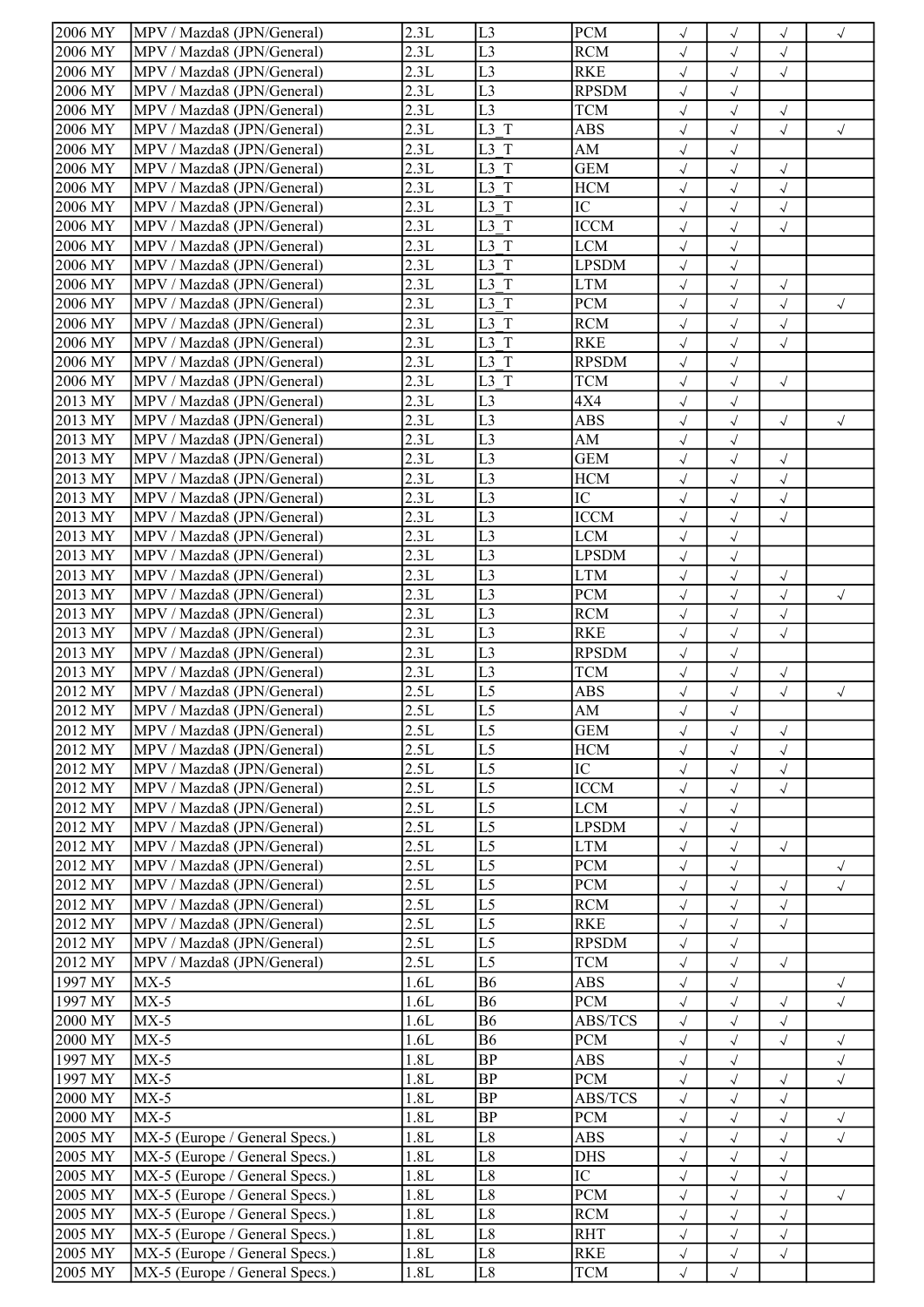| 2006 MY | MPV / Mazda8 (JPN/General)     | 2.3L | L <sub>3</sub>  | PCM                    | $\sqrt{ }$               | $\sqrt{}$    | $\sqrt{}$            | $\sqrt{ }$           |
|---------|--------------------------------|------|-----------------|------------------------|--------------------------|--------------|----------------------|----------------------|
| 2006 MY | MPV / Mazda8 (JPN/General)     | 2.3L | L <sub>3</sub>  | <b>RCM</b>             | $\checkmark$             | $\sqrt{}$    | $\sqrt{ }$           |                      |
| 2006 MY | MPV / Mazda8 (JPN/General)     | 2.3L | L <sub>3</sub>  | <b>RKE</b>             | $\sqrt{ }$               | $\sqrt{ }$   | $\sqrt{ }$           |                      |
| 2006 MY | MPV / Mazda8 (JPN/General)     | 2.3L | L3              | <b>RPSDM</b>           | $\sqrt{ }$               | $\sqrt{}$    |                      |                      |
| 2006 MY | MPV / Mazda8 (JPN/General)     | 2.3L | L <sub>3</sub>  | <b>TCM</b>             | $\sqrt{ }$               | $\sqrt{}$    | $\sqrt{ }$           |                      |
| 2006 MY | MPV / Mazda8 (JPN/General)     | 2.3L | L3 T            | <b>ABS</b>             | $\sqrt{ }$               | $\sqrt{}$    | $\sqrt{ }$           | $\sqrt{ }$           |
| 2006 MY | MPV / Mazda8 (JPN/General)     | 2.3L | L3 T            | AM                     |                          |              |                      |                      |
|         |                                |      |                 |                        | $\sqrt{ }$               | $\sqrt{}$    |                      |                      |
| 2006 MY | MPV / Mazda8 (JPN/General)     | 2.3L | L3 T            | <b>GEM</b>             | $\sqrt{ }$               | $\sqrt{}$    | $\sqrt{ }$           |                      |
| 2006 MY | MPV / Mazda8 (JPN/General)     | 2.3L | L3 T            | <b>HCM</b>             | $\sqrt{ }$               | $\sqrt{}$    | $\sqrt{ }$           |                      |
| 2006 MY | MPV / Mazda8 (JPN/General)     | 2.3L | L3 T            | IC                     | $\sqrt{ }$               | $\sqrt{}$    | $\checkmark$         |                      |
| 2006 MY | MPV / Mazda8 (JPN/General)     | 2.3L | L3 T            | <b>ICCM</b>            | $\sqrt{2}$               | $\sqrt{2}$   | $\sqrt{2}$           |                      |
| 2006 MY | MPV / Mazda8 (JPN/General)     | 2.3L | L3 T            | <b>LCM</b>             | $\sqrt{ }$               | $\sqrt{}$    |                      |                      |
| 2006 MY | MPV / Mazda8 (JPN/General)     | 2.3L | L3 T            | <b>LPSDM</b>           | $\sqrt{2}$               | $\sqrt{2}$   |                      |                      |
| 2006 MY | MPV / Mazda8 (JPN/General)     | 2.3L | L3 T            | <b>LTM</b>             | $\checkmark$             | $\sqrt{}$    | $\sqrt{}$            |                      |
| 2006 MY | MPV / Mazda8 (JPN/General)     | 2.3L | L3 T            | <b>PCM</b>             | $\checkmark$             | $\sqrt{}$    | $\sqrt{}$            | $\sqrt{ }$           |
| 2006 MY | MPV / Mazda8 (JPN/General)     | 2.3L | L3 T            | <b>RCM</b>             | $\sqrt{ }$               | $\sqrt{}$    | $\sqrt{ }$           |                      |
| 2006 MY | MPV / Mazda8 (JPN/General)     | 2.3L | L3 T            | <b>RKE</b>             | $\sqrt{ }$               | $\sqrt{}$    | $\sqrt{ }$           |                      |
| 2006 MY | MPV / Mazda8 (JPN/General)     | 2.3L | L3 T            | <b>RPSDM</b>           | $\sqrt{ }$               | $\sqrt{}$    |                      |                      |
|         | MPV / Mazda8 (JPN/General)     | 2.3L | L3 T            | <b>TCM</b>             | $\checkmark$             |              | $\sqrt{ }$           |                      |
| 2006 MY |                                |      |                 |                        |                          | $\sqrt{2}$   |                      |                      |
| 2013 MY | MPV / Mazda8 (JPN/General)     | 2.3L | L <sub>3</sub>  | 4X4                    | $\sqrt{ }$               | $\sqrt{2}$   |                      |                      |
| 2013 MY | MPV / Mazda8 (JPN/General)     | 2.3L | L <sub>3</sub>  | <b>ABS</b>             | $\sqrt{ }$               | $\sqrt{ }$   | $\sqrt{ }$           | $\sqrt{ }$           |
| 2013 MY | MPV / Mazda8 (JPN/General)     | 2.3L | L <sub>3</sub>  | AM                     | $\checkmark$             | $\sqrt{2}$   |                      |                      |
| 2013 MY | MPV / Mazda8 (JPN/General)     | 2.3L | L <sub>3</sub>  | <b>GEM</b>             | $\sqrt{ }$               | $\sqrt{ }$   | $\sqrt{ }$           |                      |
| 2013 MY | MPV / Mazda8 (JPN/General)     | 2.3L | L <sub>3</sub>  | <b>HCM</b>             | $\checkmark$             | $\sqrt{ }$   | $\sqrt{ }$           |                      |
| 2013 MY | MPV / Mazda8 (JPN/General)     | 2.3L | $\overline{L3}$ | $\overline{\text{IC}}$ | $\sqrt{2}$               | $\sqrt{2}$   | $\checkmark$         |                      |
| 2013 MY | MPV / Mazda8 (JPN/General)     | 2.3L | L <sub>3</sub>  | <b>ICCM</b>            | $\sqrt{ }$               | $\sqrt{}$    | $\sqrt{}$            |                      |
| 2013 MY | MPV / Mazda8 (JPN/General)     | 2.3L | L <sub>3</sub>  | <b>LCM</b>             | $\sqrt{}$                | $\sqrt{ }$   |                      |                      |
| 2013 MY | MPV / Mazda8 (JPN/General)     | 2.3L | L <sub>3</sub>  | <b>LPSDM</b>           | $\sqrt{ }$               | $\sqrt{ }$   |                      |                      |
| 2013 MY | MPV / Mazda8 (JPN/General)     | 2.3L | L <sub>3</sub>  | <b>LTM</b>             | $\sqrt{\phantom{a}}$     | $\sqrt{ }$   | $\sqrt{\phantom{a}}$ |                      |
| 2013 MY | MPV / Mazda8 (JPN/General)     | 2.3L | L <sub>3</sub>  | <b>PCM</b>             | $\sqrt{ }$               | $\sqrt{}$    | $\sqrt{ }$           | $\sqrt{}$            |
|         |                                |      | L <sub>3</sub>  |                        |                          |              |                      |                      |
| 2013 MY | MPV / Mazda8 (JPN/General)     | 2.3L |                 | RCM                    | $\checkmark$             | $\sqrt{2}$   | $\checkmark$         |                      |
| 2013 MY | MPV / Mazda8 (JPN/General)     | 2.3L | L <sub>3</sub>  | <b>RKE</b>             | $\sqrt{ }$               | $\sqrt{}$    | $\sqrt{ }$           |                      |
| 2013 MY | MPV / Mazda8 (JPN/General)     | 2.3L | L <sub>3</sub>  | <b>RPSDM</b>           | $\sqrt{ }$               | $\sqrt{}$    |                      |                      |
| 2013 MY | MPV / Mazda8 (JPN/General)     | 2.3L | L <sub>3</sub>  | <b>TCM</b>             | $\sqrt{ }$               | $\sqrt{2}$   | $\sqrt{ }$           |                      |
| 2012 MY | MPV / Mazda8 (JPN/General)     | 2.5L | $\overline{L5}$ | <b>ABS</b>             | $\sqrt{ }$               | $\sqrt{}$    | $\sqrt{ }$           | $\sqrt{}$            |
| 2012 MY | MPV / Mazda8 (JPN/General)     | 2.5L | L <sub>5</sub>  | AM                     | $\sqrt{2}$               | $\sqrt{2}$   |                      |                      |
| 2012 MY | MPV / Mazda8 (JPN/General)     | 2.5L | L <sub>5</sub>  | <b>GEM</b>             | $\sqrt{ }$               | $\sqrt{}$    | $\sqrt{}$            |                      |
| 2012 MY | MPV / Mazda8 (JPN/General)     | 2.5L | $\overline{L5}$ | HCM                    | $\sqrt{ }$               | $\sqrt{}$    | $\sqrt{2}$           |                      |
| 2012 MY | MPV / Mazda8 (JPN/General)     | 2.5L | L5              | IC                     | $\sqrt{ }$               | $\sqrt{ }$   | $\sqrt{ }$           |                      |
| 2012 MY | MPV / Mazda8 (JPN/General)     | 2.5L | L5              | <b>ICCM</b>            | $\sqrt{ }$               | $\sqrt{ }$   | $\sqrt{\phantom{a}}$ |                      |
| 2012 MY | MPV / Mazda8 (JPN/General)     | 2.5L | L <sub>5</sub>  | <b>LCM</b>             | $\sqrt{\phantom{a}}$     | $\sqrt{ }$   |                      |                      |
| 2012 MY | MPV / Mazda8 (JPN/General)     | 2.5L | L <sub>5</sub>  | <b>LPSDM</b>           | $\sqrt{ }$               | $\sqrt{}$    |                      |                      |
| 2012 MY | MPV / Mazda8 (JPN/General)     | 2.5L | L <sub>5</sub>  | <b>LTM</b>             |                          |              |                      |                      |
|         |                                |      |                 |                        | $\sqrt{ }$               | $\sqrt{}$    | $\sqrt{ }$           |                      |
| 2012 MY | MPV / Mazda8 (JPN/General)     | 2.5L | L <sub>5</sub>  | <b>PCM</b>             | $\sqrt{ }$               | $\sqrt{}$    |                      | $\sqrt{\phantom{a}}$ |
| 2012 MY | MPV / Mazda8 (JPN/General)     | 2.5L | L <sub>5</sub>  | <b>PCM</b>             | $\sqrt{2}$               | $\sqrt{}$    | $\sqrt{}$            | $\sqrt{ }$           |
| 2012 MY | MPV / Mazda8 (JPN/General)     | 2.5L | L5              | <b>RCM</b>             | $\sqrt{ }$               | $\checkmark$ | $\sqrt{ }$           |                      |
| 2012 MY | MPV / Mazda8 (JPN/General)     | 2.5L | L <sub>5</sub>  | <b>RKE</b>             | $\sqrt{ }$               | $\sqrt{2}$   | $\checkmark$         |                      |
| 2012 MY | MPV / Mazda8 (JPN/General)     | 2.5L | L <sub>5</sub>  | <b>RPSDM</b>           | $\sqrt{2}$               | $\sqrt{2}$   |                      |                      |
| 2012 MY | MPV / Mazda8 (JPN/General)     | 2.5L | L <sub>5</sub>  | <b>TCM</b>             | $\sqrt{ }$               | $\sqrt{}$    | $\sqrt{ }$           |                      |
| 1997 MY | $MX-5$                         | 1.6L | <b>B6</b>       | ABS                    | $\sqrt{2}$               | $\sqrt{2}$   |                      | $\sqrt{ }$           |
| 1997 MY | $MX-5$                         | 1.6L | <b>B6</b>       | <b>PCM</b>             | $\checkmark$             | $\sqrt{}$    | $\sqrt{ }$           | $\sqrt{}$            |
| 2000 MY | $MX-5$                         | 1.6L | <b>B6</b>       | <b>ABS/TCS</b>         | $\sqrt{ }$               | $\sqrt{}$    | $\sqrt{}$            |                      |
| 2000 MY | $MX-5$                         | 1.6L | <b>B6</b>       | <b>PCM</b>             | $\sqrt{ }$               | $\sqrt{}$    | $\sqrt{ }$           | $\sqrt{ }$           |
| 1997 MY | $MX-5$                         | 1.8L | BP              | <b>ABS</b>             | $\sqrt{ }$               | $\sqrt{}$    |                      | $\sqrt{ }$           |
| 1997 MY | $MX-5$                         | 1.8L | <b>BP</b>       | <b>PCM</b>             |                          |              |                      |                      |
| 2000 MY | $MX-5$                         | 1.8L | <b>BP</b>       | ABS/TCS                | $\sqrt{ }$<br>$\sqrt{ }$ | $\sqrt{}$    | $\sqrt{}$            | $\sqrt{}$            |
|         |                                |      |                 |                        |                          | $\sqrt{}$    | $\checkmark$         |                      |
| 2000 MY | $MX-5$                         | 1.8L | BP              | <b>PCM</b>             | $\sqrt{ }$               | $\sqrt{}$    | $\sqrt{ }$           | $\sqrt{ }$           |
| 2005 MY | MX-5 (Europe / General Specs.) | 1.8L | $\rm L8$        | <b>ABS</b>             | $\sqrt{ }$               | $\sqrt{}$    | $\sqrt{ }$           | $\sqrt{ }$           |
| 2005 MY | MX-5 (Europe / General Specs.) | 1.8L | L8              | <b>DHS</b>             | $\sqrt{ }$               | $\sqrt{ }$   | $\sqrt{ }$           |                      |
| 2005 MY | MX-5 (Europe / General Specs.) | 1.8L | L8              | IC                     | $\sqrt{ }$               | $\sqrt{}$    | $\sqrt{ }$           |                      |
| 2005 MY | MX-5 (Europe / General Specs.) | 1.8L | L8              | PCM                    | $\sqrt{ }$               | $\sqrt{}$    | $\sqrt{ }$           | $\sqrt{ }$           |
| 2005 MY | MX-5 (Europe / General Specs.) | 1.8L | L8              | <b>RCM</b>             | $\sqrt{ }$               | $\sqrt{}$    | $\sqrt{}$            |                      |
| 2005 MY | MX-5 (Europe / General Specs.) | 1.8L | $\mbox{L}8$     | <b>RHT</b>             | $\sqrt{ }$               | $\sqrt{ }$   | $\sqrt{ }$           |                      |
| 2005 MY | MX-5 (Europe / General Specs.) | 1.8L | L8              | <b>RKE</b>             | $\sqrt{}$                | $\sqrt{}$    | $\sqrt{}$            |                      |
|         |                                |      |                 |                        |                          |              |                      |                      |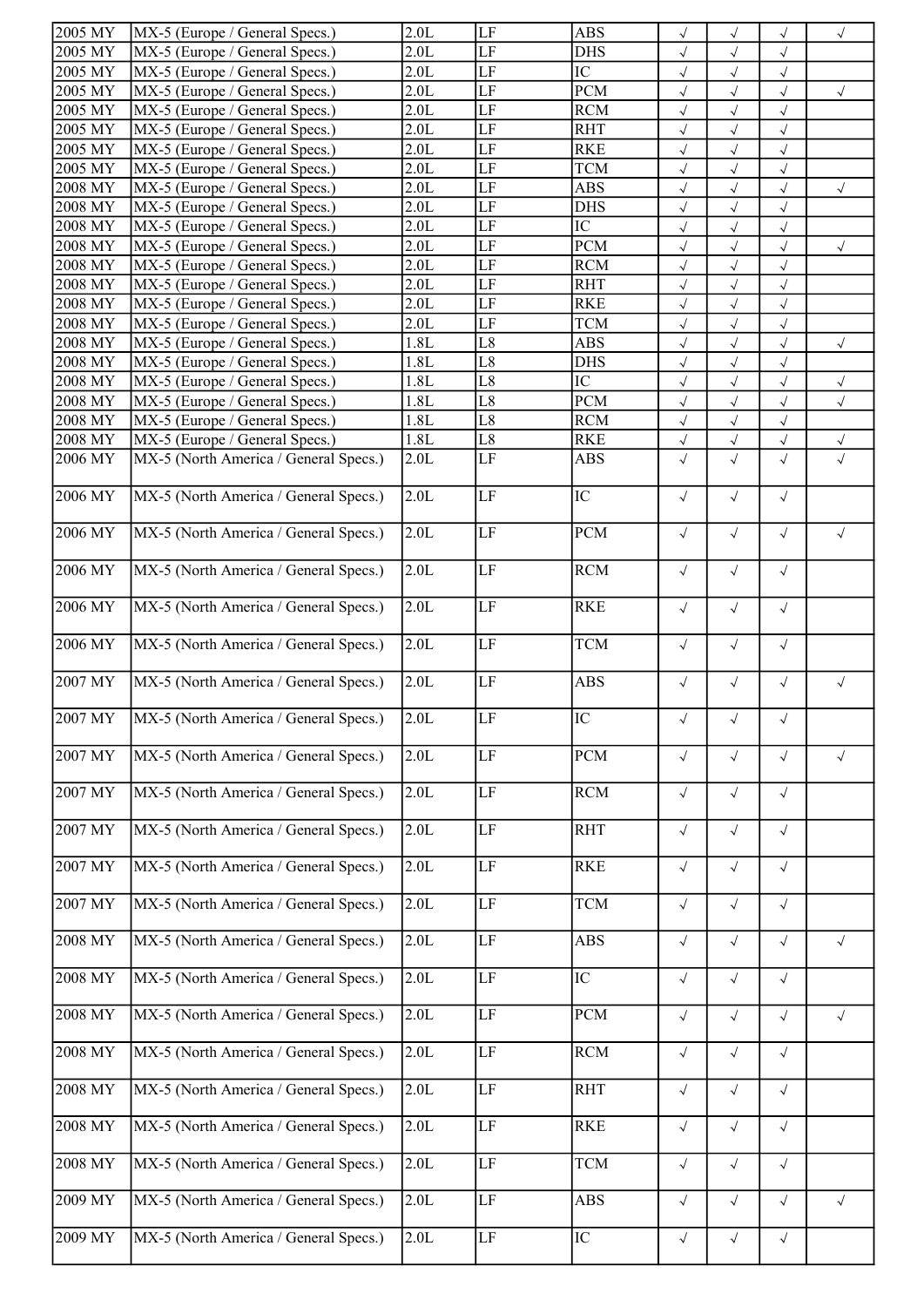| 2005 MY            | MX-5 (Europe / General Specs.)                                   | 2.0L         | LF                  | <b>ABS</b>               | $\sqrt{}$                | $\sqrt{}$  | $\sqrt{ }$                 | $\sqrt{ }$               |
|--------------------|------------------------------------------------------------------|--------------|---------------------|--------------------------|--------------------------|------------|----------------------------|--------------------------|
| 2005 MY            | MX-5 (Europe / General Specs.)                                   | 2.0L         | LF                  | <b>DHS</b>               | $\sqrt{ }$               | $\sqrt{}$  | $\sqrt{}$                  |                          |
| 2005 MY            | MX-5 (Europe / General Specs.)                                   | 2.0L         | LF                  | IC                       | $\checkmark$             | $\sqrt{}$  | $\sqrt{\ }$                |                          |
| 2005 MY            | MX-5 (Europe / General Specs.)                                   | 2.0L         | LF                  | <b>PCM</b>               | $\sqrt{ }$               | $\sqrt{}$  | $\sqrt{ }$                 | $\sqrt{ }$               |
| $2005$ MY          | MX-5 (Europe / General Specs.)                                   | 2.0L         | LF                  | <b>RCM</b>               | $\sqrt{ }$               | $\sqrt{}$  | $\sqrt{ }$                 |                          |
| 2005 MY            | MX-5 (Europe / General Specs.)                                   | 2.0L         | LF                  | <b>RHT</b>               | $\sqrt{ }$               | $\sqrt{}$  | $\sqrt{ }$                 |                          |
| 2005 MY            | MX-5 (Europe / General Specs.)                                   | 2.0L         | LF                  | <b>RKE</b>               | $\sqrt{ }$               | $\sqrt{}$  | $\checkmark$               |                          |
| 2005 MY            | MX-5 (Europe / General Specs.)                                   | 2.0L         | LF                  | <b>TCM</b>               | $\sqrt{ }$               | $\sqrt{}$  | $\sqrt{ }$                 |                          |
| 2008 MY            | MX-5 (Europe / General Specs.)                                   | 2.0L         | LF                  | <b>ABS</b>               | $\sqrt{ }$               | $\sqrt{}$  | $\sqrt{ }$                 | $\sqrt{ }$               |
| 2008 MY            | MX-5 (Europe / General Specs.)                                   | 2.0L         | LF                  | <b>DHS</b>               | $\sqrt{ }$               | $\sqrt{}$  | $\sqrt{}$                  |                          |
| 2008 MY            | MX-5 (Europe / General Specs.)                                   | 2.0L         | $\overline{LF}$     | IC                       | $\sqrt{2}$               | $\sqrt{}$  | $\sqrt{}$                  |                          |
| 2008 MY            | MX-5 (Europe / General Specs.)                                   | 2.0L         | LF                  | <b>PCM</b>               | $\sqrt{}$<br>$\sqrt{2}$  | $\sqrt{}$  | $\sqrt{}$                  | $\sqrt{ }$               |
| 2008 MY            | MX-5 (Europe / General Specs.)<br>MX-5 (Europe / General Specs.) | 2.0L         | LF<br>LF            | <b>RCM</b><br><b>RHT</b> |                          | $\sqrt{}$  | $\sqrt{2}$                 |                          |
| 2008 MY            |                                                                  | 2.0L<br>2.0L | LF                  | <b>RKE</b>               | $\checkmark$             | $\sqrt{}$  | $\sqrt{}$                  |                          |
| 2008 MY            | $\overline{\text{MX}}$ -5 (Europe / General Specs.)              |              | LF                  |                          | $\sqrt{ }$               | $\sqrt{}$  | $\sqrt{ }$                 |                          |
| 2008 MY            | MX-5 (Europe / General Specs.)<br>MX-5 (Europe / General Specs.) | 2.0L<br>1.8L | L <sub>8</sub>      | <b>TCM</b>               | $\sqrt{ }$               | $\sqrt{}$  | $\sqrt{ }$                 |                          |
| 2008 MY<br>2008 MY | MX-5 (Europe / General Specs.)                                   | 1.8L         | L <sub>8</sub>      | <b>ABS</b><br><b>DHS</b> | $\checkmark$             | $\sqrt{}$  | $\sqrt{ }$                 | $\sqrt{ }$               |
|                    | MX-5 (Europe / General Specs.)                                   | 1.8L         | L8                  | IC                       | $\sqrt{ }$<br>$\sqrt{ }$ | $\sqrt{}$  | $\sqrt{ }$<br>$\checkmark$ | $\sqrt{ }$               |
| 2008 MY<br>2008 MY |                                                                  | 1.8L         | L <sub>8</sub>      | <b>PCM</b>               |                          | $\sqrt{}$  |                            |                          |
| 2008 MY            | MX-5 (Europe / General Specs.)                                   | 1.8L         | L <sub>8</sub>      |                          | $\sqrt{ }$               | $\sqrt{}$  | $\sqrt{}$                  | $\sqrt{ }$               |
| 2008 MY            | MX-5 (Europe / General Specs.)                                   | 1.8L         | L8                  | <b>RCM</b><br><b>RKE</b> | $\sqrt{ }$<br>$\sqrt{ }$ | $\sqrt{}$  | $\checkmark$               |                          |
|                    | MX-5 (Europe / General Specs.)                                   |              | LF                  |                          | $\sqrt{2}$               | $\sqrt{}$  | $\checkmark$               | $\sqrt{ }$<br>$\sqrt{ }$ |
| 2006 MY            | MX-5 (North America / General Specs.)                            | 2.0L         |                     | <b>ABS</b>               |                          | $\sqrt{}$  | $\sqrt{}$                  |                          |
| 2006 MY            | MX-5 (North America / General Specs.)                            | 2.0L         | LF                  | IC                       | $\sqrt{}$                | $\sqrt{}$  | $\sqrt{ }$                 |                          |
| 2006 MY            | MX-5 (North America / General Specs.)                            | 2.0L         | $\rm LF$            | <b>PCM</b>               | $\sqrt{}$                | $\sqrt{ }$ | $\sqrt{ }$                 |                          |
| 2006 MY            | MX-5 (North America / General Specs.)                            | 2.0L         | $\rm LF$            | <b>RCM</b>               | $\sqrt{ }$               | $\sqrt{ }$ | $\sqrt{ }$                 |                          |
| 2006 MY            | MX-5 (North America / General Specs.)                            | 2.0L         | $\rm LF$            | <b>RKE</b>               | $\sqrt{}$                | $\sqrt{}$  | $\sqrt{ }$                 |                          |
| 2006 MY            | MX-5 (North America / General Specs.)                            | 2.0L         | LF                  | <b>TCM</b>               | $\sqrt{ }$               | $\sqrt{ }$ | $\sqrt{ }$                 |                          |
| 2007 MY            | MX-5 (North America / General Specs.)                            | 2.0L         | LF                  | <b>ABS</b>               | $\sqrt{ }$               | $\sqrt{}$  | $\sqrt{ }$                 | $\sqrt{ }$               |
| 2007 MY            | MX-5 (North America / General Specs.)                            | 2.0L         | $\rm LF$            | IC                       | $\sqrt{2}$               |            |                            |                          |
| 2007 MY            | MX-5 (North America / General Specs.)                            | 2.0L         | LF                  | PCM                      | $\sqrt{ }$               | $\sqrt{}$  | $\sqrt{ }$                 | $\sqrt{ }$               |
| 2007 MY            | MX-5 (North America / General Specs.)                            | 2.0L         | LF                  | <b>RCM</b>               | $\sqrt{}$                | $\sqrt{}$  | $\sqrt{\phantom{a}}$       |                          |
| 2007 MY            | MX-5 (North America / General Specs.)                            | 2.0L         | LF                  | <b>RHT</b>               | $\sqrt{ }$               | $\sqrt{}$  | $\sqrt{ }$                 |                          |
| 2007 MY            | MX-5 (North America / General Specs.)                            | 2.0L         | LF                  | <b>RKE</b>               | $\sqrt{ }$               | $\sqrt{ }$ | $\sqrt{ }$                 |                          |
| 2007 MY            | MX-5 (North America / General Specs.)                            | 2.0L         | LF                  | <b>TCM</b>               | $\sqrt{ }$               | $\sqrt{}$  | $\sqrt{ }$                 |                          |
| 2008 MY            | MX-5 (North America / General Specs.)                            | 2.0L         | LF                  | <b>ABS</b>               | $\sqrt{ }$               | $\sqrt{}$  | $\sqrt{ }$                 | $\sqrt{ }$               |
| 2008 MY            | MX-5 (North America / General Specs.)                            | 2.0L         | LF                  | IC                       | $\sqrt{ }$               | $\sqrt{}$  | $\sqrt{ }$                 |                          |
| 2008 MY            | MX-5 (North America / General Specs.)                            | 2.0L         | $\overline{LF}$     | <b>PCM</b>               | $\sqrt{}$                | $\sqrt{}$  | $\sqrt{ }$                 | $\sqrt{}$                |
| 2008 MY            | MX-5 (North America / General Specs.)                            | 2.0L         | $\overline{\rm LF}$ | <b>RCM</b>               | $\sqrt{}$                | $\sqrt{}$  | $\sqrt{}$                  |                          |
| 2008 MY            | MX-5 (North America / General Specs.)                            | 2.0L         | $\overline{\rm LF}$ | <b>RHT</b>               | $\sqrt{}$                | $\sqrt{}$  | $\sqrt{}$                  |                          |
| 2008 MY            | MX-5 (North America / General Specs.)                            | 2.0L         | $\overline{\rm LF}$ | <b>RKE</b>               | $\sqrt{}$                | $\sqrt{}$  | $\sqrt{}$                  |                          |
| 2008 MY            | MX-5 (North America / General Specs.)                            | 2.0L         | $\overline{\rm LF}$ | <b>TCM</b>               | $\sqrt{}$                | $\sqrt{}$  | $\sqrt{}$                  |                          |
| 2009 MY            | MX-5 (North America / General Specs.)                            | 2.0L         | LF                  | ABS                      | $\sqrt{}$                | $\sqrt{}$  | $\sqrt{ }$                 | $\sqrt{}$                |
| 2009 MY            | MX-5 (North America / General Specs.)                            | $2.0 L$      | LF                  | IC                       | $\sqrt{}$                | $\sqrt{ }$ | $\sqrt{ }$                 |                          |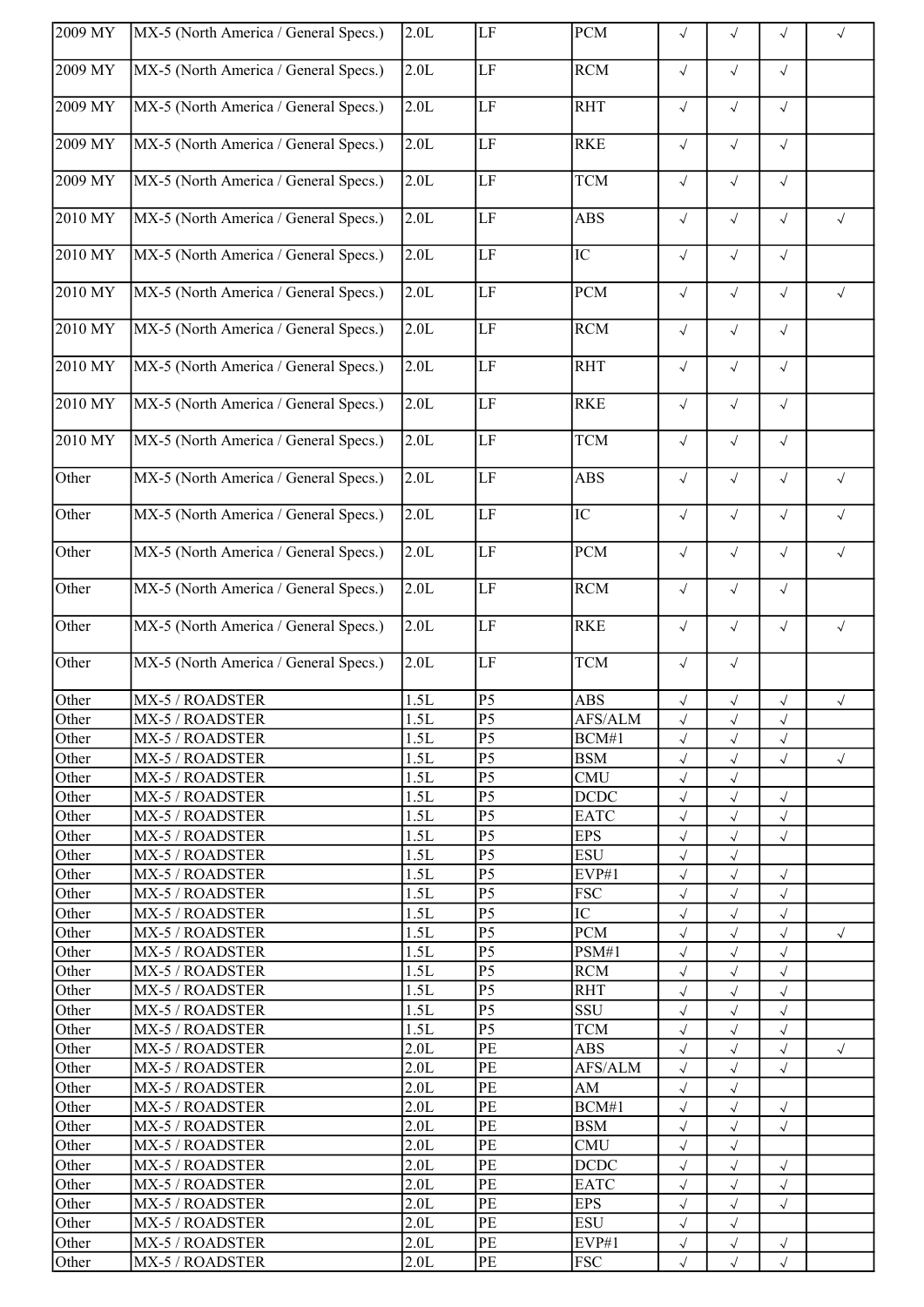| 2009 MY            | MX-5 (North America / General Specs.) | 2.0L | LF              | <b>PCM</b>      | $\sqrt{}$                | $\sqrt{ }$   | $\sqrt{}$            | $\sqrt{}$  |
|--------------------|---------------------------------------|------|-----------------|-----------------|--------------------------|--------------|----------------------|------------|
| 2009 MY            | MX-5 (North America / General Specs.) | 2.0L | LF              | <b>RCM</b>      | $\sqrt{}$                | $\sqrt{ }$   | $\sqrt{}$            |            |
| 2009 MY            | MX-5 (North America / General Specs.) | 2.0L | LF              | <b>RHT</b>      | $\sqrt{2}$               | $\sqrt{}$    | $\sqrt{}$            |            |
| 2009 MY            | MX-5 (North America / General Specs.) | 2.0L | $\overline{LF}$ | <b>RKE</b>      | $\sqrt{2}$               | $\sqrt{}$    | $\sqrt{}$            |            |
| 2009 MY            | MX-5 (North America / General Specs.) | 2.0L | LF              | <b>TCM</b>      | $\sqrt{ }$               | $\sqrt{}$    | $\sqrt{}$            |            |
| 2010 MY            | MX-5 (North America / General Specs.) | 2.0L | $\overline{LF}$ | ABS             | $\sqrt{2}$               | $\sqrt{}$    | $\sqrt{}$            | $\sqrt{ }$ |
| 2010 MY            | MX-5 (North America / General Specs.) | 2.0L | $\overline{LF}$ | IC              | $\sqrt{2}$               | $\sqrt{}$    | $\sqrt{}$            |            |
| 2010 MY            | MX-5 (North America / General Specs.) | 2.0L | $\overline{LF}$ | <b>PCM</b>      | $\sqrt{2}$               | $\sqrt{}$    | $\sqrt{}$            | $\sqrt{ }$ |
| 2010 MY            | MX-5 (North America / General Specs.) | 2.0L | LF              | <b>RCM</b>      | $\sqrt{2}$               | $\sqrt{}$    | $\sqrt{}$            |            |
| 2010 MY            | MX-5 (North America / General Specs.) | 2.0L | LF              | <b>RHT</b>      | $\sqrt{ }$               | $\sqrt{ }$   | $\sqrt{}$            |            |
| 2010 MY            | MX-5 (North America / General Specs.) | 2.0L | $\overline{LF}$ | <b>RKE</b>      | $\sqrt{}$                | $\sqrt{ }$   | $\sqrt{}$            |            |
| 2010 MY            | MX-5 (North America / General Specs.) | 2.0L | LF              | <b>TCM</b>      | $\sqrt{}$                | $\sqrt{}$    | $\sqrt{}$            |            |
| Other              | MX-5 (North America / General Specs.) | 2.0L | LF              | <b>ABS</b>      | $\sqrt{ }$               | $\sqrt{ }$   | $\sqrt{}$            | $\sqrt{ }$ |
| Other              | MX-5 (North America / General Specs.) | 2.0L | $\overline{LF}$ | $\overline{IC}$ | $\sqrt{2}$               | $\sqrt{ }$   | $\sqrt{}$            | $\sqrt{}$  |
| Other              | MX-5 (North America / General Specs.) | 2.0L | LF              | <b>PCM</b>      | $\sqrt{2}$               | $\sqrt{ }$   | $\sqrt{2}$           | $\sqrt{ }$ |
| Other              | MX-5 (North America / General Specs.) | 2.0L | LF              | <b>RCM</b>      | $\sqrt{ }$               | $\sqrt{ }$   | $\sqrt{}$            |            |
| Other              | MX-5 (North America / General Specs.) | 2.0L | LF              | <b>RKE</b>      | $\sqrt{ }$               | $\sqrt{ }$   | $\sqrt{}$            | $\sqrt{}$  |
| Other              | MX-5 (North America / General Specs.) | 2.0L | LF              | <b>TCM</b>      | $\sqrt{ }$               | $\sqrt{}$    |                      |            |
| Other              | MX-5 / ROADSTER                       | 1.5L | P <sub>5</sub>  | ABS             | $\sqrt{\phantom{a}}$     | $\checkmark$ | $\sqrt{}$            | $\sqrt{ }$ |
| $\overline{Other}$ | MX-5 / ROADSTER                       | 1.5L | $\overline{P5}$ | AFS/ALM         | $\checkmark$             | $\sqrt{}$    | $\sqrt{ }$           |            |
| Other              | <b>MX-5 / ROADSTER</b>                | 1.5L | P <sub>5</sub>  | BCM#1           | $\sqrt{}$                | $\sqrt{}$    | $\sqrt{}$            |            |
| Other              | <b>MX-5 / ROADSTER</b>                | 1.5L | P <sub>5</sub>  | <b>BSM</b>      | $\sqrt{2}$               | $\sqrt{}$    | $\sqrt{2}$           | $\sqrt{ }$ |
| Other              | <b>MX-5 / ROADSTER</b>                | 1.5L | P <sub>5</sub>  | <b>CMU</b>      | $\sqrt{}$                | $\sqrt{ }$   |                      |            |
| Other              | <b>MX-5 / ROADSTER</b>                | 1.5L | P <sub>5</sub>  | <b>DCDC</b>     | $\sqrt{ }$               | $\sqrt{ }$   | $\sqrt{}$            |            |
| Other              | <b>MX-5 / ROADSTER</b>                | 1.5L | P <sub>5</sub>  | EATC            | $\sqrt{ }$               | $\sqrt{ }$   | $\sqrt{ }$           |            |
| Other              | <b>MX-5 / ROADSTER</b>                | 1.5L | P <sub>5</sub>  | <b>EPS</b>      | $\sqrt{ }$               | $\sqrt{ }$   | $\sqrt{ }$           |            |
| Other              | <b>MX-5 / ROADSTER</b>                | 1.5L | P <sub>5</sub>  | <b>ESU</b>      | $\sqrt{ }$               | $\sqrt{ }$   |                      |            |
| Other              | <b>MX-5 / ROADSTER</b>                | 1.5L | P <sub>5</sub>  | EVP#1           | $\sqrt{ }$               | $\sqrt{ }$   | $\sqrt{\phantom{a}}$ |            |
| Other              | <b>MX-5 / ROADSTER</b>                | 1.5L | P <sub>5</sub>  | <b>FSC</b>      | $\sqrt{}$                | $\sqrt{2}$   | $\sqrt{ }$           |            |
| Other              | <b>MX-5 / ROADSTER</b>                | 1.5L | P5              | IC              | $\sqrt{ }$               | $\sqrt{ }$   | $\sqrt{ }$           |            |
| Other              | <b>MX-5 / ROADSTER</b>                | 1.5L | P5              | <b>PCM</b>      | $\sqrt{ }$               | $\sqrt{ }$   | $\sqrt{ }$           | $\sqrt{ }$ |
| Other              | <b>MX-5 / ROADSTER</b>                | 1.5L | P <sub>5</sub>  | PSM#1           | $\sqrt{ }$               | $\sqrt{ }$   | $\sqrt{ }$           |            |
| Other              | <b>MX-5 / ROADSTER</b>                | 1.5L | P <sub>5</sub>  | <b>RCM</b>      |                          |              |                      |            |
| Other              |                                       | 1.5L | $\overline{P5}$ | <b>RHT</b>      | $\sqrt{ }$<br>$\sqrt{2}$ | $\sqrt{ }$   | $\sqrt{}$            |            |
|                    | <b>MX-5 / ROADSTER</b>                |      |                 |                 |                          | $\sqrt{}$    | $\sqrt{}$            |            |
| Other              | <b>MX-5 / ROADSTER</b>                | 1.5L | P <sub>5</sub>  | SSU             | $\sqrt{}$                | $\sqrt{}$    | $\sqrt{}$            |            |
| Other              | <b>MX-5 / ROADSTER</b>                | 1.5L | P5              | <b>TCM</b>      | $\sqrt{ }$               | $\sqrt{ }$   | $\sqrt{ }$           |            |
| Other              | <b>MX-5 / ROADSTER</b>                | 2.0L | PE              | ABS             | $\sqrt{ }$               | $\sqrt{ }$   | $\sqrt{ }$           | $\sqrt{ }$ |
| Other              | <b>MX-5 / ROADSTER</b>                | 2.0L | PE              | AFS/ALM         | $\sqrt{ }$               | $\sqrt{ }$   | $\sqrt{ }$           |            |
| Other              | <b>MX-5 / ROADSTER</b>                | 2.0L | PE              | AM              | $\sqrt{ }$               | $\sqrt{ }$   |                      |            |
| Other              | <b>MX-5 / ROADSTER</b>                | 2.0L | PE              | BCM#1           | $\sqrt{ }$               | $\sqrt{ }$   | $\sqrt{ }$           |            |
| Other              | <b>MX-5 / ROADSTER</b>                | 2.0L | PE              | <b>BSM</b>      | $\sqrt{ }$               | $\sqrt{ }$   | $\sqrt{}$            |            |
| Other              | <b>MX-5 / ROADSTER</b>                | 2.0L | PE              | <b>CMU</b>      | $\sqrt{}$                | $\sqrt{ }$   |                      |            |
| Other              | <b>MX-5 / ROADSTER</b>                | 2.0L | PE              | <b>DCDC</b>     | $\sqrt{ }$               | $\sqrt{ }$   | $\sqrt{\phantom{a}}$ |            |
| Other              | <b>MX-5 / ROADSTER</b>                | 2.0L | PE              | EATC            | $\sqrt{ }$               | $\sqrt{}$    | $\sqrt{ }$           |            |
| Other              | <b>MX-5 / ROADSTER</b>                | 2.0L | PE              | <b>EPS</b>      | $\sqrt{}$                | $\sqrt{ }$   | $\sqrt{ }$           |            |
| Other              | <b>MX-5 / ROADSTER</b>                | 2.0L | PE              | <b>ESU</b>      | $\sqrt{}$                | $\sqrt{}$    |                      |            |
| Other              | <b>MX-5 / ROADSTER</b>                | 2.0L | PE              | EVP#1           | $\sqrt{ }$               | $\sqrt{ }$   | $\sqrt{ }$           |            |
| Other              | <b>MX-5 / ROADSTER</b>                | 2.0L | PE              | <b>FSC</b>      | $\sqrt{}$                | $\sqrt{ }$   | $\sqrt{ }$           |            |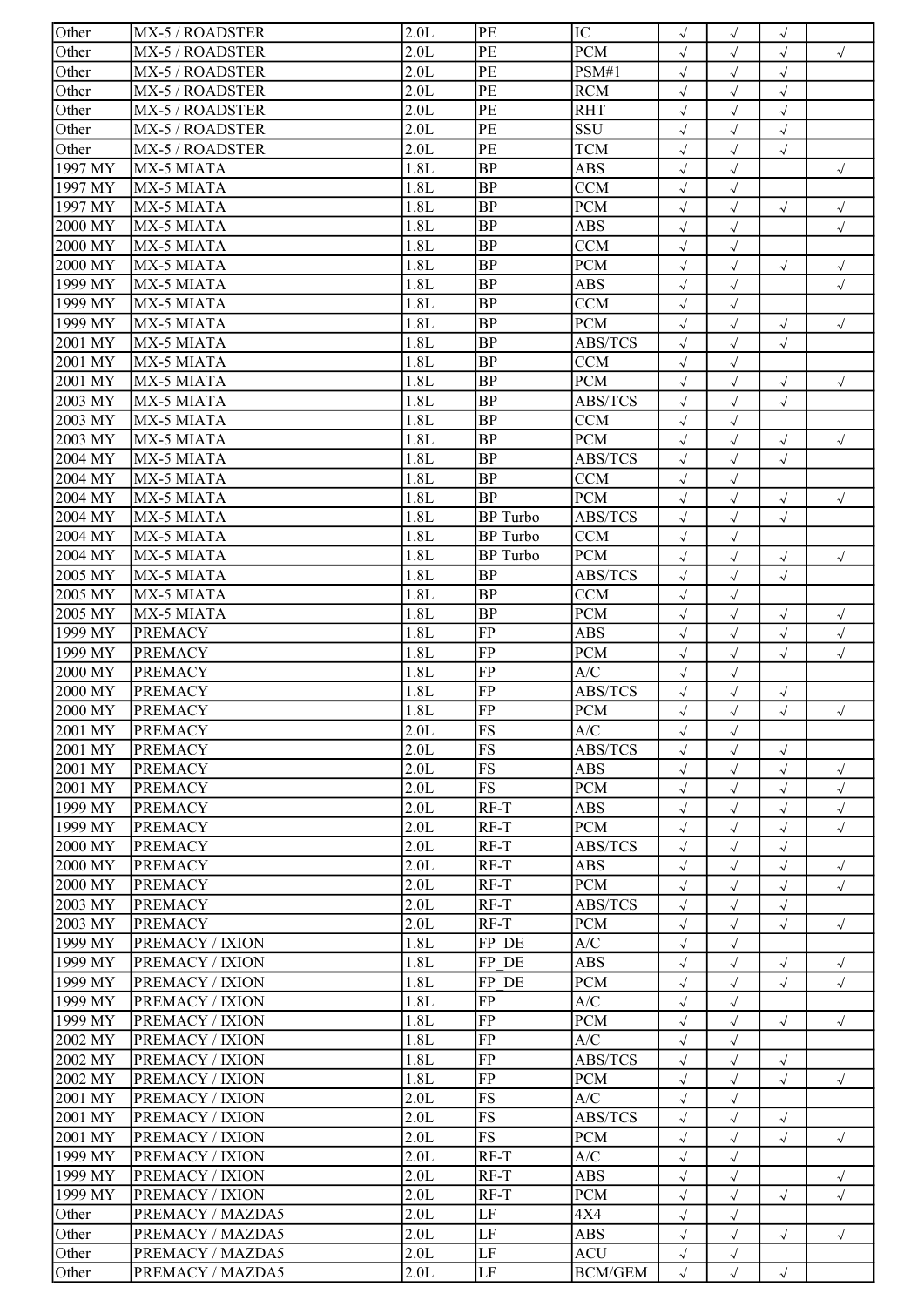| Other   | <b>MX-5 / ROADSTER</b> | 2.0L   | PE              | IC             | $\sqrt{ }$           | $\sqrt{}$  | $\sqrt{ }$           |            |
|---------|------------------------|--------|-----------------|----------------|----------------------|------------|----------------------|------------|
| Other   | <b>MX-5 / ROADSTER</b> | 2.0L   | PE              | <b>PCM</b>     | $\sqrt{ }$           | $\sqrt{}$  | $\sqrt{ }$           | $\sqrt{}$  |
| Other   | <b>MX-5 / ROADSTER</b> | 2.0L   | PE              | PSM#1          | $\sqrt{ }$           | $\sqrt{ }$ | $\sqrt{ }$           |            |
| Other   | MX-5 / ROADSTER        | 2.0L   | PE              | <b>RCM</b>     | $\sqrt{ }$           | $\sqrt{ }$ | $\sqrt{ }$           |            |
| Other   | <b>MX-5 / ROADSTER</b> | 2.0L   | PE              | <b>RHT</b>     | $\sqrt{ }$           | $\sqrt{}$  | $\sqrt{ }$           |            |
| Other   | <b>MX-5 / ROADSTER</b> | 2.0L   | PE              | SSU            | $\sqrt{ }$           | $\sqrt{}$  | $\sqrt{ }$           |            |
| Other   | MX-5 / ROADSTER        | 2.0L   | PE              | <b>TCM</b>     | $\sqrt{ }$           | $\sqrt{}$  | $\sqrt{ }$           |            |
| 1997 MY | MX-5 MIATA             | 1.8L   | BP              | <b>ABS</b>     | $\sqrt{ }$           | $\sqrt{}$  |                      | $\sqrt{}$  |
| 1997 MY | MX-5 MIATA             | 1.8L   | BP              | <b>CCM</b>     | $\sqrt{ }$           | $\sqrt{}$  |                      |            |
| 1997 MY | MX-5 MIATA             | 1.8L   | BP              | <b>PCM</b>     | $\sqrt{ }$           | $\sqrt{}$  | $\sqrt{\phantom{a}}$ | $\sqrt{ }$ |
| 2000 MY | MX-5 MIATA             | 1.8L   | BP              | <b>ABS</b>     | $\sqrt{ }$           | $\sqrt{ }$ |                      | $\sqrt{ }$ |
| 2000 MY | MX-5 MIATA             | 1.8L   | BP              | CCM            | $\sqrt{ }$           | $\sqrt{}$  |                      |            |
| 2000 MY | MX-5 MIATA             | 1.8L   | BP              | <b>PCM</b>     | $\sqrt{ }$           | $\sqrt{2}$ | $\sqrt{ }$           | $\sqrt{ }$ |
| 1999 MY | MX-5 MIATA             | 1.8L   | BP              | <b>ABS</b>     | $\checkmark$         | $\sqrt{}$  |                      | $\sqrt{}$  |
| 1999 MY | MX-5 MIATA             | 1.8L   | BP              | <b>CCM</b>     | $\sqrt{ }$           | $\sqrt{ }$ |                      |            |
| 1999 MY | MX-5 MIATA             | 1.8L   | BP              | <b>PCM</b>     | $\sqrt{ }$           | $\sqrt{}$  | $\sqrt{ }$           | $\sqrt{ }$ |
| 2001 MY | MX-5 MIATA             | 1.8L   | BP              | ABS/TCS        | $\sqrt{ }$           | $\sqrt{}$  | $\sqrt{ }$           |            |
| 2001 MY | MX-5 MIATA             | 1.8L   | <b>BP</b>       | <b>CCM</b>     | $\sqrt{ }$           | $\sqrt{}$  |                      |            |
| 2001 MY | MX-5 MIATA             | 1.8L   | BP              | <b>PCM</b>     | $\checkmark$         | $\sqrt{}$  | $\sqrt{ }$           | $\sqrt{}$  |
| 2003 MY | MX-5 MIATA             | 1.8L   | BP              | ABS/TCS        | $\sqrt{ }$           | $\sqrt{2}$ | $\sqrt{ }$           |            |
| 2003 MY | MX-5 MIATA             | 1.8L   | BP              | CCM            | $\sqrt{ }$           | $\sqrt{}$  |                      |            |
| 2003 MY | MX-5 MIATA             | 1.8L   | <b>BP</b>       | <b>PCM</b>     | $\sqrt{ }$           | $\sqrt{ }$ | $\sqrt{ }$           | $\sqrt{ }$ |
| 2004 MY | MX-5 MIATA             | 1.8L   | BP              | ABS/TCS        | $\sqrt{ }$           | $\sqrt{ }$ | $\sqrt{ }$           |            |
| 2004 MY | MX-5 MIATA             | 1.8L   | <b>BP</b>       | <b>CCM</b>     | $\sqrt{ }$           | $\sqrt{}$  |                      |            |
| 2004 MY | MX-5 MIATA             | 1.8L   | $\overline{BP}$ | <b>PCM</b>     | $\sqrt{ }$           | $\sqrt{2}$ | $\sqrt{ }$           | $\sqrt{}$  |
| 2004 MY | MX-5 MIATA             | 1.8L   | <b>BP</b> Turbo | ABS/TCS        | $\sqrt{ }$           | $\sqrt{}$  | $\sqrt{ }$           |            |
| 2004 MY | MX-5 MIATA             | 1.8L   | <b>BP</b> Turbo | CCM            | $\sqrt{ }$           | $\sqrt{ }$ |                      |            |
| 2004 MY | MX-5 MIATA             | 1.8L   | <b>BP</b> Turbo | <b>PCM</b>     | $\sqrt{ }$           | $\sqrt{}$  | $\sqrt{\phantom{a}}$ | $\sqrt{ }$ |
| 2005 MY | MX-5 MIATA             | 1.8L   | <b>BP</b>       | ABS/TCS        | $\sqrt{ }$           | $\sqrt{}$  | $\sqrt{ }$           |            |
| 2005 MY | MX-5 MIATA             | 1.8L   | <b>BP</b>       | <b>CCM</b>     | $\sqrt{ }$           | $\sqrt{}$  |                      |            |
| 2005 MY | MX-5 MIATA             | 1.8L   | BP              | <b>PCM</b>     | $\sqrt{ }$           | $\sqrt{}$  | $\sqrt{ }$           | $\sqrt{ }$ |
| 1999 MY | <b>PREMACY</b>         | 1.8L   | FP              | <b>ABS</b>     | $\sqrt{ }$           | $\sqrt{}$  | $\sqrt{ }$           | $\sqrt{}$  |
| 1999 MY | <b>PREMACY</b>         | 1.8L   | FP              | <b>PCM</b>     | $\sqrt{ }$           | $\sqrt{}$  | $\sqrt{ }$           | $\sqrt{ }$ |
| 2000 MY | <b>PREMACY</b>         | 1.8L   | <b>FP</b>       | A/C            | $\sqrt{ }$           | $\sqrt{ }$ |                      |            |
| 2000 MY | <b>PREMACY</b>         | 1.8L   | FP              | ABS/TCS        | $\sqrt{ }$           | $\sqrt{}$  | $\sqrt{ }$           |            |
| 2000 MY | <b>PREMACY</b>         | 1.8L   | <b>FP</b>       | PCM            | $\sqrt{ }$           | $\sqrt{ }$ | $\sqrt{ }$           | $\sqrt{ }$ |
| 2001 MY | <b>PREMACY</b>         | 2.0L   | <b>FS</b>       | A/C            | $\sqrt{ }$           | $\sqrt{ }$ |                      |            |
| 2001 MY | <b>PREMACY</b>         | 2.0L   | <b>FS</b>       | ABS/TCS        | $\sqrt{ }$           | $\sqrt{}$  | $\sqrt{ }$           |            |
| 2001 MY | <b>PREMACY</b>         | 2.0L   | ${\rm FS}$      | <b>ABS</b>     | $\sqrt{}$            | $\sqrt{}$  | $\sqrt{ }$           | $\sqrt{ }$ |
| 2001 MY | <b>PREMACY</b>         | 2.0L   | <b>FS</b>       | <b>PCM</b>     |                      |            |                      |            |
| 1999 MY | <b>PREMACY</b>         | 2.0L   | $RF-T$          | <b>ABS</b>     | $\sqrt{ }$           | $\sqrt{ }$ | $\sqrt{ }$           | $\sqrt{ }$ |
| 1999 MY | <b>PREMACY</b>         | 2.0L   | $RF-T$          | <b>PCM</b>     | $\sqrt{ }$           | $\sqrt{ }$ | $\sqrt{ }$           | $\sqrt{ }$ |
|         |                        | 2.0L   | $RF-T$          | ABS/TCS        | $\sqrt{ }$           | $\sqrt{}$  | $\sqrt{ }$           | $\sqrt{ }$ |
| 2000 MY | <b>PREMACY</b>         |        |                 |                | $\sqrt{ }$           | $\sqrt{}$  | $\sqrt{ }$           |            |
| 2000 MY | <b>PREMACY</b>         | 2.0L   | $RF-T$          | <b>ABS</b>     | $\sqrt{ }$           | $\sqrt{}$  | $\sqrt{ }$           | $\sqrt{ }$ |
| 2000 MY | <b>PREMACY</b>         | 2.0L   | $RF-T$          | <b>PCM</b>     | $\sqrt{ }$           | $\sqrt{}$  | $\sqrt{ }$           | $\sqrt{}$  |
| 2003 MY | <b>PREMACY</b>         | 2.0L   | $RF-T$          | ABS/TCS        | $\sqrt{ }$           | $\sqrt{}$  | $\sqrt{ }$           |            |
| 2003 MY | <b>PREMACY</b>         | 2.0L   | $RF-T$          | <b>PCM</b>     | $\sqrt{ }$           | $\sqrt{}$  | $\sqrt{ }$           | $\sqrt{ }$ |
| 1999 MY | PREMACY / IXION        | 1.8L   | FP DE           | A/C            | $\sqrt{ }$           | $\sqrt{}$  |                      |            |
| 1999 MY | PREMACY / IXION        | 1.8L   | FP DE           | <b>ABS</b>     | $\sqrt{ }$           | $\sqrt{}$  | $\sqrt{}$            | $\sqrt{ }$ |
| 1999 MY | PREMACY / IXION        | 1.8L   | FP DE           | <b>PCM</b>     | $\sqrt{ }$           | $\sqrt{2}$ | $\sqrt{ }$           | $\sqrt{ }$ |
| 1999 MY | PREMACY / IXION        | 1.8L   | <b>FP</b>       | A/C            | $\sqrt{ }$           | $\sqrt{}$  |                      |            |
| 1999 MY | PREMACY / IXION        | 1.8L   | <b>FP</b>       | <b>PCM</b>     | $\sqrt{\phantom{a}}$ | $\sqrt{ }$ | $\sqrt{ }$           | $\sqrt{ }$ |
| 2002 MY | PREMACY / IXION        | 1.8L   | FP              | A/C            | $\sqrt{ }$           | $\sqrt{ }$ |                      |            |
| 2002 MY | PREMACY / IXION        | 1.8L   | FP              | ABS/TCS        | $\sqrt{ }$           | $\sqrt{}$  | $\sqrt{ }$           |            |
| 2002 MY | PREMACY / IXION        | 1.8L   | <b>FP</b>       | <b>PCM</b>     | $\sqrt{ }$           | $\sqrt{ }$ | $\sqrt{ }$           | $\sqrt{ }$ |
| 2001 MY | PREMACY / IXION        | 2.0L   | <b>FS</b>       | A/C            | $\sqrt{ }$           | $\sqrt{}$  |                      |            |
| 2001 MY | PREMACY / IXION        | 2.0L   | <b>FS</b>       | ABS/TCS        | $\sqrt{ }$           | $\sqrt{}$  | $\sqrt{}$            |            |
| 2001 MY | PREMACY / IXION        | 2.0L   | <b>FS</b>       | <b>PCM</b>     | $\sqrt{ }$           | $\sqrt{ }$ | $\sqrt{ }$           | $\sqrt{ }$ |
| 1999 MY | PREMACY / IXION        | 2.0L   | $RF-T$          | A/C            | $\sqrt{ }$           | $\sqrt{ }$ |                      |            |
| 1999 MY | PREMACY / IXION        | 2.0L   | $RF-T$          | <b>ABS</b>     | $\sqrt{ }$           | $\sqrt{}$  |                      | $\sqrt{ }$ |
| 1999 MY | PREMACY / IXION        | 2.0L   | $RF-T$          | <b>PCM</b>     | $\sqrt{ }$           | $\sqrt{}$  | $\sqrt{ }$           | $\sqrt{}$  |
| Other   | PREMACY / MAZDA5       | 2.0L   | LF              | 4X4            | $\sqrt{ }$           | $\sqrt{ }$ |                      |            |
| Other   | PREMACY / MAZDA5       | $2.0L$ | LF              | <b>ABS</b>     | $\sqrt{ }$           | $\sqrt{}$  | $\sqrt{ }$           | $\sqrt{ }$ |
| Other   | PREMACY / MAZDA5       | 2.0L   | LF              | <b>ACU</b>     | $\sqrt{ }$           | $\sqrt{ }$ |                      |            |
| Other   | PREMACY / MAZDA5       | 2.0L   | LF              | <b>BCM/GEM</b> | $\sqrt{ }$           | $\sqrt{}$  | $\sqrt{ }$           |            |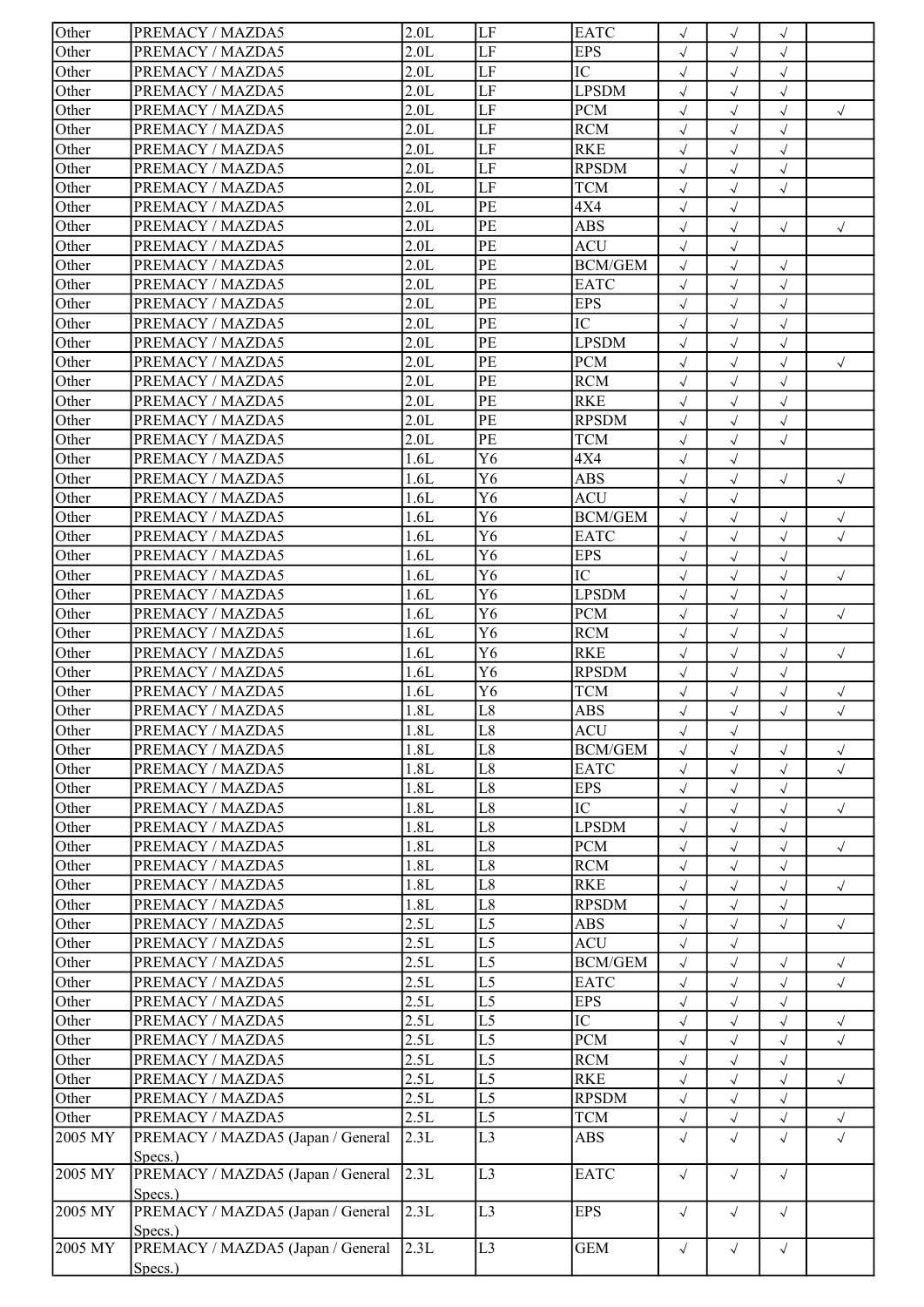| Other   | PREMACY / MAZDA5                  | 2.0L | LF              | <b>EATC</b>    | $\sqrt{ }$           | $\sqrt{}$  | $\sqrt{ }$           |            |
|---------|-----------------------------------|------|-----------------|----------------|----------------------|------------|----------------------|------------|
| Other   | PREMACY / MAZDA5                  | 2.0L | LF              | <b>EPS</b>     | $\sqrt{ }$           | $\sqrt{}$  | $\sqrt{ }$           |            |
| Other   | PREMACY / MAZDA5                  | 2.0L | $\rm LF$        | IC             | $\checkmark$         | $\sqrt{}$  | $\sqrt{ }$           |            |
| Other   | PREMACY / MAZDA5                  | 2.0L | LF              | <b>LPSDM</b>   | $\sqrt{ }$           | $\sqrt{}$  | $\sqrt{ }$           |            |
| Other   | PREMACY / MAZDA5                  | 2.0L | LF              | <b>PCM</b>     | $\sqrt{ }$           | $\sqrt{}$  | $\sqrt{ }$           | $\sqrt{ }$ |
| Other   | PREMACY / MAZDA5                  | 2.0L | LF              | <b>RCM</b>     | $\sqrt{ }$           | $\sqrt{ }$ | $\sqrt{ }$           |            |
| Other   | PREMACY / MAZDA5                  | 2.0L | LF              | <b>RKE</b>     | $\sqrt{ }$           | $\sqrt{}$  | $\sqrt{ }$           |            |
| Other   | PREMACY / MAZDA5                  | 2.0L | LF              | <b>RPSDM</b>   | $\sqrt{ }$           | $\sqrt{}$  | $\sqrt{ }$           |            |
| Other   | PREMACY / MAZDA5                  | 2.0L | LF              | <b>TCM</b>     | $\sqrt{ }$           | $\sqrt{}$  | $\sqrt{ }$           |            |
| Other   | PREMACY / MAZDA5                  | 2.0L | PE              | 4X4            | $\sqrt{ }$           | $\sqrt{ }$ |                      |            |
| Other   | PREMACY / MAZDA5                  | 2.0L | PE              | <b>ABS</b>     | $\sqrt{2}$           | $\sqrt{ }$ | $\sqrt{ }$           | $\sqrt{}$  |
| Other   | PREMACY / MAZDA5                  | 2.0L | PE              | <b>ACU</b>     | $\sqrt{ }$           | $\sqrt{}$  |                      |            |
| Other   | PREMACY / MAZDA5                  | 2.0L | PE              | <b>BCM/GEM</b> | $\sqrt{ }$           | $\sqrt{2}$ | $\sqrt{ }$           |            |
| Other   | PREMACY / MAZDA5                  | 2.0L | PE              | <b>EATC</b>    | $\sqrt{ }$           | $\sqrt{}$  | $\sqrt{ }$           |            |
| Other   | PREMACY / MAZDA5                  | 2.0L | PE              | <b>EPS</b>     | $\sqrt{ }$           | $\sqrt{}$  | $\sqrt{ }$           |            |
| Other   | PREMACY / MAZDA5                  | 2.0L | PE              | IC             | $\sqrt{ }$           | $\sqrt{}$  | $\sqrt{ }$           |            |
|         | PREMACY / MAZDA5                  | 2.0L | PE              | <b>LPSDM</b>   |                      |            |                      |            |
| Other   |                                   |      | PE              |                | $\sqrt{ }$           | $\sqrt{ }$ | $\sqrt{ }$           |            |
| Other   | PREMACY / MAZDA5                  | 2.0L |                 | <b>PCM</b>     | $\sqrt{ }$           | $\sqrt{}$  | $\sqrt{ }$           | $\sqrt{ }$ |
| Other   | PREMACY / MAZDA5                  | 2.0L | PE              | <b>RCM</b>     | $\sqrt{ }$           | $\sqrt{ }$ | $\checkmark$         |            |
| Other   | PREMACY / MAZDA5                  | 2.0L | PE              | <b>RKE</b>     | $\sqrt{ }$           | $\sqrt{ }$ | $\checkmark$         |            |
| Other   | PREMACY / MAZDA5                  | 2.0L | PE              | <b>RPSDM</b>   | $\sqrt{ }$           | $\sqrt{}$  | $\sqrt{ }$           |            |
| Other   | PREMACY / MAZDA5                  | 2.0L | PE              | <b>TCM</b>     | $\sqrt{ }$           | $\sqrt{ }$ | $\checkmark$         |            |
| Other   | PREMACY / MAZDA5                  | 1.6L | Y <sub>6</sub>  | 4X4            | $\sqrt{ }$           | $\sqrt{ }$ |                      |            |
| Other   | PREMACY / MAZDA5                  | 1.6L | Y <sub>6</sub>  | <b>ABS</b>     | $\sqrt{ }$           | $\sqrt{}$  | $\sqrt{}$            | $\sqrt{ }$ |
| Other   | PREMACY / MAZDA5                  | 1.6L | $\overline{Y6}$ | <b>ACU</b>     | $\sqrt{ }$           | $\sqrt{2}$ |                      |            |
| Other   | PREMACY / MAZDA5                  | 1.6L | Y <sub>6</sub>  | <b>BCM/GEM</b> | $\sqrt{ }$           | $\sqrt{}$  | $\sqrt{ }$           | $\sqrt{}$  |
| Other   | PREMACY / MAZDA5                  | 1.6L | Y6              | <b>EATC</b>    | $\sqrt{\phantom{a}}$ | $\sqrt{}$  | $\sqrt{ }$           | $\sqrt{}$  |
| Other   | PREMACY / MAZDA5                  | 1.6L | Y6              | <b>EPS</b>     | $\sqrt{ }$           | $\sqrt{}$  | $\sqrt{ }$           |            |
| Other   | PREMACY / MAZDA5                  | 1.6L | Y6              | IC             | $\sqrt{ }$           | $\sqrt{ }$ | $\sqrt{ }$           | $\sqrt{ }$ |
| Other   | PREMACY / MAZDA5                  | 1.6L | Y6              | <b>LPSDM</b>   | $\sqrt{ }$           | $\sqrt{}$  | $\sqrt{ }$           |            |
| Other   | PREMACY / MAZDA5                  | 1.6L | Y6              | <b>PCM</b>     | $\sqrt{ }$           | $\sqrt{ }$ | $\checkmark$         | $\sqrt{}$  |
| Other   | PREMACY / MAZDA5                  | 1.6L | Y6              | <b>RCM</b>     | $\sqrt{ }$           | $\sqrt{}$  | $\sqrt{ }$           |            |
| Other   | PREMACY / MAZDA5                  | 1.6L | Y <sub>6</sub>  | <b>RKE</b>     | $\sqrt{ }$           | $\sqrt{}$  | $\sqrt{ }$           | $\sqrt{ }$ |
| Other   | PREMACY / MAZDA5                  | 1.6L | Y <sub>6</sub>  | <b>RPSDM</b>   | $\sqrt{ }$           | $\sqrt{ }$ | $\sqrt{ }$           |            |
| Other   | PREMACY / MAZDA5                  | 1.6L | Y <sub>6</sub>  | <b>TCM</b>     | $\sqrt{ }$           | $\sqrt{ }$ | $\sqrt{ }$           | $\sqrt{ }$ |
| Other   | PREMACY / MAZDA5                  | 1.8L | L8              | <b>ABS</b>     | $\sqrt{ }$           | $\sqrt{ }$ | $\sqrt{ }$           | $\sqrt{}$  |
| Other   | PREMACY / MAZDA5                  | 1.8L | L8              | <b>ACU</b>     | $\sqrt{ }$           | $\sqrt{ }$ |                      |            |
| Other   | PREMACY / MAZDA5                  | 1.8L | L8              | <b>BCM/GEM</b> | $\sqrt{ }$           | $\sqrt{}$  | $\sqrt{\phantom{a}}$ | $\sqrt{}$  |
| Other   | PREMACY / MAZDA5                  | 1.8L | $\mbox{L}8$     | <b>EATC</b>    | $\sqrt{ }$           |            | $\sqrt{ }$           |            |
| Other   | PREMACY / MAZDA5                  | 1.8L | $\rm L8$        | <b>EPS</b>     |                      | $\sqrt{}$  |                      | $\sqrt{ }$ |
|         |                                   |      |                 | IC             | $\sqrt{ }$           | $\sqrt{ }$ | $\sqrt{\phantom{a}}$ |            |
| Other   | PREMACY / MAZDA5                  | 1.8L | $\rm L8$        |                | $\sqrt{ }$           | $\sqrt{ }$ | $\sqrt{ }$           | $\sqrt{ }$ |
| Other   | PREMACY / MAZDA5                  | 1.8L | L8              | <b>LPSDM</b>   | $\sqrt{ }$           | $\sqrt{ }$ | $\sqrt{ }$           |            |
| Other   | PREMACY / MAZDA5                  | 1.8L | L8              | <b>PCM</b>     | $\sqrt{ }$           | $\sqrt{ }$ | $\sqrt{ }$           | $\sqrt{ }$ |
| Other   | PREMACY / MAZDA5                  | 1.8L | L8              | <b>RCM</b>     | $\sqrt{ }$           | $\sqrt{}$  | $\checkmark$         |            |
| Other   | PREMACY / MAZDA5                  | 1.8L | L8              | <b>RKE</b>     | $\sqrt{ }$           | $\sqrt{}$  | $\sqrt{ }$           | $\sqrt{ }$ |
| Other   | PREMACY / MAZDA5                  | 1.8L | L8              | <b>RPSDM</b>   | $\sqrt{ }$           | $\sqrt{ }$ | $\sqrt{ }$           |            |
| Other   | PREMACY / MAZDA5                  | 2.5L | L <sub>5</sub>  | <b>ABS</b>     | $\sqrt{ }$           | $\sqrt{ }$ | $\sqrt{ }$           | $\sqrt{ }$ |
| Other   | PREMACY / MAZDA5                  | 2.5L | L <sub>5</sub>  | <b>ACU</b>     | $\sqrt{ }$           | $\sqrt{2}$ |                      |            |
| Other   | PREMACY / MAZDA5                  | 2.5L | L <sub>5</sub>  | <b>BCM/GEM</b> | $\sqrt{ }$           | $\sqrt{}$  | $\sqrt{ }$           | $\sqrt{ }$ |
| Other   | PREMACY / MAZDA5                  | 2.5L | $\overline{L5}$ | <b>EATC</b>    | $\sqrt{ }$           | $\sqrt{2}$ | $\sqrt{ }$           | $\sqrt{ }$ |
| Other   | PREMACY / MAZDA5                  | 2.5L | L <sub>5</sub>  | <b>EPS</b>     | $\checkmark$         | $\sqrt{}$  | $\sqrt{ }$           |            |
| Other   | PREMACY / MAZDA5                  | 2.5L | L <sub>5</sub>  | IC             | $\sqrt{ }$           | $\sqrt{ }$ | $\sqrt{ }$           | $\sqrt{ }$ |
| Other   | PREMACY / MAZDA5                  | 2.5L | L <sub>5</sub>  | <b>PCM</b>     | $\sqrt{ }$           | $\sqrt{ }$ | $\sqrt{ }$           | $\sqrt{ }$ |
| Other   | PREMACY / MAZDA5                  | 2.5L | L <sub>5</sub>  | <b>RCM</b>     | $\sqrt{ }$           | $\sqrt{}$  | $\sqrt{ }$           |            |
| Other   | PREMACY / MAZDA5                  | 2.5L | L <sub>5</sub>  | <b>RKE</b>     | $\sqrt{ }$           | $\sqrt{ }$ | $\sqrt{ }$           | $\sqrt{ }$ |
| Other   | PREMACY / MAZDA5                  | 2.5L | $\overline{L5}$ | <b>RPSDM</b>   | $\sqrt{ }$           | $\sqrt{}$  | $\sqrt{ }$           |            |
| Other   | PREMACY / MAZDA5                  | 2.5L | L <sub>5</sub>  | <b>TCM</b>     | $\sqrt{ }$           | $\sqrt{}$  | $\sqrt{ }$           | $\sqrt{}$  |
| 2005 MY | PREMACY / MAZDA5 (Japan / General | 2.3L | L3              | <b>ABS</b>     | $\sqrt{ }$           | $\sqrt{ }$ | $\sqrt{ }$           | $\sqrt{ }$ |
|         | Specs.)                           |      |                 |                |                      |            |                      |            |
| 2005 MY | PREMACY / MAZDA5 (Japan / General | 2.3L | L3              | <b>EATC</b>    | $\sqrt{ }$           | $\sqrt{ }$ | $\sqrt{ }$           |            |
|         | Specs.)                           |      |                 |                |                      |            |                      |            |
| 2005 MY | PREMACY / MAZDA5 (Japan / General | 2.3L | L3              | <b>EPS</b>     | $\sqrt{ }$           | $\sqrt{ }$ | $\sqrt{ }$           |            |
|         | Specs.)                           |      |                 |                |                      |            |                      |            |
| 2005 MY | PREMACY / MAZDA5 (Japan / General | 2.3L | L3              | <b>GEM</b>     | $\sqrt{ }$           | $\sqrt{}$  | $\sqrt{ }$           |            |
|         | Specs.)                           |      |                 |                |                      |            |                      |            |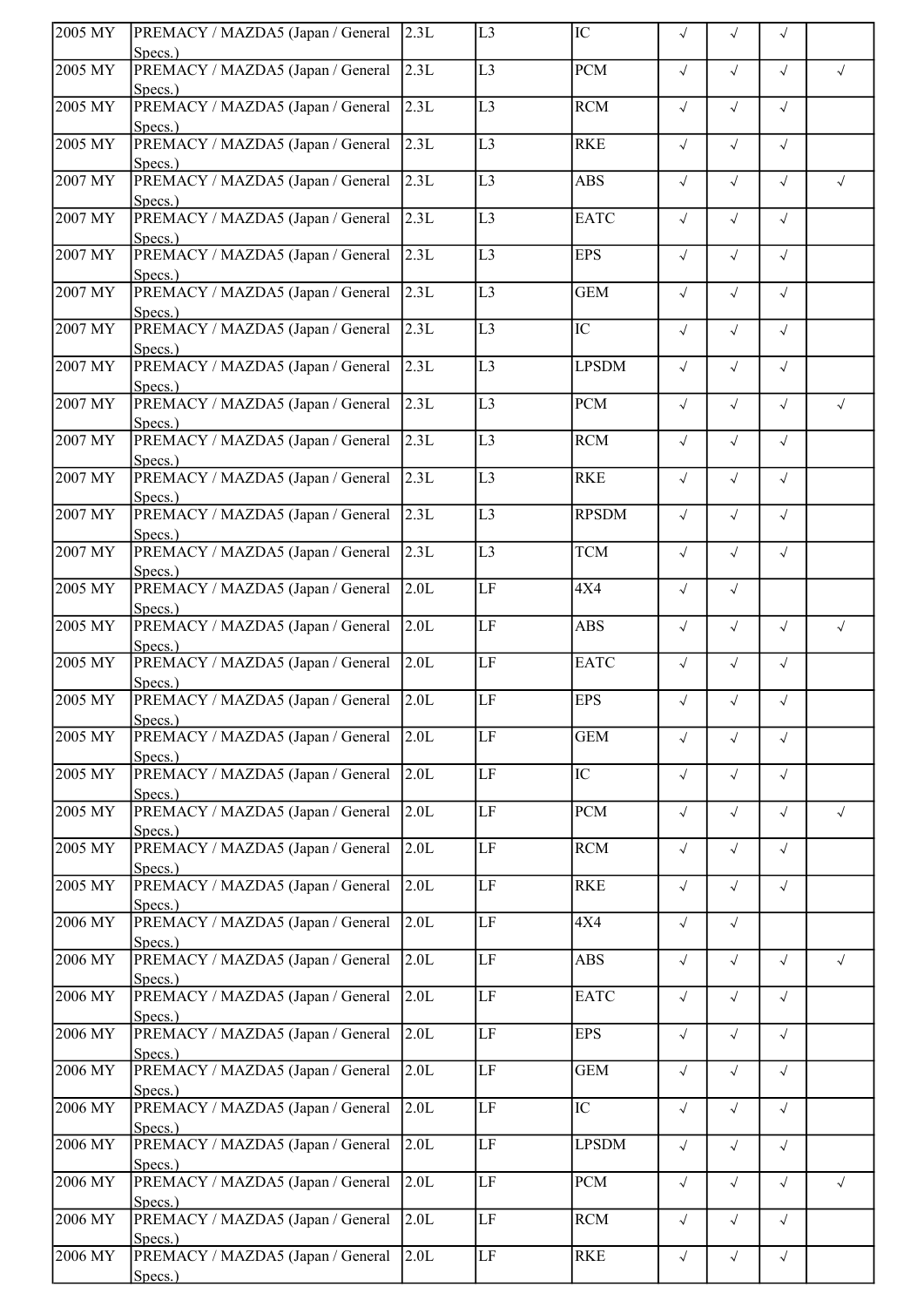| 2005 MY                     | PREMACY / MAZDA5 (Japan / General                       | 2.3L             | L <sub>3</sub>  | IC           | $\sqrt{}$            | $\sqrt{}$  | $\sqrt{}$  |            |
|-----------------------------|---------------------------------------------------------|------------------|-----------------|--------------|----------------------|------------|------------|------------|
| 2005 MY                     | Specs.)<br>PREMACY / MAZDA5 (Japan / General<br>Specs.) | 2.3L             | L <sub>3</sub>  | <b>PCM</b>   | $\sqrt{ }$           | $\sqrt{}$  | $\sqrt{ }$ | $\sqrt{ }$ |
| 2005 MY                     | PREMACY / MAZDA5 (Japan / General                       | 2.3L             | L <sub>3</sub>  | <b>RCM</b>   | $\sqrt{ }$           | $\sqrt{}$  | $\sqrt{}$  |            |
| 2005 MY                     | Specs.)<br>PREMACY / MAZDA5 (Japan / General<br>Specs.) | 2.3L             | L <sub>3</sub>  | <b>RKE</b>   | $\sqrt{ }$           | $\sqrt{ }$ | $\sqrt{}$  |            |
| 2007 MY                     | PREMACY / MAZDA5 (Japan / General                       | 2.3L             | L <sub>3</sub>  | <b>ABS</b>   | $\sqrt{ }$           | $\sqrt{ }$ | $\sqrt{}$  | $\sqrt{ }$ |
| 2007 MY                     | Specs.)<br>PREMACY / MAZDA5 (Japan / General<br>Specs.) | 2.3L             | L <sub>3</sub>  | <b>EATC</b>  | $\sqrt{ }$           | $\sqrt{ }$ | $\sqrt{}$  |            |
| 2007 MY                     | PREMACY / MAZDA5 (Japan / General<br>Specs.)            | 2.3L             | L <sub>3</sub>  | <b>EPS</b>   | $\sqrt{}$            | $\sqrt{ }$ | $\sqrt{ }$ |            |
| 2007 MY                     | PREMACY / MAZDA5 (Japan / General<br>Specs.)            | 2.3L             | L <sub>3</sub>  | <b>GEM</b>   | $\sqrt{ }$           | $\sqrt{ }$ | $\sqrt{ }$ |            |
| 2007 MY                     | PREMACY / MAZDA5 (Japan / General<br>Specs.             | 2.3L             | L <sub>3</sub>  | IC           | $\sqrt{}$            | $\sqrt{ }$ | $\sqrt{ }$ |            |
| 2007 MY                     | PREMACY / MAZDA5 (Japan / General<br>Specs.)            | 2.3L             | L <sub>3</sub>  | <b>LPSDM</b> | $\sqrt{ }$           | $\sqrt{ }$ | $\sqrt{ }$ |            |
| 2007 MY                     | PREMACY / MAZDA5 (Japan / General<br>Specs.)            | 2.3L             | $\overline{L3}$ | PCM          | $\sqrt{ }$           | $\sqrt{ }$ | $\sqrt{2}$ | $\sqrt{ }$ |
| 2007 MY                     | PREMACY / MAZDA5 (Japan / General<br>Specs.)            | 2.3L             | L3              | <b>RCM</b>   | $\sqrt{ }$           | $\sqrt{ }$ | $\sqrt{ }$ |            |
| 2007 MY                     | PREMACY / MAZDA5 (Japan / General<br>Specs.)            | 2.3L             | L <sub>3</sub>  | <b>RKE</b>   | $\sqrt{ }$           | $\sqrt{ }$ | $\sqrt{ }$ |            |
| $2007 \overline{\text{MY}}$ | PREMACY / MAZDA5 (Japan / General<br>Specs.)            | 2.3L             | L <sub>3</sub>  | <b>RPSDM</b> | $\sqrt{ }$           | $\sqrt{ }$ | $\sqrt{}$  |            |
| 2007 MY                     | PREMACY / MAZDA5 (Japan / General<br>Specs.)            | 2.3L             | L <sub>3</sub>  | <b>TCM</b>   | $\sqrt{}$            | $\sqrt{ }$ | $\sqrt{ }$ |            |
| 2005 MY                     | PREMACY / MAZDA5 (Japan / General<br>Specs.)            | 2.0 <sub>L</sub> | LF              | 4X4          | $\sqrt{}$            | $\sqrt{ }$ |            |            |
| 2005 MY                     | PREMACY / MAZDA5 (Japan / General<br>Specs.)            | 2.0 <sub>L</sub> | LF              | <b>ABS</b>   | $\sqrt{ }$           | $\sqrt{ }$ | $\sqrt{ }$ | $\sqrt{ }$ |
| 2005 MY                     | PREMACY / MAZDA5 (Japan / General<br>Specs.)            | 2.0 <sub>L</sub> | LF              | <b>EATC</b>  | $\sqrt{ }$           | $\sqrt{ }$ | $\sqrt{ }$ |            |
| 2005 MY                     | PREMACY / MAZDA5 (Japan / General<br>Specs.)            | 2.0 <sub>L</sub> | LF              | <b>EPS</b>   | $\sqrt{ }$           | $\sqrt{}$  | $\sqrt{}$  |            |
| 2005 MY                     | PREMACY / MAZDA5 (Japan / General<br>Specs.)            | 2.0 <sub>L</sub> | $\rm LF$        | <b>GEM</b>   | $\sqrt{ }$           | $\sqrt{}$  | $\sqrt{ }$ |            |
| 2005 MY                     | PREMACY / MAZDA5 (Japan / General<br>Specs.)            | 2.0 <sub>L</sub> | LF              | IC           | $\sqrt{ }$           | $\sqrt{}$  | $\sqrt{ }$ |            |
| 2005 MY                     | PREMACY / MAZDA5 (Japan / General<br>Specs.)            | 2.0 <sub>L</sub> | LF              | <b>PCM</b>   | $\sqrt{}$            | $\sqrt{}$  | $\sqrt{ }$ | $\sqrt{}$  |
| 2005 MY                     | PREMACY / MAZDA5 (Japan / General<br>Specs.)            | 2.0 <sub>L</sub> | LF              | <b>RCM</b>   | $\sqrt{ }$           | $\sqrt{}$  | $\sqrt{ }$ |            |
| 2005 MY                     | PREMACY / MAZDA5 (Japan / General<br>Specs.)            | 2.0 <sub>L</sub> | LF              | <b>RKE</b>   | $\sqrt{ }$           | $\sqrt{}$  | $\sqrt{ }$ |            |
| 2006 MY                     | PREMACY / MAZDA5 (Japan / General<br>Specs.)            | 2.0 <sub>L</sub> | $\overline{LF}$ | 4X4          | $\sqrt{ }$           | $\sqrt{}$  |            |            |
| 2006 MY                     | PREMACY / MAZDA5 (Japan / General<br>Specs.)            | 2.0 <sub>L</sub> | LF              | <b>ABS</b>   | $\sqrt{}$            | $\sqrt{}$  | $\sqrt{ }$ | $\sqrt{ }$ |
| 2006 MY                     | PREMACY / MAZDA5 (Japan / General<br>Specs.)            | 2.0 <sub>L</sub> | LF              | <b>EATC</b>  | $\sqrt{ }$           | $\sqrt{}$  | $\sqrt{ }$ |            |
| 2006 MY                     | PREMACY / MAZDA5 (Japan / General<br>Specs.)            | 2.0 <sub>L</sub> | $\overline{LF}$ | <b>EPS</b>   | $\sqrt{ }$           | $\sqrt{}$  | $\sqrt{ }$ |            |
| 2006 MY                     | PREMACY / MAZDA5 (Japan / General<br>Specs.)            | 2.0 <sub>L</sub> | LF              | <b>GEM</b>   | $\sqrt{ }$           | $\sqrt{ }$ | $\sqrt{ }$ |            |
| 2006 MY                     | PREMACY / MAZDA5 (Japan / General<br>Specs.)            | 2.0 <sub>L</sub> | LF              | IC           | $\sqrt{}$            | $\sqrt{}$  | $\sqrt{}$  |            |
| 2006 MY                     | PREMACY / MAZDA5 (Japan / General<br>Specs.)            | 2.0 <sub>L</sub> | $\overline{LF}$ | <b>LPSDM</b> | $\sqrt{ }$           | $\sqrt{ }$ | $\sqrt{ }$ |            |
| 2006 MY                     | PREMACY / MAZDA5 (Japan / General<br>Specs.)            | 2.0 <sub>L</sub> | LF              | <b>PCM</b>   | $\sqrt{ }$           | $\sqrt{}$  | $\sqrt{ }$ | $\sqrt{ }$ |
| 2006 MY                     | PREMACY / MAZDA5 (Japan / General<br>Specs.)            | 2.0 <sub>L</sub> | LF              | <b>RCM</b>   | $\sqrt{\phantom{a}}$ | $\sqrt{}$  | $\sqrt{ }$ |            |
| 2006 MY                     | PREMACY / MAZDA5 (Japan / General<br>Specs.)            | 2.0L             | LF              | <b>RKE</b>   | $\sqrt{ }$           | $\sqrt{}$  | $\sqrt{}$  |            |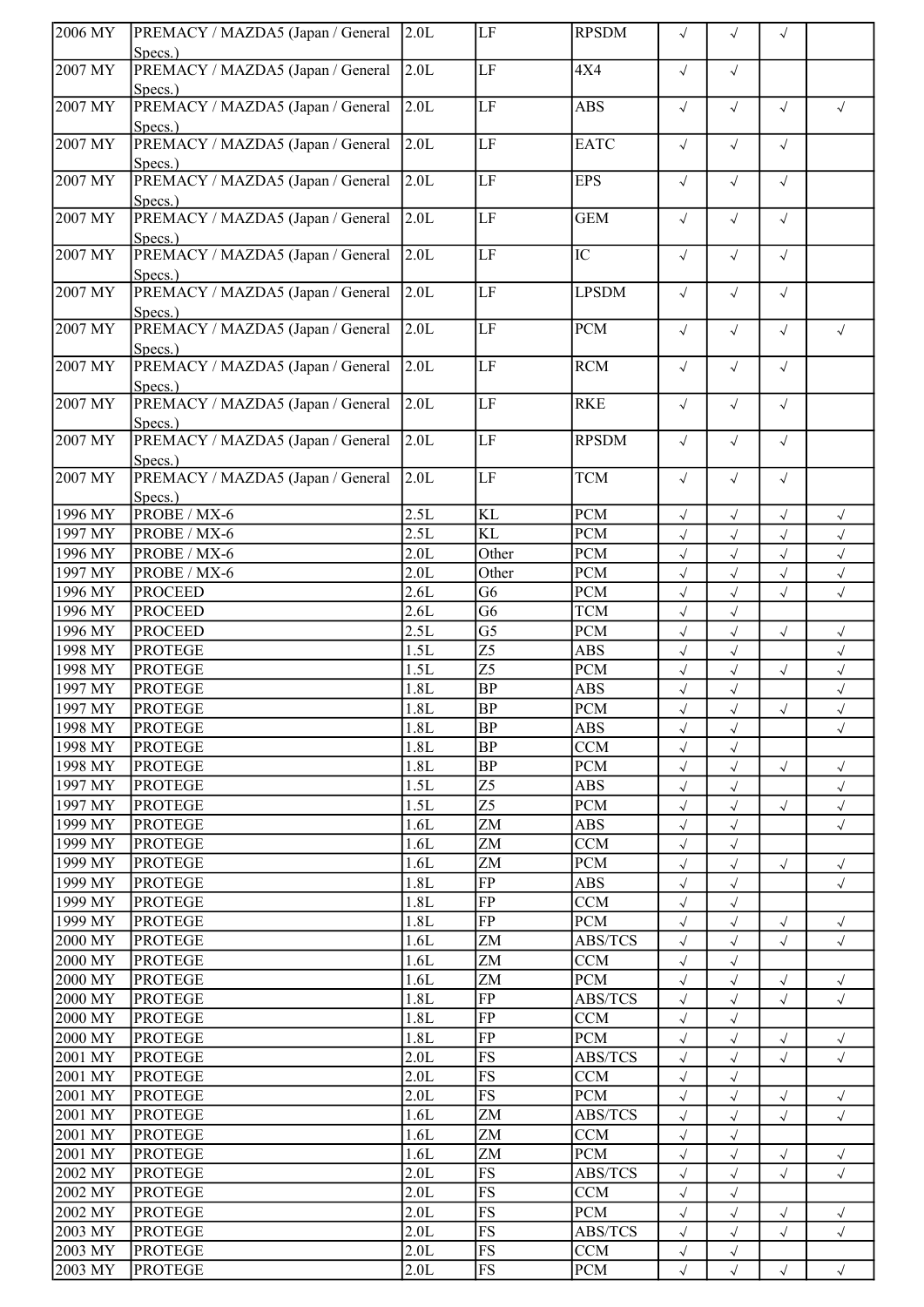| 2006 MY | PREMACY / MAZDA5 (Japan / General            | 2.0 <sub>L</sub> | LF                     | <b>RPSDM</b>   | $\sqrt{}$    | $\sqrt{ }$              | $\sqrt{ }$   |              |
|---------|----------------------------------------------|------------------|------------------------|----------------|--------------|-------------------------|--------------|--------------|
|         | Specs.)                                      |                  |                        |                |              |                         |              |              |
| 2007 MY | PREMACY / MAZDA5 (Japan / General            | 2.0L             | LF                     | 4X4            | $\sqrt{}$    | $\sqrt{ }$              |              |              |
| 2007 MY | Specs.)<br>PREMACY / MAZDA5 (Japan / General | 2.0 <sub>L</sub> | LF                     | <b>ABS</b>     | $\sqrt{ }$   | $\sqrt{ }$              | $\sqrt{ }$   | $\sqrt{ }$   |
|         | Specs.)                                      |                  |                        |                |              |                         |              |              |
| 2007 MY | PREMACY / MAZDA5 (Japan / General            | 2.0 <sub>L</sub> | $\overline{LF}$        | <b>EATC</b>    | $\sqrt{ }$   | $\sqrt{ }$              | $\sqrt{}$    |              |
|         | Specs.)                                      |                  |                        |                |              |                         |              |              |
| 2007 MY | PREMACY / MAZDA5 (Japan / General            | 2.0 <sub>L</sub> | LF                     | <b>EPS</b>     | $\sqrt{ }$   | $\sqrt{}$               | $\sqrt{}$    |              |
|         | Specs.)                                      |                  |                        |                |              |                         |              |              |
| 2007 MY | PREMACY / MAZDA5 (Japan / General            | 2.0 <sub>L</sub> | $\overline{LF}$        | <b>GEM</b>     | $\sqrt{ }$   | $\sqrt{}$               | $\sqrt{ }$   |              |
|         | Specs.)                                      |                  | $\overline{LF}$        | IC             |              |                         |              |              |
| 2007 MY | PREMACY / MAZDA5 (Japan / General<br>Specs.) | 2.0 <sub>L</sub> |                        |                | $\sqrt{ }$   | $\sqrt{}$               | $\sqrt{}$    |              |
| 2007 MY | PREMACY / MAZDA5 (Japan / General            | 2.0 <sub>L</sub> | $\overline{LF}$        | <b>LPSDM</b>   | $\sqrt{ }$   | $\sqrt{}$               | $\sqrt{ }$   |              |
|         | Specs.)                                      |                  |                        |                |              |                         |              |              |
| 2007 MY | PREMACY / MAZDA5 (Japan / General            | 2.0 <sub>L</sub> | LF                     | <b>PCM</b>     | $\sqrt{ }$   | $\sqrt{ }$              | $\sqrt{}$    | $\sqrt{ }$   |
|         | Specs.)                                      |                  |                        |                |              |                         |              |              |
| 2007 MY | PREMACY / MAZDA5 (Japan / General            | 2.0 <sub>L</sub> | LF                     | RCM            | $\sqrt{}$    | $\sqrt{ }$              | $\sqrt{}$    |              |
| 2007 MY | Specs.)<br>PREMACY / MAZDA5 (Japan / General | 2.0 <sub>L</sub> | $\overline{LF}$        | <b>RKE</b>     | $\sqrt{}$    | $\sqrt{ }$              | $\sqrt{}$    |              |
|         | Specs.)                                      |                  |                        |                |              |                         |              |              |
| 2007 MY | PREMACY / MAZDA5 (Japan / General            | 2.0 <sub>L</sub> | LF                     | <b>RPSDM</b>   | $\sqrt{}$    | $\sqrt{ }$              | $\sqrt{ }$   |              |
|         | Specs.)                                      |                  |                        |                |              |                         |              |              |
| 2007 MY | PREMACY / MAZDA5 (Japan / General            | 2.0 <sub>L</sub> | LF                     | <b>TCM</b>     | $\sqrt{ }$   | $\sqrt{ }$              | $\sqrt{ }$   |              |
|         | Specs.)                                      |                  |                        |                |              |                         |              |              |
| 1996 MY | PROBE / MX-6                                 | 2.5L             | $\overline{\text{KL}}$ | PCM            | $\sqrt{ }$   | $\sqrt{}$               | $\checkmark$ | $\sqrt{ }$   |
| 1997 MY | PROBE / MX-6                                 | 2.5L             | $\overline{\text{KL}}$ | <b>PCM</b>     | $\checkmark$ | $\sqrt{}$               | $\checkmark$ | $\checkmark$ |
| 1996 MY | PROBE / MX-6                                 | 2.0L             | Other                  | <b>PCM</b>     | $\sqrt{2}$   | $\checkmark$            | $\sqrt{2}$   | $\checkmark$ |
| 1997 MY | PROBE / MX-6                                 | 2.0L             | Other                  | <b>PCM</b>     | $\checkmark$ | $\sqrt{}$               | $\sqrt{2}$   | $\sqrt{ }$   |
| 1996 MY | <b>PROCEED</b>                               | 2.6L             | G <sub>6</sub>         | <b>PCM</b>     | $\checkmark$ | $\sqrt{ }$              | $\checkmark$ | $\sqrt{ }$   |
| 1996 MY | <b>PROCEED</b>                               | 2.6L             | G <sub>6</sub>         | <b>TCM</b>     | $\sqrt{ }$   | $\sqrt{ }$              |              |              |
| 1996 MY | <b>PROCEED</b>                               | 2.5L             | G <sub>5</sub>         | <b>PCM</b>     | $\sqrt{ }$   | $\sqrt{}$               | $\sqrt{ }$   | $\sqrt{ }$   |
| 1998 MY | <b>PROTEGE</b>                               | 1.5L             | Z5                     | <b>ABS</b>     | $\sqrt{ }$   | $\sqrt{ }$              |              | $\sqrt{ }$   |
| 1998 MY | <b>PROTEGE</b>                               | 1.5L             | $\overline{Z5}$        | <b>PCM</b>     | $\sqrt{2}$   | $\checkmark$            | $\sqrt{ }$   | $\sqrt{ }$   |
| 1997 MY | <b>PROTEGE</b>                               | 1.8L             | <b>BP</b>              | <b>ABS</b>     | $\sqrt{2}$   | $\checkmark$            |              | $\checkmark$ |
| 1997 MY | <b>PROTEGE</b>                               | 1.8L             | <b>BP</b>              | <b>PCM</b>     | $\checkmark$ | $\sqrt{ }$              | $\checkmark$ | $\checkmark$ |
| 1998 MY | <b>PROTEGE</b>                               | 1.8L             | <b>BP</b>              | <b>ABS</b>     | $\sqrt{ }$   | $\sqrt{ }$              |              | $\sqrt{ }$   |
| 1998 MY | <b>PROTEGE</b>                               | 1.8L             | <b>BP</b>              | <b>CCM</b>     | $\sqrt{2}$   | $\checkmark$            |              |              |
| 1998 MY | <b>PROTEGE</b>                               | 1.8L             | <b>BP</b>              | <b>PCM</b>     | $\checkmark$ | $\sqrt{ }$              | $\sqrt{}$    | $\sqrt{ }$   |
| 1997 MY | <b>PROTEGE</b>                               | 1.5L             | $\overline{25}$        | ABS            | $\sqrt{2}$   | $\sqrt{}$               |              | $\sqrt{2}$   |
| 1997 MY | <b>PROTEGE</b>                               | 1.5L             | Z5                     | <b>PCM</b>     | $\checkmark$ | $\sqrt{}$               | $\sqrt{}$    | $\sqrt{}$    |
| 1999 MY | <b>PROTEGE</b>                               | 1.6L             | ZM                     | <b>ABS</b>     | $\sqrt{ }$   | $\sqrt{ }$              |              | $\sqrt{ }$   |
| 1999 MY | <b>PROTEGE</b>                               | 1.6L             | ZM                     | CCM            | $\sqrt{ }$   | $\sqrt{ }$              |              |              |
| 1999 MY | <b>PROTEGE</b>                               | 1.6L             | ZM                     | <b>PCM</b>     | $\sqrt{ }$   | $\sqrt{ }$              | $\sqrt{ }$   | $\sqrt{}$    |
| 1999 MY | <b>PROTEGE</b>                               | 1.8L             | FP                     | <b>ABS</b>     | $\sqrt{ }$   | $\sqrt{ }$              |              | $\sqrt{}$    |
| 1999 MY | <b>PROTEGE</b>                               | 1.8L             | <b>FP</b>              | <b>CCM</b>     | $\sqrt{ }$   | $\sqrt{}$               |              |              |
| 1999 MY | <b>PROTEGE</b>                               | 1.8L             | FP                     | <b>PCM</b>     | $\sqrt{ }$   | $\sqrt{ }$              | $\sqrt{ }$   | $\sqrt{ }$   |
| 2000 MY | <b>PROTEGE</b>                               | 1.6L             | ZM                     | ABS/TCS        | $\sqrt{ }$   | $\sqrt{}$               | $\sqrt{ }$   | $\sqrt{ }$   |
| 2000 MY | <b>PROTEGE</b>                               | 1.6L             | ZM                     | CCM            | $\checkmark$ | $\sqrt{ }$              |              |              |
| 2000 MY | <b>PROTEGE</b>                               | 1.6L             | ZM                     | <b>PCM</b>     | $\sqrt{ }$   | $\sqrt{ }$              | $\sqrt{ }$   | $\sqrt{ }$   |
| 2000 MY | <b>PROTEGE</b>                               | 1.8L             | FP                     | ABS/TCS        | $\sqrt{2}$   | $\sqrt{ }$              | $\sqrt{}$    | $\sqrt{}$    |
| 2000 MY | <b>PROTEGE</b>                               | 1.8L             | FP                     | CCM            | $\sqrt{2}$   | $\sqrt{}$               |              |              |
| 2000 MY | <b>PROTEGE</b>                               | 1.8L             | FP                     | <b>PCM</b>     | $\sqrt{ }$   | $\sqrt{}$               | $\sqrt{}$    | $\sqrt{ }$   |
| 2001 MY | <b>PROTEGE</b>                               | 2.0L             | FS                     | <b>ABS/TCS</b> | $\sqrt{}$    | $\sqrt{ }$              | $\sqrt{}$    | $\sqrt{ }$   |
| 2001 MY | <b>PROTEGE</b>                               | 2.0L             | FS                     | <b>CCM</b>     | $\sqrt{ }$   | $\sqrt{ }$              |              |              |
| 2001 MY | <b>PROTEGE</b>                               | 2.0L             | FS                     | <b>PCM</b>     | $\sqrt{ }$   | $\sqrt{ }$              | $\sqrt{ }$   | $\sqrt{ }$   |
| 2001 MY | <b>PROTEGE</b>                               | 1.6L             | ZM                     | ABS/TCS        | $\sqrt{ }$   | $\sqrt{ }$              | $\sqrt{ }$   | $\sqrt{ }$   |
| 2001 MY | <b>PROTEGE</b>                               | 1.6L             | ZM                     | <b>CCM</b>     | $\sqrt{ }$   | $\sqrt{}$               |              |              |
| 2001 MY | <b>PROTEGE</b>                               | 1.6L             | ZM                     | <b>PCM</b>     | $\sqrt{ }$   | $\sqrt{}$               | $\sqrt{}$    | $\sqrt{ }$   |
| 2002 MY | <b>PROTEGE</b>                               | 2.0L             | <b>FS</b>              | ABS/TCS        | $\sqrt{2}$   | $\sqrt{ }$              | $\sqrt{}$    | $\sqrt{ }$   |
| 2002 MY | <b>PROTEGE</b>                               | 2.0L             | FS                     | CCM            | $\sqrt{ }$   | $\sqrt{}$               |              |              |
| 2002 MY | <b>PROTEGE</b>                               | 2.0L             | FS                     | <b>PCM</b>     | $\sqrt{ }$   | $\sqrt{ }$              | $\sqrt{ }$   | $\sqrt{ }$   |
| 2003 MY |                                              |                  |                        |                |              |                         |              | $\sqrt{}$    |
|         |                                              |                  | <b>FS</b>              |                | $\sqrt{}$    |                         | $\sqrt{}$    |              |
| 2003 MY | <b>PROTEGE</b><br><b>PROTEGE</b>             | 2.0L<br>2.0L     | FS                     | ABS/TCS<br>CCM | $\checkmark$ | $\sqrt{}$<br>$\sqrt{ }$ |              |              |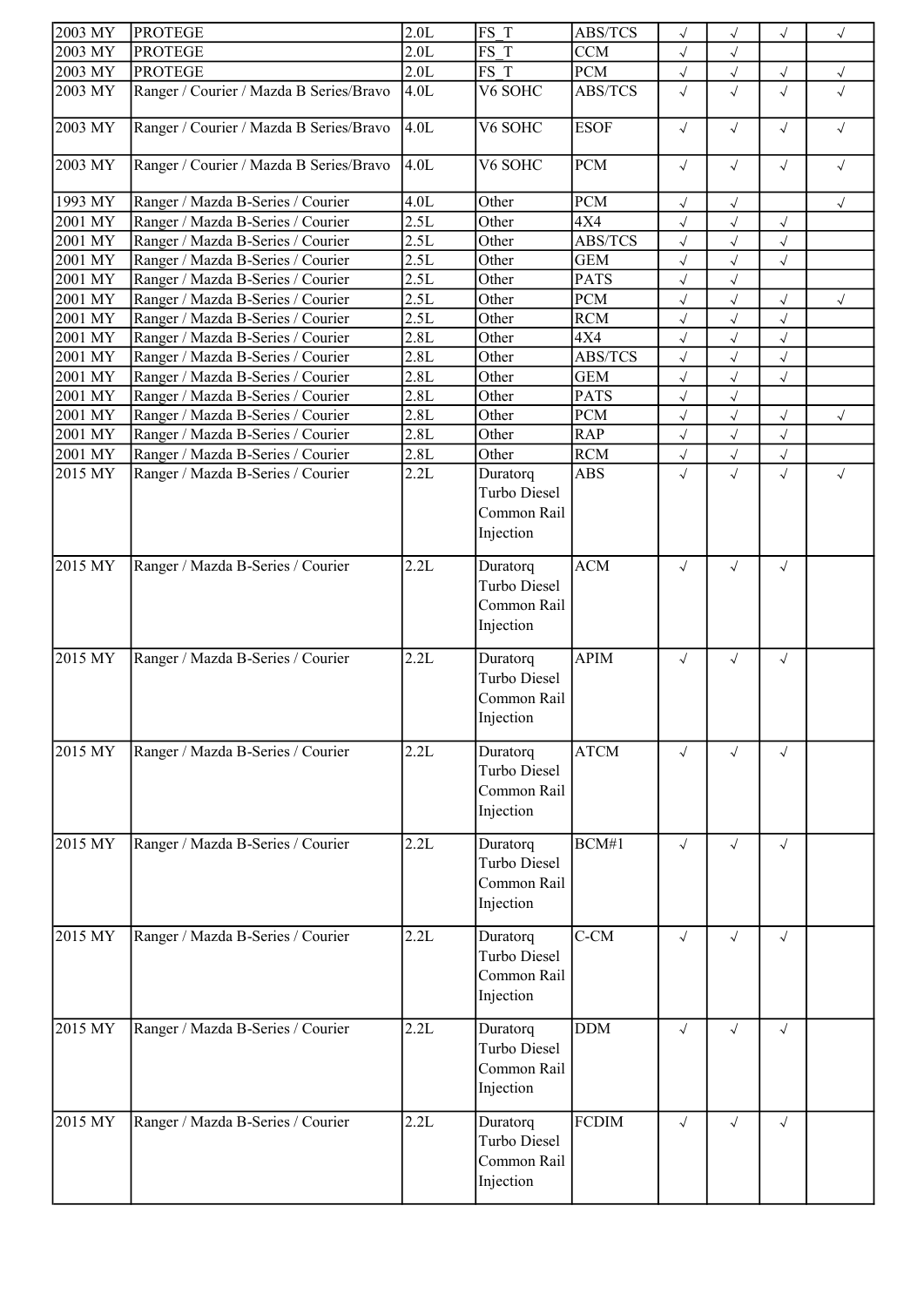| 2003 MY | <b>PROTEGE</b>                          | 2.0L             | FS T                                                 | ABS/TCS        | $\sqrt{}$    | $\sqrt{}$  | $\sqrt{ }$           | $\sqrt{}$            |
|---------|-----------------------------------------|------------------|------------------------------------------------------|----------------|--------------|------------|----------------------|----------------------|
| 2003 MY | <b>PROTEGE</b>                          | 2.0L             | FS T                                                 | <b>CCM</b>     | $\checkmark$ | $\sqrt{}$  |                      |                      |
| 2003 MY | <b>PROTEGE</b>                          | 2.0 <sub>L</sub> | FS T                                                 | <b>PCM</b>     | $\sqrt{ }$   | $\sqrt{ }$ | $\sqrt{ }$           | $\sqrt{ }$           |
| 2003 MY | Ranger / Courier / Mazda B Series/Bravo | 4.0 <sub>L</sub> | V6 SOHC                                              | ABS/TCS        | $\sqrt{ }$   | $\sqrt{}$  | $\sqrt{ }$           | $\sqrt{ }$           |
| 2003 MY | Ranger / Courier / Mazda B Series/Bravo | 4.0L             | V6 SOHC                                              | <b>ESOF</b>    | $\sqrt{}$    | $\sqrt{ }$ | $\sqrt{ }$           | $\sqrt{ }$           |
| 2003 MY | Ranger / Courier / Mazda B Series/Bravo | 4.0 <sub>L</sub> | V6 SOHC                                              | <b>PCM</b>     | $\sqrt{}$    | $\sqrt{ }$ | $\sqrt{ }$           | $\sqrt{ }$           |
| 1993 MY | Ranger / Mazda B-Series / Courier       | 4.0 <sub>L</sub> | Other                                                | <b>PCM</b>     | $\sqrt{ }$   | $\sqrt{ }$ |                      | $\sqrt{\phantom{a}}$ |
| 2001 MY | Ranger / Mazda B-Series / Courier       | 2.5L             | Other                                                | 4X4            | $\sqrt{ }$   | $\sqrt{ }$ | $\sqrt{\phantom{a}}$ |                      |
| 2001 MY | Ranger / Mazda B-Series / Courier       | 2.5L             | Other                                                | ABS/TCS        | $\sqrt{}$    | $\sqrt{}$  | $\sqrt{}$            |                      |
| 2001 MY | Ranger / Mazda B-Series / Courier       | 2.5L             | Other                                                | <b>GEM</b>     | $\sqrt{ }$   | $\sqrt{ }$ | $\sqrt{ }$           |                      |
| 2001 MY | Ranger / Mazda B-Series / Courier       | 2.5L             | Other                                                | <b>PATS</b>    | $\sqrt{ }$   | $\sqrt{}$  |                      |                      |
| 2001 MY | Ranger / Mazda B-Series / Courier       | 2.5L             | Other                                                | <b>PCM</b>     | $\sqrt{ }$   | $\sqrt{}$  | $\sqrt{ }$           | $\sqrt{ }$           |
| 2001 MY | Ranger / Mazda B-Series / Courier       | 2.5L             | Other                                                | <b>RCM</b>     | $\sqrt{ }$   | $\sqrt{ }$ | $\checkmark$         |                      |
| 2001 MY | Ranger / Mazda B-Series / Courier       | 2.8L             | Other                                                | 4X4            | $\sqrt{ }$   | $\sqrt{ }$ | $\sqrt{ }$           |                      |
| 2001 MY | Ranger / Mazda B-Series / Courier       | 2.8L             | Other                                                | <b>ABS/TCS</b> | $\sqrt{ }$   | $\sqrt{}$  | $\checkmark$         |                      |
| 2001 MY | Ranger / Mazda B-Series / Courier       | 2.8L             | Other                                                | <b>GEM</b>     | $\sqrt{}$    | $\sqrt{2}$ | $\sqrt{ }$           |                      |
| 2001 MY | Ranger / Mazda B-Series / Courier       | 2.8L             | Other                                                | <b>PATS</b>    | $\sqrt{}$    | $\sqrt{ }$ |                      |                      |
| 2001 MY | Ranger / Mazda B-Series / Courier       | 2.8L             | Other                                                | <b>PCM</b>     | $\sqrt{}$    | $\sqrt{}$  | $\sqrt{ }$           | $\sqrt{}$            |
| 2001 MY | Ranger / Mazda B-Series / Courier       | 2.8L             | Other                                                | <b>RAP</b>     | $\checkmark$ | $\sqrt{ }$ | $\sqrt{ }$           |                      |
| 2001 MY | Ranger / Mazda B-Series / Courier       | 2.8L             | Other                                                | RCM            | $\sqrt{ }$   | $\sqrt{ }$ | $\sqrt{ }$           |                      |
| 2015 MY | Ranger / Mazda B-Series / Courier       | 2.2L             | Duratorq<br>Turbo Diesel<br>Common Rail<br>Injection | <b>ABS</b>     | $\sqrt{2}$   | $\sqrt{}$  | $\sqrt{}$            | $\sqrt{ }$           |
| 2015 MY | Ranger / Mazda B-Series / Courier       | 2.2L             | Duratorq<br>Turbo Diesel<br>Common Rail<br>Injection | <b>ACM</b>     | $\sqrt{ }$   | $\sqrt{ }$ | $\sqrt{ }$           |                      |
| 2015 MY | Ranger / Mazda B-Series / Courier       | 2.2L             | Duratorq<br>Turbo Diesel<br>Common Rail<br>Injection | <b>APIM</b>    | $\sqrt{}$    | $\sqrt{ }$ | $\sqrt{ }$           |                      |
| 2015 MY | Ranger / Mazda B-Series / Courier       | 2.2L             | Duratorq<br>Turbo Diesel<br>Common Rail<br>Injection | <b>ATCM</b>    | $\sqrt{ }$   | $\sqrt{}$  | $\sqrt{ }$           |                      |
| 2015 MY | Ranger / Mazda B-Series / Courier       | 2.2L             | Duratorq<br>Turbo Diesel<br>Common Rail<br>Injection | BCM#1          | $\sqrt{ }$   | $\sqrt{ }$ | $\sqrt{ }$           |                      |
| 2015 MY | Ranger / Mazda B-Series / Courier       | 2.2L             | Duratorq<br>Turbo Diesel<br>Common Rail<br>Injection | $C-CM$         | $\sqrt{ }$   | $\sqrt{ }$ | $\sqrt{ }$           |                      |
| 2015 MY | Ranger / Mazda B-Series / Courier       | 2.2L             | Duratorq<br>Turbo Diesel<br>Common Rail<br>Injection | <b>DDM</b>     | $\sqrt{ }$   | $\sqrt{ }$ | $\sqrt{ }$           |                      |
| 2015 MY | Ranger / Mazda B-Series / Courier       | 2.2L             | Duratorq<br>Turbo Diesel<br>Common Rail<br>Injection | <b>FCDIM</b>   | $\sqrt{ }$   | $\sqrt{}$  | $\sqrt{ }$           |                      |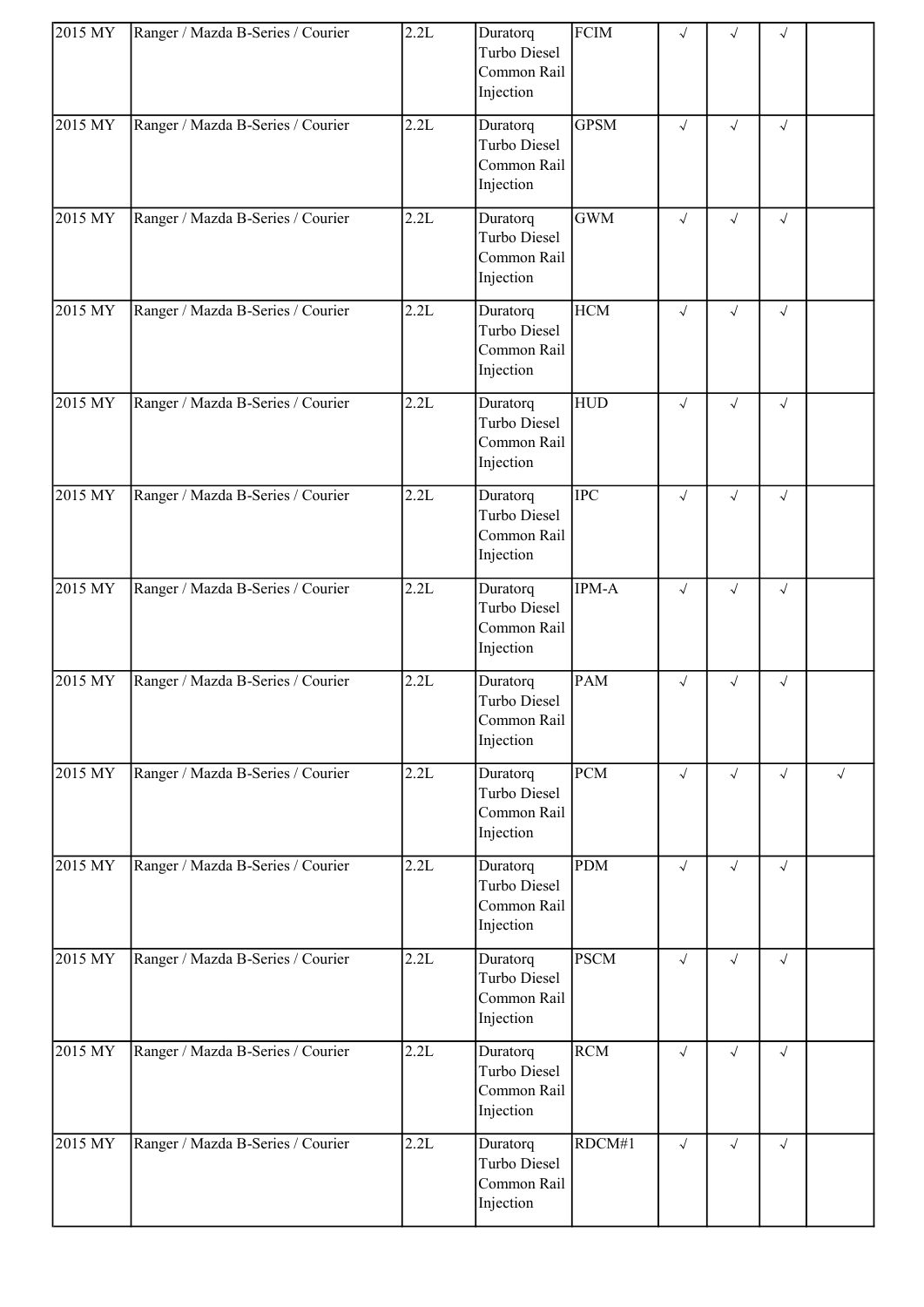| 2015 MY | Ranger / Mazda B-Series / Courier | 2.2L              | Duratorq<br>Turbo Diesel<br>Common Rail<br>Injection | <b>FCIM</b> | $\sqrt{ }$ | $\sqrt{}$  | $\sqrt{ }$ |            |
|---------|-----------------------------------|-------------------|------------------------------------------------------|-------------|------------|------------|------------|------------|
| 2015 MY | Ranger / Mazda B-Series / Courier | 2.2L              | Duratorq<br>Turbo Diesel<br>Common Rail<br>Injection | <b>GPSM</b> | $\sqrt{ }$ | $\sqrt{ }$ | $\sqrt{ }$ |            |
| 2015 MY | Ranger / Mazda B-Series / Courier | 2.2L              | Duratorq<br>Turbo Diesel<br>Common Rail<br>Injection | <b>GWM</b>  | $\sqrt{ }$ | $\sqrt{ }$ | $\sqrt{ }$ |            |
| 2015 MY | Ranger / Mazda B-Series / Courier | 2.2L              | Duratorq<br>Turbo Diesel<br>Common Rail<br>Injection | <b>HCM</b>  | $\sqrt{ }$ | $\sqrt{ }$ | $\sqrt{ }$ |            |
| 2015 MY | Ranger / Mazda B-Series / Courier | 2.2L              | Duratorq<br>Turbo Diesel<br>Common Rail<br>Injection | <b>HUD</b>  | $\sqrt{ }$ | $\sqrt{ }$ | $\sqrt{ }$ |            |
| 2015 MY | Ranger / Mazda B-Series / Courier | 2.2L              | Duratorq<br>Turbo Diesel<br>Common Rail<br>Injection | <b>IPC</b>  | $\sqrt{ }$ | $\sqrt{ }$ | $\sqrt{ }$ |            |
| 2015 MY | Ranger / Mazda B-Series / Courier | 2.2L              | Duratorq<br>Turbo Diesel<br>Common Rail<br>Injection | IPM-A       | $\sqrt{ }$ | $\sqrt{ }$ | $\sqrt{ }$ |            |
| 2015 MY | Ranger / Mazda B-Series / Courier | 2.2L              | Duratorq<br>Turbo Diesel<br>Common Rail<br>Injection | PAM         | $\sqrt{ }$ | $\sqrt{}$  | $\sqrt{ }$ |            |
| 2015 MY | Ranger / Mazda B-Series / Courier | 2.2L              | Duratorq<br>Turbo Diesel<br>Common Rail<br>Injection | <b>PCM</b>  | $\sqrt{ }$ | $\sqrt{ }$ | $\sqrt{ }$ | $\sqrt{ }$ |
| 2015 MY | Ranger / Mazda B-Series / Courier | 2.2L              | Duratorq<br>Turbo Diesel<br>Common Rail<br>Injection | <b>PDM</b>  | $\sqrt{}$  | $\sqrt{ }$ | $\sqrt{ }$ |            |
| 2015 MY | Ranger / Mazda B-Series / Courier | $\overline{2.2L}$ | Duratorq<br>Turbo Diesel<br>Common Rail<br>Injection | <b>PSCM</b> | $\sqrt{ }$ | $\sqrt{}$  | $\sqrt{ }$ |            |
| 2015 MY | Ranger / Mazda B-Series / Courier | 2.2L              | Duratorq<br>Turbo Diesel<br>Common Rail<br>Injection | RCM         | $\sqrt{ }$ | $\sqrt{}$  | $\sqrt{}$  |            |
| 2015 MY | Ranger / Mazda B-Series / Courier | 2.2L              | Duratorq<br>Turbo Diesel<br>Common Rail<br>Injection | RDCM#1      | $\sqrt{ }$ | $\sqrt{}$  | $\sqrt{}$  |            |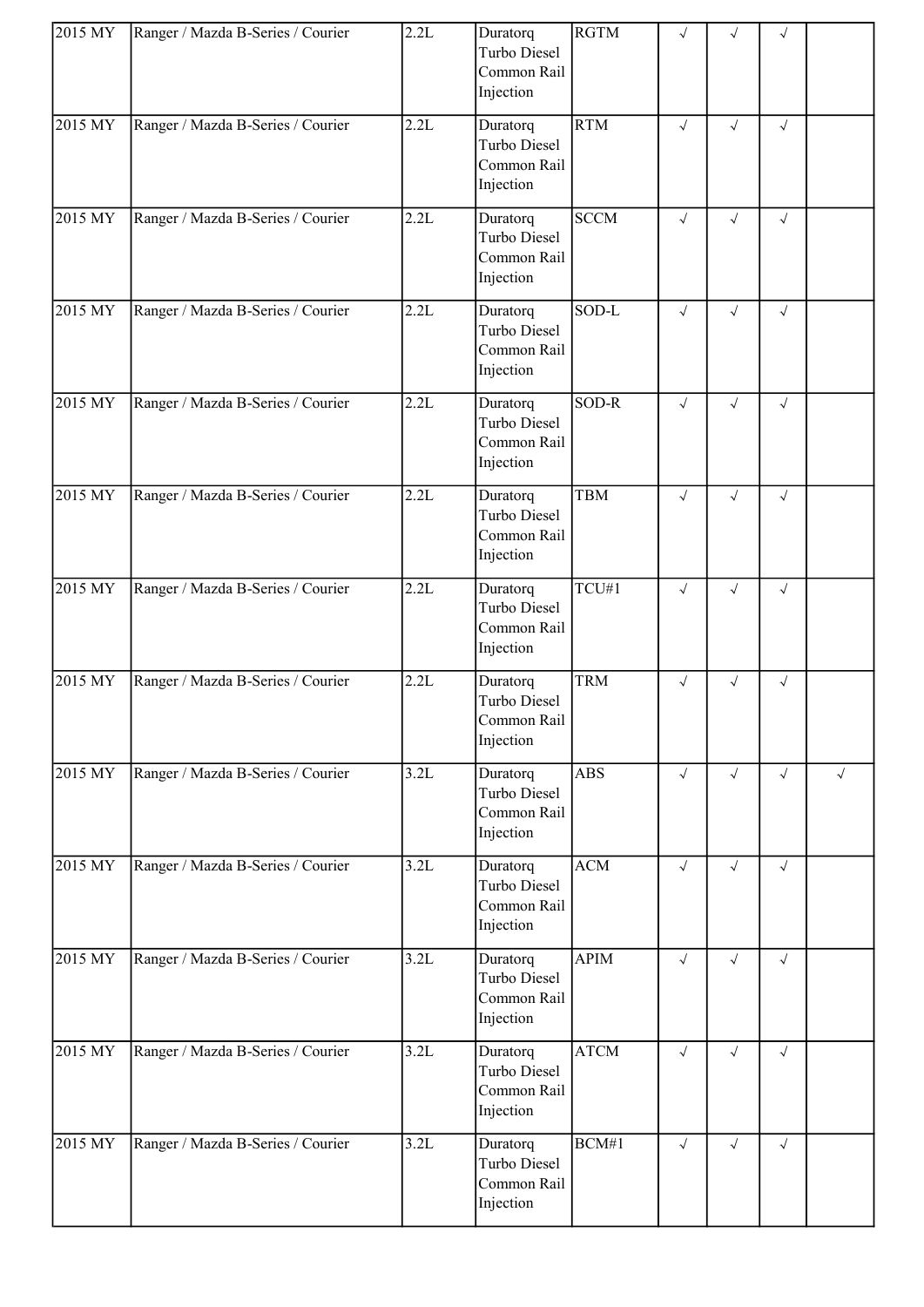| 2015 MY | Ranger / Mazda B-Series / Courier | 2.2L | Duratorq<br>Turbo Diesel<br>Common Rail<br>Injection | <b>RGTM</b>      | $\sqrt{ }$ | $\sqrt{}$  | $\sqrt{ }$ |            |
|---------|-----------------------------------|------|------------------------------------------------------|------------------|------------|------------|------------|------------|
| 2015 MY | Ranger / Mazda B-Series / Courier | 2.2L | Duratorq<br>Turbo Diesel<br>Common Rail<br>Injection | $\overline{RTM}$ | $\sqrt{ }$ | $\sqrt{ }$ | $\sqrt{ }$ |            |
| 2015 MY | Ranger / Mazda B-Series / Courier | 2.2L | Duratorq<br>Turbo Diesel<br>Common Rail<br>Injection | <b>SCCM</b>      | $\sqrt{ }$ | $\sqrt{ }$ | $\sqrt{ }$ |            |
| 2015 MY | Ranger / Mazda B-Series / Courier | 2.2L | Duratorq<br>Turbo Diesel<br>Common Rail<br>Injection | $SOD-L$          | $\sqrt{ }$ | $\sqrt{ }$ | $\sqrt{ }$ |            |
| 2015 MY | Ranger / Mazda B-Series / Courier | 2.2L | Duratorq<br>Turbo Diesel<br>Common Rail<br>Injection | SOD-R            | $\sqrt{ }$ | $\sqrt{}$  | $\sqrt{ }$ |            |
| 2015 MY | Ranger / Mazda B-Series / Courier | 2.2L | Duratorq<br>Turbo Diesel<br>Common Rail<br>Injection | TBM              | $\sqrt{ }$ | $\sqrt{ }$ | $\sqrt{ }$ |            |
| 2015 MY | Ranger / Mazda B-Series / Courier | 2.2L | Duratorq<br>Turbo Diesel<br>Common Rail<br>Injection | TCU#1            | $\sqrt{ }$ | $\sqrt{}$  | $\sqrt{ }$ |            |
| 2015 MY | Ranger / Mazda B-Series / Courier | 2.2L | Duratorq<br>Turbo Diesel<br>Common Rail<br>Injection | <b>TRM</b>       | $\sqrt{ }$ | $\sqrt{}$  | $\sqrt{ }$ |            |
| 2015 MY | Ranger / Mazda B-Series / Courier | 3.2L | Duratorq<br>Turbo Diesel<br>Common Rail<br>Injection | <b>ABS</b>       | $\sqrt{ }$ | $\sqrt{ }$ | $\sqrt{ }$ | $\sqrt{ }$ |
| 2015 MY | Ranger / Mazda B-Series / Courier | 3.2L | Duratorq<br>Turbo Diesel<br>Common Rail<br>Injection | <b>ACM</b>       | $\sqrt{}$  | $\sqrt{ }$ | $\sqrt{ }$ |            |
| 2015 MY | Ranger / Mazda B-Series / Courier | 3.2L | Duratorq<br>Turbo Diesel<br>Common Rail<br>Injection | <b>APIM</b>      | $\sqrt{ }$ | $\sqrt{}$  | $\sqrt{ }$ |            |
| 2015 MY | Ranger / Mazda B-Series / Courier | 3.2L | Duratorq<br>Turbo Diesel<br>Common Rail<br>Injection | <b>ATCM</b>      | $\sqrt{ }$ | $\sqrt{}$  | $\sqrt{}$  |            |
| 2015 MY | Ranger / Mazda B-Series / Courier | 3.2L | Duratorq<br>Turbo Diesel<br>Common Rail<br>Injection | BCM#1            | $\sqrt{ }$ | $\sqrt{}$  | $\sqrt{}$  |            |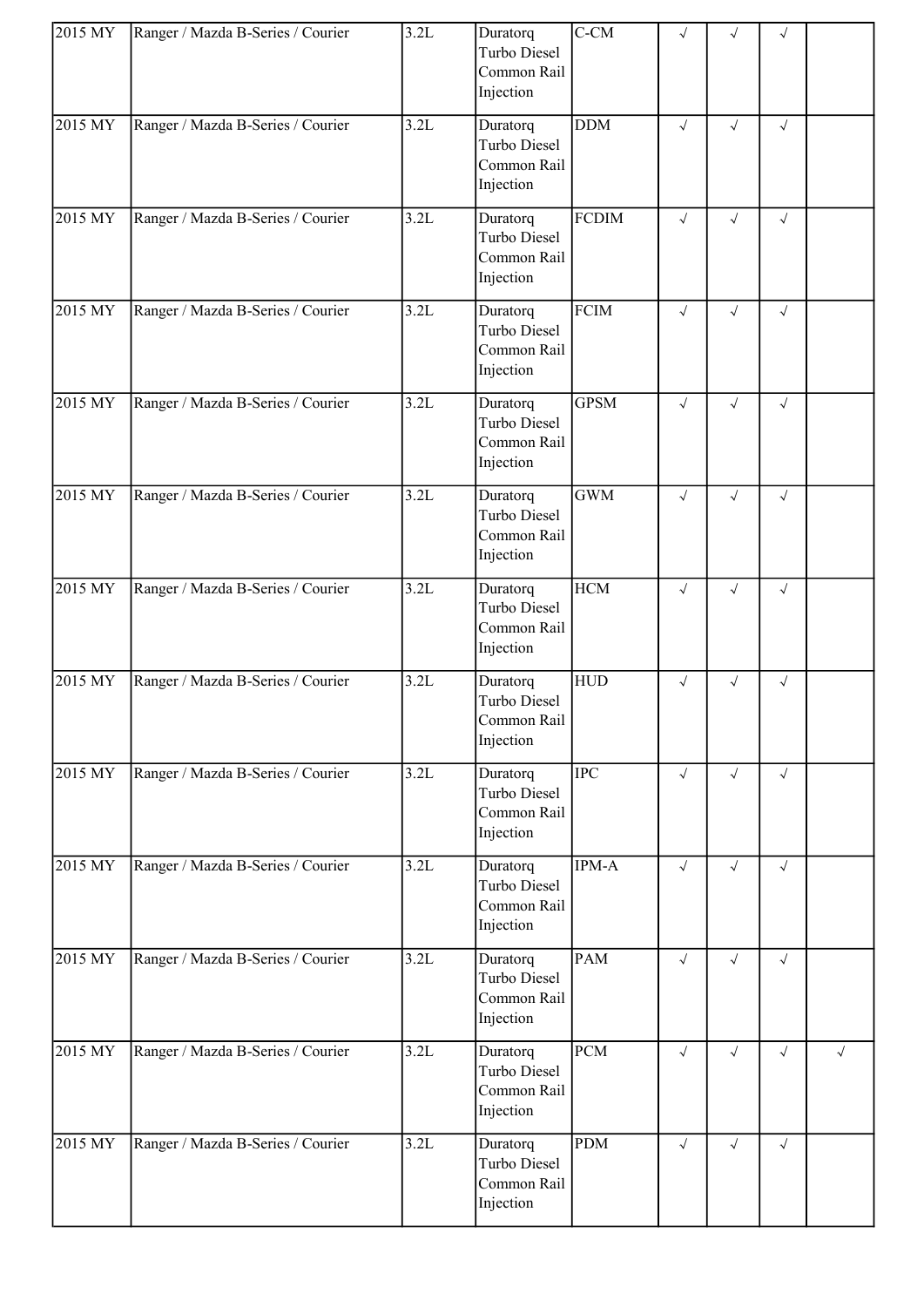| 2015 MY | Ranger / Mazda B-Series / Courier | 3.2L | Duratorq<br>Turbo Diesel<br>Common Rail<br>Injection | $C-CM$           | $\sqrt{ }$ | $\sqrt{}$  | $\sqrt{ }$ |            |
|---------|-----------------------------------|------|------------------------------------------------------|------------------|------------|------------|------------|------------|
| 2015 MY | Ranger / Mazda B-Series / Courier | 3.2L | Duratorq<br>Turbo Diesel<br>Common Rail<br>Injection | $\overline{DDM}$ | $\sqrt{ }$ | $\sqrt{ }$ | $\sqrt{ }$ |            |
| 2015 MY | Ranger / Mazda B-Series / Courier | 3.2L | Duratorq<br>Turbo Diesel<br>Common Rail<br>Injection | <b>FCDIM</b>     | $\sqrt{ }$ | $\sqrt{ }$ | $\sqrt{ }$ |            |
| 2015 MY | Ranger / Mazda B-Series / Courier | 3.2L | Duratorq<br>Turbo Diesel<br>Common Rail<br>Injection | <b>FCIM</b>      | $\sqrt{ }$ | $\sqrt{ }$ | $\sqrt{ }$ |            |
| 2015 MY | Ranger / Mazda B-Series / Courier | 3.2L | Duratorq<br>Turbo Diesel<br>Common Rail<br>Injection | <b>GPSM</b>      | $\sqrt{ }$ | $\sqrt{ }$ | $\sqrt{ }$ |            |
| 2015 MY | Ranger / Mazda B-Series / Courier | 3.2L | Duratorq<br>Turbo Diesel<br>Common Rail<br>Injection | <b>GWM</b>       | $\sqrt{ }$ | $\sqrt{ }$ | $\sqrt{ }$ |            |
| 2015 MY | Ranger / Mazda B-Series / Courier | 3.2L | Duratorq<br>Turbo Diesel<br>Common Rail<br>Injection | <b>HCM</b>       | $\sqrt{ }$ | $\sqrt{ }$ | $\sqrt{ }$ |            |
| 2015 MY | Ranger / Mazda B-Series / Courier | 3.2L | Duratorq<br>Turbo Diesel<br>Common Rail<br>Injection | <b>HUD</b>       | $\sqrt{ }$ | $\sqrt{}$  | $\sqrt{ }$ |            |
| 2015 MY | Ranger / Mazda B-Series / Courier | 3.2L | Duratorq<br>Turbo Diesel<br>Common Rail<br>Injection | $\overline{IPC}$ | $\sqrt{ }$ | $\sqrt{ }$ | $\sqrt{ }$ |            |
| 2015 MY | Ranger / Mazda B-Series / Courier | 3.2L | Duratorq<br>Turbo Diesel<br>Common Rail<br>Injection | <b>IPM-A</b>     | $\sqrt{ }$ | $\sqrt{ }$ | $\sqrt{ }$ |            |
| 2015 MY | Ranger / Mazda B-Series / Courier | 3.2L | Duratorq<br>Turbo Diesel<br>Common Rail<br>Injection | <b>PAM</b>       | $\sqrt{ }$ | $\sqrt{}$  | $\sqrt{ }$ |            |
| 2015 MY | Ranger / Mazda B-Series / Courier | 3.2L | Duratorq<br>Turbo Diesel<br>Common Rail<br>Injection | <b>PCM</b>       | $\sqrt{ }$ | $\sqrt{}$  | $\sqrt{}$  | $\sqrt{ }$ |
| 2015 MY | Ranger / Mazda B-Series / Courier | 3.2L | Duratorq<br>Turbo Diesel<br>Common Rail<br>Injection | <b>PDM</b>       | $\sqrt{ }$ | $\sqrt{}$  | $\sqrt{}$  |            |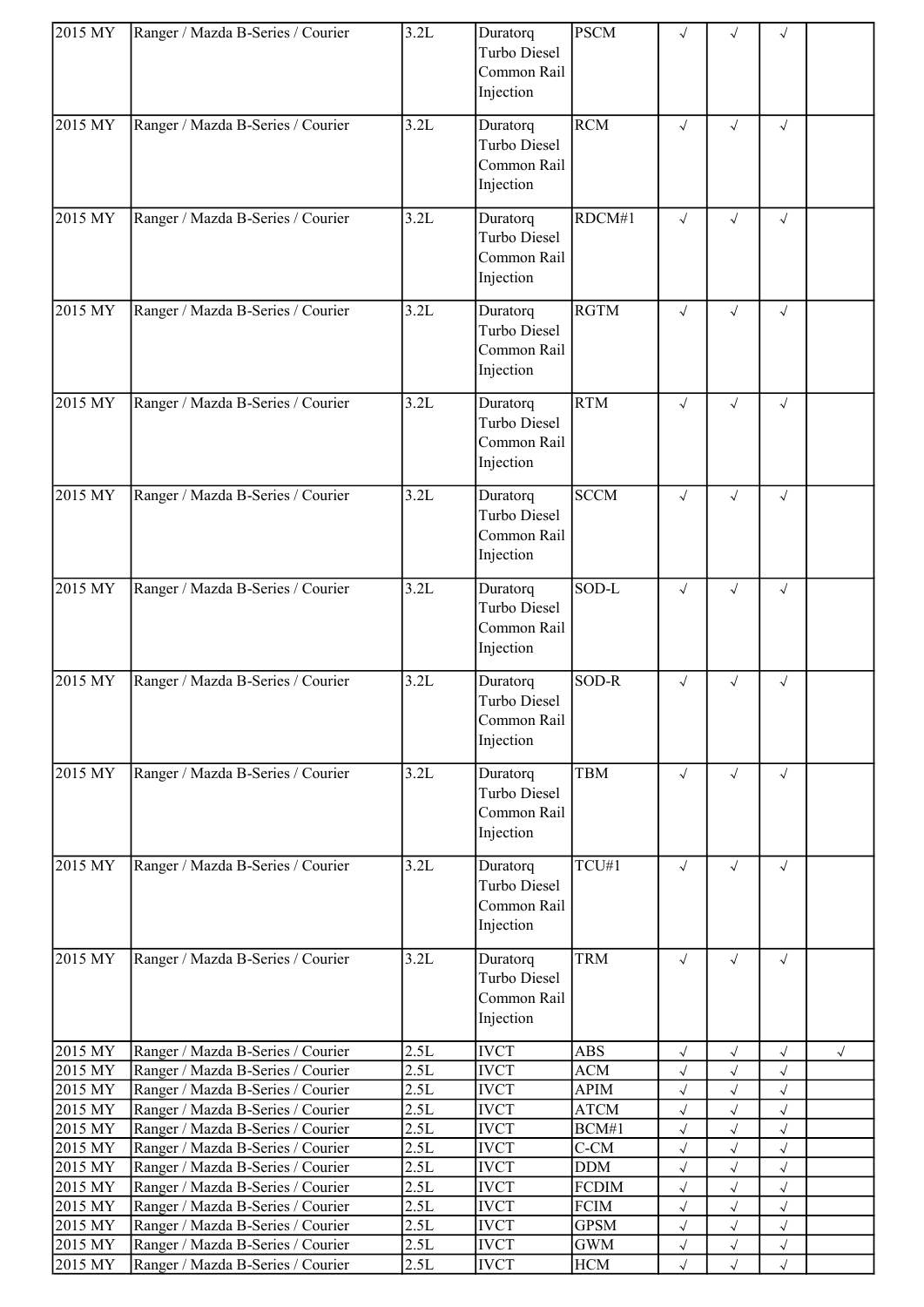| 2015 MY            | Ranger / Mazda B-Series / Courier                                      | 3.2L         | Duratorq<br>Turbo Diesel<br>Common Rail<br>Injection | <b>PSCM</b>                | $\sqrt{}$               | $\sqrt{}$                 | $\sqrt{ }$                 |           |
|--------------------|------------------------------------------------------------------------|--------------|------------------------------------------------------|----------------------------|-------------------------|---------------------------|----------------------------|-----------|
| 2015 MY            | Ranger / Mazda B-Series / Courier                                      | 3.2L         | Duratorq<br>Turbo Diesel<br>Common Rail<br>Injection | RCM                        | $\sqrt{ }$              | $\sqrt{}$                 | $\sqrt{ }$                 |           |
| 2015 MY            | Ranger / Mazda B-Series / Courier                                      | 3.2L         | Duratorq<br>Turbo Diesel<br>Common Rail<br>Injection | RDCM#1                     | $\sqrt{ }$              | $\sqrt{}$                 | $\sqrt{ }$                 |           |
| 2015 MY            | Ranger / Mazda B-Series / Courier                                      | 3.2L         | Duratorq<br>Turbo Diesel<br>Common Rail<br>Injection | <b>RGTM</b>                | $\sqrt{ }$              | $\sqrt{}$                 | $\sqrt{ }$                 |           |
| 2015 MY            | Ranger / Mazda B-Series / Courier                                      | 3.2L         | Duratorq<br>Turbo Diesel<br>Common Rail<br>Injection | <b>RTM</b>                 | $\sqrt{ }$              | $\sqrt{}$                 | $\sqrt{ }$                 |           |
| 2015 MY            | Ranger / Mazda B-Series / Courier                                      | 3.2L         | Duratorq<br>Turbo Diesel<br>Common Rail<br>Injection | <b>SCCM</b>                | $\sqrt{ }$              | $\sqrt{ }$                | $\sqrt{ }$                 |           |
| 2015 MY            | Ranger / Mazda B-Series / Courier                                      | 3.2L         | Duratorq<br>Turbo Diesel<br>Common Rail<br>Injection | SOD-L                      | $\sqrt{ }$              | $\sqrt{ }$                | $\sqrt{ }$                 |           |
| 2015 MY            | Ranger / Mazda B-Series / Courier                                      | 3.2L         | Duratorq<br>Turbo Diesel<br>Common Rail<br>Injection | SOD-R                      | $\sqrt{ }$              | $\sqrt{ }$                | $\sqrt{ }$                 |           |
| 2015 MY            | Ranger / Mazda B-Series / Courier                                      | 3.2L         | Duratorq<br>Turbo Diesel<br>Common Rail<br>Injection | TBM                        | $\sqrt{ }$              | $\sqrt{ }$                | $\sqrt{ }$                 |           |
| 2015 MY            | Ranger / Mazda B-Series / Courier                                      | 3.2L         | Duratorq<br>Turbo Diesel<br>Common Rail<br>Injection | TCU#1                      | $\sqrt{}$               | $\sqrt{ }$                | $\sqrt{ }$                 |           |
| 2015 MY            | Ranger / Mazda B-Series / Courier                                      | 3.2L         | Duratorq<br>Turbo Diesel<br>Common Rail<br>Injection | <b>TRM</b>                 | $\sqrt{ }$              | $\sqrt{ }$                | $\sqrt{ }$                 |           |
| 2015 MY            | Ranger / Mazda B-Series / Courier                                      | 2.5L         | <b>IVCT</b>                                          | <b>ABS</b>                 | $\sqrt{}$               | $\sqrt{ }$                | $\sqrt{ }$                 | $\sqrt{}$ |
| 2015 MY            | Ranger / Mazda B-Series / Courier                                      | 2.5L         | <b>IVCT</b>                                          | <b>ACM</b>                 | $\sqrt{ }$              | $\sqrt{}$                 | $\sqrt{ }$                 |           |
| 2015 MY<br>2015 MY | Ranger / Mazda B-Series / Courier<br>Ranger / Mazda B-Series / Courier | 2.5L<br>2.5L | <b>IVCT</b><br><b>IVCT</b>                           | <b>APIM</b><br><b>ATCM</b> | $\sqrt{}$<br>$\sqrt{ }$ | $\sqrt{}$<br>$\checkmark$ | $\sqrt{ }$<br>$\sqrt{ }$   |           |
| 2015 MY            | Ranger / Mazda B-Series / Courier                                      | 2.5L         | <b>IVCT</b>                                          | BCM#1                      | $\sqrt{ }$              | $\sqrt{2}$                | $\checkmark$               |           |
| 2015 MY            | Ranger / Mazda B-Series / Courier                                      | 2.5L         | <b>IVCT</b>                                          | $C-CM$                     | $\sqrt{ }$              | $\sqrt{2}$                | $\sqrt{ }$                 |           |
| 2015 MY            | Ranger / Mazda B-Series / Courier                                      | 2.5L         | <b>IVCT</b>                                          | $DDM$                      | $\sqrt{ }$              | $\sqrt{}$                 | $\sqrt{ }$                 |           |
| 2015 MY            | Ranger / Mazda B-Series / Courier                                      | 2.5L         | <b>IVCT</b>                                          | <b>FCDIM</b>               | $\sqrt{2}$              | $\sqrt{2}$                | $\sqrt{2}$                 |           |
| 2015 MY<br>2015 MY | Ranger / Mazda B-Series / Courier<br>Ranger / Mazda B-Series / Courier | 2.5L<br>2.5L | <b>IVCT</b><br><b>IVCT</b>                           | <b>FCIM</b><br><b>GPSM</b> | $\sqrt{}$<br>$\sqrt{ }$ | $\sqrt{}$<br>$\sqrt{ }$   | $\checkmark$<br>$\sqrt{ }$ |           |
| 2015 MY            | Ranger / Mazda B-Series / Courier                                      | 2.5L         | <b>IVCT</b>                                          | <b>GWM</b>                 | $\sqrt{ }$              | $\sqrt{ }$                | $\sqrt{ }$                 |           |
| 2015 MY            | Ranger / Mazda B-Series / Courier                                      | 2.5L         | <b>IVCT</b>                                          | <b>HCM</b>                 | $\sqrt{ }$              | $\sqrt{ }$                | $\sqrt{ }$                 |           |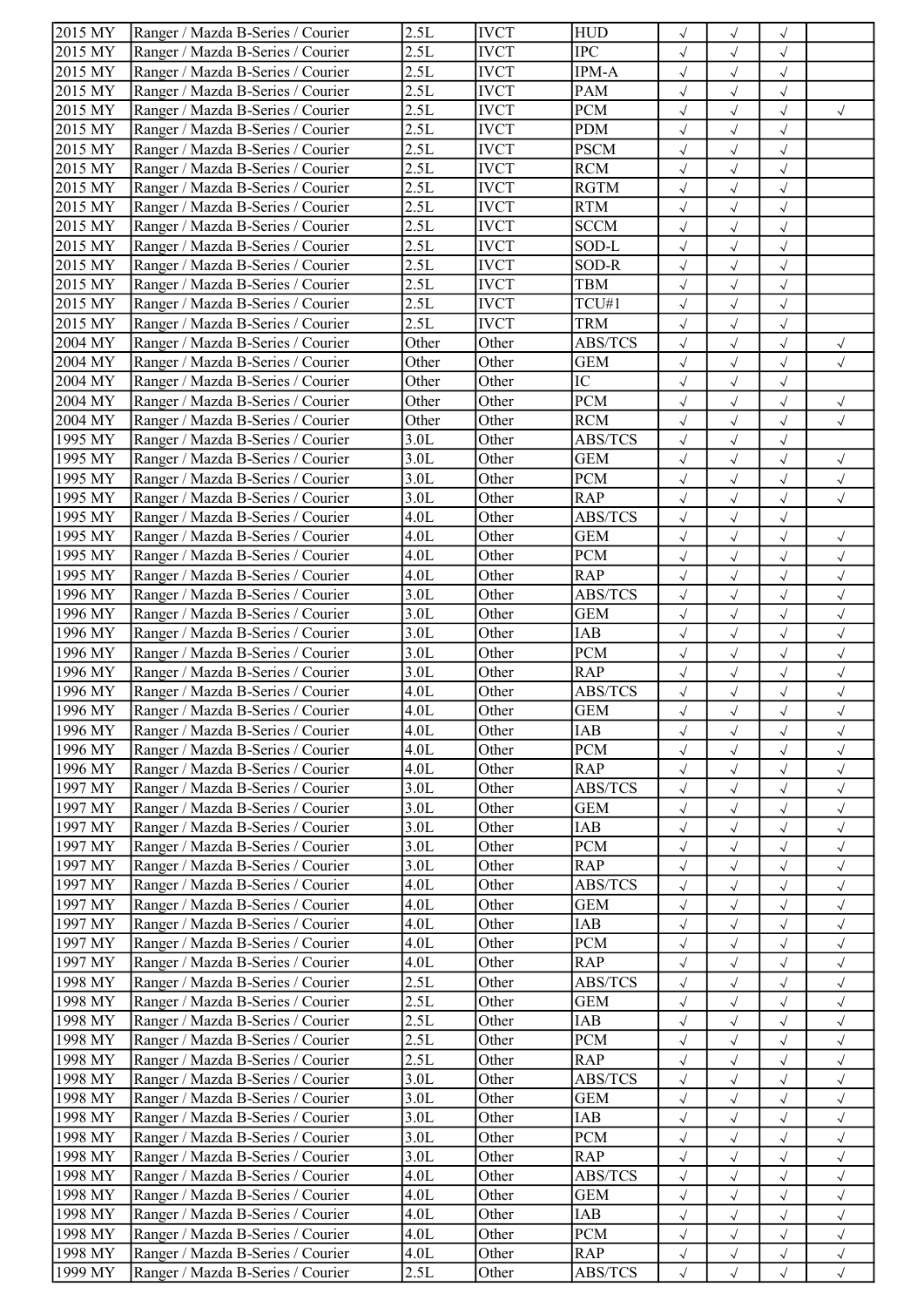| 2015 MY | Ranger / Mazda B-Series / Courier | 2.5L             | <b>IVCT</b> | <b>HUD</b>     | $\sqrt{}$            | $\sqrt{}$    | $\sqrt{ }$           |              |
|---------|-----------------------------------|------------------|-------------|----------------|----------------------|--------------|----------------------|--------------|
| 2015 MY | Ranger / Mazda B-Series / Courier | 2.5L             | <b>IVCT</b> | <b>IPC</b>     | $\sqrt{ }$           | $\sqrt{}$    | $\sqrt{}$            |              |
| 2015 MY | Ranger / Mazda B-Series / Courier | 2.5L             | <b>IVCT</b> | IPM-A          | $\sqrt{ }$           | $\sqrt{}$    | $\sqrt{ }$           |              |
| 2015 MY | Ranger / Mazda B-Series / Courier | 2.5L             | <b>IVCT</b> | <b>PAM</b>     | $\sqrt{ }$           | $\sqrt{}$    | $\sqrt{ }$           |              |
| 2015 MY | Ranger / Mazda B-Series / Courier | 2.5L             | <b>IVCT</b> | <b>PCM</b>     | $\sqrt{ }$           | $\sqrt{}$    | $\sqrt{ }$           | $\sqrt{ }$   |
| 2015 MY | Ranger / Mazda B-Series / Courier | 2.5L             | <b>IVCT</b> | <b>PDM</b>     | $\sqrt{ }$           | $\sqrt{}$    | $\sqrt{ }$           |              |
| 2015 MY | Ranger / Mazda B-Series / Courier | 2.5L             | <b>IVCT</b> | <b>PSCM</b>    | $\sqrt{ }$           | $\sqrt{ }$   | $\sqrt{ }$           |              |
| 2015 MY | Ranger / Mazda B-Series / Courier | 2.5L             | <b>IVCT</b> | <b>RCM</b>     | $\sqrt{ }$           | $\sqrt{ }$   | $\sqrt{ }$           |              |
| 2015 MY | Ranger / Mazda B-Series / Courier | 2.5L             | <b>IVCT</b> | <b>RGTM</b>    | $\sqrt{ }$           | $\sqrt{ }$   | $\sqrt{ }$           |              |
|         | Ranger / Mazda B-Series / Courier | 2.5L             | <b>IVCT</b> |                |                      |              |                      |              |
| 2015 MY |                                   | 2.5L             |             | <b>RTM</b>     | $\sqrt{ }$           | $\sqrt{ }$   | $\sqrt{ }$           |              |
| 2015 MY | Ranger / Mazda B-Series / Courier |                  | <b>IVCT</b> | <b>SCCM</b>    | $\sqrt{ }$           | $\sqrt{}$    | $\sqrt{}$            |              |
| 2015 MY | Ranger / Mazda B-Series / Courier | 2.5L             | <b>IVCT</b> | SOD-L          | $\sqrt{ }$           | $\sqrt{}$    | $\sqrt{}$            |              |
| 2015 MY | Ranger / Mazda B-Series / Courier | 2.5L             | <b>IVCT</b> | SOD-R          | $\sqrt{2}$           | $\sqrt{2}$   | $\sqrt{2}$           |              |
| 2015 MY | Ranger / Mazda B-Series / Courier | 2.5L             | <b>IVCT</b> | TBM            | $\sqrt{}$            | $\sqrt{}$    | $\sqrt{}$            |              |
| 2015 MY | Ranger / Mazda B-Series / Courier | 2.5L             | <b>IVCT</b> | TCU#1          | $\sqrt{}$            | $\sqrt{\ }$  | $\sqrt{ }$           |              |
| 2015 MY | Ranger / Mazda B-Series / Courier | 2.5L             | <b>IVCT</b> | TRM            | $\sqrt{ }$           | $\sqrt{ }$   | $\sqrt{ }$           |              |
| 2004 MY | Ranger / Mazda B-Series / Courier | Other            | Other       | <b>ABS/TCS</b> | $\sqrt{ }$           | $\sqrt{}$    | $\sqrt{ }$           | $\sqrt{ }$   |
| 2004 MY | Ranger / Mazda B-Series / Courier | Other            | Other       | <b>GEM</b>     | $\sqrt{ }$           | $\sqrt{}$    | $\sqrt{ }$           | $\sqrt{ }$   |
| 2004 MY | Ranger / Mazda B-Series / Courier | Other            | Other       | IC             | $\sqrt{ }$           | $\sqrt{ }$   | $\sqrt{ }$           |              |
| 2004 MY | Ranger / Mazda B-Series / Courier | Other            | Other       | <b>PCM</b>     | $\sqrt{ }$           | $\sqrt{}$    | $\sqrt{ }$           | $\sqrt{ }$   |
| 2004 MY | Ranger / Mazda B-Series / Courier | Other            | Other       | <b>RCM</b>     | $\sqrt{ }$           | $\sqrt{}$    | $\sqrt{ }$           | $\sqrt{ }$   |
| 1995 MY | Ranger / Mazda B-Series / Courier | 3.0 <sub>L</sub> | Other       | <b>ABS/TCS</b> | $\sqrt{ }$           | $\sqrt{ }$   | $\sqrt{ }$           |              |
| 1995 MY | Ranger / Mazda B-Series / Courier | 3.0 <sub>L</sub> | Other       | <b>GEM</b>     | $\sqrt{ }$           | $\sqrt{ }$   | $\sqrt{ }$           | $\sqrt{ }$   |
| 1995 MY | Ranger / Mazda B-Series / Courier | 3.0 <sub>L</sub> | Other       | <b>PCM</b>     | $\sqrt{ }$           | $\sqrt{}$    | $\sqrt{ }$           | $\sqrt{ }$   |
| 1995 MY | Ranger / Mazda B-Series / Courier | 3.0 <sub>L</sub> | Other       | <b>RAP</b>     | $\sqrt{2}$           | $\sqrt{}$    | $\sqrt{2}$           | $\sqrt{2}$   |
| 1995 MY | Ranger / Mazda B-Series / Courier | 4.0L             | Other       | <b>ABS/TCS</b> | $\sqrt{}$            | $\checkmark$ | $\checkmark$         |              |
| 1995 MY | Ranger / Mazda B-Series / Courier | 4.0 <sub>L</sub> | Other       | <b>GEM</b>     |                      |              |                      |              |
|         |                                   |                  |             |                | $\sqrt{}$            | $\sqrt{ }$   | $\sqrt{ }$           | $\sqrt{ }$   |
| 1995 MY | Ranger / Mazda B-Series / Courier | 4.0 <sub>L</sub> | Other       | <b>PCM</b>     | $\sqrt{ }$           | $\sqrt{}$    | $\sqrt{ }$           | $\sqrt{ }$   |
| 1995 MY | Ranger / Mazda B-Series / Courier | 4.0 <sub>L</sub> | Other       | RAP            | $\sqrt{ }$           | $\sqrt{}$    | $\sqrt{ }$           | $\sqrt{ }$   |
| 1996 MY | Ranger / Mazda B-Series / Courier | 3.0L             | Other       | ABS/TCS        | $\sqrt{}$            | $\sqrt{}$    | $\sqrt{ }$           | $\sqrt{ }$   |
| 1996 MY | Ranger / Mazda B-Series / Courier | 3.0 <sub>L</sub> | Other       | <b>GEM</b>     | $\sqrt{ }$           | $\sqrt{ }$   | $\sqrt{ }$           | $\sqrt{ }$   |
| 1996 MY | Ranger / Mazda B-Series / Courier | 3.0 <sub>L</sub> | Other       | IAB            | $\sqrt{ }$           | $\sqrt{ }$   | $\sqrt{ }$           | $\sqrt{ }$   |
| 1996 MY | Ranger / Mazda B-Series / Courier | 3.0L             | Other       | <b>PCM</b>     | $\sqrt{ }$           | $\sqrt{}$    | $\sqrt{ }$           | $\sqrt{ }$   |
| 1996 MY | Ranger / Mazda B-Series / Courier | 3.0 <sub>L</sub> | Other       | <b>RAP</b>     | $\sqrt{ }$           | $\sqrt{ }$   | $\sqrt{ }$           | $\sqrt{ }$   |
| 1996 MY | Ranger / Mazda B-Series / Courier | 4.0 <sub>L</sub> | Other       | <b>ABS/TCS</b> | $\sqrt{ }$           | $\sqrt{ }$   | $\sqrt{ }$           | $\sqrt{ }$   |
| 1996 MY | Ranger / Mazda B-Series / Courier | 4.0 <sub>L</sub> | Other       | <b>GEM</b>     | $\sqrt{2}$           | $\sqrt{2}$   | $\sqrt{}$            | $\sqrt{ }$   |
| 1996 MY | Ranger / Mazda B-Series / Courier | 4.0L             | Other       | IAB            | $\sqrt{}$            | $\sqrt{}$    | $\sqrt{ }$           | $\sqrt{ }$   |
| 1996 MY | Ranger / Mazda B-Series / Courier | 4.0L             | Other       | <b>PCM</b>     | $\checkmark$         | $\sqrt{}$    | $\sqrt{ }$           | $\sqrt{ }$   |
| 1996 MY | Ranger / Mazda B-Series / Courier | 4.0L             | Other       | <b>RAP</b>     | $\sqrt{ }$           | $\sqrt{}$    | $\sqrt{ }$           | $\sqrt{ }$   |
| 1997 MY | Ranger / Mazda B-Series / Courier | 3.0 <sub>L</sub> | Other       | ABS/TCS        | $\sqrt{ }$           | $\sqrt{}$    | $\sqrt{\phantom{a}}$ | $\sqrt{ }$   |
| 1997 MY | Ranger / Mazda B-Series / Courier | 3.0 <sub>L</sub> | Other       | <b>GEM</b>     | $\sqrt{ }$           | $\sqrt{}$    | $\sqrt{\phantom{a}}$ | $\sqrt{ }$   |
| 1997 MY | Ranger / Mazda B-Series / Courier | 3.0 <sub>L</sub> | Other       | IAB            | $\sqrt{ }$           | $\sqrt{ }$   | $\sqrt{ }$           | $\sqrt{ }$   |
| 1997 MY | Ranger / Mazda B-Series / Courier | 3.0 <sub>L</sub> | Other       | <b>PCM</b>     | $\sqrt{ }$           | $\sqrt{}$    | $\sqrt{ }$           | $\sqrt{ }$   |
| 1997 MY | Ranger / Mazda B-Series / Courier | 3.0L             | Other       | <b>RAP</b>     | $\sqrt{\phantom{a}}$ | $\sqrt{ }$   | $\sqrt{ }$           | $\sqrt{ }$   |
| 1997 MY | Ranger / Mazda B-Series / Courier | 4.0L             | Other       | ABS/TCS        | $\sqrt{ }$           | $\sqrt{ }$   | $\sqrt{\phantom{a}}$ | $\sqrt{ }$   |
| 1997 MY | Ranger / Mazda B-Series / Courier | 4.0L             | Other       | <b>GEM</b>     | $\sqrt{ }$           | $\sqrt{}$    | $\sqrt{\phantom{a}}$ | $\sqrt{ }$   |
| 1997 MY | Ranger / Mazda B-Series / Courier | 4.0L             | Other       | <b>IAB</b>     | $\sqrt{}$            | $\sqrt{ }$   | $\sqrt{ }$           | $\checkmark$ |
| 1997 MY | Ranger / Mazda B-Series / Courier | 4.0L             | Other       | <b>PCM</b>     | $\sqrt{ }$           | $\sqrt{}$    | $\sqrt{ }$           | $\checkmark$ |
| 1997 MY | Ranger / Mazda B-Series / Courier | 4.0L             | Other       | <b>RAP</b>     | $\checkmark$         | $\sqrt{}$    | $\sqrt{ }$           | $\sqrt{ }$   |
| 1998 MY | Ranger / Mazda B-Series / Courier | 2.5L             | Other       | ABS/TCS        | $\sqrt{ }$           | $\checkmark$ | $\sqrt{ }$           | $\checkmark$ |
| 1998 MY | Ranger / Mazda B-Series / Courier | 2.5L             | Other       | <b>GEM</b>     | $\sqrt{ }$           | $\sqrt{}$    | $\sqrt{ }$           | $\sqrt{ }$   |
| 1998 MY | Ranger / Mazda B-Series / Courier | 2.5L             | Other       | IAB            | $\sqrt{}$            | $\sqrt{}$    | $\sqrt{ }$           | $\sqrt{ }$   |
| 1998 MY | Ranger / Mazda B-Series / Courier | 2.5L             | Other       | <b>PCM</b>     | $\sqrt{ }$           | $\sqrt{ }$   | $\sqrt{ }$           | $\sqrt{ }$   |
| 1998 MY | Ranger / Mazda B-Series / Courier | 2.5L             | Other       | <b>RAP</b>     | $\sqrt{ }$           | $\sqrt{ }$   | $\sqrt{ }$           | $\sqrt{ }$   |
| 1998 MY | Ranger / Mazda B-Series / Courier | 3.0 <sub>L</sub> | Other       | <b>ABS/TCS</b> | $\checkmark$         | $\sqrt{}$    | $\sqrt{ }$           | $\sqrt{ }$   |
| 1998 MY | Ranger / Mazda B-Series / Courier | 3.0L             | Other       | <b>GEM</b>     | $\sqrt{ }$           | $\sqrt{ }$   | $\sqrt{ }$           | $\checkmark$ |
| 1998 MY | Ranger / Mazda B-Series / Courier | 3.0 <sub>L</sub> | Other       | IAB            | $\sqrt{ }$           | $\sqrt{ }$   | $\sqrt{ }$           | $\sqrt{ }$   |
| 1998 MY | Ranger / Mazda B-Series / Courier | 3.0 <sub>L</sub> | Other       | <b>PCM</b>     | $\sqrt{ }$           | $\sqrt{}$    | $\sqrt{ }$           | $\sqrt{ }$   |
| 1998 MY | Ranger / Mazda B-Series / Courier | 3.0 <sub>L</sub> | Other       | <b>RAP</b>     | $\sqrt{ }$           | $\sqrt{ }$   | $\sqrt{ }$           | $\sqrt{ }$   |
| 1998 MY | Ranger / Mazda B-Series / Courier | 4.0L             | Other       | ABS/TCS        | $\sqrt{ }$           | $\sqrt{ }$   | $\sqrt{ }$           | $\sqrt{ }$   |
| 1998 MY | Ranger / Mazda B-Series / Courier | 4.0L             | Other       | <b>GEM</b>     | $\checkmark$         | $\sqrt{ }$   | $\sqrt{ }$           | $\sqrt{ }$   |
| 1998 MY | Ranger / Mazda B-Series / Courier | 4.0L             | Other       | IAB            | $\sqrt{ }$           | $\sqrt{}$    | $\sqrt{ }$           | $\checkmark$ |
| 1998 MY | Ranger / Mazda B-Series / Courier | 4.0L             | Other       | <b>PCM</b>     | $\checkmark$         | $\sqrt{}$    | $\sqrt{ }$           | $\sqrt{ }$   |
| 1998 MY | Ranger / Mazda B-Series / Courier | 4.0L             | Other       | <b>RAP</b>     | $\sqrt{ }$           | $\sqrt{ }$   | $\sqrt{ }$           | $\sqrt{ }$   |
| 1999 MY | Ranger / Mazda B-Series / Courier | $2.5L$           | Other       | ABS/TCS        | $\sqrt{ }$           | $\sqrt{ }$   | $\sqrt{ }$           | $\sqrt{ }$   |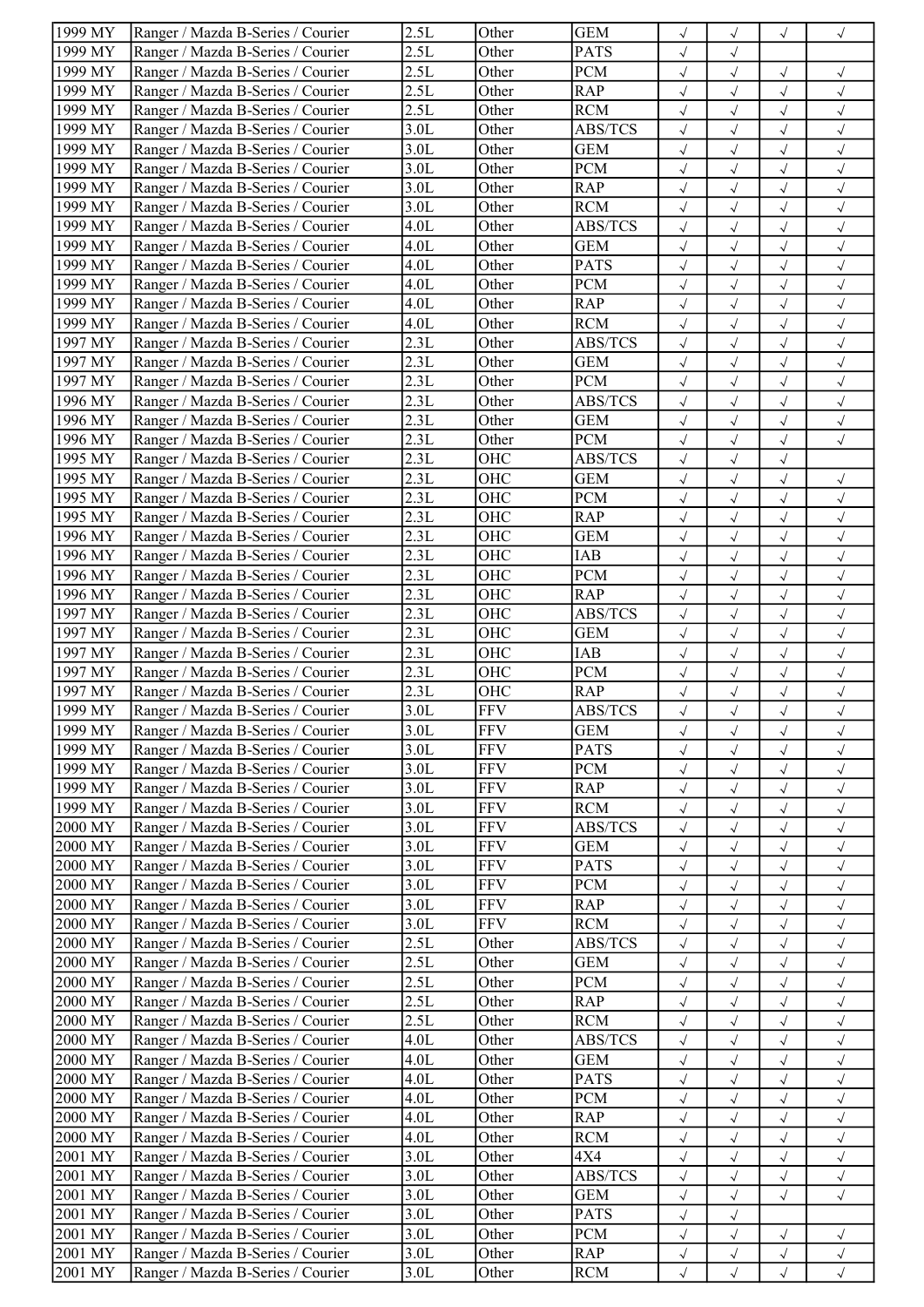| 1999 MY | Ranger / Mazda B-Series / Courier | 2.5L             | Other      | <b>GEM</b>     | $\sqrt{}$    | $\sqrt{}$    | $\sqrt{}$                | $\sqrt{ }$   |
|---------|-----------------------------------|------------------|------------|----------------|--------------|--------------|--------------------------|--------------|
| 1999 MY | Ranger / Mazda B-Series / Courier | 2.5L             | Other      | <b>PATS</b>    | $\sqrt{ }$   | $\sqrt{}$    |                          |              |
| 1999 MY | Ranger / Mazda B-Series / Courier | 2.5L             | Other      | <b>PCM</b>     | $\sqrt{ }$   | $\sqrt{}$    | $\sqrt{ }$               | $\sqrt{ }$   |
| 1999 MY | Ranger / Mazda B-Series / Courier | 2.5L             | Other      | RAP            | $\sqrt{ }$   | $\sqrt{}$    | $\sqrt{ }$               | $\sqrt{ }$   |
| 1999 MY | Ranger / Mazda B-Series / Courier | 2.5L             | Other      | <b>RCM</b>     | $\sqrt{ }$   | $\sqrt{}$    | $\sqrt{ }$               | $\sqrt{ }$   |
| 1999 MY | Ranger / Mazda B-Series / Courier | 3.0 <sub>L</sub> | Other      | ABS/TCS        | $\sqrt{ }$   | $\sqrt{}$    | $\sqrt{ }$               | $\sqrt{ }$   |
| 1999 MY | Ranger / Mazda B-Series / Courier | 3.0 <sub>L</sub> | Other      | GEM            | $\sqrt{ }$   | $\sqrt{ }$   | $\sqrt{ }$               | $\sqrt{ }$   |
| 1999 MY | Ranger / Mazda B-Series / Courier | 3.0 <sub>L</sub> | Other      | <b>PCM</b>     | $\sqrt{ }$   | $\sqrt{ }$   | $\sqrt{}$                | $\sqrt{ }$   |
| 1999 MY | Ranger / Mazda B-Series / Courier | 3.0 <sub>L</sub> | Other      | RAP            | $\sqrt{ }$   | $\sqrt{ }$   | $\sqrt{\phantom{a}}$     | $\sqrt{ }$   |
| 1999 MY | Ranger / Mazda B-Series / Courier | 3.0L             | Other      | <b>RCM</b>     | $\sqrt{ }$   | $\sqrt{ }$   | $\sqrt{ }$               | $\sqrt{ }$   |
| 1999 MY | Ranger / Mazda B-Series / Courier | 4.0L             | Other      | <b>ABS/TCS</b> | $\sqrt{2}$   | $\sqrt{}$    | $\sqrt{}$                | $\sqrt{2}$   |
| 1999 MY | Ranger / Mazda B-Series / Courier | 4.0L             | Other      | <b>GEM</b>     | $\sqrt{ }$   | $\sqrt{}$    | $\sqrt{}$                | $\sqrt{}$    |
| 1999 MY | Ranger / Mazda B-Series / Courier | 4.0L             | Other      | <b>PATS</b>    | $\sqrt{2}$   | $\sqrt{2}$   | $\sqrt{2}$               | $\sqrt{2}$   |
| 1999 MY | Ranger / Mazda B-Series / Courier | 4.0L             | Other      | <b>PCM</b>     | $\sqrt{}$    | $\sqrt{}$    | $\sqrt{}$                | $\sqrt{}$    |
| 1999 MY | Ranger / Mazda B-Series / Courier | 4.0L             | Other      | <b>RAP</b>     |              |              |                          |              |
|         |                                   |                  |            |                | $\sqrt{}$    | $\sqrt{ }$   | $\sqrt{ }$               | $\sqrt{ }$   |
| 1999 MY | Ranger / Mazda B-Series / Courier | 4.0L             | Other      | <b>RCM</b>     | $\sqrt{ }$   | $\sqrt{ }$   | $\sqrt{ }$               | $\sqrt{ }$   |
| 1997 MY | Ranger / Mazda B-Series / Courier | 2.3L             | Other      | ABS/TCS        | $\sqrt{ }$   | $\sqrt{}$    | $\sqrt{ }$               | $\sqrt{ }$   |
| 1997 MY | Ranger / Mazda B-Series / Courier | 2.3L             | Other      | <b>GEM</b>     | $\sqrt{ }$   | $\sqrt{}$    | $\sqrt{ }$               | $\sqrt{ }$   |
| 1997 MY | Ranger / Mazda B-Series / Courier | 2.3L             | Other      | <b>PCM</b>     | $\sqrt{ }$   | $\sqrt{ }$   | $\sqrt{ }$               | $\sqrt{ }$   |
| 1996 MY | Ranger / Mazda B-Series / Courier | 2.3L             | Other      | <b>ABS/TCS</b> | $\sqrt{ }$   | $\sqrt{}$    | $\sqrt{ }$               | $\sqrt{ }$   |
| 1996 MY | Ranger / Mazda B-Series / Courier | 2.3L             | Other      | <b>GEM</b>     | $\sqrt{ }$   | $\sqrt{}$    | $\sqrt{ }$               | $\sqrt{ }$   |
| 1996 MY | Ranger / Mazda B-Series / Courier | 2.3L             | Other      | <b>PCM</b>     | $\sqrt{ }$   | $\sqrt{ }$   | $\sqrt{ }$               | $\checkmark$ |
| 1995 MY | Ranger / Mazda B-Series / Courier | 2.3L             | OHC        | <b>ABS/TCS</b> | $\sqrt{ }$   | $\sqrt{ }$   | $\sqrt{ }$               |              |
| 1995 MY | Ranger / Mazda B-Series / Courier | 2.3L             | OHC        | <b>GEM</b>     | $\sqrt{ }$   | $\checkmark$ | $\sqrt{}$                | $\sqrt{ }$   |
| 1995 MY | Ranger / Mazda B-Series / Courier | 2.3L             | OHC        | <b>PCM</b>     | $\sqrt{2}$   | $\sqrt{2}$   | $\sqrt{2}$               | $\sqrt{}$    |
| 1995 MY | Ranger / Mazda B-Series / Courier | 2.3L             | OHC        | <b>RAP</b>     | $\sqrt{}$    | $\sqrt{}$    | $\sqrt{2}$               | $\sqrt{}$    |
| 1996 MY | Ranger / Mazda B-Series / Courier | 2.3L             | OHC        | <b>GEM</b>     | $\sqrt{}$    | $\sqrt{ }$   | $\sqrt{ }$               | $\sqrt{ }$   |
| 1996 MY | Ranger / Mazda B-Series / Courier | 2.3L             | OHC        | IAB            | $\sqrt{ }$   | $\sqrt{}$    | $\sqrt{ }$               | $\sqrt{ }$   |
| 1996 MY | Ranger / Mazda B-Series / Courier | 2.3L             | OHC        | <b>PCM</b>     | $\sqrt{ }$   | $\sqrt{}$    | $\sqrt{ }$               | $\sqrt{ }$   |
| 1996 MY | Ranger / Mazda B-Series / Courier | 2.3L             | OHC        | <b>RAP</b>     | $\sqrt{ }$   | $\sqrt{}$    | $\sqrt{ }$               | $\sqrt{ }$   |
| 1997 MY | Ranger / Mazda B-Series / Courier | 2.3L             | OHC        | <b>ABS/TCS</b> | $\sqrt{2}$   | $\sqrt{ }$   | $\sqrt{ }$               | $\sqrt{ }$   |
| 1997 MY | Ranger / Mazda B-Series / Courier | 2.3L             | OHC        | GEM            | $\sqrt{ }$   | $\sqrt{ }$   | $\sqrt{ }$               | $\sqrt{ }$   |
| 1997 MY | Ranger / Mazda B-Series / Courier | 2.3L             | OHC        | IAB            | $\sqrt{ }$   | $\sqrt{}$    | $\sqrt{ }$               | $\sqrt{ }$   |
| 1997 MY | Ranger / Mazda B-Series / Courier | 2.3L             | OHC        | <b>PCM</b>     | $\sqrt{ }$   | $\sqrt{ }$   | $\sqrt{ }$               | $\sqrt{ }$   |
| 1997 MY | Ranger / Mazda B-Series / Courier | 2.3L             | OHC        | <b>RAP</b>     | $\sqrt{ }$   | $\sqrt{ }$   | $\sqrt{ }$               | $\sqrt{ }$   |
| 1999 MY | Ranger / Mazda B-Series / Courier | 3.0 <sub>L</sub> | <b>FFV</b> | ABS/TCS        | $\sqrt{2}$   | $\sqrt{2}$   | $\sqrt{2}$               | $\sqrt{ }$   |
| 1999 MY | Ranger / Mazda B-Series / Courier | 3.0L             | <b>FFV</b> | <b>GEM</b>     | $\sqrt{ }$   |              |                          | $\sqrt{ }$   |
| 1999 MY | Ranger / Mazda B-Series / Courier | 3.0 <sub>L</sub> | <b>FFV</b> | <b>PATS</b>    | $\checkmark$ | $\sqrt{ }$   | $\sqrt{ }$<br>$\sqrt{ }$ |              |
| 1999 MY |                                   | 3.0 <sub>L</sub> |            |                |              | $\sqrt{}$    |                          | $\sqrt{ }$   |
|         | Ranger / Mazda B-Series / Courier |                  | <b>FFV</b> | <b>PCM</b>     | $\sqrt{ }$   | $\sqrt{}$    | $\sqrt{ }$               | $\sqrt{ }$   |
| 1999 MY | Ranger / Mazda B-Series / Courier | 3.0 <sub>L</sub> | <b>FFV</b> | <b>RAP</b>     | $\sqrt{ }$   | $\sqrt{}$    | $\sqrt{\phantom{a}}$     | $\sqrt{ }$   |
| 1999 MY | Ranger / Mazda B-Series / Courier | 3.0 <sub>L</sub> | <b>FFV</b> | <b>RCM</b>     | $\sqrt{ }$   | $\sqrt{}$    | $\sqrt{\phantom{a}}$     | $\sqrt{ }$   |
| 2000 MY | Ranger / Mazda B-Series / Courier | 3.0 <sub>L</sub> | <b>FFV</b> | ABS/TCS        | $\sqrt{ }$   | $\sqrt{ }$   | $\sqrt{ }$               | $\sqrt{ }$   |
| 2000 MY | Ranger / Mazda B-Series / Courier | 3.0 <sub>L</sub> | <b>FFV</b> | <b>GEM</b>     | $\sqrt{ }$   | $\sqrt{}$    | $\sqrt{ }$               | $\sqrt{ }$   |
| 2000 MY | Ranger / Mazda B-Series / Courier | 3.0L             | <b>FFV</b> | <b>PATS</b>    | $\sqrt{ }$   | $\sqrt{ }$   | $\sqrt{ }$               | $\sqrt{ }$   |
| 2000 MY | Ranger / Mazda B-Series / Courier | 3.0L             | <b>FFV</b> | <b>PCM</b>     | $\sqrt{ }$   | $\sqrt{ }$   | $\sqrt{ }$               | $\sqrt{ }$   |
| 2000 MY | Ranger / Mazda B-Series / Courier | 3.0L             | <b>FFV</b> | <b>RAP</b>     | $\sqrt{ }$   | $\sqrt{}$    | $\sqrt{\phantom{a}}$     | $\sqrt{ }$   |
| 2000 MY | Ranger / Mazda B-Series / Courier | 3.0 <sub>L</sub> | <b>FFV</b> | <b>RCM</b>     | $\sqrt{}$    | $\sqrt{ }$   | $\sqrt{ }$               | $\checkmark$ |
| 2000 MY | Ranger / Mazda B-Series / Courier | 2.5L             | Other      | <b>ABS/TCS</b> | $\sqrt{ }$   | $\sqrt{ }$   | $\sqrt{ }$               | $\checkmark$ |
| 2000 MY | Ranger / Mazda B-Series / Courier | 2.5L             | Other      | <b>GEM</b>     | $\checkmark$ | $\sqrt{}$    | $\sqrt{ }$               | $\sqrt{ }$   |
| 2000 MY | Ranger / Mazda B-Series / Courier | 2.5L             | Other      | <b>PCM</b>     | $\sqrt{ }$   | $\checkmark$ | $\sqrt{ }$               | $\checkmark$ |
| 2000 MY | Ranger / Mazda B-Series / Courier | 2.5L             | Other      | <b>RAP</b>     | $\sqrt{ }$   | $\sqrt{}$    | $\sqrt{ }$               | $\sqrt{ }$   |
| 2000 MY | Ranger / Mazda B-Series / Courier | 2.5L             | Other      | <b>RCM</b>     | $\sqrt{}$    | $\sqrt{}$    | $\sqrt{ }$               | $\sqrt{ }$   |
| 2000 MY | Ranger / Mazda B-Series / Courier | 4.0 <sub>L</sub> | Other      | ABS/TCS        | $\sqrt{ }$   | $\sqrt{ }$   | $\sqrt{ }$               | $\sqrt{ }$   |
| 2000 MY | Ranger / Mazda B-Series / Courier | 4.0L             | Other      | <b>GEM</b>     | $\sqrt{ }$   | $\sqrt{}$    | $\sqrt{ }$               | $\sqrt{ }$   |
| 2000 MY | Ranger / Mazda B-Series / Courier | 4.0 <sub>L</sub> | Other      | <b>PATS</b>    | $\checkmark$ | $\sqrt{}$    | $\sqrt{ }$               | $\sqrt{ }$   |
| 2000 MY | Ranger / Mazda B-Series / Courier | 4.0L             | Other      | <b>PCM</b>     | $\checkmark$ | $\sqrt{ }$   | $\sqrt{ }$               | $\checkmark$ |
| 2000 MY | Ranger / Mazda B-Series / Courier | 4.0L             | Other      | <b>RAP</b>     | $\sqrt{ }$   | $\sqrt{ }$   | $\sqrt{ }$               | $\sqrt{ }$   |
| 2000 MY | Ranger / Mazda B-Series / Courier | 4.0L             | Other      | <b>RCM</b>     | $\sqrt{ }$   | $\sqrt{}$    | $\sqrt{ }$               | $\sqrt{ }$   |
| 2001 MY | Ranger / Mazda B-Series / Courier | 3.0 <sub>L</sub> | Other      | 4X4            | $\sqrt{ }$   | $\sqrt{ }$   | $\sqrt{ }$               | $\sqrt{ }$   |
| 2001 MY | Ranger / Mazda B-Series / Courier | 3.0 <sub>L</sub> | Other      | <b>ABS/TCS</b> | $\sqrt{ }$   | $\sqrt{ }$   | $\sqrt{ }$               | $\sqrt{ }$   |
|         |                                   | 3.0 <sub>L</sub> |            | <b>GEM</b>     |              |              |                          |              |
| 2001 MY | Ranger / Mazda B-Series / Courier |                  | Other      |                | $\checkmark$ | $\sqrt{ }$   | $\sqrt{}$                | $\sqrt{}$    |
| 2001 MY | Ranger / Mazda B-Series / Courier | 3.0 <sub>L</sub> | Other      | <b>PATS</b>    | $\sqrt{ }$   | $\sqrt{}$    |                          |              |
| 2001 MY | Ranger / Mazda B-Series / Courier | 3.0L             | Other      | <b>PCM</b>     | $\sqrt{ }$   | $\sqrt{}$    | $\sqrt{\phantom{a}}$     | $\sqrt{ }$   |
| 2001 MY | Ranger / Mazda B-Series / Courier | 3.0 <sub>L</sub> | Other      | <b>RAP</b>     | $\sqrt{ }$   | $\sqrt{}$    | $\sqrt{ }$               | $\sqrt{ }$   |
| 2001 MY | Ranger / Mazda B-Series / Courier | 3.0L             | Other      | <b>RCM</b>     | $\sqrt{ }$   | $\sqrt{ }$   | $\sqrt{ }$               | $\sqrt{ }$   |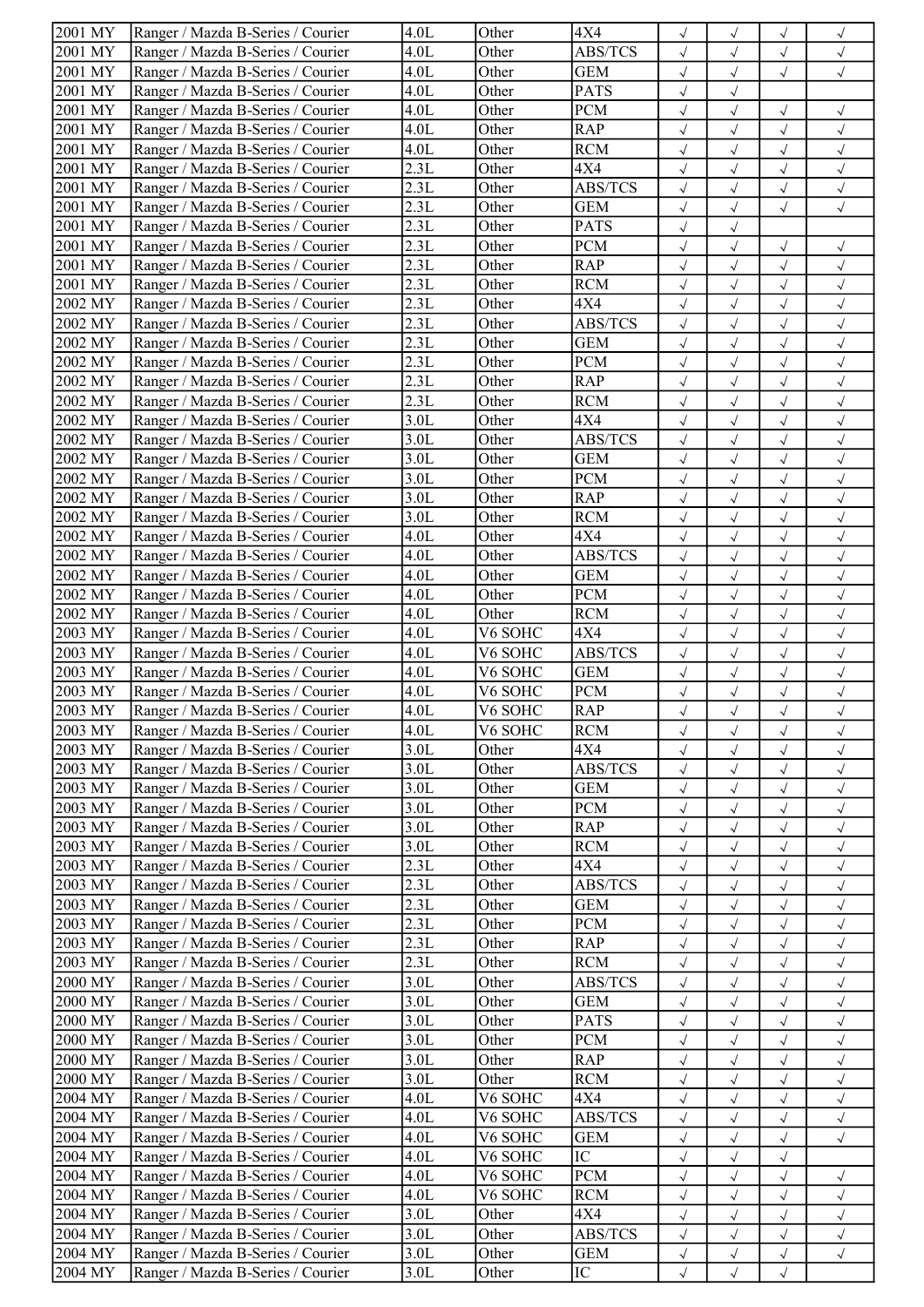| 2001 MY | Ranger / Mazda B-Series / Courier | 4.0L             | Other   | 4X4            | $\sqrt{}$            | $\sqrt{}$    | $\sqrt{}$            | $\sqrt{ }$   |
|---------|-----------------------------------|------------------|---------|----------------|----------------------|--------------|----------------------|--------------|
| 2001 MY | Ranger / Mazda B-Series / Courier | 4.0 <sub>L</sub> | Other   | <b>ABS/TCS</b> | $\sqrt{}$            | $\sqrt{}$    | $\sqrt{}$            | $\sqrt{ }$   |
| 2001 MY | Ranger / Mazda B-Series / Courier | 4.0 <sub>L</sub> | Other   | GEM            | $\sqrt{ }$           | $\sqrt{}$    | $\sqrt{ }$           | $\checkmark$ |
| 2001 MY | Ranger / Mazda B-Series / Courier | 4.0 <sub>L</sub> | Other   | <b>PATS</b>    | $\sqrt{ }$           | $\sqrt{}$    |                      |              |
| 2001 MY | Ranger / Mazda B-Series / Courier | 4.0 <sub>L</sub> | Other   | <b>PCM</b>     | $\sqrt{ }$           | $\sqrt{}$    | $\sqrt{ }$           | $\sqrt{ }$   |
| 2001 MY | Ranger / Mazda B-Series / Courier | 4.0 <sub>L</sub> | Other   | RAP            | $\sqrt{ }$           | $\sqrt{}$    | $\sqrt{ }$           | $\sqrt{ }$   |
| 2001 MY | Ranger / Mazda B-Series / Courier | 4.0L             | Other   | <b>RCM</b>     | $\sqrt{ }$           | $\sqrt{ }$   | $\sqrt{ }$           | $\sqrt{ }$   |
| 2001 MY | Ranger / Mazda B-Series / Courier | 2.3L             | Other   | 4X4            | $\sqrt{ }$           | $\sqrt{ }$   | $\sqrt{}$            | $\sqrt{ }$   |
| 2001 MY | Ranger / Mazda B-Series / Courier | 2.3L             | Other   | <b>ABS/TCS</b> | $\sqrt{ }$           | $\sqrt{ }$   | $\checkmark$         | $\sqrt{ }$   |
| 2001 MY | Ranger / Mazda B-Series / Courier | 2.3L             | Other   | <b>GEM</b>     | $\sqrt{ }$           | $\sqrt{ }$   | $\sqrt{}$            | $\sqrt{ }$   |
| 2001 MY | Ranger / Mazda B-Series / Courier | 2.3L             | Other   | <b>PATS</b>    | $\sqrt{2}$           | $\sqrt{}$    |                      |              |
| 2001 MY | Ranger / Mazda B-Series / Courier | 2.3L             | Other   | <b>PCM</b>     | $\sqrt{ }$           | $\sqrt{}$    | $\sqrt{ }$           | $\sqrt{ }$   |
| 2001 MY | Ranger / Mazda B-Series / Courier | 2.3L             | Other   | <b>RAP</b>     | $\sqrt{2}$           | $\sqrt{2}$   | $\sqrt{2}$           | $\sqrt{2}$   |
| 2001 MY | Ranger / Mazda B-Series / Courier | 2.3L             | Other   | <b>RCM</b>     | $\sqrt{}$            | $\sqrt{}$    | $\sqrt{}$            | $\sqrt{}$    |
| 2002 MY | Ranger / Mazda B-Series / Courier | 2.3L             | Other   | 4X4            | $\sqrt{}$            | $\sqrt{}$    | $\sqrt{ }$           | $\sqrt{ }$   |
| 2002 MY | Ranger / Mazda B-Series / Courier | 2.3L             | Other   | ABS/TCS        | $\sqrt{ }$           | $\sqrt{ }$   | $\sqrt{ }$           | $\sqrt{2}$   |
| 2002 MY | Ranger / Mazda B-Series / Courier | 2.3L             | Other   | <b>GEM</b>     | $\sqrt{ }$           | $\sqrt{}$    | $\sqrt{ }$           | $\sqrt{ }$   |
| 2002 MY | Ranger / Mazda B-Series / Courier | 2.3L             | Other   | <b>PCM</b>     | $\sqrt{ }$           | $\sqrt{}$    | $\sqrt{ }$           | $\sqrt{ }$   |
| 2002 MY | Ranger / Mazda B-Series / Courier | 2.3L             | Other   | <b>RAP</b>     | $\sqrt{ }$           | $\sqrt{ }$   | $\sqrt{ }$           | $\checkmark$ |
| 2002 MY | Ranger / Mazda B-Series / Courier | 2.3L             | Other   | <b>RCM</b>     | $\sqrt{ }$           | $\sqrt{}$    | $\sqrt{ }$           | $\sqrt{ }$   |
|         |                                   | 3.0 <sub>L</sub> |         |                |                      |              |                      |              |
| 2002 MY | Ranger / Mazda B-Series / Courier |                  | Other   | 4X4            | $\sqrt{ }$           | $\sqrt{}$    | $\sqrt{ }$           | $\sqrt{ }$   |
| 2002 MY | Ranger / Mazda B-Series / Courier | 3.0L             | Other   | <b>ABS/TCS</b> | $\sqrt{ }$           | $\sqrt{ }$   | $\sqrt{ }$           | $\sqrt{2}$   |
| 2002 MY | Ranger / Mazda B-Series / Courier | 3.0 <sub>L</sub> | Other   | <b>GEM</b>     | $\sqrt{ }$           | $\sqrt{ }$   | $\sqrt{ }$           | $\sqrt{ }$   |
| 2002 MY | Ranger / Mazda B-Series / Courier | 3.0 <sub>L</sub> | Other   | <b>PCM</b>     | $\sqrt{ }$           | $\checkmark$ | $\sqrt{}$            | $\sqrt{ }$   |
| 2002 MY | Ranger / Mazda B-Series / Courier | 3.0 <sub>L</sub> | Other   | <b>RAP</b>     | $\sqrt{2}$           | $\sqrt{2}$   | $\sqrt{2}$           | $\sqrt{}$    |
| 2002 MY | Ranger / Mazda B-Series / Courier | 3.0 <sub>L</sub> | Other   | <b>RCM</b>     | $\sqrt{}$            | $\sqrt{}$    | $\sqrt{2}$           | $\sqrt{}$    |
| 2002 MY | Ranger / Mazda B-Series / Courier | 4.0L             | Other   | 4X4            | $\sqrt{ }$           | $\sqrt{ }$   | $\sqrt{ }$           | $\sqrt{ }$   |
| 2002 MY | Ranger / Mazda B-Series / Courier | 4.0 <sub>L</sub> | Other   | ABS/TCS        | $\sqrt{ }$           | $\sqrt{}$    | $\sqrt{ }$           | $\sqrt{ }$   |
| 2002 MY | Ranger / Mazda B-Series / Courier | 4.0 <sub>L</sub> | Other   | <b>GEM</b>     | $\sqrt{ }$           | $\sqrt{}$    | $\sqrt{ }$           | $\sqrt{ }$   |
| 2002 MY | Ranger / Mazda B-Series / Courier | 4.0 <sub>L</sub> | Other   | <b>PCM</b>     | $\sqrt{}$            | $\sqrt{}$    | $\sqrt{ }$           | $\sqrt{ }$   |
| 2002 MY | Ranger / Mazda B-Series / Courier | 4.0 <sub>L</sub> | Other   | <b>RCM</b>     | $\sqrt{ }$           | $\sqrt{ }$   | $\sqrt{ }$           | $\sqrt{ }$   |
| 2003 MY | Ranger / Mazda B-Series / Courier | 4.0L             | V6 SOHC | 4X4            | $\sqrt{ }$           | $\sqrt{ }$   | $\sqrt{ }$           | $\sqrt{ }$   |
| 2003 MY | Ranger / Mazda B-Series / Courier | 4.0 <sub>L</sub> | V6 SOHC | <b>ABS/TCS</b> | $\sqrt{ }$           | $\sqrt{}$    | $\sqrt{ }$           | $\sqrt{ }$   |
| 2003 MY | Ranger / Mazda B-Series / Courier | 4.0L             | V6 SOHC | <b>GEM</b>     | $\sqrt{ }$           | $\sqrt{ }$   | $\sqrt{ }$           | $\sqrt{ }$   |
| 2003 MY | Ranger / Mazda B-Series / Courier | 4.0L             | V6 SOHC | <b>PCM</b>     | $\sqrt{}$            | $\sqrt{ }$   | $\sqrt{ }$           | $\sqrt{ }$   |
| 2003 MY | Ranger / Mazda B-Series / Courier | 4.0 <sub>L</sub> | V6 SOHC | <b>RAP</b>     | $\sqrt{2}$           | $\sqrt{2}$   | $\sqrt{2}$           | $\sqrt{ }$   |
| 2003 MY | Ranger / Mazda B-Series / Courier | 4.0L             | V6 SOHC | <b>RCM</b>     | $\sqrt{ }$           | $\sqrt{ }$   | $\sqrt{ }$           | $\sqrt{ }$   |
| 2003 MY | Ranger / Mazda B-Series / Courier | 3.0 <sub>L</sub> | Other   | 4X4            | $\checkmark$         | $\sqrt{}$    | $\sqrt{ }$           | $\sqrt{ }$   |
| 2003 MY | Ranger / Mazda B-Series / Courier | 3.0L             | Other   | <b>ABS/TCS</b> | $\sqrt{ }$           | $\sqrt{}$    | $\sqrt{ }$           | $\sqrt{ }$   |
| 2003 MY | Ranger / Mazda B-Series / Courier | 3.0 <sub>L</sub> | Other   | <b>GEM</b>     | $\sqrt{ }$           | $\sqrt{}$    | $\sqrt{\phantom{a}}$ | $\sqrt{ }$   |
| 2003 MY | Ranger / Mazda B-Series / Courier | 3.0 <sub>L</sub> | Other   | <b>PCM</b>     | $\sqrt{ }$           | $\sqrt{}$    | $\sqrt{\phantom{a}}$ | $\sqrt{ }$   |
| 2003 MY | Ranger / Mazda B-Series / Courier | 3.0 <sub>L</sub> | Other   | <b>RAP</b>     | $\sqrt{ }$           | $\sqrt{ }$   | $\sqrt{ }$           | $\sqrt{ }$   |
| 2003 MY | Ranger / Mazda B-Series / Courier | 3.0L             | Other   | <b>RCM</b>     | $\sqrt{ }$           | $\sqrt{ }$   | $\sqrt{ }$           | $\sqrt{ }$   |
| 2003 MY | Ranger / Mazda B-Series / Courier | 2.3L             | Other   | 4X4            | $\sqrt{ }$           | $\sqrt{ }$   | $\sqrt{ }$           | $\sqrt{ }$   |
| 2003 MY | Ranger / Mazda B-Series / Courier | 2.3L             | Other   | ABS/TCS        | $\sqrt{ }$           | $\sqrt{ }$   | $\sqrt{ }$           | $\sqrt{ }$   |
| 2003 MY | Ranger / Mazda B-Series / Courier | 2.3L             | Other   | <b>GEM</b>     | $\sqrt{ }$           | $\sqrt{}$    | $\sqrt{ }$           | $\sqrt{ }$   |
| 2003 MY | Ranger / Mazda B-Series / Courier | 2.3L             | Other   | <b>PCM</b>     | $\sqrt{}$            | $\sqrt{ }$   | $\sqrt{ }$           | $\checkmark$ |
| 2003 MY |                                   | 2.3L             | Other   | <b>RAP</b>     | $\sqrt{ }$           |              | $\sqrt{ }$           | $\checkmark$ |
|         | Ranger / Mazda B-Series / Courier | 2.3L             |         |                |                      | $\sqrt{}$    |                      |              |
| 2003 MY | Ranger / Mazda B-Series / Courier |                  | Other   | <b>RCM</b>     | $\sqrt{ }$           | $\sqrt{}$    | $\sqrt{ }$           | $\sqrt{ }$   |
| 2000 MY | Ranger / Mazda B-Series / Courier | 3.0 <sub>L</sub> | Other   | <b>ABS/TCS</b> | $\sqrt{ }$           | $\checkmark$ | $\sqrt{ }$           | $\checkmark$ |
| 2000 MY | Ranger / Mazda B-Series / Courier | 3.0 <sub>L</sub> | Other   | <b>GEM</b>     | $\sqrt{ }$           | $\sqrt{}$    | $\sqrt{ }$           | $\sqrt{ }$   |
| 2000 MY | Ranger / Mazda B-Series / Courier | 3.0 <sub>L</sub> | Other   | <b>PATS</b>    | $\sqrt{}$            | $\sqrt{}$    | $\sqrt{ }$           | $\sqrt{ }$   |
| 2000 MY | Ranger / Mazda B-Series / Courier | 3.0 <sub>L</sub> | Other   | <b>PCM</b>     | $\sqrt{ }$           | $\sqrt{ }$   | $\sqrt{ }$           | $\sqrt{ }$   |
| 2000 MY | Ranger / Mazda B-Series / Courier | 3.0 <sub>L</sub> | Other   | <b>RAP</b>     | $\sqrt{ }$           | $\sqrt{ }$   | $\sqrt{ }$           | $\sqrt{ }$   |
| 2000 MY | Ranger / Mazda B-Series / Courier | 3.0L             | Other   | <b>RCM</b>     | $\checkmark$         | $\sqrt{}$    | $\sqrt{ }$           | $\sqrt{ }$   |
| 2004 MY | Ranger / Mazda B-Series / Courier | 4.0L             | V6 SOHC | 4X4            | $\sqrt{ }$           | $\sqrt{ }$   | $\sqrt{ }$           | $\checkmark$ |
| 2004 MY | Ranger / Mazda B-Series / Courier | 4.0L             | V6 SOHC | <b>ABS/TCS</b> | $\sqrt{ }$           | $\sqrt{ }$   | $\sqrt{ }$           | $\sqrt{ }$   |
| 2004 MY | Ranger / Mazda B-Series / Courier | 4.0L             | V6 SOHC | <b>GEM</b>     | $\sqrt{ }$           | $\sqrt{}$    | $\sqrt{ }$           | $\sqrt{ }$   |
| 2004 MY | Ranger / Mazda B-Series / Courier | 4.0L             | V6 SOHC | IC             | $\sqrt{ }$           | $\sqrt{ }$   | $\sqrt{ }$           |              |
| 2004 MY | Ranger / Mazda B-Series / Courier | 4.0L             | V6 SOHC | <b>PCM</b>     | $\sqrt{ }$           | $\sqrt{ }$   | $\sqrt{ }$           | $\sqrt{ }$   |
| 2004 MY | Ranger / Mazda B-Series / Courier | 4.0L             | V6 SOHC | RCM            | $\sqrt{ }$           | $\sqrt{ }$   | $\sqrt{ }$           | $\sqrt{ }$   |
| 2004 MY | Ranger / Mazda B-Series / Courier | 3.0 <sub>L</sub> | Other   | 4X4            | $\sqrt{ }$           | $\sqrt{}$    | $\sqrt{ }$           | $\checkmark$ |
| 2004 MY | Ranger / Mazda B-Series / Courier | 3.0L             | Other   | <b>ABS/TCS</b> | $\checkmark$         | $\sqrt{}$    | $\sqrt{ }$           | $\sqrt{ }$   |
| 2004 MY | Ranger / Mazda B-Series / Courier | 3.0 <sub>L</sub> | Other   | <b>GEM</b>     | $\sqrt{ }$           | $\sqrt{ }$   | $\sqrt{ }$           | $\sqrt{ }$   |
| 2004 MY | Ranger / Mazda B-Series / Courier | 3.0L             | Other   | IC             | $\sqrt{\phantom{a}}$ | $\sqrt{ }$   | $\sqrt{ }$           |              |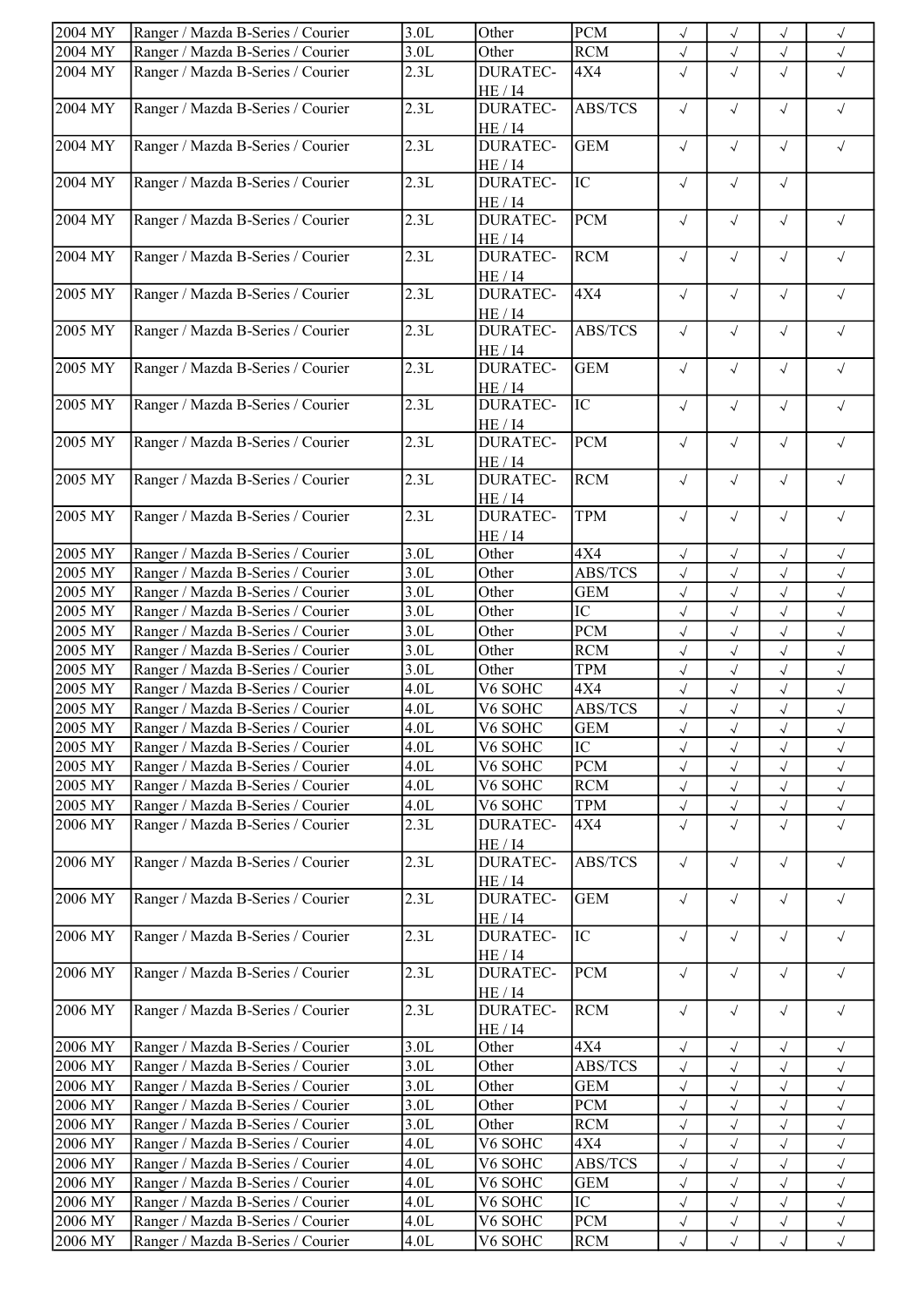| 2004 MY | Ranger / Mazda B-Series / Courier | 3.0 <sub>L</sub> | Other                               | <b>PCM</b>     | $\sqrt{}$    | $\sqrt{}$    | $\sqrt{}$    | $\sqrt{ }$   |
|---------|-----------------------------------|------------------|-------------------------------------|----------------|--------------|--------------|--------------|--------------|
| 2004 MY | Ranger / Mazda B-Series / Courier | 3.0 <sub>L</sub> | Other                               | <b>RCM</b>     | $\checkmark$ | $\checkmark$ | $\sqrt{}$    | $\checkmark$ |
| 2004 MY | Ranger / Mazda B-Series / Courier | 2.3L             | <b>DURATEC-</b><br>HE/IA            | 4X4            | $\sqrt{}$    | $\sqrt{}$    | $\sqrt{}$    | $\sqrt{ }$   |
| 2004 MY | Ranger / Mazda B-Series / Courier | 2.3L             | <b>DURATEC-</b>                     | <b>ABS/TCS</b> | $\sqrt{}$    | $\sqrt{ }$   | $\sqrt{}$    | $\sqrt{ }$   |
| 2004 MY | Ranger / Mazda B-Series / Courier | 2.3L             | HE / 14<br><b>DURATEC-</b>          | <b>GEM</b>     | $\sqrt{}$    | $\sqrt{}$    | $\sqrt{}$    | $\sqrt{ }$   |
| 2004 MY | Ranger / Mazda B-Series / Courier | 2.3L             | HE / I4<br><b>DURATEC-</b>          | IC             | $\sqrt{ }$   | $\sqrt{}$    | $\sqrt{}$    |              |
| 2004 MY | Ranger / Mazda B-Series / Courier | 2.3L             | HE / I4<br><b>DURATEC-</b>          | <b>PCM</b>     | $\sqrt{}$    | $\sqrt{ }$   | $\sqrt{ }$   | $\sqrt{ }$   |
| 2004 MY | Ranger / Mazda B-Series / Courier | 2.3L             | HE / I4<br><b>DURATEC-</b><br>HE/14 | <b>RCM</b>     | $\sqrt{}$    | $\sqrt{ }$   | $\sqrt{}$    | $\sqrt{ }$   |
| 2005 MY | Ranger / Mazda B-Series / Courier | 2.3L             | <b>DURATEC-</b><br>HE / 14          | 4X4            | $\sqrt{}$    | $\sqrt{ }$   | $\sqrt{}$    | $\sqrt{ }$   |
| 2005 MY | Ranger / Mazda B-Series / Courier | 2.3L             | <b>DURATEC-</b><br>HE / 14          | <b>ABS/TCS</b> | $\sqrt{ }$   | $\sqrt{ }$   | $\sqrt{}$    | $\sqrt{ }$   |
| 2005 MY | Ranger / Mazda B-Series / Courier | 2.3L             | <b>DURATEC-</b><br>HE / I4          | <b>GEM</b>     | $\sqrt{ }$   | $\sqrt{ }$   | $\sqrt{}$    | $\sqrt{ }$   |
| 2005 MY | Ranger / Mazda B-Series / Courier | 2.3L             | <b>DURATEC-</b><br>HE / I4          | IC             | $\sqrt{ }$   | $\sqrt{ }$   | $\sqrt{}$    | $\sqrt{ }$   |
| 2005 MY | Ranger / Mazda B-Series / Courier | 2.3L             | <b>DURATEC-</b><br>HE / I4          | PCM            | $\sqrt{ }$   | $\sqrt{ }$   | $\sqrt{}$    | $\sqrt{ }$   |
| 2005 MY | Ranger / Mazda B-Series / Courier | 2.3L             | <b>DURATEC-</b><br>HE/14            | <b>RCM</b>     | $\sqrt{}$    | $\sqrt{ }$   | $\sqrt{}$    | $\checkmark$ |
| 2005 MY | Ranger / Mazda B-Series / Courier | 2.3L             | <b>DURATEC-</b><br>HE / I4          | <b>TPM</b>     | $\sqrt{ }$   | $\sqrt{}$    | $\sqrt{}$    | $\checkmark$ |
| 2005 MY | Ranger / Mazda B-Series / Courier | 3.0 <sub>L</sub> | Other                               | 4X4            | $\sqrt{2}$   | $\sqrt{2}$   | $\checkmark$ | $\checkmark$ |
| 2005 MY | Ranger / Mazda B-Series / Courier | 3.0 <sub>L</sub> | Other                               | ABS/TCS        | $\checkmark$ | $\sqrt{}$    | $\sqrt{2}$   | $\checkmark$ |
| 2005 MY | Ranger / Mazda B-Series / Courier | 3.0 <sub>L</sub> | Other                               | <b>GEM</b>     | $\checkmark$ | $\checkmark$ | $\sqrt{}$    | $\sqrt{ }$   |
| 2005 MY | Ranger / Mazda B-Series / Courier | 3.0 <sub>L</sub> | Other                               | IC             | $\checkmark$ | $\sqrt{}$    | $\sqrt{ }$   | $\sqrt{}$    |
| 2005 MY | Ranger / Mazda B-Series / Courier | 3.0L             | Other                               | <b>PCM</b>     | $\sqrt{ }$   | $\sqrt{}$    | $\sqrt{ }$   | $\sqrt{ }$   |
| 2005 MY | Ranger / Mazda B-Series / Courier | 3.0 <sub>L</sub> | Other                               | <b>RCM</b>     | $\checkmark$ | $\sqrt{}$    | $\sqrt{}$    | $\sqrt{ }$   |
| 2005 MY | Ranger / Mazda B-Series / Courier | 3.0 <sub>L</sub> | Other                               | <b>TPM</b>     | $\checkmark$ | $\checkmark$ | $\sqrt{ }$   | $\sqrt{ }$   |
| 2005 MY | Ranger / Mazda B-Series / Courier | 4.0L             | V6 SOHC                             | 4X4            | $\checkmark$ | $\sqrt{ }$   | $\sqrt{2}$   | $\checkmark$ |
| 2005 MY | Ranger / Mazda B-Series / Courier | 4.0L             | V6 SOHC                             | <b>ABS/TCS</b> | $\sqrt{}$    | $\sqrt{2}$   | $\sqrt{2}$   | $\sqrt{2}$   |
| 2005 MY | Ranger / Mazda B-Series / Courier | 4.0 <sub>L</sub> | V6 SOHC                             | <b>GEM</b>     | $\sqrt{}$    | $\sqrt{}$    | $\sqrt{}$    | $\sqrt{ }$   |
| 2005 MY | Ranger / Mazda B-Series / Courier | 4.0L             | V6 SOHC                             | IC             | $\sqrt{ }$   | $\sqrt{}$    | $\sqrt{ }$   | $\sqrt{ }$   |
| 2005 MY | Ranger / Mazda B-Series / Courier | 4.0L             | V6 SOHC                             | <b>PCM</b>     | $\sqrt{}$    | $\checkmark$ | $\sqrt{2}$   | $\checkmark$ |
| 2005 MY | Ranger / Mazda B-Series / Courier | 4.0L             | V6 SOHC                             | RCM            | $\sqrt{}$    | $\sqrt{}$    | $\checkmark$ | $\sqrt{ }$   |
| 2005 MY | Ranger / Mazda B-Series / Courier | 4.0L             | V6 SOHC                             | <b>TPM</b>     | $\sqrt{2}$   | $\sqrt{2}$   | $\sqrt{2}$   | $\checkmark$ |
| 2006 MY | Ranger / Mazda B-Series / Courier | 2.3L             | <b>DURATEC-</b><br>HE/14            | 4X4            | $\sqrt{}$    | $\sqrt{}$    | $\sqrt{}$    | $\sqrt{ }$   |
| 2006 MY | Ranger / Mazda B-Series / Courier | 2.3L             | <b>DURATEC-</b><br>HE/14            | ABS/TCS        | $\sqrt{}$    | $\sqrt{ }$   | $\sqrt{}$    | $\sqrt{ }$   |
| 2006 MY | Ranger / Mazda B-Series / Courier | 2.3L             | <b>DURATEC-</b><br>HE/14            | <b>GEM</b>     | $\sqrt{}$    | $\sqrt{}$    | $\sqrt{}$    | $\sqrt{}$    |
| 2006 MY | Ranger / Mazda B-Series / Courier | 2.3L             | <b>DURATEC-</b><br>HE / I4          | IC             | $\sqrt{}$    | $\sqrt{ }$   | $\sqrt{}$    | $\sqrt{}$    |
| 2006 MY | Ranger / Mazda B-Series / Courier | 2.3L             | <b>DURATEC-</b><br>HE / I4          | <b>PCM</b>     | $\sqrt{}$    | $\sqrt{ }$   | $\sqrt{}$    | $\sqrt{ }$   |
| 2006 MY | Ranger / Mazda B-Series / Courier | 2.3L             | <b>DURATEC-</b><br>HE/IA            | <b>RCM</b>     | $\sqrt{}$    | $\sqrt{}$    | $\sqrt{}$    | $\sqrt{ }$   |
| 2006 MY | Ranger / Mazda B-Series / Courier | 3.0 <sub>L</sub> | Other                               | 4X4            | $\sqrt{ }$   | $\sqrt{2}$   | $\sqrt{ }$   | $\checkmark$ |
| 2006 MY | Ranger / Mazda B-Series / Courier | 3.0 <sub>L</sub> | Other                               | ABS/TCS        | $\sqrt{ }$   | $\sqrt{}$    | $\checkmark$ | $\sqrt{}$    |
| 2006 MY | Ranger / Mazda B-Series / Courier | 3.0 <sub>L</sub> | Other                               | <b>GEM</b>     | $\sqrt{}$    | $\sqrt{}$    | $\sqrt{}$    | $\sqrt{}$    |
| 2006 MY | Ranger / Mazda B-Series / Courier | 3.0 <sub>L</sub> | Other                               | <b>PCM</b>     | $\sqrt{ }$   | $\sqrt{}$    | $\sqrt{ }$   | $\sqrt{}$    |
| 2006 MY | Ranger / Mazda B-Series / Courier | 3.0 <sub>L</sub> | Other                               | <b>RCM</b>     | $\sqrt{ }$   | $\sqrt{}$    | $\sqrt{ }$   | $\sqrt{}$    |
| 2006 MY | Ranger / Mazda B-Series / Courier | 4.0L             | V6 SOHC                             | 4X4            | $\sqrt{}$    | $\sqrt{}$    | $\sqrt{ }$   | $\sqrt{}$    |
| 2006 MY | Ranger / Mazda B-Series / Courier | 4.0L             | V6 SOHC                             | ABS/TCS        | $\checkmark$ | $\sqrt{2}$   | $\checkmark$ | $\checkmark$ |
| 2006 MY | Ranger / Mazda B-Series / Courier | 4.0L             | V6 SOHC                             | <b>GEM</b>     | $\sqrt{ }$   | $\sqrt{}$    | $\checkmark$ | $\sqrt{ }$   |
| 2006 MY | Ranger / Mazda B-Series / Courier | 4.0L             | V6 SOHC                             | IC             | $\checkmark$ | $\sqrt{}$    | $\sqrt{}$    | $\sqrt{ }$   |
| 2006 MY | Ranger / Mazda B-Series / Courier | 4.0L             | V6 SOHC                             | <b>PCM</b>     | $\checkmark$ | $\sqrt{}$    | $\checkmark$ | $\sqrt{ }$   |
| 2006 MY | Ranger / Mazda B-Series / Courier | 4.0 <sub>L</sub> | V6 SOHC                             | <b>RCM</b>     | $\checkmark$ | $\sqrt{}$    | $\sqrt{ }$   | $\sqrt{ }$   |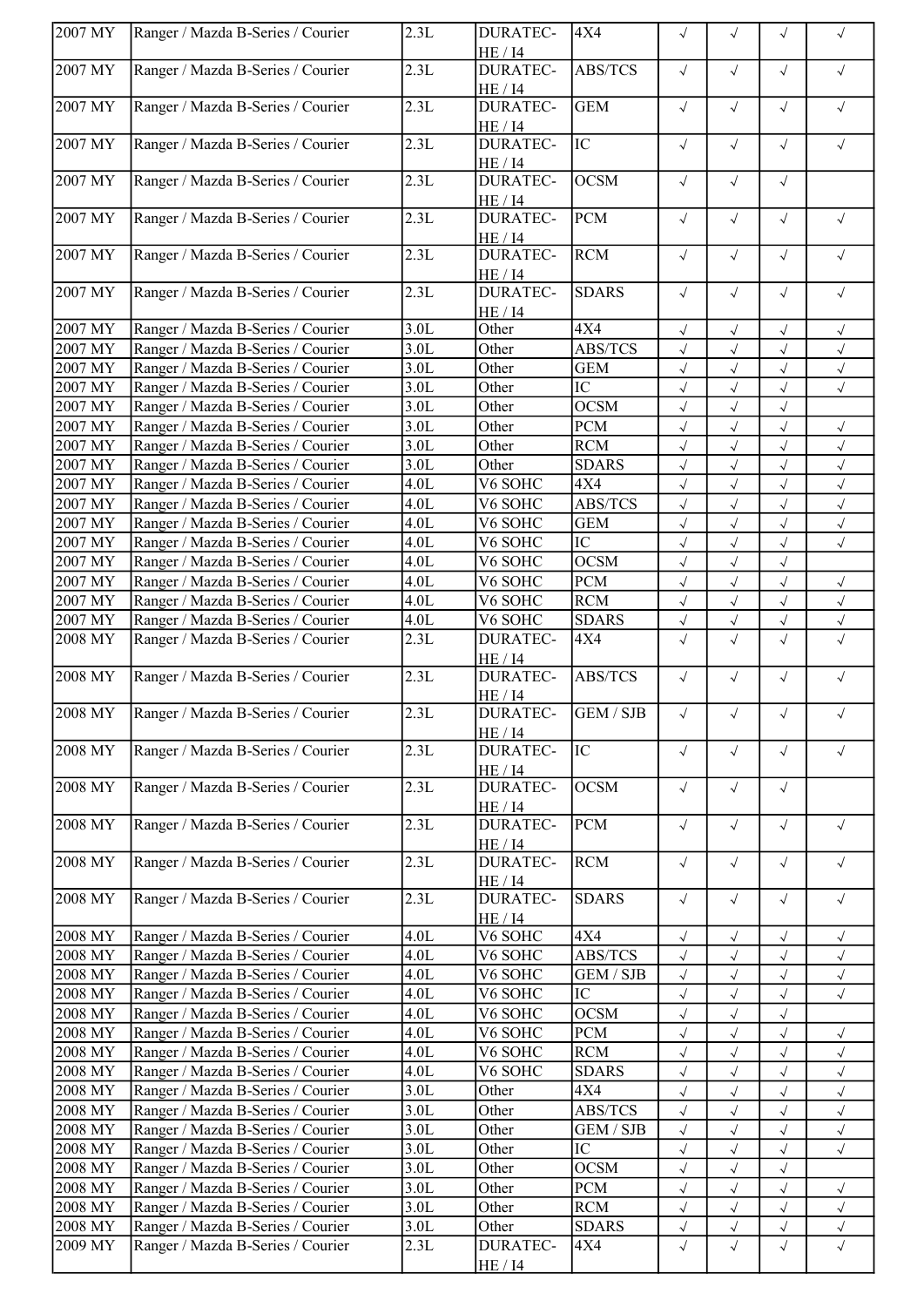| 2007 MY | Ranger / Mazda B-Series / Courier                                      | 2.3L               | <b>DURATEC-</b>                          | 4X4                    | $\sqrt{ }$                         | $\sqrt{}$            | $\sqrt{ }$                         | $\sqrt{ }$                 |
|---------|------------------------------------------------------------------------|--------------------|------------------------------------------|------------------------|------------------------------------|----------------------|------------------------------------|----------------------------|
| 2007 MY | Ranger / Mazda B-Series / Courier                                      | 2.3L               | HE / I4<br><b>DURATEC-</b>               | ABS/TCS                | $\sqrt{ }$                         | $\sqrt{}$            | $\sqrt{ }$                         | $\sqrt{ }$                 |
| 2007 MY | Ranger / Mazda B-Series / Courier                                      | 2.3L               | HE/14<br><b>DURATEC-</b>                 | <b>GEM</b>             | $\sqrt{ }$                         | $\sqrt{ }$           | $\sqrt{ }$                         | $\sqrt{ }$                 |
| 2007 MY | Ranger / Mazda B-Series / Courier                                      | 2.3L               | HE/14<br><b>DURATEC-</b>                 | IC                     | $\sqrt{ }$                         | $\sqrt{ }$           | $\sqrt{ }$                         | $\sqrt{ }$                 |
| 2007 MY | Ranger / Mazda B-Series / Courier                                      | 2.3L               | HE / I4<br><b>DURATEC-</b>               | <b>OCSM</b>            | $\sqrt{}$                          | $\sqrt{ }$           | $\sqrt{ }$                         |                            |
| 2007 MY | Ranger / Mazda B-Series / Courier                                      | 2.3L               | HE/IA<br><b>DURATEC-</b>                 | PCM                    | $\sqrt{ }$                         | $\sqrt{ }$           | $\sqrt{ }$                         | $\sqrt{ }$                 |
| 2007 MY | Ranger / Mazda B-Series / Courier                                      | 2.3L               | HE/IA<br><b>DURATEC-</b>                 | <b>RCM</b>             | $\sqrt{ }$                         | $\sqrt{}$            | $\sqrt{ }$                         | $\sqrt{}$                  |
| 2007 MY | Ranger / Mazda B-Series / Courier                                      | 2.3L               | HE/14<br><b>DURATEC-</b><br>HE / I4      | <b>SDARS</b>           | $\sqrt{ }$                         | $\sqrt{}$            | $\sqrt{ }$                         | $\sqrt{2}$                 |
| 2007 MY | Ranger / Mazda B-Series / Courier                                      | 3.0 <sub>L</sub>   | Other                                    | 4X4                    | $\sqrt{ }$                         | $\sqrt{}$            | $\checkmark$                       | $\checkmark$               |
| 2007 MY | Ranger / Mazda B-Series / Courier                                      | 3.0 <sub>L</sub>   | Other                                    | ABS/TCS                | $\sqrt{ }$                         | $\sqrt{}$            | $\sqrt{ }$                         | $\sqrt{}$                  |
| 2007 MY | Ranger / Mazda B-Series / Courier                                      | 3.0 <sub>L</sub>   | Other                                    | <b>GEM</b>             | $\sqrt{ }$                         | $\sqrt{}$            | $\sqrt{ }$                         | $\checkmark$               |
| 2007 MY | Ranger / Mazda B-Series / Courier                                      | 3.0 <sub>L</sub>   | Other                                    | IC                     | $\checkmark$                       | $\sqrt{}$            | $\sqrt{ }$                         | $\checkmark$               |
| 2007 MY | Ranger / Mazda B-Series / Courier                                      | 3.0 <sub>L</sub>   | Other                                    | <b>OCSM</b>            | $\sqrt{ }$                         | $\sqrt{ }$           | $\sqrt{ }$                         |                            |
| 2007 MY | Ranger / Mazda B-Series / Courier                                      | $\overline{3.0}$ L | Other                                    | <b>PCM</b>             | $\sqrt{ }$                         | $\sqrt{}$            | $\sqrt{ }$                         | $\sqrt{}$                  |
| 2007 MY | Ranger / Mazda B-Series / Courier                                      | 3.0 <sub>L</sub>   | Other                                    | <b>RCM</b>             | $\sqrt{ }$                         | $\sqrt{}$            | $\sqrt{ }$                         | $\sqrt{}$                  |
| 2007 MY | Ranger / Mazda B-Series / Courier                                      | 3.0L               | Other                                    | <b>SDARS</b>           | $\sqrt{ }$                         | $\sqrt{}$            | $\checkmark$                       | $\checkmark$               |
| 2007 MY | Ranger / Mazda B-Series / Courier                                      | 4.0L               | V6 SOHC                                  | 4X4                    | $\sqrt{ }$                         | $\sqrt{}$            | $\sqrt{ }$                         | $\sqrt{}$                  |
| 2007 MY | Ranger / Mazda B-Series / Courier                                      | 4.0L               | V6 SOHC                                  | ABS/TCS                | $\checkmark$                       | $\sqrt{}$            | $\checkmark$                       | $\checkmark$               |
| 2007 MY |                                                                        | 4.0L               | V6 SOHC                                  | <b>GEM</b>             | $\sqrt{ }$                         |                      | $\sqrt{ }$                         | $\sqrt{2}$                 |
|         | Ranger / Mazda B-Series / Courier                                      | 4.0L               |                                          | IC                     | $\sqrt{2}$                         | $\sqrt{}$            |                                    |                            |
| 2007 MY | Ranger / Mazda B-Series / Courier                                      |                    | V6 SOHC                                  |                        |                                    | $\sqrt{}$            | $\sqrt{ }$                         | $\sqrt{2}$                 |
| 2007 MY | Ranger / Mazda B-Series / Courier                                      | 4.0L               | V6 SOHC                                  | <b>OCSM</b>            | $\sqrt{ }$                         | $\sqrt{}$            | $\sqrt{ }$                         |                            |
| 2007 MY | Ranger / Mazda B-Series / Courier                                      | 4.0L               | V6 SOHC                                  | <b>PCM</b>             | $\sqrt{ }$                         | $\sqrt{2}$           | $\sqrt{ }$                         | $\checkmark$               |
| 2007 MY | Ranger / Mazda B-Series / Courier                                      | 4.0L               | V6 SOHC                                  | <b>RCM</b>             | $\checkmark$                       | $\checkmark$         | $\checkmark$                       | $\sqrt{ }$                 |
| 2007 MY | Ranger / Mazda B-Series / Courier                                      | 4.0L               | V6 SOHC                                  | <b>SDARS</b>           | $\checkmark$                       | $\sqrt{}$            | $\sqrt{ }$                         | $\sqrt{ }$                 |
| 2008 MY | Ranger / Mazda B-Series / Courier                                      | 2.3L               | <b>DURATEC-</b><br><b>HE</b> / <b>I4</b> | 4X4                    | $\sqrt{ }$                         | $\sqrt{}$            | $\sqrt{ }$                         | $\sqrt{2}$                 |
| 2008 MY | Ranger / Mazda B-Series / Courier                                      | $\overline{2.3L}$  | <b>DURATEC-</b><br>HE / I4               | <b>ABS/TCS</b>         | $\sqrt{ }$                         | $\sqrt{}$            | $\sqrt{ }$                         | $\sqrt{ }$                 |
| 2008 MY | Ranger / Mazda B-Series / Courier                                      | 2.3L               | <b>DURATEC-</b><br>HE / I4               | GEM / SJB              | $\sqrt{ }$                         | $\sqrt{ }$           | $\sqrt{ }$                         | $\sqrt{ }$                 |
| 2008 MY | Ranger / Mazda B-Series / Courier                                      | 2.3L               | <b>DURATEC-</b><br>HE / I4               | IC                     | $\sqrt{ }$                         | $\sqrt{ }$           | $\sqrt{ }$                         | $\sqrt{ }$                 |
| 2008 MY | Ranger / Mazda B-Series / Courier                                      | 2.3L               | <b>DURATEC-</b><br>HE / I4               | <b>OCSM</b>            | $\sqrt{ }$                         | $\sqrt{ }$           | $\sqrt{ }$                         |                            |
| 2008 MY | Ranger / Mazda B-Series / Courier                                      | 2.3L               | <b>DURATEC-</b><br>HE/IA                 | <b>PCM</b>             | $\sqrt{ }$                         | $\sqrt{ }$           | $\sqrt{\phantom{a}}$               | $\sqrt{ }$                 |
| 2008 MY | Ranger / Mazda B-Series / Courier                                      | 2.3L               | <b>DURATEC-</b><br>HE/IA                 | RCM                    | $\sqrt{\phantom{a}}$               | $\sqrt{ }$           | $\sqrt{ }$                         | $\sqrt{ }$                 |
| 2008 MY | Ranger / Mazda B-Series / Courier                                      | 2.3L               | <b>DURATEC-</b><br>HE/14                 | <b>SDARS</b>           | $\sqrt{\phantom{a}}$               | $\sqrt{ }$           | $\sqrt{ }$                         | $\sqrt{ }$                 |
| 2008 MY | Ranger / Mazda B-Series / Courier                                      | 4.0L               | V6 SOHC                                  | 4X4                    | $\sqrt{ }$                         | $\sqrt{}$            | $\sqrt{ }$                         | $\sqrt{ }$                 |
| 2008 MY | Ranger / Mazda B-Series / Courier                                      | 4.0L               | V6 SOHC                                  | ABS/TCS                | $\sqrt{\phantom{a}}$               | $\sqrt{ }$           | $\sqrt{ }$                         | $\sqrt{\ }$                |
| 2008 MY | Ranger / Mazda B-Series / Courier                                      | 4.0L               | V6 SOHC                                  | GEM / SJB              | $\sqrt{ }$                         | $\sqrt{ }$           | $\sqrt{ }$                         | $\sqrt{}$                  |
| 2008 MY | Ranger / Mazda B-Series / Courier                                      | 4.0L               | V6 SOHC                                  | IC                     | $\sqrt{ }$                         | $\sqrt{}$            | $\sqrt{ }$                         | $\checkmark$               |
| 2008 MY | Ranger / Mazda B-Series / Courier                                      | 4.0 <sub>L</sub>   | V6 SOHC                                  | <b>OCSM</b>            | $\sqrt{ }$                         | $\sqrt{}$            | $\sqrt{ }$                         |                            |
| 2008 MY | Ranger / Mazda B-Series / Courier                                      | 4.0L               | V6 SOHC                                  | <b>PCM</b>             | $\checkmark$                       | $\sqrt{}$            | $\sqrt{ }$                         | $\checkmark$               |
| 2008 MY | Ranger / Mazda B-Series / Courier                                      | 4.0L               | V6 SOHC                                  | <b>RCM</b>             | $\sqrt{ }$                         | $\sqrt{}$            | $\sqrt{\phantom{a}}$               | $\checkmark$               |
| 2008 MY | Ranger / Mazda B-Series / Courier                                      | 4.0L               | V6 SOHC                                  | <b>SDARS</b>           | $\sqrt{ }$                         | $\sqrt{}$            | $\sqrt{ }$                         | $\sqrt{ }$                 |
| 2008 MY | Ranger / Mazda B-Series / Courier                                      | 3.0L               | Other                                    | 4X4                    | $\sqrt{ }$                         | $\sqrt{ }$           | $\checkmark$                       | $\sqrt{2}$                 |
| 2008 MY | Ranger / Mazda B-Series / Courier                                      | 3.0 <sub>L</sub>   | Other                                    | ABS/TCS                | $\sqrt{ }$                         | $\checkmark$         | $\sqrt{ }$                         | $\sqrt{2}$                 |
| 2008 MY | Ranger / Mazda B-Series / Courier                                      | 3.0L               | Other                                    | GEM / SJB              | $\checkmark$                       | $\checkmark$         | $\sqrt{ }$                         | $\checkmark$               |
| 2008 MY | Ranger / Mazda B-Series / Courier                                      | $\overline{3.0}$ L | Other                                    | $\overline{\text{IC}}$ | $\sqrt{ }$                         | $\checkmark$         | $\sqrt{ }$                         | $\sqrt{2}$                 |
| 2008 MY | Ranger / Mazda B-Series / Courier                                      | 3.0L               | Other                                    | <b>OCSM</b>            | $\checkmark$                       |                      | $\checkmark$                       |                            |
| 2008 MY | Ranger / Mazda B-Series / Courier                                      | 3.0L               | Other                                    | <b>PCM</b>             |                                    | $\checkmark$         |                                    |                            |
| 2008 MY |                                                                        | 3.0 <sub>L</sub>   | Other                                    | <b>RCM</b>             | $\sqrt{ }$                         | $\sqrt{ }$           | $\sqrt{ }$                         | $\sqrt{ }$                 |
| 2008 MY | Ranger / Mazda B-Series / Courier                                      | 3.0 <sub>L</sub>   | Other                                    | <b>SDARS</b>           | $\sqrt{ }$                         | $\sqrt{}$            | $\sqrt{ }$                         | $\sqrt{ }$                 |
| 2009 MY | Ranger / Mazda B-Series / Courier<br>Ranger / Mazda B-Series / Courier | 2.3L               | <b>DURATEC-</b>                          | 4X4                    | $\sqrt{\phantom{a}}$<br>$\sqrt{ }$ | $\sqrt{\phantom{a}}$ | $\sqrt{ }$<br>$\sqrt{\phantom{a}}$ | $\sqrt{ }$<br>$\checkmark$ |
|         |                                                                        |                    | HE/14                                    |                        |                                    | $\sqrt{ }$           |                                    |                            |
|         |                                                                        |                    |                                          |                        |                                    |                      |                                    |                            |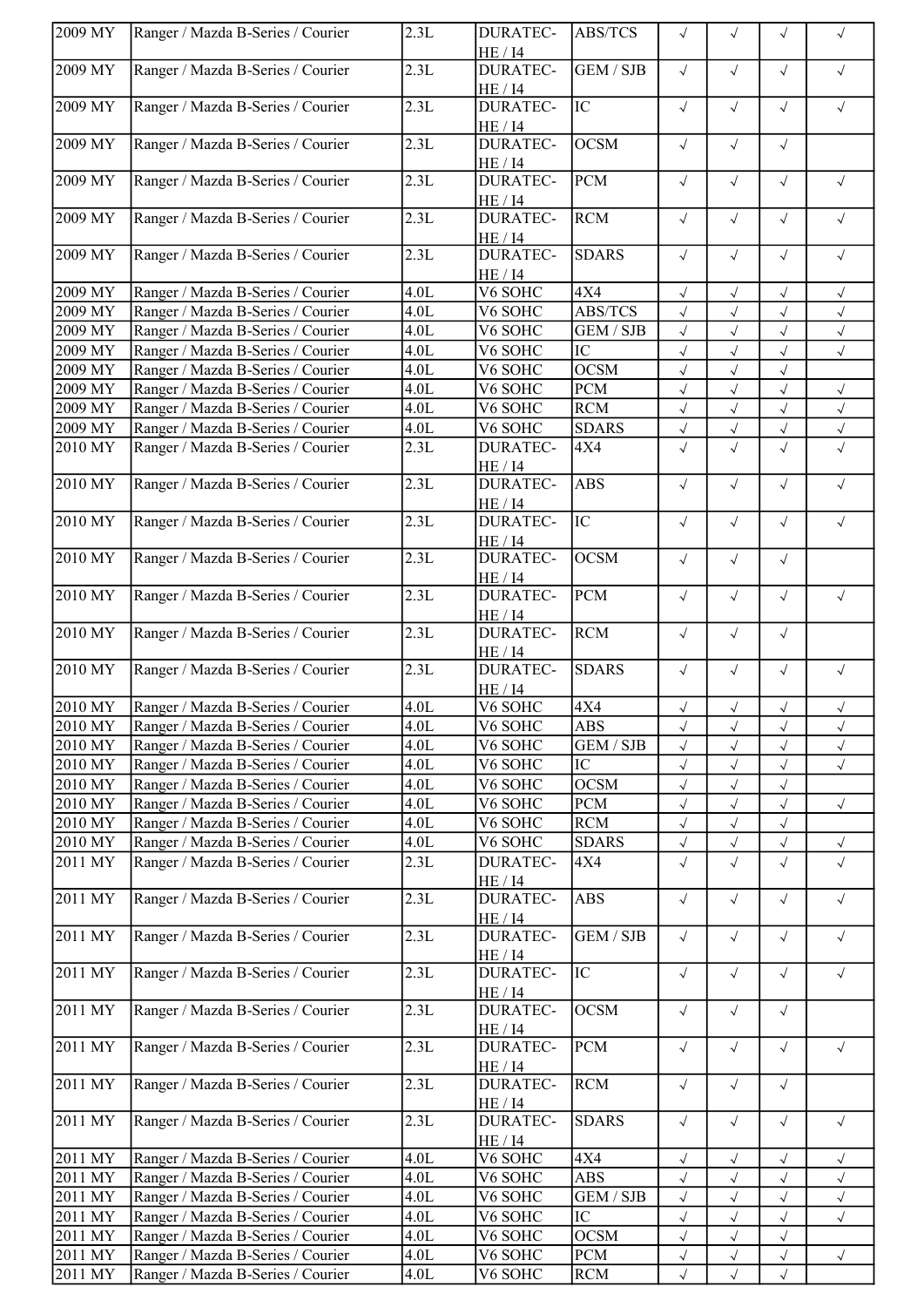| 2009 MY | Ranger / Mazda B-Series / Courier | 2.3L             | <b>DURATEC-</b><br>HE / I4               | ABS/TCS          | $\sqrt{}$    | $\sqrt{ }$   | $\sqrt{}$    | $\sqrt{ }$           |
|---------|-----------------------------------|------------------|------------------------------------------|------------------|--------------|--------------|--------------|----------------------|
| 2009 MY | Ranger / Mazda B-Series / Courier | 2.3L             | <b>DURATEC-</b><br>HE / I4               | <b>GEM / SJB</b> | $\sqrt{}$    | $\sqrt{ }$   | $\sqrt{}$    | $\sqrt{}$            |
| 2009 MY | Ranger / Mazda B-Series / Courier | 2.3L             | <b>DURATEC-</b><br>HE/14                 | IC               | $\sqrt{ }$   | $\sqrt{ }$   | $\sqrt{}$    | $\sqrt{ }$           |
| 2009 MY | Ranger / Mazda B-Series / Courier | 2.3L             | <b>DURATEC-</b><br>HE / I4               | <b>OCSM</b>      | $\sqrt{2}$   | $\sqrt{ }$   | $\sqrt{}$    |                      |
| 2009 MY | Ranger / Mazda B-Series / Courier | 2.3L             | <b>DURATEC-</b><br>HE / I4               | <b>PCM</b>       | $\sqrt{ }$   | $\sqrt{}$    | $\sqrt{}$    | $\sqrt{ }$           |
| 2009 MY | Ranger / Mazda B-Series / Courier | 2.3L             | <b>DURATEC-</b><br>HE / I4               | $\overline{RCM}$ | $\sqrt{2}$   | $\sqrt{}$    | $\sqrt{}$    | $\sqrt{ }$           |
| 2009 MY | Ranger / Mazda B-Series / Courier | 2.3L             | <b>DURATEC-</b><br>HE / I4               | <b>SDARS</b>     | $\sqrt{2}$   | $\sqrt{}$    | $\sqrt{}$    | $\checkmark$         |
| 2009 MY | Ranger / Mazda B-Series / Courier | 4.0 <sub>L</sub> | V6 SOHC                                  | 4X4              | $\sqrt{2}$   | $\sqrt{}$    | $\sqrt{2}$   | $\checkmark$         |
| 2009 MY | Ranger / Mazda B-Series / Courier | 4.0 <sub>L</sub> | V6 SOHC                                  | <b>ABS/TCS</b>   | $\sqrt{2}$   | $\checkmark$ | $\sqrt{2}$   | $\sqrt{ }$           |
| 2009 MY | Ranger / Mazda B-Series / Courier | 4.0 <sub>L</sub> | V6 SOHC                                  | GEM / SJB        | $\sqrt{ }$   | $\sqrt{ }$   | $\sqrt{}$    | $\checkmark$         |
| 2009 MY | Ranger / Mazda B-Series / Courier | 4.0L             | V6 SOHC                                  | IC               | $\checkmark$ | $\sqrt{}$    | $\sqrt{}$    | $\sqrt{ }$           |
| 2009 MY | Ranger / Mazda B-Series / Courier | 4.0L             | V6 SOHC                                  | <b>OCSM</b>      | $\checkmark$ | $\sqrt{ }$   | $\sqrt{ }$   |                      |
| 2009 MY | Ranger / Mazda B-Series / Courier | 4.0L             | V6 SOHC                                  | <b>PCM</b>       | $\sqrt{}$    | $\sqrt{ }$   | $\sqrt{ }$   | $\sqrt{}$            |
| 2009 MY | Ranger / Mazda B-Series / Courier | 4.0 <sub>L</sub> | V6 SOHC                                  | <b>RCM</b>       | $\checkmark$ | $\sqrt{}$    | $\checkmark$ | $\checkmark$         |
| 2009 MY | Ranger / Mazda B-Series / Courier | 4.0 <sub>L</sub> | V6 SOHC                                  | <b>SDARS</b>     | $\sqrt{2}$   | $\sqrt{2}$   | $\sqrt{2}$   | $\checkmark$         |
| 2010 MY | Ranger / Mazda B-Series / Courier | 2.3L             | <b>DURATEC-</b><br><b>HE</b> / <b>I4</b> | 4X4              | $\sqrt{}$    | $\sqrt{ }$   | $\sqrt{}$    | $\sqrt{ }$           |
| 2010 MY | Ranger / Mazda B-Series / Courier | 2.3L             | <b>DURATEC-</b><br>HE / I4               | <b>ABS</b>       | $\sqrt{}$    | $\sqrt{ }$   | $\sqrt{}$    | $\sqrt{ }$           |
| 2010 MY | Ranger / Mazda B-Series / Courier | 2.3L             | <b>DURATEC-</b><br>HE / I4               | IC               | $\sqrt{}$    | $\sqrt{ }$   | $\sqrt{}$    | $\sqrt{ }$           |
| 2010 MY | Ranger / Mazda B-Series / Courier | 2.3L             | <b>DURATEC-</b><br>HE / I4               | <b>OCSM</b>      | $\sqrt{ }$   | $\sqrt{ }$   | $\sqrt{}$    |                      |
| 2010 MY | Ranger / Mazda B-Series / Courier | 2.3L             | <b>DURATEC-</b><br>HE / I4               | PCM              | $\sqrt{ }$   | $\sqrt{ }$   | $\sqrt{}$    | $\sqrt{ }$           |
| 2010 MY | Ranger / Mazda B-Series / Courier | 2.3L             | <b>DURATEC-</b><br><b>HE</b> / <b>I4</b> | <b>RCM</b>       | $\sqrt{ }$   | $\sqrt{ }$   | $\sqrt{}$    |                      |
| 2010 MY | Ranger / Mazda B-Series / Courier | 2.3L             | <b>DURATEC-</b><br><b>HE</b> / <b>I4</b> | <b>SDARS</b>     | $\sqrt{ }$   | $\sqrt{}$    | $\sqrt{2}$   | $\sqrt{ }$           |
| 2010 MY | Ranger / Mazda B-Series / Courier | 4.0L             | V6 SOHC                                  | 4X4              | $\sqrt{2}$   | $\sqrt{}$    | $\sqrt{2}$   | $\checkmark$         |
| 2010 MY | Ranger / Mazda B-Series / Courier | 4.0L             | V6 SOHC                                  | <b>ABS</b>       | $\sqrt{ }$   | $\sqrt{}$    | $\sqrt{}$    | $\sqrt{ }$           |
| 2010 MY | Ranger / Mazda B-Series / Courier | 4.0 <sub>L</sub> | V6 SOHC                                  | GEM / SJB        | $\sqrt{ }$   | $\sqrt{ }$   | $\checkmark$ | $\sqrt{ }$           |
| 2010 MY | Ranger / Mazda B-Series / Courier | 4.0L             | V6 SOHC                                  | IC               | $\checkmark$ | $\sqrt{ }$   | $\sqrt{2}$   | $\checkmark$         |
| 2010 MY | Ranger / Mazda B-Series / Courier | 4.0L             | V6 SOHC                                  | <b>OCSM</b>      | $\checkmark$ | $\sqrt{}$    | $\sqrt{ }$   |                      |
| 2010 MY | Ranger / Mazda B-Series / Courier | 4.0L             | V6 SOHC                                  | <b>PCM</b>       | $\sqrt{ }$   | $\checkmark$ | $\checkmark$ | $\sqrt{ }$           |
| 2010 MY | Ranger / Mazda B-Series / Courier | 4.0 <sub>L</sub> | V6 SOHC                                  | <b>RCM</b>       | $\sqrt{2}$   | $\checkmark$ | $\sqrt{}$    |                      |
| 2010 MY | Ranger / Mazda B-Series / Courier | 4.0L             | V6 SOHC                                  | <b>SDARS</b>     | $\sqrt{}$    | $\sqrt{ }$   | $\sqrt{ }$   | $\sqrt{ }$           |
| 2011 MY | Ranger / Mazda B-Series / Courier | 2.3L             | <b>DURATEC-</b><br><b>HE</b> / <b>I4</b> | 4X4              | $\sqrt{}$    | $\sqrt{ }$   | $\sqrt{}$    | $\sqrt{ }$           |
| 2011 MY | Ranger / Mazda B-Series / Courier | 2.3L             | <b>DURATEC-</b><br>HE/14                 | <b>ABS</b>       | $\sqrt{}$    | $\sqrt{ }$   | $\sqrt{}$    | $\sqrt{ }$           |
| 2011 MY | Ranger / Mazda B-Series / Courier | 2.3L             | <b>DURATEC-</b><br>HE / I4               | GEM / SJB        | $\sqrt{}$    | $\sqrt{ }$   | $\sqrt{}$    | $\sqrt{ }$           |
| 2011 MY | Ranger / Mazda B-Series / Courier | 2.3L             | <b>DURATEC-</b><br>HE / I4               | IC               | $\sqrt{}$    | $\sqrt{ }$   | $\sqrt{}$    | $\sqrt{ }$           |
| 2011 MY | Ranger / Mazda B-Series / Courier | 2.3L             | <b>DURATEC-</b><br>HE / 14               | <b>OCSM</b>      | $\sqrt{ }$   | $\sqrt{ }$   | $\sqrt{}$    |                      |
| 2011 MY | Ranger / Mazda B-Series / Courier | 2.3L             | <b>DURATEC-</b><br>HE/IA                 | <b>PCM</b>       | $\sqrt{ }$   | $\sqrt{ }$   | $\sqrt{}$    | $\sqrt{ }$           |
| 2011 MY | Ranger / Mazda B-Series / Courier | 2.3L             | <b>DURATEC-</b><br>HE / I4               | RCM              | $\sqrt{ }$   | $\sqrt{}$    | $\sqrt{ }$   |                      |
| 2011 MY | Ranger / Mazda B-Series / Courier | 2.3L             | <b>DURATEC-</b><br>HE / I4               | <b>SDARS</b>     | $\sqrt{ }$   | $\sqrt{}$    | $\sqrt{ }$   | $\sqrt{ }$           |
| 2011 MY | Ranger / Mazda B-Series / Courier | 4.0 <sub>L</sub> | V6 SOHC                                  | 4X4              | $\sqrt{ }$   | $\sqrt{}$    | $\sqrt{2}$   | $\checkmark$         |
| 2011 MY | Ranger / Mazda B-Series / Courier | 4.0 <sub>L</sub> | V6 SOHC                                  | <b>ABS</b>       | $\sqrt{ }$   | $\checkmark$ | $\sqrt{2}$   | $\sqrt{ }$           |
| 2011 MY | Ranger / Mazda B-Series / Courier | 4.0L             | V6 SOHC                                  | GEM / SJB        | $\sqrt{ }$   | $\sqrt{}$    | $\sqrt{ }$   | $\sqrt{ }$           |
| 2011 MY | Ranger / Mazda B-Series / Courier | 4.0L             | V6 SOHC                                  | IC               | $\sqrt{ }$   | $\sqrt{ }$   | $\sqrt{ }$   | $\sqrt{\phantom{a}}$ |
| 2011 MY | Ranger / Mazda B-Series / Courier | 4.0L             | V6 SOHC                                  | <b>OCSM</b>      | $\sqrt{ }$   | $\sqrt{ }$   | $\sqrt{ }$   |                      |
| 2011 MY | Ranger / Mazda B-Series / Courier | 4.0L             | V6 SOHC                                  | <b>PCM</b>       | $\sqrt$      | $\sqrt{ }$   | $\sqrt{}$    | $\sqrt{ }$           |
| 2011 MY | Ranger / Mazda B-Series / Courier | 4.0L             | V6 SOHC                                  | RCM              | $\sqrt{2}$   | $\sqrt{ }$   | $\sqrt{}$    |                      |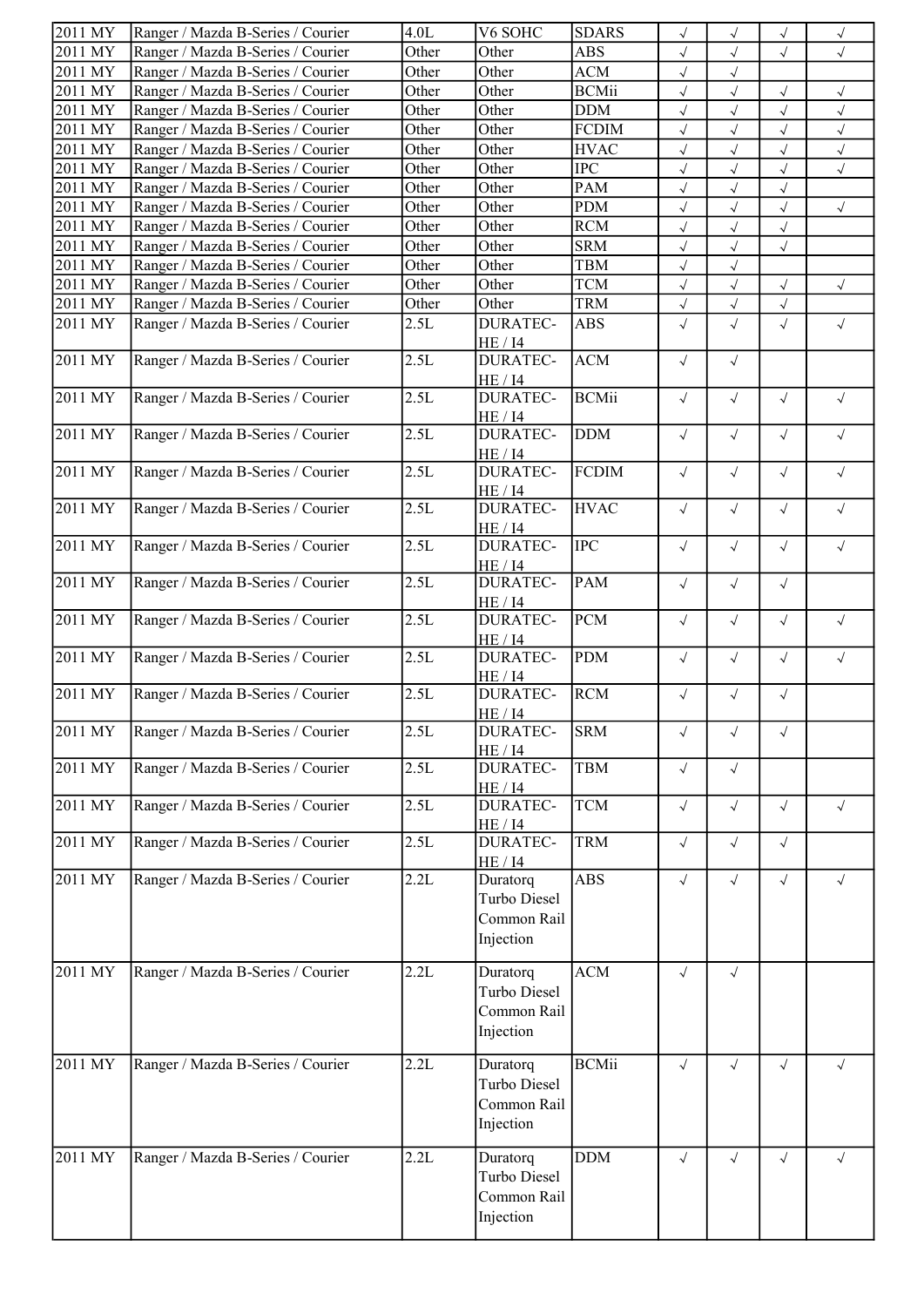| 2011 MY   | Ranger / Mazda B-Series / Courier | 4.0L  | V6 SOHC                                              | <b>SDARS</b> | $\sqrt{}$    | $\sqrt{}$    | $\sqrt{ }$   | $\sqrt{\phantom{a}}$ |
|-----------|-----------------------------------|-------|------------------------------------------------------|--------------|--------------|--------------|--------------|----------------------|
| 2011 MY   | Ranger / Mazda B-Series / Courier | Other | Other                                                | <b>ABS</b>   | $\sqrt{ }$   | $\sqrt{}$    | $\sqrt{}$    | $\checkmark$         |
| 2011 MY   | Ranger / Mazda B-Series / Courier | Other | Other                                                | <b>ACM</b>   | $\sqrt{ }$   | $\sqrt{}$    |              |                      |
| 2011 MY   | Ranger / Mazda B-Series / Courier | Other | Other                                                | <b>BCMii</b> | $\sqrt{ }$   | $\sqrt{}$    | $\sqrt{}$    | $\sqrt{\phantom{a}}$ |
| 2011 MY   | Ranger / Mazda B-Series / Courier | Other | Other                                                | <b>DDM</b>   | $\sqrt{ }$   | $\sqrt{ }$   | $\sqrt{ }$   | $\sqrt{ }$           |
| 2011 MY   | Ranger / Mazda B-Series / Courier | Other | Other                                                | <b>FCDIM</b> | $\sqrt{ }$   | $\checkmark$ | $\sqrt{ }$   | $\sqrt{ }$           |
| 2011 MY   | Ranger / Mazda B-Series / Courier | Other | Other                                                | <b>HVAC</b>  | $\sqrt{ }$   | $\sqrt{}$    | $\checkmark$ | $\sqrt{ }$           |
| 2011 MY   | Ranger / Mazda B-Series / Courier | Other | Other                                                | <b>IPC</b>   | $\sqrt{2}$   | $\sqrt{}$    | $\sqrt{}$    | $\checkmark$         |
| 2011 MY   | Ranger / Mazda B-Series / Courier | Other | Other                                                | PAM          | $\sqrt{ }$   | $\sqrt{}$    | $\checkmark$ |                      |
| 2011 MY   | Ranger / Mazda B-Series / Courier | Other | Other                                                | <b>PDM</b>   | $\sqrt{ }$   | $\sqrt{ }$   | $\checkmark$ | $\sqrt{ }$           |
| 2011 MY   | Ranger / Mazda B-Series / Courier | Other | Other                                                | <b>RCM</b>   | $\sqrt{}$    | $\sqrt{}$    | $\sqrt{}$    |                      |
| 2011 MY   | Ranger / Mazda B-Series / Courier | Other | Other                                                | <b>SRM</b>   | $\checkmark$ | $\sqrt{ }$   | $\sqrt{ }$   |                      |
| 2011 MY   | Ranger / Mazda B-Series / Courier | Other | Other                                                | <b>TBM</b>   | $\sqrt{2}$   | $\sqrt{2}$   |              |                      |
| 2011 MY   | Ranger / Mazda B-Series / Courier | Other | Other                                                | <b>TCM</b>   | $\sqrt{2}$   | $\sqrt{}$    | $\sqrt{}$    | $\checkmark$         |
| 2011 MY   | Ranger / Mazda B-Series / Courier | Other | Other                                                | <b>TRM</b>   | $\checkmark$ | $\sqrt{}$    | $\sqrt{ }$   |                      |
| 2011 MY   | Ranger / Mazda B-Series / Courier | 2.5L  | <b>DURATEC-</b>                                      | <b>ABS</b>   | $\sqrt{2}$   | $\sqrt{}$    | $\sqrt{}$    | $\sqrt{ }$           |
|           |                                   |       | HE / I4                                              |              |              |              |              |                      |
| 2011 MY   | Ranger / Mazda B-Series / Courier | 2.5L  | <b>DURATEC-</b><br>HE / I4                           | ACM          | $\sqrt{ }$   | $\sqrt{ }$   |              |                      |
| 2011 MY   | Ranger / Mazda B-Series / Courier | 2.5L  | <b>DURATEC-</b><br>HE / I4                           | <b>BCMii</b> | $\sqrt{ }$   | $\sqrt{ }$   | $\sqrt{ }$   | $\sqrt{ }$           |
| 2011 MY   | Ranger / Mazda B-Series / Courier | 2.5L  | <b>DURATEC-</b><br>HE/14                             | <b>DDM</b>   | $\sqrt{ }$   | $\sqrt{ }$   | $\sqrt{}$    | $\sqrt{ }$           |
| 2011 MY   | Ranger / Mazda B-Series / Courier | 2.5L  | <b>DURATEC-</b><br>HE / I4                           | <b>FCDIM</b> | $\sqrt{}$    | $\sqrt{ }$   | $\sqrt{}$    | $\sqrt{ }$           |
| 2011 MY   | Ranger / Mazda B-Series / Courier | 2.5L  | <b>DURATEC-</b><br>HE/IA                             | <b>HVAC</b>  | $\sqrt{}$    | $\sqrt{ }$   | $\sqrt{}$    | $\sqrt{ }$           |
| 2011 MY   | Ranger / Mazda B-Series / Courier | 2.5L  | <b>DURATEC-</b><br>HE / I4                           | <b>IPC</b>   | $\sqrt{}$    | $\sqrt{ }$   | $\sqrt{}$    | $\sqrt{ }$           |
| 2011 MY   | Ranger / Mazda B-Series / Courier | 2.5L  | <b>DURATEC-</b><br>HE / I4                           | PAM          | $\sqrt{}$    | $\sqrt{ }$   | $\sqrt{}$    |                      |
| $2011$ MY | Ranger / Mazda B-Series / Courier | 2.5L  | <b>DURATEC-</b><br>HE/14                             | <b>PCM</b>   | $\sqrt{}$    | $\sqrt{ }$   | $\sqrt{}$    | $\sqrt{ }$           |
| 2011 MY   | Ranger / Mazda B-Series / Courier | 2.5L  | <b>DURATEC-</b><br>HE / I4                           | <b>PDM</b>   | $\sqrt{}$    | $\sqrt{ }$   | $\sqrt{}$    | $\sqrt{ }$           |
| 2011 MY   | Ranger / Mazda B-Series / Courier | 2.5L  | <b>DURATEC-</b><br>HE/IA                             | RCM          | $\sqrt{}$    | $\sqrt{ }$   | $\sqrt{}$    |                      |
| 2011 MY   | Ranger / Mazda B-Series / Courier | 2.5L  | <b>DURATEC-</b><br>HE / I4                           | <b>SRM</b>   | $\checkmark$ | $\sqrt{ }$   | $\sqrt{}$    |                      |
| 2011 MY   | Ranger / Mazda B-Series / Courier | 2.5L  | <b>DURATEC-</b><br>HE / I4                           | TBM          | $\sqrt{ }$   | $\sqrt{ }$   |              |                      |
| 2011 MY   | Ranger / Mazda B-Series / Courier | 2.5L  | <b>DURATEC-</b><br>HE / I4                           | <b>TCM</b>   | $\sqrt{ }$   | $\sqrt{}$    | $\sqrt{ }$   | $\sqrt{ }$           |
| 2011 MY   | Ranger / Mazda B-Series / Courier | 2.5L  | <b>DURATEC-</b><br>HE/IA                             | <b>TRM</b>   | $\sqrt{ }$   | $\sqrt{ }$   | $\sqrt{}$    |                      |
| 2011 MY   | Ranger / Mazda B-Series / Courier | 2.2L  | Duratorq<br>Turbo Diesel<br>Common Rail<br>Injection | <b>ABS</b>   | $\sqrt{ }$   | $\sqrt{ }$   | $\sqrt{}$    | $\sqrt{ }$           |
| 2011 MY   | Ranger / Mazda B-Series / Courier | 2.2L  | Duratorq<br>Turbo Diesel<br>Common Rail<br>Injection | <b>ACM</b>   | $\sqrt{ }$   | $\sqrt{ }$   |              |                      |
| 2011 MY   | Ranger / Mazda B-Series / Courier | 2.2L  | Duratorq<br>Turbo Diesel<br>Common Rail<br>Injection | <b>BCMii</b> | $\sqrt{ }$   | $\sqrt{ }$   | $\sqrt{}$    | $\sqrt{ }$           |
| 2011 MY   | Ranger / Mazda B-Series / Courier | 2.2L  | Duratorq<br>Turbo Diesel<br>Common Rail<br>Injection | <b>DDM</b>   | $\sqrt{ }$   | $\sqrt{ }$   | $\sqrt{}$    | $\sqrt{ }$           |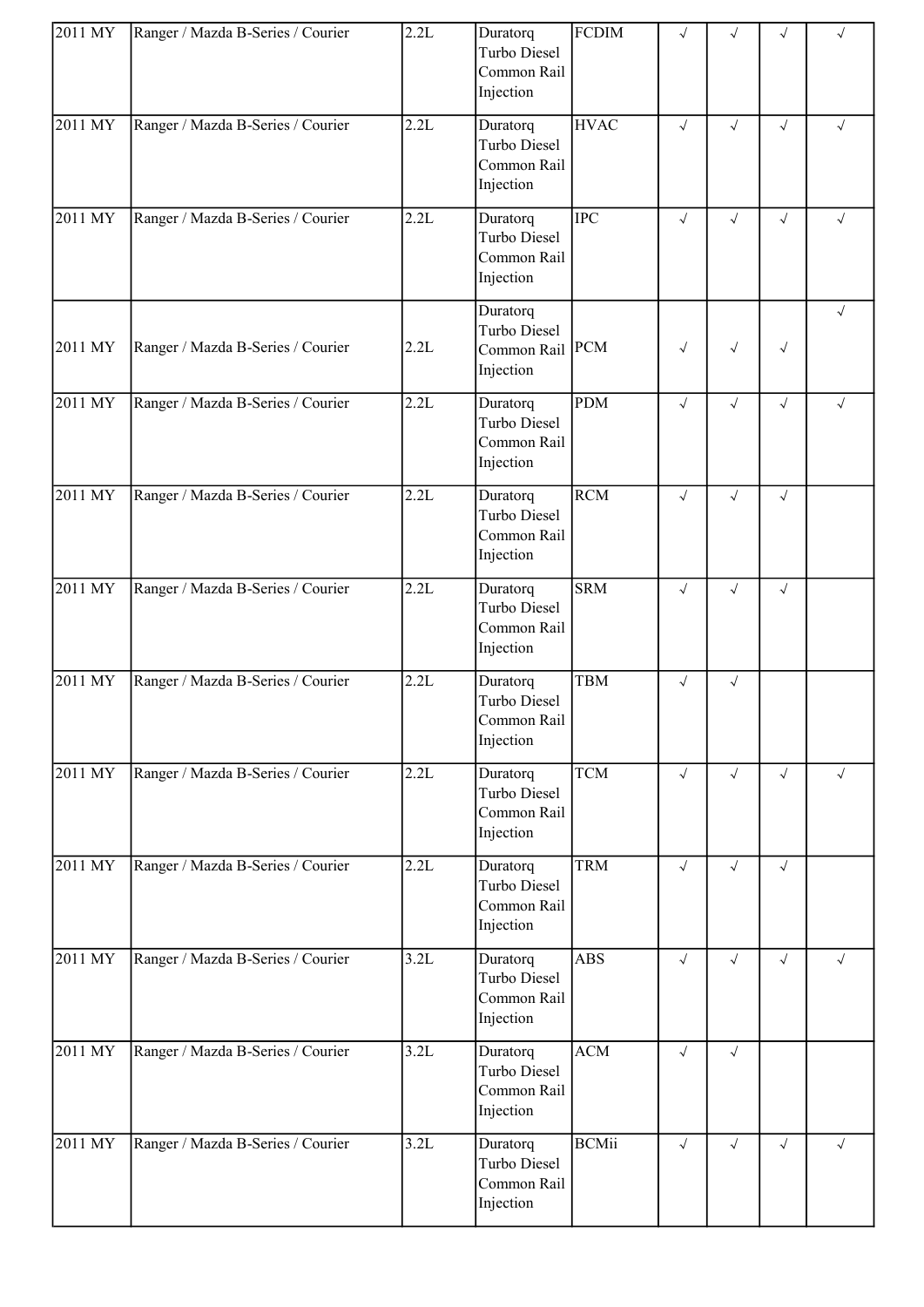| 2011 MY   | Ranger / Mazda B-Series / Courier | 2.2L | Duratorq<br>Turbo Diesel<br>Common Rail<br>Injection | <b>FCDIM</b> | $\sqrt{ }$ | $\sqrt{}$  | $\sqrt{ }$ | $\sqrt{}$  |
|-----------|-----------------------------------|------|------------------------------------------------------|--------------|------------|------------|------------|------------|
| 2011 MY   | Ranger / Mazda B-Series / Courier | 2.2L | Duratorq<br>Turbo Diesel<br>Common Rail<br>Injection | <b>HVAC</b>  | $\sqrt{ }$ | $\sqrt{ }$ | $\sqrt{ }$ | $\sqrt{ }$ |
| 2011 MY   | Ranger / Mazda B-Series / Courier | 2.2L | Duratorq<br>Turbo Diesel<br>Common Rail<br>Injection | <b>IPC</b>   | $\sqrt{ }$ | $\sqrt{ }$ | $\sqrt{ }$ | $\sqrt{ }$ |
| 2011 MY   | Ranger / Mazda B-Series / Courier | 2.2L | Duratorq<br>Turbo Diesel<br>Common Rail<br>Injection | PCM          | $\sqrt{ }$ | $\sqrt{}$  | $\sqrt{ }$ | $\sqrt{ }$ |
| 2011 MY   | Ranger / Mazda B-Series / Courier | 2.2L | Duratorq<br>Turbo Diesel<br>Common Rail<br>Injection | PDM          | $\sqrt{ }$ | $\sqrt{ }$ | $\sqrt{ }$ | $\sqrt{ }$ |
| 2011 MY   | Ranger / Mazda B-Series / Courier | 2.2L | Duratorq<br>Turbo Diesel<br>Common Rail<br>Injection | <b>RCM</b>   | $\sqrt{ }$ | $\sqrt{ }$ | $\sqrt{ }$ |            |
| 2011 MY   | Ranger / Mazda B-Series / Courier | 2.2L | Duratorq<br>Turbo Diesel<br>Common Rail<br>Injection | <b>SRM</b>   | $\sqrt{ }$ | $\sqrt{ }$ | $\sqrt{ }$ |            |
| 2011 MY   | Ranger / Mazda B-Series / Courier | 2.2L | Duratorq<br>Turbo Diesel<br>Common Rail<br>Injection | <b>TBM</b>   | $\sqrt{ }$ | $\sqrt{}$  |            |            |
| 2011 MY   | Ranger / Mazda B-Series / Courier | 2.2L | Duratorq<br>Turbo Diesel<br>Common Rail<br>Injection | <b>TCM</b>   | $\sqrt{ }$ | $\sqrt{ }$ | $\sqrt{ }$ | $\sqrt{ }$ |
| 2011 MY   | Ranger / Mazda B-Series / Courier | 2.2L | Duratorq<br>Turbo Diesel<br>Common Rail<br>Injection | <b>TRM</b>   | $\sqrt{}$  | $\sqrt{}$  | $\sqrt{ }$ |            |
| $2011$ MY | Ranger / Mazda B-Series / Courier | 3.2L | Duratorq<br>Turbo Diesel<br>Common Rail<br>Injection | <b>ABS</b>   | $\sqrt{ }$ | $\sqrt{}$  | $\sqrt{ }$ | $\sqrt{ }$ |
| 2011 MY   | Ranger / Mazda B-Series / Courier | 3.2L | Duratorq<br>Turbo Diesel<br>Common Rail<br>Injection | <b>ACM</b>   | $\sqrt{ }$ | $\sqrt{}$  |            |            |
| 2011 MY   | Ranger / Mazda B-Series / Courier | 3.2L | Duratorq<br>Turbo Diesel<br>Common Rail<br>Injection | <b>BCMii</b> | $\sqrt{ }$ | $\sqrt{}$  | $\sqrt{}$  | $\sqrt{ }$ |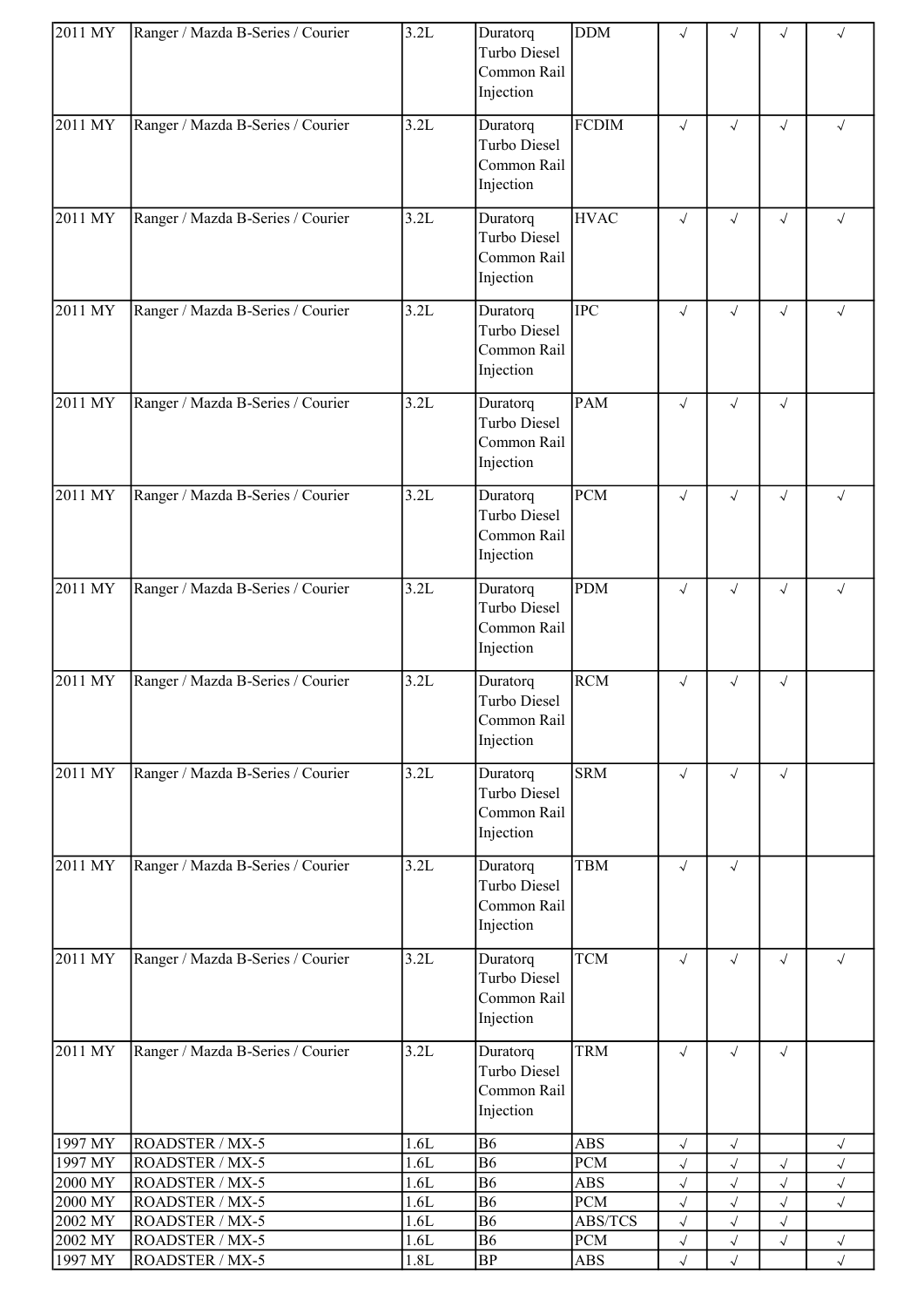| 2011 MY | Ranger / Mazda B-Series / Courier | 3.2L | Duratorq<br>Turbo Diesel<br>Common Rail<br>Injection | <b>DDM</b>   | $\sqrt{}$    | $\sqrt{}$  | $\sqrt{ }$ | $\sqrt{}$    |
|---------|-----------------------------------|------|------------------------------------------------------|--------------|--------------|------------|------------|--------------|
| 2011 MY | Ranger / Mazda B-Series / Courier | 3.2L | Duratorq<br>Turbo Diesel<br>Common Rail<br>Injection | <b>FCDIM</b> | $\sqrt{ }$   | $\sqrt{2}$ | $\sqrt{ }$ | $\sqrt{ }$   |
| 2011 MY | Ranger / Mazda B-Series / Courier | 3.2L | Duratorq<br>Turbo Diesel<br>Common Rail<br>Injection | <b>HVAC</b>  | $\sqrt{ }$   | $\sqrt{ }$ | $\sqrt{ }$ | $\sqrt{ }$   |
| 2011 MY | Ranger / Mazda B-Series / Courier | 3.2L | Duratorq<br>Turbo Diesel<br>Common Rail<br>Injection | <b>IPC</b>   | $\sqrt{ }$   | $\sqrt{ }$ | $\sqrt{ }$ | $\sqrt{ }$   |
| 2011 MY | Ranger / Mazda B-Series / Courier | 3.2L | Duratorq<br>Turbo Diesel<br>Common Rail<br>Injection | PAM          | $\sqrt{ }$   | $\sqrt{}$  | $\sqrt{ }$ |              |
| 2011 MY | Ranger / Mazda B-Series / Courier | 3.2L | Duratorq<br>Turbo Diesel<br>Common Rail<br>Injection | <b>PCM</b>   | $\sqrt{ }$   | $\sqrt{ }$ | $\sqrt{ }$ | $\sqrt{ }$   |
| 2011 MY | Ranger / Mazda B-Series / Courier | 3.2L | Duratorq<br>Turbo Diesel<br>Common Rail<br>Injection | <b>PDM</b>   | $\sqrt{ }$   | $\sqrt{ }$ | $\sqrt{ }$ | $\sqrt{}$    |
| 2011 MY | Ranger / Mazda B-Series / Courier | 3.2L | Duratorq<br>Turbo Diesel<br>Common Rail<br>Injection | <b>RCM</b>   | $\sqrt{ }$   | $\sqrt{}$  | $\sqrt{ }$ |              |
| 2011 MY | Ranger / Mazda B-Series / Courier | 3.2L | Duratorq<br>Turbo Diesel<br>Common Rail<br>Injection | <b>SRM</b>   | $\sqrt{ }$   | $\sqrt{ }$ | $\sqrt{ }$ |              |
| 2011 MY | Ranger / Mazda B-Series / Courier | 3.2L | Duratorq<br>Turbo Diesel<br>Common Rail<br>Injection | <b>TBM</b>   | $\sqrt{ }$   | $\sqrt{ }$ |            |              |
| 2011 MY | Ranger / Mazda B-Series / Courier | 3.2L | Duratorq<br>Turbo Diesel<br>Common Rail<br>Injection | <b>TCM</b>   | $\sqrt{ }$   | $\sqrt{ }$ | $\sqrt{ }$ | $\sqrt{ }$   |
| 2011 MY | Ranger / Mazda B-Series / Courier | 3.2L | Duratorq<br>Turbo Diesel<br>Common Rail<br>Injection | <b>TRM</b>   | $\sqrt{ }$   | $\sqrt{ }$ | $\sqrt{ }$ |              |
| 1997 MY | ROADSTER / MX-5                   | 1.6L | <b>B6</b>                                            | <b>ABS</b>   | $\sqrt{}$    | $\sqrt{}$  |            | $\sqrt{}$    |
| 1997 MY | ROADSTER / MX-5                   | 1.6L | <b>B6</b>                                            | <b>PCM</b>   | $\sqrt{ }$   | $\sqrt{}$  | $\sqrt{ }$ | $\sqrt{}$    |
| 2000 MY | ROADSTER / MX-5                   | 1.6L | <b>B6</b>                                            | <b>ABS</b>   | $\sqrt{ }$   | $\sqrt{ }$ | $\sqrt{ }$ | $\sqrt{ }$   |
| 2000 MY | ROADSTER / MX-5                   | 1.6L | <b>B6</b>                                            | <b>PCM</b>   | $\sqrt{ }$   | $\sqrt{ }$ | $\sqrt{ }$ | $\checkmark$ |
| 2002 MY | ROADSTER / MX-5                   | 1.6L | <b>B6</b>                                            | ABS/TCS      | $\checkmark$ | $\sqrt{}$  | $\sqrt{ }$ |              |
| 2002 MY | ROADSTER / MX-5                   | 1.6L | <b>B6</b>                                            | <b>PCM</b>   | $\sqrt{ }$   | $\sqrt{}$  | $\sqrt{ }$ | $\sqrt{}$    |
| 1997 MY | ROADSTER / MX-5                   | 1.8L | BP                                                   | ABS          | $\sqrt{2}$   | $\sqrt{2}$ |            | $\sqrt{2}$   |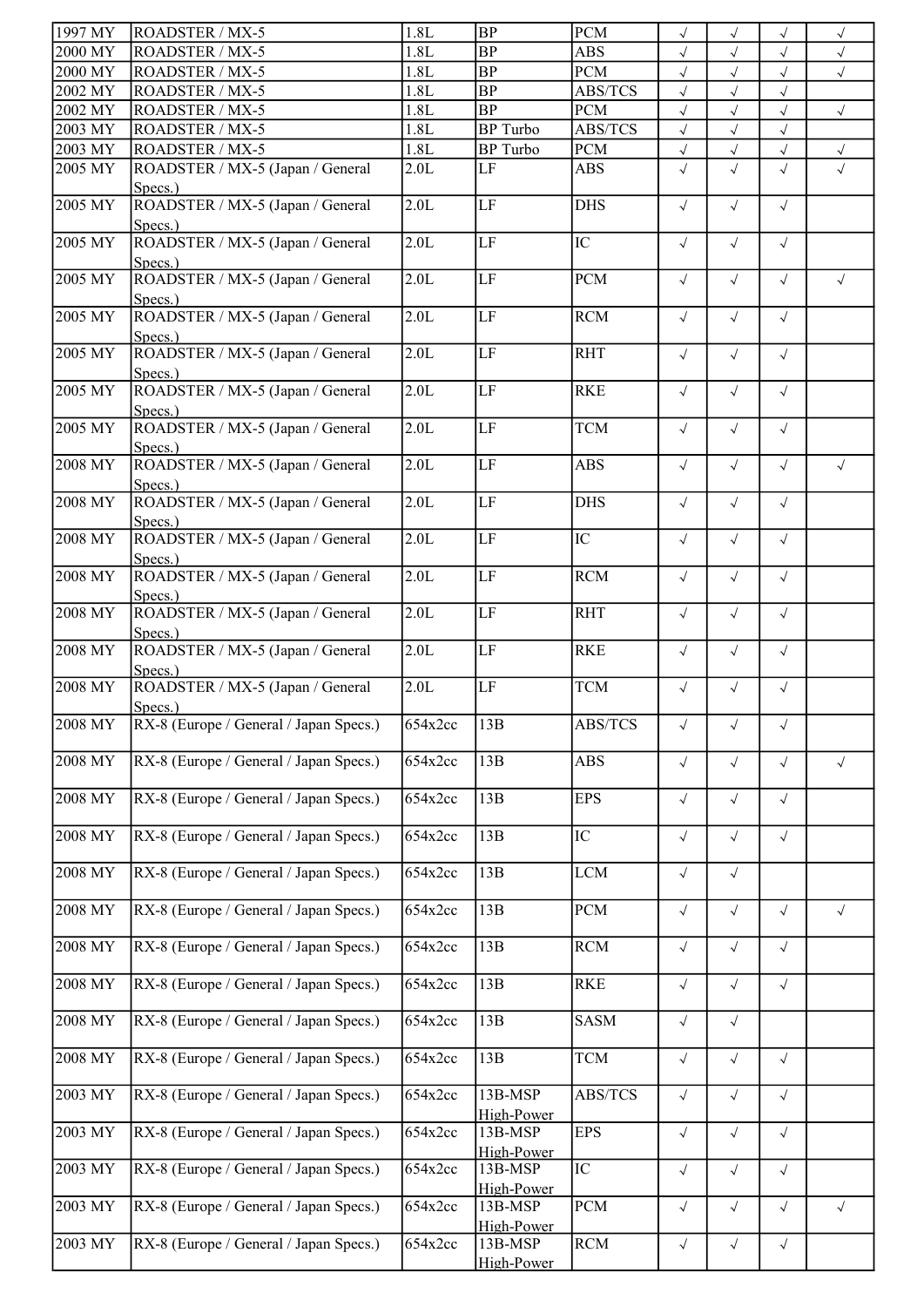| 1997 MY | <b>ROADSTER / MX-5</b>                      | 1.8L    | <b>BP</b>             | PCM                    | $\sqrt{ }$           | $\sqrt{}$  | $\sqrt{}$    | $\sqrt{ }$ |
|---------|---------------------------------------------|---------|-----------------------|------------------------|----------------------|------------|--------------|------------|
| 2000 MY | ROADSTER / MX-5                             | 1.8L    | BP                    | <b>ABS</b>             | $\sqrt{ }$           | $\sqrt{}$  | $\checkmark$ | $\sqrt{ }$ |
| 2000 MY | ROADSTER / MX-5                             | 1.8L    | BP                    | <b>PCM</b>             | $\sqrt{ }$           | $\sqrt{}$  | $\sqrt{ }$   | $\sqrt{ }$ |
| 2002 MY | ROADSTER / MX-5                             | 1.8L    | BP                    | ABS/TCS                | $\sqrt{ }$           | $\sqrt{ }$ | $\sqrt{ }$   |            |
| 2002 MY | ROADSTER / MX-5                             | 1.8L    | BP                    | <b>PCM</b>             | $\sqrt{ }$           | $\sqrt{}$  | $\sqrt{ }$   | $\sqrt{}$  |
| 2003 MY | ROADSTER / MX-5                             | 1.8L    | <b>BP</b> Turbo       | ABS/TCS                | $\sqrt{ }$           | $\sqrt{}$  | $\sqrt{ }$   |            |
| 2003 MY | ROADSTER / MX-5                             | 1.8L    | <b>BP</b> Turbo       | <b>PCM</b>             | $\sqrt{ }$           | $\sqrt{2}$ | $\checkmark$ | $\sqrt{ }$ |
| 2005 MY | ROADSTER / MX-5 (Japan / General<br>Specs.) | 2.0L    | LF                    | <b>ABS</b>             | $\sqrt{ }$           | $\sqrt{ }$ | $\sqrt{ }$   | $\sqrt{ }$ |
| 2005 MY | ROADSTER / MX-5 (Japan / General<br>Specs.) | 2.0L    | LF                    | <b>DHS</b>             | $\sqrt{}$            | $\sqrt{ }$ | $\sqrt{ }$   |            |
| 2005 MY | ROADSTER / MX-5 (Japan / General<br>Specs.) | 2.0L    | LF                    | IC                     | $\sqrt{}$            | $\sqrt{ }$ | $\sqrt{ }$   |            |
| 2005 MY | ROADSTER / MX-5 (Japan / General<br>Specs.) | 2.0L    | $\overline{LF}$       | PCM                    | $\sqrt{\phantom{a}}$ | $\sqrt{ }$ | $\sqrt{ }$   | $\sqrt{ }$ |
| 2005 MY | ROADSTER / MX-5 (Japan / General<br>Specs.) | 2.0L    | LF                    | <b>RCM</b>             | $\sqrt{\phantom{a}}$ | $\sqrt{}$  | $\sqrt{ }$   |            |
| 2005 MY | ROADSTER / MX-5 (Japan / General<br>Specs.) | 2.0L    | $\overline{LF}$       | RHT                    | $\checkmark$         | $\sqrt{}$  | $\sqrt{ }$   |            |
| 2005 MY | ROADSTER / MX-5 (Japan / General<br>Specs.) | 2.0L    | $\overline{LF}$       | <b>RKE</b>             | $\checkmark$         | $\sqrt{}$  | $\sqrt{}$    |            |
| 2005 MY | ROADSTER / MX-5 (Japan / General<br>Specs.) | 2.0L    | $\overline{LF}$       | <b>TCM</b>             | $\sqrt{\phantom{a}}$ | $\sqrt{}$  | $\sqrt{ }$   |            |
| 2008 MY | ROADSTER / MX-5 (Japan / General<br>Specs.) | 2.0L    | LF                    | <b>ABS</b>             | $\checkmark$         | $\sqrt{}$  | $\sqrt{}$    | $\sqrt{ }$ |
| 2008 MY | ROADSTER / MX-5 (Japan / General<br>Specs.) | 2.0L    | LF                    | <b>DHS</b>             | $\sqrt{}$            | $\sqrt{}$  | $\sqrt{ }$   |            |
| 2008 MY | ROADSTER / MX-5 (Japan / General<br>Specs.) | 2.0L    | LF                    | $\overline{\text{IC}}$ | $\sqrt{\phantom{a}}$ | $\sqrt{}$  | $\sqrt{}$    |            |
| 2008 MY | ROADSTER / MX-5 (Japan / General<br>Specs.) | 2.0L    | LF                    | <b>RCM</b>             | $\sqrt{\phantom{a}}$ | $\sqrt{}$  | $\sqrt{}$    |            |
| 2008 MY | ROADSTER / MX-5 (Japan / General<br>Specs.) | 2.0L    | LF                    | <b>RHT</b>             | $\sqrt{\phantom{a}}$ | $\sqrt{}$  | $\sqrt{ }$   |            |
| 2008 MY | ROADSTER / MX-5 (Japan / General<br>Specs.) | 2.0L    | LF                    | <b>RKE</b>             | $\sqrt{\phantom{a}}$ | $\sqrt{}$  | $\sqrt{ }$   |            |
| 2008 MY | ROADSTER / MX-5 (Japan / General<br>Specs.) | 2.0L    | $\rm LF$              | <b>TCM</b>             | $\sqrt{ }$           | $\sqrt{}$  | $\sqrt{ }$   |            |
| 2008 MY | RX-8 (Europe / General / Japan Specs.)      | 654x2cc | 13B                   | ABS/TCS                | $\sqrt{ }$           | $\sqrt{}$  | $\sqrt{}$    |            |
| 2008 MY | RX-8 (Europe / General / Japan Specs.)      | 654x2cc | 13B                   | <b>ABS</b>             | $\sqrt{ }$           | $\sqrt{ }$ | $\sqrt{ }$   | $\sqrt{ }$ |
| 2008 MY | RX-8 (Europe / General / Japan Specs.)      | 654x2cc | 13B                   | <b>EPS</b>             | $\sqrt{ }$           | $\sqrt{ }$ | $\sqrt{ }$   |            |
| 2008 MY | RX-8 (Europe / General / Japan Specs.)      | 654x2cc | 13B                   | IC                     | $\sqrt{ }$           | $\sqrt{ }$ | $\sqrt{ }$   |            |
| 2008 MY | RX-8 (Europe / General / Japan Specs.)      | 654x2cc | 13B                   | LCM                    | $\sqrt{}$            | $\sqrt{ }$ |              |            |
| 2008 MY | RX-8 (Europe / General / Japan Specs.)      | 654x2cc | 13B                   | <b>PCM</b>             | $\sqrt{}$            | $\sqrt{ }$ | $\sqrt{ }$   | $\sqrt{ }$ |
| 2008 MY | RX-8 (Europe / General / Japan Specs.)      | 654x2cc | 13B                   | RCM                    | $\sqrt{ }$           | $\sqrt{ }$ | $\sqrt{ }$   |            |
| 2008 MY | RX-8 (Europe / General / Japan Specs.)      | 654x2cc | 13B                   | <b>RKE</b>             | $\sqrt{}$            | $\sqrt{ }$ | $\sqrt{ }$   |            |
| 2008 MY | RX-8 (Europe / General / Japan Specs.)      | 654x2cc | 13B                   | <b>SASM</b>            | $\sqrt{}$            | $\sqrt{ }$ |              |            |
| 2008 MY | RX-8 (Europe / General / Japan Specs.)      | 654x2cc | 13B                   | <b>TCM</b>             | $\sqrt{}$            | $\sqrt{ }$ | $\sqrt{ }$   |            |
| 2003 MY | RX-8 (Europe / General / Japan Specs.)      | 654x2cc | 13B-MSP<br>High-Power | ABS/TCS                | $\sqrt{}$            | $\sqrt{ }$ | $\sqrt{ }$   |            |
| 2003 MY | RX-8 (Europe / General / Japan Specs.)      | 654x2cc | 13B-MSP<br>High-Power | <b>EPS</b>             | $\sqrt{}$            | $\sqrt{ }$ | $\sqrt{}$    |            |
| 2003 MY | RX-8 (Europe / General / Japan Specs.)      | 654x2cc | 13B-MSP<br>High-Power | IC                     | $\sqrt{}$            | $\sqrt{ }$ | $\sqrt{}$    |            |
| 2003 MY | RX-8 (Europe / General / Japan Specs.)      | 654x2cc | 13B-MSP<br>High-Power | PCM                    | $\sqrt{}$            | $\sqrt{ }$ | $\sqrt{}$    | $\sqrt{ }$ |
| 2003 MY | RX-8 (Europe / General / Japan Specs.)      | 654x2cc | 13B-MSP<br>High-Power | <b>RCM</b>             | $\sqrt{ }$           | $\sqrt{ }$ | $\sqrt{}$    |            |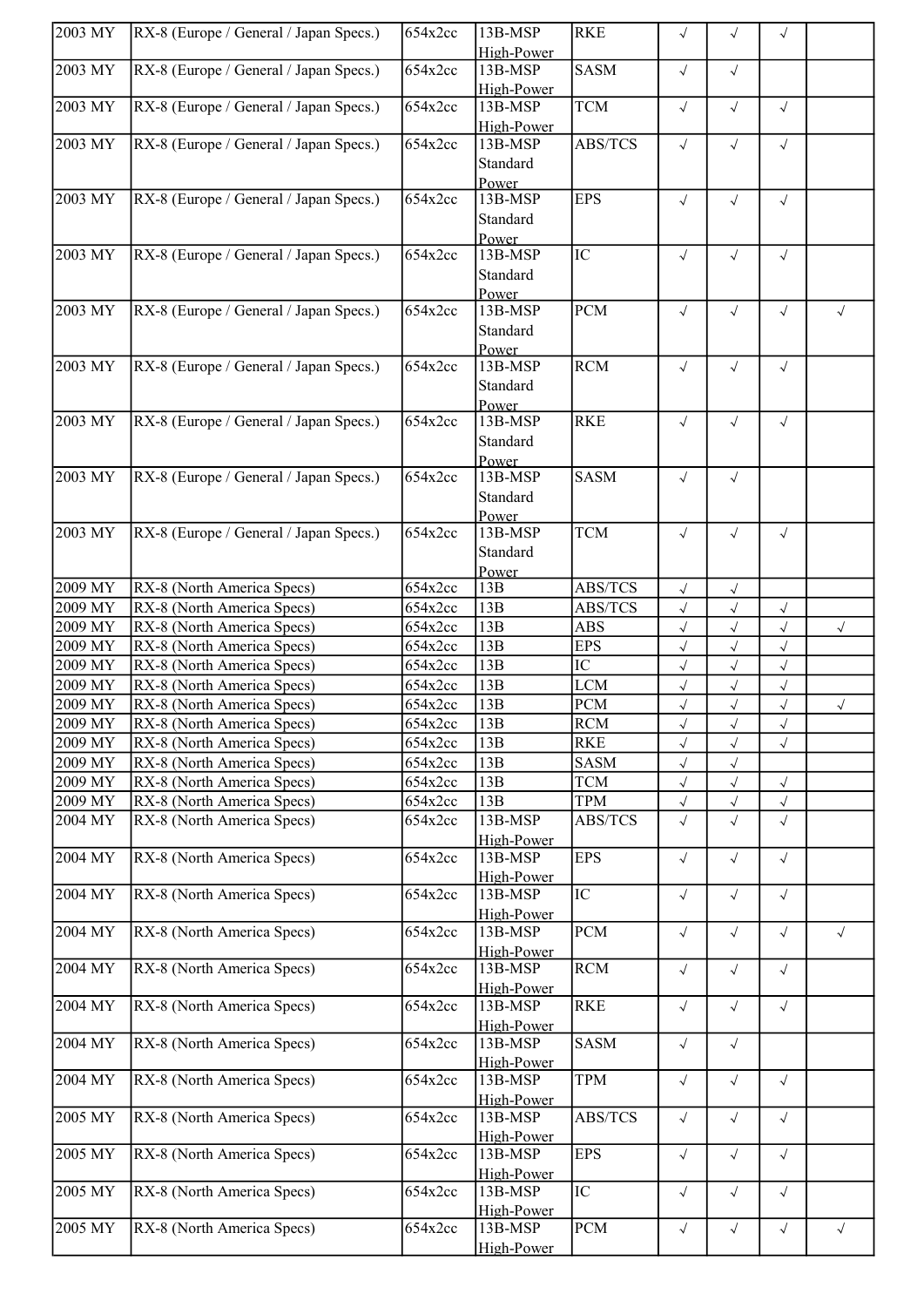| 2003 MY | RX-8 (Europe / General / Japan Specs.) | 654x2cc              | 13B-MSP<br>High-Power        | <b>RKE</b>             | $\sqrt{}$    | $\sqrt{ }$   | $\sqrt{ }$           |            |
|---------|----------------------------------------|----------------------|------------------------------|------------------------|--------------|--------------|----------------------|------------|
| 2003 MY | RX-8 (Europe / General / Japan Specs.) | 654x2cc              | 13B-MSP<br>High-Power        | <b>SASM</b>            | $\sqrt{ }$   | $\sqrt{}$    |                      |            |
| 2003 MY | RX-8 (Europe / General / Japan Specs.) | $\overline{65}4x2cc$ | 13B-MSP<br>High-Power        | <b>TCM</b>             | $\sqrt{ }$   | $\sqrt{ }$   | $\sqrt{ }$           |            |
| 2003 MY | RX-8 (Europe / General / Japan Specs.) | 654x2cc              | 13B-MSP<br>Standard<br>Power | ABS/TCS                | $\sqrt{ }$   | $\sqrt{}$    | $\sqrt{ }$           |            |
| 2003 MY | RX-8 (Europe / General / Japan Specs.) | 654x2cc              | 13B-MSP<br>Standard<br>Power | <b>EPS</b>             | $\sqrt{ }$   | $\sqrt{2}$   | $\sqrt{ }$           |            |
| 2003 MY | RX-8 (Europe / General / Japan Specs.) | 654x2cc              | 13B-MSP<br>Standard<br>Power | $\overline{\text{IC}}$ | $\sqrt{ }$   | $\sqrt{}$    | $\sqrt{ }$           |            |
| 2003 MY | RX-8 (Europe / General / Japan Specs.) | 654x2cc              | 13B-MSP<br>Standard<br>Power | <b>PCM</b>             | $\sqrt{ }$   | $\sqrt{}$    | $\sqrt{ }$           | $\sqrt{2}$ |
| 2003 MY | RX-8 (Europe / General / Japan Specs.) | 654x2cc              | 13B-MSP<br>Standard<br>Power | <b>RCM</b>             | $\sqrt{ }$   | $\sqrt{}$    | $\sqrt{ }$           |            |
| 2003 MY | RX-8 (Europe / General / Japan Specs.) | 654x2cc              | 13B-MSP<br>Standard<br>Power | <b>RKE</b>             | $\sqrt{ }$   | $\sqrt{ }$   | $\sqrt{ }$           |            |
| 2003 MY | RX-8 (Europe / General / Japan Specs.) | 654x2cc              | 13B-MSP<br>Standard<br>Power | <b>SASM</b>            | $\sqrt{ }$   | $\sqrt{ }$   |                      |            |
| 2003 MY | RX-8 (Europe / General / Japan Specs.) | 654x2cc              | 13B-MSP<br>Standard<br>Power | <b>TCM</b>             | $\sqrt{ }$   | $\sqrt{ }$   | $\sqrt{ }$           |            |
| 2009 MY | RX-8 (North America Specs)             | 654x2cc              | 13B                          | <b>ABS/TCS</b>         | $\sqrt{ }$   | $\sqrt{ }$   |                      |            |
| 2009 MY | RX-8 (North America Specs)             | 654x2cc              | 13B                          | ABS/TCS                | $\sqrt{2}$   | $\sqrt{2}$   | $\checkmark$         |            |
| 2009 MY | RX-8 (North America Specs)             | 654x2cc              | 13B                          | <b>ABS</b>             | $\sqrt{2}$   | $\sqrt{2}$   | $\sqrt{2}$           | $\sqrt{}$  |
| 2009 MY | RX-8 (North America Specs)             | 654x2cc              | 13B                          | <b>EPS</b>             | $\checkmark$ | $\sqrt{}$    | $\sqrt{ }$           |            |
| 2009 MY | RX-8 (North America Specs)             | 654x2cc              | 13B                          | $\overline{IC}$        | $\sqrt{2}$   | $\sqrt{2}$   | $\sqrt{2}$           |            |
| 2009 MY | RX-8 (North America Specs)             | 654x2cc              | 13B                          | <b>LCM</b>             | $\sqrt{2}$   | $\sqrt{}$    | $\sqrt{ }$           |            |
| 2009 MY | RX-8 (North America Specs)             | 654x2cc              | 13B                          | <b>PCM</b>             | $\checkmark$ | $\sqrt{ }$   |                      | $\sqrt{}$  |
| 2009 MY | RX-8 (North America Specs)             | 654x2cc              | 13B                          | RCM                    | $\sqrt{}$    | $\sqrt{}$    | $\sqrt{}$            |            |
| 2009 MY | RX-8 (North America Specs)             | 654x2cc              | 13B                          | <b>RKE</b>             | $\checkmark$ | $\checkmark$ | $\sqrt{ }$           |            |
| 2009 MY | RX-8 (North America Specs)             | 654x2cc              | 13B                          | <b>SASM</b>            | $\checkmark$ | $\sqrt{}$    |                      |            |
| 2009 MY | RX-8 (North America Specs)             | 654x2cc              | 13B                          | <b>TCM</b>             | $\sqrt{}$    | $\sqrt{}$    | $\sqrt{ }$           |            |
| 2009 MY | RX-8 (North America Specs)             | 654x2cc              | 13B                          | <b>TPM</b>             | $\checkmark$ | $\sqrt{}$    | $\checkmark$         |            |
| 2004 MY | RX-8 (North America Specs)             | 654x2cc              | 13B-MSP<br>High-Power        | <b>ABS/TCS</b>         | $\sqrt{2}$   | $\sqrt{}$    | $\sqrt{ }$           |            |
| 2004 MY | RX-8 (North America Specs)             | 654x2cc              | 13B-MSP<br>High-Power        | <b>EPS</b>             | $\sqrt{ }$   | $\sqrt{ }$   | $\sqrt{ }$           |            |
| 2004 MY | RX-8 (North America Specs)             | 654x2cc              | 13B-MSP<br>High-Power        | IC                     | $\sqrt{ }$   | $\sqrt{ }$   | $\sqrt{ }$           |            |
| 2004 MY | RX-8 (North America Specs)             | 654x2cc              | 13B-MSP<br>High-Power        | <b>PCM</b>             | $\sqrt{ }$   | $\sqrt{ }$   | $\sqrt{ }$           | $\sqrt{ }$ |
| 2004 MY | RX-8 (North America Specs)             | 654x2cc              | 13B-MSP<br>High-Power        | RCM                    | $\sqrt{ }$   | $\sqrt{ }$   | $\sqrt{ }$           |            |
| 2004 MY | RX-8 (North America Specs)             | 654x2cc              | 13B-MSP<br>High-Power        | <b>RKE</b>             | $\sqrt{ }$   | $\sqrt{}$    | $\sqrt{ }$           |            |
| 2004 MY | RX-8 (North America Specs)             | 654x2cc              | 13B-MSP<br>High-Power        | <b>SASM</b>            | $\sqrt{ }$   | $\sqrt{}$    |                      |            |
| 2004 MY | RX-8 (North America Specs)             | 654x2cc              | 13B-MSP<br>High-Power        | <b>TPM</b>             | $\sqrt{ }$   | $\sqrt{}$    | $\sqrt{ }$           |            |
| 2005 MY | RX-8 (North America Specs)             | 654x2cc              | 13B-MSP<br>High-Power        | <b>ABS/TCS</b>         | $\sqrt{ }$   | $\sqrt{ }$   | $\sqrt{ }$           |            |
| 2005 MY | RX-8 (North America Specs)             | 654x2cc              | 13B-MSP<br>High-Power        | <b>EPS</b>             | $\sqrt{ }$   | $\sqrt{}$    | $\sqrt{ }$           |            |
| 2005 MY | RX-8 (North America Specs)             | 654x2cc              | 13B-MSP<br>High-Power        | IC                     | $\sqrt{ }$   | $\sqrt{}$    | $\sqrt{ }$           |            |
| 2005 MY | RX-8 (North America Specs)             | 654x2cc              | 13B-MSP<br>High-Power        | <b>PCM</b>             | $\sqrt{ }$   | $\sqrt{}$    | $\sqrt{\phantom{a}}$ | $\sqrt{ }$ |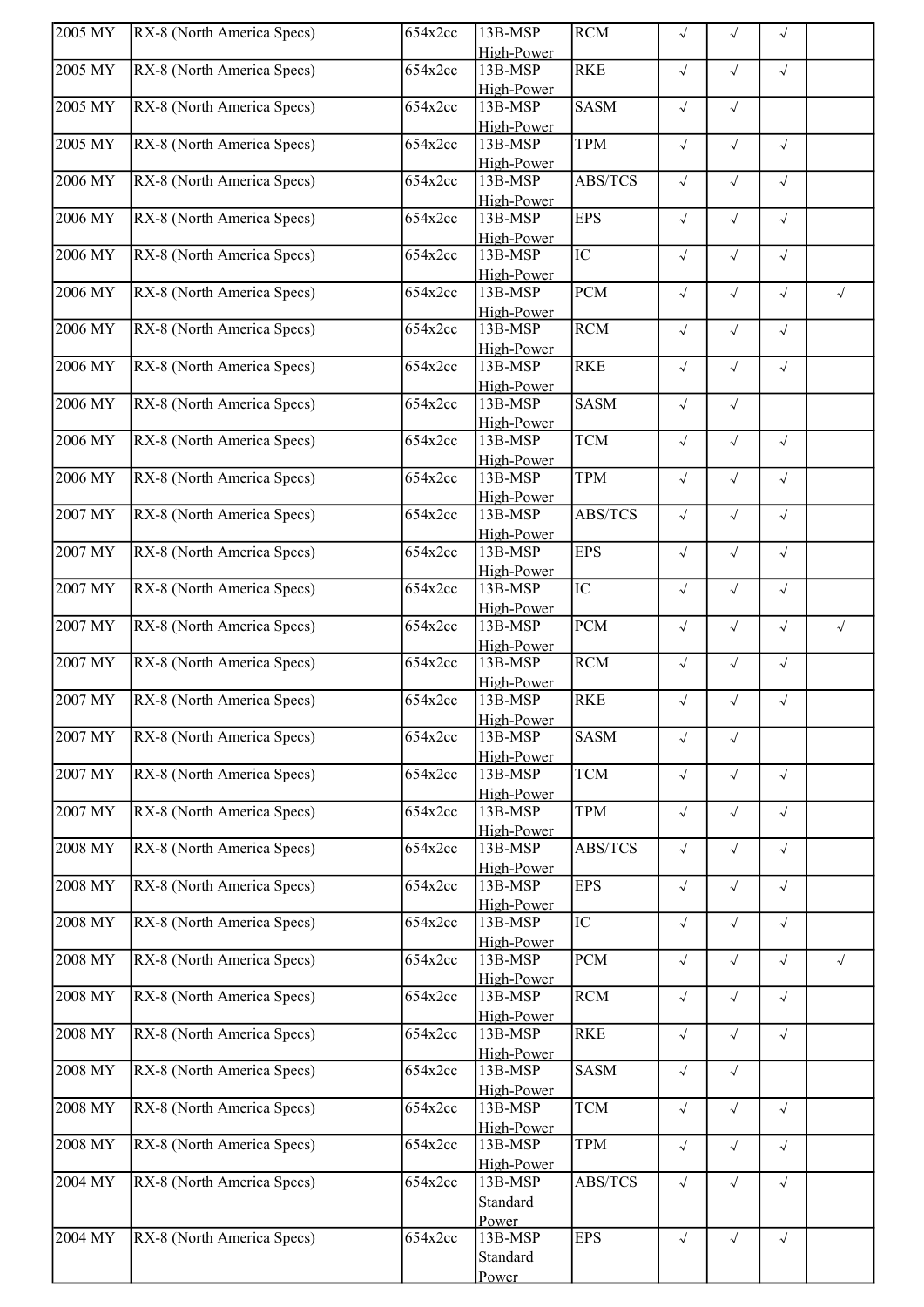| 2005 MY   | RX-8 (North America Specs) | 654x2cc | 13B-MSP                 | <b>RCM</b>             | $\checkmark$ | $\sqrt{}$  | $\sqrt{ }$           |            |
|-----------|----------------------------|---------|-------------------------|------------------------|--------------|------------|----------------------|------------|
| 2005 MY   | RX-8 (North America Specs) | 654x2cc | High-Power<br>13B-MSP   | <b>RKE</b>             | $\sqrt{2}$   | $\sqrt{2}$ | $\sqrt{ }$           |            |
| 2005 MY   | RX-8 (North America Specs) | 654x2cc | High-Power<br>13B-MSP   | <b>SASM</b>            | $\sqrt{2}$   | $\sqrt{}$  |                      |            |
| 2005 MY   | RX-8 (North America Specs) | 654x2cc | High-Power<br>13B-MSP   | <b>TPM</b>             | $\sqrt{ }$   | $\sqrt{}$  | $\sqrt{ }$           |            |
|           |                            |         | High-Power              |                        |              |            |                      |            |
| 2006 MY   | RX-8 (North America Specs) | 654x2cc | 13B-MSP<br>High-Power   | <b>ABS/TCS</b>         | $\sqrt{ }$   | $\sqrt{}$  | $\sqrt{ }$           |            |
| 2006 MY   | RX-8 (North America Specs) | 654x2cc | 13B-MSP                 | <b>EPS</b>             | $\sqrt{ }$   | $\sqrt{}$  | $\checkmark$         |            |
| 2006 MY   | RX-8 (North America Specs) | 654x2cc | High-Power<br>13B-MSP   | $\overline{\text{IC}}$ | $\sqrt{2}$   | $\sqrt{}$  | $\checkmark$         |            |
| 2006 MY   | RX-8 (North America Specs) | 654x2cc | High-Power<br>13B-MSP   | PCM                    | $\sqrt{2}$   | $\sqrt{}$  | $\sqrt{ }$           | $\sqrt{ }$ |
| 2006 MY   | RX-8 (North America Specs) | 654x2cc | High-Power<br>13B-MSP   | <b>RCM</b>             | $\sqrt{2}$   | $\sqrt{}$  | $\checkmark$         |            |
| 2006 MY   | RX-8 (North America Specs) | 654x2cc | High-Power<br>13B-MSP   | <b>RKE</b>             | $\sqrt{}$    | $\sqrt{}$  | $\sqrt{ }$           |            |
| 2006 MY   | RX-8 (North America Specs) | 654x2cc | High-Power<br>$13B-MSP$ | <b>SASM</b>            | $\sqrt{2}$   |            |                      |            |
|           |                            |         | High-Power              |                        |              | $\sqrt{}$  |                      |            |
| 2006 MY   | RX-8 (North America Specs) | 654x2cc | 13B-MSP<br>High-Power   | <b>TCM</b>             | $\sqrt{ }$   | $\sqrt{}$  | $\sqrt{ }$           |            |
| 2006 MY   | RX-8 (North America Specs) | 654x2cc | 13B-MSP                 | <b>TPM</b>             | $\sqrt{ }$   | $\sqrt{2}$ | $\sqrt{ }$           |            |
| 2007 MY   | RX-8 (North America Specs) | 654x2cc | High-Power<br>13B-MSP   | <b>ABS/TCS</b>         | $\sqrt{ }$   | $\sqrt{2}$ | $\sqrt{ }$           |            |
| 2007 MY   | RX-8 (North America Specs) | 654x2cc | High-Power<br>13B-MSP   | <b>EPS</b>             | $\sqrt{2}$   | $\sqrt{ }$ | $\sqrt{ }$           |            |
|           |                            |         | High-Power              |                        |              |            |                      |            |
| 2007 MY   | RX-8 (North America Specs) | 654x2cc | 13B-MSP<br>High-Power   | IC                     | $\sqrt{ }$   | $\sqrt{ }$ | $\checkmark$         |            |
| 2007 MY   | RX-8 (North America Specs) | 654x2cc | 13B-MSP<br>High-Power   | PCM                    | $\sqrt{ }$   | $\sqrt{}$  | $\sqrt{ }$           | $\sqrt{ }$ |
| 2007 MY   | RX-8 (North America Specs) | 654x2cc | 13B-MSP                 | <b>RCM</b>             | $\sqrt{ }$   | $\sqrt{ }$ | $\sqrt{ }$           |            |
| 2007 MY   | RX-8 (North America Specs) | 654x2cc | High-Power<br>13B-MSP   | <b>RKE</b>             | $\sqrt{ }$   | $\sqrt{}$  | $\checkmark$         |            |
| 2007 MY   | RX-8 (North America Specs) | 654x2cc | High-Power<br>13B-MSP   | <b>SASM</b>            | $\sqrt{ }$   | $\sqrt{}$  |                      |            |
| $2007$ MY | RX-8 (North America Specs) | 654x2cc | High-Power<br>13B-MSP   | <b>TCM</b>             | $\sqrt{ }$   | $\sqrt{ }$ | $\sqrt{ }$           |            |
|           |                            |         | High-Power              |                        |              |            |                      |            |
| 2007 MY   | RX-8 (North America Specs) | 654x2cc | 13B-MSP<br>High-Power   | <b>TPM</b>             | $\sqrt{ }$   | $\sqrt{ }$ | $\sqrt{}$            |            |
| 2008 MY   | RX-8 (North America Specs) | 654x2cc | 13B-MSP                 | ABS/TCS                | $\sqrt{ }$   | $\sqrt{}$  | $\sqrt{}$            |            |
| 2008 MY   | RX-8 (North America Specs) | 654x2cc | High-Power<br>13B-MSP   | <b>EPS</b>             | $\sqrt{ }$   | $\sqrt{}$  | $\sqrt{}$            |            |
| 2008 MY   | RX-8 (North America Specs) | 654x2cc | High-Power<br>13B-MSP   | IC                     | $\sqrt{}$    | $\sqrt{}$  | $\sqrt{}$            |            |
|           |                            |         | High-Power              |                        |              |            |                      |            |
| 2008 MY   | RX-8 (North America Specs) | 654x2cc | 13B-MSP<br>High-Power   | PCM                    | $\sqrt{ }$   | $\sqrt{}$  | $\sqrt{\phantom{a}}$ | $\sqrt{}$  |
| 2008 MY   | RX-8 (North America Specs) | 654x2cc | 13B-MSP<br>High-Power   | <b>RCM</b>             | $\sqrt{}$    | $\sqrt{}$  | $\sqrt{ }$           |            |
| 2008 MY   | RX-8 (North America Specs) | 654x2cc | 13B-MSP                 | <b>RKE</b>             | $\sqrt{ }$   | $\sqrt{}$  | $\sqrt{}$            |            |
| 2008 MY   | RX-8 (North America Specs) | 654x2cc | High-Power<br>13B-MSP   | <b>SASM</b>            | $\sqrt{ }$   | $\sqrt{}$  |                      |            |
| 2008 MY   | RX-8 (North America Specs) | 654x2cc | High-Power<br>13B-MSP   | <b>TCM</b>             | $\sqrt{ }$   | $\sqrt{}$  | $\sqrt{ }$           |            |
| 2008 MY   | RX-8 (North America Specs) | 654x2cc | High-Power<br>13B-MSP   | <b>TPM</b>             | $\sqrt{ }$   | $\sqrt{}$  | $\sqrt{}$            |            |
| 2004 MY   | RX-8 (North America Specs) | 654x2cc | High-Power<br>13B-MSP   | ABS/TCS                | $\sqrt{ }$   | $\sqrt{}$  | $\sqrt{}$            |            |
|           |                            |         | Standard                |                        |              |            |                      |            |
| 2004 MY   | RX-8 (North America Specs) | 654x2cc | Power<br>13B-MSP        | <b>EPS</b>             | $\sqrt{ }$   | $\sqrt{}$  | $\sqrt{ }$           |            |
|           |                            |         | Standard                |                        |              |            |                      |            |
|           |                            |         | Power                   |                        |              |            |                      |            |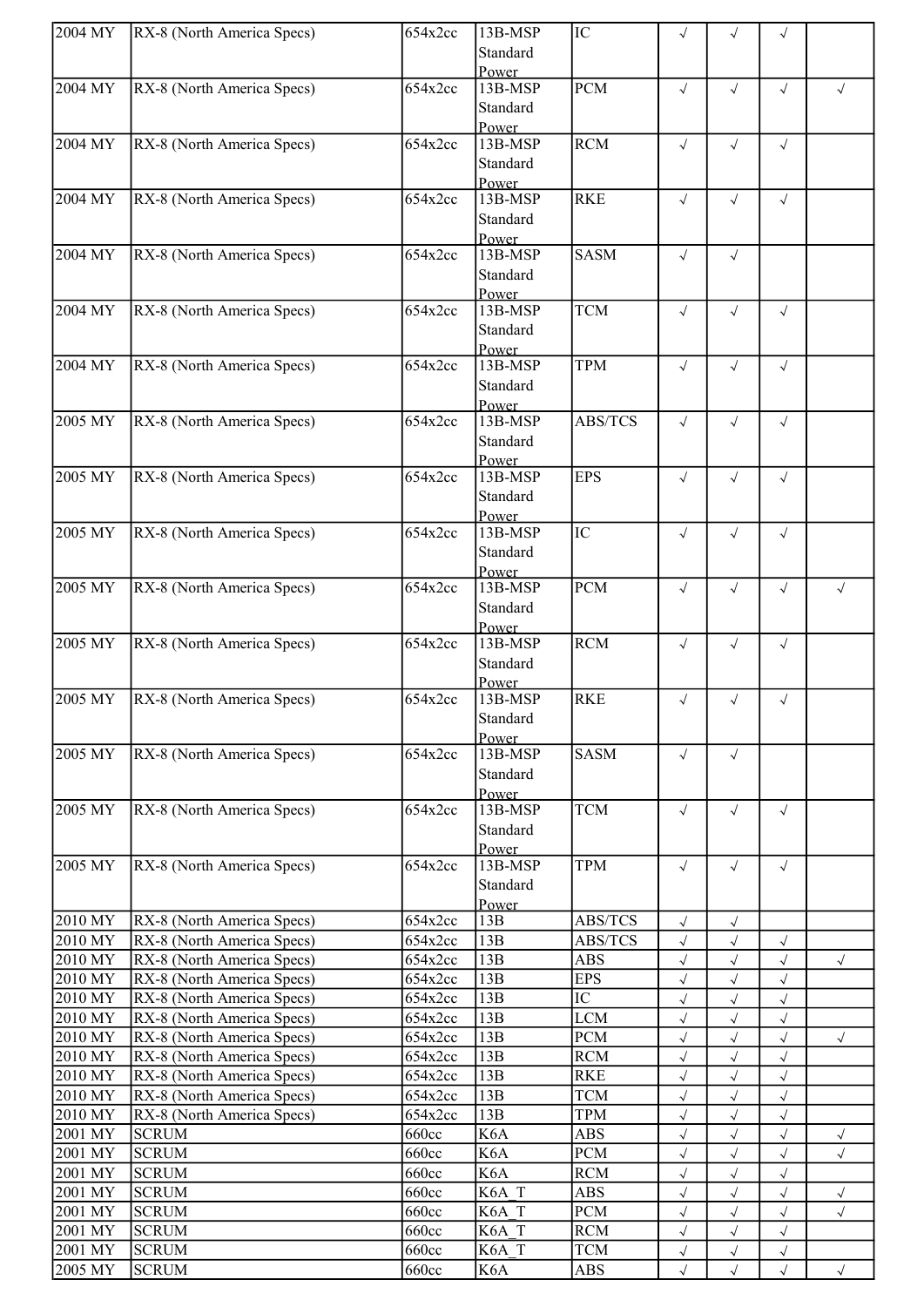| 2004 MY | RX-8 (North America Specs) | 654x2cc | 13B-MSP          | IC              | $\sqrt{}$    | $\sqrt{}$  | $\sqrt{ }$   |            |
|---------|----------------------------|---------|------------------|-----------------|--------------|------------|--------------|------------|
|         |                            |         | Standard         |                 |              |            |              |            |
|         |                            |         | Power            |                 |              |            |              |            |
| 2004 MY | RX-8 (North America Specs) | 654x2cc | 13B-MSP          | <b>PCM</b>      | $\sqrt{ }$   | $\sqrt{ }$ | $\sqrt{ }$   | $\sqrt{2}$ |
|         |                            |         | Standard         |                 |              |            |              |            |
| 2004 MY | RX-8 (North America Specs) | 654x2cc | Power<br>13B-MSP | <b>RCM</b>      |              |            |              |            |
|         |                            |         |                  |                 | $\sqrt{ }$   | $\sqrt{ }$ | $\sqrt{ }$   |            |
|         |                            |         | Standard         |                 |              |            |              |            |
| 2004 MY | RX-8 (North America Specs) | 654x2cc | Power<br>13B-MSP | <b>RKE</b>      | $\sqrt{ }$   | $\sqrt{ }$ | $\sqrt{ }$   |            |
|         |                            |         | Standard         |                 |              |            |              |            |
|         |                            |         | Power            |                 |              |            |              |            |
| 2004 MY | RX-8 (North America Specs) | 654x2cc | 13B-MSP          | <b>SASM</b>     | $\sqrt{ }$   | $\sqrt{}$  |              |            |
|         |                            |         | Standard         |                 |              |            |              |            |
|         |                            |         | Power            |                 |              |            |              |            |
| 2004 MY | RX-8 (North America Specs) | 654x2cc | 13B-MSP          | <b>TCM</b>      | $\sqrt{ }$   | $\sqrt{ }$ | $\sqrt{ }$   |            |
|         |                            |         | Standard         |                 |              |            |              |            |
|         |                            |         | Power            |                 |              |            |              |            |
| 2004 MY | RX-8 (North America Specs) | 654x2cc | 13B-MSP          | <b>TPM</b>      | $\sqrt{ }$   | $\sqrt{ }$ | $\sqrt{ }$   |            |
|         |                            |         | Standard         |                 |              |            |              |            |
| 2005 MY | RX-8 (North America Specs) | 654x2cc | Power<br>13B-MSP | <b>ABS/TCS</b>  | $\sqrt{ }$   | $\sqrt{ }$ | $\sqrt{ }$   |            |
|         |                            |         | Standard         |                 |              |            |              |            |
|         |                            |         | Power            |                 |              |            |              |            |
| 2005 MY | RX-8 (North America Specs) | 654x2cc | 13B-MSP          | <b>EPS</b>      | $\sqrt{ }$   | $\sqrt{ }$ | $\sqrt{ }$   |            |
|         |                            |         | Standard         |                 |              |            |              |            |
|         |                            |         | Power            |                 |              |            |              |            |
| 2005 MY | RX-8 (North America Specs) | 654x2cc | 13B-MSP          | $\overline{IC}$ | $\sqrt{ }$   | $\sqrt{ }$ | $\sqrt{ }$   |            |
|         |                            |         | Standard         |                 |              |            |              |            |
|         |                            |         | Power            |                 |              |            |              |            |
| 2005 MY | RX-8 (North America Specs) | 654x2cc | 13B-MSP          | <b>PCM</b>      | $\sqrt{ }$   | $\sqrt{}$  | $\sqrt{ }$   | $\sqrt{ }$ |
|         |                            |         | Standard         |                 |              |            |              |            |
|         |                            |         | Power            |                 |              |            |              |            |
| 2005 MY | RX-8 (North America Specs) | 654x2cc | 13B-MSP          | <b>RCM</b>      | $\sqrt{ }$   | $\sqrt{}$  | $\sqrt{ }$   |            |
|         |                            |         | Standard         |                 |              |            |              |            |
| 2005 MY | RX-8 (North America Specs) | 654x2cc | Power<br>13B-MSP | <b>RKE</b>      | $\sqrt{ }$   | $\sqrt{ }$ | $\sqrt{ }$   |            |
|         |                            |         | Standard         |                 |              |            |              |            |
|         |                            |         | Power            |                 |              |            |              |            |
| 2005 MY | RX-8 (North America Specs) | 654x2cc | 13B-MSP          | <b>SASM</b>     | $\sqrt{ }$   | $\sqrt{ }$ |              |            |
|         |                            |         | Standard         |                 |              |            |              |            |
|         |                            |         | Power            |                 |              |            |              |            |
| 2005 MY | RX-8 (North America Specs) | 654x2cc | 13B-MSP          | <b>TCM</b>      | $\sqrt{ }$   | $\sqrt{}$  | $\sqrt{ }$   |            |
|         |                            |         | Standard         |                 |              |            |              |            |
|         |                            |         | Power            |                 |              |            |              |            |
| 2005 MY | RX-8 (North America Specs) | 654x2cc | $13B-MSP$        | <b>TPM</b>      | $\sqrt{ }$   | $\sqrt{}$  | $\sqrt{ }$   |            |
|         |                            |         | Standard         |                 |              |            |              |            |
| 2010 MY | RX-8 (North America Specs) | 654x2cc | Power<br>13B     | <b>ABS/TCS</b>  | $\sqrt{ }$   | $\sqrt{ }$ |              |            |
| 2010 MY | RX-8 (North America Specs) | 654x2cc | 13B              | ABS/TCS         | $\sqrt{ }$   | $\sqrt{}$  | $\sqrt{ }$   |            |
| 2010 MY | RX-8 (North America Specs) | 654x2cc | 13B              | <b>ABS</b>      | $\sqrt{ }$   | $\sqrt{}$  | $\sqrt{ }$   | $\sqrt{}$  |
| 2010 MY | RX-8 (North America Specs) | 654x2cc | 13B              | <b>EPS</b>      | $\checkmark$ | $\sqrt{}$  | $\sqrt{ }$   |            |
| 2010 MY | RX-8 (North America Specs) | 654x2cc | 13B              | IC              | $\sqrt{ }$   | $\sqrt{ }$ | $\sqrt{ }$   |            |
| 2010 MY | RX-8 (North America Specs) | 654x2cc | 13B              | <b>LCM</b>      | $\sqrt{ }$   | $\sqrt{}$  | $\checkmark$ |            |
| 2010 MY | RX-8 (North America Specs) | 654x2cc | 13B              | <b>PCM</b>      | $\sqrt{ }$   | $\sqrt{}$  | $\sqrt{ }$   | $\sqrt{ }$ |
| 2010 MY | RX-8 (North America Specs) | 654x2cc | 13B              | <b>RCM</b>      | $\sqrt{2}$   | $\sqrt{}$  | $\sqrt{}$    |            |
| 2010 MY | RX-8 (North America Specs) | 654x2cc | 13B              | <b>RKE</b>      | $\checkmark$ | $\sqrt{}$  | $\sqrt{ }$   |            |
| 2010 MY | RX-8 (North America Specs) | 654x2cc | 13B              | <b>TCM</b>      | $\sqrt{ }$   | $\sqrt{ }$ | $\sqrt{ }$   |            |
| 2010 MY | RX-8 (North America Specs) | 654x2cc | 13B              | <b>TPM</b>      | $\sqrt{ }$   | $\sqrt{ }$ | $\sqrt{ }$   |            |
| 2001 MY | <b>SCRUM</b>               | 660cc   | K <sub>6</sub> A | <b>ABS</b>      | $\sqrt{ }$   | $\sqrt{}$  | $\sqrt{}$    | $\sqrt{ }$ |
| 2001 MY | <b>SCRUM</b>               | 660cc   | K <sub>6</sub> A | <b>PCM</b>      | $\sqrt{ }$   | $\sqrt{}$  | $\sqrt{ }$   | $\sqrt{}$  |
| 2001 MY | <b>SCRUM</b>               | 660cc   | K <sub>6</sub> A | <b>RCM</b>      | $\sqrt{ }$   | $\sqrt{}$  | $\sqrt{ }$   |            |
| 2001 MY | <b>SCRUM</b>               | 660cc   | K6A T            | <b>ABS</b>      | $\sqrt{ }$   | $\sqrt{}$  | $\sqrt{ }$   | $\sqrt{}$  |
| 2001 MY | <b>SCRUM</b>               | 660cc   | K6A T            | <b>PCM</b>      | $\sqrt{ }$   | $\sqrt{}$  | $\sqrt{ }$   | $\sqrt{}$  |
| 2001 MY | <b>SCRUM</b>               | 660cc   | K6A T            | <b>RCM</b>      | $\sqrt{ }$   | $\sqrt{}$  | $\sqrt{ }$   |            |
| 2001 MY | <b>SCRUM</b>               | 660cc   | K6A T            | <b>TCM</b>      | $\checkmark$ | $\sqrt{}$  | $\sqrt{ }$   |            |
| 2005 MY | <b>SCRUM</b>               | 660cc   | K6A              | <b>ABS</b>      | $\checkmark$ | $\sqrt{2}$ | $\checkmark$ | $\sqrt{}$  |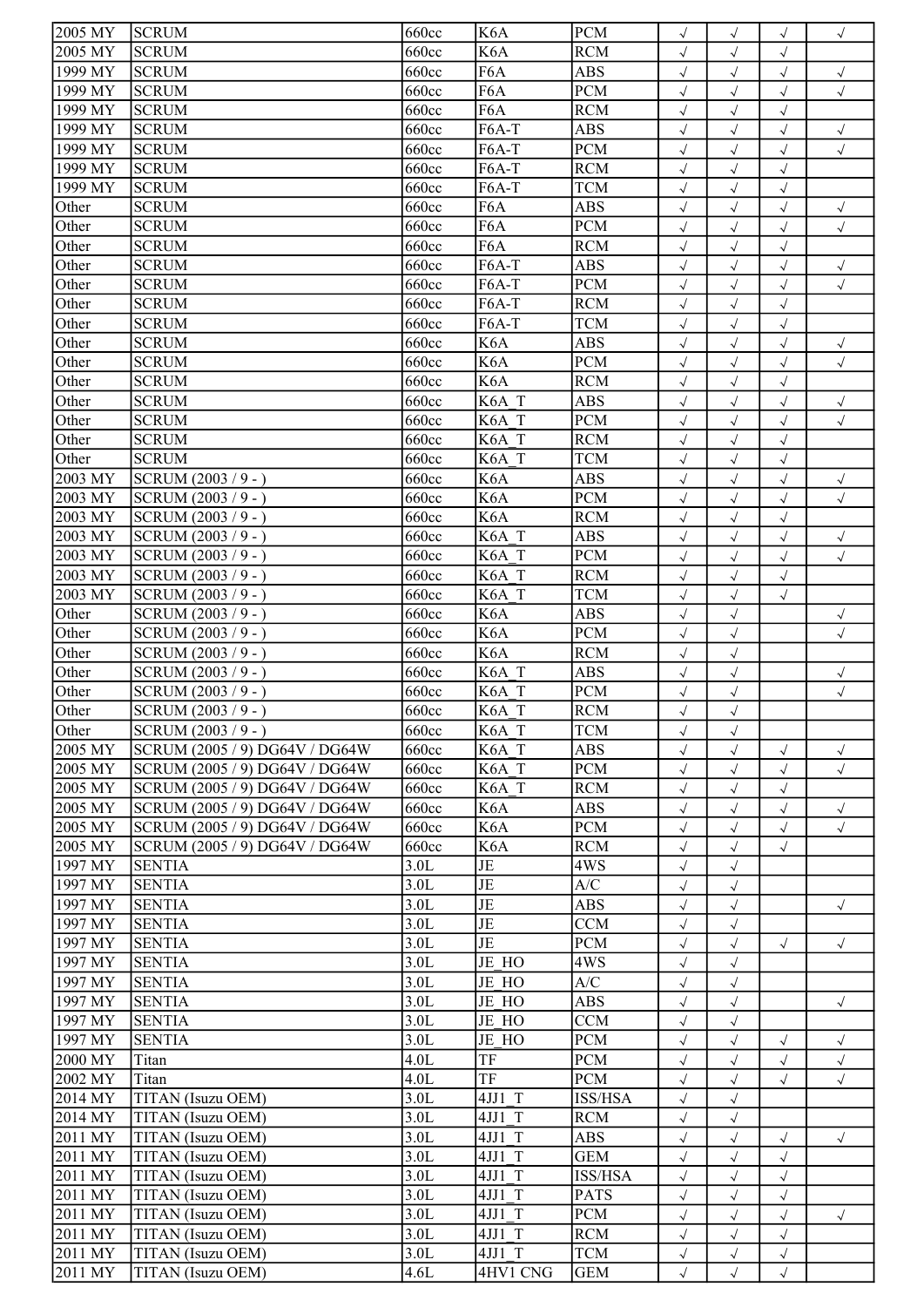| 2005 MY | <b>SCRUM</b>                            | 660cc            | K <sub>6</sub> A | PCM            | $\sqrt{ }$           | $\sqrt{}$    | $\sqrt{ }$           | $\sqrt{ }$ |
|---------|-----------------------------------------|------------------|------------------|----------------|----------------------|--------------|----------------------|------------|
| 2005 MY | <b>SCRUM</b>                            | 660cc            | K <sub>6</sub> A | <b>RCM</b>     | $\sqrt{ }$           | $\sqrt{}$    | $\sqrt{\phantom{a}}$ |            |
| 1999 MY | <b>SCRUM</b>                            | 660cc            | F6A              | <b>ABS</b>     | $\checkmark$         | $\sqrt{ }$   | $\sqrt{ }$           | $\sqrt{ }$ |
| 1999 MY | <b>SCRUM</b>                            | 660cc            | F6A              | <b>PCM</b>     | $\sqrt{ }$           | $\sqrt{ }$   | $\sqrt{ }$           | $\sqrt{ }$ |
| 1999 MY | <b>SCRUM</b>                            | 660cc            | F6A              | <b>RCM</b>     | $\sqrt{ }$           | $\sqrt{}$    | $\sqrt{ }$           |            |
| 1999 MY | <b>SCRUM</b>                            | 660cc            | F6A-T            | <b>ABS</b>     | $\sqrt{ }$           | $\sqrt{}$    | $\sqrt{ }$           | $\sqrt{ }$ |
| 1999 MY | <b>SCRUM</b>                            | 660cc            | F6A-T            | <b>PCM</b>     | $\sqrt{ }$           | $\sqrt{}$    | $\sqrt{ }$           | $\sqrt{ }$ |
| 1999 MY | <b>SCRUM</b>                            | 660cc            | F6A-T            | <b>RCM</b>     | $\sqrt{ }$           | $\sqrt{}$    | $\sqrt{ }$           |            |
| 1999 MY | <b>SCRUM</b>                            | 660cc            | F6A-T            | <b>TCM</b>     | $\sqrt{ }$           | $\sqrt{}$    | $\checkmark$         |            |
| Other   | <b>SCRUM</b>                            | 660cc            | F6A              | <b>ABS</b>     | $\sqrt{ }$           | $\sqrt{}$    | $\checkmark$         | $\sqrt{ }$ |
| Other   | <b>SCRUM</b>                            | 660cc            | F6A              | PCM            | $\sqrt{2}$           | $\sqrt{2}$   | $\sqrt{}$            | $\sqrt{ }$ |
| Other   | <b>SCRUM</b>                            | 660cc            | F6A              | RCM            | $\sqrt{ }$           | $\sqrt{}$    | $\sqrt{}$            |            |
| Other   | <b>SCRUM</b>                            | 660cc            | F6A-T            | ABS            | $\sqrt{2}$           | $\sqrt{2}$   | $\sqrt{2}$           | $\sqrt{ }$ |
| Other   | <b>SCRUM</b>                            | 660cc            | F6A-T            | <b>PCM</b>     | $\checkmark$         | $\sqrt{}$    | $\sqrt{}$            | $\sqrt{ }$ |
| Other   | <b>SCRUM</b>                            | 660cc            | F6A-T            | <b>RCM</b>     | $\checkmark$         | $\sqrt{}$    | $\sqrt{}$            |            |
| Other   | <b>SCRUM</b>                            | 660cc            | F6A-T            | <b>TCM</b>     | $\sqrt{ }$           | $\sqrt{ }$   | $\sqrt{}$            |            |
| Other   | <b>SCRUM</b>                            | 660cc            | K <sub>6</sub> A | <b>ABS</b>     | $\sqrt{ }$           | $\sqrt{ }$   | $\sqrt{ }$           | $\sqrt{ }$ |
| Other   | <b>SCRUM</b>                            | 660cc            | K6A              | <b>PCM</b>     | $\sqrt{ }$           | $\sqrt{}$    | $\sqrt{ }$           | $\sqrt{}$  |
| Other   | <b>SCRUM</b>                            | 660cc            | K6A              | <b>RCM</b>     | $\checkmark$         | $\sqrt{2}$   | $\checkmark$         |            |
| Other   | <b>SCRUM</b>                            | 660cc            | K6A T            | <b>ABS</b>     | $\sqrt{ }$           |              | $\checkmark$         | $\sqrt{ }$ |
|         |                                         |                  |                  |                |                      | $\sqrt{}$    |                      |            |
| Other   | <b>SCRUM</b>                            | 660cc            | K6A T            | PCM            | $\sqrt{ }$           | $\sqrt{}$    | $\sqrt{ }$           | $\sqrt{ }$ |
| Other   | <b>SCRUM</b>                            | 660cc            | K6A T            | <b>RCM</b>     | $\checkmark$         | $\sqrt{2}$   | $\checkmark$         |            |
| Other   | <b>SCRUM</b>                            | 660cc            | K6A T            | <b>TCM</b>     | $\sqrt{ }$           | $\sqrt{2}$   | $\checkmark$         |            |
| 2003 MY | SCRUM (2003 / 9 - )                     | 660cc            | K6A              | <b>ABS</b>     | $\checkmark$         | $\sqrt{}$    | $\sqrt{ }$           | $\sqrt{ }$ |
| 2003 MY | $\overline{\text{SCRUM}}$ (2003 / 9 - ) | 660cc            | K6A              | <b>PCM</b>     | $\sqrt{2}$           | $\checkmark$ | $\sqrt{}$            | $\sqrt{2}$ |
| 2003 MY | SCRUM (2003 / 9 - )                     | 660cc            | K6A              | <b>RCM</b>     | $\sqrt{ }$           | $\sqrt{}$    | $\checkmark$         |            |
| 2003 MY | SCRUM (2003 / 9 - )                     | 660cc            | K6A T            | <b>ABS</b>     | $\sqrt{\phantom{a}}$ | $\sqrt{}$    | $\sqrt{ }$           | $\sqrt{ }$ |
| 2003 MY | SCRUM (2003 / 9 - )                     | 660cc            | K6A T            | <b>PCM</b>     | $\sqrt{ }$           | $\sqrt{}$    | $\sqrt{ }$           | $\sqrt{}$  |
| 2003 MY | SCRUM (2003 / 9 - )                     | 660cc            | K6A T            | <b>RCM</b>     | $\sqrt{ }$           | $\sqrt{ }$   | $\sqrt{ }$           |            |
| 2003 MY | SCRUM (2003 / 9 - )                     | 660cc            | K6A T            | <b>TCM</b>     | $\sqrt{ }$           | $\sqrt{}$    | $\sqrt{ }$           |            |
| Other   | SCRUM (2003 / 9 - )                     | 660cc            | K6A              | <b>ABS</b>     | $\checkmark$         | $\sqrt{ }$   |                      | $\sqrt{ }$ |
| Other   | SCRUM (2003 / 9 - )                     | 660cc            | K6A              | <b>PCM</b>     | $\sqrt{ }$           | $\sqrt{ }$   |                      | $\sqrt{ }$ |
| Other   | SCRUM (2003 / 9 - )                     | 660cc            | K <sub>6</sub> A | <b>RCM</b>     | $\sqrt{ }$           | $\sqrt{ }$   |                      |            |
| Other   | SCRUM (2003 / 9 - )                     | 660cc            | K6A T            | <b>ABS</b>     | $\sqrt{ }$           | $\sqrt{ }$   |                      | $\sqrt{ }$ |
| Other   | SCRUM (2003 / 9 - )                     | 660cc            | K6A T            | <b>PCM</b>     | $\sqrt{ }$           | $\sqrt{ }$   |                      | $\sqrt{ }$ |
| Other   | SCRUM (2003 / 9 - )                     | 660cc            | K6A T            | <b>RCM</b>     | $\sqrt{2}$           | $\sqrt{}$    |                      |            |
| Other   | SCRUM (2003 / 9 - )                     | 660cc            | K6A T            | <b>TCM</b>     | $\sqrt{ }$           | $\sqrt{ }$   |                      |            |
| 2005 MY | SCRUM (2005 / 9) DG64V / DG64W          | 660cc            | K6A T            | <b>ABS</b>     | $\sqrt{ }$           | $\sqrt{}$    | $\sqrt{}$            | $\sqrt{ }$ |
| 2005 MY | SCRUM (2005 / 9) DG64V / DG64W          | 660cc            | K6A T            | <b>PCM</b>     | $\sqrt{}$            | $\sqrt{}$    | $\sqrt{ }$           | $\sqrt{ }$ |
| 2005 MY | SCRUM (2005 / 9) DG64V / DG64W          | 660cc            | K6A T            | <b>RCM</b>     | $\sqrt{ }$           | $\sqrt{ }$   | $\sqrt{ }$           |            |
| 2005 MY | SCRUM (2005 / 9) DG64V / DG64W          | 660cc            | K6A              | <b>ABS</b>     | $\sqrt{ }$           | $\sqrt{ }$   | $\sqrt{ }$           | $\sqrt{ }$ |
| 2005 MY | SCRUM (2005 / 9) DG64V / DG64W          | 660cc            | K6A              | <b>PCM</b>     | $\sqrt{ }$           | $\sqrt{}$    | $\sqrt{ }$           | $\sqrt{ }$ |
| 2005 MY | SCRUM (2005 / 9) DG64V / DG64W          | 660cc            | K <sub>6</sub> A | <b>RCM</b>     | $\sqrt{ }$           | $\sqrt{ }$   | $\sqrt{ }$           |            |
| 1997 MY | <b>SENTIA</b>                           | 3.0L             | JE               | 4WS            | $\sqrt{ }$           | $\sqrt{}$    |                      |            |
| 1997 MY | <b>SENTIA</b>                           | 3.0 <sub>L</sub> | JE               | A/C            | $\sqrt{ }$           | $\sqrt{ }$   |                      |            |
|         | <b>SENTIA</b>                           |                  | $\rm{JE}$        |                |                      |              |                      |            |
| 1997 MY |                                         | 3.0L             |                  | <b>ABS</b>     | $\sqrt{ }$           | $\sqrt{ }$   |                      | $\sqrt{ }$ |
| 1997 MY | <b>SENTIA</b>                           | 3.0L             | $\rm{JE}$<br>JE  | <b>CCM</b>     | $\checkmark$         | $\sqrt{ }$   |                      |            |
| 1997 MY | <b>SENTIA</b>                           | 3.0L             |                  | PCM            | $\sqrt{}$            | $\sqrt{}$    | $\sqrt{ }$           | $\sqrt{ }$ |
| 1997 MY | <b>SENTIA</b>                           | 3.0 <sub>L</sub> | JE HO            | 4WS            | $\sqrt{ }$           | $\sqrt{}$    |                      |            |
| 1997 MY | <b>SENTIA</b>                           | 3.0 <sub>L</sub> | JE HO            | A/C            | $\sqrt{2}$           | $\sqrt{ }$   |                      |            |
| 1997 MY | <b>SENTIA</b>                           | 3.0L             | JE HO            | <b>ABS</b>     | $\sqrt{ }$           | $\sqrt{}$    |                      | $\sqrt{ }$ |
| 1997 MY | <b>SENTIA</b>                           | 3.0L             | JE HO            | <b>CCM</b>     | $\sqrt{ }$           | $\sqrt{ }$   |                      |            |
| 1997 MY | <b>SENTIA</b>                           | 3.0 <sub>L</sub> | JE HO            | <b>PCM</b>     | $\sqrt{ }$           | $\sqrt{ }$   | $\sqrt{ }$           | $\sqrt{ }$ |
| 2000 MY | Titan                                   | 4.0L             | TF               | <b>PCM</b>     | $\sqrt{ }$           | $\sqrt{ }$   | $\sqrt{ }$           | $\sqrt{}$  |
| 2002 MY | Titan                                   | 4.0L             | TF               | <b>PCM</b>     | $\sqrt{ }$           | $\sqrt{}$    | $\sqrt{ }$           | $\sqrt{ }$ |
| 2014 MY | TITAN (Isuzu OEM)                       | 3.0L             | 4JJ1 T           | <b>ISS/HSA</b> | $\sqrt{ }$           | $\sqrt{}$    |                      |            |
| 2014 MY | TITAN (Isuzu OEM)                       | 3.0L             | 4JJ1 T           | <b>RCM</b>     | $\sqrt{ }$           | $\sqrt{ }$   |                      |            |
| 2011 MY | TITAN (Isuzu OEM)                       | 3.0L             | $4JJ1$ T         | <b>ABS</b>     | $\sqrt{ }$           | $\sqrt{}$    | $\sqrt{ }$           | $\sqrt{ }$ |
| 2011 MY | TITAN (Isuzu OEM)                       | 3.0 <sub>L</sub> | 4JJ1 T           | <b>GEM</b>     | $\sqrt{ }$           | $\sqrt{}$    | $\sqrt{ }$           |            |
| 2011 MY | TITAN (Isuzu OEM)                       | 3.0 <sub>L</sub> | 4JJ1 T           | <b>ISS/HSA</b> | $\sqrt{ }$           | $\sqrt{}$    | $\sqrt{ }$           |            |
| 2011 MY | TITAN (Isuzu OEM)                       | 3.0L             | 4JJ1 T           | <b>PATS</b>    | $\sqrt{ }$           | $\sqrt{}$    | $\sqrt{ }$           |            |
| 2011 MY | TITAN (Isuzu OEM)                       | 3.0 <sub>L</sub> | 4JJ1 T           | PCM            | $\sqrt{ }$           | $\sqrt{}$    | $\sqrt{ }$           | $\sqrt{ }$ |
| 2011 MY | TITAN (Isuzu OEM)                       | 3.0L             | $4JJ1$ T         | <b>RCM</b>     | $\sqrt{ }$           | $\sqrt{ }$   | $\sqrt{ }$           |            |
| 2011 MY | TITAN (Isuzu OEM)                       | 3.0L             | $4JJ1$ T         | <b>TCM</b>     | $\sqrt{ }$           | $\sqrt{}$    | $\sqrt{ }$           |            |
| 2011 MY | TITAN (Isuzu OEM)                       | 4.6L             | 4HV1 CNG         | <b>GEM</b>     | $\sqrt{ }$           | $\sqrt{ }$   | $\sqrt{ }$           |            |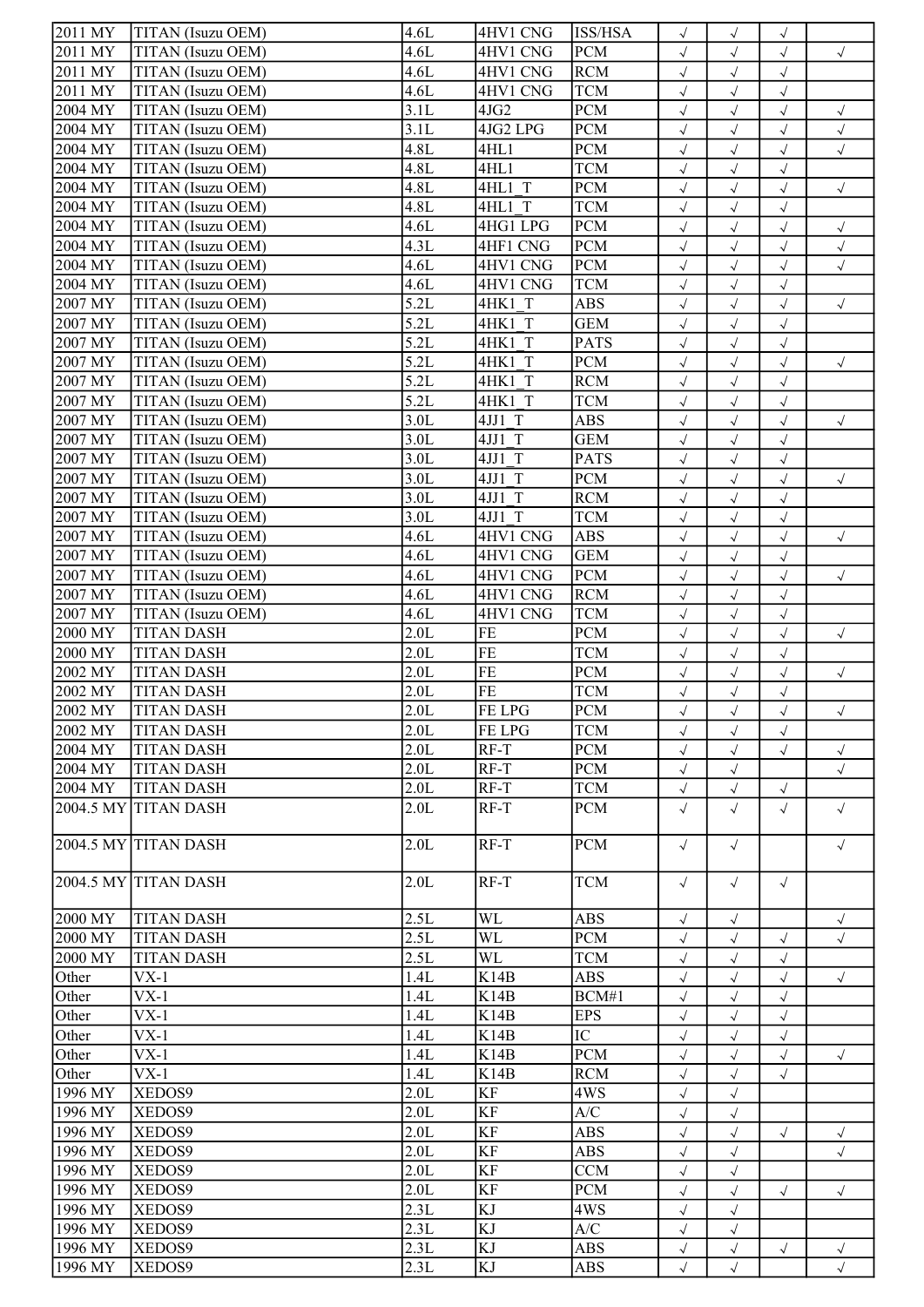| 2011 MY | TITAN (Isuzu OEM)    | 4.6L             | 4HV1 CNG      | <b>ISS/HSA</b> | $\sqrt{}$            | $\sqrt{ }$           | $\sqrt{ }$           |              |
|---------|----------------------|------------------|---------------|----------------|----------------------|----------------------|----------------------|--------------|
| 2011 MY | TITAN (Isuzu OEM)    | 4.6L             | 4HV1 CNG      | <b>PCM</b>     | $\sqrt{}$            | $\sqrt{}$            | $\sqrt{ }$           | $\sqrt{ }$   |
| 2011 MY | TITAN (Isuzu OEM)    | 4.6L             | 4HV1 CNG      | <b>RCM</b>     | $\sqrt{\phantom{a}}$ | $\sqrt{ }$           | $\sqrt{\phantom{a}}$ |              |
| 2011 MY | TITAN (Isuzu OEM)    | 4.6L             | 4HV1 CNG      | <b>TCM</b>     | $\sqrt{ }$           | $\sqrt{ }$           | $\sqrt{\phantom{a}}$ |              |
| 2004 MY | TITAN (Isuzu OEM)    | 3.1L             | 4JG2          | <b>PCM</b>     | $\sqrt{\phantom{a}}$ | $\sqrt{ }$           | $\sqrt{ }$           | $\sqrt{ }$   |
| 2004 MY | TITAN (Isuzu OEM)    | 3.1L             | 4JG2 LPG      | <b>PCM</b>     | $\sqrt{ }$           | $\sqrt{ }$           | $\sqrt{ }$           | $\sqrt{ }$   |
| 2004 MY | TITAN (Isuzu OEM)    | 4.8L             | 4HL1          | <b>PCM</b>     | $\checkmark$         | $\sqrt{ }$           | $\sqrt{ }$           | $\sqrt{}$    |
| 2004 MY | TITAN (Isuzu OEM)    | 4.8L             | 4HL1          | <b>TCM</b>     | $\sqrt{}$            | $\sqrt{ }$           | $\sqrt{ }$           |              |
| 2004 MY | TITAN (Isuzu OEM)    | 4.8L             | 4HL1 T        | <b>PCM</b>     | $\sqrt{ }$           | $\sqrt{}$            | $\sqrt{ }$           | $\sqrt{ }$   |
| 2004 MY | TITAN (Isuzu OEM)    | 4.8L             | 4HL1 T        | <b>TCM</b>     | $\sqrt{2}$           | $\sqrt{ }$           | $\sqrt{ }$           |              |
| 2004 MY | TITAN (Isuzu OEM)    | 4.6L             | 4HG1 LPG      | PCM            | $\sqrt{2}$           | $\sqrt{ }$           | $\sqrt{ }$           | $\sqrt{}$    |
| 2004 MY | TITAN (Isuzu OEM)    | 4.3L             | 4HF1 CNG      | <b>PCM</b>     | $\sqrt{}$            | $\sqrt{}$            | $\sqrt{ }$           | $\sqrt{ }$   |
| 2004 MY | TITAN (Isuzu OEM)    | 4.6L             | 4HV1 CNG      | <b>PCM</b>     | $\sqrt{2}$           | $\checkmark$         | $\sqrt{ }$           | $\sqrt{2}$   |
| 2004 MY | TITAN (Isuzu OEM)    | 4.6L             | 4HV1 CNG      | <b>TCM</b>     | $\sqrt{}$            | $\sqrt{}$            | $\sqrt{ }$           |              |
| 2007 MY | TITAN (Isuzu OEM)    | 5.2L             | 4HK1 T        | <b>ABS</b>     | $\sqrt{\ }$          | $\sqrt{}$            | $\sqrt{ }$           | $\sqrt{ }$   |
| 2007 MY | TITAN (Isuzu OEM)    | 5.2L             | 4HK1 T        | <b>GEM</b>     | $\sqrt{\phantom{a}}$ | $\sqrt{ }$           | $\sqrt{\phantom{a}}$ |              |
| 2007 MY | TITAN (Isuzu OEM)    | 5.2L             | 4HK1 T        | <b>PATS</b>    | $\sqrt{\phantom{a}}$ | $\sqrt{ }$           | $\sqrt{\phantom{a}}$ |              |
| 2007 MY | TITAN (Isuzu OEM)    | 5.2L             | 4HK1 T        | <b>PCM</b>     |                      |                      |                      |              |
|         |                      |                  |               |                | $\sqrt{\phantom{a}}$ | $\sqrt{ }$           | $\sqrt{ }$           | $\sqrt{ }$   |
| 2007 MY | TITAN (Isuzu OEM)    | 5.2L             | 4HK1 T        | <b>RCM</b>     | $\checkmark$         | $\sqrt{\phantom{a}}$ | $\sqrt{ }$           |              |
| 2007 MY | TITAN (Isuzu OEM)    | 5.2L             | 4HK1 T        | <b>TCM</b>     | $\sqrt{ }$           | $\sqrt{}$            | $\sqrt{ }$           |              |
| 2007 MY | TITAN (Isuzu OEM)    | 3.0L             | 4JJ1 T        | <b>ABS</b>     | $\sqrt{ }$           | $\sqrt{\phantom{a}}$ | $\sqrt{ }$           | $\checkmark$ |
| 2007 MY | TITAN (Isuzu OEM)    | 3.0L             | 4JJ1 T        | <b>GEM</b>     | $\checkmark$         | $\sqrt{\phantom{a}}$ | $\sqrt{ }$           |              |
| 2007 MY | TITAN (Isuzu OEM)    | 3.0 <sub>L</sub> | 4JJ1 T        | <b>PATS</b>    | $\sqrt{ }$           | $\sqrt{ }$           | $\sqrt{ }$           |              |
| 2007 MY | TITAN (Isuzu OEM)    | 3.0 <sub>L</sub> | 4JJ1 T        | <b>PCM</b>     | $\checkmark$         | $\sqrt{ }$           | $\sqrt{ }$           | $\sqrt{}$    |
| 2007 MY | TITAN (Isuzu OEM)    | 3.0L             | 4JJ1 T        | <b>RCM</b>     | $\sqrt{2}$           | $\sqrt{ }$           | $\sqrt{ }$           |              |
| 2007 MY | TITAN (Isuzu OEM)    | 3.0 <sub>L</sub> | 4JJ1 T        | <b>TCM</b>     | $\sqrt{2}$           | $\sqrt{}$            | $\sqrt{ }$           |              |
| 2007 MY | TITAN (Isuzu OEM)    | 4.6L             | 4HV1 CNG      | ABS            | $\sqrt{ }$           | $\sqrt{}$            | $\sqrt{}$            | $\sqrt{ }$   |
| 2007 MY | TITAN (Isuzu OEM)    | 4.6L             | 4HV1 CNG      | <b>GEM</b>     | $\sqrt{ }$           | $\sqrt{ }$           | $\sqrt{\phantom{a}}$ |              |
| 2007 MY | TITAN (Isuzu OEM)    | 4.6L             | 4HV1 CNG      | <b>PCM</b>     | $\sqrt{ }$           | $\sqrt{ }$           | $\sqrt{\phantom{a}}$ | $\sqrt{ }$   |
| 2007 MY | TITAN (Isuzu OEM)    | 4.6L             | 4HV1 CNG      | <b>RCM</b>     | $\sqrt{ }$           | $\sqrt{ }$           | $\sqrt{ }$           |              |
| 2007 MY | TITAN (Isuzu OEM)    | 4.6L             | 4HV1 CNG      | <b>TCM</b>     | $\sqrt{ }$           | $\sqrt{}$            | $\sqrt{ }$           |              |
| 2000 MY | <b>TITAN DASH</b>    | 2.0L             | $\rm FE$      | <b>PCM</b>     | $\sqrt{ }$           | $\sqrt{}$            | $\sqrt{ }$           | $\sqrt{ }$   |
| 2000 MY | <b>TITAN DASH</b>    | 2.0L             | <b>FE</b>     | <b>TCM</b>     | $\sqrt{}$            | $\sqrt{ }$           | $\sqrt{ }$           |              |
| 2002 MY | <b>TITAN DASH</b>    | 2.0L             | $\rm FE$      | <b>PCM</b>     | $\checkmark$         | $\sqrt{}$            | $\sqrt{ }$           | $\sqrt{ }$   |
| 2002 MY | <b>TITAN DASH</b>    | 2.0L             | $\rm FE$      | <b>TCM</b>     | $\sqrt{ }$           | $\sqrt{ }$           | $\sqrt{ }$           |              |
| 2002 MY | <b>TITAN DASH</b>    | 2.0L             | <b>FE LPG</b> | <b>PCM</b>     | $\sqrt{2}$           | $\sqrt{ }$           | $\sqrt{ }$           | $\sqrt{ }$   |
| 2002 MY | <b>TITAN DASH</b>    | 2.0L             | <b>FE LPG</b> | <b>TCM</b>     | $\sqrt{ }$           | $\sqrt{ }$           | $\sqrt{ }$           |              |
| 2004 MY | <b>TITAN DASH</b>    | 2.0L             | $RF-T$        | <b>PCM</b>     | $\sqrt{}$            | $\sqrt{}$            | $\sqrt{ }$           | $\sqrt{ }$   |
| 2004 MY | <b>TITAN DASH</b>    | 2.0L             | $RF-T$        | <b>PCM</b>     | $\sqrt{}$            | $\sqrt{ }$           |                      | $\sqrt{}$    |
| 2004 MY | <b>TITAN DASH</b>    | 2.0L             | $RF-T$        | <b>TCM</b>     | $\sqrt{ }$           | $\sqrt{ }$           | $\sqrt{\phantom{a}}$ |              |
|         | 2004.5 MY TITAN DASH | 2.0L             | $RF-T$        | <b>PCM</b>     | $\sqrt{ }$           |                      | $\sqrt{ }$           |              |
|         |                      |                  |               |                |                      | $\sqrt{ }$           |                      | $\sqrt{ }$   |
|         | 2004.5 MY TITAN DASH | 2.0L             | $RF-T$        | <b>PCM</b>     | $\sqrt{ }$           | $\sqrt{ }$           |                      | $\sqrt{ }$   |
|         | 2004.5 MY TITAN DASH | 2.0L             | $RF-T$        | <b>TCM</b>     |                      |                      |                      |              |
|         |                      |                  |               |                | $\sqrt{ }$           | $\sqrt{ }$           | $\sqrt{ }$           |              |
| 2000 MY | <b>TITAN DASH</b>    | 2.5L             | WL            | <b>ABS</b>     | $\sqrt{ }$           | $\sqrt{ }$           |                      | $\sqrt{ }$   |
| 2000 MY | <b>TITAN DASH</b>    | 2.5L             | WL            | <b>PCM</b>     | $\sqrt{ }$           | $\sqrt{ }$           | $\sqrt{ }$           | $\sqrt{ }$   |
| 2000 MY | <b>TITAN DASH</b>    | 2.5L             | WL            | <b>TCM</b>     | $\sqrt{ }$           | $\sqrt{ }$           | $\sqrt{ }$           |              |
| Other   | $VX-1$               | 1.4L             | K14B          | <b>ABS</b>     | $\sqrt{ }$           | $\sqrt{ }$           | $\sqrt{ }$           | $\sqrt{ }$   |
| Other   | $VX-1$               | 1.4L             | K14B          | BCM#1          | $\sqrt{ }$           | $\sqrt{}$            | $\sqrt{ }$           |              |
| Other   | $VX-1$               | 1.4L             | K14B          | <b>EPS</b>     | $\sqrt{}$            | $\sqrt{ }$           | $\sqrt{ }$           |              |
| Other   | $VX-1$               | 1.4L             | K14B          | IC             | $\sqrt{ }$           | $\sqrt{ }$           | $\sqrt{ }$           |              |
| Other   | $VX-1$               | 1.4L             | K14B          | <b>PCM</b>     | $\sqrt{}$            | $\sqrt{ }$           | $\sqrt{ }$           | $\sqrt{ }$   |
| Other   | $VX-1$               | 1.4L             | K14B          | <b>RCM</b>     | $\sqrt{}$            | $\sqrt{ }$           | $\sqrt{ }$           |              |
| 1996 MY | XEDOS9               | 2.0L             | KF            | 4WS            | $\checkmark$         | $\sqrt{ }$           |                      |              |
| 1996 MY | XEDOS9               | 2.0L             | KF            | A/C            | $\checkmark$         | $\sqrt{}$            |                      |              |
| 1996 MY | XEDOS9               | 2.0L             | KF            | <b>ABS</b>     |                      |                      |                      |              |
|         |                      |                  |               |                | $\sqrt{ }$           | $\sqrt{ }$           | $\sqrt{ }$           | $\sqrt{ }$   |
| 1996 MY | XEDOS9               | 2.0L             | KF            | <b>ABS</b>     | $\sqrt{ }$           | $\sqrt{ }$           |                      | $\sqrt{ }$   |
| 1996 MY | XEDOS9               | 2.0L             | KF            | <b>CCM</b>     | $\sqrt{ }$           | $\sqrt{ }$           |                      |              |
| 1996 MY | XEDOS9               | 2.0L             | KF            | <b>PCM</b>     | $\sqrt{ }$           | $\sqrt{ }$           | $\sqrt{ }$           | $\sqrt{}$    |
| 1996 MY | XEDOS9               | 2.3L             | KJ            | 4WS            | $\sqrt{ }$           | $\sqrt{}$            |                      |              |
| 1996 MY | XEDOS9               | 2.3L             | KJ            | A/C            | $\sqrt{ }$           | $\sqrt{}$            |                      |              |
| 1996 MY | XEDOS9               | 2.3L             | KJ            | <b>ABS</b>     | $\sqrt{ }$           | $\sqrt{ }$           | $\sqrt{\phantom{a}}$ | $\sqrt{ }$   |
| 1996 MY | XEDOS9               | 2.3L             | KJ            | <b>ABS</b>     | $\checkmark$         | $\sqrt{}$            |                      | $\sqrt{}$    |